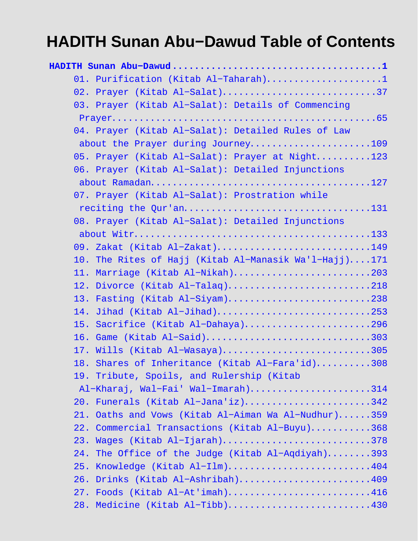# **HADITH Sunan Abu−Dawud Table of Contents**

| 01. Purification (Kitab Al-Taharah)1                          |
|---------------------------------------------------------------|
| 02. Prayer (Kitab Al-Salat)37                                 |
| 03. Prayer (Kitab Al-Salat): Details of Commencing            |
|                                                               |
| 04. Prayer (Kitab Al-Salat): Detailed Rules of Law            |
| about the Prayer during Journey109                            |
| 05. Prayer (Kitab Al-Salat): Prayer at Night123               |
| 06. Prayer (Kitab Al-Salat): Detailed Injunctions             |
|                                                               |
| 07. Prayer (Kitab Al-Salat): Prostration while                |
|                                                               |
| 08. Prayer (Kitab Al-Salat): Detailed Injunctions             |
|                                                               |
| 09. Zakat (Kitab Al-Zakat)149                                 |
| 10. The Rites of Hajj (Kitab Al-Manasik Wa'l-Hajj)171         |
| 11. Marriage (Kitab Al-Nikah)203                              |
| 12. Divorce (Kitab Al-Talaq)218                               |
| 13. Fasting (Kitab Al-Siyam)238                               |
| 14. Jihad (Kitab Al-Jihad)253                                 |
| 15. Sacrifice (Kitab Al-Dahaya)296                            |
| 16. Game (Kitab Al-Said)303<br>17. Wills (Kitab Al-Wasaya)305 |
| 18. Shares of Inheritance (Kitab Al-Fara'id)308               |
| 19. Tribute, Spoils, and Rulership (Kitab                     |
| Al-Kharaj, Wal-Fai' Wal-Imarah)314                            |
| Funerals (Kitab Al-Jana'iz)342<br>$20$ .                      |
| Oaths and Vows (Kitab Al-Aiman Wa Al-Nudhur)359<br>21.        |
| Commercial Transactions (Kitab Al-Buyu)368<br>22.             |
| Wages (Kitab Al-Ijarah)378<br>23.                             |
| The Office of the Judge (Kitab Al-Aqdiyah)393<br>24.          |
| Knowledge (Kitab Al-Ilm)404<br>25.                            |
| Drinks (Kitab Al-Ashribah)409<br>26.                          |
| 27. Foods (Kitab Al-At'imah)416                               |
| 28. Medicine (Kitab Al-Tibb)430                               |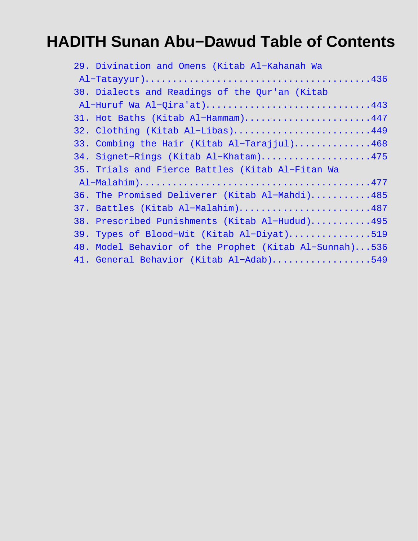# **HADITH Sunan Abu−Dawud Table of Contents**

| 29. Divination and Omens (Kitab Al-Kahanah Wa          |
|--------------------------------------------------------|
|                                                        |
| 30. Dialects and Readings of the Qur'an (Kitab         |
| Al-Huruf Wa Al-Qira'at)443                             |
| 31. Hot Baths (Kitab Al-Hammam)447                     |
| 32. Clothing (Kitab Al-Libas)449                       |
| 33. Combing the Hair (Kitab Al-Tarajjul)468            |
| 34. Signet-Rings (Kitab Al-Khatam)475                  |
| 35. Trials and Fierce Battles (Kitab Al-Fitan Wa       |
|                                                        |
| 36. The Promised Deliverer (Kitab Al-Mahdi)485         |
| 37. Battles (Kitab Al-Malahim)487                      |
| 38. Prescribed Punishments (Kitab Al-Hudud)495         |
| 39. Types of Blood-Wit (Kitab Al-Diyat)519             |
| 40. Model Behavior of the Prophet (Kitab Al-Sunnah)536 |
| 41. General Behavior (Kitab Al-Adab)549                |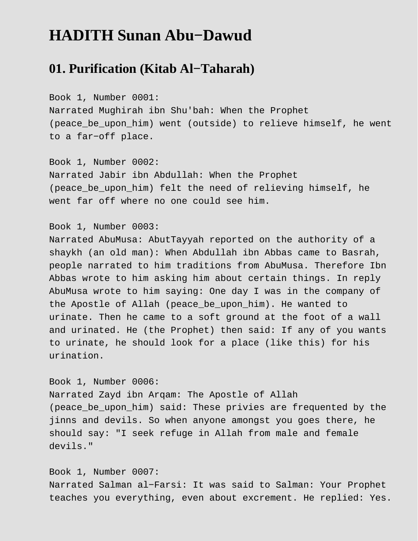## <span id="page-2-0"></span>**HADITH Sunan Abu−Dawud**

## **01. Purification (Kitab Al−Taharah)**

Book 1, Number 0001: Narrated Mughirah ibn Shu'bah: When the Prophet (peace\_be\_upon\_him) went (outside) to relieve himself, he went to a far−off place.

Book 1, Number 0002: Narrated Jabir ibn Abdullah: When the Prophet (peace\_be\_upon\_him) felt the need of relieving himself, he went far off where no one could see him.

Book 1, Number 0003:

Narrated AbuMusa: AbutTayyah reported on the authority of a shaykh (an old man): When Abdullah ibn Abbas came to Basrah, people narrated to him traditions from AbuMusa. Therefore Ibn Abbas wrote to him asking him about certain things. In reply AbuMusa wrote to him saying: One day I was in the company of the Apostle of Allah (peace\_be\_upon\_him). He wanted to urinate. Then he came to a soft ground at the foot of a wall and urinated. He (the Prophet) then said: If any of you wants to urinate, he should look for a place (like this) for his urination.

## Book 1, Number 0006:

Narrated Zayd ibn Arqam: The Apostle of Allah (peace\_be\_upon\_him) said: These privies are frequented by the jinns and devils. So when anyone amongst you goes there, he should say: "I seek refuge in Allah from male and female devils."

## Book 1, Number 0007:

Narrated Salman al−Farsi: It was said to Salman: Your Prophet teaches you everything, even about excrement. He replied: Yes.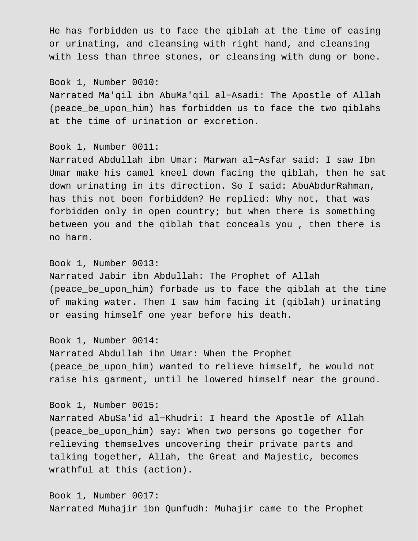He has forbidden us to face the qiblah at the time of easing or urinating, and cleansing with right hand, and cleansing with less than three stones, or cleansing with dung or bone.

Book 1, Number 0010: Narrated Ma'qil ibn AbuMa'qil al−Asadi: The Apostle of Allah (peace\_be\_upon\_him) has forbidden us to face the two qiblahs at the time of urination or excretion.

## Book 1, Number 0011:

Narrated Abdullah ibn Umar: Marwan al−Asfar said: I saw Ibn Umar make his camel kneel down facing the qiblah, then he sat down urinating in its direction. So I said: AbuAbdurRahman, has this not been forbidden? He replied: Why not, that was forbidden only in open country; but when there is something between you and the qiblah that conceals you , then there is no harm.

## Book 1, Number 0013:

Narrated Jabir ibn Abdullah: The Prophet of Allah (peace\_be\_upon\_him) forbade us to face the qiblah at the time of making water. Then I saw him facing it (qiblah) urinating or easing himself one year before his death.

Book 1, Number 0014: Narrated Abdullah ibn Umar: When the Prophet (peace be upon him) wanted to relieve himself, he would not raise his garment, until he lowered himself near the ground.

#### Book 1, Number 0015:

Narrated AbuSa'id al−Khudri: I heard the Apostle of Allah (peace\_be\_upon\_him) say: When two persons go together for relieving themselves uncovering their private parts and talking together, Allah, the Great and Majestic, becomes wrathful at this (action).

Book 1, Number 0017:

Narrated Muhajir ibn Qunfudh: Muhajir came to the Prophet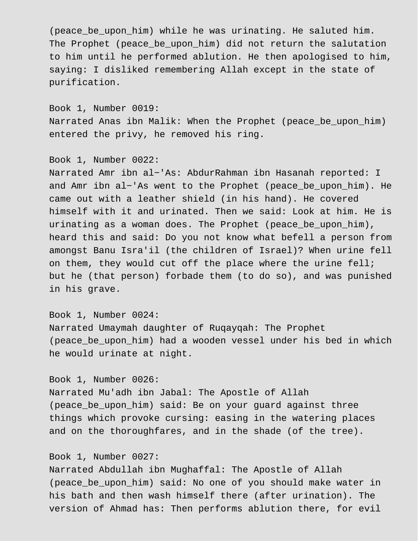(peace be upon him) while he was urinating. He saluted him. The Prophet (peace\_be\_upon\_him) did not return the salutation to him until he performed ablution. He then apologised to him, saying: I disliked remembering Allah except in the state of purification.

Book 1, Number 0019:

Narrated Anas ibn Malik: When the Prophet (peace\_be\_upon\_him) entered the privy, he removed his ring.

Book 1, Number 0022:

Narrated Amr ibn al−'As: AbdurRahman ibn Hasanah reported: I and Amr ibn al−'As went to the Prophet (peace\_be\_upon\_him). He came out with a leather shield (in his hand). He covered himself with it and urinated. Then we said: Look at him. He is urinating as a woman does. The Prophet (peace\_be\_upon\_him), heard this and said: Do you not know what befell a person from amongst Banu Isra'il (the children of Israel)? When urine fell on them, they would cut off the place where the urine fell; but he (that person) forbade them (to do so), and was punished in his grave.

#### Book 1, Number 0024:

Narrated Umaymah daughter of Ruqayqah: The Prophet (peace\_be\_upon\_him) had a wooden vessel under his bed in which he would urinate at night.

## Book 1, Number 0026:

Narrated Mu'adh ibn Jabal: The Apostle of Allah (peace\_be\_upon\_him) said: Be on your guard against three things which provoke cursing: easing in the watering places and on the thoroughfares, and in the shade (of the tree).

## Book 1, Number 0027:

Narrated Abdullah ibn Mughaffal: The Apostle of Allah (peace\_be\_upon\_him) said: No one of you should make water in his bath and then wash himself there (after urination). The version of Ahmad has: Then performs ablution there, for evil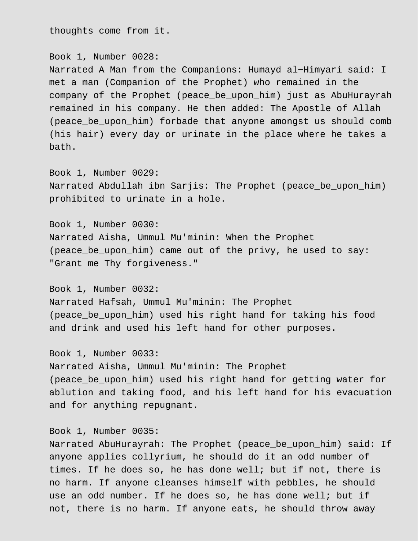thoughts come from it.

Book 1, Number 0028:

Narrated A Man from the Companions: Humayd al−Himyari said: I met a man (Companion of the Prophet) who remained in the company of the Prophet (peace\_be\_upon\_him) just as AbuHurayrah remained in his company. He then added: The Apostle of Allah (peace\_be\_upon\_him) forbade that anyone amongst us should comb (his hair) every day or urinate in the place where he takes a bath.

Book 1, Number 0029: Narrated Abdullah ibn Sarjis: The Prophet (peace\_be\_upon\_him) prohibited to urinate in a hole.

Book 1, Number 0030: Narrated Aisha, Ummul Mu'minin: When the Prophet (peace be upon him) came out of the privy, he used to say: "Grant me Thy forgiveness."

Book 1, Number 0032: Narrated Hafsah, Ummul Mu'minin: The Prophet (peace\_be\_upon\_him) used his right hand for taking his food and drink and used his left hand for other purposes.

Book 1, Number 0033: Narrated Aisha, Ummul Mu'minin: The Prophet (peace\_be\_upon\_him) used his right hand for getting water for ablution and taking food, and his left hand for his evacuation and for anything repugnant.

Book 1, Number 0035:

Narrated AbuHurayrah: The Prophet (peace\_be\_upon\_him) said: If anyone applies collyrium, he should do it an odd number of times. If he does so, he has done well; but if not, there is no harm. If anyone cleanses himself with pebbles, he should use an odd number. If he does so, he has done well; but if not, there is no harm. If anyone eats, he should throw away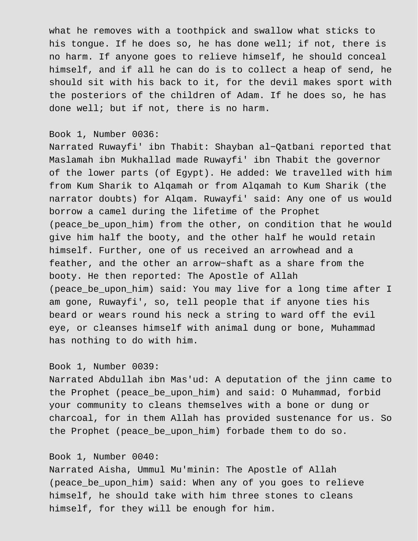what he removes with a toothpick and swallow what sticks to his tongue. If he does so, he has done well; if not, there is no harm. If anyone goes to relieve himself, he should conceal himself, and if all he can do is to collect a heap of send, he should sit with his back to it, for the devil makes sport with the posteriors of the children of Adam. If he does so, he has done well; but if not, there is no harm.

#### Book 1, Number 0036:

Narrated Ruwayfi' ibn Thabit: Shayban al−Qatbani reported that Maslamah ibn Mukhallad made Ruwayfi' ibn Thabit the governor of the lower parts (of Egypt). He added: We travelled with him from Kum Sharik to Alqamah or from Alqamah to Kum Sharik (the narrator doubts) for Alqam. Ruwayfi' said: Any one of us would borrow a camel during the lifetime of the Prophet (peace\_be\_upon\_him) from the other, on condition that he would give him half the booty, and the other half he would retain himself. Further, one of us received an arrowhead and a feather, and the other an arrow−shaft as a share from the booty. He then reported: The Apostle of Allah (peace be upon him) said: You may live for a long time after I am gone, Ruwayfi', so, tell people that if anyone ties his beard or wears round his neck a string to ward off the evil eye, or cleanses himself with animal dung or bone, Muhammad has nothing to do with him.

#### Book 1, Number 0039:

Narrated Abdullah ibn Mas'ud: A deputation of the jinn came to the Prophet (peace\_be\_upon\_him) and said: O Muhammad, forbid your community to cleans themselves with a bone or dung or charcoal, for in them Allah has provided sustenance for us. So the Prophet (peace\_be\_upon\_him) forbade them to do so.

#### Book 1, Number 0040:

Narrated Aisha, Ummul Mu'minin: The Apostle of Allah (peace\_be\_upon\_him) said: When any of you goes to relieve himself, he should take with him three stones to cleans himself, for they will be enough for him.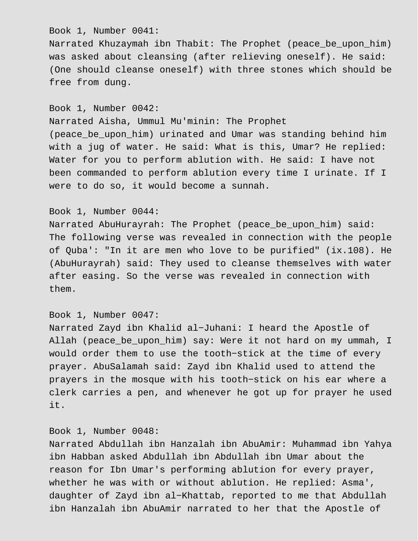## Book 1, Number 0041:

Narrated Khuzaymah ibn Thabit: The Prophet (peace\_be\_upon\_him) was asked about cleansing (after relieving oneself). He said: (One should cleanse oneself) with three stones which should be free from dung.

#### Book 1, Number 0042:

#### Narrated Aisha, Ummul Mu'minin: The Prophet

(peace\_be\_upon\_him) urinated and Umar was standing behind him with a jug of water. He said: What is this, Umar? He replied: Water for you to perform ablution with. He said: I have not been commanded to perform ablution every time I urinate. If I were to do so, it would become a sunnah.

## Book 1, Number 0044:

Narrated AbuHurayrah: The Prophet (peace\_be\_upon\_him) said: The following verse was revealed in connection with the people of Quba': "In it are men who love to be purified" (ix.108). He (AbuHurayrah) said: They used to cleanse themselves with water after easing. So the verse was revealed in connection with them.

#### Book 1, Number 0047:

Narrated Zayd ibn Khalid al−Juhani: I heard the Apostle of Allah (peace\_be\_upon\_him) say: Were it not hard on my ummah, I would order them to use the tooth−stick at the time of every prayer. AbuSalamah said: Zayd ibn Khalid used to attend the prayers in the mosque with his tooth−stick on his ear where a clerk carries a pen, and whenever he got up for prayer he used it.

## Book 1, Number 0048:

Narrated Abdullah ibn Hanzalah ibn AbuAmir: Muhammad ibn Yahya ibn Habban asked Abdullah ibn Abdullah ibn Umar about the reason for Ibn Umar's performing ablution for every prayer, whether he was with or without ablution. He replied: Asma', daughter of Zayd ibn al−Khattab, reported to me that Abdullah ibn Hanzalah ibn AbuAmir narrated to her that the Apostle of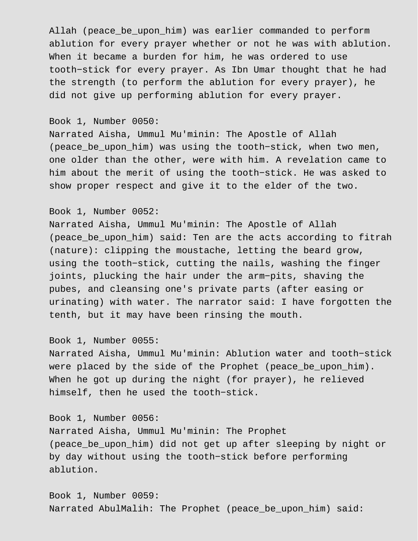Allah (peace be upon him) was earlier commanded to perform ablution for every prayer whether or not he was with ablution. When it became a burden for him, he was ordered to use tooth−stick for every prayer. As Ibn Umar thought that he had the strength (to perform the ablution for every prayer), he did not give up performing ablution for every prayer.

#### Book 1, Number 0050:

Narrated Aisha, Ummul Mu'minin: The Apostle of Allah (peace\_be\_upon\_him) was using the tooth−stick, when two men, one older than the other, were with him. A revelation came to him about the merit of using the tooth−stick. He was asked to show proper respect and give it to the elder of the two.

## Book 1, Number 0052:

Narrated Aisha, Ummul Mu'minin: The Apostle of Allah (peace\_be\_upon\_him) said: Ten are the acts according to fitrah (nature): clipping the moustache, letting the beard grow, using the tooth−stick, cutting the nails, washing the finger joints, plucking the hair under the arm−pits, shaving the pubes, and cleansing one's private parts (after easing or urinating) with water. The narrator said: I have forgotten the tenth, but it may have been rinsing the mouth.

#### Book 1, Number 0055:

Narrated Aisha, Ummul Mu'minin: Ablution water and tooth−stick were placed by the side of the Prophet (peace\_be\_upon\_him). When he got up during the night (for prayer), he relieved himself, then he used the tooth−stick.

## Book 1, Number 0056:

Narrated Aisha, Ummul Mu'minin: The Prophet (peace\_be\_upon\_him) did not get up after sleeping by night or by day without using the tooth−stick before performing ablution.

Book 1, Number 0059: Narrated AbulMalih: The Prophet (peace\_be\_upon\_him) said: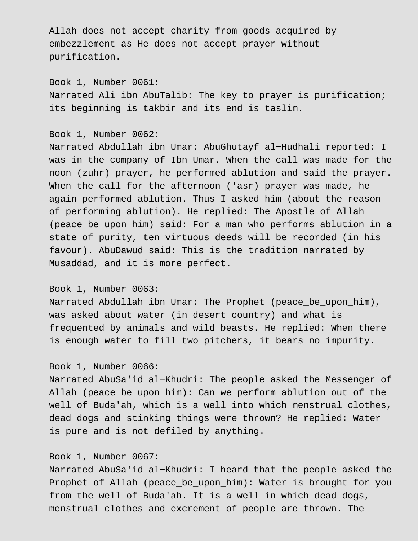Allah does not accept charity from goods acquired by embezzlement as He does not accept prayer without purification.

Book 1, Number 0061: Narrated Ali ibn AbuTalib: The key to prayer is purification; its beginning is takbir and its end is taslim.

#### Book 1, Number 0062:

Narrated Abdullah ibn Umar: AbuGhutayf al−Hudhali reported: I was in the company of Ibn Umar. When the call was made for the noon (zuhr) prayer, he performed ablution and said the prayer. When the call for the afternoon ('asr) prayer was made, he again performed ablution. Thus I asked him (about the reason of performing ablution). He replied: The Apostle of Allah (peace\_be\_upon\_him) said: For a man who performs ablution in a state of purity, ten virtuous deeds will be recorded (in his favour). AbuDawud said: This is the tradition narrated by Musaddad, and it is more perfect.

## Book 1, Number 0063:

Narrated Abdullah ibn Umar: The Prophet (peace be upon him), was asked about water (in desert country) and what is frequented by animals and wild beasts. He replied: When there is enough water to fill two pitchers, it bears no impurity.

## Book 1, Number 0066:

Narrated AbuSa'id al−Khudri: The people asked the Messenger of Allah (peace\_be\_upon\_him): Can we perform ablution out of the well of Buda'ah, which is a well into which menstrual clothes, dead dogs and stinking things were thrown? He replied: Water is pure and is not defiled by anything.

#### Book 1, Number 0067:

Narrated AbuSa'id al−Khudri: I heard that the people asked the Prophet of Allah (peace\_be\_upon\_him): Water is brought for you from the well of Buda'ah. It is a well in which dead dogs, menstrual clothes and excrement of people are thrown. The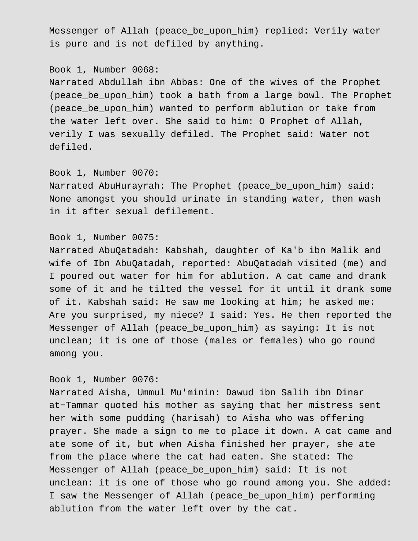Messenger of Allah (peace be upon him) replied: Verily water is pure and is not defiled by anything.

## Book 1, Number 0068:

Narrated Abdullah ibn Abbas: One of the wives of the Prophet (peace be upon him) took a bath from a large bowl. The Prophet (peace\_be\_upon\_him) wanted to perform ablution or take from the water left over. She said to him: O Prophet of Allah, verily I was sexually defiled. The Prophet said: Water not defiled.

#### Book 1, Number 0070:

Narrated AbuHurayrah: The Prophet (peace\_be\_upon\_him) said: None amongst you should urinate in standing water, then wash in it after sexual defilement.

## Book 1, Number 0075:

Narrated AbuQatadah: Kabshah, daughter of Ka'b ibn Malik and wife of Ibn AbuQatadah, reported: AbuQatadah visited (me) and I poured out water for him for ablution. A cat came and drank some of it and he tilted the vessel for it until it drank some of it. Kabshah said: He saw me looking at him; he asked me: Are you surprised, my niece? I said: Yes. He then reported the Messenger of Allah (peace\_be\_upon\_him) as saying: It is not unclean; it is one of those (males or females) who go round among you.

## Book 1, Number 0076:

Narrated Aisha, Ummul Mu'minin: Dawud ibn Salih ibn Dinar at−Tammar quoted his mother as saying that her mistress sent her with some pudding (harisah) to Aisha who was offering prayer. She made a sign to me to place it down. A cat came and ate some of it, but when Aisha finished her prayer, she ate from the place where the cat had eaten. She stated: The Messenger of Allah (peace be upon him) said: It is not unclean: it is one of those who go round among you. She added: I saw the Messenger of Allah (peace\_be\_upon\_him) performing ablution from the water left over by the cat.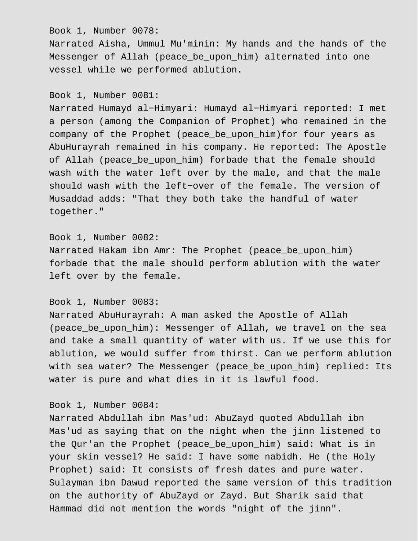## Book 1, Number 0078:

Narrated Aisha, Ummul Mu'minin: My hands and the hands of the Messenger of Allah (peace be upon him) alternated into one vessel while we performed ablution.

## Book 1, Number 0081:

Narrated Humayd al−Himyari: Humayd al−Himyari reported: I met a person (among the Companion of Prophet) who remained in the company of the Prophet (peace\_be\_upon\_him)for four years as AbuHurayrah remained in his company. He reported: The Apostle of Allah (peace\_be\_upon\_him) forbade that the female should wash with the water left over by the male, and that the male should wash with the left−over of the female. The version of Musaddad adds: "That they both take the handful of water together."

## Book 1, Number 0082:

Narrated Hakam ibn Amr: The Prophet (peace\_be\_upon\_him) forbade that the male should perform ablution with the water left over by the female.

#### Book 1, Number 0083:

Narrated AbuHurayrah: A man asked the Apostle of Allah (peace\_be\_upon\_him): Messenger of Allah, we travel on the sea and take a small quantity of water with us. If we use this for ablution, we would suffer from thirst. Can we perform ablution with sea water? The Messenger (peace\_be\_upon\_him) replied: Its water is pure and what dies in it is lawful food.

#### Book 1, Number 0084:

Narrated Abdullah ibn Mas'ud: AbuZayd quoted Abdullah ibn Mas'ud as saying that on the night when the jinn listened to the Qur'an the Prophet (peace\_be\_upon\_him) said: What is in your skin vessel? He said: I have some nabidh. He (the Holy Prophet) said: It consists of fresh dates and pure water. Sulayman ibn Dawud reported the same version of this tradition on the authority of AbuZayd or Zayd. But Sharik said that Hammad did not mention the words "night of the jinn".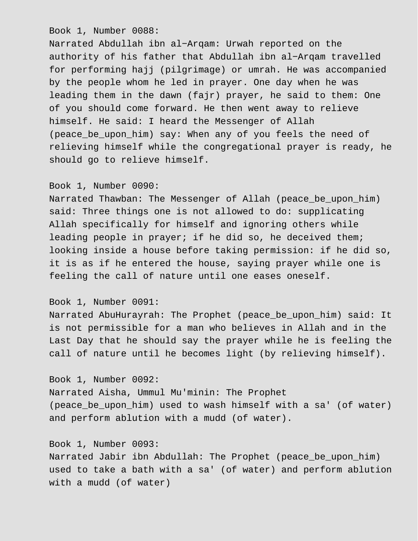## Book 1, Number 0088:

Narrated Abdullah ibn al−Arqam: Urwah reported on the authority of his father that Abdullah ibn al−Arqam travelled for performing hajj (pilgrimage) or umrah. He was accompanied by the people whom he led in prayer. One day when he was leading them in the dawn (fajr) prayer, he said to them: One of you should come forward. He then went away to relieve himself. He said: I heard the Messenger of Allah (peace\_be\_upon\_him) say: When any of you feels the need of relieving himself while the congregational prayer is ready, he should go to relieve himself.

### Book 1, Number 0090:

Narrated Thawban: The Messenger of Allah (peace\_be\_upon\_him) said: Three things one is not allowed to do: supplicating Allah specifically for himself and ignoring others while leading people in prayer; if he did so, he deceived them; looking inside a house before taking permission: if he did so, it is as if he entered the house, saying prayer while one is feeling the call of nature until one eases oneself.

## Book 1, Number 0091:

Narrated AbuHurayrah: The Prophet (peace\_be\_upon\_him) said: It is not permissible for a man who believes in Allah and in the Last Day that he should say the prayer while he is feeling the call of nature until he becomes light (by relieving himself).

Book 1, Number 0092: Narrated Aisha, Ummul Mu'minin: The Prophet (peace\_be\_upon\_him) used to wash himself with a sa' (of water) and perform ablution with a mudd (of water).

Book 1, Number 0093: Narrated Jabir ibn Abdullah: The Prophet (peace\_be\_upon\_him) used to take a bath with a sa' (of water) and perform ablution with a mudd (of water)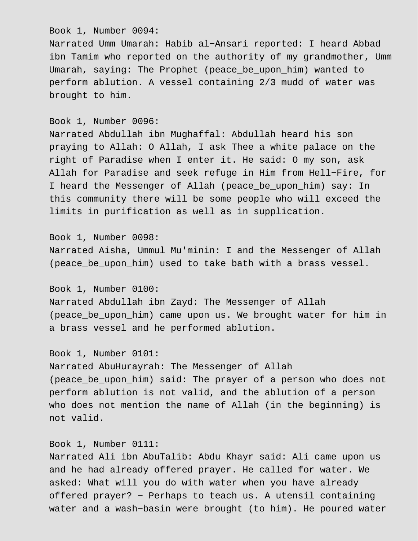## Book 1, Number 0094:

Narrated Umm Umarah: Habib al−Ansari reported: I heard Abbad ibn Tamim who reported on the authority of my grandmother, Umm Umarah, saying: The Prophet (peace\_be\_upon\_him) wanted to perform ablution. A vessel containing 2/3 mudd of water was brought to him.

#### Book 1, Number 0096:

Narrated Abdullah ibn Mughaffal: Abdullah heard his son praying to Allah: O Allah, I ask Thee a white palace on the right of Paradise when I enter it. He said: O my son, ask Allah for Paradise and seek refuge in Him from Hell−Fire, for I heard the Messenger of Allah (peace\_be\_upon\_him) say: In this community there will be some people who will exceed the limits in purification as well as in supplication.

Book 1, Number 0098:

Narrated Aisha, Ummul Mu'minin: I and the Messenger of Allah (peace\_be\_upon\_him) used to take bath with a brass vessel.

Book 1, Number 0100: Narrated Abdullah ibn Zayd: The Messenger of Allah (peace\_be\_upon\_him) came upon us. We brought water for him in a brass vessel and he performed ablution.

Book 1, Number 0101: Narrated AbuHurayrah: The Messenger of Allah (peace\_be\_upon\_him) said: The prayer of a person who does not perform ablution is not valid, and the ablution of a person who does not mention the name of Allah (in the beginning) is not valid.

Book 1, Number 0111:

Narrated Ali ibn AbuTalib: Abdu Khayr said: Ali came upon us and he had already offered prayer. He called for water. We asked: What will you do with water when you have already offered prayer? − Perhaps to teach us. A utensil containing water and a wash−basin were brought (to him). He poured water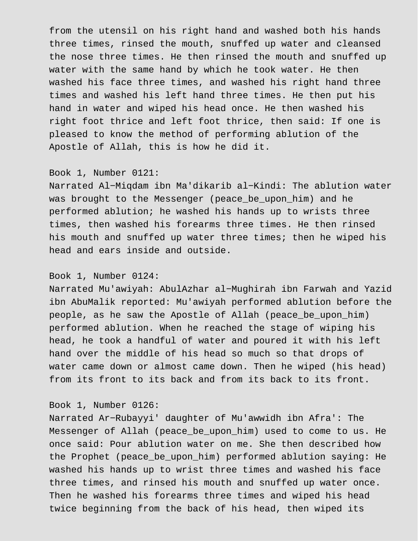from the utensil on his right hand and washed both his hands three times, rinsed the mouth, snuffed up water and cleansed the nose three times. He then rinsed the mouth and snuffed up water with the same hand by which he took water. He then washed his face three times, and washed his right hand three times and washed his left hand three times. He then put his hand in water and wiped his head once. He then washed his right foot thrice and left foot thrice, then said: If one is pleased to know the method of performing ablution of the Apostle of Allah, this is how he did it.

## Book 1, Number 0121:

Narrated Al−Miqdam ibn Ma'dikarib al−Kindi: The ablution water was brought to the Messenger (peace\_be\_upon\_him) and he performed ablution; he washed his hands up to wrists three times, then washed his forearms three times. He then rinsed his mouth and snuffed up water three times; then he wiped his head and ears inside and outside.

#### Book 1, Number 0124:

Narrated Mu'awiyah: AbulAzhar al−Mughirah ibn Farwah and Yazid ibn AbuMalik reported: Mu'awiyah performed ablution before the people, as he saw the Apostle of Allah (peace\_be\_upon\_him) performed ablution. When he reached the stage of wiping his head, he took a handful of water and poured it with his left hand over the middle of his head so much so that drops of water came down or almost came down. Then he wiped (his head) from its front to its back and from its back to its front.

## Book 1, Number 0126:

Narrated Ar−Rubayyi' daughter of Mu'awwidh ibn Afra': The Messenger of Allah (peace\_be\_upon\_him) used to come to us. He once said: Pour ablution water on me. She then described how the Prophet (peace\_be\_upon\_him) performed ablution saying: He washed his hands up to wrist three times and washed his face three times, and rinsed his mouth and snuffed up water once. Then he washed his forearms three times and wiped his head twice beginning from the back of his head, then wiped its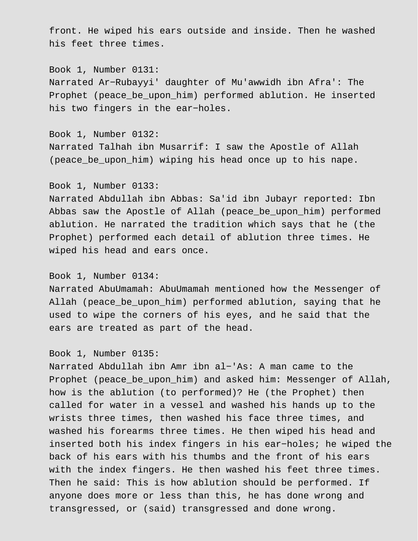front. He wiped his ears outside and inside. Then he washed his feet three times.

Book 1, Number 0131: Narrated Ar−Rubayyi' daughter of Mu'awwidh ibn Afra': The Prophet (peace\_be\_upon\_him) performed ablution. He inserted his two fingers in the ear−holes.

Book 1, Number 0132: Narrated Talhah ibn Musarrif: I saw the Apostle of Allah (peace\_be\_upon\_him) wiping his head once up to his nape.

Book 1, Number 0133:

Narrated Abdullah ibn Abbas: Sa'id ibn Jubayr reported: Ibn Abbas saw the Apostle of Allah (peace be upon him) performed ablution. He narrated the tradition which says that he (the Prophet) performed each detail of ablution three times. He wiped his head and ears once.

Book 1, Number 0134:

Narrated AbuUmamah: AbuUmamah mentioned how the Messenger of Allah (peace be upon him) performed ablution, saying that he used to wipe the corners of his eyes, and he said that the ears are treated as part of the head.

Book 1, Number 0135:

Narrated Abdullah ibn Amr ibn al−'As: A man came to the Prophet (peace be upon him) and asked him: Messenger of Allah, how is the ablution (to performed)? He (the Prophet) then called for water in a vessel and washed his hands up to the wrists three times, then washed his face three times, and washed his forearms three times. He then wiped his head and inserted both his index fingers in his ear−holes; he wiped the back of his ears with his thumbs and the front of his ears with the index fingers. He then washed his feet three times. Then he said: This is how ablution should be performed. If anyone does more or less than this, he has done wrong and transgressed, or (said) transgressed and done wrong.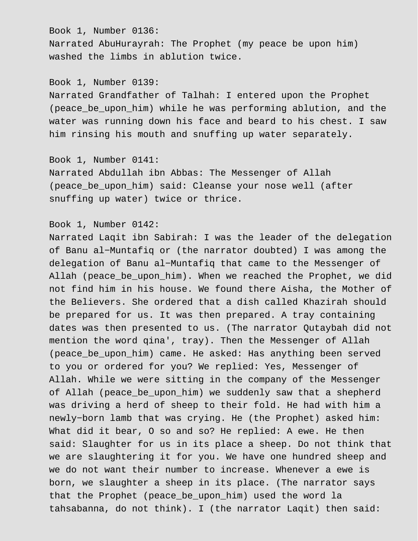## Book 1, Number 0136: Narrated AbuHurayrah: The Prophet (my peace be upon him) washed the limbs in ablution twice.

## Book 1, Number 0139:

Narrated Grandfather of Talhah: I entered upon the Prophet (peace\_be\_upon\_him) while he was performing ablution, and the water was running down his face and beard to his chest. I saw him rinsing his mouth and snuffing up water separately.

Book 1, Number 0141:

Narrated Abdullah ibn Abbas: The Messenger of Allah (peace\_be\_upon\_him) said: Cleanse your nose well (after snuffing up water) twice or thrice.

## Book 1, Number 0142:

Narrated Laqit ibn Sabirah: I was the leader of the delegation of Banu al−Muntafiq or (the narrator doubted) I was among the delegation of Banu al−Muntafiq that came to the Messenger of Allah (peace\_be\_upon\_him). When we reached the Prophet, we did not find him in his house. We found there Aisha, the Mother of the Believers. She ordered that a dish called Khazirah should be prepared for us. It was then prepared. A tray containing dates was then presented to us. (The narrator Qutaybah did not mention the word qina', tray). Then the Messenger of Allah (peace be upon him) came. He asked: Has anything been served to you or ordered for you? We replied: Yes, Messenger of Allah. While we were sitting in the company of the Messenger of Allah (peace\_be\_upon\_him) we suddenly saw that a shepherd was driving a herd of sheep to their fold. He had with him a newly−born lamb that was crying. He (the Prophet) asked him: What did it bear, O so and so? He replied: A ewe. He then said: Slaughter for us in its place a sheep. Do not think that we are slaughtering it for you. We have one hundred sheep and we do not want their number to increase. Whenever a ewe is born, we slaughter a sheep in its place. (The narrator says that the Prophet (peace\_be\_upon\_him) used the word la tahsabanna, do not think). I (the narrator Laqit) then said: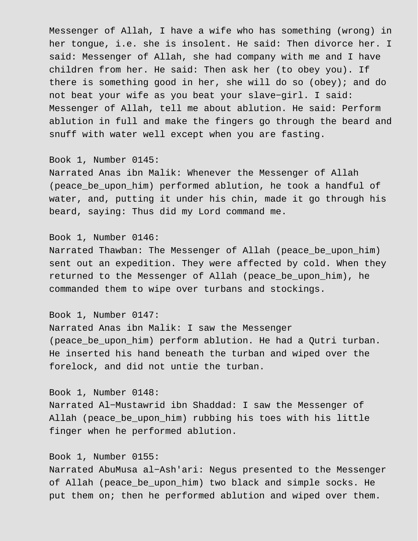Messenger of Allah, I have a wife who has something (wrong) in her tongue, i.e. she is insolent. He said: Then divorce her. I said: Messenger of Allah, she had company with me and I have children from her. He said: Then ask her (to obey you). If there is something good in her, she will do so (obey); and do not beat your wife as you beat your slave−girl. I said: Messenger of Allah, tell me about ablution. He said: Perform ablution in full and make the fingers go through the beard and snuff with water well except when you are fasting.

#### Book 1, Number 0145:

Narrated Anas ibn Malik: Whenever the Messenger of Allah (peace\_be\_upon\_him) performed ablution, he took a handful of water, and, putting it under his chin, made it go through his beard, saying: Thus did my Lord command me.

## Book 1, Number 0146:

Narrated Thawban: The Messenger of Allah (peace\_be\_upon\_him) sent out an expedition. They were affected by cold. When they returned to the Messenger of Allah (peace\_be\_upon\_him), he commanded them to wipe over turbans and stockings.

#### Book 1, Number 0147:

Narrated Anas ibn Malik: I saw the Messenger (peace\_be\_upon\_him) perform ablution. He had a Qutri turban. He inserted his hand beneath the turban and wiped over the forelock, and did not untie the turban.

#### Book 1, Number 0148:

Narrated Al−Mustawrid ibn Shaddad: I saw the Messenger of Allah (peace be upon him) rubbing his toes with his little finger when he performed ablution.

#### Book 1, Number 0155:

Narrated AbuMusa al−Ash'ari: Negus presented to the Messenger of Allah (peace\_be\_upon\_him) two black and simple socks. He put them on; then he performed ablution and wiped over them.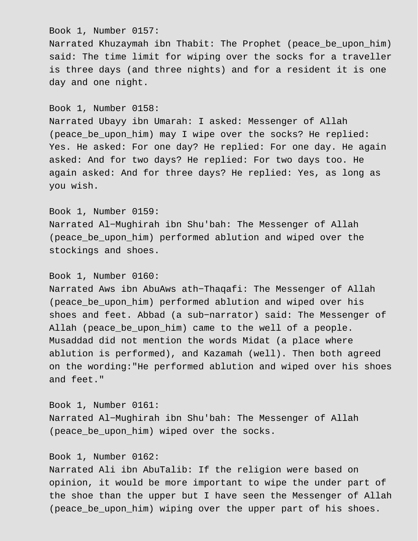## Book 1, Number 0157:

Narrated Khuzaymah ibn Thabit: The Prophet (peace\_be\_upon\_him) said: The time limit for wiping over the socks for a traveller is three days (and three nights) and for a resident it is one day and one night.

#### Book 1, Number 0158:

Narrated Ubayy ibn Umarah: I asked: Messenger of Allah (peace be upon him) may I wipe over the socks? He replied: Yes. He asked: For one day? He replied: For one day. He again asked: And for two days? He replied: For two days too. He again asked: And for three days? He replied: Yes, as long as you wish.

## Book 1, Number 0159:

Narrated Al−Mughirah ibn Shu'bah: The Messenger of Allah (peace\_be\_upon\_him) performed ablution and wiped over the stockings and shoes.

#### Book 1, Number 0160:

Narrated Aws ibn AbuAws ath−Thaqafi: The Messenger of Allah (peace\_be\_upon\_him) performed ablution and wiped over his shoes and feet. Abbad (a sub−narrator) said: The Messenger of Allah (peace be upon him) came to the well of a people. Musaddad did not mention the words Midat (a place where ablution is performed), and Kazamah (well). Then both agreed on the wording:"He performed ablution and wiped over his shoes and feet."

Book 1, Number 0161: Narrated Al−Mughirah ibn Shu'bah: The Messenger of Allah (peace\_be\_upon\_him) wiped over the socks.

## Book 1, Number 0162:

Narrated Ali ibn AbuTalib: If the religion were based on opinion, it would be more important to wipe the under part of the shoe than the upper but I have seen the Messenger of Allah (peace\_be\_upon\_him) wiping over the upper part of his shoes.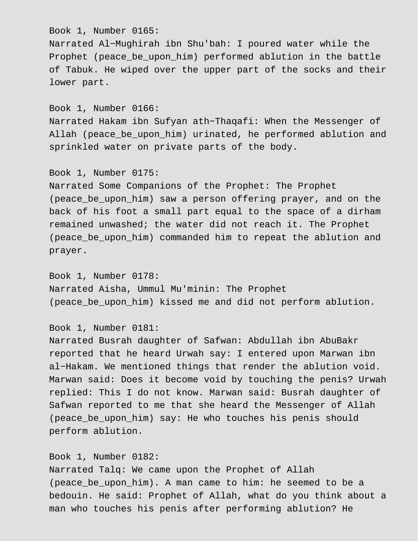## Book 1, Number 0165:

Narrated Al−Mughirah ibn Shu'bah: I poured water while the Prophet (peace be upon him) performed ablution in the battle of Tabuk. He wiped over the upper part of the socks and their lower part.

Book 1, Number 0166:

Narrated Hakam ibn Sufyan ath−Thaqafi: When the Messenger of Allah (peace be upon him) urinated, he performed ablution and sprinkled water on private parts of the body.

Book 1, Number 0175:

Narrated Some Companions of the Prophet: The Prophet (peace\_be\_upon\_him) saw a person offering prayer, and on the back of his foot a small part equal to the space of a dirham remained unwashed; the water did not reach it. The Prophet (peace\_be\_upon\_him) commanded him to repeat the ablution and prayer.

Book 1, Number 0178: Narrated Aisha, Ummul Mu'minin: The Prophet (peace\_be\_upon\_him) kissed me and did not perform ablution.

Book 1, Number 0181:

Narrated Busrah daughter of Safwan: Abdullah ibn AbuBakr reported that he heard Urwah say: I entered upon Marwan ibn al−Hakam. We mentioned things that render the ablution void. Marwan said: Does it become void by touching the penis? Urwah replied: This I do not know. Marwan said: Busrah daughter of Safwan reported to me that she heard the Messenger of Allah (peace\_be\_upon\_him) say: He who touches his penis should perform ablution.

## Book 1, Number 0182:

Narrated Talq: We came upon the Prophet of Allah (peace be upon him). A man came to him: he seemed to be a bedouin. He said: Prophet of Allah, what do you think about a man who touches his penis after performing ablution? He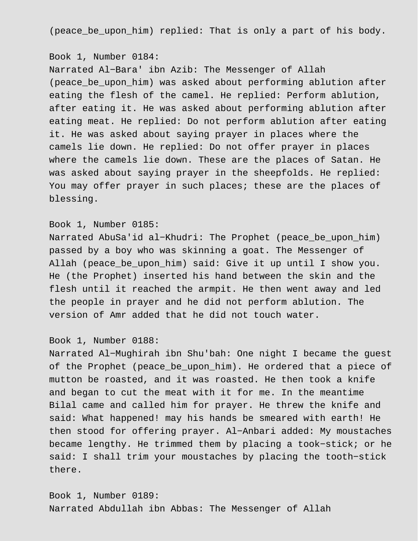(peace\_be\_upon\_him) replied: That is only a part of his body.

## Book 1, Number 0184:

Narrated Al−Bara' ibn Azib: The Messenger of Allah (peace\_be\_upon\_him) was asked about performing ablution after eating the flesh of the camel. He replied: Perform ablution, after eating it. He was asked about performing ablution after eating meat. He replied: Do not perform ablution after eating it. He was asked about saying prayer in places where the camels lie down. He replied: Do not offer prayer in places where the camels lie down. These are the places of Satan. He was asked about saying prayer in the sheepfolds. He replied: You may offer prayer in such places; these are the places of blessing.

#### Book 1, Number 0185:

Narrated AbuSa'id al−Khudri: The Prophet (peace\_be\_upon\_him) passed by a boy who was skinning a goat. The Messenger of Allah (peace\_be\_upon\_him) said: Give it up until I show you. He (the Prophet) inserted his hand between the skin and the flesh until it reached the armpit. He then went away and led the people in prayer and he did not perform ablution. The version of Amr added that he did not touch water.

#### Book 1, Number 0188:

Narrated Al−Mughirah ibn Shu'bah: One night I became the guest of the Prophet (peace\_be\_upon\_him). He ordered that a piece of mutton be roasted, and it was roasted. He then took a knife and began to cut the meat with it for me. In the meantime Bilal came and called him for prayer. He threw the knife and said: What happened! may his hands be smeared with earth! He then stood for offering prayer. Al−Anbari added: My moustaches became lengthy. He trimmed them by placing a took−stick; or he said: I shall trim your moustaches by placing the tooth−stick there.

Book 1, Number 0189: Narrated Abdullah ibn Abbas: The Messenger of Allah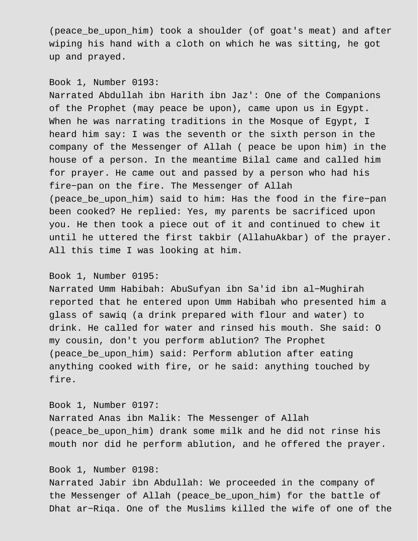(peace be upon him) took a shoulder (of goat's meat) and after wiping his hand with a cloth on which he was sitting, he got up and prayed.

## Book 1, Number 0193:

Narrated Abdullah ibn Harith ibn Jaz': One of the Companions of the Prophet (may peace be upon), came upon us in Egypt. When he was narrating traditions in the Mosque of Egypt, I heard him say: I was the seventh or the sixth person in the company of the Messenger of Allah ( peace be upon him) in the house of a person. In the meantime Bilal came and called him for prayer. He came out and passed by a person who had his fire−pan on the fire. The Messenger of Allah (peace\_be\_upon\_him) said to him: Has the food in the fire−pan been cooked? He replied: Yes, my parents be sacrificed upon you. He then took a piece out of it and continued to chew it until he uttered the first takbir (AllahuAkbar) of the prayer. All this time I was looking at him.

#### Book 1, Number 0195:

Narrated Umm Habibah: AbuSufyan ibn Sa'id ibn al−Mughirah reported that he entered upon Umm Habibah who presented him a glass of sawiq (a drink prepared with flour and water) to drink. He called for water and rinsed his mouth. She said: O my cousin, don't you perform ablution? The Prophet (peace be upon him) said: Perform ablution after eating anything cooked with fire, or he said: anything touched by fire.

## Book 1, Number 0197:

Narrated Anas ibn Malik: The Messenger of Allah (peace\_be\_upon\_him) drank some milk and he did not rinse his mouth nor did he perform ablution, and he offered the prayer.

## Book 1, Number 0198:

Narrated Jabir ibn Abdullah: We proceeded in the company of the Messenger of Allah (peace\_be\_upon\_him) for the battle of Dhat ar−Riqa. One of the Muslims killed the wife of one of the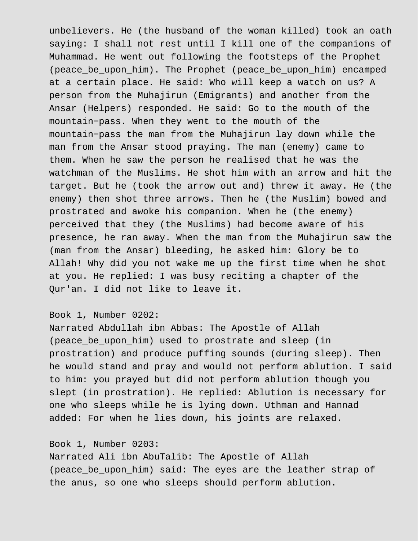unbelievers. He (the husband of the woman killed) took an oath saying: I shall not rest until I kill one of the companions of Muhammad. He went out following the footsteps of the Prophet (peace\_be\_upon\_him). The Prophet (peace\_be\_upon\_him) encamped at a certain place. He said: Who will keep a watch on us? A person from the Muhajirun (Emigrants) and another from the Ansar (Helpers) responded. He said: Go to the mouth of the mountain−pass. When they went to the mouth of the mountain−pass the man from the Muhajirun lay down while the man from the Ansar stood praying. The man (enemy) came to them. When he saw the person he realised that he was the watchman of the Muslims. He shot him with an arrow and hit the target. But he (took the arrow out and) threw it away. He (the enemy) then shot three arrows. Then he (the Muslim) bowed and prostrated and awoke his companion. When he (the enemy) perceived that they (the Muslims) had become aware of his presence, he ran away. When the man from the Muhajirun saw the (man from the Ansar) bleeding, he asked him: Glory be to Allah! Why did you not wake me up the first time when he shot at you. He replied: I was busy reciting a chapter of the Qur'an. I did not like to leave it.

## Book 1, Number 0202:

Narrated Abdullah ibn Abbas: The Apostle of Allah (peace\_be\_upon\_him) used to prostrate and sleep (in prostration) and produce puffing sounds (during sleep). Then he would stand and pray and would not perform ablution. I said to him: you prayed but did not perform ablution though you slept (in prostration). He replied: Ablution is necessary for one who sleeps while he is lying down. Uthman and Hannad added: For when he lies down, his joints are relaxed.

## Book 1, Number 0203:

Narrated Ali ibn AbuTalib: The Apostle of Allah (peace be upon him) said: The eyes are the leather strap of the anus, so one who sleeps should perform ablution.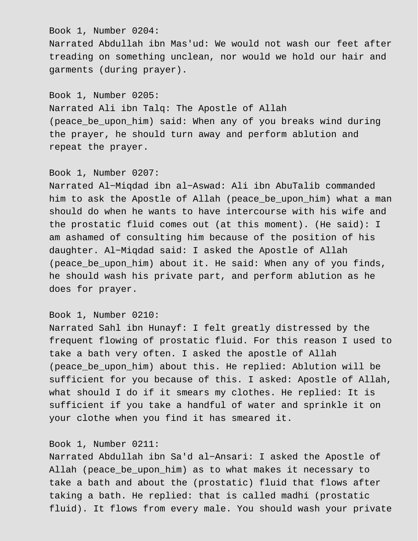## Book 1, Number 0204:

Narrated Abdullah ibn Mas'ud: We would not wash our feet after treading on something unclean, nor would we hold our hair and garments (during prayer).

## Book 1, Number 0205:

Narrated Ali ibn Talq: The Apostle of Allah (peace be upon him) said: When any of you breaks wind during the prayer, he should turn away and perform ablution and repeat the prayer.

## Book 1, Number 0207:

Narrated Al−Miqdad ibn al−Aswad: Ali ibn AbuTalib commanded him to ask the Apostle of Allah (peace\_be\_upon\_him) what a man should do when he wants to have intercourse with his wife and the prostatic fluid comes out (at this moment). (He said): I am ashamed of consulting him because of the position of his daughter. Al−Miqdad said: I asked the Apostle of Allah (peace\_be\_upon\_him) about it. He said: When any of you finds, he should wash his private part, and perform ablution as he does for prayer.

#### Book 1, Number 0210:

Narrated Sahl ibn Hunayf: I felt greatly distressed by the frequent flowing of prostatic fluid. For this reason I used to take a bath very often. I asked the apostle of Allah (peace\_be\_upon\_him) about this. He replied: Ablution will be sufficient for you because of this. I asked: Apostle of Allah, what should I do if it smears my clothes. He replied: It is sufficient if you take a handful of water and sprinkle it on your clothe when you find it has smeared it.

## Book 1, Number 0211:

Narrated Abdullah ibn Sa'd al−Ansari: I asked the Apostle of Allah (peace be upon him) as to what makes it necessary to take a bath and about the (prostatic) fluid that flows after taking a bath. He replied: that is called madhi (prostatic fluid). It flows from every male. You should wash your private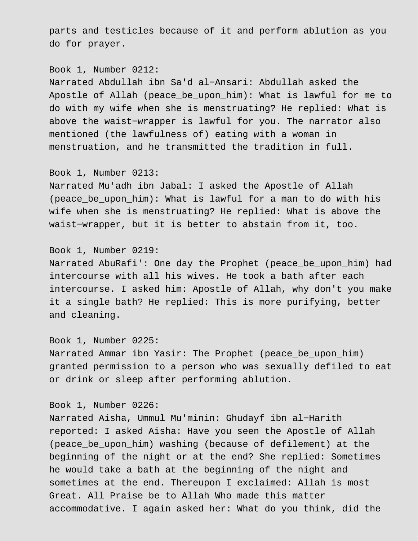parts and testicles because of it and perform ablution as you do for prayer.

## Book 1, Number 0212:

Narrated Abdullah ibn Sa'd al−Ansari: Abdullah asked the Apostle of Allah (peace be upon him): What is lawful for me to do with my wife when she is menstruating? He replied: What is above the waist−wrapper is lawful for you. The narrator also mentioned (the lawfulness of) eating with a woman in menstruation, and he transmitted the tradition in full.

## Book 1, Number 0213:

Narrated Mu'adh ibn Jabal: I asked the Apostle of Allah (peace\_be\_upon\_him): What is lawful for a man to do with his wife when she is menstruating? He replied: What is above the waist−wrapper, but it is better to abstain from it, too.

## Book 1, Number 0219:

Narrated AbuRafi': One day the Prophet (peace\_be\_upon\_him) had intercourse with all his wives. He took a bath after each intercourse. I asked him: Apostle of Allah, why don't you make it a single bath? He replied: This is more purifying, better and cleaning.

Book 1, Number 0225: Narrated Ammar ibn Yasir: The Prophet (peace be upon him) granted permission to a person who was sexually defiled to eat or drink or sleep after performing ablution.

## Book 1, Number 0226:

Narrated Aisha, Ummul Mu'minin: Ghudayf ibn al−Harith reported: I asked Aisha: Have you seen the Apostle of Allah (peace\_be\_upon\_him) washing (because of defilement) at the beginning of the night or at the end? She replied: Sometimes he would take a bath at the beginning of the night and sometimes at the end. Thereupon I exclaimed: Allah is most Great. All Praise be to Allah Who made this matter accommodative. I again asked her: What do you think, did the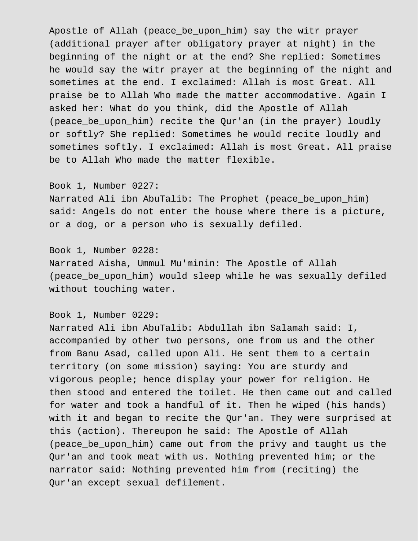Apostle of Allah (peace be upon him) say the witr prayer (additional prayer after obligatory prayer at night) in the beginning of the night or at the end? She replied: Sometimes he would say the witr prayer at the beginning of the night and sometimes at the end. I exclaimed: Allah is most Great. All praise be to Allah Who made the matter accommodative. Again I asked her: What do you think, did the Apostle of Allah (peace\_be\_upon\_him) recite the Qur'an (in the prayer) loudly or softly? She replied: Sometimes he would recite loudly and sometimes softly. I exclaimed: Allah is most Great. All praise be to Allah Who made the matter flexible.

#### Book 1, Number 0227:

Narrated Ali ibn AbuTalib: The Prophet (peace\_be\_upon\_him) said: Angels do not enter the house where there is a picture, or a dog, or a person who is sexually defiled.

Book 1, Number 0228:

Narrated Aisha, Ummul Mu'minin: The Apostle of Allah (peace\_be\_upon\_him) would sleep while he was sexually defiled without touching water.

## Book 1, Number 0229:

Narrated Ali ibn AbuTalib: Abdullah ibn Salamah said: I, accompanied by other two persons, one from us and the other from Banu Asad, called upon Ali. He sent them to a certain territory (on some mission) saying: You are sturdy and vigorous people; hence display your power for religion. He then stood and entered the toilet. He then came out and called for water and took a handful of it. Then he wiped (his hands) with it and began to recite the Qur'an. They were surprised at this (action). Thereupon he said: The Apostle of Allah (peace\_be\_upon\_him) came out from the privy and taught us the Qur'an and took meat with us. Nothing prevented him; or the narrator said: Nothing prevented him from (reciting) the Qur'an except sexual defilement.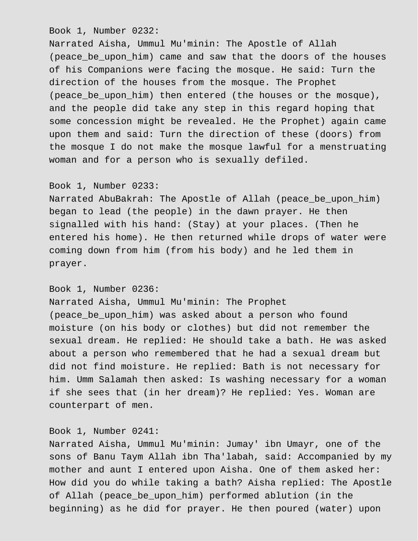## Book 1, Number 0232:

Narrated Aisha, Ummul Mu'minin: The Apostle of Allah (peace be upon him) came and saw that the doors of the houses of his Companions were facing the mosque. He said: Turn the direction of the houses from the mosque. The Prophet (peace be upon him) then entered (the houses or the mosque), and the people did take any step in this regard hoping that some concession might be revealed. He the Prophet) again came upon them and said: Turn the direction of these (doors) from the mosque I do not make the mosque lawful for a menstruating woman and for a person who is sexually defiled.

## Book 1, Number 0233:

Narrated AbuBakrah: The Apostle of Allah (peace\_be\_upon\_him) began to lead (the people) in the dawn prayer. He then signalled with his hand: (Stay) at your places. (Then he entered his home). He then returned while drops of water were coming down from him (from his body) and he led them in prayer.

## Book 1, Number 0236:

Narrated Aisha, Ummul Mu'minin: The Prophet (peace\_be\_upon\_him) was asked about a person who found moisture (on his body or clothes) but did not remember the sexual dream. He replied: He should take a bath. He was asked about a person who remembered that he had a sexual dream but did not find moisture. He replied: Bath is not necessary for him. Umm Salamah then asked: Is washing necessary for a woman if she sees that (in her dream)? He replied: Yes. Woman are counterpart of men.

## Book 1, Number 0241:

Narrated Aisha, Ummul Mu'minin: Jumay' ibn Umayr, one of the sons of Banu Taym Allah ibn Tha'labah, said: Accompanied by my mother and aunt I entered upon Aisha. One of them asked her: How did you do while taking a bath? Aisha replied: The Apostle of Allah (peace\_be\_upon\_him) performed ablution (in the beginning) as he did for prayer. He then poured (water) upon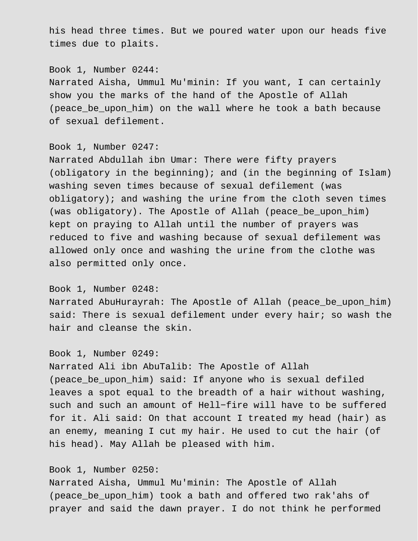his head three times. But we poured water upon our heads five times due to plaits.

#### Book 1, Number 0244:

Narrated Aisha, Ummul Mu'minin: If you want, I can certainly show you the marks of the hand of the Apostle of Allah (peace\_be\_upon\_him) on the wall where he took a bath because of sexual defilement.

## Book 1, Number 0247:

Narrated Abdullah ibn Umar: There were fifty prayers (obligatory in the beginning); and (in the beginning of Islam) washing seven times because of sexual defilement (was  $obligatory$ ; and washing the urine from the cloth seven times (was obligatory). The Apostle of Allah (peace be upon him) kept on praying to Allah until the number of prayers was reduced to five and washing because of sexual defilement was allowed only once and washing the urine from the clothe was also permitted only once.

## Book 1, Number 0248:

Narrated AbuHurayrah: The Apostle of Allah (peace be upon him) said: There is sexual defilement under every hair; so wash the hair and cleanse the skin.

## Book 1, Number 0249:

Narrated Ali ibn AbuTalib: The Apostle of Allah (peace\_be\_upon\_him) said: If anyone who is sexual defiled leaves a spot equal to the breadth of a hair without washing, such and such an amount of Hell−fire will have to be suffered for it. Ali said: On that account I treated my head (hair) as an enemy, meaning I cut my hair. He used to cut the hair (of his head). May Allah be pleased with him.

## Book 1, Number 0250:

Narrated Aisha, Ummul Mu'minin: The Apostle of Allah (peace\_be\_upon\_him) took a bath and offered two rak'ahs of prayer and said the dawn prayer. I do not think he performed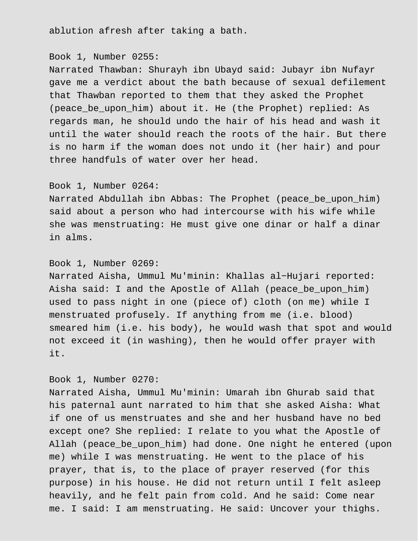ablution afresh after taking a bath.

## Book 1, Number 0255:

Narrated Thawban: Shurayh ibn Ubayd said: Jubayr ibn Nufayr gave me a verdict about the bath because of sexual defilement that Thawban reported to them that they asked the Prophet (peace\_be\_upon\_him) about it. He (the Prophet) replied: As regards man, he should undo the hair of his head and wash it until the water should reach the roots of the hair. But there is no harm if the woman does not undo it (her hair) and pour three handfuls of water over her head.

#### Book 1, Number 0264:

Narrated Abdullah ibn Abbas: The Prophet (peace\_be\_upon\_him) said about a person who had intercourse with his wife while she was menstruating: He must give one dinar or half a dinar in alms.

## Book 1, Number 0269:

Narrated Aisha, Ummul Mu'minin: Khallas al−Hujari reported: Aisha said: I and the Apostle of Allah (peace be upon him) used to pass night in one (piece of) cloth (on me) while I menstruated profusely. If anything from me (i.e. blood) smeared him (i.e. his body), he would wash that spot and would not exceed it (in washing), then he would offer prayer with it.

## Book 1, Number 0270:

Narrated Aisha, Ummul Mu'minin: Umarah ibn Ghurab said that his paternal aunt narrated to him that she asked Aisha: What if one of us menstruates and she and her husband have no bed except one? She replied: I relate to you what the Apostle of Allah (peace\_be\_upon\_him) had done. One night he entered (upon me) while I was menstruating. He went to the place of his prayer, that is, to the place of prayer reserved (for this purpose) in his house. He did not return until I felt asleep heavily, and he felt pain from cold. And he said: Come near me. I said: I am menstruating. He said: Uncover your thighs.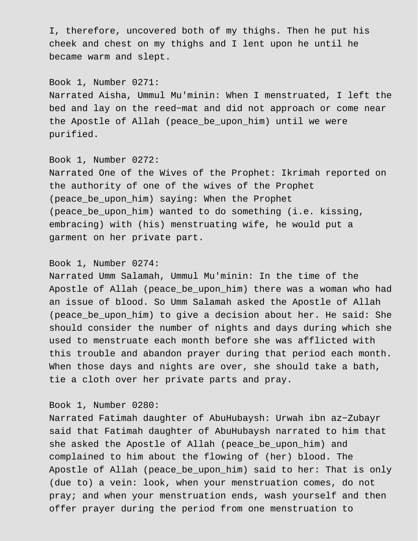I, therefore, uncovered both of my thighs. Then he put his cheek and chest on my thighs and I lent upon he until he became warm and slept.

## Book 1, Number 0271:

Narrated Aisha, Ummul Mu'minin: When I menstruated, I left the bed and lay on the reed−mat and did not approach or come near the Apostle of Allah (peace\_be\_upon\_him) until we were purified.

## Book 1, Number 0272:

Narrated One of the Wives of the Prophet: Ikrimah reported on the authority of one of the wives of the Prophet (peace\_be\_upon\_him) saying: When the Prophet (peace be upon him) wanted to do something (i.e. kissing, embracing) with (his) menstruating wife, he would put a garment on her private part.

## Book 1, Number 0274:

Narrated Umm Salamah, Ummul Mu'minin: In the time of the Apostle of Allah (peace\_be\_upon\_him) there was a woman who had an issue of blood. So Umm Salamah asked the Apostle of Allah (peace\_be\_upon\_him) to give a decision about her. He said: She should consider the number of nights and days during which she used to menstruate each month before she was afflicted with this trouble and abandon prayer during that period each month. When those days and nights are over, she should take a bath, tie a cloth over her private parts and pray.

## Book 1, Number 0280:

Narrated Fatimah daughter of AbuHubaysh: Urwah ibn az−Zubayr said that Fatimah daughter of AbuHubaysh narrated to him that she asked the Apostle of Allah (peace\_be\_upon\_him) and complained to him about the flowing of (her) blood. The Apostle of Allah (peace be upon him) said to her: That is only (due to) a vein: look, when your menstruation comes, do not pray; and when your menstruation ends, wash yourself and then offer prayer during the period from one menstruation to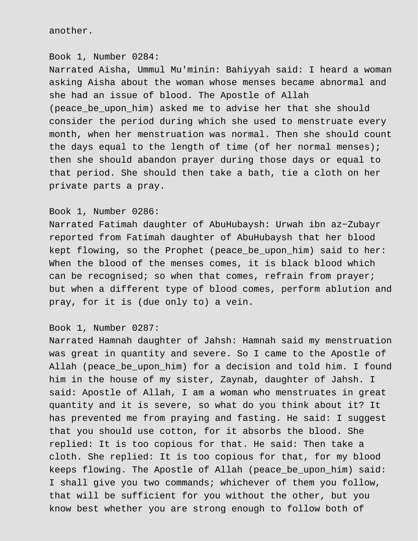another.

## Book 1, Number 0284:

Narrated Aisha, Ummul Mu'minin: Bahiyyah said: I heard a woman asking Aisha about the woman whose menses became abnormal and she had an issue of blood. The Apostle of Allah (peace\_be\_upon\_him) asked me to advise her that she should consider the period during which she used to menstruate every month, when her menstruation was normal. Then she should count the days equal to the length of time (of her normal menses); then she should abandon prayer during those days or equal to that period. She should then take a bath, tie a cloth on her private parts a pray.

## Book 1, Number 0286:

Narrated Fatimah daughter of AbuHubaysh: Urwah ibn az−Zubayr reported from Fatimah daughter of AbuHubaysh that her blood kept flowing, so the Prophet (peace\_be\_upon\_him) said to her: When the blood of the menses comes, it is black blood which can be recognised; so when that comes, refrain from prayer; but when a different type of blood comes, perform ablution and pray, for it is (due only to) a vein.

## Book 1, Number 0287:

Narrated Hamnah daughter of Jahsh: Hamnah said my menstruation was great in quantity and severe. So I came to the Apostle of Allah (peace\_be\_upon\_him) for a decision and told him. I found him in the house of my sister, Zaynab, daughter of Jahsh. I said: Apostle of Allah, I am a woman who menstruates in great quantity and it is severe, so what do you think about it? It has prevented me from praying and fasting. He said: I suggest that you should use cotton, for it absorbs the blood. She replied: It is too copious for that. He said: Then take a cloth. She replied: It is too copious for that, for my blood keeps flowing. The Apostle of Allah (peace be upon him) said: I shall give you two commands; whichever of them you follow, that will be sufficient for you without the other, but you know best whether you are strong enough to follow both of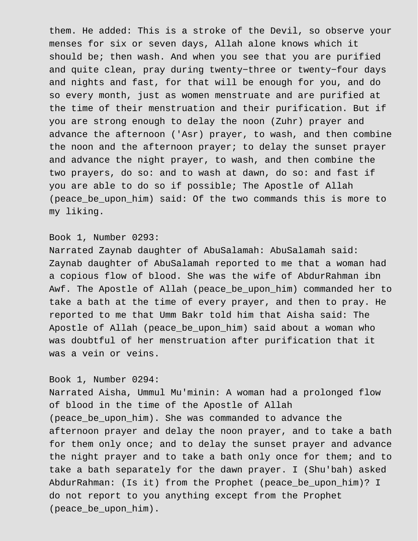them. He added: This is a stroke of the Devil, so observe your menses for six or seven days, Allah alone knows which it should be; then wash. And when you see that you are purified and quite clean, pray during twenty−three or twenty−four days and nights and fast, for that will be enough for you, and do so every month, just as women menstruate and are purified at the time of their menstruation and their purification. But if you are strong enough to delay the noon (Zuhr) prayer and advance the afternoon ('Asr) prayer, to wash, and then combine the noon and the afternoon prayer; to delay the sunset prayer and advance the night prayer, to wash, and then combine the two prayers, do so: and to wash at dawn, do so: and fast if you are able to do so if possible; The Apostle of Allah (peace\_be\_upon\_him) said: Of the two commands this is more to my liking.

## Book 1, Number 0293:

Narrated Zaynab daughter of AbuSalamah: AbuSalamah said: Zaynab daughter of AbuSalamah reported to me that a woman had a copious flow of blood. She was the wife of AbdurRahman ibn Awf. The Apostle of Allah (peace\_be\_upon\_him) commanded her to take a bath at the time of every prayer, and then to pray. He reported to me that Umm Bakr told him that Aisha said: The Apostle of Allah (peace\_be\_upon\_him) said about a woman who was doubtful of her menstruation after purification that it was a vein or veins.

## Book 1, Number 0294:

Narrated Aisha, Ummul Mu'minin: A woman had a prolonged flow of blood in the time of the Apostle of Allah (peace\_be\_upon\_him). She was commanded to advance the afternoon prayer and delay the noon prayer, and to take a bath for them only once; and to delay the sunset prayer and advance the night prayer and to take a bath only once for them; and to take a bath separately for the dawn prayer. I (Shu'bah) asked AbdurRahman: (Is it) from the Prophet (peace\_be\_upon\_him)? I do not report to you anything except from the Prophet (peace\_be\_upon\_him).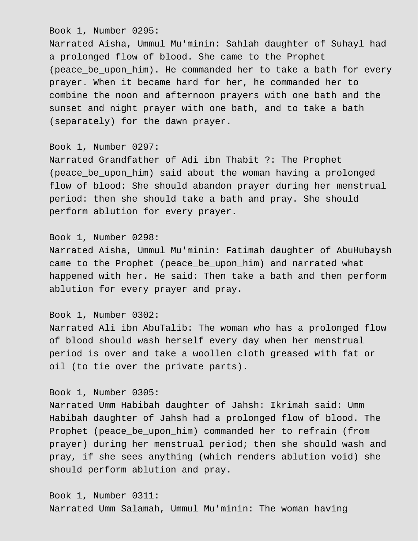#### Book 1, Number 0295:

Narrated Aisha, Ummul Mu'minin: Sahlah daughter of Suhayl had a prolonged flow of blood. She came to the Prophet (peace be upon him). He commanded her to take a bath for every prayer. When it became hard for her, he commanded her to combine the noon and afternoon prayers with one bath and the sunset and night prayer with one bath, and to take a bath (separately) for the dawn prayer.

#### Book 1, Number 0297:

Narrated Grandfather of Adi ibn Thabit ?: The Prophet (peace\_be\_upon\_him) said about the woman having a prolonged flow of blood: She should abandon prayer during her menstrual period: then she should take a bath and pray. She should perform ablution for every prayer.

## Book 1, Number 0298:

Narrated Aisha, Ummul Mu'minin: Fatimah daughter of AbuHubaysh came to the Prophet (peace\_be\_upon\_him) and narrated what happened with her. He said: Then take a bath and then perform ablution for every prayer and pray.

#### Book 1, Number 0302:

Narrated Ali ibn AbuTalib: The woman who has a prolonged flow of blood should wash herself every day when her menstrual period is over and take a woollen cloth greased with fat or oil (to tie over the private parts).

## Book 1, Number 0305:

Narrated Umm Habibah daughter of Jahsh: Ikrimah said: Umm Habibah daughter of Jahsh had a prolonged flow of blood. The Prophet (peace\_be\_upon\_him) commanded her to refrain (from prayer) during her menstrual period; then she should wash and pray, if she sees anything (which renders ablution void) she should perform ablution and pray.

Book 1, Number 0311: Narrated Umm Salamah, Ummul Mu'minin: The woman having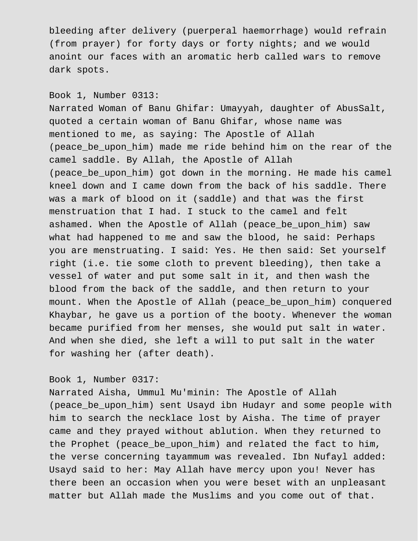bleeding after delivery (puerperal haemorrhage) would refrain (from prayer) for forty days or forty nights; and we would anoint our faces with an aromatic herb called wars to remove dark spots.

#### Book 1, Number 0313:

Narrated Woman of Banu Ghifar: Umayyah, daughter of AbusSalt, quoted a certain woman of Banu Ghifar, whose name was mentioned to me, as saying: The Apostle of Allah (peace be upon him) made me ride behind him on the rear of the camel saddle. By Allah, the Apostle of Allah (peace be upon him) got down in the morning. He made his camel kneel down and I came down from the back of his saddle. There was a mark of blood on it (saddle) and that was the first menstruation that I had. I stuck to the camel and felt ashamed. When the Apostle of Allah (peace be upon him) saw what had happened to me and saw the blood, he said: Perhaps you are menstruating. I said: Yes. He then said: Set yourself right (i.e. tie some cloth to prevent bleeding), then take a vessel of water and put some salt in it, and then wash the blood from the back of the saddle, and then return to your mount. When the Apostle of Allah (peace\_be\_upon\_him) conquered Khaybar, he gave us a portion of the booty. Whenever the woman became purified from her menses, she would put salt in water. And when she died, she left a will to put salt in the water for washing her (after death).

## Book 1, Number 0317:

Narrated Aisha, Ummul Mu'minin: The Apostle of Allah (peace\_be\_upon\_him) sent Usayd ibn Hudayr and some people with him to search the necklace lost by Aisha. The time of prayer came and they prayed without ablution. When they returned to the Prophet (peace\_be\_upon\_him) and related the fact to him, the verse concerning tayammum was revealed. Ibn Nufayl added: Usayd said to her: May Allah have mercy upon you! Never has there been an occasion when you were beset with an unpleasant matter but Allah made the Muslims and you come out of that.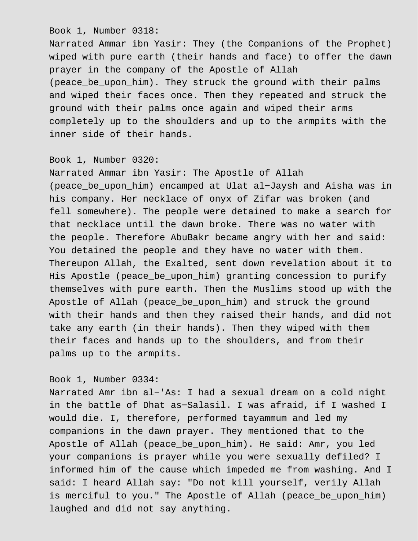## Book 1, Number 0318:

Narrated Ammar ibn Yasir: They (the Companions of the Prophet) wiped with pure earth (their hands and face) to offer the dawn prayer in the company of the Apostle of Allah (peace\_be\_upon\_him). They struck the ground with their palms and wiped their faces once. Then they repeated and struck the ground with their palms once again and wiped their arms completely up to the shoulders and up to the armpits with the inner side of their hands.

## Book 1, Number 0320:

Narrated Ammar ibn Yasir: The Apostle of Allah (peace\_be\_upon\_him) encamped at Ulat al−Jaysh and Aisha was in his company. Her necklace of onyx of Zifar was broken (and fell somewhere). The people were detained to make a search for that necklace until the dawn broke. There was no water with the people. Therefore AbuBakr became angry with her and said: You detained the people and they have no water with them. Thereupon Allah, the Exalted, sent down revelation about it to His Apostle (peace be upon him) granting concession to purify themselves with pure earth. Then the Muslims stood up with the Apostle of Allah (peace be upon him) and struck the ground with their hands and then they raised their hands, and did not take any earth (in their hands). Then they wiped with them their faces and hands up to the shoulders, and from their palms up to the armpits.

## Book 1, Number 0334:

Narrated Amr ibn al−'As: I had a sexual dream on a cold night in the battle of Dhat as−Salasil. I was afraid, if I washed I would die. I, therefore, performed tayammum and led my companions in the dawn prayer. They mentioned that to the Apostle of Allah (peace\_be\_upon\_him). He said: Amr, you led your companions is prayer while you were sexually defiled? I informed him of the cause which impeded me from washing. And I said: I heard Allah say: "Do not kill yourself, verily Allah is merciful to you." The Apostle of Allah (peace\_be\_upon\_him) laughed and did not say anything.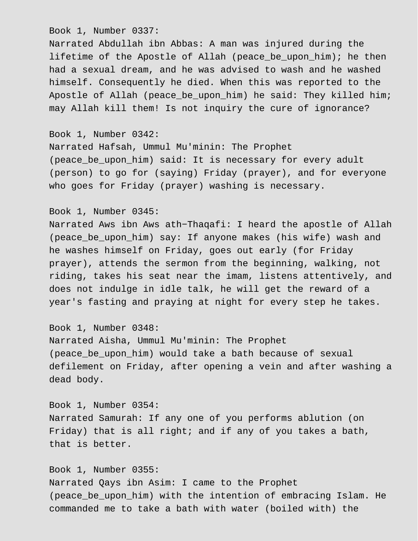Book 1, Number 0337:

Narrated Abdullah ibn Abbas: A man was injured during the lifetime of the Apostle of Allah (peace be upon him); he then had a sexual dream, and he was advised to wash and he washed himself. Consequently he died. When this was reported to the Apostle of Allah (peace\_be\_upon\_him) he said: They killed him; may Allah kill them! Is not inquiry the cure of ignorance?

Book 1, Number 0342:

Narrated Hafsah, Ummul Mu'minin: The Prophet (peace\_be\_upon\_him) said: It is necessary for every adult (person) to go for (saying) Friday (prayer), and for everyone who goes for Friday (prayer) washing is necessary.

## Book 1, Number 0345:

Narrated Aws ibn Aws ath−Thaqafi: I heard the apostle of Allah (peace be upon him) say: If anyone makes (his wife) wash and he washes himself on Friday, goes out early (for Friday prayer), attends the sermon from the beginning, walking, not riding, takes his seat near the imam, listens attentively, and does not indulge in idle talk, he will get the reward of a year's fasting and praying at night for every step he takes.

Book 1, Number 0348: Narrated Aisha, Ummul Mu'minin: The Prophet (peace be upon him) would take a bath because of sexual defilement on Friday, after opening a vein and after washing a dead body.

Book 1, Number 0354: Narrated Samurah: If any one of you performs ablution (on Friday) that is all right; and if any of you takes a bath, that is better.

Book 1, Number 0355: Narrated Qays ibn Asim: I came to the Prophet (peace\_be\_upon\_him) with the intention of embracing Islam. He commanded me to take a bath with water (boiled with) the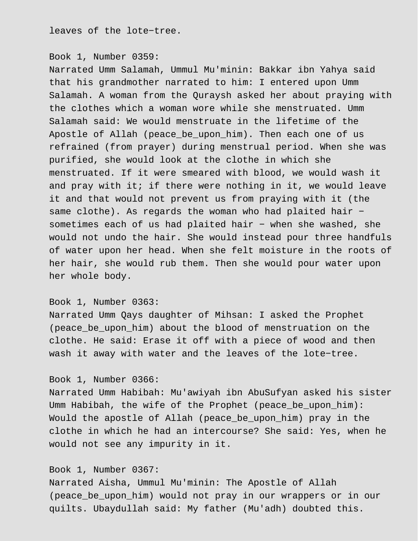leaves of the lote−tree.

### Book 1, Number 0359:

Narrated Umm Salamah, Ummul Mu'minin: Bakkar ibn Yahya said that his grandmother narrated to him: I entered upon Umm Salamah. A woman from the Quraysh asked her about praying with the clothes which a woman wore while she menstruated. Umm Salamah said: We would menstruate in the lifetime of the Apostle of Allah (peace\_be\_upon\_him). Then each one of us refrained (from prayer) during menstrual period. When she was purified, she would look at the clothe in which she menstruated. If it were smeared with blood, we would wash it and pray with it; if there were nothing in it, we would leave it and that would not prevent us from praying with it (the same clothe). As regards the woman who had plaited hair − sometimes each of us had plaited hair − when she washed, she would not undo the hair. She would instead pour three handfuls of water upon her head. When she felt moisture in the roots of her hair, she would rub them. Then she would pour water upon her whole body.

### Book 1, Number 0363:

Narrated Umm Qays daughter of Mihsan: I asked the Prophet (peace\_be\_upon\_him) about the blood of menstruation on the clothe. He said: Erase it off with a piece of wood and then wash it away with water and the leaves of the lote−tree.

### Book 1, Number 0366:

Narrated Umm Habibah: Mu'awiyah ibn AbuSufyan asked his sister Umm Habibah, the wife of the Prophet (peace\_be\_upon\_him): Would the apostle of Allah (peace be upon him) pray in the clothe in which he had an intercourse? She said: Yes, when he would not see any impurity in it.

### Book 1, Number 0367:

Narrated Aisha, Ummul Mu'minin: The Apostle of Allah (peace\_be\_upon\_him) would not pray in our wrappers or in our quilts. Ubaydullah said: My father (Mu'adh) doubted this.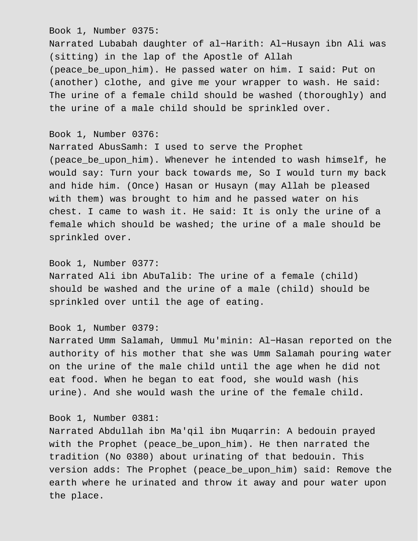### Book 1, Number 0375:

Narrated Lubabah daughter of al−Harith: Al−Husayn ibn Ali was (sitting) in the lap of the Apostle of Allah (peace\_be\_upon\_him). He passed water on him. I said: Put on (another) clothe, and give me your wrapper to wash. He said: The urine of a female child should be washed (thoroughly) and the urine of a male child should be sprinkled over.

### Book 1, Number 0376:

Narrated AbusSamh: I used to serve the Prophet (peace\_be\_upon\_him). Whenever he intended to wash himself, he would say: Turn your back towards me, So I would turn my back and hide him. (Once) Hasan or Husayn (may Allah be pleased with them) was brought to him and he passed water on his chest. I came to wash it. He said: It is only the urine of a female which should be washed; the urine of a male should be sprinkled over.

### Book 1, Number 0377:

Narrated Ali ibn AbuTalib: The urine of a female (child) should be washed and the urine of a male (child) should be sprinkled over until the age of eating.

### Book 1, Number 0379:

Narrated Umm Salamah, Ummul Mu'minin: Al−Hasan reported on the authority of his mother that she was Umm Salamah pouring water on the urine of the male child until the age when he did not eat food. When he began to eat food, she would wash (his urine). And she would wash the urine of the female child.

### Book 1, Number 0381:

Narrated Abdullah ibn Ma'qil ibn Muqarrin: A bedouin prayed with the Prophet (peace\_be\_upon\_him). He then narrated the tradition (No 0380) about urinating of that bedouin. This version adds: The Prophet (peace be upon him) said: Remove the earth where he urinated and throw it away and pour water upon the place.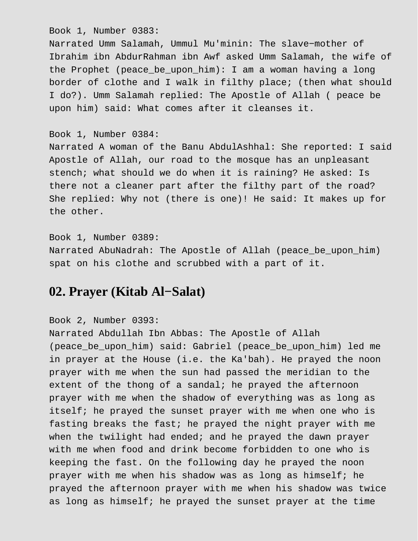Book 1, Number 0383:

Narrated Umm Salamah, Ummul Mu'minin: The slave−mother of Ibrahim ibn AbdurRahman ibn Awf asked Umm Salamah, the wife of the Prophet (peace\_be\_upon\_him): I am a woman having a long border of clothe and I walk in filthy place; (then what should I do?). Umm Salamah replied: The Apostle of Allah ( peace be upon him) said: What comes after it cleanses it.

### Book 1, Number 0384:

Narrated A woman of the Banu AbdulAshhal: She reported: I said Apostle of Allah, our road to the mosque has an unpleasant stench; what should we do when it is raining? He asked: Is there not a cleaner part after the filthy part of the road? She replied: Why not (there is one)! He said: It makes up for the other.

Book 1, Number 0389: Narrated AbuNadrah: The Apostle of Allah (peace\_be\_upon\_him) spat on his clothe and scrubbed with a part of it.

# **02. Prayer (Kitab Al−Salat)**

### Book 2, Number 0393:

Narrated Abdullah Ibn Abbas: The Apostle of Allah (peace\_be\_upon\_him) said: Gabriel (peace\_be\_upon\_him) led me in prayer at the House (i.e. the Ka'bah). He prayed the noon prayer with me when the sun had passed the meridian to the extent of the thong of a sandal; he prayed the afternoon prayer with me when the shadow of everything was as long as itself; he prayed the sunset prayer with me when one who is fasting breaks the fast; he prayed the night prayer with me when the twilight had ended; and he prayed the dawn prayer with me when food and drink become forbidden to one who is keeping the fast. On the following day he prayed the noon prayer with me when his shadow was as long as himself; he prayed the afternoon prayer with me when his shadow was twice as long as himself; he prayed the sunset prayer at the time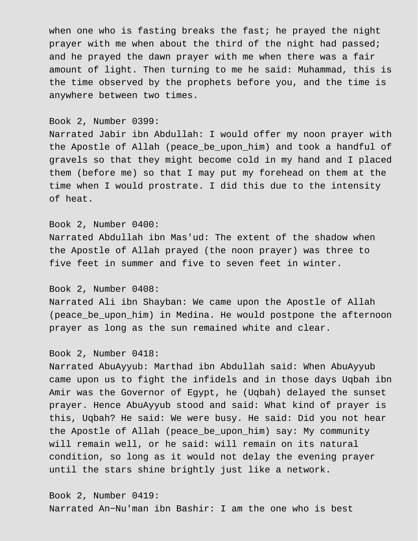when one who is fasting breaks the fast; he prayed the night prayer with me when about the third of the night had passed; and he prayed the dawn prayer with me when there was a fair amount of light. Then turning to me he said: Muhammad, this is the time observed by the prophets before you, and the time is anywhere between two times.

#### Book 2, Number 0399:

Narrated Jabir ibn Abdullah: I would offer my noon prayer with the Apostle of Allah (peace be upon him) and took a handful of gravels so that they might become cold in my hand and I placed them (before me) so that I may put my forehead on them at the time when I would prostrate. I did this due to the intensity of heat.

#### Book 2, Number 0400:

Narrated Abdullah ibn Mas'ud: The extent of the shadow when the Apostle of Allah prayed (the noon prayer) was three to five feet in summer and five to seven feet in winter.

#### Book 2, Number 0408:

Narrated Ali ibn Shayban: We came upon the Apostle of Allah (peace\_be\_upon\_him) in Medina. He would postpone the afternoon prayer as long as the sun remained white and clear.

Book 2, Number 0418:

Narrated AbuAyyub: Marthad ibn Abdullah said: When AbuAyyub came upon us to fight the infidels and in those days Uqbah ibn Amir was the Governor of Egypt, he (Uqbah) delayed the sunset prayer. Hence AbuAyyub stood and said: What kind of prayer is this, Uqbah? He said: We were busy. He said: Did you not hear the Apostle of Allah (peace\_be\_upon\_him) say: My community will remain well, or he said: will remain on its natural condition, so long as it would not delay the evening prayer until the stars shine brightly just like a network.

Book 2, Number 0419: Narrated An−Nu'man ibn Bashir: I am the one who is best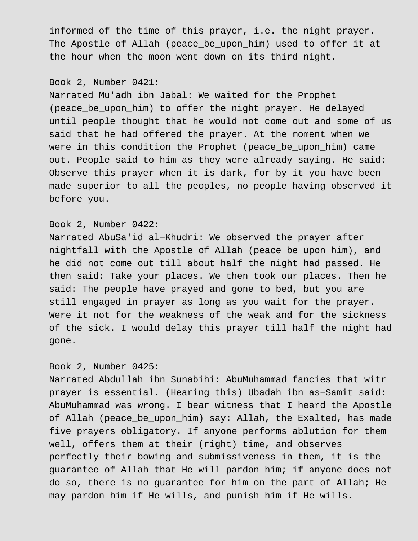informed of the time of this prayer, i.e. the night prayer. The Apostle of Allah (peace\_be\_upon\_him) used to offer it at the hour when the moon went down on its third night.

### Book 2, Number 0421:

Narrated Mu'adh ibn Jabal: We waited for the Prophet (peace\_be\_upon\_him) to offer the night prayer. He delayed until people thought that he would not come out and some of us said that he had offered the prayer. At the moment when we were in this condition the Prophet (peace be upon him) came out. People said to him as they were already saying. He said: Observe this prayer when it is dark, for by it you have been made superior to all the peoples, no people having observed it before you.

#### Book 2, Number 0422:

Narrated AbuSa'id al−Khudri: We observed the prayer after nightfall with the Apostle of Allah (peace\_be\_upon\_him), and he did not come out till about half the night had passed. He then said: Take your places. We then took our places. Then he said: The people have prayed and gone to bed, but you are still engaged in prayer as long as you wait for the prayer. Were it not for the weakness of the weak and for the sickness of the sick. I would delay this prayer till half the night had gone.

#### Book 2, Number 0425:

Narrated Abdullah ibn Sunabihi: AbuMuhammad fancies that witr prayer is essential. (Hearing this) Ubadah ibn as−Samit said: AbuMuhammad was wrong. I bear witness that I heard the Apostle of Allah (peace\_be\_upon\_him) say: Allah, the Exalted, has made five prayers obligatory. If anyone performs ablution for them well, offers them at their (right) time, and observes perfectly their bowing and submissiveness in them, it is the guarantee of Allah that He will pardon him; if anyone does not do so, there is no guarantee for him on the part of Allah; He may pardon him if He wills, and punish him if He wills.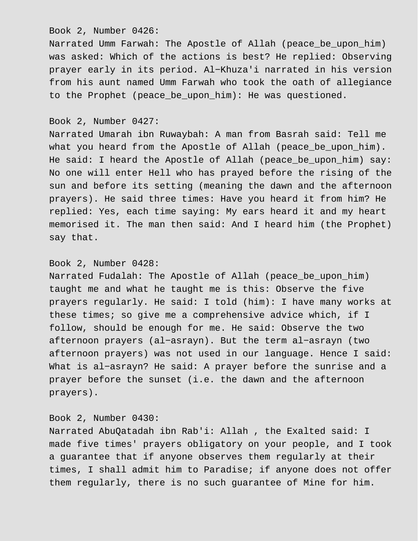### Book 2, Number 0426:

Narrated Umm Farwah: The Apostle of Allah (peace\_be\_upon\_him) was asked: Which of the actions is best? He replied: Observing prayer early in its period. Al−Khuza'i narrated in his version from his aunt named Umm Farwah who took the oath of allegiance to the Prophet (peace\_be\_upon\_him): He was questioned.

### Book 2, Number 0427:

Narrated Umarah ibn Ruwaybah: A man from Basrah said: Tell me what you heard from the Apostle of Allah (peace be upon him). He said: I heard the Apostle of Allah (peace\_be\_upon\_him) say: No one will enter Hell who has prayed before the rising of the sun and before its setting (meaning the dawn and the afternoon prayers). He said three times: Have you heard it from him? He replied: Yes, each time saying: My ears heard it and my heart memorised it. The man then said: And I heard him (the Prophet) say that.

### Book 2, Number 0428:

Narrated Fudalah: The Apostle of Allah (peace\_be\_upon\_him) taught me and what he taught me is this: Observe the five prayers regularly. He said: I told (him): I have many works at these times; so give me a comprehensive advice which, if I follow, should be enough for me. He said: Observe the two afternoon prayers (al−asrayn). But the term al−asrayn (two afternoon prayers) was not used in our language. Hence I said: What is al−asrayn? He said: A prayer before the sunrise and a prayer before the sunset (i.e. the dawn and the afternoon prayers).

### Book 2, Number 0430:

Narrated AbuQatadah ibn Rab'i: Allah , the Exalted said: I made five times' prayers obligatory on your people, and I took a guarantee that if anyone observes them regularly at their times, I shall admit him to Paradise; if anyone does not offer them regularly, there is no such guarantee of Mine for him.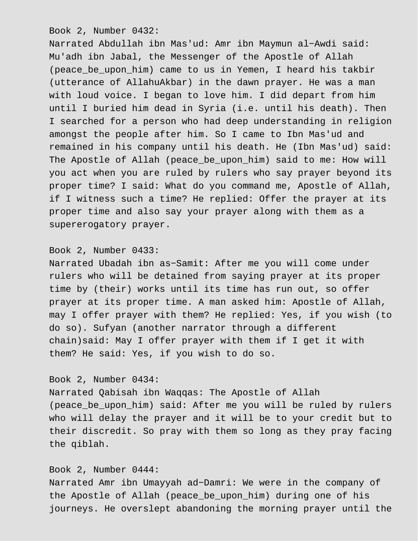Book 2, Number 0432:

Narrated Abdullah ibn Mas'ud: Amr ibn Maymun al−Awdi said: Mu'adh ibn Jabal, the Messenger of the Apostle of Allah (peace\_be\_upon\_him) came to us in Yemen, I heard his takbir (utterance of AllahuAkbar) in the dawn prayer. He was a man with loud voice. I began to love him. I did depart from him until I buried him dead in Syria (i.e. until his death). Then I searched for a person who had deep understanding in religion amongst the people after him. So I came to Ibn Mas'ud and remained in his company until his death. He (Ibn Mas'ud) said: The Apostle of Allah (peace be upon him) said to me: How will you act when you are ruled by rulers who say prayer beyond its proper time? I said: What do you command me, Apostle of Allah, if I witness such a time? He replied: Offer the prayer at its proper time and also say your prayer along with them as a supererogatory prayer.

### Book 2, Number 0433:

Narrated Ubadah ibn as−Samit: After me you will come under rulers who will be detained from saying prayer at its proper time by (their) works until its time has run out, so offer prayer at its proper time. A man asked him: Apostle of Allah, may I offer prayer with them? He replied: Yes, if you wish (to do so). Sufyan (another narrator through a different chain)said: May I offer prayer with them if I get it with them? He said: Yes, if you wish to do so.

### Book 2, Number 0434:

Narrated Qabisah ibn Waqqas: The Apostle of Allah (peace\_be\_upon\_him) said: After me you will be ruled by rulers who will delay the prayer and it will be to your credit but to their discredit. So pray with them so long as they pray facing the qiblah.

### Book 2, Number 0444:

Narrated Amr ibn Umayyah ad−Damri: We were in the company of the Apostle of Allah (peace\_be\_upon\_him) during one of his journeys. He overslept abandoning the morning prayer until the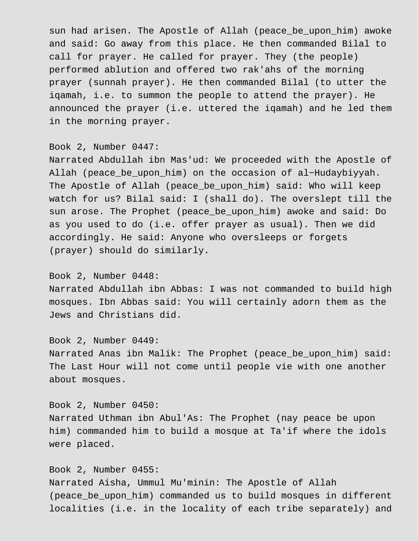sun had arisen. The Apostle of Allah (peace\_be\_upon\_him) awoke and said: Go away from this place. He then commanded Bilal to call for prayer. He called for prayer. They (the people) performed ablution and offered two rak'ahs of the morning prayer (sunnah prayer). He then commanded Bilal (to utter the iqamah, i.e. to summon the people to attend the prayer). He announced the prayer (i.e. uttered the iqamah) and he led them in the morning prayer.

#### Book 2, Number 0447:

Narrated Abdullah ibn Mas'ud: We proceeded with the Apostle of Allah (peace\_be\_upon\_him) on the occasion of al−Hudaybiyyah. The Apostle of Allah (peace\_be\_upon\_him) said: Who will keep watch for us? Bilal said: I (shall do). The overslept till the sun arose. The Prophet (peace\_be\_upon\_him) awoke and said: Do as you used to do (i.e. offer prayer as usual). Then we did accordingly. He said: Anyone who oversleeps or forgets (prayer) should do similarly.

#### Book 2, Number 0448:

Narrated Abdullah ibn Abbas: I was not commanded to build high mosques. Ibn Abbas said: You will certainly adorn them as the Jews and Christians did.

#### Book 2, Number 0449:

Narrated Anas ibn Malik: The Prophet (peace be upon him) said: The Last Hour will not come until people vie with one another about mosques.

#### Book 2, Number 0450:

Narrated Uthman ibn Abul'As: The Prophet (nay peace be upon him) commanded him to build a mosque at Ta'if where the idols were placed.

### Book 2, Number 0455:

Narrated Aisha, Ummul Mu'minin: The Apostle of Allah (peace\_be\_upon\_him) commanded us to build mosques in different localities (i.e. in the locality of each tribe separately) and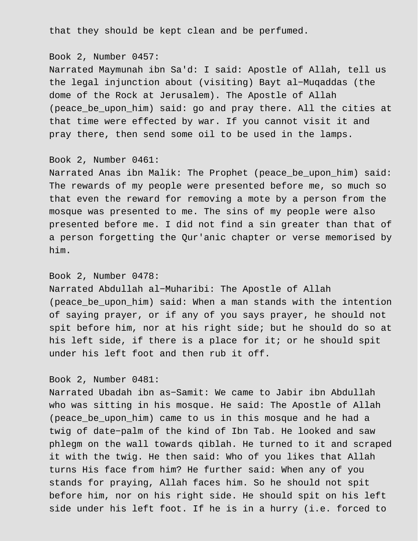that they should be kept clean and be perfumed.

### Book 2, Number 0457:

Narrated Maymunah ibn Sa'd: I said: Apostle of Allah, tell us the legal injunction about (visiting) Bayt al−Muqaddas (the dome of the Rock at Jerusalem). The Apostle of Allah (peace\_be\_upon\_him) said: go and pray there. All the cities at that time were effected by war. If you cannot visit it and pray there, then send some oil to be used in the lamps.

### Book 2, Number 0461:

Narrated Anas ibn Malik: The Prophet (peace be upon him) said: The rewards of my people were presented before me, so much so that even the reward for removing a mote by a person from the mosque was presented to me. The sins of my people were also presented before me. I did not find a sin greater than that of a person forgetting the Qur'anic chapter or verse memorised by him.

#### Book 2, Number 0478:

Narrated Abdullah al−Muharibi: The Apostle of Allah (peace be upon him) said: When a man stands with the intention of saying prayer, or if any of you says prayer, he should not spit before him, nor at his right side; but he should do so at his left side, if there is a place for it; or he should spit under his left foot and then rub it off.

### Book 2, Number 0481:

Narrated Ubadah ibn as−Samit: We came to Jabir ibn Abdullah who was sitting in his mosque. He said: The Apostle of Allah (peace\_be\_upon\_him) came to us in this mosque and he had a twig of date−palm of the kind of Ibn Tab. He looked and saw phlegm on the wall towards qiblah. He turned to it and scraped it with the twig. He then said: Who of you likes that Allah turns His face from him? He further said: When any of you stands for praying, Allah faces him. So he should not spit before him, nor on his right side. He should spit on his left side under his left foot. If he is in a hurry (i.e. forced to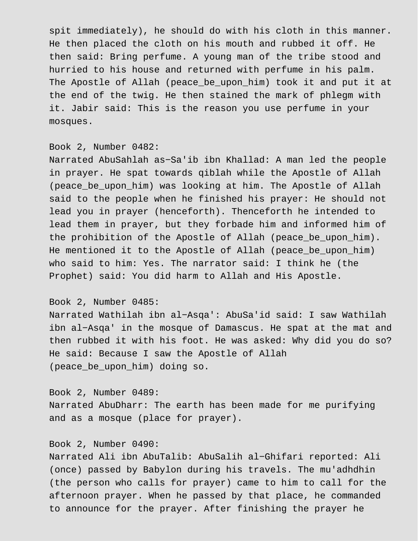spit immediately), he should do with his cloth in this manner. He then placed the cloth on his mouth and rubbed it off. He then said: Bring perfume. A young man of the tribe stood and hurried to his house and returned with perfume in his palm. The Apostle of Allah (peace be upon him) took it and put it at the end of the twig. He then stained the mark of phlegm with it. Jabir said: This is the reason you use perfume in your mosques.

### Book 2, Number 0482:

Narrated AbuSahlah as−Sa'ib ibn Khallad: A man led the people in prayer. He spat towards qiblah while the Apostle of Allah (peace\_be\_upon\_him) was looking at him. The Apostle of Allah said to the people when he finished his prayer: He should not lead you in prayer (henceforth). Thenceforth he intended to lead them in prayer, but they forbade him and informed him of the prohibition of the Apostle of Allah (peace be upon him). He mentioned it to the Apostle of Allah (peace\_be\_upon\_him) who said to him: Yes. The narrator said: I think he (the Prophet) said: You did harm to Allah and His Apostle.

### Book 2, Number 0485:

Narrated Wathilah ibn al−Asqa': AbuSa'id said: I saw Wathilah ibn al−Asqa' in the mosque of Damascus. He spat at the mat and then rubbed it with his foot. He was asked: Why did you do so? He said: Because I saw the Apostle of Allah (peace\_be\_upon\_him) doing so.

### Book 2, Number 0489:

Narrated AbuDharr: The earth has been made for me purifying and as a mosque (place for prayer).

### Book 2, Number 0490:

Narrated Ali ibn AbuTalib: AbuSalih al−Ghifari reported: Ali (once) passed by Babylon during his travels. The mu'adhdhin (the person who calls for prayer) came to him to call for the afternoon prayer. When he passed by that place, he commanded to announce for the prayer. After finishing the prayer he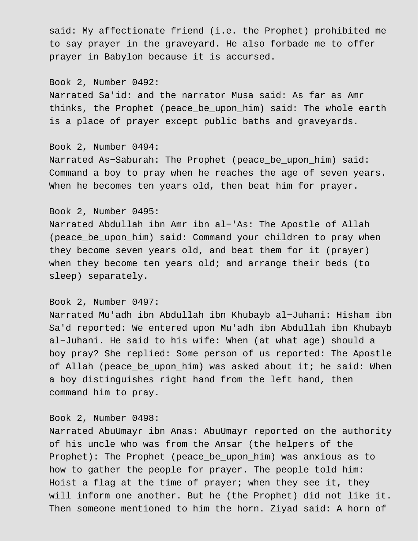said: My affectionate friend (i.e. the Prophet) prohibited me to say prayer in the graveyard. He also forbade me to offer prayer in Babylon because it is accursed.

### Book 2, Number 0492:

Narrated Sa'id: and the narrator Musa said: As far as Amr thinks, the Prophet (peace\_be\_upon\_him) said: The whole earth is a place of prayer except public baths and graveyards.

### Book 2, Number 0494:

Narrated As−Saburah: The Prophet (peace\_be\_upon\_him) said: Command a boy to pray when he reaches the age of seven years. When he becomes ten years old, then beat him for prayer.

### Book 2, Number 0495:

Narrated Abdullah ibn Amr ibn al−'As: The Apostle of Allah (peace\_be\_upon\_him) said: Command your children to pray when they become seven years old, and beat them for it (prayer) when they become ten years old; and arrange their beds (to sleep) separately.

### Book 2, Number 0497:

Narrated Mu'adh ibn Abdullah ibn Khubayb al−Juhani: Hisham ibn Sa'd reported: We entered upon Mu'adh ibn Abdullah ibn Khubayb al−Juhani. He said to his wife: When (at what age) should a boy pray? She replied: Some person of us reported: The Apostle of Allah (peace\_be\_upon\_him) was asked about it; he said: When a boy distinguishes right hand from the left hand, then command him to pray.

### Book 2, Number 0498:

Narrated AbuUmayr ibn Anas: AbuUmayr reported on the authority of his uncle who was from the Ansar (the helpers of the Prophet): The Prophet (peace\_be\_upon\_him) was anxious as to how to gather the people for prayer. The people told him: Hoist a flag at the time of prayer; when they see it, they will inform one another. But he (the Prophet) did not like it. Then someone mentioned to him the horn. Ziyad said: A horn of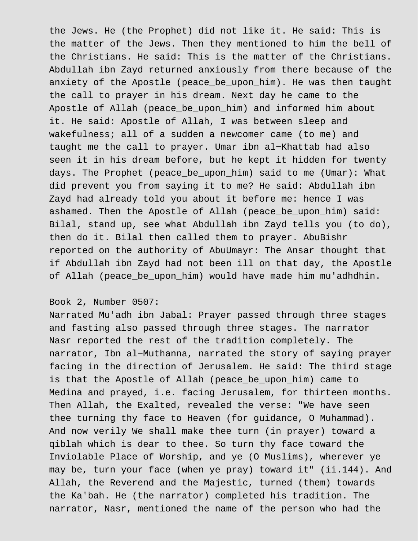the Jews. He (the Prophet) did not like it. He said: This is the matter of the Jews. Then they mentioned to him the bell of the Christians. He said: This is the matter of the Christians. Abdullah ibn Zayd returned anxiously from there because of the anxiety of the Apostle (peace be upon him). He was then taught the call to prayer in his dream. Next day he came to the Apostle of Allah (peace\_be\_upon\_him) and informed him about it. He said: Apostle of Allah, I was between sleep and wakefulness; all of a sudden a newcomer came (to me) and taught me the call to prayer. Umar ibn al−Khattab had also seen it in his dream before, but he kept it hidden for twenty days. The Prophet (peace be upon him) said to me (Umar): What did prevent you from saying it to me? He said: Abdullah ibn Zayd had already told you about it before me: hence I was ashamed. Then the Apostle of Allah (peace be upon him) said: Bilal, stand up, see what Abdullah ibn Zayd tells you (to do), then do it. Bilal then called them to prayer. AbuBishr reported on the authority of AbuUmayr: The Ansar thought that if Abdullah ibn Zayd had not been ill on that day, the Apostle of Allah (peace\_be\_upon\_him) would have made him mu'adhdhin.

### Book 2, Number 0507:

Narrated Mu'adh ibn Jabal: Prayer passed through three stages and fasting also passed through three stages. The narrator Nasr reported the rest of the tradition completely. The narrator, Ibn al−Muthanna, narrated the story of saying prayer facing in the direction of Jerusalem. He said: The third stage is that the Apostle of Allah (peace\_be\_upon\_him) came to Medina and prayed, i.e. facing Jerusalem, for thirteen months. Then Allah, the Exalted, revealed the verse: "We have seen thee turning thy face to Heaven (for guidance, O Muhammad). And now verily We shall make thee turn (in prayer) toward a qiblah which is dear to thee. So turn thy face toward the Inviolable Place of Worship, and ye (O Muslims), wherever ye may be, turn your face (when ye pray) toward it" (ii.144). And Allah, the Reverend and the Majestic, turned (them) towards the Ka'bah. He (the narrator) completed his tradition. The narrator, Nasr, mentioned the name of the person who had the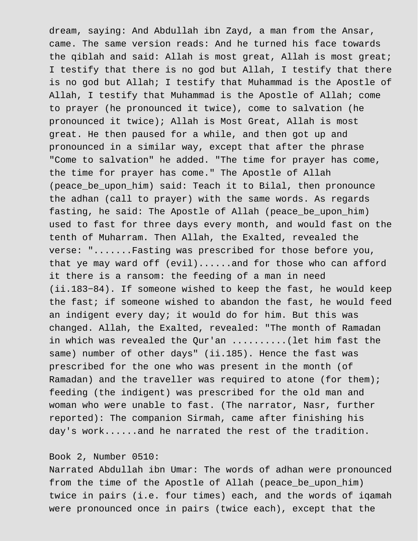dream, saying: And Abdullah ibn Zayd, a man from the Ansar, came. The same version reads: And he turned his face towards the qiblah and said: Allah is most great, Allah is most great; I testify that there is no god but Allah, I testify that there is no god but Allah; I testify that Muhammad is the Apostle of Allah, I testify that Muhammad is the Apostle of Allah; come to prayer (he pronounced it twice), come to salvation (he pronounced it twice); Allah is Most Great, Allah is most great. He then paused for a while, and then got up and pronounced in a similar way, except that after the phrase "Come to salvation" he added. "The time for prayer has come, the time for prayer has come." The Apostle of Allah (peace\_be\_upon\_him) said: Teach it to Bilal, then pronounce the adhan (call to prayer) with the same words. As regards fasting, he said: The Apostle of Allah (peace be upon him) used to fast for three days every month, and would fast on the tenth of Muharram. Then Allah, the Exalted, revealed the verse: ".......Fasting was prescribed for those before you, that ye may ward off (evil)......and for those who can afford it there is a ransom: the feeding of a man in need (ii.183−84). If someone wished to keep the fast, he would keep the fast; if someone wished to abandon the fast, he would feed an indigent every day; it would do for him. But this was changed. Allah, the Exalted, revealed: "The month of Ramadan in which was revealed the Qur'an ..........(let him fast the same) number of other days" (ii.185). Hence the fast was prescribed for the one who was present in the month (of Ramadan) and the traveller was required to atone (for them); feeding (the indigent) was prescribed for the old man and woman who were unable to fast. (The narrator, Nasr, further reported): The companion Sirmah, came after finishing his day's work......and he narrated the rest of the tradition.

### Book 2, Number 0510:

Narrated Abdullah ibn Umar: The words of adhan were pronounced from the time of the Apostle of Allah (peace be upon him) twice in pairs (i.e. four times) each, and the words of iqamah were pronounced once in pairs (twice each), except that the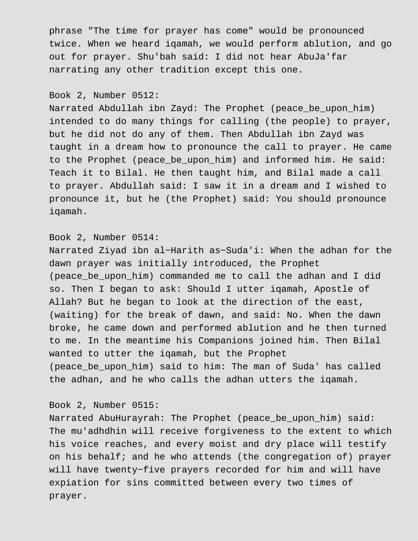phrase "The time for prayer has come" would be pronounced twice. When we heard iqamah, we would perform ablution, and go out for prayer. Shu'bah said: I did not hear AbuJa'far narrating any other tradition except this one.

### Book 2, Number 0512:

Narrated Abdullah ibn Zayd: The Prophet (peace\_be\_upon\_him) intended to do many things for calling (the people) to prayer, but he did not do any of them. Then Abdullah ibn Zayd was taught in a dream how to pronounce the call to prayer. He came to the Prophet (peace\_be\_upon\_him) and informed him. He said: Teach it to Bilal. He then taught him, and Bilal made a call to prayer. Abdullah said: I saw it in a dream and I wished to pronounce it, but he (the Prophet) said: You should pronounce iqamah.

### Book 2, Number 0514:

Narrated Ziyad ibn al−Harith as−Suda'i: When the adhan for the dawn prayer was initially introduced, the Prophet (peace\_be\_upon\_him) commanded me to call the adhan and I did so. Then I began to ask: Should I utter iqamah, Apostle of Allah? But he began to look at the direction of the east, (waiting) for the break of dawn, and said: No. When the dawn broke, he came down and performed ablution and he then turned to me. In the meantime his Companions joined him. Then Bilal wanted to utter the iqamah, but the Prophet (peace\_be\_upon\_him) said to him: The man of Suda' has called the adhan, and he who calls the adhan utters the iqamah.

### Book 2, Number 0515:

Narrated AbuHurayrah: The Prophet (peace\_be\_upon\_him) said: The mu'adhdhin will receive forgiveness to the extent to which his voice reaches, and every moist and dry place will testify on his behalf; and he who attends (the congregation of) prayer will have twenty−five prayers recorded for him and will have expiation for sins committed between every two times of prayer.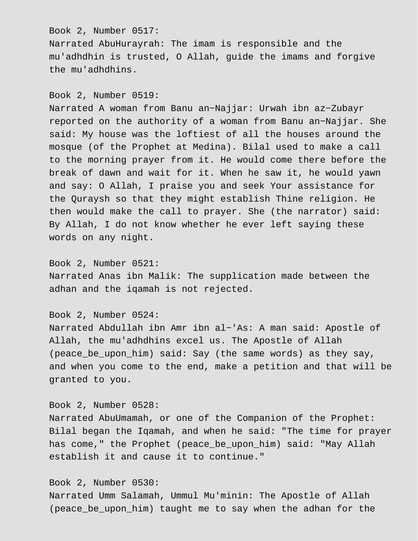#### Book 2, Number 0517:

Narrated AbuHurayrah: The imam is responsible and the mu'adhdhin is trusted, O Allah, guide the imams and forgive the mu'adhdhins.

Book 2, Number 0519:

Narrated A woman from Banu an−Najjar: Urwah ibn az−Zubayr reported on the authority of a woman from Banu an−Najjar. She said: My house was the loftiest of all the houses around the mosque (of the Prophet at Medina). Bilal used to make a call to the morning prayer from it. He would come there before the break of dawn and wait for it. When he saw it, he would yawn and say: O Allah, I praise you and seek Your assistance for the Quraysh so that they might establish Thine religion. He then would make the call to prayer. She (the narrator) said: By Allah, I do not know whether he ever left saying these words on any night.

Book 2, Number 0521: Narrated Anas ibn Malik: The supplication made between the adhan and the iqamah is not rejected.

Book 2, Number 0524:

Narrated Abdullah ibn Amr ibn al−'As: A man said: Apostle of Allah, the mu'adhdhins excel us. The Apostle of Allah (peace\_be\_upon\_him) said: Say (the same words) as they say, and when you come to the end, make a petition and that will be granted to you.

Book 2, Number 0528:

Narrated AbuUmamah, or one of the Companion of the Prophet: Bilal began the Iqamah, and when he said: "The time for prayer has come," the Prophet (peace\_be\_upon\_him) said: "May Allah establish it and cause it to continue."

Book 2, Number 0530:

Narrated Umm Salamah, Ummul Mu'minin: The Apostle of Allah (peace\_be\_upon\_him) taught me to say when the adhan for the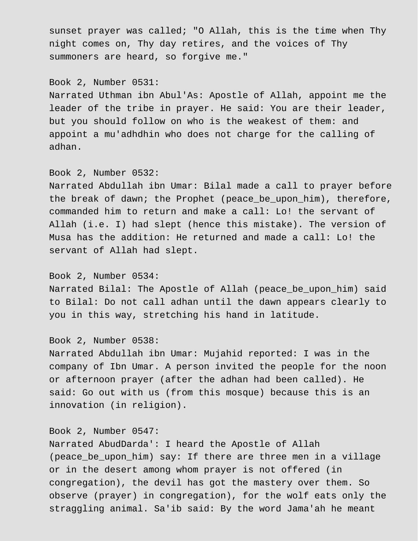sunset prayer was called; "O Allah, this is the time when Thy night comes on, Thy day retires, and the voices of Thy summoners are heard, so forgive me."

### Book 2, Number 0531:

Narrated Uthman ibn Abul'As: Apostle of Allah, appoint me the leader of the tribe in prayer. He said: You are their leader, but you should follow on who is the weakest of them: and appoint a mu'adhdhin who does not charge for the calling of adhan.

#### Book 2, Number 0532:

Narrated Abdullah ibn Umar: Bilal made a call to prayer before the break of dawn; the Prophet (peace\_be\_upon\_him), therefore, commanded him to return and make a call: Lo! the servant of Allah (i.e. I) had slept (hence this mistake). The version of Musa has the addition: He returned and made a call: Lo! the servant of Allah had slept.

#### Book 2, Number 0534:

Narrated Bilal: The Apostle of Allah (peace\_be\_upon\_him) said to Bilal: Do not call adhan until the dawn appears clearly to you in this way, stretching his hand in latitude.

#### Book 2, Number 0538:

Narrated Abdullah ibn Umar: Mujahid reported: I was in the company of Ibn Umar. A person invited the people for the noon or afternoon prayer (after the adhan had been called). He said: Go out with us (from this mosque) because this is an innovation (in religion).

### Book 2, Number 0547:

Narrated AbudDarda': I heard the Apostle of Allah (peace\_be\_upon\_him) say: If there are three men in a village or in the desert among whom prayer is not offered (in congregation), the devil has got the mastery over them. So observe (prayer) in congregation), for the wolf eats only the straggling animal. Sa'ib said: By the word Jama'ah he meant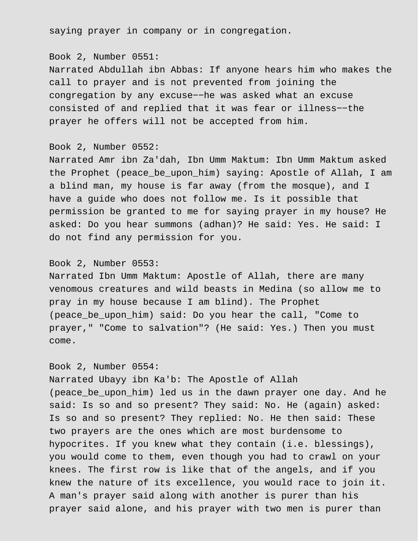saying prayer in company or in congregation.

### Book 2, Number 0551:

Narrated Abdullah ibn Abbas: If anyone hears him who makes the call to prayer and is not prevented from joining the congregation by any excuse−−he was asked what an excuse consisted of and replied that it was fear or illness−−the prayer he offers will not be accepted from him.

### Book 2, Number 0552:

Narrated Amr ibn Za'dah, Ibn Umm Maktum: Ibn Umm Maktum asked the Prophet (peace\_be\_upon\_him) saying: Apostle of Allah, I am a blind man, my house is far away (from the mosque), and I have a guide who does not follow me. Is it possible that permission be granted to me for saying prayer in my house? He asked: Do you hear summons (adhan)? He said: Yes. He said: I do not find any permission for you.

### Book 2, Number 0553:

Narrated Ibn Umm Maktum: Apostle of Allah, there are many venomous creatures and wild beasts in Medina (so allow me to pray in my house because I am blind). The Prophet (peace\_be\_upon\_him) said: Do you hear the call, "Come to prayer," "Come to salvation"? (He said: Yes.) Then you must come.

#### Book 2, Number 0554:

Narrated Ubayy ibn Ka'b: The Apostle of Allah (peace\_be\_upon\_him) led us in the dawn prayer one day. And he said: Is so and so present? They said: No. He (again) asked: Is so and so present? They replied: No. He then said: These two prayers are the ones which are most burdensome to hypocrites. If you knew what they contain (i.e. blessings), you would come to them, even though you had to crawl on your knees. The first row is like that of the angels, and if you knew the nature of its excellence, you would race to join it. A man's prayer said along with another is purer than his prayer said alone, and his prayer with two men is purer than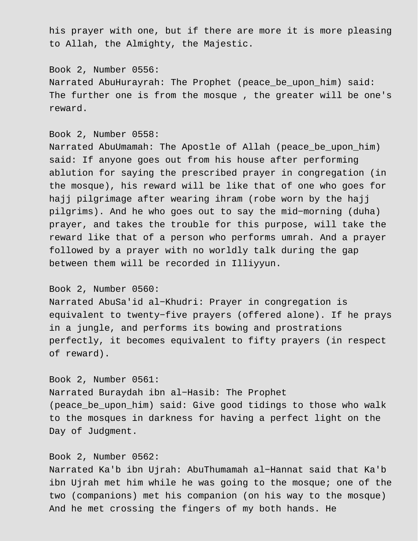his prayer with one, but if there are more it is more pleasing to Allah, the Almighty, the Majestic.

Book 2, Number 0556: Narrated AbuHurayrah: The Prophet (peace be upon him) said: The further one is from the mosque , the greater will be one's reward.

#### Book 2, Number 0558:

Narrated AbuUmamah: The Apostle of Allah (peace be upon him) said: If anyone goes out from his house after performing ablution for saying the prescribed prayer in congregation (in the mosque), his reward will be like that of one who goes for hajj pilgrimage after wearing ihram (robe worn by the hajj pilgrims). And he who goes out to say the mid−morning (duha) prayer, and takes the trouble for this purpose, will take the reward like that of a person who performs umrah. And a prayer followed by a prayer with no worldly talk during the gap between them will be recorded in Illiyyun.

### Book 2, Number 0560:

Narrated AbuSa'id al−Khudri: Prayer in congregation is equivalent to twenty−five prayers (offered alone). If he prays in a jungle, and performs its bowing and prostrations perfectly, it becomes equivalent to fifty prayers (in respect of reward).

### Book 2, Number 0561:

Narrated Buraydah ibn al−Hasib: The Prophet (peace\_be\_upon\_him) said: Give good tidings to those who walk to the mosques in darkness for having a perfect light on the Day of Judgment.

### Book 2, Number 0562:

Narrated Ka'b ibn Ujrah: AbuThumamah al−Hannat said that Ka'b ibn Ujrah met him while he was going to the mosque; one of the two (companions) met his companion (on his way to the mosque) And he met crossing the fingers of my both hands. He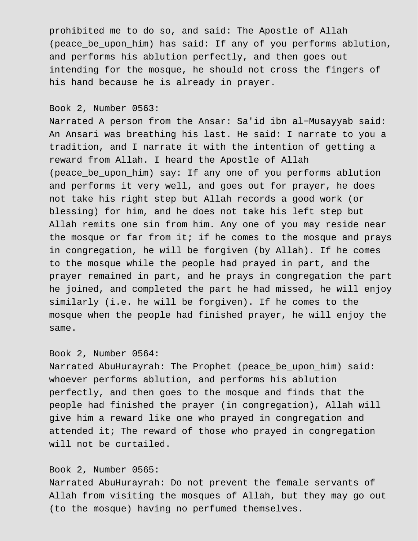prohibited me to do so, and said: The Apostle of Allah (peace\_be\_upon\_him) has said: If any of you performs ablution, and performs his ablution perfectly, and then goes out intending for the mosque, he should not cross the fingers of his hand because he is already in prayer.

### Book 2, Number 0563:

Narrated A person from the Ansar: Sa'id ibn al−Musayyab said: An Ansari was breathing his last. He said: I narrate to you a tradition, and I narrate it with the intention of getting a reward from Allah. I heard the Apostle of Allah (peace\_be\_upon\_him) say: If any one of you performs ablution and performs it very well, and goes out for prayer, he does not take his right step but Allah records a good work (or blessing) for him, and he does not take his left step but Allah remits one sin from him. Any one of you may reside near the mosque or far from it; if he comes to the mosque and prays in congregation, he will be forgiven (by Allah). If he comes to the mosque while the people had prayed in part, and the prayer remained in part, and he prays in congregation the part he joined, and completed the part he had missed, he will enjoy similarly (i.e. he will be forgiven). If he comes to the mosque when the people had finished prayer, he will enjoy the same.

#### Book 2, Number 0564:

Narrated AbuHurayrah: The Prophet (peace\_be\_upon\_him) said: whoever performs ablution, and performs his ablution perfectly, and then goes to the mosque and finds that the people had finished the prayer (in congregation), Allah will give him a reward like one who prayed in congregation and attended it; The reward of those who prayed in congregation will not be curtailed.

### Book 2, Number 0565:

Narrated AbuHurayrah: Do not prevent the female servants of Allah from visiting the mosques of Allah, but they may go out (to the mosque) having no perfumed themselves.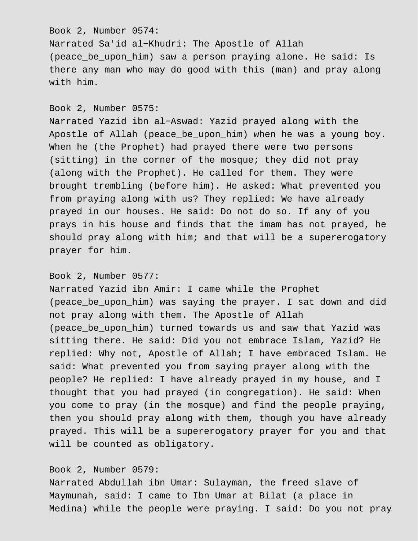### Book 2, Number 0574:

Narrated Sa'id al−Khudri: The Apostle of Allah (peace be upon him) saw a person praying alone. He said: Is there any man who may do good with this (man) and pray along with him.

#### Book 2, Number 0575:

Narrated Yazid ibn al−Aswad: Yazid prayed along with the Apostle of Allah (peace be upon him) when he was a young boy. When he (the Prophet) had prayed there were two persons (sitting) in the corner of the mosque; they did not pray (along with the Prophet). He called for them. They were brought trembling (before him). He asked: What prevented you from praying along with us? They replied: We have already prayed in our houses. He said: Do not do so. If any of you prays in his house and finds that the imam has not prayed, he should pray along with him; and that will be a supererogatory prayer for him.

#### Book 2, Number 0577:

Narrated Yazid ibn Amir: I came while the Prophet (peace\_be\_upon\_him) was saying the prayer. I sat down and did not pray along with them. The Apostle of Allah (peace\_be\_upon\_him) turned towards us and saw that Yazid was sitting there. He said: Did you not embrace Islam, Yazid? He replied: Why not, Apostle of Allah; I have embraced Islam. He said: What prevented you from saying prayer along with the people? He replied: I have already prayed in my house, and I thought that you had prayed (in congregation). He said: When you come to pray (in the mosque) and find the people praying, then you should pray along with them, though you have already prayed. This will be a supererogatory prayer for you and that will be counted as obligatory.

### Book 2, Number 0579:

Narrated Abdullah ibn Umar: Sulayman, the freed slave of Maymunah, said: I came to Ibn Umar at Bilat (a place in Medina) while the people were praying. I said: Do you not pray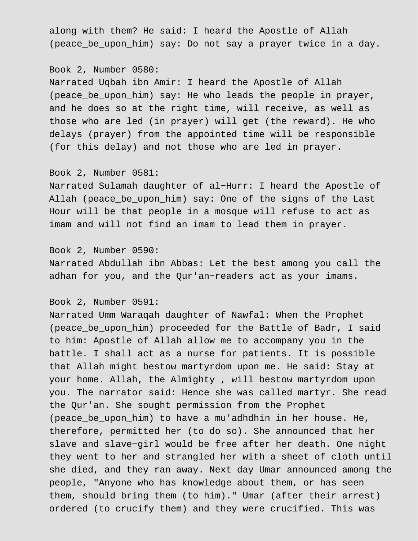along with them? He said: I heard the Apostle of Allah (peace\_be\_upon\_him) say: Do not say a prayer twice in a day.

### Book 2, Number 0580:

Narrated Uqbah ibn Amir: I heard the Apostle of Allah (peace\_be\_upon\_him) say: He who leads the people in prayer, and he does so at the right time, will receive, as well as those who are led (in prayer) will get (the reward). He who delays (prayer) from the appointed time will be responsible (for this delay) and not those who are led in prayer.

### Book 2, Number 0581:

Narrated Sulamah daughter of al−Hurr: I heard the Apostle of Allah (peace\_be\_upon\_him) say: One of the signs of the Last Hour will be that people in a mosque will refuse to act as imam and will not find an imam to lead them in prayer.

### Book 2, Number 0590:

Narrated Abdullah ibn Abbas: Let the best among you call the adhan for you, and the Qur'an−readers act as your imams.

### Book 2, Number 0591:

Narrated Umm Waraqah daughter of Nawfal: When the Prophet (peace\_be\_upon\_him) proceeded for the Battle of Badr, I said to him: Apostle of Allah allow me to accompany you in the battle. I shall act as a nurse for patients. It is possible that Allah might bestow martyrdom upon me. He said: Stay at your home. Allah, the Almighty , will bestow martyrdom upon you. The narrator said: Hence she was called martyr. She read the Qur'an. She sought permission from the Prophet (peace\_be\_upon\_him) to have a mu'adhdhin in her house. He, therefore, permitted her (to do so). She announced that her slave and slave−girl would be free after her death. One night they went to her and strangled her with a sheet of cloth until she died, and they ran away. Next day Umar announced among the people, "Anyone who has knowledge about them, or has seen them, should bring them (to him)." Umar (after their arrest) ordered (to crucify them) and they were crucified. This was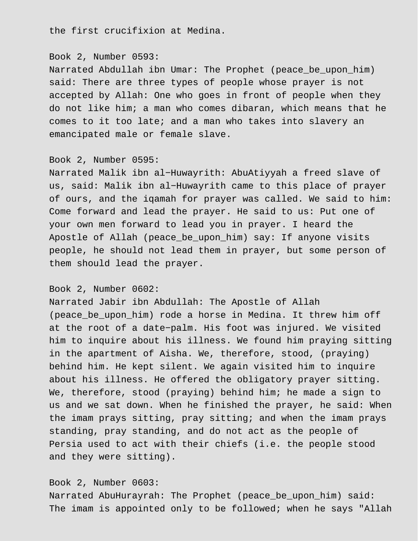the first crucifixion at Medina.

### Book 2, Number 0593:

Narrated Abdullah ibn Umar: The Prophet (peace be upon him) said: There are three types of people whose prayer is not accepted by Allah: One who goes in front of people when they do not like him; a man who comes dibaran, which means that he comes to it too late; and a man who takes into slavery an emancipated male or female slave.

#### Book 2, Number 0595:

Narrated Malik ibn al−Huwayrith: AbuAtiyyah a freed slave of us, said: Malik ibn al−Huwayrith came to this place of prayer of ours, and the iqamah for prayer was called. We said to him: Come forward and lead the prayer. He said to us: Put one of your own men forward to lead you in prayer. I heard the Apostle of Allah (peace\_be\_upon\_him) say: If anyone visits people, he should not lead them in prayer, but some person of them should lead the prayer.

### Book 2, Number 0602:

Narrated Jabir ibn Abdullah: The Apostle of Allah (peace\_be\_upon\_him) rode a horse in Medina. It threw him off at the root of a date−palm. His foot was injured. We visited him to inquire about his illness. We found him praying sitting in the apartment of Aisha. We, therefore, stood, (praying) behind him. He kept silent. We again visited him to inquire about his illness. He offered the obligatory prayer sitting. We, therefore, stood (praying) behind him; he made a sign to us and we sat down. When he finished the prayer, he said: When the imam prays sitting, pray sitting; and when the imam prays standing, pray standing, and do not act as the people of Persia used to act with their chiefs (i.e. the people stood and they were sitting).

### Book 2, Number 0603:

Narrated AbuHurayrah: The Prophet (peace\_be\_upon\_him) said: The imam is appointed only to be followed; when he says "Allah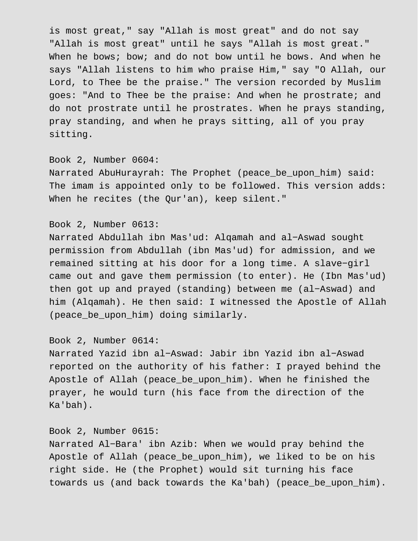is most great," say "Allah is most great" and do not say "Allah is most great" until he says "Allah is most great." When he bows; bow; and do not bow until he bows. And when he says "Allah listens to him who praise Him," say "O Allah, our Lord, to Thee be the praise." The version recorded by Muslim goes: "And to Thee be the praise: And when he prostrate; and do not prostrate until he prostrates. When he prays standing, pray standing, and when he prays sitting, all of you pray sitting.

Book 2, Number 0604:

Narrated AbuHurayrah: The Prophet (peace be upon him) said: The imam is appointed only to be followed. This version adds: When he recites (the Qur'an), keep silent."

### Book 2, Number 0613:

Narrated Abdullah ibn Mas'ud: Alqamah and al−Aswad sought permission from Abdullah (ibn Mas'ud) for admission, and we remained sitting at his door for a long time. A slave−girl came out and gave them permission (to enter). He (Ibn Mas'ud) then got up and prayed (standing) between me (al−Aswad) and him (Alqamah). He then said: I witnessed the Apostle of Allah (peace\_be\_upon\_him) doing similarly.

Book 2, Number 0614:

Narrated Yazid ibn al−Aswad: Jabir ibn Yazid ibn al−Aswad reported on the authority of his father: I prayed behind the Apostle of Allah (peace\_be\_upon\_him). When he finished the prayer, he would turn (his face from the direction of the Ka'bah).

### Book 2, Number 0615:

Narrated Al−Bara' ibn Azib: When we would pray behind the Apostle of Allah (peace\_be\_upon\_him), we liked to be on his right side. He (the Prophet) would sit turning his face towards us (and back towards the Ka'bah) (peace\_be\_upon\_him).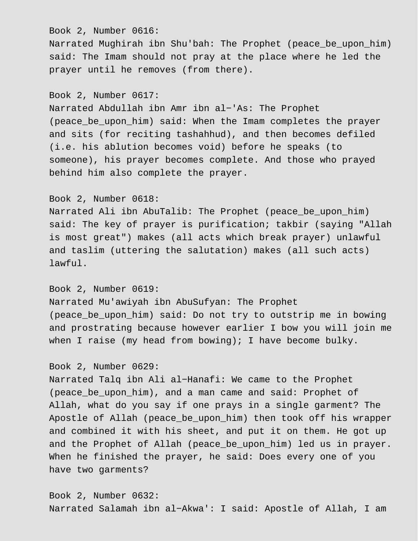#### Book 2, Number 0616:

Narrated Mughirah ibn Shu'bah: The Prophet (peace\_be\_upon\_him) said: The Imam should not pray at the place where he led the prayer until he removes (from there).

### Book 2, Number 0617:

Narrated Abdullah ibn Amr ibn al−'As: The Prophet (peace\_be\_upon\_him) said: When the Imam completes the prayer and sits (for reciting tashahhud), and then becomes defiled (i.e. his ablution becomes void) before he speaks (to someone), his prayer becomes complete. And those who prayed behind him also complete the prayer.

### Book 2, Number 0618:

Narrated Ali ibn AbuTalib: The Prophet (peace\_be\_upon\_him) said: The key of prayer is purification; takbir (saying "Allah is most great") makes (all acts which break prayer) unlawful and taslim (uttering the salutation) makes (all such acts) lawful.

#### Book 2, Number 0619:

Narrated Mu'awiyah ibn AbuSufyan: The Prophet (peace\_be\_upon\_him) said: Do not try to outstrip me in bowing and prostrating because however earlier I bow you will join me when I raise (my head from bowing); I have become bulky.

### Book 2, Number 0629:

Narrated Talq ibn Ali al−Hanafi: We came to the Prophet (peace\_be\_upon\_him), and a man came and said: Prophet of Allah, what do you say if one prays in a single garment? The Apostle of Allah (peace\_be\_upon\_him) then took off his wrapper and combined it with his sheet, and put it on them. He got up and the Prophet of Allah (peace\_be\_upon\_him) led us in prayer. When he finished the prayer, he said: Does every one of you have two garments?

## Book 2, Number 0632:

Narrated Salamah ibn al−Akwa': I said: Apostle of Allah, I am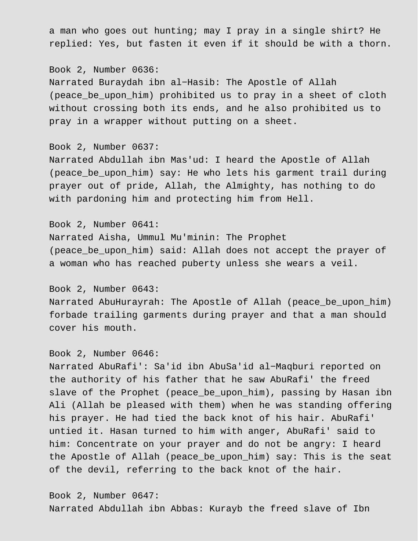a man who goes out hunting; may I pray in a single shirt? He replied: Yes, but fasten it even if it should be with a thorn.

Book 2, Number 0636: Narrated Buraydah ibn al−Hasib: The Apostle of Allah (peace be upon him) prohibited us to pray in a sheet of cloth without crossing both its ends, and he also prohibited us to pray in a wrapper without putting on a sheet.

Book 2, Number 0637:

Narrated Abdullah ibn Mas'ud: I heard the Apostle of Allah (peace\_be\_upon\_him) say: He who lets his garment trail during prayer out of pride, Allah, the Almighty, has nothing to do with pardoning him and protecting him from Hell.

Book 2, Number 0641: Narrated Aisha, Ummul Mu'minin: The Prophet (peace\_be\_upon\_him) said: Allah does not accept the prayer of a woman who has reached puberty unless she wears a veil.

Book 2, Number 0643: Narrated AbuHurayrah: The Apostle of Allah (peace be upon him) forbade trailing garments during prayer and that a man should cover his mouth.

Book 2, Number 0646:

Narrated AbuRafi': Sa'id ibn AbuSa'id al−Maqburi reported on the authority of his father that he saw AbuRafi' the freed slave of the Prophet (peace\_be\_upon\_him), passing by Hasan ibn Ali (Allah be pleased with them) when he was standing offering his prayer. He had tied the back knot of his hair. AbuRafi' untied it. Hasan turned to him with anger, AbuRafi' said to him: Concentrate on your prayer and do not be angry: I heard the Apostle of Allah (peace be upon him) say: This is the seat of the devil, referring to the back knot of the hair.

Book 2, Number 0647: Narrated Abdullah ibn Abbas: Kurayb the freed slave of Ibn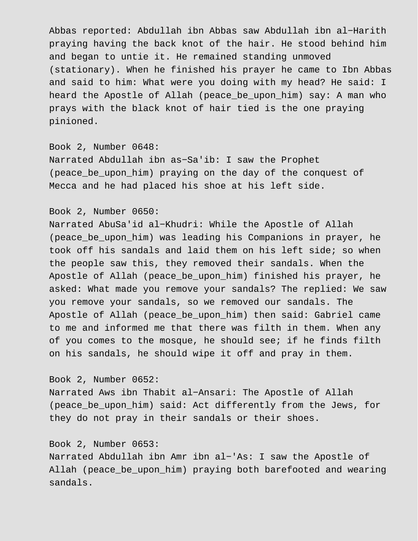Abbas reported: Abdullah ibn Abbas saw Abdullah ibn al−Harith praying having the back knot of the hair. He stood behind him and began to untie it. He remained standing unmoved (stationary). When he finished his prayer he came to Ibn Abbas and said to him: What were you doing with my head? He said: I heard the Apostle of Allah (peace\_be\_upon\_him) say: A man who prays with the black knot of hair tied is the one praying pinioned.

### Book 2, Number 0648:

Narrated Abdullah ibn as−Sa'ib: I saw the Prophet (peace be upon him) praying on the day of the conquest of Mecca and he had placed his shoe at his left side.

### Book 2, Number 0650:

Narrated AbuSa'id al−Khudri: While the Apostle of Allah (peace\_be\_upon\_him) was leading his Companions in prayer, he took off his sandals and laid them on his left side; so when the people saw this, they removed their sandals. When the Apostle of Allah (peace\_be\_upon\_him) finished his prayer, he asked: What made you remove your sandals? The replied: We saw you remove your sandals, so we removed our sandals. The Apostle of Allah (peace\_be\_upon\_him) then said: Gabriel came to me and informed me that there was filth in them. When any of you comes to the mosque, he should see; if he finds filth on his sandals, he should wipe it off and pray in them.

### Book 2, Number 0652:

Narrated Aws ibn Thabit al−Ansari: The Apostle of Allah (peace\_be\_upon\_him) said: Act differently from the Jews, for they do not pray in their sandals or their shoes.

### Book 2, Number 0653:

Narrated Abdullah ibn Amr ibn al−'As: I saw the Apostle of Allah (peace\_be\_upon\_him) praying both barefooted and wearing sandals.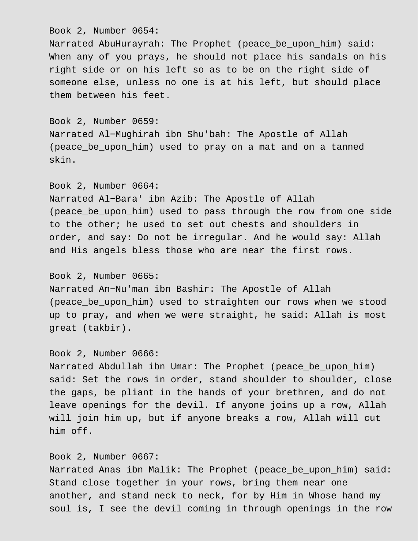### Book 2, Number 0654:

Narrated AbuHurayrah: The Prophet (peace\_be\_upon\_him) said: When any of you prays, he should not place his sandals on his right side or on his left so as to be on the right side of someone else, unless no one is at his left, but should place them between his feet.

#### Book 2, Number 0659:

Narrated Al−Mughirah ibn Shu'bah: The Apostle of Allah (peace be upon him) used to pray on a mat and on a tanned skin.

#### Book 2, Number 0664:

Narrated Al−Bara' ibn Azib: The Apostle of Allah (peace be upon him) used to pass through the row from one side to the other; he used to set out chests and shoulders in order, and say: Do not be irregular. And he would say: Allah and His angels bless those who are near the first rows.

#### Book 2, Number 0665:

Narrated An−Nu'man ibn Bashir: The Apostle of Allah (peace\_be\_upon\_him) used to straighten our rows when we stood up to pray, and when we were straight, he said: Allah is most great (takbir).

### Book 2, Number 0666:

Narrated Abdullah ibn Umar: The Prophet (peace\_be\_upon\_him) said: Set the rows in order, stand shoulder to shoulder, close the gaps, be pliant in the hands of your brethren, and do not leave openings for the devil. If anyone joins up a row, Allah will join him up, but if anyone breaks a row, Allah will cut him off.

#### Book 2, Number 0667:

Narrated Anas ibn Malik: The Prophet (peace be upon him) said: Stand close together in your rows, bring them near one another, and stand neck to neck, for by Him in Whose hand my soul is, I see the devil coming in through openings in the row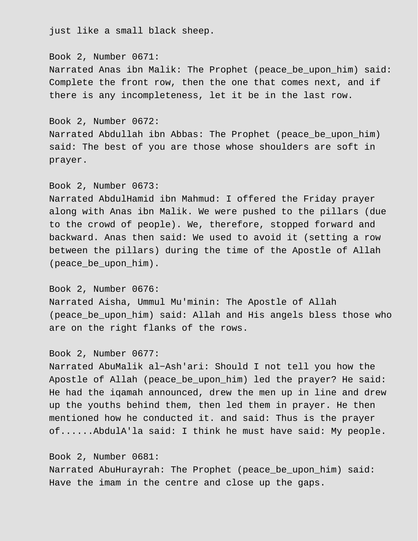just like a small black sheep.

Book 2, Number 0671:

Narrated Anas ibn Malik: The Prophet (peace\_be\_upon\_him) said: Complete the front row, then the one that comes next, and if there is any incompleteness, let it be in the last row.

Book 2, Number 0672:

Narrated Abdullah ibn Abbas: The Prophet (peace\_be\_upon\_him) said: The best of you are those whose shoulders are soft in prayer.

Book 2, Number 0673:

Narrated AbdulHamid ibn Mahmud: I offered the Friday prayer along with Anas ibn Malik. We were pushed to the pillars (due to the crowd of people). We, therefore, stopped forward and backward. Anas then said: We used to avoid it (setting a row between the pillars) during the time of the Apostle of Allah (peace\_be\_upon\_him).

Book 2, Number 0676:

Narrated Aisha, Ummul Mu'minin: The Apostle of Allah (peace\_be\_upon\_him) said: Allah and His angels bless those who are on the right flanks of the rows.

Book 2, Number 0677:

Narrated AbuMalik al−Ash'ari: Should I not tell you how the Apostle of Allah (peace\_be\_upon\_him) led the prayer? He said: He had the iqamah announced, drew the men up in line and drew up the youths behind them, then led them in prayer. He then mentioned how he conducted it. and said: Thus is the prayer of......AbdulA'la said: I think he must have said: My people.

Book 2, Number 0681:

Narrated AbuHurayrah: The Prophet (peace\_be\_upon\_him) said: Have the imam in the centre and close up the gaps.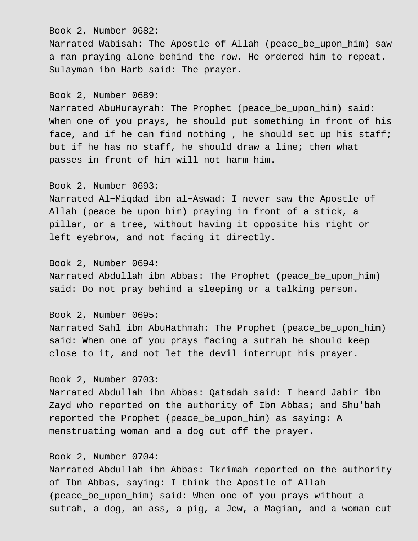#### Book 2, Number 0682:

Narrated Wabisah: The Apostle of Allah (peace\_be\_upon\_him) saw a man praying alone behind the row. He ordered him to repeat. Sulayman ibn Harb said: The prayer.

#### Book 2, Number 0689:

Narrated AbuHurayrah: The Prophet (peace\_be\_upon\_him) said: When one of you prays, he should put something in front of his face, and if he can find nothing , he should set up his staff; but if he has no staff, he should draw a line; then what passes in front of him will not harm him.

#### Book 2, Number 0693:

Narrated Al−Miqdad ibn al−Aswad: I never saw the Apostle of Allah (peace\_be\_upon\_him) praying in front of a stick, a pillar, or a tree, without having it opposite his right or left eyebrow, and not facing it directly.

### Book 2, Number 0694:

Narrated Abdullah ibn Abbas: The Prophet (peace\_be\_upon\_him) said: Do not pray behind a sleeping or a talking person.

#### Book 2, Number 0695:

Narrated Sahl ibn AbuHathmah: The Prophet (peace\_be\_upon\_him) said: When one of you prays facing a sutrah he should keep close to it, and not let the devil interrupt his prayer.

### Book 2, Number 0703:

Narrated Abdullah ibn Abbas: Qatadah said: I heard Jabir ibn Zayd who reported on the authority of Ibn Abbas; and Shu'bah reported the Prophet (peace\_be\_upon\_him) as saying: A menstruating woman and a dog cut off the prayer.

#### Book 2, Number 0704:

Narrated Abdullah ibn Abbas: Ikrimah reported on the authority of Ibn Abbas, saying: I think the Apostle of Allah (peace\_be\_upon\_him) said: When one of you prays without a sutrah, a dog, an ass, a pig, a Jew, a Magian, and a woman cut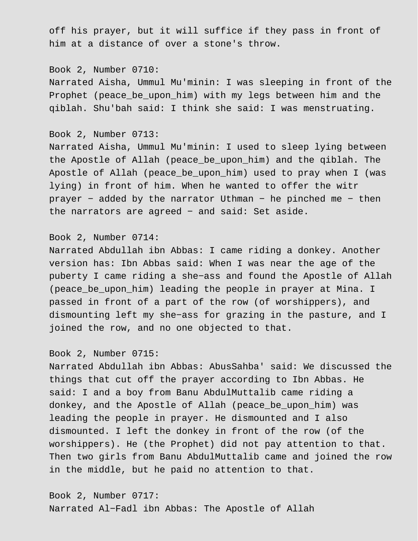off his prayer, but it will suffice if they pass in front of him at a distance of over a stone's throw.

Book 2, Number 0710: Narrated Aisha, Ummul Mu'minin: I was sleeping in front of the Prophet (peace\_be\_upon\_him) with my legs between him and the qiblah. Shu'bah said: I think she said: I was menstruating.

#### Book 2, Number 0713:

Narrated Aisha, Ummul Mu'minin: I used to sleep lying between the Apostle of Allah (peace\_be\_upon\_him) and the qiblah. The Apostle of Allah (peace\_be\_upon\_him) used to pray when I (was lying) in front of him. When he wanted to offer the witr prayer − added by the narrator Uthman − he pinched me − then the narrators are agreed − and said: Set aside.

### Book 2, Number 0714:

Narrated Abdullah ibn Abbas: I came riding a donkey. Another version has: Ibn Abbas said: When I was near the age of the puberty I came riding a she−ass and found the Apostle of Allah (peace\_be\_upon\_him) leading the people in prayer at Mina. I passed in front of a part of the row (of worshippers), and dismounting left my she−ass for grazing in the pasture, and I joined the row, and no one objected to that.

### Book 2, Number 0715:

Narrated Abdullah ibn Abbas: AbusSahba' said: We discussed the things that cut off the prayer according to Ibn Abbas. He said: I and a boy from Banu AbdulMuttalib came riding a donkey, and the Apostle of Allah (peace\_be\_upon\_him) was leading the people in prayer. He dismounted and I also dismounted. I left the donkey in front of the row (of the worshippers). He (the Prophet) did not pay attention to that. Then two girls from Banu AbdulMuttalib came and joined the row in the middle, but he paid no attention to that.

Book 2, Number 0717: Narrated Al−Fadl ibn Abbas: The Apostle of Allah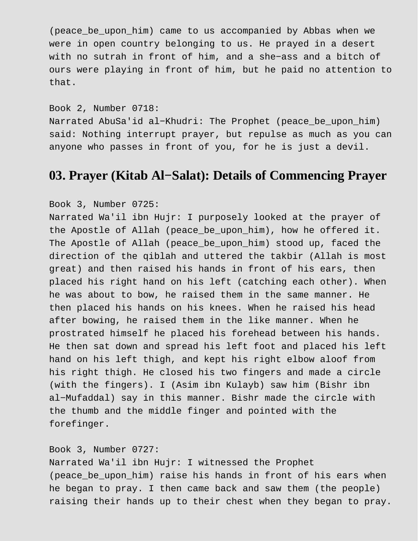(peace be upon him) came to us accompanied by Abbas when we were in open country belonging to us. He prayed in a desert with no sutrah in front of him, and a she−ass and a bitch of ours were playing in front of him, but he paid no attention to that.

Book 2, Number 0718:

Narrated AbuSa'id al−Khudri: The Prophet (peace\_be\_upon\_him) said: Nothing interrupt prayer, but repulse as much as you can anyone who passes in front of you, for he is just a devil.

# **03. Prayer (Kitab Al−Salat): Details of Commencing Prayer**

### Book 3, Number 0725:

Narrated Wa'il ibn Hujr: I purposely looked at the prayer of the Apostle of Allah (peace be upon him), how he offered it. The Apostle of Allah (peace be upon him) stood up, faced the direction of the qiblah and uttered the takbir (Allah is most great) and then raised his hands in front of his ears, then placed his right hand on his left (catching each other). When he was about to bow, he raised them in the same manner. He then placed his hands on his knees. When he raised his head after bowing, he raised them in the like manner. When he prostrated himself he placed his forehead between his hands. He then sat down and spread his left foot and placed his left hand on his left thigh, and kept his right elbow aloof from his right thigh. He closed his two fingers and made a circle (with the fingers). I (Asim ibn Kulayb) saw him (Bishr ibn al−Mufaddal) say in this manner. Bishr made the circle with the thumb and the middle finger and pointed with the forefinger.

### Book 3, Number 0727:

Narrated Wa'il ibn Hujr: I witnessed the Prophet (peace\_be\_upon\_him) raise his hands in front of his ears when he began to pray. I then came back and saw them (the people) raising their hands up to their chest when they began to pray.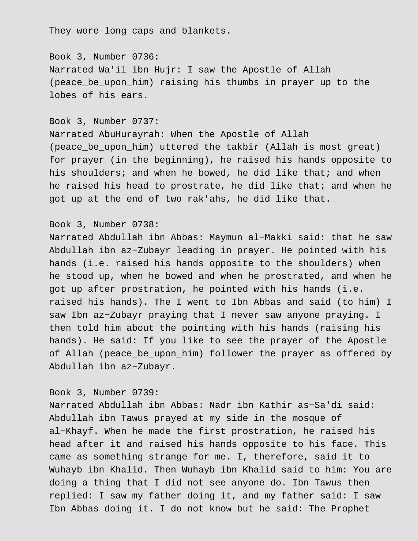They wore long caps and blankets.

Book 3, Number 0736: Narrated Wa'il ibn Hujr: I saw the Apostle of Allah (peace\_be\_upon\_him) raising his thumbs in prayer up to the lobes of his ears.

#### Book 3, Number 0737:

Narrated AbuHurayrah: When the Apostle of Allah (peace be upon him) uttered the takbir (Allah is most great) for prayer (in the beginning), he raised his hands opposite to his shoulders; and when he bowed, he did like that; and when he raised his head to prostrate, he did like that; and when he got up at the end of two rak'ahs, he did like that.

#### Book 3, Number 0738:

Narrated Abdullah ibn Abbas: Maymun al−Makki said: that he saw Abdullah ibn az−Zubayr leading in prayer. He pointed with his hands (i.e. raised his hands opposite to the shoulders) when he stood up, when he bowed and when he prostrated, and when he got up after prostration, he pointed with his hands (i.e. raised his hands). The I went to Ibn Abbas and said (to him) I saw Ibn az−Zubayr praying that I never saw anyone praying. I then told him about the pointing with his hands (raising his hands). He said: If you like to see the prayer of the Apostle of Allah (peace\_be\_upon\_him) follower the prayer as offered by Abdullah ibn az−Zubayr.

### Book 3, Number 0739:

Narrated Abdullah ibn Abbas: Nadr ibn Kathir as−Sa'di said: Abdullah ibn Tawus prayed at my side in the mosque of al−Khayf. When he made the first prostration, he raised his head after it and raised his hands opposite to his face. This came as something strange for me. I, therefore, said it to Wuhayb ibn Khalid. Then Wuhayb ibn Khalid said to him: You are doing a thing that I did not see anyone do. Ibn Tawus then replied: I saw my father doing it, and my father said: I saw Ibn Abbas doing it. I do not know but he said: The Prophet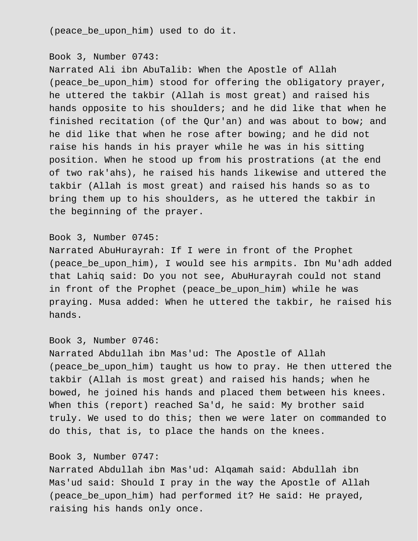(peace\_be\_upon\_him) used to do it.

### Book 3, Number 0743:

Narrated Ali ibn AbuTalib: When the Apostle of Allah (peace be upon him) stood for offering the obligatory prayer, he uttered the takbir (Allah is most great) and raised his hands opposite to his shoulders; and he did like that when he finished recitation (of the Qur'an) and was about to bow; and he did like that when he rose after bowing; and he did not raise his hands in his prayer while he was in his sitting position. When he stood up from his prostrations (at the end of two rak'ahs), he raised his hands likewise and uttered the takbir (Allah is most great) and raised his hands so as to bring them up to his shoulders, as he uttered the takbir in the beginning of the prayer.

### Book 3, Number 0745:

Narrated AbuHurayrah: If I were in front of the Prophet (peace\_be\_upon\_him), I would see his armpits. Ibn Mu'adh added that Lahiq said: Do you not see, AbuHurayrah could not stand in front of the Prophet (peace\_be\_upon\_him) while he was praying. Musa added: When he uttered the takbir, he raised his hands.

### Book 3, Number 0746:

Narrated Abdullah ibn Mas'ud: The Apostle of Allah (peace\_be\_upon\_him) taught us how to pray. He then uttered the takbir (Allah is most great) and raised his hands; when he bowed, he joined his hands and placed them between his knees. When this (report) reached Sa'd, he said: My brother said truly. We used to do this; then we were later on commanded to do this, that is, to place the hands on the knees.

#### Book 3, Number 0747:

Narrated Abdullah ibn Mas'ud: Alqamah said: Abdullah ibn Mas'ud said: Should I pray in the way the Apostle of Allah (peace\_be\_upon\_him) had performed it? He said: He prayed, raising his hands only once.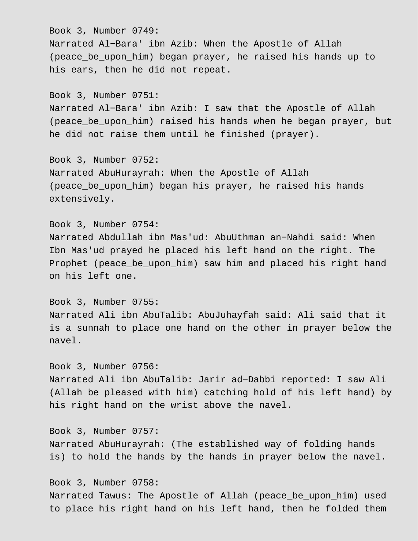Book 3, Number 0749: Narrated Al−Bara' ibn Azib: When the Apostle of Allah (peace\_be\_upon\_him) began prayer, he raised his hands up to his ears, then he did not repeat.

Book 3, Number 0751: Narrated Al−Bara' ibn Azib: I saw that the Apostle of Allah (peace\_be\_upon\_him) raised his hands when he began prayer, but he did not raise them until he finished (prayer).

Book 3, Number 0752: Narrated AbuHurayrah: When the Apostle of Allah (peace\_be\_upon\_him) began his prayer, he raised his hands extensively.

Book 3, Number 0754: Narrated Abdullah ibn Mas'ud: AbuUthman an−Nahdi said: When Ibn Mas'ud prayed he placed his left hand on the right. The Prophet (peace\_be\_upon\_him) saw him and placed his right hand on his left one.

Book 3, Number 0755: Narrated Ali ibn AbuTalib: AbuJuhayfah said: Ali said that it is a sunnah to place one hand on the other in prayer below the navel.

Book 3, Number 0756: Narrated Ali ibn AbuTalib: Jarir ad−Dabbi reported: I saw Ali (Allah be pleased with him) catching hold of his left hand) by his right hand on the wrist above the navel.

Book 3, Number 0757: Narrated AbuHurayrah: (The established way of folding hands is) to hold the hands by the hands in prayer below the navel.

Book 3, Number 0758: Narrated Tawus: The Apostle of Allah (peace\_be\_upon\_him) used to place his right hand on his left hand, then he folded them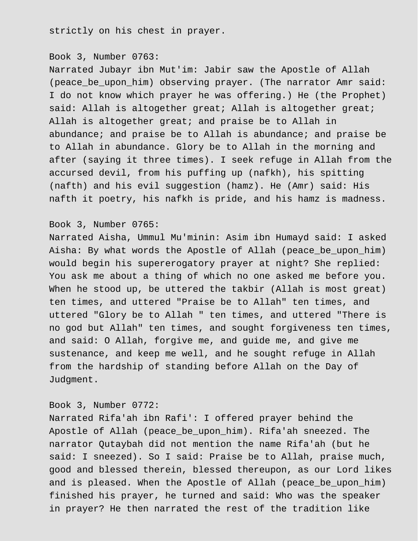strictly on his chest in prayer.

### Book 3, Number 0763:

Narrated Jubayr ibn Mut'im: Jabir saw the Apostle of Allah (peace be upon him) observing prayer. (The narrator Amr said: I do not know which prayer he was offering.) He (the Prophet) said: Allah is altogether great; Allah is altogether great; Allah is altogether great; and praise be to Allah in abundance; and praise be to Allah is abundance; and praise be to Allah in abundance. Glory be to Allah in the morning and after (saying it three times). I seek refuge in Allah from the accursed devil, from his puffing up (nafkh), his spitting (nafth) and his evil suggestion (hamz). He (Amr) said: His nafth it poetry, his nafkh is pride, and his hamz is madness.

### Book 3, Number 0765:

Narrated Aisha, Ummul Mu'minin: Asim ibn Humayd said: I asked Aisha: By what words the Apostle of Allah (peace\_be\_upon\_him) would begin his supererogatory prayer at night? She replied: You ask me about a thing of which no one asked me before you. When he stood up, be uttered the takbir (Allah is most great) ten times, and uttered "Praise be to Allah" ten times, and uttered "Glory be to Allah " ten times, and uttered "There is no god but Allah" ten times, and sought forgiveness ten times, and said: O Allah, forgive me, and guide me, and give me sustenance, and keep me well, and he sought refuge in Allah from the hardship of standing before Allah on the Day of Judgment.

### Book 3, Number 0772:

Narrated Rifa'ah ibn Rafi': I offered prayer behind the Apostle of Allah (peace\_be\_upon\_him). Rifa'ah sneezed. The narrator Qutaybah did not mention the name Rifa'ah (but he said: I sneezed). So I said: Praise be to Allah, praise much, good and blessed therein, blessed thereupon, as our Lord likes and is pleased. When the Apostle of Allah (peace be upon him) finished his prayer, he turned and said: Who was the speaker in prayer? He then narrated the rest of the tradition like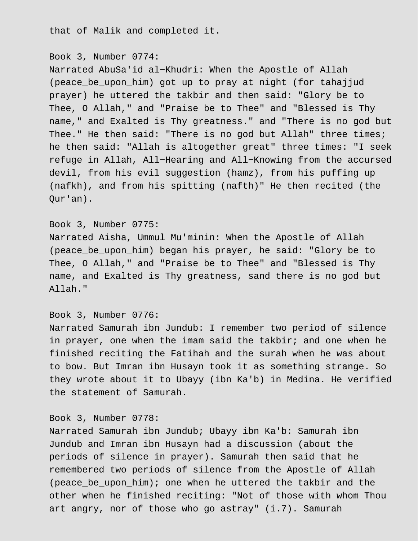that of Malik and completed it.

### Book 3, Number 0774:

Narrated AbuSa'id al−Khudri: When the Apostle of Allah (peace\_be\_upon\_him) got up to pray at night (for tahajjud prayer) he uttered the takbir and then said: "Glory be to Thee, O Allah," and "Praise be to Thee" and "Blessed is Thy name," and Exalted is Thy greatness." and "There is no god but Thee." He then said: "There is no god but Allah" three times; he then said: "Allah is altogether great" three times: "I seek refuge in Allah, All−Hearing and All−Knowing from the accursed devil, from his evil suggestion (hamz), from his puffing up (nafkh), and from his spitting (nafth)" He then recited (the Qur'an).

#### Book 3, Number 0775:

Narrated Aisha, Ummul Mu'minin: When the Apostle of Allah (peace\_be\_upon\_him) began his prayer, he said: "Glory be to Thee, O Allah," and "Praise be to Thee" and "Blessed is Thy name, and Exalted is Thy greatness, sand there is no god but Allah."

#### Book 3, Number 0776:

Narrated Samurah ibn Jundub: I remember two period of silence in prayer, one when the imam said the takbir; and one when he finished reciting the Fatihah and the surah when he was about to bow. But Imran ibn Husayn took it as something strange. So they wrote about it to Ubayy (ibn Ka'b) in Medina. He verified the statement of Samurah.

### Book 3, Number 0778:

Narrated Samurah ibn Jundub; Ubayy ibn Ka'b: Samurah ibn Jundub and Imran ibn Husayn had a discussion (about the periods of silence in prayer). Samurah then said that he remembered two periods of silence from the Apostle of Allah (peace be upon him); one when he uttered the takbir and the other when he finished reciting: "Not of those with whom Thou art angry, nor of those who go astray" (i.7). Samurah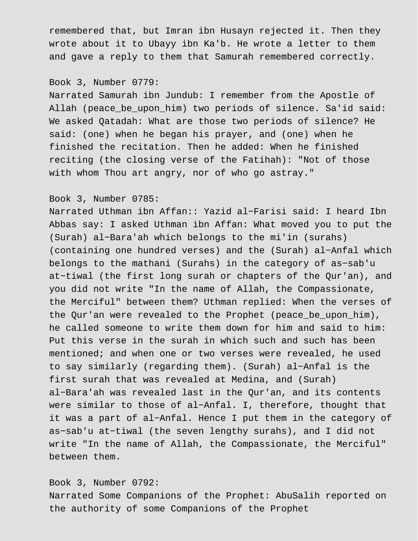remembered that, but Imran ibn Husayn rejected it. Then they wrote about it to Ubayy ibn Ka'b. He wrote a letter to them and gave a reply to them that Samurah remembered correctly.

### Book 3, Number 0779:

Narrated Samurah ibn Jundub: I remember from the Apostle of Allah (peace\_be\_upon\_him) two periods of silence. Sa'id said: We asked Qatadah: What are those two periods of silence? He said: (one) when he began his prayer, and (one) when he finished the recitation. Then he added: When he finished reciting (the closing verse of the Fatihah): "Not of those with whom Thou art angry, nor of who go astray."

## Book 3, Number 0785:

Narrated Uthman ibn Affan:: Yazid al−Farisi said: I heard Ibn Abbas say: I asked Uthman ibn Affan: What moved you to put the (Surah) al−Bara'ah which belongs to the mi'in (surahs) (containing one hundred verses) and the (Surah) al−Anfal which belongs to the mathani (Surahs) in the category of as−sab'u at−tiwal (the first long surah or chapters of the Qur'an), and you did not write "In the name of Allah, the Compassionate, the Merciful" between them? Uthman replied: When the verses of the Qur'an were revealed to the Prophet (peace\_be\_upon\_him), he called someone to write them down for him and said to him: Put this verse in the surah in which such and such has been mentioned; and when one or two verses were revealed, he used to say similarly (regarding them). (Surah) al−Anfal is the first surah that was revealed at Medina, and (Surah) al−Bara'ah was revealed last in the Qur'an, and its contents were similar to those of al−Anfal. I, therefore, thought that it was a part of al−Anfal. Hence I put them in the category of as−sab'u at−tiwal (the seven lengthy surahs), and I did not write "In the name of Allah, the Compassionate, the Merciful" between them.

# Book 3, Number 0792:

Narrated Some Companions of the Prophet: AbuSalih reported on the authority of some Companions of the Prophet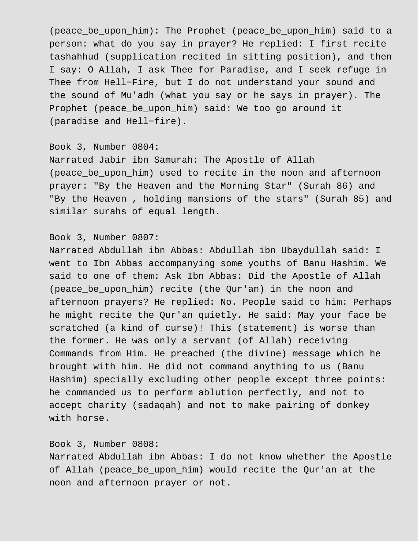(peace be upon him): The Prophet (peace be upon him) said to a person: what do you say in prayer? He replied: I first recite tashahhud (supplication recited in sitting position), and then I say: O Allah, I ask Thee for Paradise, and I seek refuge in Thee from Hell−Fire, but I do not understand your sound and the sound of Mu'adh (what you say or he says in prayer). The Prophet (peace\_be\_upon\_him) said: We too go around it (paradise and Hell−fire).

# Book 3, Number 0804:

Narrated Jabir ibn Samurah: The Apostle of Allah (peace be upon him) used to recite in the noon and afternoon prayer: "By the Heaven and the Morning Star" (Surah 86) and "By the Heaven , holding mansions of the stars" (Surah 85) and similar surahs of equal length.

# Book 3, Number 0807:

Narrated Abdullah ibn Abbas: Abdullah ibn Ubaydullah said: I went to Ibn Abbas accompanying some youths of Banu Hashim. We said to one of them: Ask Ibn Abbas: Did the Apostle of Allah (peace\_be\_upon\_him) recite (the Qur'an) in the noon and afternoon prayers? He replied: No. People said to him: Perhaps he might recite the Qur'an quietly. He said: May your face be scratched (a kind of curse)! This (statement) is worse than the former. He was only a servant (of Allah) receiving Commands from Him. He preached (the divine) message which he brought with him. He did not command anything to us (Banu Hashim) specially excluding other people except three points: he commanded us to perform ablution perfectly, and not to accept charity (sadaqah) and not to make pairing of donkey with horse.

# Book 3, Number 0808:

Narrated Abdullah ibn Abbas: I do not know whether the Apostle of Allah (peace be upon him) would recite the Qur'an at the noon and afternoon prayer or not.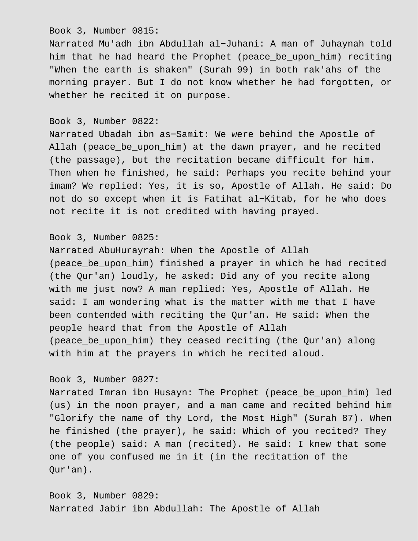#### Book 3, Number 0815:

Narrated Mu'adh ibn Abdullah al−Juhani: A man of Juhaynah told him that he had heard the Prophet (peace be upon him) reciting "When the earth is shaken" (Surah 99) in both rak'ahs of the morning prayer. But I do not know whether he had forgotten, or whether he recited it on purpose.

### Book 3, Number 0822:

Narrated Ubadah ibn as−Samit: We were behind the Apostle of Allah (peace be upon him) at the dawn prayer, and he recited (the passage), but the recitation became difficult for him. Then when he finished, he said: Perhaps you recite behind your imam? We replied: Yes, it is so, Apostle of Allah. He said: Do not do so except when it is Fatihat al−Kitab, for he who does not recite it is not credited with having prayed.

# Book 3, Number 0825:

Narrated AbuHurayrah: When the Apostle of Allah (peace\_be\_upon\_him) finished a prayer in which he had recited (the Qur'an) loudly, he asked: Did any of you recite along with me just now? A man replied: Yes, Apostle of Allah. He said: I am wondering what is the matter with me that I have been contended with reciting the Qur'an. He said: When the people heard that from the Apostle of Allah (peace\_be\_upon\_him) they ceased reciting (the Qur'an) along with him at the prayers in which he recited aloud.

# Book 3, Number 0827:

Narrated Imran ibn Husayn: The Prophet (peace\_be\_upon\_him) led (us) in the noon prayer, and a man came and recited behind him "Glorify the name of thy Lord, the Most High" (Surah 87). When he finished (the prayer), he said: Which of you recited? They (the people) said: A man (recited). He said: I knew that some one of you confused me in it (in the recitation of the Qur'an).

Book 3, Number 0829: Narrated Jabir ibn Abdullah: The Apostle of Allah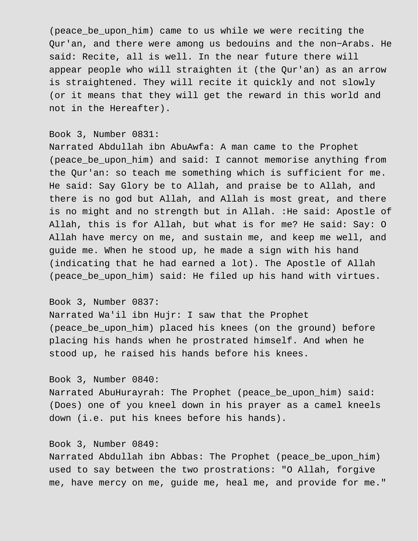(peace be upon him) came to us while we were reciting the Qur'an, and there were among us bedouins and the non−Arabs. He said: Recite, all is well. In the near future there will appear people who will straighten it (the Qur'an) as an arrow is straightened. They will recite it quickly and not slowly (or it means that they will get the reward in this world and not in the Hereafter).

# Book 3, Number 0831:

Narrated Abdullah ibn AbuAwfa: A man came to the Prophet (peace\_be\_upon\_him) and said: I cannot memorise anything from the Qur'an: so teach me something which is sufficient for me. He said: Say Glory be to Allah, and praise be to Allah, and there is no god but Allah, and Allah is most great, and there is no might and no strength but in Allah. :He said: Apostle of Allah, this is for Allah, but what is for me? He said: Say: O Allah have mercy on me, and sustain me, and keep me well, and guide me. When he stood up, he made a sign with his hand (indicating that he had earned a lot). The Apostle of Allah (peace\_be\_upon\_him) said: He filed up his hand with virtues.

# Book 3, Number 0837:

Narrated Wa'il ibn Hujr: I saw that the Prophet (peace\_be\_upon\_him) placed his knees (on the ground) before placing his hands when he prostrated himself. And when he stood up, he raised his hands before his knees.

# Book 3, Number 0840:

Narrated AbuHurayrah: The Prophet (peace\_be\_upon\_him) said: (Does) one of you kneel down in his prayer as a camel kneels down (i.e. put his knees before his hands).

# Book 3, Number 0849:

Narrated Abdullah ibn Abbas: The Prophet (peace\_be\_upon\_him) used to say between the two prostrations: "O Allah, forgive me, have mercy on me, guide me, heal me, and provide for me."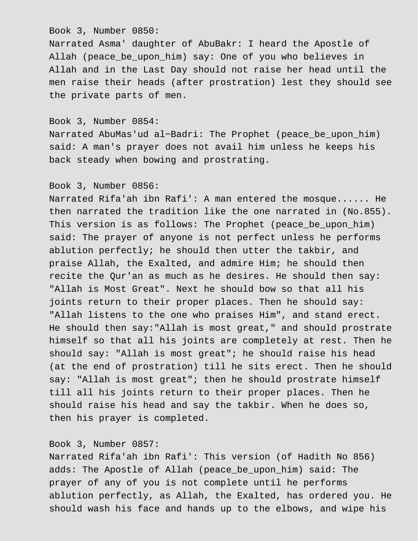# Book 3, Number 0850:

Narrated Asma' daughter of AbuBakr: I heard the Apostle of Allah (peace be upon him) say: One of you who believes in Allah and in the Last Day should not raise her head until the men raise their heads (after prostration) lest they should see the private parts of men.

### Book 3, Number 0854:

Narrated AbuMas'ud al−Badri: The Prophet (peace\_be\_upon\_him) said: A man's prayer does not avail him unless he keeps his back steady when bowing and prostrating.

#### Book 3, Number 0856:

Narrated Rifa'ah ibn Rafi': A man entered the mosque...... He then narrated the tradition like the one narrated in (No.855). This version is as follows: The Prophet (peace\_be\_upon\_him) said: The prayer of anyone is not perfect unless he performs ablution perfectly; he should then utter the takbir, and praise Allah, the Exalted, and admire Him; he should then recite the Qur'an as much as he desires. He should then say: "Allah is Most Great". Next he should bow so that all his joints return to their proper places. Then he should say: "Allah listens to the one who praises Him", and stand erect. He should then say:"Allah is most great," and should prostrate himself so that all his joints are completely at rest. Then he should say: "Allah is most great"; he should raise his head (at the end of prostration) till he sits erect. Then he should say: "Allah is most great"; then he should prostrate himself till all his joints return to their proper places. Then he should raise his head and say the takbir. When he does so, then his prayer is completed.

# Book 3, Number 0857:

Narrated Rifa'ah ibn Rafi': This version (of Hadith No 856) adds: The Apostle of Allah (peace be upon him) said: The prayer of any of you is not complete until he performs ablution perfectly, as Allah, the Exalted, has ordered you. He should wash his face and hands up to the elbows, and wipe his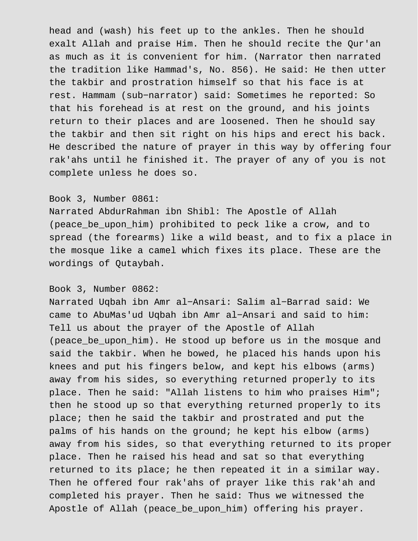head and (wash) his feet up to the ankles. Then he should exalt Allah and praise Him. Then he should recite the Qur'an as much as it is convenient for him. (Narrator then narrated the tradition like Hammad's, No. 856). He said: He then utter the takbir and prostration himself so that his face is at rest. Hammam (sub−narrator) said: Sometimes he reported: So that his forehead is at rest on the ground, and his joints return to their places and are loosened. Then he should say the takbir and then sit right on his hips and erect his back. He described the nature of prayer in this way by offering four rak'ahs until he finished it. The prayer of any of you is not complete unless he does so.

# Book 3, Number 0861:

Narrated AbdurRahman ibn Shibl: The Apostle of Allah (peace\_be\_upon\_him) prohibited to peck like a crow, and to spread (the forearms) like a wild beast, and to fix a place in the mosque like a camel which fixes its place. These are the wordings of Qutaybah.

# Book 3, Number 0862:

Narrated Uqbah ibn Amr al−Ansari: Salim al−Barrad said: We came to AbuMas'ud Uqbah ibn Amr al−Ansari and said to him: Tell us about the prayer of the Apostle of Allah (peace\_be\_upon\_him). He stood up before us in the mosque and said the takbir. When he bowed, he placed his hands upon his knees and put his fingers below, and kept his elbows (arms) away from his sides, so everything returned properly to its place. Then he said: "Allah listens to him who praises Him"; then he stood up so that everything returned properly to its place; then he said the takbir and prostrated and put the palms of his hands on the ground; he kept his elbow (arms) away from his sides, so that everything returned to its proper place. Then he raised his head and sat so that everything returned to its place; he then repeated it in a similar way. Then he offered four rak'ahs of prayer like this rak'ah and completed his prayer. Then he said: Thus we witnessed the Apostle of Allah (peace\_be\_upon\_him) offering his prayer.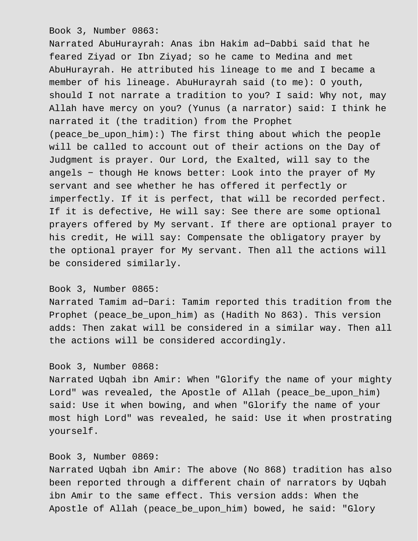### Book 3, Number 0863:

Narrated AbuHurayrah: Anas ibn Hakim ad−Dabbi said that he feared Ziyad or Ibn Ziyad; so he came to Medina and met AbuHurayrah. He attributed his lineage to me and I became a member of his lineage. AbuHurayrah said (to me): O youth, should I not narrate a tradition to you? I said: Why not, may Allah have mercy on you? (Yunus (a narrator) said: I think he narrated it (the tradition) from the Prophet (peace be upon him):) The first thing about which the people will be called to account out of their actions on the Day of Judgment is prayer. Our Lord, the Exalted, will say to the angels − though He knows better: Look into the prayer of My servant and see whether he has offered it perfectly or imperfectly. If it is perfect, that will be recorded perfect. If it is defective, He will say: See there are some optional prayers offered by My servant. If there are optional prayer to his credit, He will say: Compensate the obligatory prayer by the optional prayer for My servant. Then all the actions will be considered similarly.

# Book 3, Number 0865:

Narrated Tamim ad−Dari: Tamim reported this tradition from the Prophet (peace\_be\_upon\_him) as (Hadith No 863). This version adds: Then zakat will be considered in a similar way. Then all the actions will be considered accordingly.

# Book 3, Number 0868:

Narrated Uqbah ibn Amir: When "Glorify the name of your mighty Lord" was revealed, the Apostle of Allah (peace\_be\_upon\_him) said: Use it when bowing, and when "Glorify the name of your most high Lord" was revealed, he said: Use it when prostrating yourself.

## Book 3, Number 0869:

Narrated Uqbah ibn Amir: The above (No 868) tradition has also been reported through a different chain of narrators by Uqbah ibn Amir to the same effect. This version adds: When the Apostle of Allah (peace\_be\_upon\_him) bowed, he said: "Glory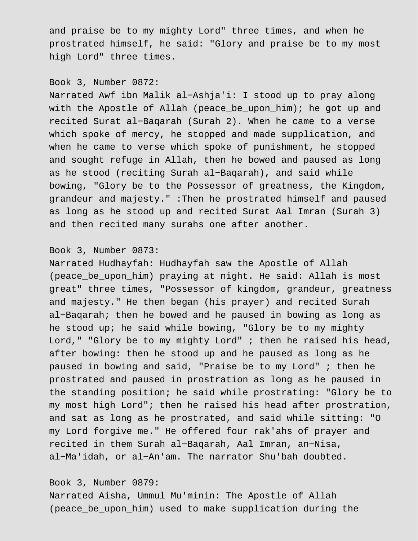and praise be to my mighty Lord" three times, and when he prostrated himself, he said: "Glory and praise be to my most high Lord" three times.

## Book 3, Number 0872:

Narrated Awf ibn Malik al−Ashja'i: I stood up to pray along with the Apostle of Allah (peace\_be\_upon\_him); he got up and recited Surat al−Baqarah (Surah 2). When he came to a verse which spoke of mercy, he stopped and made supplication, and when he came to verse which spoke of punishment, he stopped and sought refuge in Allah, then he bowed and paused as long as he stood (reciting Surah al−Baqarah), and said while bowing, "Glory be to the Possessor of greatness, the Kingdom, grandeur and majesty." :Then he prostrated himself and paused as long as he stood up and recited Surat Aal Imran (Surah 3) and then recited many surahs one after another.

# Book 3, Number 0873:

Narrated Hudhayfah: Hudhayfah saw the Apostle of Allah (peace\_be\_upon\_him) praying at night. He said: Allah is most great" three times, "Possessor of kingdom, grandeur, greatness and majesty." He then began (his prayer) and recited Surah al−Baqarah; then he bowed and he paused in bowing as long as he stood up; he said while bowing, "Glory be to my mighty Lord," "Glory be to my mighty Lord" ; then he raised his head, after bowing: then he stood up and he paused as long as he paused in bowing and said, "Praise be to my Lord" ; then he prostrated and paused in prostration as long as he paused in the standing position; he said while prostrating: "Glory be to my most high Lord"; then he raised his head after prostration, and sat as long as he prostrated, and said while sitting: "O my Lord forgive me." He offered four rak'ahs of prayer and recited in them Surah al−Baqarah, Aal Imran, an−Nisa, al−Ma'idah, or al−An'am. The narrator Shu'bah doubted.

# Book 3, Number 0879:

Narrated Aisha, Ummul Mu'minin: The Apostle of Allah (peace\_be\_upon\_him) used to make supplication during the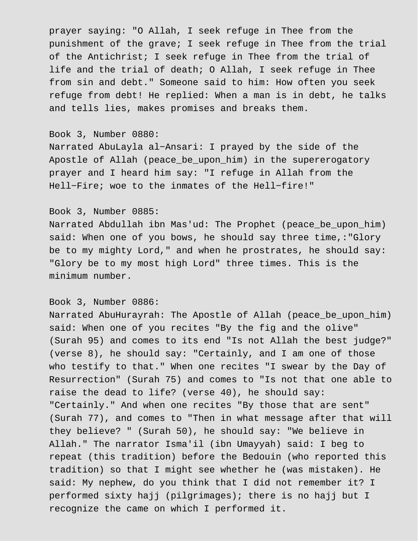prayer saying: "O Allah, I seek refuge in Thee from the punishment of the grave; I seek refuge in Thee from the trial of the Antichrist; I seek refuge in Thee from the trial of life and the trial of death; O Allah, I seek refuge in Thee from sin and debt." Someone said to him: How often you seek refuge from debt! He replied: When a man is in debt, he talks and tells lies, makes promises and breaks them.

#### Book 3, Number 0880:

Narrated AbuLayla al−Ansari: I prayed by the side of the Apostle of Allah (peace be upon him) in the supererogatory prayer and I heard him say: "I refuge in Allah from the Hell−Fire; woe to the inmates of the Hell−fire!"

### Book 3, Number 0885:

Narrated Abdullah ibn Mas'ud: The Prophet (peace\_be\_upon\_him) said: When one of you bows, he should say three time,:"Glory be to my mighty Lord," and when he prostrates, he should say: "Glory be to my most high Lord" three times. This is the minimum number.

#### Book 3, Number 0886:

Narrated AbuHurayrah: The Apostle of Allah (peace\_be\_upon\_him) said: When one of you recites "By the fig and the olive" (Surah 95) and comes to its end "Is not Allah the best judge?" (verse 8), he should say: "Certainly, and I am one of those who testify to that." When one recites "I swear by the Day of Resurrection" (Surah 75) and comes to "Is not that one able to raise the dead to life? (verse 40), he should say: "Certainly." And when one recites "By those that are sent" (Surah 77), and comes to "Then in what message after that will they believe? " (Surah 50), he should say: "We believe in Allah." The narrator Isma'il (ibn Umayyah) said: I beg to repeat (this tradition) before the Bedouin (who reported this tradition) so that I might see whether he (was mistaken). He said: My nephew, do you think that I did not remember it? I performed sixty hajj (pilgrimages); there is no hajj but I recognize the came on which I performed it.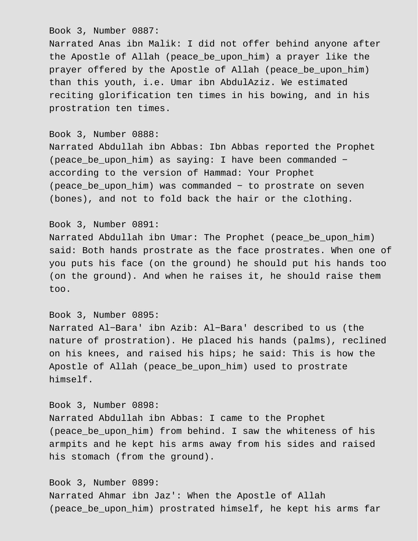# Book 3, Number 0887:

Narrated Anas ibn Malik: I did not offer behind anyone after the Apostle of Allah (peace be upon him) a prayer like the prayer offered by the Apostle of Allah (peace\_be\_upon\_him) than this youth, i.e. Umar ibn AbdulAziz. We estimated reciting glorification ten times in his bowing, and in his prostration ten times.

## Book 3, Number 0888:

Narrated Abdullah ibn Abbas: Ibn Abbas reported the Prophet (peace\_be\_upon\_him) as saying: I have been commanded − according to the version of Hammad: Your Prophet (peace\_be\_upon\_him) was commanded − to prostrate on seven (bones), and not to fold back the hair or the clothing.

### Book 3, Number 0891:

Narrated Abdullah ibn Umar: The Prophet (peace\_be\_upon\_him) said: Both hands prostrate as the face prostrates. When one of you puts his face (on the ground) he should put his hands too (on the ground). And when he raises it, he should raise them too.

#### Book 3, Number 0895:

Narrated Al−Bara' ibn Azib: Al−Bara' described to us (the nature of prostration). He placed his hands (palms), reclined on his knees, and raised his hips; he said: This is how the Apostle of Allah (peace\_be\_upon\_him) used to prostrate himself.

#### Book 3, Number 0898:

Narrated Abdullah ibn Abbas: I came to the Prophet (peace\_be\_upon\_him) from behind. I saw the whiteness of his armpits and he kept his arms away from his sides and raised his stomach (from the ground).

Book 3, Number 0899: Narrated Ahmar ibn Jaz': When the Apostle of Allah (peace\_be\_upon\_him) prostrated himself, he kept his arms far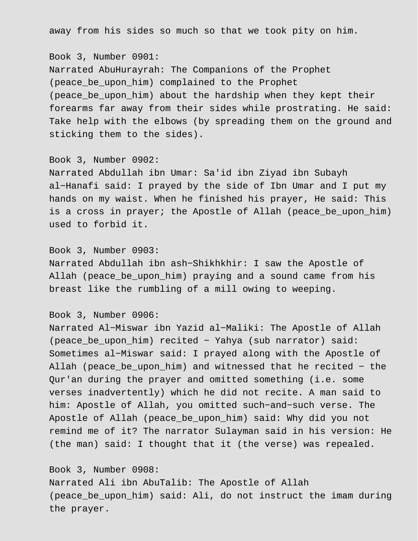away from his sides so much so that we took pity on him.

Book 3, Number 0901: Narrated AbuHurayrah: The Companions of the Prophet (peace\_be\_upon\_him) complained to the Prophet (peace\_be\_upon\_him) about the hardship when they kept their forearms far away from their sides while prostrating. He said: Take help with the elbows (by spreading them on the ground and sticking them to the sides).

#### Book 3, Number 0902:

Narrated Abdullah ibn Umar: Sa'id ibn Ziyad ibn Subayh al−Hanafi said: I prayed by the side of Ibn Umar and I put my hands on my waist. When he finished his prayer, He said: This is a cross in prayer; the Apostle of Allah (peace\_be\_upon\_him) used to forbid it.

## Book 3, Number 0903:

Narrated Abdullah ibn ash−Shikhkhir: I saw the Apostle of Allah (peace\_be\_upon\_him) praying and a sound came from his breast like the rumbling of a mill owing to weeping.

#### Book 3, Number 0906:

Narrated Al−Miswar ibn Yazid al−Maliki: The Apostle of Allah (peace\_be\_upon\_him) recited − Yahya (sub narrator) said: Sometimes al−Miswar said: I prayed along with the Apostle of Allah (peace\_be\_upon\_him) and witnessed that he recited − the Qur'an during the prayer and omitted something (i.e. some verses inadvertently) which he did not recite. A man said to him: Apostle of Allah, you omitted such−and−such verse. The Apostle of Allah (peace be upon him) said: Why did you not remind me of it? The narrator Sulayman said in his version: He (the man) said: I thought that it (the verse) was repealed.

# Book 3, Number 0908:

Narrated Ali ibn AbuTalib: The Apostle of Allah (peace\_be\_upon\_him) said: Ali, do not instruct the imam during the prayer.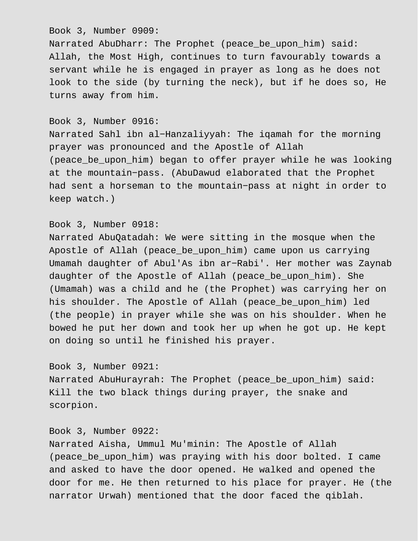# Book 3, Number 0909:

Narrated AbuDharr: The Prophet (peace\_be\_upon\_him) said: Allah, the Most High, continues to turn favourably towards a servant while he is engaged in prayer as long as he does not look to the side (by turning the neck), but if he does so, He turns away from him.

### Book 3, Number 0916:

Narrated Sahl ibn al−Hanzaliyyah: The iqamah for the morning prayer was pronounced and the Apostle of Allah (peace\_be\_upon\_him) began to offer prayer while he was looking at the mountain−pass. (AbuDawud elaborated that the Prophet had sent a horseman to the mountain−pass at night in order to keep watch.)

### Book 3, Number 0918:

Narrated AbuQatadah: We were sitting in the mosque when the Apostle of Allah (peace\_be\_upon\_him) came upon us carrying Umamah daughter of Abul'As ibn ar−Rabi'. Her mother was Zaynab daughter of the Apostle of Allah (peace\_be\_upon\_him). She (Umamah) was a child and he (the Prophet) was carrying her on his shoulder. The Apostle of Allah (peace\_be\_upon\_him) led (the people) in prayer while she was on his shoulder. When he bowed he put her down and took her up when he got up. He kept on doing so until he finished his prayer.

### Book 3, Number 0921:

Narrated AbuHurayrah: The Prophet (peace\_be\_upon\_him) said: Kill the two black things during prayer, the snake and scorpion.

#### Book 3, Number 0922:

Narrated Aisha, Ummul Mu'minin: The Apostle of Allah (peace\_be\_upon\_him) was praying with his door bolted. I came and asked to have the door opened. He walked and opened the door for me. He then returned to his place for prayer. He (the narrator Urwah) mentioned that the door faced the qiblah.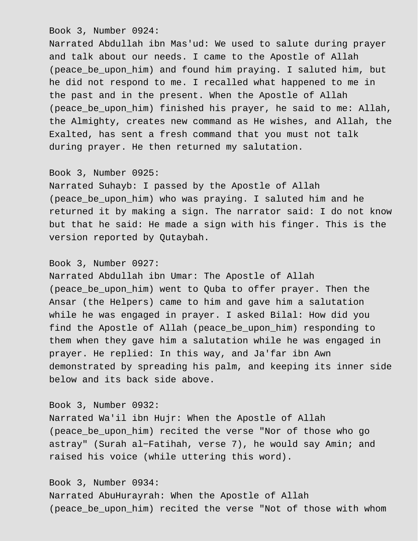#### Book 3, Number 0924:

Narrated Abdullah ibn Mas'ud: We used to salute during prayer and talk about our needs. I came to the Apostle of Allah (peace\_be\_upon\_him) and found him praying. I saluted him, but he did not respond to me. I recalled what happened to me in the past and in the present. When the Apostle of Allah (peace\_be\_upon\_him) finished his prayer, he said to me: Allah, the Almighty, creates new command as He wishes, and Allah, the Exalted, has sent a fresh command that you must not talk during prayer. He then returned my salutation.

#### Book 3, Number 0925:

Narrated Suhayb: I passed by the Apostle of Allah (peace\_be\_upon\_him) who was praying. I saluted him and he returned it by making a sign. The narrator said: I do not know but that he said: He made a sign with his finger. This is the version reported by Qutaybah.

## Book 3, Number 0927:

Narrated Abdullah ibn Umar: The Apostle of Allah (peace be upon him) went to Quba to offer prayer. Then the Ansar (the Helpers) came to him and gave him a salutation while he was engaged in prayer. I asked Bilal: How did you find the Apostle of Allah (peace\_be\_upon\_him) responding to them when they gave him a salutation while he was engaged in prayer. He replied: In this way, and Ja'far ibn Awn demonstrated by spreading his palm, and keeping its inner side below and its back side above.

# Book 3, Number 0932:

Narrated Wa'il ibn Hujr: When the Apostle of Allah (peace\_be\_upon\_him) recited the verse "Nor of those who go astray" (Surah al−Fatihah, verse 7), he would say Amin; and raised his voice (while uttering this word).

# Book 3, Number 0934:

Narrated AbuHurayrah: When the Apostle of Allah (peace\_be\_upon\_him) recited the verse "Not of those with whom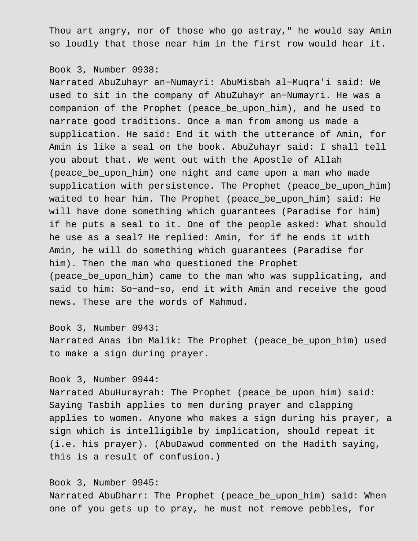Thou art angry, nor of those who go astray," he would say Amin so loudly that those near him in the first row would hear it.

# Book 3, Number 0938:

Narrated AbuZuhayr an−Numayri: AbuMisbah al−Muqra'i said: We used to sit in the company of AbuZuhayr an−Numayri. He was a companion of the Prophet (peace\_be\_upon\_him), and he used to narrate good traditions. Once a man from among us made a supplication. He said: End it with the utterance of Amin, for Amin is like a seal on the book. AbuZuhayr said: I shall tell you about that. We went out with the Apostle of Allah (peace\_be\_upon\_him) one night and came upon a man who made supplication with persistence. The Prophet (peace be upon him) waited to hear him. The Prophet (peace\_be\_upon\_him) said: He will have done something which guarantees (Paradise for him) if he puts a seal to it. One of the people asked: What should he use as a seal? He replied: Amin, for if he ends it with Amin, he will do something which guarantees (Paradise for him). Then the man who questioned the Prophet (peace be upon him) came to the man who was supplicating, and said to him: So−and−so, end it with Amin and receive the good news. These are the words of Mahmud.

## Book 3, Number 0943:

Narrated Anas ibn Malik: The Prophet (peace\_be\_upon\_him) used to make a sign during prayer.

## Book 3, Number 0944:

Narrated AbuHurayrah: The Prophet (peace\_be\_upon\_him) said: Saying Tasbih applies to men during prayer and clapping applies to women. Anyone who makes a sign during his prayer, a sign which is intelligible by implication, should repeat it (i.e. his prayer). (AbuDawud commented on the Hadith saying, this is a result of confusion.)

# Book 3, Number 0945:

Narrated AbuDharr: The Prophet (peace\_be\_upon\_him) said: When one of you gets up to pray, he must not remove pebbles, for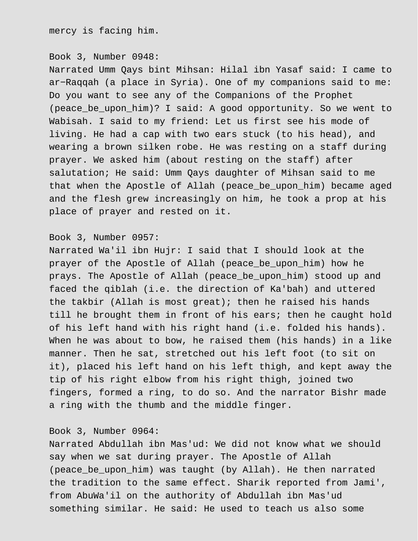mercy is facing him.

## Book 3, Number 0948:

Narrated Umm Qays bint Mihsan: Hilal ibn Yasaf said: I came to ar−Raqqah (a place in Syria). One of my companions said to me: Do you want to see any of the Companions of the Prophet (peace\_be\_upon\_him)? I said: A good opportunity. So we went to Wabisah. I said to my friend: Let us first see his mode of living. He had a cap with two ears stuck (to his head), and wearing a brown silken robe. He was resting on a staff during prayer. We asked him (about resting on the staff) after salutation; He said: Umm Qays daughter of Mihsan said to me that when the Apostle of Allah (peace\_be\_upon\_him) became aged and the flesh grew increasingly on him, he took a prop at his place of prayer and rested on it.

# Book 3, Number 0957:

Narrated Wa'il ibn Hujr: I said that I should look at the prayer of the Apostle of Allah (peace\_be\_upon\_him) how he prays. The Apostle of Allah (peace\_be\_upon\_him) stood up and faced the qiblah (i.e. the direction of Ka'bah) and uttered the takbir (Allah is most great); then he raised his hands till he brought them in front of his ears; then he caught hold of his left hand with his right hand (i.e. folded his hands). When he was about to bow, he raised them (his hands) in a like manner. Then he sat, stretched out his left foot (to sit on it), placed his left hand on his left thigh, and kept away the tip of his right elbow from his right thigh, joined two fingers, formed a ring, to do so. And the narrator Bishr made a ring with the thumb and the middle finger.

## Book 3, Number 0964:

Narrated Abdullah ibn Mas'ud: We did not know what we should say when we sat during prayer. The Apostle of Allah (peace be upon him) was taught (by Allah). He then narrated the tradition to the same effect. Sharik reported from Jami', from AbuWa'il on the authority of Abdullah ibn Mas'ud something similar. He said: He used to teach us also some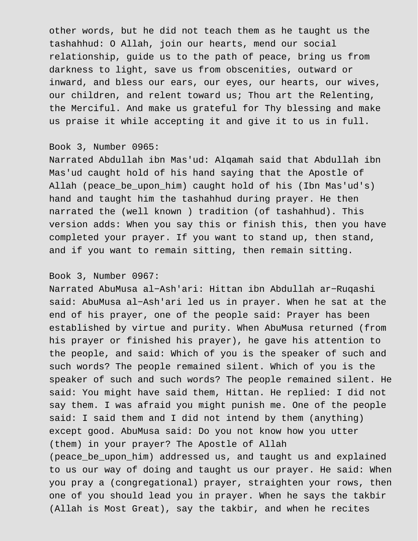other words, but he did not teach them as he taught us the tashahhud: O Allah, join our hearts, mend our social relationship, guide us to the path of peace, bring us from darkness to light, save us from obscenities, outward or inward, and bless our ears, our eyes, our hearts, our wives, our children, and relent toward us; Thou art the Relenting, the Merciful. And make us grateful for Thy blessing and make us praise it while accepting it and give it to us in full.

## Book 3, Number 0965:

Narrated Abdullah ibn Mas'ud: Alqamah said that Abdullah ibn Mas'ud caught hold of his hand saying that the Apostle of Allah (peace\_be\_upon\_him) caught hold of his (Ibn Mas'ud's) hand and taught him the tashahhud during prayer. He then narrated the (well known ) tradition (of tashahhud). This version adds: When you say this or finish this, then you have completed your prayer. If you want to stand up, then stand, and if you want to remain sitting, then remain sitting.

### Book 3, Number 0967:

Narrated AbuMusa al−Ash'ari: Hittan ibn Abdullah ar−Ruqashi said: AbuMusa al−Ash'ari led us in prayer. When he sat at the end of his prayer, one of the people said: Prayer has been established by virtue and purity. When AbuMusa returned (from his prayer or finished his prayer), he gave his attention to the people, and said: Which of you is the speaker of such and such words? The people remained silent. Which of you is the speaker of such and such words? The people remained silent. He said: You might have said them, Hittan. He replied: I did not say them. I was afraid you might punish me. One of the people said: I said them and I did not intend by them (anything) except good. AbuMusa said: Do you not know how you utter (them) in your prayer? The Apostle of Allah (peace\_be\_upon\_him) addressed us, and taught us and explained to us our way of doing and taught us our prayer. He said: When you pray a (congregational) prayer, straighten your rows, then one of you should lead you in prayer. When he says the takbir (Allah is Most Great), say the takbir, and when he recites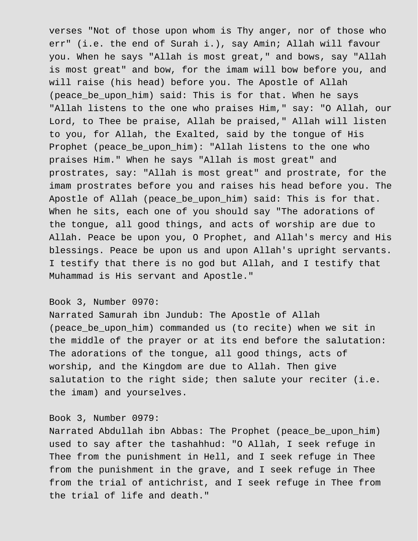verses "Not of those upon whom is Thy anger, nor of those who err" (i.e. the end of Surah i.), say Amin; Allah will favour you. When he says "Allah is most great," and bows, say "Allah is most great" and bow, for the imam will bow before you, and will raise (his head) before you. The Apostle of Allah (peace be upon him) said: This is for that. When he says "Allah listens to the one who praises Him," say: "O Allah, our Lord, to Thee be praise, Allah be praised," Allah will listen to you, for Allah, the Exalted, said by the tongue of His Prophet (peace\_be\_upon\_him): "Allah listens to the one who praises Him." When he says "Allah is most great" and prostrates, say: "Allah is most great" and prostrate, for the imam prostrates before you and raises his head before you. The Apostle of Allah (peace\_be\_upon\_him) said: This is for that. When he sits, each one of you should say "The adorations of the tongue, all good things, and acts of worship are due to Allah. Peace be upon you, O Prophet, and Allah's mercy and His blessings. Peace be upon us and upon Allah's upright servants. I testify that there is no god but Allah, and I testify that Muhammad is His servant and Apostle."

# Book 3, Number 0970:

Narrated Samurah ibn Jundub: The Apostle of Allah (peace\_be\_upon\_him) commanded us (to recite) when we sit in the middle of the prayer or at its end before the salutation: The adorations of the tongue, all good things, acts of worship, and the Kingdom are due to Allah. Then give salutation to the right side; then salute your reciter (i.e. the imam) and yourselves.

# Book 3, Number 0979:

Narrated Abdullah ibn Abbas: The Prophet (peace\_be\_upon\_him) used to say after the tashahhud: "O Allah, I seek refuge in Thee from the punishment in Hell, and I seek refuge in Thee from the punishment in the grave, and I seek refuge in Thee from the trial of antichrist, and I seek refuge in Thee from the trial of life and death."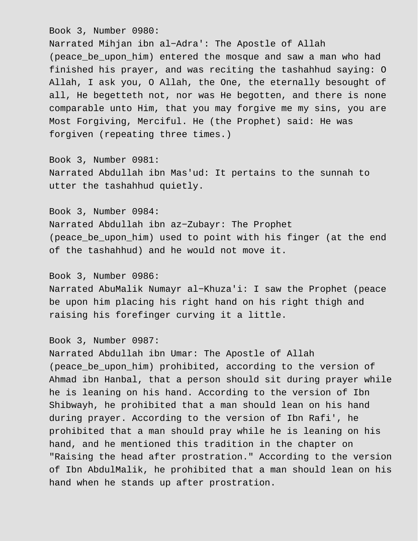Book 3, Number 0980:

Narrated Mihjan ibn al−Adra': The Apostle of Allah (peace be upon him) entered the mosque and saw a man who had finished his prayer, and was reciting the tashahhud saying: O Allah, I ask you, O Allah, the One, the eternally besought of all, He begetteth not, nor was He begotten, and there is none comparable unto Him, that you may forgive me my sins, you are Most Forgiving, Merciful. He (the Prophet) said: He was forgiven (repeating three times.)

Book 3, Number 0981: Narrated Abdullah ibn Mas'ud: It pertains to the sunnah to utter the tashahhud quietly.

Book 3, Number 0984: Narrated Abdullah ibn az−Zubayr: The Prophet (peace be upon him) used to point with his finger (at the end of the tashahhud) and he would not move it.

Book 3, Number 0986:

Narrated AbuMalik Numayr al−Khuza'i: I saw the Prophet (peace be upon him placing his right hand on his right thigh and raising his forefinger curving it a little.

Book 3, Number 0987:

Narrated Abdullah ibn Umar: The Apostle of Allah (peace\_be\_upon\_him) prohibited, according to the version of Ahmad ibn Hanbal, that a person should sit during prayer while he is leaning on his hand. According to the version of Ibn Shibwayh, he prohibited that a man should lean on his hand during prayer. According to the version of Ibn Rafi', he prohibited that a man should pray while he is leaning on his hand, and he mentioned this tradition in the chapter on "Raising the head after prostration." According to the version of Ibn AbdulMalik, he prohibited that a man should lean on his hand when he stands up after prostration.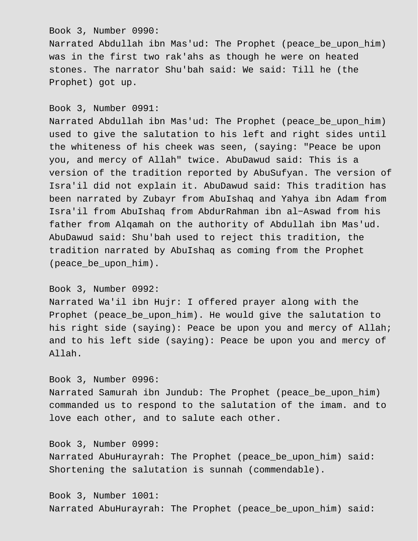# Book 3, Number 0990:

Narrated Abdullah ibn Mas'ud: The Prophet (peace\_be\_upon\_him) was in the first two rak'ahs as though he were on heated stones. The narrator Shu'bah said: We said: Till he (the Prophet) got up.

#### Book 3, Number 0991:

Narrated Abdullah ibn Mas'ud: The Prophet (peace\_be\_upon\_him) used to give the salutation to his left and right sides until the whiteness of his cheek was seen, (saying: "Peace be upon you, and mercy of Allah" twice. AbuDawud said: This is a version of the tradition reported by AbuSufyan. The version of Isra'il did not explain it. AbuDawud said: This tradition has been narrated by Zubayr from AbuIshaq and Yahya ibn Adam from Isra'il from AbuIshaq from AbdurRahman ibn al−Aswad from his father from Alqamah on the authority of Abdullah ibn Mas'ud. AbuDawud said: Shu'bah used to reject this tradition, the tradition narrated by AbuIshaq as coming from the Prophet (peace\_be\_upon\_him).

# Book 3, Number 0992:

Narrated Wa'il ibn Hujr: I offered prayer along with the Prophet (peace\_be\_upon\_him). He would give the salutation to his right side (saying): Peace be upon you and mercy of Allah; and to his left side (saying): Peace be upon you and mercy of Allah.

## Book 3, Number 0996:

Narrated Samurah ibn Jundub: The Prophet (peace\_be\_upon\_him) commanded us to respond to the salutation of the imam. and to love each other, and to salute each other.

# Book 3, Number 0999:

Narrated AbuHurayrah: The Prophet (peace\_be\_upon\_him) said: Shortening the salutation is sunnah (commendable).

Book 3, Number 1001: Narrated AbuHurayrah: The Prophet (peace\_be\_upon\_him) said: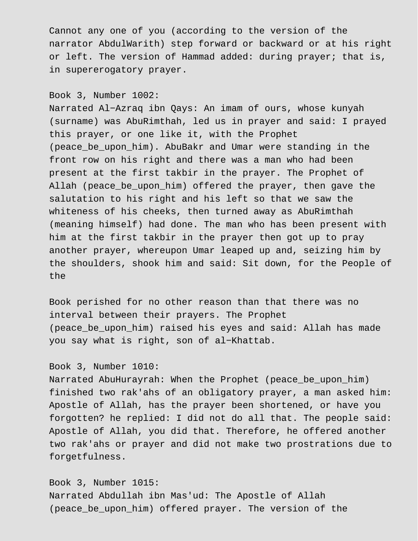Cannot any one of you (according to the version of the narrator AbdulWarith) step forward or backward or at his right or left. The version of Hammad added: during prayer; that is, in supererogatory prayer.

# Book 3, Number 1002:

Narrated Al−Azraq ibn Qays: An imam of ours, whose kunyah (surname) was AbuRimthah, led us in prayer and said: I prayed this prayer, or one like it, with the Prophet (peace be upon him). AbuBakr and Umar were standing in the front row on his right and there was a man who had been present at the first takbir in the prayer. The Prophet of Allah (peace\_be\_upon\_him) offered the prayer, then gave the salutation to his right and his left so that we saw the whiteness of his cheeks, then turned away as AbuRimthah (meaning himself) had done. The man who has been present with him at the first takbir in the prayer then got up to pray another prayer, whereupon Umar leaped up and, seizing him by the shoulders, shook him and said: Sit down, for the People of the

Book perished for no other reason than that there was no interval between their prayers. The Prophet (peace\_be\_upon\_him) raised his eyes and said: Allah has made you say what is right, son of al−Khattab.

# Book 3, Number 1010:

Narrated AbuHurayrah: When the Prophet (peace\_be\_upon\_him) finished two rak'ahs of an obligatory prayer, a man asked him: Apostle of Allah, has the prayer been shortened, or have you forgotten? he replied: I did not do all that. The people said: Apostle of Allah, you did that. Therefore, he offered another two rak'ahs or prayer and did not make two prostrations due to forgetfulness.

Book 3, Number 1015: Narrated Abdullah ibn Mas'ud: The Apostle of Allah (peace\_be\_upon\_him) offered prayer. The version of the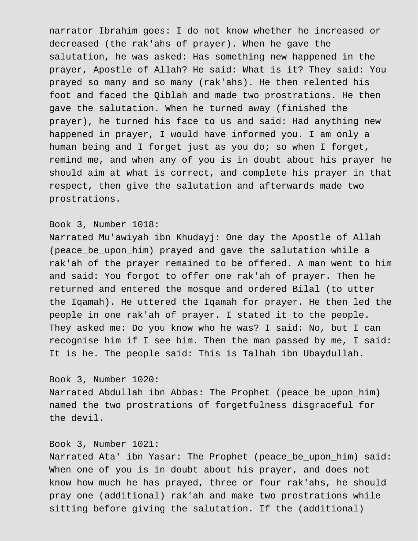narrator Ibrahim goes: I do not know whether he increased or decreased (the rak'ahs of prayer). When he gave the salutation, he was asked: Has something new happened in the prayer, Apostle of Allah? He said: What is it? They said: You prayed so many and so many (rak'ahs). He then relented his foot and faced the Qiblah and made two prostrations. He then gave the salutation. When he turned away (finished the prayer), he turned his face to us and said: Had anything new happened in prayer, I would have informed you. I am only a human being and I forget just as you do; so when I forget, remind me, and when any of you is in doubt about his prayer he should aim at what is correct, and complete his prayer in that respect, then give the salutation and afterwards made two prostrations.

#### Book 3, Number 1018:

Narrated Mu'awiyah ibn Khudayj: One day the Apostle of Allah (peace\_be\_upon\_him) prayed and gave the salutation while a rak'ah of the prayer remained to be offered. A man went to him and said: You forgot to offer one rak'ah of prayer. Then he returned and entered the mosque and ordered Bilal (to utter the Iqamah). He uttered the Iqamah for prayer. He then led the people in one rak'ah of prayer. I stated it to the people. They asked me: Do you know who he was? I said: No, but I can recognise him if I see him. Then the man passed by me, I said: It is he. The people said: This is Talhah ibn Ubaydullah.

## Book 3, Number 1020:

Narrated Abdullah ibn Abbas: The Prophet (peace\_be\_upon\_him) named the two prostrations of forgetfulness disgraceful for the devil.

# Book 3, Number 1021:

Narrated Ata' ibn Yasar: The Prophet (peace\_be\_upon\_him) said: When one of you is in doubt about his prayer, and does not know how much he has prayed, three or four rak'ahs, he should pray one (additional) rak'ah and make two prostrations while sitting before giving the salutation. If the (additional)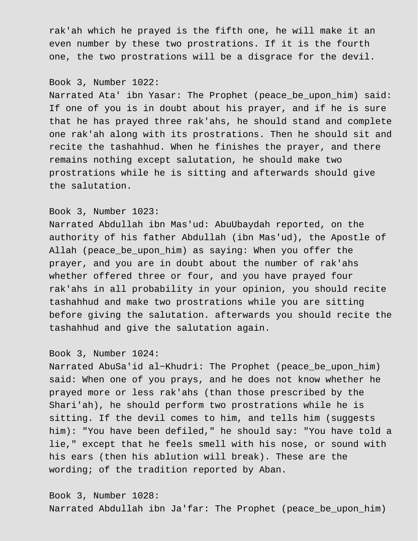rak'ah which he prayed is the fifth one, he will make it an even number by these two prostrations. If it is the fourth one, the two prostrations will be a disgrace for the devil.

# Book 3, Number 1022:

Narrated Ata' ibn Yasar: The Prophet (peace\_be\_upon\_him) said: If one of you is in doubt about his prayer, and if he is sure that he has prayed three rak'ahs, he should stand and complete one rak'ah along with its prostrations. Then he should sit and recite the tashahhud. When he finishes the prayer, and there remains nothing except salutation, he should make two prostrations while he is sitting and afterwards should give the salutation.

# Book 3, Number 1023:

Narrated Abdullah ibn Mas'ud: AbuUbaydah reported, on the authority of his father Abdullah (ibn Mas'ud), the Apostle of Allah (peace\_be\_upon\_him) as saying: When you offer the prayer, and you are in doubt about the number of rak'ahs whether offered three or four, and you have prayed four rak'ahs in all probability in your opinion, you should recite tashahhud and make two prostrations while you are sitting before giving the salutation. afterwards you should recite the tashahhud and give the salutation again.

# Book 3, Number 1024:

Narrated AbuSa'id al−Khudri: The Prophet (peace\_be\_upon\_him) said: When one of you prays, and he does not know whether he prayed more or less rak'ahs (than those prescribed by the Shari'ah), he should perform two prostrations while he is sitting. If the devil comes to him, and tells him (suggests him): "You have been defiled," he should say: "You have told a lie," except that he feels smell with his nose, or sound with his ears (then his ablution will break). These are the wording; of the tradition reported by Aban.

# Book 3, Number 1028:

Narrated Abdullah ibn Ja'far: The Prophet (peace\_be\_upon\_him)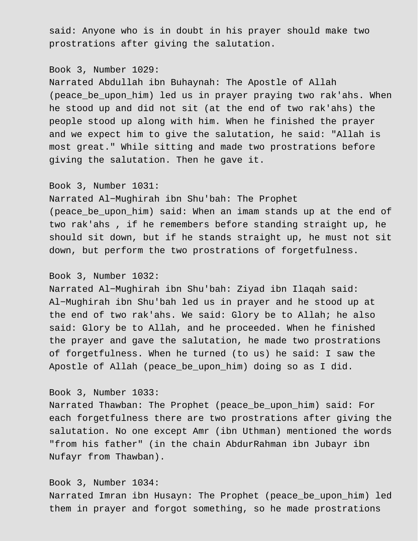said: Anyone who is in doubt in his prayer should make two prostrations after giving the salutation.

# Book 3, Number 1029:

Narrated Abdullah ibn Buhaynah: The Apostle of Allah (peace\_be\_upon\_him) led us in prayer praying two rak'ahs. When he stood up and did not sit (at the end of two rak'ahs) the people stood up along with him. When he finished the prayer and we expect him to give the salutation, he said: "Allah is most great." While sitting and made two prostrations before giving the salutation. Then he gave it.

#### Book 3, Number 1031:

Narrated Al−Mughirah ibn Shu'bah: The Prophet (peace be upon him) said: When an imam stands up at the end of two rak'ahs , if he remembers before standing straight up, he should sit down, but if he stands straight up, he must not sit down, but perform the two prostrations of forgetfulness.

#### Book 3, Number 1032:

Narrated Al−Mughirah ibn Shu'bah: Ziyad ibn Ilaqah said: Al−Mughirah ibn Shu'bah led us in prayer and he stood up at the end of two rak'ahs. We said: Glory be to Allah; he also said: Glory be to Allah, and he proceeded. When he finished the prayer and gave the salutation, he made two prostrations of forgetfulness. When he turned (to us) he said: I saw the Apostle of Allah (peace\_be\_upon\_him) doing so as I did.

# Book 3, Number 1033:

Narrated Thawban: The Prophet (peace\_be\_upon\_him) said: For each forgetfulness there are two prostrations after giving the salutation. No one except Amr (ibn Uthman) mentioned the words "from his father" (in the chain AbdurRahman ibn Jubayr ibn Nufayr from Thawban).

# Book 3, Number 1034:

Narrated Imran ibn Husayn: The Prophet (peace\_be\_upon\_him) led them in prayer and forgot something, so he made prostrations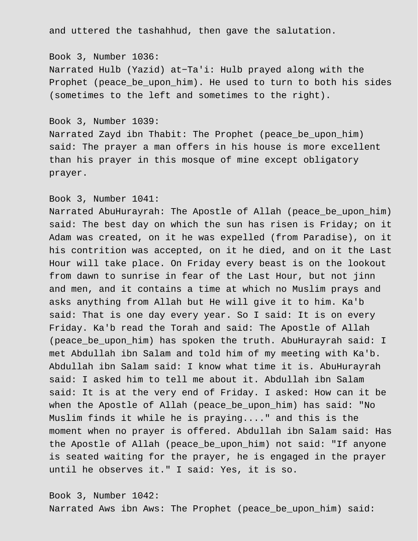and uttered the tashahhud, then gave the salutation.

Book 3, Number 1036:

Narrated Hulb (Yazid) at−Ta'i: Hulb prayed along with the Prophet (peace be upon him). He used to turn to both his sides (sometimes to the left and sometimes to the right).

#### Book 3, Number 1039:

Narrated Zayd ibn Thabit: The Prophet (peace\_be\_upon\_him) said: The prayer a man offers in his house is more excellent than his prayer in this mosque of mine except obligatory prayer.

Book 3, Number 1041:

Narrated AbuHurayrah: The Apostle of Allah (peace be upon him) said: The best day on which the sun has risen is Friday; on it Adam was created, on it he was expelled (from Paradise), on it his contrition was accepted, on it he died, and on it the Last Hour will take place. On Friday every beast is on the lookout from dawn to sunrise in fear of the Last Hour, but not jinn and men, and it contains a time at which no Muslim prays and asks anything from Allah but He will give it to him. Ka'b said: That is one day every year. So I said: It is on every Friday. Ka'b read the Torah and said: The Apostle of Allah (peace\_be\_upon\_him) has spoken the truth. AbuHurayrah said: I met Abdullah ibn Salam and told him of my meeting with Ka'b. Abdullah ibn Salam said: I know what time it is. AbuHurayrah said: I asked him to tell me about it. Abdullah ibn Salam said: It is at the very end of Friday. I asked: How can it be when the Apostle of Allah (peace\_be\_upon\_him) has said: "No Muslim finds it while he is praying...." and this is the moment when no prayer is offered. Abdullah ibn Salam said: Has the Apostle of Allah (peace\_be\_upon\_him) not said: "If anyone is seated waiting for the prayer, he is engaged in the prayer until he observes it." I said: Yes, it is so.

Book 3, Number 1042: Narrated Aws ibn Aws: The Prophet (peace\_be\_upon\_him) said: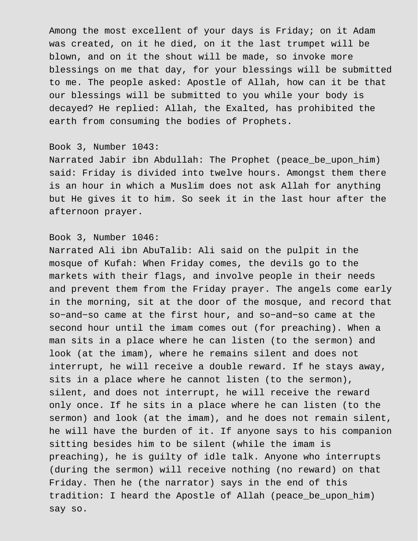Among the most excellent of your days is Friday; on it Adam was created, on it he died, on it the last trumpet will be blown, and on it the shout will be made, so invoke more blessings on me that day, for your blessings will be submitted to me. The people asked: Apostle of Allah, how can it be that our blessings will be submitted to you while your body is decayed? He replied: Allah, the Exalted, has prohibited the earth from consuming the bodies of Prophets.

# Book 3, Number 1043:

Narrated Jabir ibn Abdullah: The Prophet (peace\_be\_upon\_him) said: Friday is divided into twelve hours. Amongst them there is an hour in which a Muslim does not ask Allah for anything but He gives it to him. So seek it in the last hour after the afternoon prayer.

# Book 3, Number 1046:

Narrated Ali ibn AbuTalib: Ali said on the pulpit in the mosque of Kufah: When Friday comes, the devils go to the markets with their flags, and involve people in their needs and prevent them from the Friday prayer. The angels come early in the morning, sit at the door of the mosque, and record that so−and−so came at the first hour, and so−and−so came at the second hour until the imam comes out (for preaching). When a man sits in a place where he can listen (to the sermon) and look (at the imam), where he remains silent and does not interrupt, he will receive a double reward. If he stays away, sits in a place where he cannot listen (to the sermon), silent, and does not interrupt, he will receive the reward only once. If he sits in a place where he can listen (to the sermon) and look (at the imam), and he does not remain silent, he will have the burden of it. If anyone says to his companion sitting besides him to be silent (while the imam is preaching), he is guilty of idle talk. Anyone who interrupts (during the sermon) will receive nothing (no reward) on that Friday. Then he (the narrator) says in the end of this tradition: I heard the Apostle of Allah (peace\_be\_upon\_him) say so.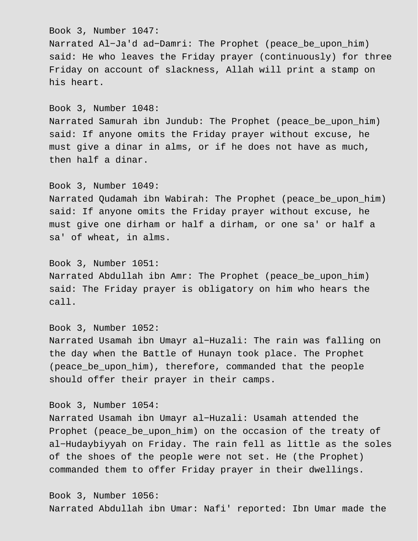#### Book 3, Number 1047:

Narrated Al−Ja'd ad−Damri: The Prophet (peace\_be\_upon\_him) said: He who leaves the Friday prayer (continuously) for three Friday on account of slackness, Allah will print a stamp on his heart.

Book 3, Number 1048:

Narrated Samurah ibn Jundub: The Prophet (peace\_be\_upon\_him) said: If anyone omits the Friday prayer without excuse, he must give a dinar in alms, or if he does not have as much, then half a dinar.

Book 3, Number 1049:

Narrated Qudamah ibn Wabirah: The Prophet (peace\_be\_upon\_him) said: If anyone omits the Friday prayer without excuse, he must give one dirham or half a dirham, or one sa' or half a sa' of wheat, in alms.

Book 3, Number 1051: Narrated Abdullah ibn Amr: The Prophet (peace\_be\_upon\_him) said: The Friday prayer is obligatory on him who hears the call.

Book 3, Number 1052: Narrated Usamah ibn Umayr al−Huzali: The rain was falling on the day when the Battle of Hunayn took place. The Prophet (peace\_be\_upon\_him), therefore, commanded that the people should offer their prayer in their camps.

Book 3, Number 1054:

Narrated Usamah ibn Umayr al−Huzali: Usamah attended the Prophet (peace\_be\_upon\_him) on the occasion of the treaty of al−Hudaybiyyah on Friday. The rain fell as little as the soles of the shoes of the people were not set. He (the Prophet) commanded them to offer Friday prayer in their dwellings.

Book 3, Number 1056: Narrated Abdullah ibn Umar: Nafi' reported: Ibn Umar made the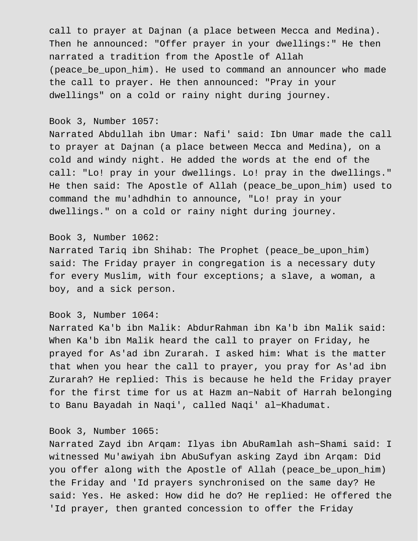call to prayer at Dajnan (a place between Mecca and Medina). Then he announced: "Offer prayer in your dwellings:" He then narrated a tradition from the Apostle of Allah (peace\_be\_upon\_him). He used to command an announcer who made the call to prayer. He then announced: "Pray in your dwellings" on a cold or rainy night during journey.

#### Book 3, Number 1057:

Narrated Abdullah ibn Umar: Nafi' said: Ibn Umar made the call to prayer at Dajnan (a place between Mecca and Medina), on a cold and windy night. He added the words at the end of the call: "Lo! pray in your dwellings. Lo! pray in the dwellings." He then said: The Apostle of Allah (peace\_be\_upon\_him) used to command the mu'adhdhin to announce, "Lo! pray in your dwellings." on a cold or rainy night during journey.

## Book 3, Number 1062:

Narrated Tariq ibn Shihab: The Prophet (peace\_be\_upon\_him) said: The Friday prayer in congregation is a necessary duty for every Muslim, with four exceptions; a slave, a woman, a boy, and a sick person.

#### Book 3, Number 1064:

Narrated Ka'b ibn Malik: AbdurRahman ibn Ka'b ibn Malik said: When Ka'b ibn Malik heard the call to prayer on Friday, he prayed for As'ad ibn Zurarah. I asked him: What is the matter that when you hear the call to prayer, you pray for As'ad ibn Zurarah? He replied: This is because he held the Friday prayer for the first time for us at Hazm an−Nabit of Harrah belonging to Banu Bayadah in Naqi', called Naqi' al−Khadumat.

#### Book 3, Number 1065:

Narrated Zayd ibn Arqam: Ilyas ibn AbuRamlah ash−Shami said: I witnessed Mu'awiyah ibn AbuSufyan asking Zayd ibn Arqam: Did you offer along with the Apostle of Allah (peace be upon him) the Friday and 'Id prayers synchronised on the same day? He said: Yes. He asked: How did he do? He replied: He offered the 'Id prayer, then granted concession to offer the Friday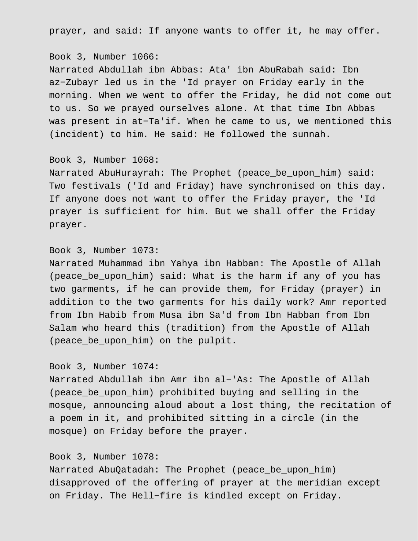prayer, and said: If anyone wants to offer it, he may offer.

## Book 3, Number 1066:

Narrated Abdullah ibn Abbas: Ata' ibn AbuRabah said: Ibn az−Zubayr led us in the 'Id prayer on Friday early in the morning. When we went to offer the Friday, he did not come out to us. So we prayed ourselves alone. At that time Ibn Abbas was present in at−Ta'if. When he came to us, we mentioned this (incident) to him. He said: He followed the sunnah.

## Book 3, Number 1068:

Narrated AbuHurayrah: The Prophet (peace\_be\_upon\_him) said: Two festivals ('Id and Friday) have synchronised on this day. If anyone does not want to offer the Friday prayer, the 'Id prayer is sufficient for him. But we shall offer the Friday prayer.

### Book 3, Number 1073:

Narrated Muhammad ibn Yahya ibn Habban: The Apostle of Allah (peace be upon him) said: What is the harm if any of you has two garments, if he can provide them, for Friday (prayer) in addition to the two garments for his daily work? Amr reported from Ibn Habib from Musa ibn Sa'd from Ibn Habban from Ibn Salam who heard this (tradition) from the Apostle of Allah (peace\_be\_upon\_him) on the pulpit.

# Book 3, Number 1074:

Narrated Abdullah ibn Amr ibn al−'As: The Apostle of Allah (peace\_be\_upon\_him) prohibited buying and selling in the mosque, announcing aloud about a lost thing, the recitation of a poem in it, and prohibited sitting in a circle (in the mosque) on Friday before the prayer.

#### Book 3, Number 1078:

Narrated AbuQatadah: The Prophet (peace be upon him) disapproved of the offering of prayer at the meridian except on Friday. The Hell−fire is kindled except on Friday.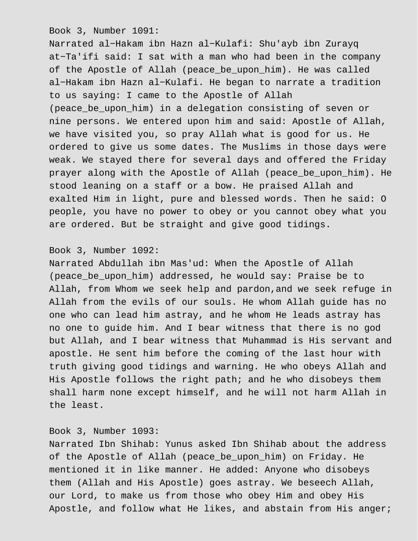Book 3, Number 1091:

Narrated al−Hakam ibn Hazn al−Kulafi: Shu'ayb ibn Zurayq at−Ta'ifi said: I sat with a man who had been in the company of the Apostle of Allah (peace\_be\_upon\_him). He was called al−Hakam ibn Hazn al−Kulafi. He began to narrate a tradition to us saying: I came to the Apostle of Allah (peace\_be\_upon\_him) in a delegation consisting of seven or nine persons. We entered upon him and said: Apostle of Allah, we have visited you, so pray Allah what is good for us. He ordered to give us some dates. The Muslims in those days were weak. We stayed there for several days and offered the Friday prayer along with the Apostle of Allah (peace be upon him). He stood leaning on a staff or a bow. He praised Allah and exalted Him in light, pure and blessed words. Then he said: O people, you have no power to obey or you cannot obey what you are ordered. But be straight and give good tidings.

## Book 3, Number 1092:

Narrated Abdullah ibn Mas'ud: When the Apostle of Allah (peace\_be\_upon\_him) addressed, he would say: Praise be to Allah, from Whom we seek help and pardon,and we seek refuge in Allah from the evils of our souls. He whom Allah guide has no one who can lead him astray, and he whom He leads astray has no one to guide him. And I bear witness that there is no god but Allah, and I bear witness that Muhammad is His servant and apostle. He sent him before the coming of the last hour with truth giving good tidings and warning. He who obeys Allah and His Apostle follows the right path; and he who disobeys them shall harm none except himself, and he will not harm Allah in the least.

## Book 3, Number 1093:

Narrated Ibn Shihab: Yunus asked Ibn Shihab about the address of the Apostle of Allah (peace\_be\_upon\_him) on Friday. He mentioned it in like manner. He added: Anyone who disobeys them (Allah and His Apostle) goes astray. We beseech Allah, our Lord, to make us from those who obey Him and obey His Apostle, and follow what He likes, and abstain from His anger;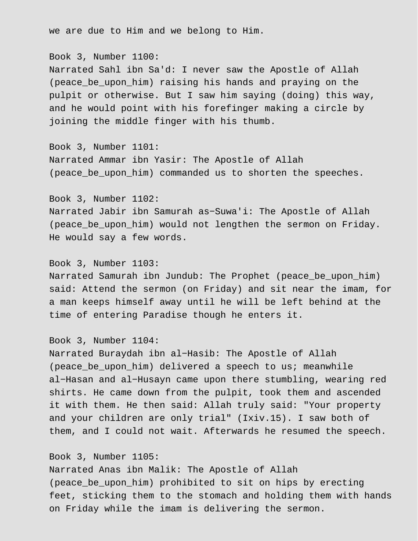we are due to Him and we belong to Him.

Book 3, Number 1100: Narrated Sahl ibn Sa'd: I never saw the Apostle of Allah (peace\_be\_upon\_him) raising his hands and praying on the pulpit or otherwise. But I saw him saying (doing) this way, and he would point with his forefinger making a circle by joining the middle finger with his thumb.

Book 3, Number 1101: Narrated Ammar ibn Yasir: The Apostle of Allah (peace\_be\_upon\_him) commanded us to shorten the speeches.

Book 3, Number 1102: Narrated Jabir ibn Samurah as−Suwa'i: The Apostle of Allah (peace\_be\_upon\_him) would not lengthen the sermon on Friday. He would say a few words.

Book 3, Number 1103: Narrated Samurah ibn Jundub: The Prophet (peace\_be\_upon\_him) said: Attend the sermon (on Friday) and sit near the imam, for a man keeps himself away until he will be left behind at the time of entering Paradise though he enters it.

Book 3, Number 1104:

Narrated Buraydah ibn al−Hasib: The Apostle of Allah (peace\_be\_upon\_him) delivered a speech to us; meanwhile al−Hasan and al−Husayn came upon there stumbling, wearing red shirts. He came down from the pulpit, took them and ascended it with them. He then said: Allah truly said: "Your property and your children are only trial" (Ixiv.15). I saw both of them, and I could not wait. Afterwards he resumed the speech.

#### Book 3, Number 1105:

Narrated Anas ibn Malik: The Apostle of Allah (peace\_be\_upon\_him) prohibited to sit on hips by erecting feet, sticking them to the stomach and holding them with hands on Friday while the imam is delivering the sermon.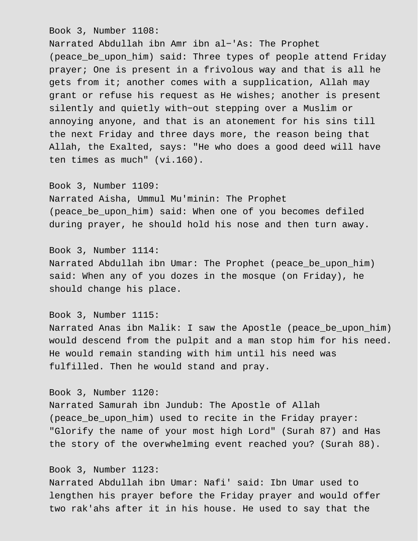Book 3, Number 1108:

Narrated Abdullah ibn Amr ibn al−'As: The Prophet (peace be upon him) said: Three types of people attend Friday prayer; One is present in a frivolous way and that is all he gets from it; another comes with a supplication, Allah may grant or refuse his request as He wishes; another is present silently and quietly with−out stepping over a Muslim or annoying anyone, and that is an atonement for his sins till the next Friday and three days more, the reason being that Allah, the Exalted, says: "He who does a good deed will have ten times as much" (vi.160).

Book 3, Number 1109: Narrated Aisha, Ummul Mu'minin: The Prophet (peace be upon him) said: When one of you becomes defiled during prayer, he should hold his nose and then turn away.

Book 3, Number 1114: Narrated Abdullah ibn Umar: The Prophet (peace\_be\_upon\_him) said: When any of you dozes in the mosque (on Friday), he should change his place.

Book 3, Number 1115: Narrated Anas ibn Malik: I saw the Apostle (peace\_be\_upon\_him) would descend from the pulpit and a man stop him for his need. He would remain standing with him until his need was fulfilled. Then he would stand and pray.

Book 3, Number 1120: Narrated Samurah ibn Jundub: The Apostle of Allah (peace be upon him) used to recite in the Friday prayer: "Glorify the name of your most high Lord" (Surah 87) and Has the story of the overwhelming event reached you? (Surah 88).

Book 3, Number 1123:

Narrated Abdullah ibn Umar: Nafi' said: Ibn Umar used to lengthen his prayer before the Friday prayer and would offer two rak'ahs after it in his house. He used to say that the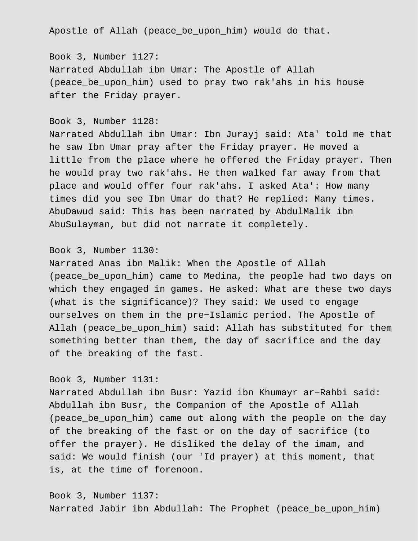Apostle of Allah (peace be upon him) would do that.

Book 3, Number 1127: Narrated Abdullah ibn Umar: The Apostle of Allah (peace\_be\_upon\_him) used to pray two rak'ahs in his house after the Friday prayer.

#### Book 3, Number 1128:

Narrated Abdullah ibn Umar: Ibn Jurayj said: Ata' told me that he saw Ibn Umar pray after the Friday prayer. He moved a little from the place where he offered the Friday prayer. Then he would pray two rak'ahs. He then walked far away from that place and would offer four rak'ahs. I asked Ata': How many times did you see Ibn Umar do that? He replied: Many times. AbuDawud said: This has been narrated by AbdulMalik ibn AbuSulayman, but did not narrate it completely.

### Book 3, Number 1130:

Narrated Anas ibn Malik: When the Apostle of Allah (peace\_be\_upon\_him) came to Medina, the people had two days on which they engaged in games. He asked: What are these two days (what is the significance)? They said: We used to engage ourselves on them in the pre−Islamic period. The Apostle of Allah (peace\_be\_upon\_him) said: Allah has substituted for them something better than them, the day of sacrifice and the day of the breaking of the fast.

# Book 3, Number 1131:

Narrated Abdullah ibn Busr: Yazid ibn Khumayr ar−Rahbi said: Abdullah ibn Busr, the Companion of the Apostle of Allah (peace\_be\_upon\_him) came out along with the people on the day of the breaking of the fast or on the day of sacrifice (to offer the prayer). He disliked the delay of the imam, and said: We would finish (our 'Id prayer) at this moment, that is, at the time of forenoon.

# Book 3, Number 1137:

Narrated Jabir ibn Abdullah: The Prophet (peace\_be\_upon\_him)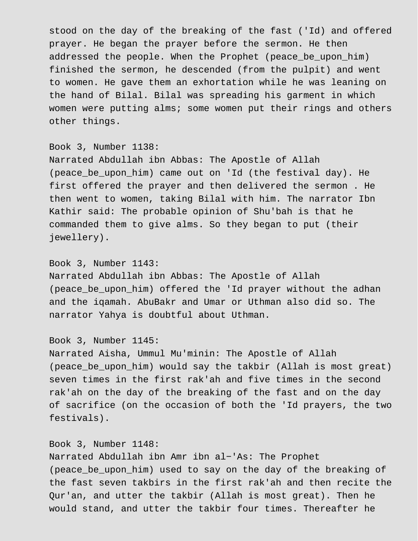stood on the day of the breaking of the fast ('Id) and offered prayer. He began the prayer before the sermon. He then addressed the people. When the Prophet (peace be upon him) finished the sermon, he descended (from the pulpit) and went to women. He gave them an exhortation while he was leaning on the hand of Bilal. Bilal was spreading his garment in which women were putting alms; some women put their rings and others other things.

### Book 3, Number 1138:

Narrated Abdullah ibn Abbas: The Apostle of Allah (peace\_be\_upon\_him) came out on 'Id (the festival day). He first offered the prayer and then delivered the sermon . He then went to women, taking Bilal with him. The narrator Ibn Kathir said: The probable opinion of Shu'bah is that he commanded them to give alms. So they began to put (their jewellery).

# Book 3, Number 1143:

Narrated Abdullah ibn Abbas: The Apostle of Allah (peace\_be\_upon\_him) offered the 'Id prayer without the adhan and the iqamah. AbuBakr and Umar or Uthman also did so. The narrator Yahya is doubtful about Uthman.

### Book 3, Number 1145:

Narrated Aisha, Ummul Mu'minin: The Apostle of Allah (peace be upon him) would say the takbir (Allah is most great) seven times in the first rak'ah and five times in the second rak'ah on the day of the breaking of the fast and on the day of sacrifice (on the occasion of both the 'Id prayers, the two festivals).

# Book 3, Number 1148:

Narrated Abdullah ibn Amr ibn al−'As: The Prophet (peace be upon him) used to say on the day of the breaking of the fast seven takbirs in the first rak'ah and then recite the Qur'an, and utter the takbir (Allah is most great). Then he would stand, and utter the takbir four times. Thereafter he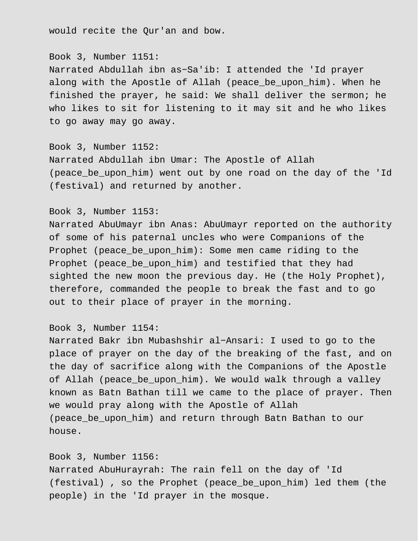would recite the Qur'an and bow.

Book 3, Number 1151:

Narrated Abdullah ibn as−Sa'ib: I attended the 'Id prayer along with the Apostle of Allah (peace be upon him). When he finished the prayer, he said: We shall deliver the sermon; he who likes to sit for listening to it may sit and he who likes to go away may go away.

Book 3, Number 1152:

Narrated Abdullah ibn Umar: The Apostle of Allah (peace\_be\_upon\_him) went out by one road on the day of the 'Id (festival) and returned by another.

## Book 3, Number 1153:

Narrated AbuUmayr ibn Anas: AbuUmayr reported on the authority of some of his paternal uncles who were Companions of the Prophet (peace\_be\_upon\_him): Some men came riding to the Prophet (peace\_be\_upon\_him) and testified that they had sighted the new moon the previous day. He (the Holy Prophet), therefore, commanded the people to break the fast and to go out to their place of prayer in the morning.

# Book 3, Number 1154:

Narrated Bakr ibn Mubashshir al−Ansari: I used to go to the place of prayer on the day of the breaking of the fast, and on the day of sacrifice along with the Companions of the Apostle of Allah (peace\_be\_upon\_him). We would walk through a valley known as Batn Bathan till we came to the place of prayer. Then we would pray along with the Apostle of Allah (peace\_be\_upon\_him) and return through Batn Bathan to our house.

#### Book 3, Number 1156:

Narrated AbuHurayrah: The rain fell on the day of 'Id (festival) , so the Prophet (peace\_be\_upon\_him) led them (the people) in the 'Id prayer in the mosque.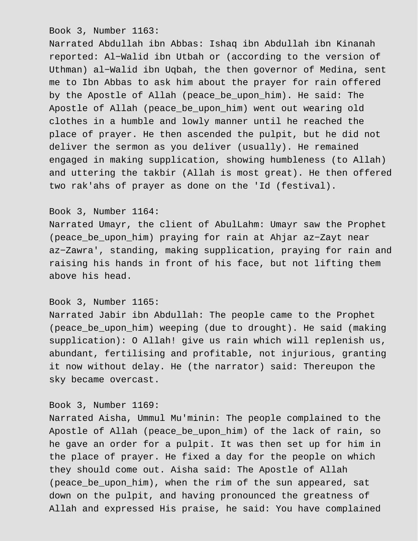Book 3, Number 1163:

Narrated Abdullah ibn Abbas: Ishaq ibn Abdullah ibn Kinanah reported: Al−Walid ibn Utbah or (according to the version of Uthman) al−Walid ibn Uqbah, the then governor of Medina, sent me to Ibn Abbas to ask him about the prayer for rain offered by the Apostle of Allah (peace\_be\_upon\_him). He said: The Apostle of Allah (peace\_be\_upon\_him) went out wearing old clothes in a humble and lowly manner until he reached the place of prayer. He then ascended the pulpit, but he did not deliver the sermon as you deliver (usually). He remained engaged in making supplication, showing humbleness (to Allah) and uttering the takbir (Allah is most great). He then offered two rak'ahs of prayer as done on the 'Id (festival).

# Book 3, Number 1164:

Narrated Umayr, the client of AbulLahm: Umayr saw the Prophet (peace\_be\_upon\_him) praying for rain at Ahjar az−Zayt near az−Zawra', standing, making supplication, praying for rain and raising his hands in front of his face, but not lifting them above his head.

## Book 3, Number 1165:

Narrated Jabir ibn Abdullah: The people came to the Prophet (peace\_be\_upon\_him) weeping (due to drought). He said (making supplication): O Allah! give us rain which will replenish us, abundant, fertilising and profitable, not injurious, granting it now without delay. He (the narrator) said: Thereupon the sky became overcast.

## Book 3, Number 1169:

Narrated Aisha, Ummul Mu'minin: The people complained to the Apostle of Allah (peace\_be\_upon\_him) of the lack of rain, so he gave an order for a pulpit. It was then set up for him in the place of prayer. He fixed a day for the people on which they should come out. Aisha said: The Apostle of Allah (peace\_be\_upon\_him), when the rim of the sun appeared, sat down on the pulpit, and having pronounced the greatness of Allah and expressed His praise, he said: You have complained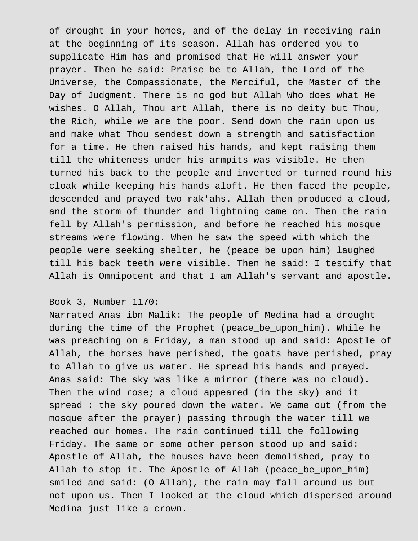of drought in your homes, and of the delay in receiving rain at the beginning of its season. Allah has ordered you to supplicate Him has and promised that He will answer your prayer. Then he said: Praise be to Allah, the Lord of the Universe, the Compassionate, the Merciful, the Master of the Day of Judgment. There is no god but Allah Who does what He wishes. O Allah, Thou art Allah, there is no deity but Thou, the Rich, while we are the poor. Send down the rain upon us and make what Thou sendest down a strength and satisfaction for a time. He then raised his hands, and kept raising them till the whiteness under his armpits was visible. He then turned his back to the people and inverted or turned round his cloak while keeping his hands aloft. He then faced the people, descended and prayed two rak'ahs. Allah then produced a cloud, and the storm of thunder and lightning came on. Then the rain fell by Allah's permission, and before he reached his mosque streams were flowing. When he saw the speed with which the people were seeking shelter, he (peace\_be\_upon\_him) laughed till his back teeth were visible. Then he said: I testify that Allah is Omnipotent and that I am Allah's servant and apostle.

# Book 3, Number 1170:

Narrated Anas ibn Malik: The people of Medina had a drought during the time of the Prophet (peace\_be\_upon\_him). While he was preaching on a Friday, a man stood up and said: Apostle of Allah, the horses have perished, the goats have perished, pray to Allah to give us water. He spread his hands and prayed. Anas said: The sky was like a mirror (there was no cloud). Then the wind rose; a cloud appeared (in the sky) and it spread : the sky poured down the water. We came out (from the mosque after the prayer) passing through the water till we reached our homes. The rain continued till the following Friday. The same or some other person stood up and said: Apostle of Allah, the houses have been demolished, pray to Allah to stop it. The Apostle of Allah (peace be upon him) smiled and said: (O Allah), the rain may fall around us but not upon us. Then I looked at the cloud which dispersed around Medina just like a crown.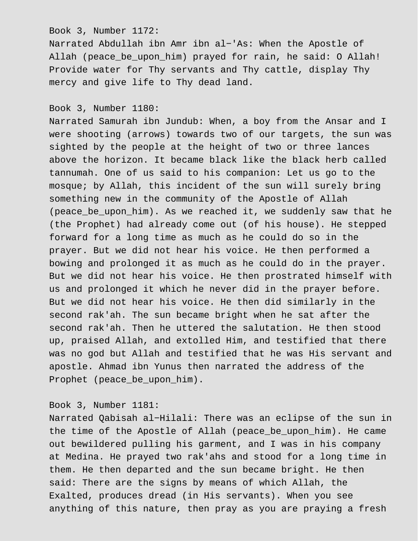# Book 3, Number 1172:

Narrated Abdullah ibn Amr ibn al−'As: When the Apostle of Allah (peace be upon him) prayed for rain, he said: O Allah! Provide water for Thy servants and Thy cattle, display Thy mercy and give life to Thy dead land.

#### Book 3, Number 1180:

Narrated Samurah ibn Jundub: When, a boy from the Ansar and I were shooting (arrows) towards two of our targets, the sun was sighted by the people at the height of two or three lances above the horizon. It became black like the black herb called tannumah. One of us said to his companion: Let us go to the mosque; by Allah, this incident of the sun will surely bring something new in the community of the Apostle of Allah (peace be upon him). As we reached it, we suddenly saw that he (the Prophet) had already come out (of his house). He stepped forward for a long time as much as he could do so in the prayer. But we did not hear his voice. He then performed a bowing and prolonged it as much as he could do in the prayer. But we did not hear his voice. He then prostrated himself with us and prolonged it which he never did in the prayer before. But we did not hear his voice. He then did similarly in the second rak'ah. The sun became bright when he sat after the second rak'ah. Then he uttered the salutation. He then stood up, praised Allah, and extolled Him, and testified that there was no god but Allah and testified that he was His servant and apostle. Ahmad ibn Yunus then narrated the address of the Prophet (peace\_be\_upon\_him).

# Book 3, Number 1181:

Narrated Qabisah al−Hilali: There was an eclipse of the sun in the time of the Apostle of Allah (peace\_be\_upon\_him). He came out bewildered pulling his garment, and I was in his company at Medina. He prayed two rak'ahs and stood for a long time in them. He then departed and the sun became bright. He then said: There are the signs by means of which Allah, the Exalted, produces dread (in His servants). When you see anything of this nature, then pray as you are praying a fresh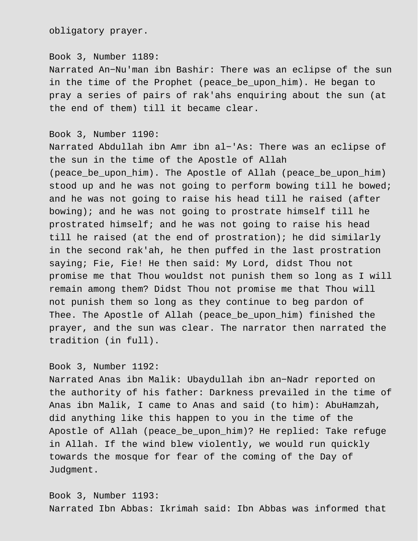obligatory prayer.

Book 3, Number 1189:

Narrated An−Nu'man ibn Bashir: There was an eclipse of the sun in the time of the Prophet (peace\_be\_upon\_him). He began to pray a series of pairs of rak'ahs enquiring about the sun (at the end of them) till it became clear.

#### Book 3, Number 1190:

Narrated Abdullah ibn Amr ibn al−'As: There was an eclipse of the sun in the time of the Apostle of Allah (peace be upon him). The Apostle of Allah (peace be upon him) stood up and he was not going to perform bowing till he bowed; and he was not going to raise his head till he raised (after bowing); and he was not going to prostrate himself till he prostrated himself; and he was not going to raise his head till he raised (at the end of prostration); he did similarly in the second rak'ah, he then puffed in the last prostration saying; Fie, Fie! He then said: My Lord, didst Thou not promise me that Thou wouldst not punish them so long as I will remain among them? Didst Thou not promise me that Thou will not punish them so long as they continue to beg pardon of Thee. The Apostle of Allah (peace\_be\_upon\_him) finished the prayer, and the sun was clear. The narrator then narrated the tradition (in full).

# Book 3, Number 1192:

Narrated Anas ibn Malik: Ubaydullah ibn an−Nadr reported on the authority of his father: Darkness prevailed in the time of Anas ibn Malik, I came to Anas and said (to him): AbuHamzah, did anything like this happen to you in the time of the Apostle of Allah (peace\_be\_upon\_him)? He replied: Take refuge in Allah. If the wind blew violently, we would run quickly towards the mosque for fear of the coming of the Day of Judgment.

# Book 3, Number 1193: Narrated Ibn Abbas: Ikrimah said: Ibn Abbas was informed that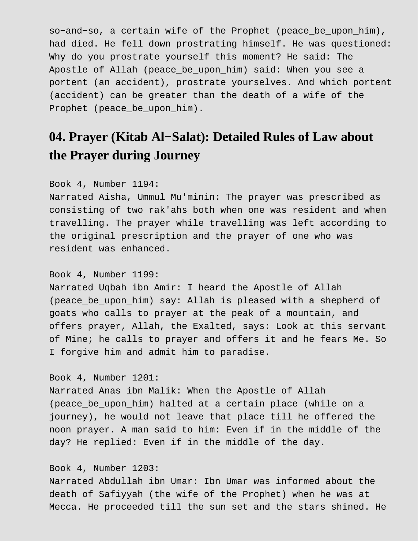so-and-so, a certain wife of the Prophet (peace be upon him), had died. He fell down prostrating himself. He was questioned: Why do you prostrate yourself this moment? He said: The Apostle of Allah (peace\_be\_upon\_him) said: When you see a portent (an accident), prostrate yourselves. And which portent (accident) can be greater than the death of a wife of the Prophet (peace\_be\_upon\_him).

# **04. Prayer (Kitab Al−Salat): Detailed Rules of Law about the Prayer during Journey**

# Book 4, Number 1194:

Narrated Aisha, Ummul Mu'minin: The prayer was prescribed as consisting of two rak'ahs both when one was resident and when travelling. The prayer while travelling was left according to the original prescription and the prayer of one who was resident was enhanced.

# Book 4, Number 1199:

Narrated Uqbah ibn Amir: I heard the Apostle of Allah (peace\_be\_upon\_him) say: Allah is pleased with a shepherd of goats who calls to prayer at the peak of a mountain, and offers prayer, Allah, the Exalted, says: Look at this servant of Mine; he calls to prayer and offers it and he fears Me. So I forgive him and admit him to paradise.

### Book 4, Number 1201:

Narrated Anas ibn Malik: When the Apostle of Allah (peace\_be\_upon\_him) halted at a certain place (while on a journey), he would not leave that place till he offered the noon prayer. A man said to him: Even if in the middle of the day? He replied: Even if in the middle of the day.

# Book 4, Number 1203:

Narrated Abdullah ibn Umar: Ibn Umar was informed about the death of Safiyyah (the wife of the Prophet) when he was at Mecca. He proceeded till the sun set and the stars shined. He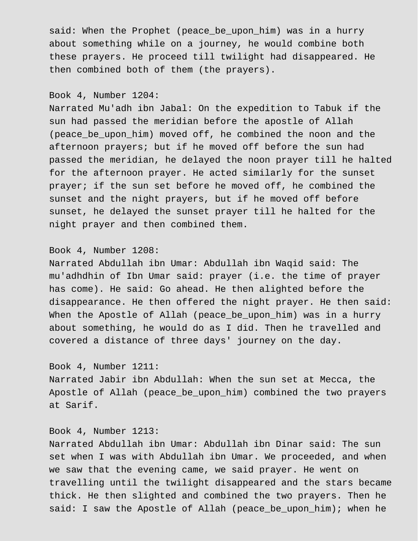said: When the Prophet (peace be upon him) was in a hurry about something while on a journey, he would combine both these prayers. He proceed till twilight had disappeared. He then combined both of them (the prayers).

#### Book 4, Number 1204:

Narrated Mu'adh ibn Jabal: On the expedition to Tabuk if the sun had passed the meridian before the apostle of Allah (peace be upon him) moved off, he combined the noon and the afternoon prayers; but if he moved off before the sun had passed the meridian, he delayed the noon prayer till he halted for the afternoon prayer. He acted similarly for the sunset prayer; if the sun set before he moved off, he combined the sunset and the night prayers, but if he moved off before sunset, he delayed the sunset prayer till he halted for the night prayer and then combined them.

#### Book 4, Number 1208:

Narrated Abdullah ibn Umar: Abdullah ibn Waqid said: The mu'adhdhin of Ibn Umar said: prayer (i.e. the time of prayer has come). He said: Go ahead. He then alighted before the disappearance. He then offered the night prayer. He then said: When the Apostle of Allah (peace be upon him) was in a hurry about something, he would do as I did. Then he travelled and covered a distance of three days' journey on the day.

#### Book 4, Number 1211:

Narrated Jabir ibn Abdullah: When the sun set at Mecca, the Apostle of Allah (peace\_be\_upon\_him) combined the two prayers at Sarif.

## Book 4, Number 1213:

Narrated Abdullah ibn Umar: Abdullah ibn Dinar said: The sun set when I was with Abdullah ibn Umar. We proceeded, and when we saw that the evening came, we said prayer. He went on travelling until the twilight disappeared and the stars became thick. He then slighted and combined the two prayers. Then he said: I saw the Apostle of Allah (peace\_be\_upon\_him); when he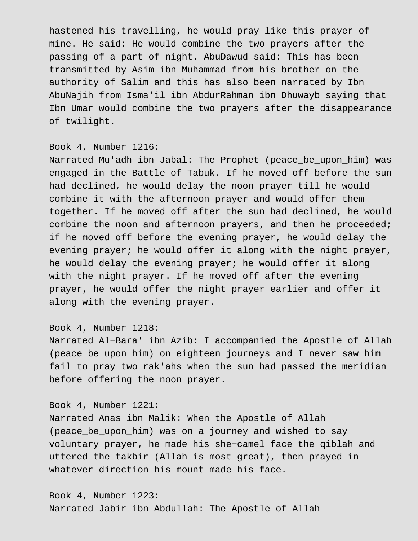hastened his travelling, he would pray like this prayer of mine. He said: He would combine the two prayers after the passing of a part of night. AbuDawud said: This has been transmitted by Asim ibn Muhammad from his brother on the authority of Salim and this has also been narrated by Ibn AbuNajih from Isma'il ibn AbdurRahman ibn Dhuwayb saying that Ibn Umar would combine the two prayers after the disappearance of twilight.

# Book 4, Number 1216:

Narrated Mu'adh ibn Jabal: The Prophet (peace\_be\_upon\_him) was engaged in the Battle of Tabuk. If he moved off before the sun had declined, he would delay the noon prayer till he would combine it with the afternoon prayer and would offer them together. If he moved off after the sun had declined, he would combine the noon and afternoon prayers, and then he proceeded; if he moved off before the evening prayer, he would delay the evening prayer; he would offer it along with the night prayer, he would delay the evening prayer; he would offer it along with the night prayer. If he moved off after the evening prayer, he would offer the night prayer earlier and offer it along with the evening prayer.

# Book 4, Number 1218:

Narrated Al−Bara' ibn Azib: I accompanied the Apostle of Allah (peace be upon him) on eighteen journeys and I never saw him fail to pray two rak'ahs when the sun had passed the meridian before offering the noon prayer.

# Book 4, Number 1221:

Narrated Anas ibn Malik: When the Apostle of Allah (peace\_be\_upon\_him) was on a journey and wished to say voluntary prayer, he made his she−camel face the qiblah and uttered the takbir (Allah is most great), then prayed in whatever direction his mount made his face.

Book 4, Number 1223: Narrated Jabir ibn Abdullah: The Apostle of Allah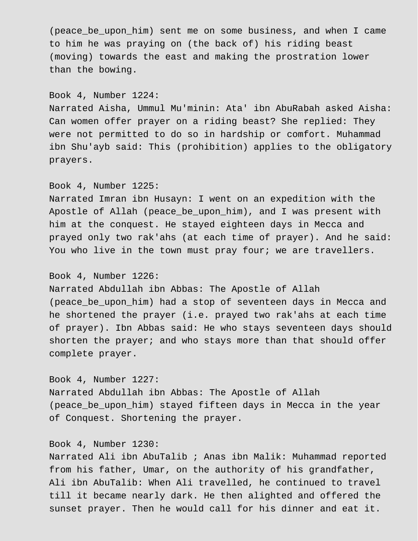(peace be upon him) sent me on some business, and when I came to him he was praying on (the back of) his riding beast (moving) towards the east and making the prostration lower than the bowing.

#### Book 4, Number 1224:

Narrated Aisha, Ummul Mu'minin: Ata' ibn AbuRabah asked Aisha: Can women offer prayer on a riding beast? She replied: They were not permitted to do so in hardship or comfort. Muhammad ibn Shu'ayb said: This (prohibition) applies to the obligatory prayers.

#### Book 4, Number 1225:

Narrated Imran ibn Husayn: I went on an expedition with the Apostle of Allah (peace be upon him), and I was present with him at the conquest. He stayed eighteen days in Mecca and prayed only two rak'ahs (at each time of prayer). And he said: You who live in the town must pray four; we are travellers.

#### Book 4, Number 1226:

Narrated Abdullah ibn Abbas: The Apostle of Allah (peace\_be\_upon\_him) had a stop of seventeen days in Mecca and he shortened the prayer (i.e. prayed two rak'ahs at each time of prayer). Ibn Abbas said: He who stays seventeen days should shorten the prayer; and who stays more than that should offer complete prayer.

# Book 4, Number 1227:

Narrated Abdullah ibn Abbas: The Apostle of Allah (peace\_be\_upon\_him) stayed fifteen days in Mecca in the year of Conquest. Shortening the prayer.

# Book 4, Number 1230:

Narrated Ali ibn AbuTalib ; Anas ibn Malik: Muhammad reported from his father, Umar, on the authority of his grandfather, Ali ibn AbuTalib: When Ali travelled, he continued to travel till it became nearly dark. He then alighted and offered the sunset prayer. Then he would call for his dinner and eat it.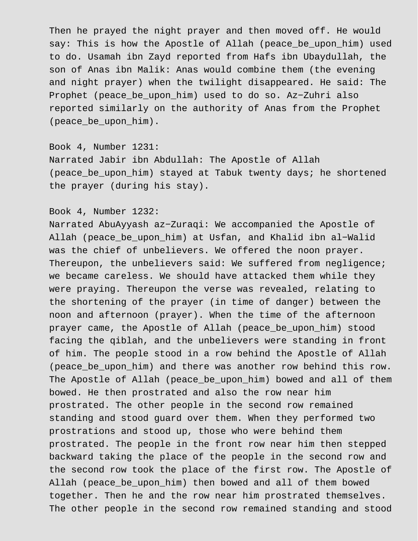Then he prayed the night prayer and then moved off. He would say: This is how the Apostle of Allah (peace\_be\_upon\_him) used to do. Usamah ibn Zayd reported from Hafs ibn Ubaydullah, the son of Anas ibn Malik: Anas would combine them (the evening and night prayer) when the twilight disappeared. He said: The Prophet (peace\_be\_upon\_him) used to do so. Az−Zuhri also reported similarly on the authority of Anas from the Prophet (peace\_be\_upon\_him).

# Book 4, Number 1231:

Narrated Jabir ibn Abdullah: The Apostle of Allah (peace be upon him) stayed at Tabuk twenty days; he shortened the prayer (during his stay).

## Book 4, Number 1232:

Narrated AbuAyyash az−Zuraqi: We accompanied the Apostle of Allah (peace\_be\_upon\_him) at Usfan, and Khalid ibn al−Walid was the chief of unbelievers. We offered the noon prayer. Thereupon, the unbelievers said: We suffered from negligence; we became careless. We should have attacked them while they were praying. Thereupon the verse was revealed, relating to the shortening of the prayer (in time of danger) between the noon and afternoon (prayer). When the time of the afternoon prayer came, the Apostle of Allah (peace\_be\_upon\_him) stood facing the qiblah, and the unbelievers were standing in front of him. The people stood in a row behind the Apostle of Allah (peace\_be\_upon\_him) and there was another row behind this row. The Apostle of Allah (peace\_be\_upon\_him) bowed and all of them bowed. He then prostrated and also the row near him prostrated. The other people in the second row remained standing and stood guard over them. When they performed two prostrations and stood up, those who were behind them prostrated. The people in the front row near him then stepped backward taking the place of the people in the second row and the second row took the place of the first row. The Apostle of Allah (peace\_be\_upon\_him) then bowed and all of them bowed together. Then he and the row near him prostrated themselves. The other people in the second row remained standing and stood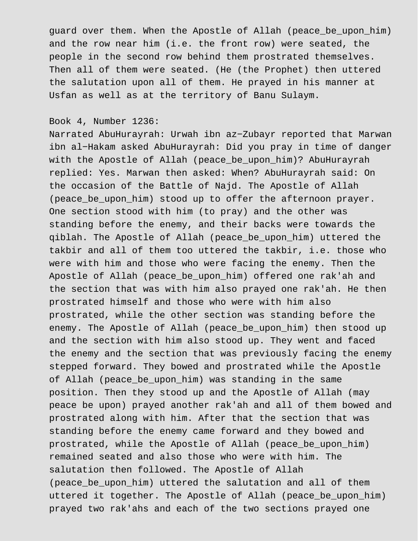guard over them. When the Apostle of Allah (peace be upon him) and the row near him (i.e. the front row) were seated, the people in the second row behind them prostrated themselves. Then all of them were seated. (He (the Prophet) then uttered the salutation upon all of them. He prayed in his manner at Usfan as well as at the territory of Banu Sulaym.

# Book 4, Number 1236:

Narrated AbuHurayrah: Urwah ibn az−Zubayr reported that Marwan ibn al−Hakam asked AbuHurayrah: Did you pray in time of danger with the Apostle of Allah (peace be upon him)? AbuHurayrah replied: Yes. Marwan then asked: When? AbuHurayrah said: On the occasion of the Battle of Najd. The Apostle of Allah (peace\_be\_upon\_him) stood up to offer the afternoon prayer. One section stood with him (to pray) and the other was standing before the enemy, and their backs were towards the qiblah. The Apostle of Allah (peace\_be\_upon\_him) uttered the takbir and all of them too uttered the takbir, i.e. those who were with him and those who were facing the enemy. Then the Apostle of Allah (peace be upon him) offered one rak'ah and the section that was with him also prayed one rak'ah. He then prostrated himself and those who were with him also prostrated, while the other section was standing before the enemy. The Apostle of Allah (peace\_be\_upon\_him) then stood up and the section with him also stood up. They went and faced the enemy and the section that was previously facing the enemy stepped forward. They bowed and prostrated while the Apostle of Allah (peace\_be\_upon\_him) was standing in the same position. Then they stood up and the Apostle of Allah (may peace be upon) prayed another rak'ah and all of them bowed and prostrated along with him. After that the section that was standing before the enemy came forward and they bowed and prostrated, while the Apostle of Allah (peace\_be\_upon\_him) remained seated and also those who were with him. The salutation then followed. The Apostle of Allah (peace\_be\_upon\_him) uttered the salutation and all of them uttered it together. The Apostle of Allah (peace\_be\_upon\_him) prayed two rak'ahs and each of the two sections prayed one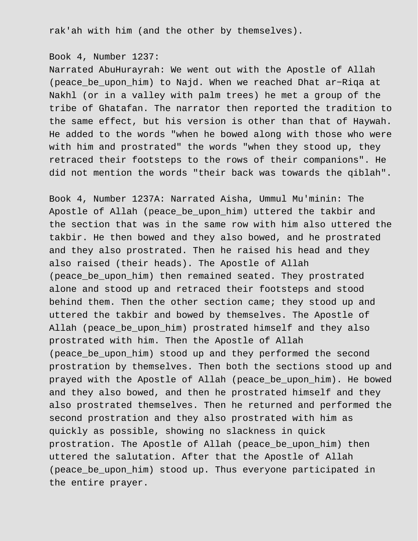rak'ah with him (and the other by themselves).

Book 4, Number 1237:

Narrated AbuHurayrah: We went out with the Apostle of Allah (peace\_be\_upon\_him) to Najd. When we reached Dhat ar−Riqa at Nakhl (or in a valley with palm trees) he met a group of the tribe of Ghatafan. The narrator then reported the tradition to the same effect, but his version is other than that of Haywah. He added to the words "when he bowed along with those who were with him and prostrated" the words "when they stood up, they retraced their footsteps to the rows of their companions". He did not mention the words "their back was towards the qiblah".

Book 4, Number 1237A: Narrated Aisha, Ummul Mu'minin: The Apostle of Allah (peace be upon him) uttered the takbir and the section that was in the same row with him also uttered the takbir. He then bowed and they also bowed, and he prostrated and they also prostrated. Then he raised his head and they also raised (their heads). The Apostle of Allah (peace be upon him) then remained seated. They prostrated alone and stood up and retraced their footsteps and stood behind them. Then the other section came; they stood up and uttered the takbir and bowed by themselves. The Apostle of Allah (peace\_be\_upon\_him) prostrated himself and they also prostrated with him. Then the Apostle of Allah (peace be upon him) stood up and they performed the second prostration by themselves. Then both the sections stood up and prayed with the Apostle of Allah (peace\_be\_upon\_him). He bowed and they also bowed, and then he prostrated himself and they also prostrated themselves. Then he returned and performed the second prostration and they also prostrated with him as quickly as possible, showing no slackness in quick prostration. The Apostle of Allah (peace\_be\_upon\_him) then uttered the salutation. After that the Apostle of Allah (peace\_be\_upon\_him) stood up. Thus everyone participated in the entire prayer.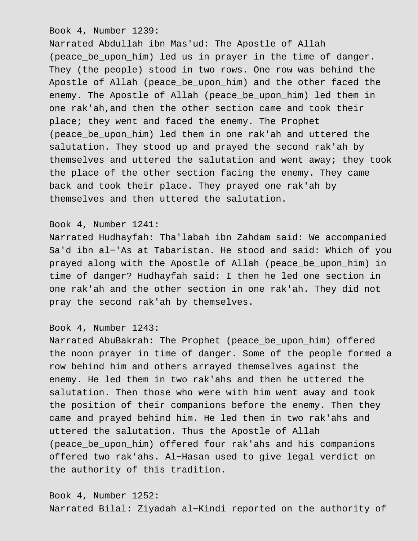#### Book 4, Number 1239:

Narrated Abdullah ibn Mas'ud: The Apostle of Allah (peace be upon him) led us in prayer in the time of danger. They (the people) stood in two rows. One row was behind the Apostle of Allah (peace be upon him) and the other faced the enemy. The Apostle of Allah (peace\_be\_upon\_him) led them in one rak'ah,and then the other section came and took their place; they went and faced the enemy. The Prophet (peace\_be\_upon\_him) led them in one rak'ah and uttered the salutation. They stood up and prayed the second rak'ah by themselves and uttered the salutation and went away; they took the place of the other section facing the enemy. They came back and took their place. They prayed one rak'ah by themselves and then uttered the salutation.

#### Book 4, Number 1241:

Narrated Hudhayfah: Tha'labah ibn Zahdam said: We accompanied Sa'd ibn al−'As at Tabaristan. He stood and said: Which of you prayed along with the Apostle of Allah (peace\_be\_upon\_him) in time of danger? Hudhayfah said: I then he led one section in one rak'ah and the other section in one rak'ah. They did not pray the second rak'ah by themselves.

# Book 4, Number 1243:

Narrated AbuBakrah: The Prophet (peace\_be\_upon\_him) offered the noon prayer in time of danger. Some of the people formed a row behind him and others arrayed themselves against the enemy. He led them in two rak'ahs and then he uttered the salutation. Then those who were with him went away and took the position of their companions before the enemy. Then they came and prayed behind him. He led them in two rak'ahs and uttered the salutation. Thus the Apostle of Allah (peace\_be\_upon\_him) offered four rak'ahs and his companions offered two rak'ahs. Al−Hasan used to give legal verdict on the authority of this tradition.

# Book 4, Number 1252:

Narrated Bilal: Ziyadah al−Kindi reported on the authority of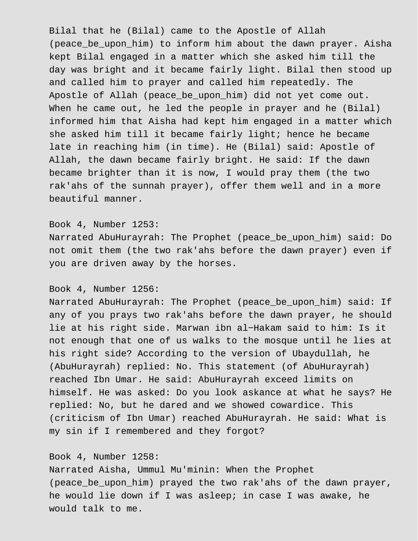Bilal that he (Bilal) came to the Apostle of Allah (peace\_be\_upon\_him) to inform him about the dawn prayer. Aisha kept Bilal engaged in a matter which she asked him till the day was bright and it became fairly light. Bilal then stood up and called him to prayer and called him repeatedly. The Apostle of Allah (peace\_be\_upon\_him) did not yet come out. When he came out, he led the people in prayer and he (Bilal) informed him that Aisha had kept him engaged in a matter which she asked him till it became fairly light; hence he became late in reaching him (in time). He (Bilal) said: Apostle of Allah, the dawn became fairly bright. He said: If the dawn became brighter than it is now, I would pray them (the two rak'ahs of the sunnah prayer), offer them well and in a more beautiful manner.

#### Book 4, Number 1253:

Narrated AbuHurayrah: The Prophet (peace\_be\_upon\_him) said: Do not omit them (the two rak'ahs before the dawn prayer) even if you are driven away by the horses.

#### Book 4, Number 1256:

Narrated AbuHurayrah: The Prophet (peace be upon him) said: If any of you prays two rak'ahs before the dawn prayer, he should lie at his right side. Marwan ibn al−Hakam said to him: Is it not enough that one of us walks to the mosque until he lies at his right side? According to the version of Ubaydullah, he (AbuHurayrah) replied: No. This statement (of AbuHurayrah) reached Ibn Umar. He said: AbuHurayrah exceed limits on himself. He was asked: Do you look askance at what he says? He replied: No, but he dared and we showed cowardice. This (criticism of Ibn Umar) reached AbuHurayrah. He said: What is my sin if I remembered and they forgot?

#### Book 4, Number 1258:

Narrated Aisha, Ummul Mu'minin: When the Prophet (peace\_be\_upon\_him) prayed the two rak'ahs of the dawn prayer, he would lie down if I was asleep; in case I was awake, he would talk to me.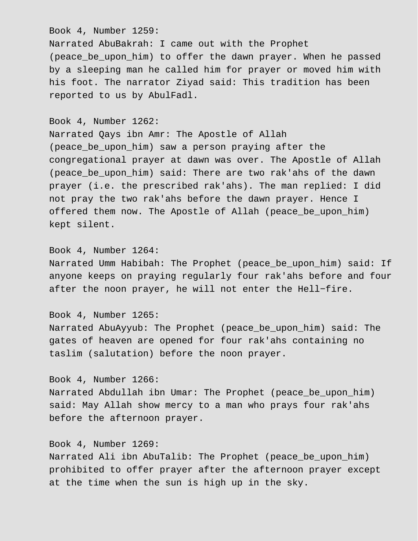# Book 4, Number 1259:

Narrated AbuBakrah: I came out with the Prophet (peace be upon him) to offer the dawn prayer. When he passed by a sleeping man he called him for prayer or moved him with his foot. The narrator Ziyad said: This tradition has been reported to us by AbulFadl.

#### Book 4, Number 1262:

Narrated Qays ibn Amr: The Apostle of Allah (peace be upon him) saw a person praying after the congregational prayer at dawn was over. The Apostle of Allah (peace\_be\_upon\_him) said: There are two rak'ahs of the dawn prayer (i.e. the prescribed rak'ahs). The man replied: I did not pray the two rak'ahs before the dawn prayer. Hence I offered them now. The Apostle of Allah (peace be upon him) kept silent.

#### Book 4, Number 1264:

Narrated Umm Habibah: The Prophet (peace\_be\_upon\_him) said: If anyone keeps on praying regularly four rak'ahs before and four after the noon prayer, he will not enter the Hell−fire.

#### Book 4, Number 1265:

Narrated AbuAyyub: The Prophet (peace\_be\_upon\_him) said: The gates of heaven are opened for four rak'ahs containing no taslim (salutation) before the noon prayer.

### Book 4, Number 1266:

Narrated Abdullah ibn Umar: The Prophet (peace\_be\_upon\_him) said: May Allah show mercy to a man who prays four rak'ahs before the afternoon prayer.

# Book 4, Number 1269:

Narrated Ali ibn AbuTalib: The Prophet (peace\_be\_upon\_him) prohibited to offer prayer after the afternoon prayer except at the time when the sun is high up in the sky.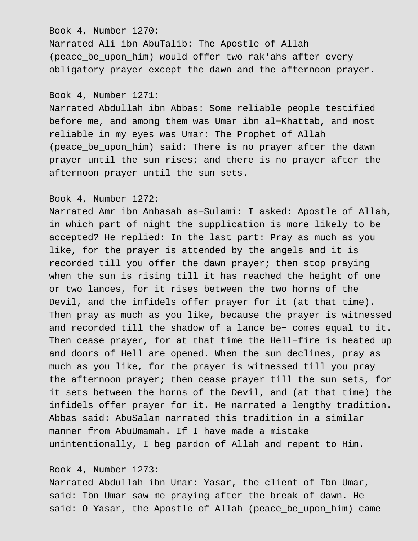#### Book 4, Number 1270:

Narrated Ali ibn AbuTalib: The Apostle of Allah (peace be upon him) would offer two rak'ahs after every obligatory prayer except the dawn and the afternoon prayer.

## Book 4, Number 1271:

Narrated Abdullah ibn Abbas: Some reliable people testified before me, and among them was Umar ibn al−Khattab, and most reliable in my eyes was Umar: The Prophet of Allah (peace be upon him) said: There is no prayer after the dawn prayer until the sun rises; and there is no prayer after the afternoon prayer until the sun sets.

## Book 4, Number 1272:

Narrated Amr ibn Anbasah as−Sulami: I asked: Apostle of Allah, in which part of night the supplication is more likely to be accepted? He replied: In the last part: Pray as much as you like, for the prayer is attended by the angels and it is recorded till you offer the dawn prayer; then stop praying when the sun is rising till it has reached the height of one or two lances, for it rises between the two horns of the Devil, and the infidels offer prayer for it (at that time). Then pray as much as you like, because the prayer is witnessed and recorded till the shadow of a lance be− comes equal to it. Then cease prayer, for at that time the Hell−fire is heated up and doors of Hell are opened. When the sun declines, pray as much as you like, for the prayer is witnessed till you pray the afternoon prayer; then cease prayer till the sun sets, for it sets between the horns of the Devil, and (at that time) the infidels offer prayer for it. He narrated a lengthy tradition. Abbas said: AbuSalam narrated this tradition in a similar manner from AbuUmamah. If I have made a mistake unintentionally, I beg pardon of Allah and repent to Him.

# Book 4, Number 1273:

Narrated Abdullah ibn Umar: Yasar, the client of Ibn Umar, said: Ibn Umar saw me praying after the break of dawn. He said: O Yasar, the Apostle of Allah (peace be upon him) came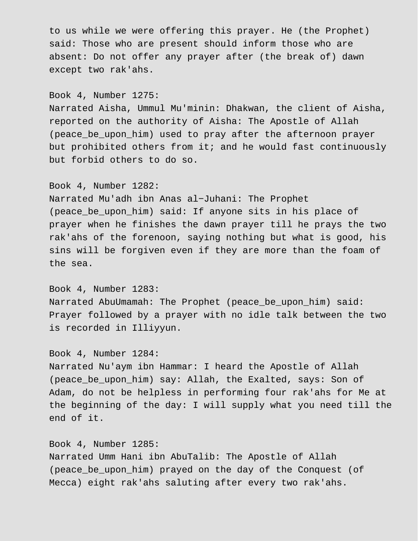to us while we were offering this prayer. He (the Prophet) said: Those who are present should inform those who are absent: Do not offer any prayer after (the break of) dawn except two rak'ahs.

#### Book 4, Number 1275:

Narrated Aisha, Ummul Mu'minin: Dhakwan, the client of Aisha, reported on the authority of Aisha: The Apostle of Allah (peace\_be\_upon\_him) used to pray after the afternoon prayer but prohibited others from it; and he would fast continuously but forbid others to do so.

#### Book 4, Number 1282:

Narrated Mu'adh ibn Anas al−Juhani: The Prophet (peace be upon him) said: If anyone sits in his place of prayer when he finishes the dawn prayer till he prays the two rak'ahs of the forenoon, saying nothing but what is good, his sins will be forgiven even if they are more than the foam of the sea.

# Book 4, Number 1283:

Narrated AbuUmamah: The Prophet (peace be upon him) said: Prayer followed by a prayer with no idle talk between the two is recorded in Illiyyun.

# Book 4, Number 1284:

Narrated Nu'aym ibn Hammar: I heard the Apostle of Allah (peace\_be\_upon\_him) say: Allah, the Exalted, says: Son of Adam, do not be helpless in performing four rak'ahs for Me at the beginning of the day: I will supply what you need till the end of it.

# Book 4, Number 1285:

Narrated Umm Hani ibn AbuTalib: The Apostle of Allah (peace\_be\_upon\_him) prayed on the day of the Conquest (of Mecca) eight rak'ahs saluting after every two rak'ahs.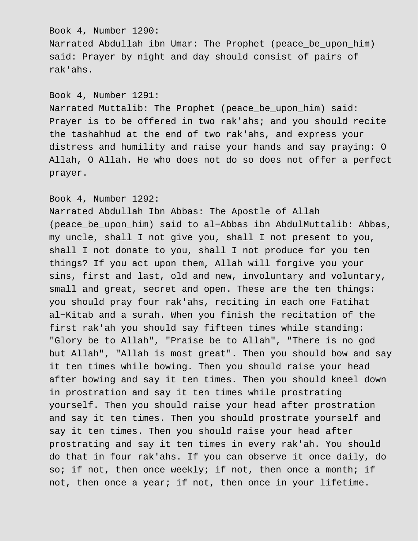# Book 4, Number 1290:

Narrated Abdullah ibn Umar: The Prophet (peace\_be\_upon\_him) said: Prayer by night and day should consist of pairs of rak'ahs.

# Book 4, Number 1291:

Narrated Muttalib: The Prophet (peace\_be\_upon\_him) said: Prayer is to be offered in two rak'ahs; and you should recite the tashahhud at the end of two rak'ahs, and express your distress and humility and raise your hands and say praying: O Allah, O Allah. He who does not do so does not offer a perfect prayer.

Book 4, Number 1292:

Narrated Abdullah Ibn Abbas: The Apostle of Allah (peace\_be\_upon\_him) said to al−Abbas ibn AbdulMuttalib: Abbas, my uncle, shall I not give you, shall I not present to you, shall I not donate to you, shall I not produce for you ten things? If you act upon them, Allah will forgive you your sins, first and last, old and new, involuntary and voluntary, small and great, secret and open. These are the ten things: you should pray four rak'ahs, reciting in each one Fatihat al−Kitab and a surah. When you finish the recitation of the first rak'ah you should say fifteen times while standing: "Glory be to Allah", "Praise be to Allah", "There is no god but Allah", "Allah is most great". Then you should bow and say it ten times while bowing. Then you should raise your head after bowing and say it ten times. Then you should kneel down in prostration and say it ten times while prostrating yourself. Then you should raise your head after prostration and say it ten times. Then you should prostrate yourself and say it ten times. Then you should raise your head after prostrating and say it ten times in every rak'ah. You should do that in four rak'ahs. If you can observe it once daily, do so; if not, then once weekly; if not, then once a month; if not, then once a year; if not, then once in your lifetime.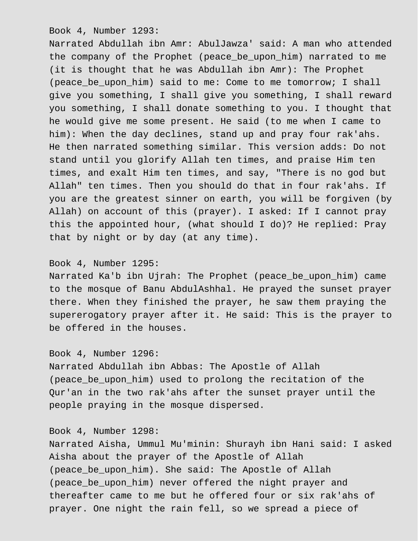#### Book 4, Number 1293:

Narrated Abdullah ibn Amr: AbulJawza' said: A man who attended the company of the Prophet (peace be upon him) narrated to me (it is thought that he was Abdullah ibn Amr): The Prophet (peace be upon him) said to me: Come to me tomorrow; I shall give you something, I shall give you something, I shall reward you something, I shall donate something to you. I thought that he would give me some present. He said (to me when I came to him): When the day declines, stand up and pray four rak'ahs. He then narrated something similar. This version adds: Do not stand until you glorify Allah ten times, and praise Him ten times, and exalt Him ten times, and say, "There is no god but Allah" ten times. Then you should do that in four rak'ahs. If you are the greatest sinner on earth, you will be forgiven (by Allah) on account of this (prayer). I asked: If I cannot pray this the appointed hour, (what should I do)? He replied: Pray that by night or by day (at any time).

#### Book 4, Number 1295:

Narrated Ka'b ibn Ujrah: The Prophet (peace\_be\_upon\_him) came to the mosque of Banu AbdulAshhal. He prayed the sunset prayer there. When they finished the prayer, he saw them praying the supererogatory prayer after it. He said: This is the prayer to be offered in the houses.

### Book 4, Number 1296:

Narrated Abdullah ibn Abbas: The Apostle of Allah (peace\_be\_upon\_him) used to prolong the recitation of the Qur'an in the two rak'ahs after the sunset prayer until the people praying in the mosque dispersed.

#### Book 4, Number 1298:

Narrated Aisha, Ummul Mu'minin: Shurayh ibn Hani said: I asked Aisha about the prayer of the Apostle of Allah (peace be upon him). She said: The Apostle of Allah (peace\_be\_upon\_him) never offered the night prayer and thereafter came to me but he offered four or six rak'ahs of prayer. One night the rain fell, so we spread a piece of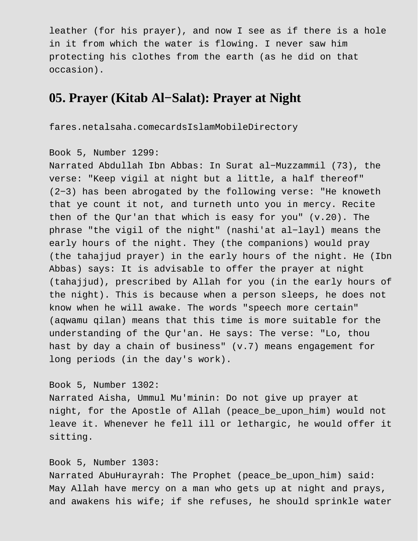leather (for his prayer), and now I see as if there is a hole in it from which the water is flowing. I never saw him protecting his clothes from the earth (as he did on that occasion).

# **05. Prayer (Kitab Al−Salat): Prayer at Night**

fares.netalsaha.comecardsIslamMobileDirectory

Book 5, Number 1299:

Narrated Abdullah Ibn Abbas: In Surat al−Muzzammil (73), the verse: "Keep vigil at night but a little, a half thereof" (2−3) has been abrogated by the following verse: "He knoweth that ye count it not, and turneth unto you in mercy. Recite then of the Qur'an that which is easy for you" (v.20). The phrase "the vigil of the night" (nashi'at al−layl) means the early hours of the night. They (the companions) would pray (the tahajjud prayer) in the early hours of the night. He (Ibn Abbas) says: It is advisable to offer the prayer at night (tahajjud), prescribed by Allah for you (in the early hours of the night). This is because when a person sleeps, he does not know when he will awake. The words "speech more certain" (aqwamu qilan) means that this time is more suitable for the understanding of the Qur'an. He says: The verse: "Lo, thou hast by day a chain of business" (v.7) means engagement for long periods (in the day's work).

Book 5, Number 1302:

Narrated Aisha, Ummul Mu'minin: Do not give up prayer at night, for the Apostle of Allah (peace\_be\_upon\_him) would not leave it. Whenever he fell ill or lethargic, he would offer it sitting.

# Book 5, Number 1303:

Narrated AbuHurayrah: The Prophet (peace\_be\_upon\_him) said: May Allah have mercy on a man who gets up at night and prays, and awakens his wife; if she refuses, he should sprinkle water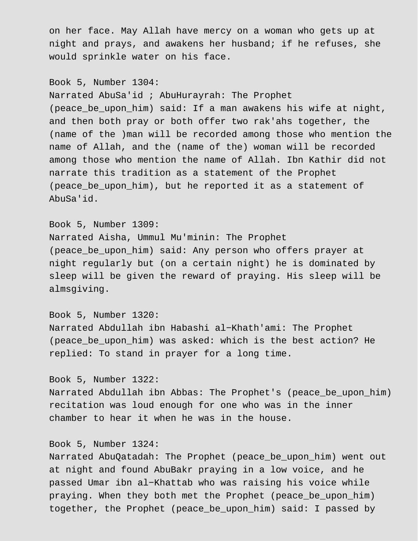on her face. May Allah have mercy on a woman who gets up at night and prays, and awakens her husband; if he refuses, she would sprinkle water on his face.

## Book 5, Number 1304:

Narrated AbuSa'id ; AbuHurayrah: The Prophet (peace\_be\_upon\_him) said: If a man awakens his wife at night, and then both pray or both offer two rak'ahs together, the (name of the )man will be recorded among those who mention the name of Allah, and the (name of the) woman will be recorded among those who mention the name of Allah. Ibn Kathir did not narrate this tradition as a statement of the Prophet (peace be upon him), but he reported it as a statement of AbuSa'id.

#### Book 5, Number 1309:

Narrated Aisha, Ummul Mu'minin: The Prophet (peace\_be\_upon\_him) said: Any person who offers prayer at night regularly but (on a certain night) he is dominated by sleep will be given the reward of praying. His sleep will be almsgiving.

#### Book 5, Number 1320:

Narrated Abdullah ibn Habashi al−Khath'ami: The Prophet (peace\_be\_upon\_him) was asked: which is the best action? He replied: To stand in prayer for a long time.

# Book 5, Number 1322:

Narrated Abdullah ibn Abbas: The Prophet's (peace\_be\_upon\_him) recitation was loud enough for one who was in the inner chamber to hear it when he was in the house.

# Book 5, Number 1324:

Narrated AbuQatadah: The Prophet (peace\_be\_upon\_him) went out at night and found AbuBakr praying in a low voice, and he passed Umar ibn al−Khattab who was raising his voice while praying. When they both met the Prophet (peace\_be\_upon\_him) together, the Prophet (peace\_be\_upon\_him) said: I passed by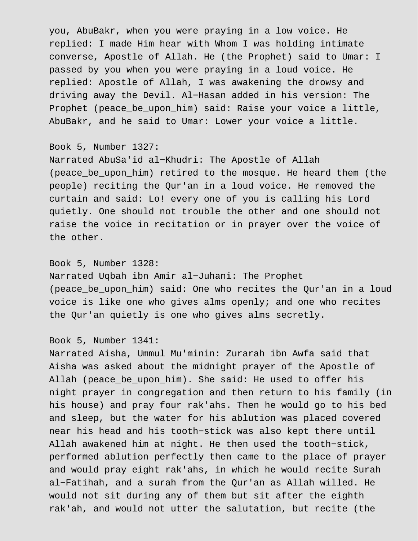you, AbuBakr, when you were praying in a low voice. He replied: I made Him hear with Whom I was holding intimate converse, Apostle of Allah. He (the Prophet) said to Umar: I passed by you when you were praying in a loud voice. He replied: Apostle of Allah, I was awakening the drowsy and driving away the Devil. Al−Hasan added in his version: The Prophet (peace\_be\_upon\_him) said: Raise your voice a little, AbuBakr, and he said to Umar: Lower your voice a little.

# Book 5, Number 1327:

Narrated AbuSa'id al−Khudri: The Apostle of Allah (peace be upon him) retired to the mosque. He heard them (the people) reciting the Qur'an in a loud voice. He removed the curtain and said: Lo! every one of you is calling his Lord quietly. One should not trouble the other and one should not raise the voice in recitation or in prayer over the voice of the other.

# Book 5, Number 1328:

Narrated Uqbah ibn Amir al−Juhani: The Prophet (peace be upon him) said: One who recites the Our'an in a loud voice is like one who gives alms openly; and one who recites the Qur'an quietly is one who gives alms secretly.

#### Book 5, Number 1341:

Narrated Aisha, Ummul Mu'minin: Zurarah ibn Awfa said that Aisha was asked about the midnight prayer of the Apostle of Allah (peace\_be\_upon\_him). She said: He used to offer his night prayer in congregation and then return to his family (in his house) and pray four rak'ahs. Then he would go to his bed and sleep, but the water for his ablution was placed covered near his head and his tooth−stick was also kept there until Allah awakened him at night. He then used the tooth−stick, performed ablution perfectly then came to the place of prayer and would pray eight rak'ahs, in which he would recite Surah al−Fatihah, and a surah from the Qur'an as Allah willed. He would not sit during any of them but sit after the eighth rak'ah, and would not utter the salutation, but recite (the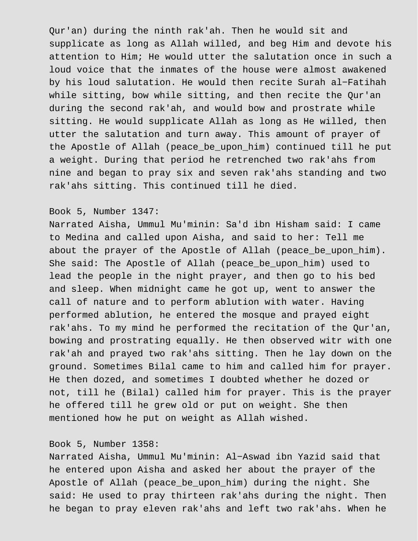Qur'an) during the ninth rak'ah. Then he would sit and supplicate as long as Allah willed, and beg Him and devote his attention to Him; He would utter the salutation once in such a loud voice that the inmates of the house were almost awakened by his loud salutation. He would then recite Surah al−Fatihah while sitting, bow while sitting, and then recite the Qur'an during the second rak'ah, and would bow and prostrate while sitting. He would supplicate Allah as long as He willed, then utter the salutation and turn away. This amount of prayer of the Apostle of Allah (peace be upon him) continued till he put a weight. During that period he retrenched two rak'ahs from nine and began to pray six and seven rak'ahs standing and two rak'ahs sitting. This continued till he died.

## Book 5, Number 1347:

Narrated Aisha, Ummul Mu'minin: Sa'd ibn Hisham said: I came to Medina and called upon Aisha, and said to her: Tell me about the prayer of the Apostle of Allah (peace be upon him). She said: The Apostle of Allah (peace\_be\_upon\_him) used to lead the people in the night prayer, and then go to his bed and sleep. When midnight came he got up, went to answer the call of nature and to perform ablution with water. Having performed ablution, he entered the mosque and prayed eight rak'ahs. To my mind he performed the recitation of the Qur'an, bowing and prostrating equally. He then observed witr with one rak'ah and prayed two rak'ahs sitting. Then he lay down on the ground. Sometimes Bilal came to him and called him for prayer. He then dozed, and sometimes I doubted whether he dozed or not, till he (Bilal) called him for prayer. This is the prayer he offered till he grew old or put on weight. She then mentioned how he put on weight as Allah wished.

# Book 5, Number 1358:

Narrated Aisha, Ummul Mu'minin: Al−Aswad ibn Yazid said that he entered upon Aisha and asked her about the prayer of the Apostle of Allah (peace\_be\_upon\_him) during the night. She said: He used to pray thirteen rak'ahs during the night. Then he began to pray eleven rak'ahs and left two rak'ahs. When he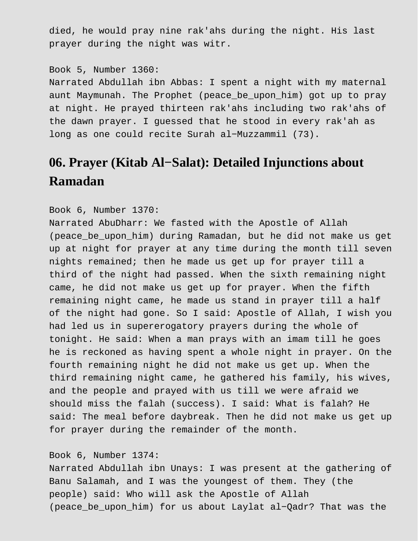died, he would pray nine rak'ahs during the night. His last prayer during the night was witr.

Book 5, Number 1360:

Narrated Abdullah ibn Abbas: I spent a night with my maternal aunt Maymunah. The Prophet (peace\_be\_upon\_him) got up to pray at night. He prayed thirteen rak'ahs including two rak'ahs of the dawn prayer. I guessed that he stood in every rak'ah as long as one could recite Surah al−Muzzammil (73).

# **06. Prayer (Kitab Al−Salat): Detailed Injunctions about Ramadan**

# Book 6, Number 1370:

Narrated AbuDharr: We fasted with the Apostle of Allah (peace\_be\_upon\_him) during Ramadan, but he did not make us get up at night for prayer at any time during the month till seven nights remained; then he made us get up for prayer till a third of the night had passed. When the sixth remaining night came, he did not make us get up for prayer. When the fifth remaining night came, he made us stand in prayer till a half of the night had gone. So I said: Apostle of Allah, I wish you had led us in supererogatory prayers during the whole of tonight. He said: When a man prays with an imam till he goes he is reckoned as having spent a whole night in prayer. On the fourth remaining night he did not make us get up. When the third remaining night came, he gathered his family, his wives, and the people and prayed with us till we were afraid we should miss the falah (success). I said: What is falah? He said: The meal before daybreak. Then he did not make us get up for prayer during the remainder of the month.

# Book 6, Number 1374:

Narrated Abdullah ibn Unays: I was present at the gathering of Banu Salamah, and I was the youngest of them. They (the people) said: Who will ask the Apostle of Allah (peace\_be\_upon\_him) for us about Laylat al−Qadr? That was the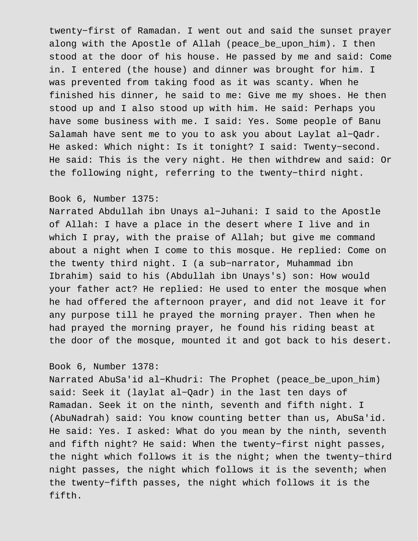twenty−first of Ramadan. I went out and said the sunset prayer along with the Apostle of Allah (peace\_be\_upon\_him). I then stood at the door of his house. He passed by me and said: Come in. I entered (the house) and dinner was brought for him. I was prevented from taking food as it was scanty. When he finished his dinner, he said to me: Give me my shoes. He then stood up and I also stood up with him. He said: Perhaps you have some business with me. I said: Yes. Some people of Banu Salamah have sent me to you to ask you about Laylat al−Qadr. He asked: Which night: Is it tonight? I said: Twenty−second. He said: This is the very night. He then withdrew and said: Or the following night, referring to the twenty−third night.

## Book 6, Number 1375:

Narrated Abdullah ibn Unays al−Juhani: I said to the Apostle of Allah: I have a place in the desert where I live and in which I pray, with the praise of Allah; but give me command about a night when I come to this mosque. He replied: Come on the twenty third night. I (a sub−narrator, Muhammad ibn Ibrahim) said to his (Abdullah ibn Unays's) son: How would your father act? He replied: He used to enter the mosque when he had offered the afternoon prayer, and did not leave it for any purpose till he prayed the morning prayer. Then when he had prayed the morning prayer, he found his riding beast at the door of the mosque, mounted it and got back to his desert.

# Book 6, Number 1378:

Narrated AbuSa'id al−Khudri: The Prophet (peace\_be\_upon\_him) said: Seek it (laylat al−Qadr) in the last ten days of Ramadan. Seek it on the ninth, seventh and fifth night. I (AbuNadrah) said: You know counting better than us, AbuSa'id. He said: Yes. I asked: What do you mean by the ninth, seventh and fifth night? He said: When the twenty−first night passes, the night which follows it is the night; when the twenty−third night passes, the night which follows it is the seventh; when the twenty−fifth passes, the night which follows it is the fifth.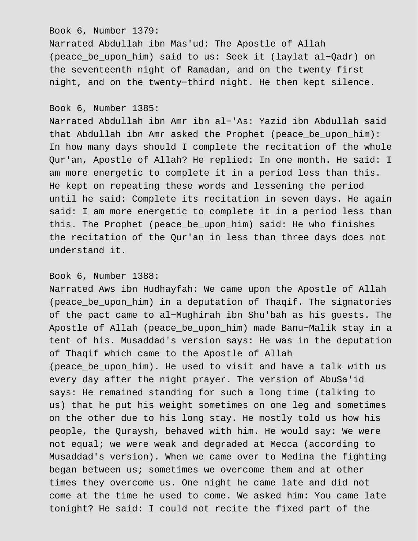# Book 6, Number 1379:

Narrated Abdullah ibn Mas'ud: The Apostle of Allah (peace\_be\_upon\_him) said to us: Seek it (laylat al−Qadr) on the seventeenth night of Ramadan, and on the twenty first night, and on the twenty−third night. He then kept silence.

#### Book 6, Number 1385:

Narrated Abdullah ibn Amr ibn al−'As: Yazid ibn Abdullah said that Abdullah ibn Amr asked the Prophet (peace be upon him): In how many days should I complete the recitation of the whole Qur'an, Apostle of Allah? He replied: In one month. He said: I am more energetic to complete it in a period less than this. He kept on repeating these words and lessening the period until he said: Complete its recitation in seven days. He again said: I am more energetic to complete it in a period less than this. The Prophet (peace\_be\_upon\_him) said: He who finishes the recitation of the Qur'an in less than three days does not understand it.

#### Book 6, Number 1388:

Narrated Aws ibn Hudhayfah: We came upon the Apostle of Allah (peace\_be\_upon\_him) in a deputation of Thaqif. The signatories of the pact came to al−Mughirah ibn Shu'bah as his guests. The Apostle of Allah (peace\_be\_upon\_him) made Banu−Malik stay in a tent of his. Musaddad's version says: He was in the deputation of Thaqif which came to the Apostle of Allah (peace\_be\_upon\_him). He used to visit and have a talk with us every day after the night prayer. The version of AbuSa'id says: He remained standing for such a long time (talking to us) that he put his weight sometimes on one leg and sometimes on the other due to his long stay. He mostly told us how his people, the Quraysh, behaved with him. He would say: We were not equal; we were weak and degraded at Mecca (according to Musaddad's version). When we came over to Medina the fighting began between us; sometimes we overcome them and at other times they overcome us. One night he came late and did not come at the time he used to come. We asked him: You came late tonight? He said: I could not recite the fixed part of the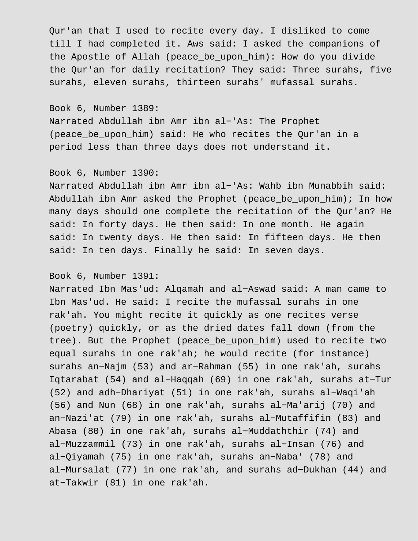Qur'an that I used to recite every day. I disliked to come till I had completed it. Aws said: I asked the companions of the Apostle of Allah (peace\_be\_upon\_him): How do you divide the Qur'an for daily recitation? They said: Three surahs, five surahs, eleven surahs, thirteen surahs' mufassal surahs.

#### Book 6, Number 1389:

Narrated Abdullah ibn Amr ibn al−'As: The Prophet (peace\_be\_upon\_him) said: He who recites the Qur'an in a period less than three days does not understand it.

# Book 6, Number 1390:

Narrated Abdullah ibn Amr ibn al−'As: Wahb ibn Munabbih said: Abdullah ibn Amr asked the Prophet (peace\_be\_upon\_him); In how many days should one complete the recitation of the Qur'an? He said: In forty days. He then said: In one month. He again said: In twenty days. He then said: In fifteen days. He then said: In ten days. Finally he said: In seven days.

#### Book 6, Number 1391:

Narrated Ibn Mas'ud: Alqamah and al−Aswad said: A man came to Ibn Mas'ud. He said: I recite the mufassal surahs in one rak'ah. You might recite it quickly as one recites verse (poetry) quickly, or as the dried dates fall down (from the tree). But the Prophet (peace\_be\_upon\_him) used to recite two equal surahs in one rak'ah; he would recite (for instance) surahs an−Najm (53) and ar−Rahman (55) in one rak'ah, surahs Iqtarabat (54) and al−Haqqah (69) in one rak'ah, surahs at−Tur (52) and adh−Dhariyat (51) in one rak'ah, surahs al−Waqi'ah (56) and Nun (68) in one rak'ah, surahs al−Ma'arij (70) and an−Nazi'at (79) in one rak'ah, surahs al−Mutaffifin (83) and Abasa (80) in one rak'ah, surahs al−Muddaththir (74) and al−Muzzammil (73) in one rak'ah, surahs al−Insan (76) and al−Qiyamah (75) in one rak'ah, surahs an−Naba' (78) and al−Mursalat (77) in one rak'ah, and surahs ad−Dukhan (44) and at−Takwir (81) in one rak'ah.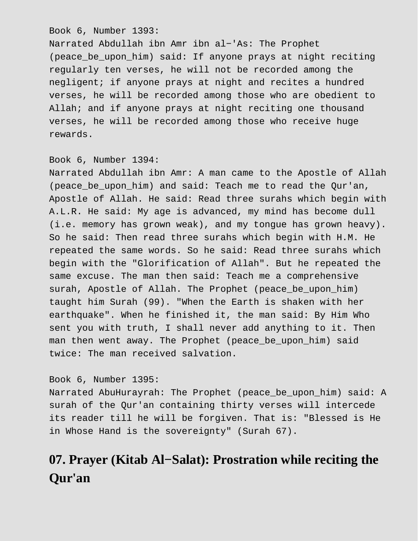# Book 6, Number 1393:

Narrated Abdullah ibn Amr ibn al−'As: The Prophet (peace be upon him) said: If anyone prays at night reciting regularly ten verses, he will not be recorded among the negligent; if anyone prays at night and recites a hundred verses, he will be recorded among those who are obedient to Allah; and if anyone prays at night reciting one thousand verses, he will be recorded among those who receive huge rewards.

# Book 6, Number 1394:

Narrated Abdullah ibn Amr: A man came to the Apostle of Allah (peace\_be\_upon\_him) and said: Teach me to read the Qur'an, Apostle of Allah. He said: Read three surahs which begin with A.L.R. He said: My age is advanced, my mind has become dull (i.e. memory has grown weak), and my tongue has grown heavy). So he said: Then read three surahs which begin with H.M. He repeated the same words. So he said: Read three surahs which begin with the "Glorification of Allah". But he repeated the same excuse. The man then said: Teach me a comprehensive surah, Apostle of Allah. The Prophet (peace\_be\_upon\_him) taught him Surah (99). "When the Earth is shaken with her earthquake". When he finished it, the man said: By Him Who sent you with truth, I shall never add anything to it. Then man then went away. The Prophet (peace\_be\_upon\_him) said twice: The man received salvation.

# Book 6, Number 1395:

Narrated AbuHurayrah: The Prophet (peace\_be\_upon\_him) said: A surah of the Qur'an containing thirty verses will intercede its reader till he will be forgiven. That is: "Blessed is He in Whose Hand is the sovereignty" (Surah 67).

# **07. Prayer (Kitab Al−Salat): Prostration while reciting the Qur'an**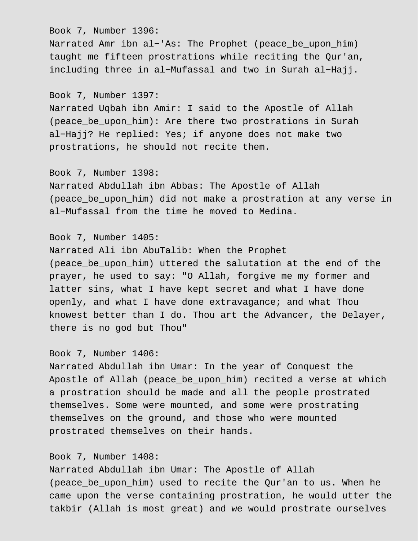#### Book 7, Number 1396:

Narrated Amr ibn al−'As: The Prophet (peace\_be\_upon\_him) taught me fifteen prostrations while reciting the Qur'an, including three in al−Mufassal and two in Surah al−Hajj.

#### Book 7, Number 1397:

Narrated Uqbah ibn Amir: I said to the Apostle of Allah (peace\_be\_upon\_him): Are there two prostrations in Surah al−Hajj? He replied: Yes; if anyone does not make two prostrations, he should not recite them.

#### Book 7, Number 1398:

Narrated Abdullah ibn Abbas: The Apostle of Allah (peace\_be\_upon\_him) did not make a prostration at any verse in al−Mufassal from the time he moved to Medina.

# Book 7, Number 1405:

Narrated Ali ibn AbuTalib: When the Prophet (peace\_be\_upon\_him) uttered the salutation at the end of the prayer, he used to say: "O Allah, forgive me my former and latter sins, what I have kept secret and what I have done openly, and what I have done extravagance; and what Thou knowest better than I do. Thou art the Advancer, the Delayer, there is no god but Thou"

#### Book 7, Number 1406:

Narrated Abdullah ibn Umar: In the year of Conquest the Apostle of Allah (peace\_be\_upon\_him) recited a verse at which a prostration should be made and all the people prostrated themselves. Some were mounted, and some were prostrating themselves on the ground, and those who were mounted prostrated themselves on their hands.

#### Book 7, Number 1408:

Narrated Abdullah ibn Umar: The Apostle of Allah (peace be upon him) used to recite the Qur'an to us. When he came upon the verse containing prostration, he would utter the takbir (Allah is most great) and we would prostrate ourselves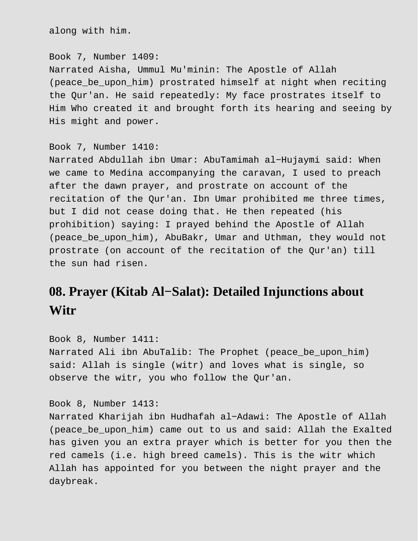along with him.

Book 7, Number 1409:

Narrated Aisha, Ummul Mu'minin: The Apostle of Allah (peace be upon him) prostrated himself at night when reciting the Qur'an. He said repeatedly: My face prostrates itself to Him Who created it and brought forth its hearing and seeing by His might and power.

```
Book 7, Number 1410:
```
Narrated Abdullah ibn Umar: AbuTamimah al−Hujaymi said: When we came to Medina accompanying the caravan, I used to preach after the dawn prayer, and prostrate on account of the recitation of the Qur'an. Ibn Umar prohibited me three times, but I did not cease doing that. He then repeated (his prohibition) saying: I prayed behind the Apostle of Allah (peace\_be\_upon\_him), AbuBakr, Umar and Uthman, they would not prostrate (on account of the recitation of the Qur'an) till the sun had risen.

# **08. Prayer (Kitab Al−Salat): Detailed Injunctions about Witr**

Book 8, Number 1411: Narrated Ali ibn AbuTalib: The Prophet (peace\_be\_upon\_him) said: Allah is single (witr) and loves what is single, so observe the witr, you who follow the Qur'an.

Book 8, Number 1413:

Narrated Kharijah ibn Hudhafah al−Adawi: The Apostle of Allah (peace\_be\_upon\_him) came out to us and said: Allah the Exalted has given you an extra prayer which is better for you then the red camels (i.e. high breed camels). This is the witr which Allah has appointed for you between the night prayer and the daybreak.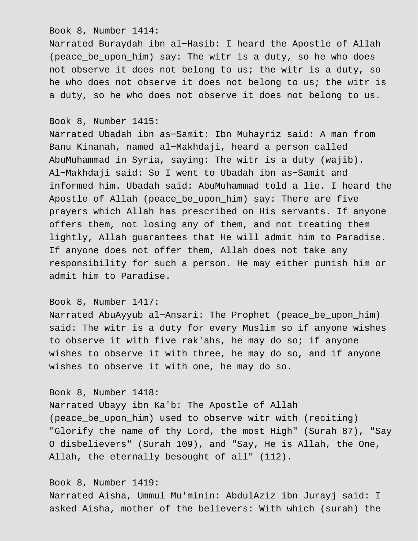#### Book 8, Number 1414:

Narrated Buraydah ibn al−Hasib: I heard the Apostle of Allah (peace be upon him) say: The witr is a duty, so he who does not observe it does not belong to us; the witr is a duty, so he who does not observe it does not belong to us; the witr is a duty, so he who does not observe it does not belong to us.

#### Book 8, Number 1415:

Narrated Ubadah ibn as−Samit: Ibn Muhayriz said: A man from Banu Kinanah, named al−Makhdaji, heard a person called AbuMuhammad in Syria, saying: The witr is a duty (wajib). Al−Makhdaji said: So I went to Ubadah ibn as−Samit and informed him. Ubadah said: AbuMuhammad told a lie. I heard the Apostle of Allah (peace\_be\_upon\_him) say: There are five prayers which Allah has prescribed on His servants. If anyone offers them, not losing any of them, and not treating them lightly, Allah guarantees that He will admit him to Paradise. If anyone does not offer them, Allah does not take any responsibility for such a person. He may either punish him or admit him to Paradise.

### Book 8, Number 1417:

Narrated AbuAyyub al−Ansari: The Prophet (peace\_be\_upon\_him) said: The witr is a duty for every Muslim so if anyone wishes to observe it with five rak'ahs, he may do so; if anyone wishes to observe it with three, he may do so, and if anyone wishes to observe it with one, he may do so.

# Book 8, Number 1418:

Narrated Ubayy ibn Ka'b: The Apostle of Allah (peace be upon him) used to observe witr with (reciting) "Glorify the name of thy Lord, the most High" (Surah 87), "Say O disbelievers" (Surah 109), and "Say, He is Allah, the One, Allah, the eternally besought of all" (112).

## Book 8, Number 1419:

Narrated Aisha, Ummul Mu'minin: AbdulAziz ibn Jurayj said: I asked Aisha, mother of the believers: With which (surah) the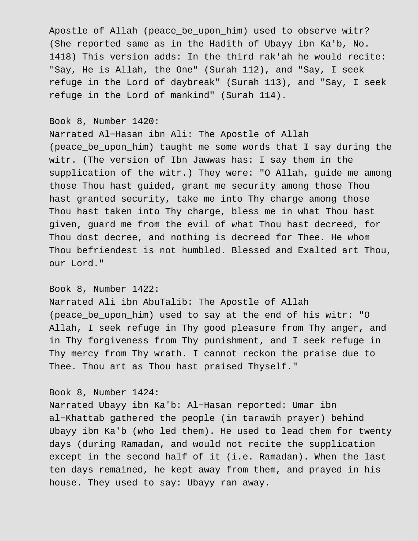Apostle of Allah (peace be upon him) used to observe witr? (She reported same as in the Hadith of Ubayy ibn Ka'b, No. 1418) This version adds: In the third rak'ah he would recite: "Say, He is Allah, the One" (Surah 112), and "Say, I seek refuge in the Lord of daybreak" (Surah 113), and "Say, I seek refuge in the Lord of mankind" (Surah 114).

# Book 8, Number 1420:

Narrated Al−Hasan ibn Ali: The Apostle of Allah (peace be upon him) taught me some words that I say during the witr. (The version of Ibn Jawwas has: I say them in the supplication of the witr.) They were: "O Allah, guide me among those Thou hast guided, grant me security among those Thou hast granted security, take me into Thy charge among those Thou hast taken into Thy charge, bless me in what Thou hast given, guard me from the evil of what Thou hast decreed, for Thou dost decree, and nothing is decreed for Thee. He whom Thou befriendest is not humbled. Blessed and Exalted art Thou, our Lord."

# Book 8, Number 1422:

Narrated Ali ibn AbuTalib: The Apostle of Allah (peace\_be\_upon\_him) used to say at the end of his witr: "O Allah, I seek refuge in Thy good pleasure from Thy anger, and in Thy forgiveness from Thy punishment, and I seek refuge in Thy mercy from Thy wrath. I cannot reckon the praise due to Thee. Thou art as Thou hast praised Thyself."

# Book 8, Number 1424:

Narrated Ubayy ibn Ka'b: Al−Hasan reported: Umar ibn al−Khattab gathered the people (in tarawih prayer) behind Ubayy ibn Ka'b (who led them). He used to lead them for twenty days (during Ramadan, and would not recite the supplication except in the second half of it (i.e. Ramadan). When the last ten days remained, he kept away from them, and prayed in his house. They used to say: Ubayy ran away.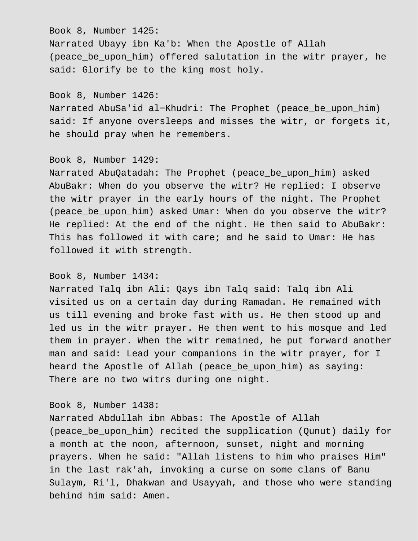# Book 8, Number 1425:

Narrated Ubayy ibn Ka'b: When the Apostle of Allah (peace be upon him) offered salutation in the witr prayer, he said: Glorify be to the king most holy.

# Book 8, Number 1426:

Narrated AbuSa'id al−Khudri: The Prophet (peace\_be\_upon\_him) said: If anyone oversleeps and misses the witr, or forgets it, he should pray when he remembers.

#### Book 8, Number 1429:

Narrated AbuQatadah: The Prophet (peace be upon him) asked AbuBakr: When do you observe the witr? He replied: I observe the witr prayer in the early hours of the night. The Prophet (peace be upon him) asked Umar: When do you observe the witr? He replied: At the end of the night. He then said to AbuBakr: This has followed it with care; and he said to Umar: He has followed it with strength.

#### Book 8, Number 1434:

Narrated Talq ibn Ali: Qays ibn Talq said: Talq ibn Ali visited us on a certain day during Ramadan. He remained with us till evening and broke fast with us. He then stood up and led us in the witr prayer. He then went to his mosque and led them in prayer. When the witr remained, he put forward another man and said: Lead your companions in the witr prayer, for I heard the Apostle of Allah (peace\_be\_upon\_him) as saying: There are no two witrs during one night.

### Book 8, Number 1438:

Narrated Abdullah ibn Abbas: The Apostle of Allah (peace\_be\_upon\_him) recited the supplication (Qunut) daily for a month at the noon, afternoon, sunset, night and morning prayers. When he said: "Allah listens to him who praises Him" in the last rak'ah, invoking a curse on some clans of Banu Sulaym, Ri'l, Dhakwan and Usayyah, and those who were standing behind him said: Amen.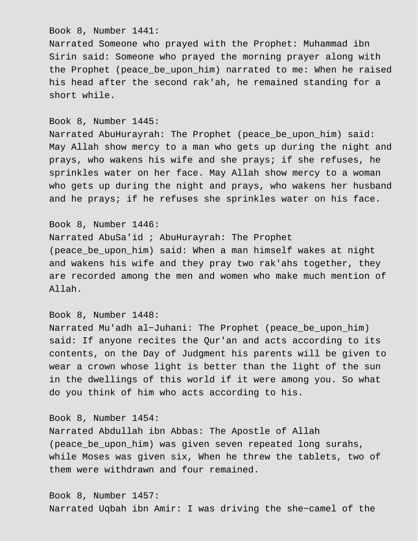#### Book 8, Number 1441:

Narrated Someone who prayed with the Prophet: Muhammad ibn Sirin said: Someone who prayed the morning prayer along with the Prophet (peace be upon him) narrated to me: When he raised his head after the second rak'ah, he remained standing for a short while.

#### Book 8, Number 1445:

Narrated AbuHurayrah: The Prophet (peace be upon him) said: May Allah show mercy to a man who gets up during the night and prays, who wakens his wife and she prays; if she refuses, he sprinkles water on her face. May Allah show mercy to a woman who gets up during the night and prays, who wakens her husband and he prays; if he refuses she sprinkles water on his face.

#### Book 8, Number 1446:

Narrated AbuSa'id ; AbuHurayrah: The Prophet (peace\_be\_upon\_him) said: When a man himself wakes at night and wakens his wife and they pray two rak'ahs together, they are recorded among the men and women who make much mention of Allah.

#### Book 8, Number 1448:

Narrated Mu'adh al−Juhani: The Prophet (peace\_be\_upon\_him) said: If anyone recites the Qur'an and acts according to its contents, on the Day of Judgment his parents will be given to wear a crown whose light is better than the light of the sun in the dwellings of this world if it were among you. So what do you think of him who acts according to his.

#### Book 8, Number 1454:

Narrated Abdullah ibn Abbas: The Apostle of Allah (peace\_be\_upon\_him) was given seven repeated long surahs, while Moses was given six, When he threw the tablets, two of them were withdrawn and four remained.

Book 8, Number 1457: Narrated Uqbah ibn Amir: I was driving the she−camel of the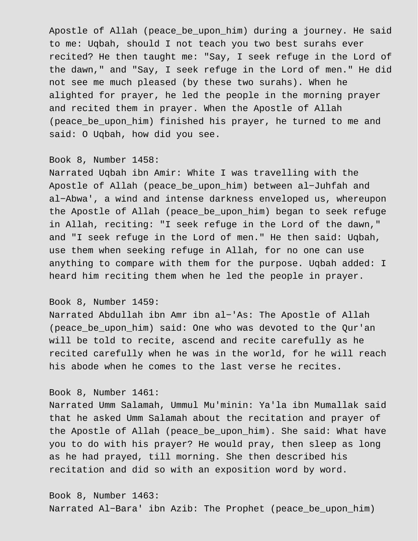Apostle of Allah (peace be upon him) during a journey. He said to me: Uqbah, should I not teach you two best surahs ever recited? He then taught me: "Say, I seek refuge in the Lord of the dawn," and "Say, I seek refuge in the Lord of men." He did not see me much pleased (by these two surahs). When he alighted for prayer, he led the people in the morning prayer and recited them in prayer. When the Apostle of Allah (peace\_be\_upon\_him) finished his prayer, he turned to me and said: O Uqbah, how did you see.

## Book 8, Number 1458:

Narrated Uqbah ibn Amir: White I was travelling with the Apostle of Allah (peace\_be\_upon\_him) between al−Juhfah and al−Abwa', a wind and intense darkness enveloped us, whereupon the Apostle of Allah (peace be upon him) began to seek refuge in Allah, reciting: "I seek refuge in the Lord of the dawn," and "I seek refuge in the Lord of men." He then said: Uqbah, use them when seeking refuge in Allah, for no one can use anything to compare with them for the purpose. Uqbah added: I heard him reciting them when he led the people in prayer.

### Book 8, Number 1459:

Narrated Abdullah ibn Amr ibn al−'As: The Apostle of Allah (peace\_be\_upon\_him) said: One who was devoted to the Qur'an will be told to recite, ascend and recite carefully as he recited carefully when he was in the world, for he will reach his abode when he comes to the last verse he recites.

# Book 8, Number 1461:

Narrated Umm Salamah, Ummul Mu'minin: Ya'la ibn Mumallak said that he asked Umm Salamah about the recitation and prayer of the Apostle of Allah (peace\_be\_upon\_him). She said: What have you to do with his prayer? He would pray, then sleep as long as he had prayed, till morning. She then described his recitation and did so with an exposition word by word.

Book 8, Number 1463: Narrated Al−Bara' ibn Azib: The Prophet (peace\_be\_upon\_him)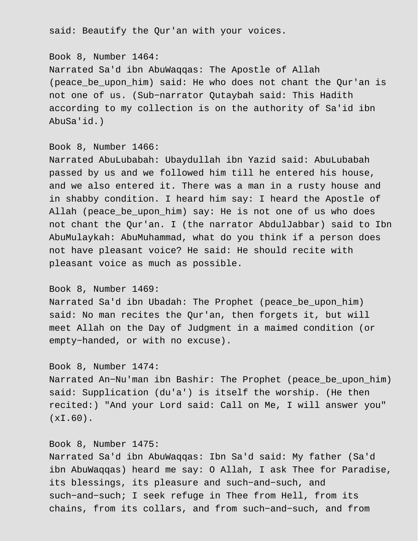said: Beautify the Qur'an with your voices.

### Book 8, Number 1464:

Narrated Sa'd ibn AbuWaqqas: The Apostle of Allah (peace\_be\_upon\_him) said: He who does not chant the Qur'an is not one of us. (Sub−narrator Qutaybah said: This Hadith according to my collection is on the authority of Sa'id ibn AbuSa'id.)

### Book 8, Number 1466:

Narrated AbuLubabah: Ubaydullah ibn Yazid said: AbuLubabah passed by us and we followed him till he entered his house, and we also entered it. There was a man in a rusty house and in shabby condition. I heard him say: I heard the Apostle of Allah (peace be upon him) say: He is not one of us who does not chant the Qur'an. I (the narrator AbdulJabbar) said to Ibn AbuMulaykah: AbuMuhammad, what do you think if a person does not have pleasant voice? He said: He should recite with pleasant voice as much as possible.

#### Book 8, Number 1469:

Narrated Sa'd ibn Ubadah: The Prophet (peace be upon him) said: No man recites the Qur'an, then forgets it, but will meet Allah on the Day of Judgment in a maimed condition (or empty−handed, or with no excuse).

#### Book 8, Number 1474:

Narrated An−Nu'man ibn Bashir: The Prophet (peace\_be\_upon\_him) said: Supplication (du'a') is itself the worship. (He then recited:) "And your Lord said: Call on Me, I will answer you"  $(xI.60)$ .

# Book 8, Number 1475:

Narrated Sa'd ibn AbuWaqqas: Ibn Sa'd said: My father (Sa'd ibn AbuWaqqas) heard me say: O Allah, I ask Thee for Paradise, its blessings, its pleasure and such−and−such, and such−and−such; I seek refuge in Thee from Hell, from its chains, from its collars, and from such−and−such, and from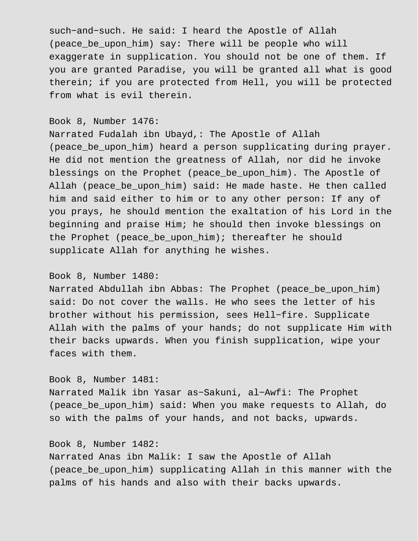such−and−such. He said: I heard the Apostle of Allah (peace\_be\_upon\_him) say: There will be people who will exaggerate in supplication. You should not be one of them. If you are granted Paradise, you will be granted all what is good therein; if you are protected from Hell, you will be protected from what is evil therein.

# Book 8, Number 1476:

Narrated Fudalah ibn Ubayd,: The Apostle of Allah (peace be upon him) heard a person supplicating during prayer. He did not mention the greatness of Allah, nor did he invoke blessings on the Prophet (peace\_be\_upon\_him). The Apostle of Allah (peace\_be\_upon\_him) said: He made haste. He then called him and said either to him or to any other person: If any of you prays, he should mention the exaltation of his Lord in the beginning and praise Him; he should then invoke blessings on the Prophet (peace be upon him); thereafter he should supplicate Allah for anything he wishes.

#### Book 8, Number 1480:

Narrated Abdullah ibn Abbas: The Prophet (peace\_be\_upon\_him) said: Do not cover the walls. He who sees the letter of his brother without his permission, sees Hell−fire. Supplicate Allah with the palms of your hands; do not supplicate Him with their backs upwards. When you finish supplication, wipe your faces with them.

### Book 8, Number 1481:

Narrated Malik ibn Yasar as−Sakuni, al−Awfi: The Prophet (peace\_be\_upon\_him) said: When you make requests to Allah, do so with the palms of your hands, and not backs, upwards.

# Book 8, Number 1482:

Narrated Anas ibn Malik: I saw the Apostle of Allah (peace be upon him) supplicating Allah in this manner with the palms of his hands and also with their backs upwards.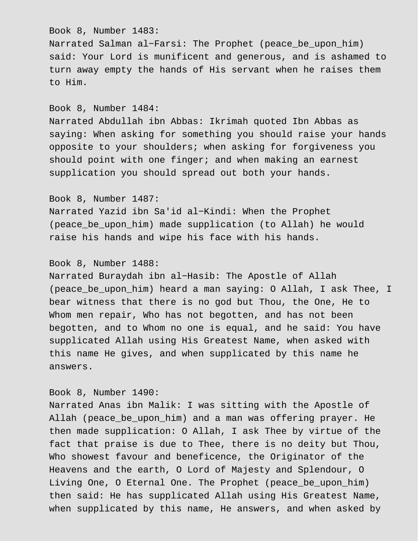#### Book 8, Number 1483:

Narrated Salman al−Farsi: The Prophet (peace\_be\_upon\_him) said: Your Lord is munificent and generous, and is ashamed to turn away empty the hands of His servant when he raises them to Him.

#### Book 8, Number 1484:

Narrated Abdullah ibn Abbas: Ikrimah quoted Ibn Abbas as saying: When asking for something you should raise your hands opposite to your shoulders; when asking for forgiveness you should point with one finger; and when making an earnest supplication you should spread out both your hands.

#### Book 8, Number 1487:

Narrated Yazid ibn Sa'id al−Kindi: When the Prophet (peace\_be\_upon\_him) made supplication (to Allah) he would raise his hands and wipe his face with his hands.

#### Book 8, Number 1488:

Narrated Buraydah ibn al−Hasib: The Apostle of Allah (peace\_be\_upon\_him) heard a man saying: O Allah, I ask Thee, I bear witness that there is no god but Thou, the One, He to Whom men repair, Who has not begotten, and has not been begotten, and to Whom no one is equal, and he said: You have supplicated Allah using His Greatest Name, when asked with this name He gives, and when supplicated by this name he answers.

# Book 8, Number 1490:

Narrated Anas ibn Malik: I was sitting with the Apostle of Allah (peace\_be\_upon\_him) and a man was offering prayer. He then made supplication: O Allah, I ask Thee by virtue of the fact that praise is due to Thee, there is no deity but Thou, Who showest favour and beneficence, the Originator of the Heavens and the earth, O Lord of Majesty and Splendour, O Living One, O Eternal One. The Prophet (peace\_be\_upon\_him) then said: He has supplicated Allah using His Greatest Name, when supplicated by this name, He answers, and when asked by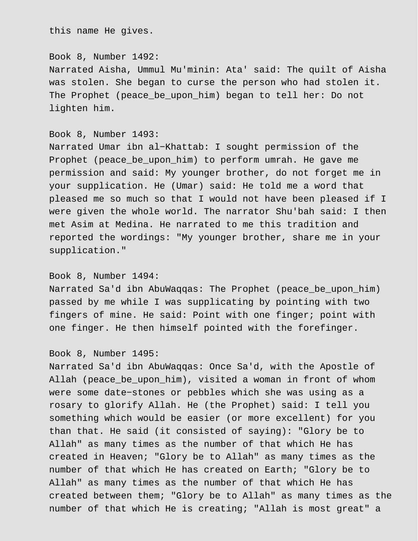this name He gives.

# Book 8, Number 1492:

Narrated Aisha, Ummul Mu'minin: Ata' said: The quilt of Aisha was stolen. She began to curse the person who had stolen it. The Prophet (peace\_be\_upon\_him) began to tell her: Do not lighten him.

#### Book 8, Number 1493:

Narrated Umar ibn al−Khattab: I sought permission of the Prophet (peace\_be\_upon\_him) to perform umrah. He gave me permission and said: My younger brother, do not forget me in your supplication. He (Umar) said: He told me a word that pleased me so much so that I would not have been pleased if I were given the whole world. The narrator Shu'bah said: I then met Asim at Medina. He narrated to me this tradition and reported the wordings: "My younger brother, share me in your supplication."

#### Book 8, Number 1494:

Narrated Sa'd ibn AbuWaqqas: The Prophet (peace be upon him) passed by me while I was supplicating by pointing with two fingers of mine. He said: Point with one finger; point with one finger. He then himself pointed with the forefinger.

### Book 8, Number 1495:

Narrated Sa'd ibn AbuWaqqas: Once Sa'd, with the Apostle of Allah (peace\_be\_upon\_him), visited a woman in front of whom were some date−stones or pebbles which she was using as a rosary to glorify Allah. He (the Prophet) said: I tell you something which would be easier (or more excellent) for you than that. He said (it consisted of saying): "Glory be to Allah" as many times as the number of that which He has created in Heaven; "Glory be to Allah" as many times as the number of that which He has created on Earth; "Glory be to Allah" as many times as the number of that which He has created between them; "Glory be to Allah" as many times as the number of that which He is creating; "Allah is most great" a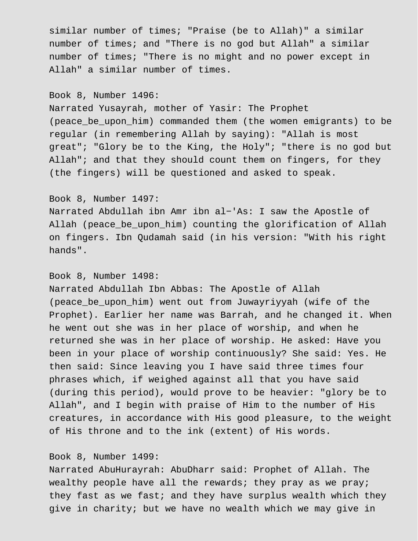similar number of times; "Praise (be to Allah)" a similar number of times; and "There is no god but Allah" a similar number of times; "There is no might and no power except in Allah" a similar number of times.

# Book 8, Number 1496:

Narrated Yusayrah, mother of Yasir: The Prophet (peace\_be\_upon\_him) commanded them (the women emigrants) to be regular (in remembering Allah by saying): "Allah is most great"; "Glory be to the King, the Holy"; "there is no god but Allah"; and that they should count them on fingers, for they (the fingers) will be questioned and asked to speak.

# Book 8, Number 1497:

Narrated Abdullah ibn Amr ibn al−'As: I saw the Apostle of Allah (peace\_be\_upon\_him) counting the glorification of Allah on fingers. Ibn Qudamah said (in his version: "With his right hands".

#### Book 8, Number 1498:

Narrated Abdullah Ibn Abbas: The Apostle of Allah (peace\_be\_upon\_him) went out from Juwayriyyah (wife of the Prophet). Earlier her name was Barrah, and he changed it. When he went out she was in her place of worship, and when he returned she was in her place of worship. He asked: Have you been in your place of worship continuously? She said: Yes. He then said: Since leaving you I have said three times four phrases which, if weighed against all that you have said (during this period), would prove to be heavier: "glory be to Allah", and I begin with praise of Him to the number of His creatures, in accordance with His good pleasure, to the weight of His throne and to the ink (extent) of His words.

# Book 8, Number 1499:

Narrated AbuHurayrah: AbuDharr said: Prophet of Allah. The wealthy people have all the rewards; they pray as we pray; they fast as we fast; and they have surplus wealth which they give in charity; but we have no wealth which we may give in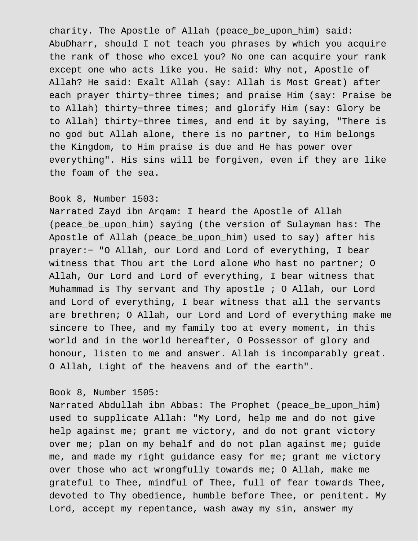charity. The Apostle of Allah (peace be upon him) said: AbuDharr, should I not teach you phrases by which you acquire the rank of those who excel you? No one can acquire your rank except one who acts like you. He said: Why not, Apostle of Allah? He said: Exalt Allah (say: Allah is Most Great) after each prayer thirty−three times; and praise Him (say: Praise be to Allah) thirty−three times; and glorify Him (say: Glory be to Allah) thirty−three times, and end it by saying, "There is no god but Allah alone, there is no partner, to Him belongs the Kingdom, to Him praise is due and He has power over everything". His sins will be forgiven, even if they are like the foam of the sea.

# Book 8, Number 1503:

Narrated Zayd ibn Arqam: I heard the Apostle of Allah (peace\_be\_upon\_him) saying (the version of Sulayman has: The Apostle of Allah (peace\_be\_upon\_him) used to say) after his prayer:− "O Allah, our Lord and Lord of everything, I bear witness that Thou art the Lord alone Who hast no partner; O Allah, Our Lord and Lord of everything, I bear witness that Muhammad is Thy servant and Thy apostle ; O Allah, our Lord and Lord of everything, I bear witness that all the servants are brethren; O Allah, our Lord and Lord of everything make me sincere to Thee, and my family too at every moment, in this world and in the world hereafter, O Possessor of glory and honour, listen to me and answer. Allah is incomparably great. O Allah, Light of the heavens and of the earth".

# Book 8, Number 1505:

Narrated Abdullah ibn Abbas: The Prophet (peace\_be\_upon\_him) used to supplicate Allah: "My Lord, help me and do not give help against me; grant me victory, and do not grant victory over me; plan on my behalf and do not plan against me; guide me, and made my right guidance easy for me; grant me victory over those who act wrongfully towards me; O Allah, make me grateful to Thee, mindful of Thee, full of fear towards Thee, devoted to Thy obedience, humble before Thee, or penitent. My Lord, accept my repentance, wash away my sin, answer my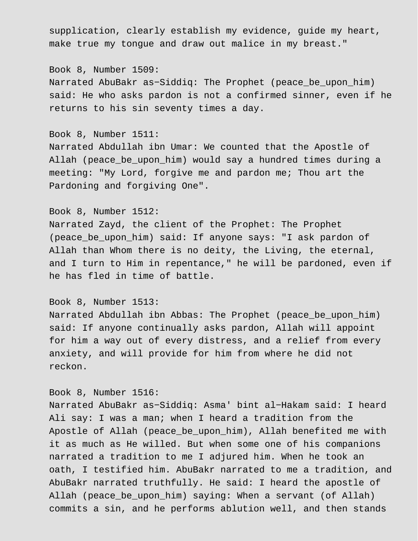supplication, clearly establish my evidence, quide my heart, make true my tongue and draw out malice in my breast."

Book 8, Number 1509: Narrated AbuBakr as-Siddiq: The Prophet (peace be upon him) said: He who asks pardon is not a confirmed sinner, even if he returns to his sin seventy times a day.

#### Book 8, Number 1511:

Narrated Abdullah ibn Umar: We counted that the Apostle of Allah (peace\_be\_upon\_him) would say a hundred times during a meeting: "My Lord, forgive me and pardon me; Thou art the Pardoning and forgiving One".

# Book 8, Number 1512:

Narrated Zayd, the client of the Prophet: The Prophet (peace be upon him) said: If anyone says: "I ask pardon of Allah than Whom there is no deity, the Living, the eternal, and I turn to Him in repentance," he will be pardoned, even if he has fled in time of battle.

#### Book 8, Number 1513:

Narrated Abdullah ibn Abbas: The Prophet (peace\_be\_upon\_him) said: If anyone continually asks pardon, Allah will appoint for him a way out of every distress, and a relief from every anxiety, and will provide for him from where he did not reckon.

# Book 8, Number 1516:

Narrated AbuBakr as−Siddiq: Asma' bint al−Hakam said: I heard Ali say: I was a man; when I heard a tradition from the Apostle of Allah (peace\_be\_upon\_him), Allah benefited me with it as much as He willed. But when some one of his companions narrated a tradition to me I adjured him. When he took an oath, I testified him. AbuBakr narrated to me a tradition, and AbuBakr narrated truthfully. He said: I heard the apostle of Allah (peace\_be\_upon\_him) saying: When a servant (of Allah) commits a sin, and he performs ablution well, and then stands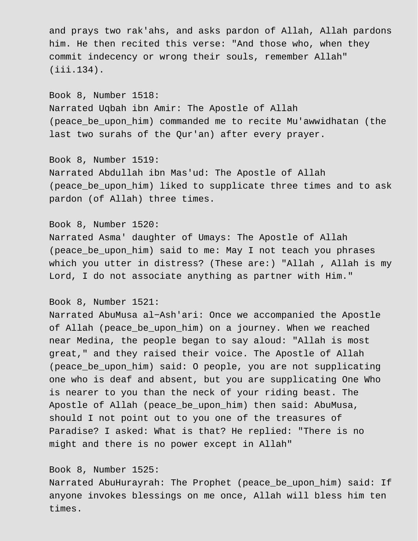and prays two rak'ahs, and asks pardon of Allah, Allah pardons him. He then recited this verse: "And those who, when they commit indecency or wrong their souls, remember Allah" (iii.134).

Book 8, Number 1518: Narrated Uqbah ibn Amir: The Apostle of Allah (peace\_be\_upon\_him) commanded me to recite Mu'awwidhatan (the last two surahs of the Qur'an) after every prayer.

Book 8, Number 1519: Narrated Abdullah ibn Mas'ud: The Apostle of Allah (peace\_be\_upon\_him) liked to supplicate three times and to ask pardon (of Allah) three times.

Book 8, Number 1520: Narrated Asma' daughter of Umays: The Apostle of Allah (peace\_be\_upon\_him) said to me: May I not teach you phrases which you utter in distress? (These are:) "Allah, Allah is my Lord, I do not associate anything as partner with Him."

Book 8, Number 1521:

Narrated AbuMusa al−Ash'ari: Once we accompanied the Apostle of Allah (peace\_be\_upon\_him) on a journey. When we reached near Medina, the people began to say aloud: "Allah is most great," and they raised their voice. The Apostle of Allah (peace\_be\_upon\_him) said: O people, you are not supplicating one who is deaf and absent, but you are supplicating One Who is nearer to you than the neck of your riding beast. The Apostle of Allah (peace\_be\_upon\_him) then said: AbuMusa, should I not point out to you one of the treasures of Paradise? I asked: What is that? He replied: "There is no might and there is no power except in Allah"

Book 8, Number 1525:

Narrated AbuHurayrah: The Prophet (peace\_be\_upon\_him) said: If anyone invokes blessings on me once, Allah will bless him ten times.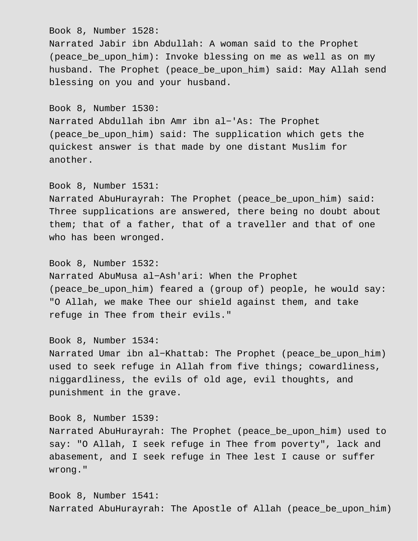## Book 8, Number 1528:

Narrated Jabir ibn Abdullah: A woman said to the Prophet (peace be upon him): Invoke blessing on me as well as on my husband. The Prophet (peace be upon him) said: May Allah send blessing on you and your husband.

Book 8, Number 1530:

Narrated Abdullah ibn Amr ibn al−'As: The Prophet (peace\_be\_upon\_him) said: The supplication which gets the quickest answer is that made by one distant Muslim for another.

Book 8, Number 1531:

Narrated AbuHurayrah: The Prophet (peace\_be\_upon\_him) said: Three supplications are answered, there being no doubt about them; that of a father, that of a traveller and that of one who has been wronged.

Book 8, Number 1532: Narrated AbuMusa al−Ash'ari: When the Prophet (peace\_be\_upon\_him) feared a (group of) people, he would say: "O Allah, we make Thee our shield against them, and take refuge in Thee from their evils."

Book 8, Number 1534: Narrated Umar ibn al-Khattab: The Prophet (peace be upon him) used to seek refuge in Allah from five things; cowardliness, niggardliness, the evils of old age, evil thoughts, and punishment in the grave.

Book 8, Number 1539: Narrated AbuHurayrah: The Prophet (peace\_be\_upon\_him) used to say: "O Allah, I seek refuge in Thee from poverty", lack and abasement, and I seek refuge in Thee lest I cause or suffer wrong."

Book 8, Number 1541: Narrated AbuHurayrah: The Apostle of Allah (peace\_be\_upon\_him)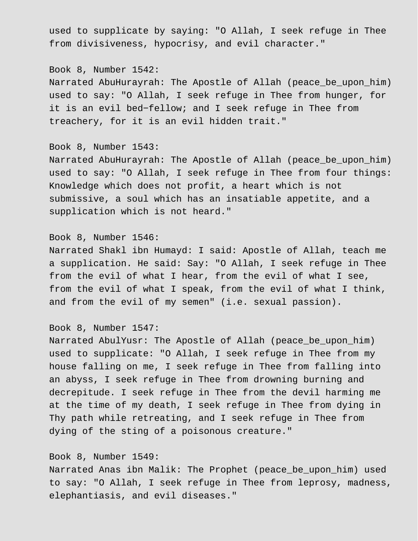used to supplicate by saying: "O Allah, I seek refuge in Thee from divisiveness, hypocrisy, and evil character."

Book 8, Number 1542: Narrated AbuHurayrah: The Apostle of Allah (peace be upon him) used to say: "O Allah, I seek refuge in Thee from hunger, for it is an evil bed−fellow; and I seek refuge in Thee from treachery, for it is an evil hidden trait."

## Book 8, Number 1543:

Narrated AbuHurayrah: The Apostle of Allah (peace be upon him) used to say: "O Allah, I seek refuge in Thee from four things: Knowledge which does not profit, a heart which is not submissive, a soul which has an insatiable appetite, and a supplication which is not heard."

# Book 8, Number 1546:

Narrated Shakl ibn Humayd: I said: Apostle of Allah, teach me a supplication. He said: Say: "O Allah, I seek refuge in Thee from the evil of what I hear, from the evil of what I see, from the evil of what I speak, from the evil of what I think, and from the evil of my semen" (i.e. sexual passion).

# Book 8, Number 1547:

Narrated AbulYusr: The Apostle of Allah (peace\_be\_upon\_him) used to supplicate: "O Allah, I seek refuge in Thee from my house falling on me, I seek refuge in Thee from falling into an abyss, I seek refuge in Thee from drowning burning and decrepitude. I seek refuge in Thee from the devil harming me at the time of my death, I seek refuge in Thee from dying in Thy path while retreating, and I seek refuge in Thee from dying of the sting of a poisonous creature."

### Book 8, Number 1549:

Narrated Anas ibn Malik: The Prophet (peace be upon him) used to say: "O Allah, I seek refuge in Thee from leprosy, madness, elephantiasis, and evil diseases."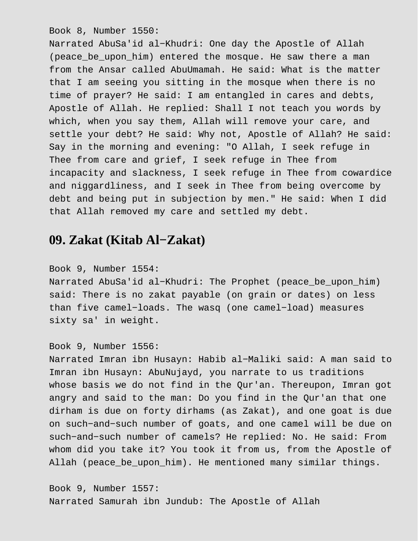Book 8, Number 1550:

Narrated AbuSa'id al−Khudri: One day the Apostle of Allah (peace be upon him) entered the mosque. He saw there a man from the Ansar called AbuUmamah. He said: What is the matter that I am seeing you sitting in the mosque when there is no time of prayer? He said: I am entangled in cares and debts, Apostle of Allah. He replied: Shall I not teach you words by which, when you say them, Allah will remove your care, and settle your debt? He said: Why not, Apostle of Allah? He said: Say in the morning and evening: "O Allah, I seek refuge in Thee from care and grief, I seek refuge in Thee from incapacity and slackness, I seek refuge in Thee from cowardice and niggardliness, and I seek in Thee from being overcome by debt and being put in subjection by men." He said: When I did that Allah removed my care and settled my debt.

# **09. Zakat (Kitab Al−Zakat)**

#### Book 9, Number 1554:

Narrated AbuSa'id al-Khudri: The Prophet (peace be upon him) said: There is no zakat payable (on grain or dates) on less than five camel−loads. The wasq (one camel−load) measures sixty sa' in weight.

# Book 9, Number 1556:

Narrated Imran ibn Husayn: Habib al−Maliki said: A man said to Imran ibn Husayn: AbuNujayd, you narrate to us traditions whose basis we do not find in the Qur'an. Thereupon, Imran got angry and said to the man: Do you find in the Qur'an that one dirham is due on forty dirhams (as Zakat), and one goat is due on such−and−such number of goats, and one camel will be due on such−and−such number of camels? He replied: No. He said: From whom did you take it? You took it from us, from the Apostle of Allah (peace\_be\_upon\_him). He mentioned many similar things.

Book 9, Number 1557: Narrated Samurah ibn Jundub: The Apostle of Allah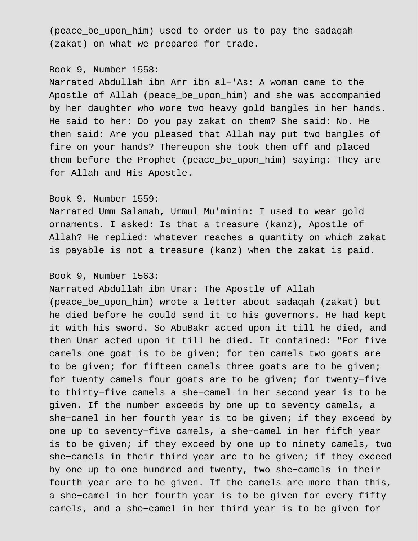(peace be upon him) used to order us to pay the sadaqah (zakat) on what we prepared for trade.

# Book 9, Number 1558:

Narrated Abdullah ibn Amr ibn al−'As: A woman came to the Apostle of Allah (peace\_be\_upon\_him) and she was accompanied by her daughter who wore two heavy gold bangles in her hands. He said to her: Do you pay zakat on them? She said: No. He then said: Are you pleased that Allah may put two bangles of fire on your hands? Thereupon she took them off and placed them before the Prophet (peace\_be\_upon\_him) saying: They are for Allah and His Apostle.

# Book 9, Number 1559:

Narrated Umm Salamah, Ummul Mu'minin: I used to wear gold ornaments. I asked: Is that a treasure (kanz), Apostle of Allah? He replied: whatever reaches a quantity on which zakat is payable is not a treasure (kanz) when the zakat is paid.

#### Book 9, Number 1563:

Narrated Abdullah ibn Umar: The Apostle of Allah (peace\_be\_upon\_him) wrote a letter about sadaqah (zakat) but he died before he could send it to his governors. He had kept it with his sword. So AbuBakr acted upon it till he died, and then Umar acted upon it till he died. It contained: "For five camels one goat is to be given; for ten camels two goats are to be given; for fifteen camels three goats are to be given; for twenty camels four goats are to be given; for twenty−five to thirty−five camels a she−camel in her second year is to be given. If the number exceeds by one up to seventy camels, a she−camel in her fourth year is to be given; if they exceed by one up to seventy−five camels, a she−camel in her fifth year is to be given; if they exceed by one up to ninety camels, two she−camels in their third year are to be given; if they exceed by one up to one hundred and twenty, two she−camels in their fourth year are to be given. If the camels are more than this, a she−camel in her fourth year is to be given for every fifty camels, and a she−camel in her third year is to be given for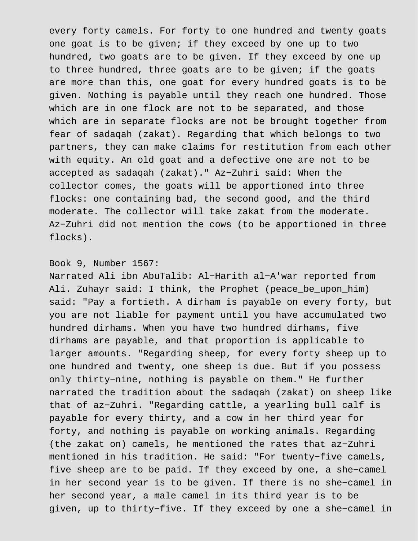every forty camels. For forty to one hundred and twenty goats one goat is to be given; if they exceed by one up to two hundred, two goats are to be given. If they exceed by one up to three hundred, three goats are to be given; if the goats are more than this, one goat for every hundred goats is to be given. Nothing is payable until they reach one hundred. Those which are in one flock are not to be separated, and those which are in separate flocks are not be brought together from fear of sadaqah (zakat). Regarding that which belongs to two partners, they can make claims for restitution from each other with equity. An old goat and a defective one are not to be accepted as sadaqah (zakat)." Az−Zuhri said: When the collector comes, the goats will be apportioned into three flocks: one containing bad, the second good, and the third moderate. The collector will take zakat from the moderate. Az−Zuhri did not mention the cows (to be apportioned in three flocks).

# Book 9, Number 1567:

Narrated Ali ibn AbuTalib: Al−Harith al−A'war reported from Ali. Zuhayr said: I think, the Prophet (peace\_be\_upon\_him) said: "Pay a fortieth. A dirham is payable on every forty, but you are not liable for payment until you have accumulated two hundred dirhams. When you have two hundred dirhams, five dirhams are payable, and that proportion is applicable to larger amounts. "Regarding sheep, for every forty sheep up to one hundred and twenty, one sheep is due. But if you possess only thirty−nine, nothing is payable on them." He further narrated the tradition about the sadaqah (zakat) on sheep like that of az−Zuhri. "Regarding cattle, a yearling bull calf is payable for every thirty, and a cow in her third year for forty, and nothing is payable on working animals. Regarding (the zakat on) camels, he mentioned the rates that az−Zuhri mentioned in his tradition. He said: "For twenty−five camels, five sheep are to be paid. If they exceed by one, a she−camel in her second year is to be given. If there is no she−camel in her second year, a male camel in its third year is to be given, up to thirty−five. If they exceed by one a she−camel in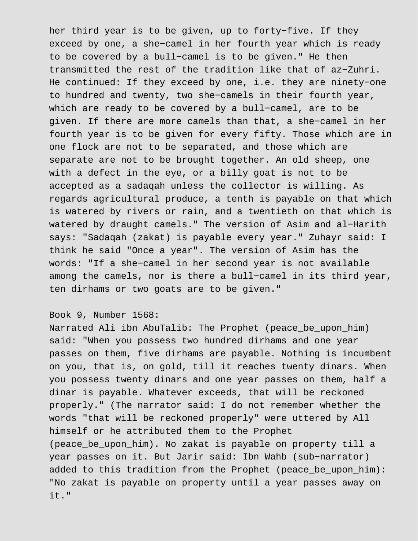her third year is to be given, up to forty−five. If they exceed by one, a she−camel in her fourth year which is ready to be covered by a bull−camel is to be given." He then transmitted the rest of the tradition like that of az−Zuhri. He continued: If they exceed by one, i.e. they are ninety−one to hundred and twenty, two she−camels in their fourth year, which are ready to be covered by a bull−camel, are to be given. If there are more camels than that, a she−camel in her fourth year is to be given for every fifty. Those which are in one flock are not to be separated, and those which are separate are not to be brought together. An old sheep, one with a defect in the eye, or a billy goat is not to be accepted as a sadaqah unless the collector is willing. As regards agricultural produce, a tenth is payable on that which is watered by rivers or rain, and a twentieth on that which is watered by draught camels." The version of Asim and al−Harith says: "Sadaqah (zakat) is payable every year." Zuhayr said: I think he said "Once a year". The version of Asim has the words: "If a she−camel in her second year is not available among the camels, nor is there a bull−camel in its third year, ten dirhams or two goats are to be given."

## Book 9, Number 1568:

Narrated Ali ibn AbuTalib: The Prophet (peace\_be\_upon\_him) said: "When you possess two hundred dirhams and one year passes on them, five dirhams are payable. Nothing is incumbent on you, that is, on gold, till it reaches twenty dinars. When you possess twenty dinars and one year passes on them, half a dinar is payable. Whatever exceeds, that will be reckoned properly." (The narrator said: I do not remember whether the words "that will be reckoned properly" were uttered by All himself or he attributed them to the Prophet (peace\_be\_upon\_him). No zakat is payable on property till a year passes on it. But Jarir said: Ibn Wahb (sub−narrator) added to this tradition from the Prophet (peace be upon him): "No zakat is payable on property until a year passes away on it."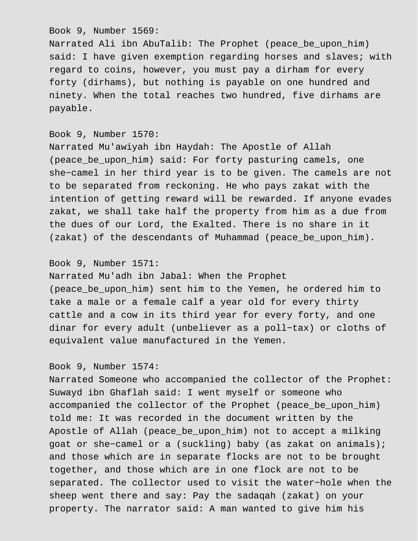# Book 9, Number 1569:

Narrated Ali ibn AbuTalib: The Prophet (peace\_be\_upon\_him) said: I have given exemption regarding horses and slaves; with regard to coins, however, you must pay a dirham for every forty (dirhams), but nothing is payable on one hundred and ninety. When the total reaches two hundred, five dirhams are payable.

#### Book 9, Number 1570:

Narrated Mu'awiyah ibn Haydah: The Apostle of Allah (peace\_be\_upon\_him) said: For forty pasturing camels, one she−camel in her third year is to be given. The camels are not to be separated from reckoning. He who pays zakat with the intention of getting reward will be rewarded. If anyone evades zakat, we shall take half the property from him as a due from the dues of our Lord, the Exalted. There is no share in it (zakat) of the descendants of Muhammad (peace\_be\_upon\_him).

# Book 9, Number 1571:

Narrated Mu'adh ibn Jabal: When the Prophet (peace\_be\_upon\_him) sent him to the Yemen, he ordered him to take a male or a female calf a year old for every thirty cattle and a cow in its third year for every forty, and one dinar for every adult (unbeliever as a poll−tax) or cloths of equivalent value manufactured in the Yemen.

# Book 9, Number 1574:

Narrated Someone who accompanied the collector of the Prophet: Suwayd ibn Ghaflah said: I went myself or someone who accompanied the collector of the Prophet (peace\_be\_upon\_him) told me: It was recorded in the document written by the Apostle of Allah (peace\_be\_upon\_him) not to accept a milking goat or she−camel or a (suckling) baby (as zakat on animals); and those which are in separate flocks are not to be brought together, and those which are in one flock are not to be separated. The collector used to visit the water−hole when the sheep went there and say: Pay the sadaqah (zakat) on your property. The narrator said: A man wanted to give him his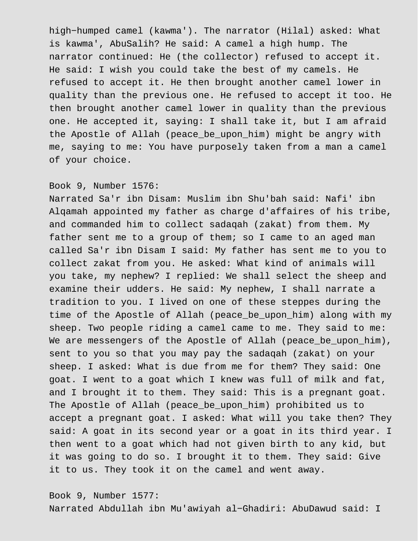high−humped camel (kawma'). The narrator (Hilal) asked: What is kawma', AbuSalih? He said: A camel a high hump. The narrator continued: He (the collector) refused to accept it. He said: I wish you could take the best of my camels. He refused to accept it. He then brought another camel lower in quality than the previous one. He refused to accept it too. He then brought another camel lower in quality than the previous one. He accepted it, saying: I shall take it, but I am afraid the Apostle of Allah (peace\_be\_upon\_him) might be angry with me, saying to me: You have purposely taken from a man a camel of your choice.

#### Book 9, Number 1576:

Narrated Sa'r ibn Disam: Muslim ibn Shu'bah said: Nafi' ibn Alqamah appointed my father as charge d'affaires of his tribe, and commanded him to collect sadaqah (zakat) from them. My father sent me to a group of them; so I came to an aged man called Sa'r ibn Disam I said: My father has sent me to you to collect zakat from you. He asked: What kind of animals will you take, my nephew? I replied: We shall select the sheep and examine their udders. He said: My nephew, I shall narrate a tradition to you. I lived on one of these steppes during the time of the Apostle of Allah (peace\_be\_upon\_him) along with my sheep. Two people riding a camel came to me. They said to me: We are messengers of the Apostle of Allah (peace\_be\_upon\_him), sent to you so that you may pay the sadaqah (zakat) on your sheep. I asked: What is due from me for them? They said: One goat. I went to a goat which I knew was full of milk and fat, and I brought it to them. They said: This is a pregnant goat. The Apostle of Allah (peace\_be\_upon\_him) prohibited us to accept a pregnant goat. I asked: What will you take then? They said: A goat in its second year or a goat in its third year. I then went to a goat which had not given birth to any kid, but it was going to do so. I brought it to them. They said: Give it to us. They took it on the camel and went away.

Book 9, Number 1577: Narrated Abdullah ibn Mu'awiyah al−Ghadiri: AbuDawud said: I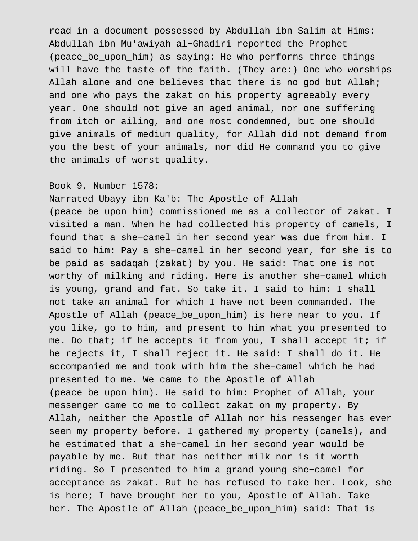read in a document possessed by Abdullah ibn Salim at Hims: Abdullah ibn Mu'awiyah al−Ghadiri reported the Prophet (peace be upon him) as saying: He who performs three things will have the taste of the faith. (They are:) One who worships Allah alone and one believes that there is no god but Allah; and one who pays the zakat on his property agreeably every year. One should not give an aged animal, nor one suffering from itch or ailing, and one most condemned, but one should give animals of medium quality, for Allah did not demand from you the best of your animals, nor did He command you to give the animals of worst quality.

# Book 9, Number 1578:

Narrated Ubayy ibn Ka'b: The Apostle of Allah (peace be upon him) commissioned me as a collector of zakat. I visited a man. When he had collected his property of camels, I found that a she−camel in her second year was due from him. I said to him: Pay a she−camel in her second year, for she is to be paid as sadaqah (zakat) by you. He said: That one is not worthy of milking and riding. Here is another she−camel which is young, grand and fat. So take it. I said to him: I shall not take an animal for which I have not been commanded. The Apostle of Allah (peace\_be\_upon\_him) is here near to you. If you like, go to him, and present to him what you presented to me. Do that; if he accepts it from you, I shall accept it; if he rejects it, I shall reject it. He said: I shall do it. He accompanied me and took with him the she−camel which he had presented to me. We came to the Apostle of Allah (peace\_be\_upon\_him). He said to him: Prophet of Allah, your messenger came to me to collect zakat on my property. By Allah, neither the Apostle of Allah nor his messenger has ever seen my property before. I gathered my property (camels), and he estimated that a she−camel in her second year would be payable by me. But that has neither milk nor is it worth riding. So I presented to him a grand young she−camel for acceptance as zakat. But he has refused to take her. Look, she is here; I have brought her to you, Apostle of Allah. Take her. The Apostle of Allah (peace be upon him) said: That is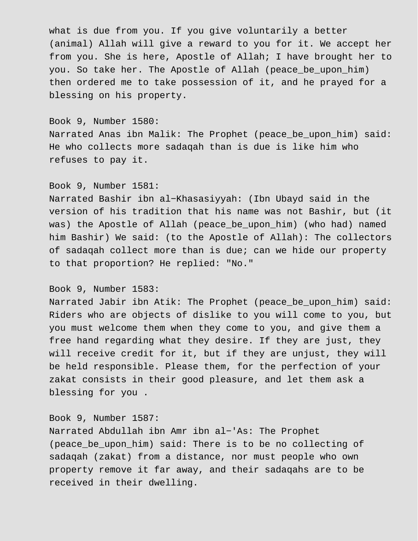what is due from you. If you give voluntarily a better (animal) Allah will give a reward to you for it. We accept her from you. She is here, Apostle of Allah; I have brought her to you. So take her. The Apostle of Allah (peace\_be\_upon\_him) then ordered me to take possession of it, and he prayed for a blessing on his property.

# Book 9, Number 1580:

Narrated Anas ibn Malik: The Prophet (peace\_be\_upon\_him) said: He who collects more sadaqah than is due is like him who refuses to pay it.

#### Book 9, Number 1581:

Narrated Bashir ibn al−Khasasiyyah: (Ibn Ubayd said in the version of his tradition that his name was not Bashir, but (it was) the Apostle of Allah (peace\_be\_upon\_him) (who had) named him Bashir) We said: (to the Apostle of Allah): The collectors of sadaqah collect more than is due; can we hide our property to that proportion? He replied: "No."

# Book 9, Number 1583:

Narrated Jabir ibn Atik: The Prophet (peace be upon him) said: Riders who are objects of dislike to you will come to you, but you must welcome them when they come to you, and give them a free hand regarding what they desire. If they are just, they will receive credit for it, but if they are unjust, they will be held responsible. Please them, for the perfection of your zakat consists in their good pleasure, and let them ask a blessing for you .

# Book 9, Number 1587:

Narrated Abdullah ibn Amr ibn al−'As: The Prophet (peace\_be\_upon\_him) said: There is to be no collecting of sadaqah (zakat) from a distance, nor must people who own property remove it far away, and their sadaqahs are to be received in their dwelling.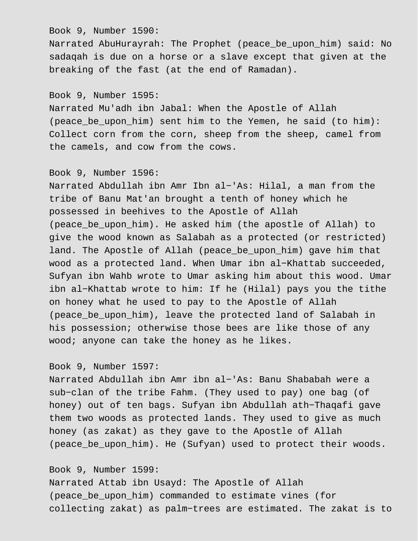#### Book 9, Number 1590:

Narrated AbuHurayrah: The Prophet (peace\_be\_upon\_him) said: No sadaqah is due on a horse or a slave except that given at the breaking of the fast (at the end of Ramadan).

# Book 9, Number 1595:

Narrated Mu'adh ibn Jabal: When the Apostle of Allah (peace be upon him) sent him to the Yemen, he said (to him): Collect corn from the corn, sheep from the sheep, camel from the camels, and cow from the cows.

# Book 9, Number 1596:

Narrated Abdullah ibn Amr Ibn al−'As: Hilal, a man from the tribe of Banu Mat'an brought a tenth of honey which he possessed in beehives to the Apostle of Allah (peace\_be\_upon\_him). He asked him (the apostle of Allah) to give the wood known as Salabah as a protected (or restricted) land. The Apostle of Allah (peace\_be\_upon\_him) gave him that wood as a protected land. When Umar ibn al−Khattab succeeded, Sufyan ibn Wahb wrote to Umar asking him about this wood. Umar ibn al−Khattab wrote to him: If he (Hilal) pays you the tithe on honey what he used to pay to the Apostle of Allah (peace\_be\_upon\_him), leave the protected land of Salabah in his possession; otherwise those bees are like those of any wood; anyone can take the honey as he likes.

## Book 9, Number 1597:

Narrated Abdullah ibn Amr ibn al−'As: Banu Shababah were a sub−clan of the tribe Fahm. (They used to pay) one bag (of honey) out of ten bags. Sufyan ibn Abdullah ath−Thaqafi gave them two woods as protected lands. They used to give as much honey (as zakat) as they gave to the Apostle of Allah (peace\_be\_upon\_him). He (Sufyan) used to protect their woods.

# Book 9, Number 1599:

Narrated Attab ibn Usayd: The Apostle of Allah (peace\_be\_upon\_him) commanded to estimate vines (for collecting zakat) as palm−trees are estimated. The zakat is to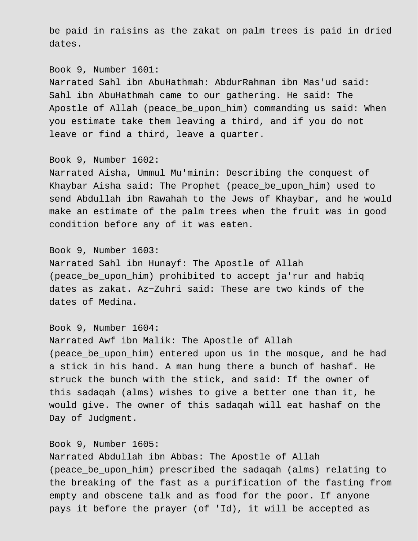be paid in raisins as the zakat on palm trees is paid in dried dates.

# Book 9, Number 1601: Narrated Sahl ibn AbuHathmah: AbdurRahman ibn Mas'ud said: Sahl ibn AbuHathmah came to our gathering. He said: The Apostle of Allah (peace\_be\_upon\_him) commanding us said: When you estimate take them leaving a third, and if you do not leave or find a third, leave a quarter.

#### Book 9, Number 1602:

Narrated Aisha, Ummul Mu'minin: Describing the conquest of Khaybar Aisha said: The Prophet (peace\_be\_upon\_him) used to send Abdullah ibn Rawahah to the Jews of Khaybar, and he would make an estimate of the palm trees when the fruit was in good condition before any of it was eaten.

Book 9, Number 1603: Narrated Sahl ibn Hunayf: The Apostle of Allah (peace\_be\_upon\_him) prohibited to accept ja'rur and habiq dates as zakat. Az−Zuhri said: These are two kinds of the dates of Medina.

Book 9, Number 1604:

Narrated Awf ibn Malik: The Apostle of Allah (peace be upon him) entered upon us in the mosque, and he had a stick in his hand. A man hung there a bunch of hashaf. He struck the bunch with the stick, and said: If the owner of this sadaqah (alms) wishes to give a better one than it, he would give. The owner of this sadaqah will eat hashaf on the Day of Judgment.

# Book 9, Number 1605:

Narrated Abdullah ibn Abbas: The Apostle of Allah (peace\_be\_upon\_him) prescribed the sadaqah (alms) relating to the breaking of the fast as a purification of the fasting from empty and obscene talk and as food for the poor. If anyone pays it before the prayer (of 'Id), it will be accepted as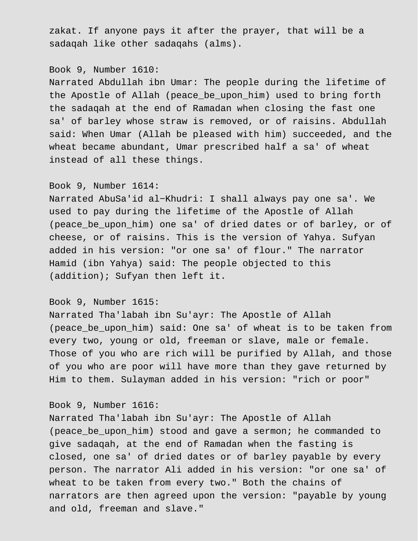zakat. If anyone pays it after the prayer, that will be a sadaqah like other sadaqahs (alms).

# Book 9, Number 1610:

Narrated Abdullah ibn Umar: The people during the lifetime of the Apostle of Allah (peace be upon him) used to bring forth the sadaqah at the end of Ramadan when closing the fast one sa' of barley whose straw is removed, or of raisins. Abdullah said: When Umar (Allah be pleased with him) succeeded, and the wheat became abundant, Umar prescribed half a sa' of wheat instead of all these things.

#### Book 9, Number 1614:

Narrated AbuSa'id al−Khudri: I shall always pay one sa'. We used to pay during the lifetime of the Apostle of Allah (peace\_be\_upon\_him) one sa' of dried dates or of barley, or of cheese, or of raisins. This is the version of Yahya. Sufyan added in his version: "or one sa' of flour." The narrator Hamid (ibn Yahya) said: The people objected to this (addition); Sufyan then left it.

#### Book 9, Number 1615:

Narrated Tha'labah ibn Su'ayr: The Apostle of Allah (peace\_be\_upon\_him) said: One sa' of wheat is to be taken from every two, young or old, freeman or slave, male or female. Those of you who are rich will be purified by Allah, and those of you who are poor will have more than they gave returned by Him to them. Sulayman added in his version: "rich or poor"

#### Book 9, Number 1616:

Narrated Tha'labah ibn Su'ayr: The Apostle of Allah (peace\_be\_upon\_him) stood and gave a sermon; he commanded to give sadaqah, at the end of Ramadan when the fasting is closed, one sa' of dried dates or of barley payable by every person. The narrator Ali added in his version: "or one sa' of wheat to be taken from every two." Both the chains of narrators are then agreed upon the version: "payable by young and old, freeman and slave."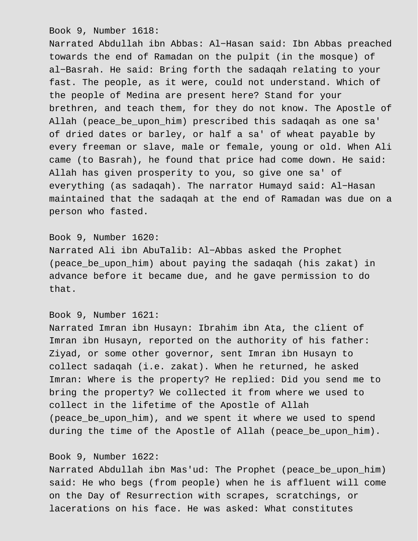Book 9, Number 1618:

Narrated Abdullah ibn Abbas: Al−Hasan said: Ibn Abbas preached towards the end of Ramadan on the pulpit (in the mosque) of al−Basrah. He said: Bring forth the sadaqah relating to your fast. The people, as it were, could not understand. Which of the people of Medina are present here? Stand for your brethren, and teach them, for they do not know. The Apostle of Allah (peace\_be\_upon\_him) prescribed this sadaqah as one sa' of dried dates or barley, or half a sa' of wheat payable by every freeman or slave, male or female, young or old. When Ali came (to Basrah), he found that price had come down. He said: Allah has given prosperity to you, so give one sa' of everything (as sadaqah). The narrator Humayd said: Al−Hasan maintained that the sadaqah at the end of Ramadan was due on a person who fasted.

# Book 9, Number 1620:

Narrated Ali ibn AbuTalib: Al−Abbas asked the Prophet (peace\_be\_upon\_him) about paying the sadaqah (his zakat) in advance before it became due, and he gave permission to do that.

#### Book 9, Number 1621:

Narrated Imran ibn Husayn: Ibrahim ibn Ata, the client of Imran ibn Husayn, reported on the authority of his father: Ziyad, or some other governor, sent Imran ibn Husayn to collect sadaqah (i.e. zakat). When he returned, he asked Imran: Where is the property? He replied: Did you send me to bring the property? We collected it from where we used to collect in the lifetime of the Apostle of Allah (peace be upon him), and we spent it where we used to spend during the time of the Apostle of Allah (peace\_be\_upon\_him).

# Book 9, Number 1622:

Narrated Abdullah ibn Mas'ud: The Prophet (peace be upon him) said: He who begs (from people) when he is affluent will come on the Day of Resurrection with scrapes, scratchings, or lacerations on his face. He was asked: What constitutes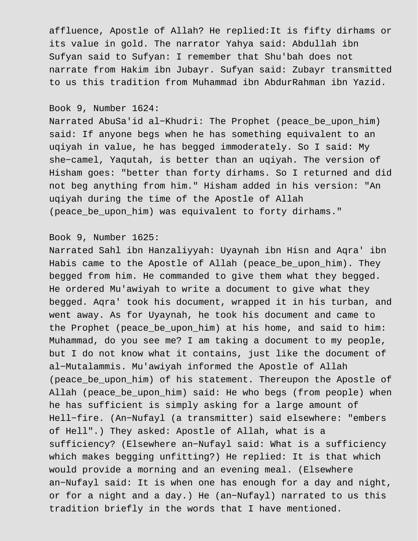affluence, Apostle of Allah? He replied:It is fifty dirhams or its value in gold. The narrator Yahya said: Abdullah ibn Sufyan said to Sufyan: I remember that Shu'bah does not narrate from Hakim ibn Jubayr. Sufyan said: Zubayr transmitted to us this tradition from Muhammad ibn AbdurRahman ibn Yazid.

# Book 9, Number 1624:

Narrated AbuSa'id al−Khudri: The Prophet (peace\_be\_upon\_him) said: If anyone begs when he has something equivalent to an uqiyah in value, he has begged immoderately. So I said: My she−camel, Yaqutah, is better than an uqiyah. The version of Hisham goes: "better than forty dirhams. So I returned and did not beg anything from him." Hisham added in his version: "An uqiyah during the time of the Apostle of Allah (peace\_be\_upon\_him) was equivalent to forty dirhams."

# Book 9, Number 1625:

Narrated Sahl ibn Hanzaliyyah: Uyaynah ibn Hisn and Aqra' ibn Habis came to the Apostle of Allah (peace\_be\_upon\_him). They begged from him. He commanded to give them what they begged. He ordered Mu'awiyah to write a document to give what they begged. Aqra' took his document, wrapped it in his turban, and went away. As for Uyaynah, he took his document and came to the Prophet (peace\_be\_upon\_him) at his home, and said to him: Muhammad, do you see me? I am taking a document to my people, but I do not know what it contains, just like the document of al−Mutalammis. Mu'awiyah informed the Apostle of Allah (peace\_be\_upon\_him) of his statement. Thereupon the Apostle of Allah (peace\_be\_upon\_him) said: He who begs (from people) when he has sufficient is simply asking for a large amount of Hell−fire. (An−Nufayl (a transmitter) said elsewhere: "embers of Hell".) They asked: Apostle of Allah, what is a sufficiency? (Elsewhere an−Nufayl said: What is a sufficiency which makes begging unfitting?) He replied: It is that which would provide a morning and an evening meal. (Elsewhere an−Nufayl said: It is when one has enough for a day and night, or for a night and a day.) He (an−Nufayl) narrated to us this tradition briefly in the words that I have mentioned.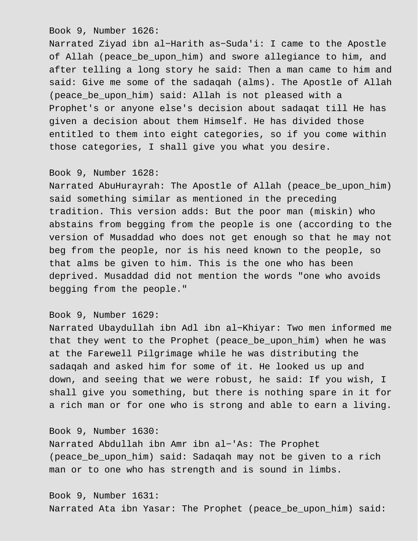# Book 9, Number 1626:

Narrated Ziyad ibn al−Harith as−Suda'i: I came to the Apostle of Allah (peace\_be\_upon\_him) and swore allegiance to him, and after telling a long story he said: Then a man came to him and said: Give me some of the sadaqah (alms). The Apostle of Allah (peace be upon him) said: Allah is not pleased with a Prophet's or anyone else's decision about sadaqat till He has given a decision about them Himself. He has divided those entitled to them into eight categories, so if you come within those categories, I shall give you what you desire.

# Book 9, Number 1628:

Narrated AbuHurayrah: The Apostle of Allah (peace\_be\_upon\_him) said something similar as mentioned in the preceding tradition. This version adds: But the poor man (miskin) who abstains from begging from the people is one (according to the version of Musaddad who does not get enough so that he may not beg from the people, nor is his need known to the people, so that alms be given to him. This is the one who has been deprived. Musaddad did not mention the words "one who avoids begging from the people."

## Book 9, Number 1629:

Narrated Ubaydullah ibn Adl ibn al−Khiyar: Two men informed me that they went to the Prophet (peace\_be\_upon\_him) when he was at the Farewell Pilgrimage while he was distributing the sadaqah and asked him for some of it. He looked us up and down, and seeing that we were robust, he said: If you wish, I shall give you something, but there is nothing spare in it for a rich man or for one who is strong and able to earn a living.

# Book 9, Number 1630:

Narrated Abdullah ibn Amr ibn al−'As: The Prophet (peace\_be\_upon\_him) said: Sadaqah may not be given to a rich man or to one who has strength and is sound in limbs.

Book 9, Number 1631: Narrated Ata ibn Yasar: The Prophet (peace\_be\_upon\_him) said: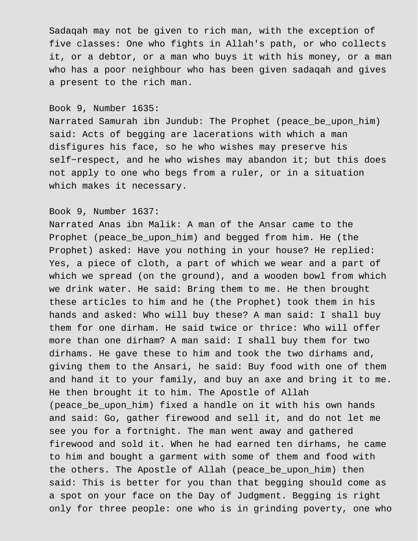Sadaqah may not be given to rich man, with the exception of five classes: One who fights in Allah's path, or who collects it, or a debtor, or a man who buys it with his money, or a man who has a poor neighbour who has been given sadaqah and gives a present to the rich man.

#### Book 9, Number 1635:

Narrated Samurah ibn Jundub: The Prophet (peace\_be\_upon\_him) said: Acts of begging are lacerations with which a man disfigures his face, so he who wishes may preserve his self−respect, and he who wishes may abandon it; but this does not apply to one who begs from a ruler, or in a situation which makes it necessary.

# Book 9, Number 1637:

Narrated Anas ibn Malik: A man of the Ansar came to the Prophet (peace be upon him) and begged from him. He (the Prophet) asked: Have you nothing in your house? He replied: Yes, a piece of cloth, a part of which we wear and a part of which we spread (on the ground), and a wooden bowl from which we drink water. He said: Bring them to me. He then brought these articles to him and he (the Prophet) took them in his hands and asked: Who will buy these? A man said: I shall buy them for one dirham. He said twice or thrice: Who will offer more than one dirham? A man said: I shall buy them for two dirhams. He gave these to him and took the two dirhams and, giving them to the Ansari, he said: Buy food with one of them and hand it to your family, and buy an axe and bring it to me. He then brought it to him. The Apostle of Allah (peace\_be\_upon\_him) fixed a handle on it with his own hands and said: Go, gather firewood and sell it, and do not let me see you for a fortnight. The man went away and gathered firewood and sold it. When he had earned ten dirhams, he came to him and bought a garment with some of them and food with the others. The Apostle of Allah (peace be upon him) then said: This is better for you than that begging should come as a spot on your face on the Day of Judgment. Begging is right only for three people: one who is in grinding poverty, one who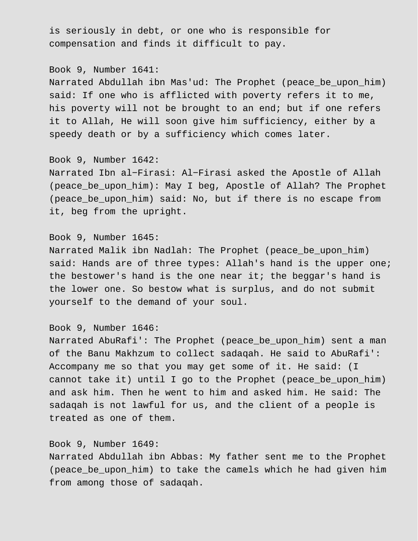is seriously in debt, or one who is responsible for compensation and finds it difficult to pay.

#### Book 9, Number 1641:

Narrated Abdullah ibn Mas'ud: The Prophet (peace be upon him) said: If one who is afflicted with poverty refers it to me, his poverty will not be brought to an end; but if one refers it to Allah, He will soon give him sufficiency, either by a speedy death or by a sufficiency which comes later.

#### Book 9, Number 1642:

Narrated Ibn al−Firasi: Al−Firasi asked the Apostle of Allah (peace\_be\_upon\_him): May I beg, Apostle of Allah? The Prophet (peace\_be\_upon\_him) said: No, but if there is no escape from it, beg from the upright.

# Book 9, Number 1645:

Narrated Malik ibn Nadlah: The Prophet (peace\_be\_upon\_him) said: Hands are of three types: Allah's hand is the upper one; the bestower's hand is the one near it; the beggar's hand is the lower one. So bestow what is surplus, and do not submit yourself to the demand of your soul.

# Book 9, Number 1646:

Narrated AbuRafi': The Prophet (peace\_be\_upon\_him) sent a man of the Banu Makhzum to collect sadaqah. He said to AbuRafi': Accompany me so that you may get some of it. He said: (I cannot take it) until I go to the Prophet (peace\_be\_upon\_him) and ask him. Then he went to him and asked him. He said: The sadaqah is not lawful for us, and the client of a people is treated as one of them.

# Book 9, Number 1649:

Narrated Abdullah ibn Abbas: My father sent me to the Prophet (peace be upon him) to take the camels which he had given him from among those of sadaqah.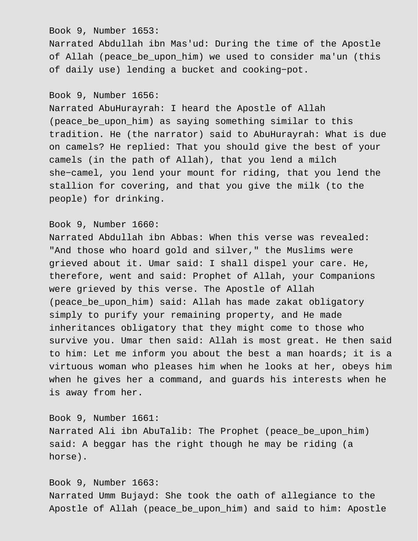#### Book 9, Number 1653:

Narrated Abdullah ibn Mas'ud: During the time of the Apostle of Allah (peace be upon him) we used to consider ma'un (this of daily use) lending a bucket and cooking−pot.

# Book 9, Number 1656:

Narrated AbuHurayrah: I heard the Apostle of Allah (peace\_be\_upon\_him) as saying something similar to this tradition. He (the narrator) said to AbuHurayrah: What is due on camels? He replied: That you should give the best of your camels (in the path of Allah), that you lend a milch she−camel, you lend your mount for riding, that you lend the stallion for covering, and that you give the milk (to the people) for drinking.

# Book 9, Number 1660:

Narrated Abdullah ibn Abbas: When this verse was revealed: "And those who hoard gold and silver," the Muslims were grieved about it. Umar said: I shall dispel your care. He, therefore, went and said: Prophet of Allah, your Companions were grieved by this verse. The Apostle of Allah (peace\_be\_upon\_him) said: Allah has made zakat obligatory simply to purify your remaining property, and He made inheritances obligatory that they might come to those who survive you. Umar then said: Allah is most great. He then said to him: Let me inform you about the best a man hoards; it is a virtuous woman who pleases him when he looks at her, obeys him when he gives her a command, and guards his interests when he is away from her.

Book 9, Number 1661: Narrated Ali ibn AbuTalib: The Prophet (peace\_be\_upon\_him) said: A beggar has the right though he may be riding (a horse).

#### Book 9, Number 1663:

Narrated Umm Bujayd: She took the oath of allegiance to the Apostle of Allah (peace\_be\_upon\_him) and said to him: Apostle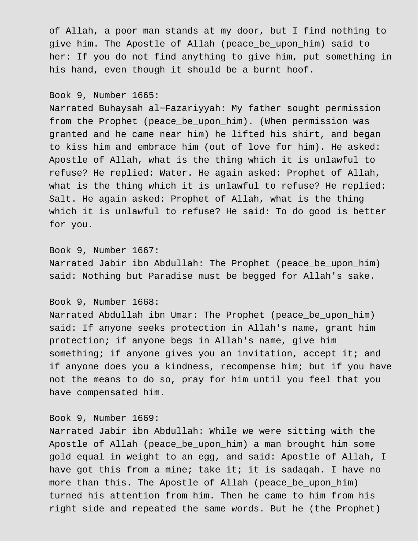of Allah, a poor man stands at my door, but I find nothing to give him. The Apostle of Allah (peace\_be\_upon\_him) said to her: If you do not find anything to give him, put something in his hand, even though it should be a burnt hoof.

## Book 9, Number 1665:

Narrated Buhaysah al−Fazariyyah: My father sought permission from the Prophet (peace\_be\_upon\_him). (When permission was granted and he came near him) he lifted his shirt, and began to kiss him and embrace him (out of love for him). He asked: Apostle of Allah, what is the thing which it is unlawful to refuse? He replied: Water. He again asked: Prophet of Allah, what is the thing which it is unlawful to refuse? He replied: Salt. He again asked: Prophet of Allah, what is the thing which it is unlawful to refuse? He said: To do good is better for you.

#### Book 9, Number 1667:

Narrated Jabir ibn Abdullah: The Prophet (peace\_be\_upon\_him) said: Nothing but Paradise must be begged for Allah's sake.

#### Book 9, Number 1668:

Narrated Abdullah ibn Umar: The Prophet (peace\_be\_upon\_him) said: If anyone seeks protection in Allah's name, grant him protection; if anyone begs in Allah's name, give him something; if anyone gives you an invitation, accept it; and if anyone does you a kindness, recompense him; but if you have not the means to do so, pray for him until you feel that you have compensated him.

# Book 9, Number 1669:

Narrated Jabir ibn Abdullah: While we were sitting with the Apostle of Allah (peace\_be\_upon\_him) a man brought him some gold equal in weight to an egg, and said: Apostle of Allah, I have got this from a mine; take it; it is sadagah. I have no more than this. The Apostle of Allah (peace\_be\_upon\_him) turned his attention from him. Then he came to him from his right side and repeated the same words. But he (the Prophet)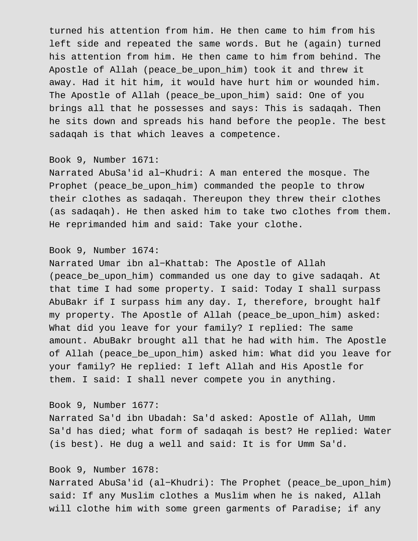turned his attention from him. He then came to him from his left side and repeated the same words. But he (again) turned his attention from him. He then came to him from behind. The Apostle of Allah (peace\_be\_upon\_him) took it and threw it away. Had it hit him, it would have hurt him or wounded him. The Apostle of Allah (peace\_be\_upon\_him) said: One of you brings all that he possesses and says: This is sadaqah. Then he sits down and spreads his hand before the people. The best sadaqah is that which leaves a competence.

## Book 9, Number 1671:

Narrated AbuSa'id al−Khudri: A man entered the mosque. The Prophet (peace\_be\_upon\_him) commanded the people to throw their clothes as sadaqah. Thereupon they threw their clothes (as sadaqah). He then asked him to take two clothes from them. He reprimanded him and said: Take your clothe.

## Book 9, Number 1674:

Narrated Umar ibn al−Khattab: The Apostle of Allah (peace\_be\_upon\_him) commanded us one day to give sadaqah. At that time I had some property. I said: Today I shall surpass AbuBakr if I surpass him any day. I, therefore, brought half my property. The Apostle of Allah (peace\_be\_upon\_him) asked: What did you leave for your family? I replied: The same amount. AbuBakr brought all that he had with him. The Apostle of Allah (peace be upon him) asked him: What did you leave for your family? He replied: I left Allah and His Apostle for them. I said: I shall never compete you in anything.

# Book 9, Number 1677:

Narrated Sa'd ibn Ubadah: Sa'd asked: Apostle of Allah, Umm Sa'd has died; what form of sadaqah is best? He replied: Water (is best). He dug a well and said: It is for Umm Sa'd.

# Book 9, Number 1678:

Narrated AbuSa'id (al−Khudri): The Prophet (peace\_be\_upon\_him) said: If any Muslim clothes a Muslim when he is naked, Allah will clothe him with some green garments of Paradise; if any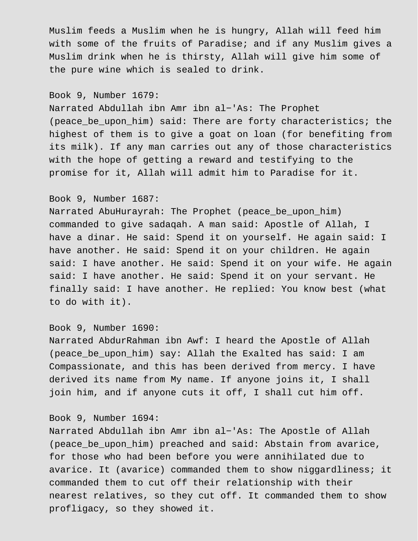Muslim feeds a Muslim when he is hungry, Allah will feed him with some of the fruits of Paradise; and if any Muslim gives a Muslim drink when he is thirsty, Allah will give him some of the pure wine which is sealed to drink.

# Book 9, Number 1679:

Narrated Abdullah ibn Amr ibn al−'As: The Prophet (peace be upon  $him$ ) said: There are forty characteristics; the highest of them is to give a goat on loan (for benefiting from its milk). If any man carries out any of those characteristics with the hope of getting a reward and testifying to the promise for it, Allah will admit him to Paradise for it.

# Book 9, Number 1687:

Narrated AbuHurayrah: The Prophet (peace be upon him) commanded to give sadaqah. A man said: Apostle of Allah, I have a dinar. He said: Spend it on yourself. He again said: I have another. He said: Spend it on your children. He again said: I have another. He said: Spend it on your wife. He again said: I have another. He said: Spend it on your servant. He finally said: I have another. He replied: You know best (what to do with it).

# Book 9, Number 1690:

Narrated AbdurRahman ibn Awf: I heard the Apostle of Allah (peace be upon him) say: Allah the Exalted has said: I am Compassionate, and this has been derived from mercy. I have derived its name from My name. If anyone joins it, I shall join him, and if anyone cuts it off, I shall cut him off.

## Book 9, Number 1694:

Narrated Abdullah ibn Amr ibn al−'As: The Apostle of Allah (peace\_be\_upon\_him) preached and said: Abstain from avarice, for those who had been before you were annihilated due to avarice. It (avarice) commanded them to show niggardliness; it commanded them to cut off their relationship with their nearest relatives, so they cut off. It commanded them to show profligacy, so they showed it.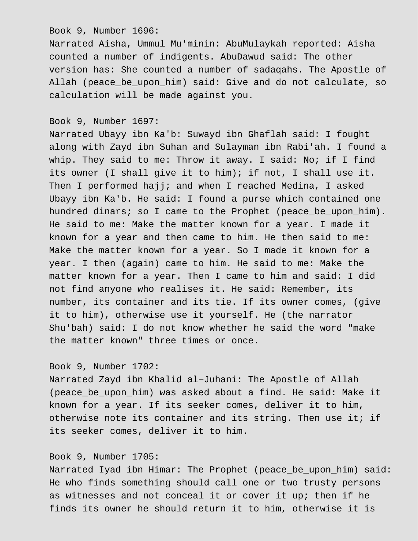#### Book 9, Number 1696:

Narrated Aisha, Ummul Mu'minin: AbuMulaykah reported: Aisha counted a number of indigents. AbuDawud said: The other version has: She counted a number of sadaqahs. The Apostle of Allah (peace be upon him) said: Give and do not calculate, so calculation will be made against you.

## Book 9, Number 1697:

Narrated Ubayy ibn Ka'b: Suwayd ibn Ghaflah said: I fought along with Zayd ibn Suhan and Sulayman ibn Rabi'ah. I found a whip. They said to me: Throw it away. I said: No; if I find its owner (I shall give it to him); if not, I shall use it. Then I performed hajj; and when I reached Medina, I asked Ubayy ibn Ka'b. He said: I found a purse which contained one hundred dinars; so I came to the Prophet (peace be upon him). He said to me: Make the matter known for a year. I made it known for a year and then came to him. He then said to me: Make the matter known for a year. So I made it known for a year. I then (again) came to him. He said to me: Make the matter known for a year. Then I came to him and said: I did not find anyone who realises it. He said: Remember, its number, its container and its tie. If its owner comes, (give it to him), otherwise use it yourself. He (the narrator Shu'bah) said: I do not know whether he said the word "make the matter known" three times or once.

# Book 9, Number 1702:

Narrated Zayd ibn Khalid al−Juhani: The Apostle of Allah (peace\_be\_upon\_him) was asked about a find. He said: Make it known for a year. If its seeker comes, deliver it to him, otherwise note its container and its string. Then use it; if its seeker comes, deliver it to him.

#### Book 9, Number 1705:

Narrated Iyad ibn Himar: The Prophet (peace be upon him) said: He who finds something should call one or two trusty persons as witnesses and not conceal it or cover it up; then if he finds its owner he should return it to him, otherwise it is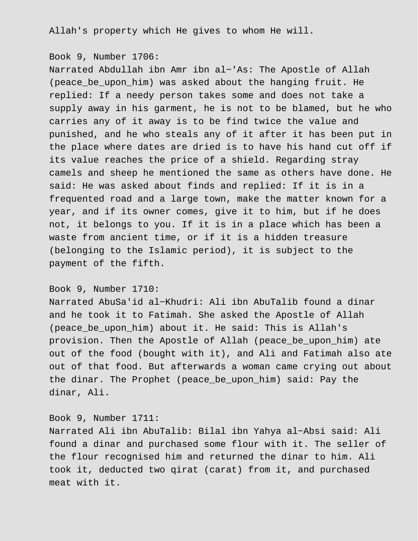Allah's property which He gives to whom He will.

# Book 9, Number 1706:

Narrated Abdullah ibn Amr ibn al−'As: The Apostle of Allah (peace be upon him) was asked about the hanging fruit. He replied: If a needy person takes some and does not take a supply away in his garment, he is not to be blamed, but he who carries any of it away is to be find twice the value and punished, and he who steals any of it after it has been put in the place where dates are dried is to have his hand cut off if its value reaches the price of a shield. Regarding stray camels and sheep he mentioned the same as others have done. He said: He was asked about finds and replied: If it is in a frequented road and a large town, make the matter known for a year, and if its owner comes, give it to him, but if he does not, it belongs to you. If it is in a place which has been a waste from ancient time, or if it is a hidden treasure (belonging to the Islamic period), it is subject to the payment of the fifth.

# Book 9, Number 1710:

Narrated AbuSa'id al−Khudri: Ali ibn AbuTalib found a dinar and he took it to Fatimah. She asked the Apostle of Allah (peace\_be\_upon\_him) about it. He said: This is Allah's provision. Then the Apostle of Allah (peace be upon him) ate out of the food (bought with it), and Ali and Fatimah also ate out of that food. But afterwards a woman came crying out about the dinar. The Prophet (peace\_be\_upon\_him) said: Pay the dinar, Ali.

# Book 9, Number 1711:

Narrated Ali ibn AbuTalib: Bilal ibn Yahya al−Absi said: Ali found a dinar and purchased some flour with it. The seller of the flour recognised him and returned the dinar to him. Ali took it, deducted two qirat (carat) from it, and purchased meat with it.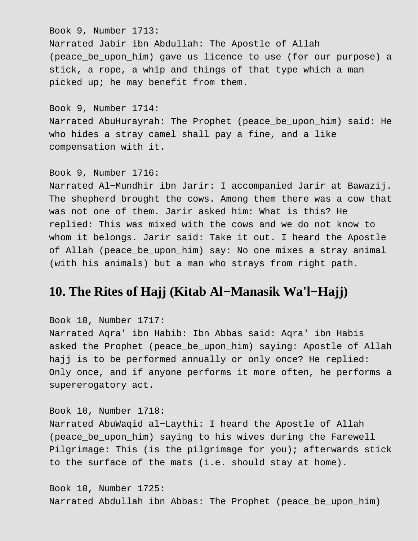# Book 9, Number 1713: Narrated Jabir ibn Abdullah: The Apostle of Allah (peace be upon him) gave us licence to use (for our purpose) a stick, a rope, a whip and things of that type which a man picked up; he may benefit from them.

Book 9, Number 1714:

Narrated AbuHurayrah: The Prophet (peace\_be\_upon\_him) said: He who hides a stray camel shall pay a fine, and a like compensation with it.

Book 9, Number 1716:

Narrated Al−Mundhir ibn Jarir: I accompanied Jarir at Bawazij. The shepherd brought the cows. Among them there was a cow that was not one of them. Jarir asked him: What is this? He replied: This was mixed with the cows and we do not know to whom it belongs. Jarir said: Take it out. I heard the Apostle of Allah (peace\_be\_upon\_him) say: No one mixes a stray animal (with his animals) but a man who strays from right path.

# **10. The Rites of Hajj (Kitab Al−Manasik Wa'l−Hajj)**

# Book 10, Number 1717:

Narrated Aqra' ibn Habib: Ibn Abbas said: Aqra' ibn Habis asked the Prophet (peace be upon him) saying: Apostle of Allah hajj is to be performed annually or only once? He replied: Only once, and if anyone performs it more often, he performs a supererogatory act.

# Book 10, Number 1718:

Narrated AbuWaqid al−Laythi: I heard the Apostle of Allah (peace\_be\_upon\_him) saying to his wives during the Farewell Pilgrimage: This (is the pilgrimage for you); afterwards stick to the surface of the mats (i.e. should stay at home).

Book 10, Number 1725: Narrated Abdullah ibn Abbas: The Prophet (peace\_be\_upon\_him)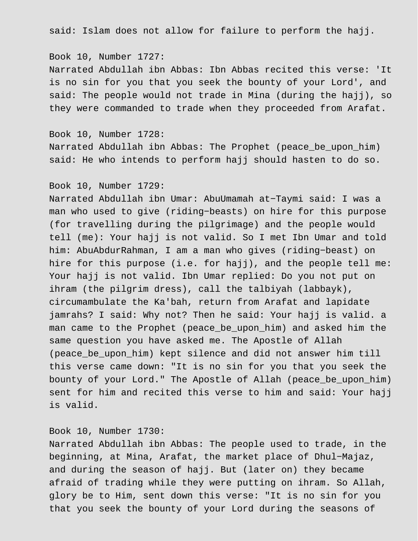said: Islam does not allow for failure to perform the hajj.

# Book 10, Number 1727:

Narrated Abdullah ibn Abbas: Ibn Abbas recited this verse: 'It is no sin for you that you seek the bounty of your Lord', and said: The people would not trade in Mina (during the hajj), so they were commanded to trade when they proceeded from Arafat.

#### Book 10, Number 1728:

Narrated Abdullah ibn Abbas: The Prophet (peace\_be\_upon\_him) said: He who intends to perform hajj should hasten to do so.

#### Book 10, Number 1729:

Narrated Abdullah ibn Umar: AbuUmamah at−Taymi said: I was a man who used to give (riding−beasts) on hire for this purpose (for travelling during the pilgrimage) and the people would tell (me): Your hajj is not valid. So I met Ibn Umar and told him: AbuAbdurRahman, I am a man who gives (riding−beast) on hire for this purpose (i.e. for hajj), and the people tell me: Your hajj is not valid. Ibn Umar replied: Do you not put on ihram (the pilgrim dress), call the talbiyah (labbayk), circumambulate the Ka'bah, return from Arafat and lapidate jamrahs? I said: Why not? Then he said: Your hajj is valid. a man came to the Prophet (peace\_be\_upon\_him) and asked him the same question you have asked me. The Apostle of Allah (peace\_be\_upon\_him) kept silence and did not answer him till this verse came down: "It is no sin for you that you seek the bounty of your Lord." The Apostle of Allah (peace be upon him) sent for him and recited this verse to him and said: Your hajj is valid.

# Book 10, Number 1730:

Narrated Abdullah ibn Abbas: The people used to trade, in the beginning, at Mina, Arafat, the market place of Dhul−Majaz, and during the season of hajj. But (later on) they became afraid of trading while they were putting on ihram. So Allah, glory be to Him, sent down this verse: "It is no sin for you that you seek the bounty of your Lord during the seasons of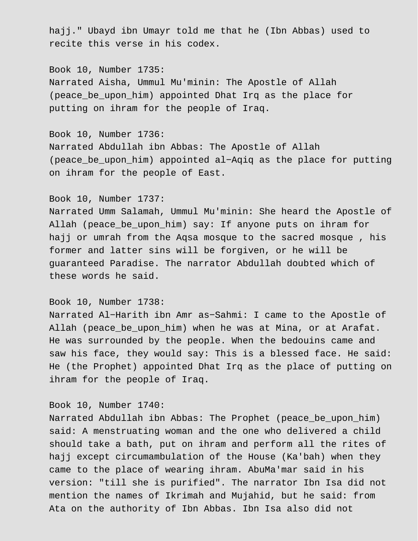hajj." Ubayd ibn Umayr told me that he (Ibn Abbas) used to recite this verse in his codex.

Book 10, Number 1735: Narrated Aisha, Ummul Mu'minin: The Apostle of Allah (peace\_be\_upon\_him) appointed Dhat Irq as the place for putting on ihram for the people of Iraq.

Book 10, Number 1736: Narrated Abdullah ibn Abbas: The Apostle of Allah (peace\_be\_upon\_him) appointed al−Aqiq as the place for putting on ihram for the people of East.

#### Book 10, Number 1737:

Narrated Umm Salamah, Ummul Mu'minin: She heard the Apostle of Allah (peace\_be\_upon\_him) say: If anyone puts on ihram for hajj or umrah from the Aqsa mosque to the sacred mosque , his former and latter sins will be forgiven, or he will be guaranteed Paradise. The narrator Abdullah doubted which of these words he said.

#### Book 10, Number 1738:

Narrated Al−Harith ibn Amr as−Sahmi: I came to the Apostle of Allah (peace\_be\_upon\_him) when he was at Mina, or at Arafat. He was surrounded by the people. When the bedouins came and saw his face, they would say: This is a blessed face. He said: He (the Prophet) appointed Dhat Irq as the place of putting on ihram for the people of Iraq.

#### Book 10, Number 1740:

Narrated Abdullah ibn Abbas: The Prophet (peace be upon him) said: A menstruating woman and the one who delivered a child should take a bath, put on ihram and perform all the rites of hajj except circumambulation of the House (Ka'bah) when they came to the place of wearing ihram. AbuMa'mar said in his version: "till she is purified". The narrator Ibn Isa did not mention the names of Ikrimah and Mujahid, but he said: from Ata on the authority of Ibn Abbas. Ibn Isa also did not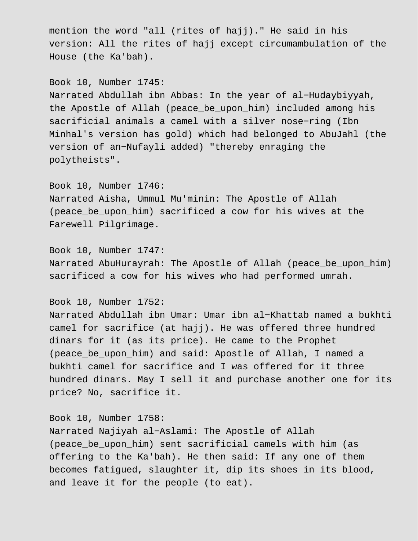mention the word "all (rites of hajj)." He said in his version: All the rites of hajj except circumambulation of the House (the Ka'bah).

Book 10, Number 1745: Narrated Abdullah ibn Abbas: In the year of al−Hudaybiyyah, the Apostle of Allah (peace\_be\_upon\_him) included among his sacrificial animals a camel with a silver nose−ring (Ibn Minhal's version has gold) which had belonged to AbuJahl (the version of an−Nufayli added) "thereby enraging the polytheists".

Book 10, Number 1746: Narrated Aisha, Ummul Mu'minin: The Apostle of Allah (peace be upon him) sacrificed a cow for his wives at the Farewell Pilgrimage.

Book 10, Number 1747: Narrated AbuHurayrah: The Apostle of Allah (peace\_be\_upon\_him) sacrificed a cow for his wives who had performed umrah.

Book 10, Number 1752:

Narrated Abdullah ibn Umar: Umar ibn al−Khattab named a bukhti camel for sacrifice (at hajj). He was offered three hundred dinars for it (as its price). He came to the Prophet (peace be upon him) and said: Apostle of Allah, I named a bukhti camel for sacrifice and I was offered for it three hundred dinars. May I sell it and purchase another one for its price? No, sacrifice it.

Book 10, Number 1758:

Narrated Najiyah al−Aslami: The Apostle of Allah (peace\_be\_upon\_him) sent sacrificial camels with him (as offering to the Ka'bah). He then said: If any one of them becomes fatigued, slaughter it, dip its shoes in its blood, and leave it for the people (to eat).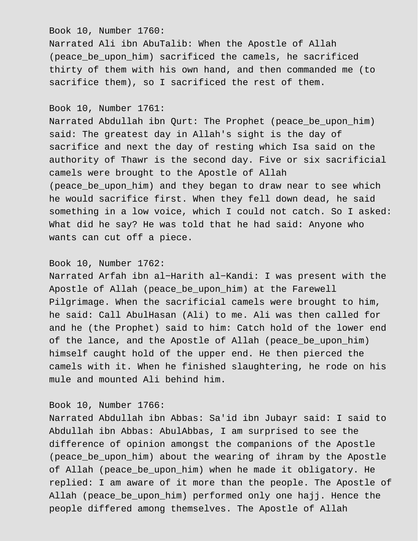# Book 10, Number 1760:

Narrated Ali ibn AbuTalib: When the Apostle of Allah (peace be upon him) sacrificed the camels, he sacrificed thirty of them with his own hand, and then commanded me (to sacrifice them), so I sacrificed the rest of them.

# Book 10, Number 1761:

Narrated Abdullah ibn Qurt: The Prophet (peace\_be\_upon\_him) said: The greatest day in Allah's sight is the day of sacrifice and next the day of resting which Isa said on the authority of Thawr is the second day. Five or six sacrificial camels were brought to the Apostle of Allah (peace\_be\_upon\_him) and they began to draw near to see which he would sacrifice first. When they fell down dead, he said something in a low voice, which I could not catch. So I asked: What did he say? He was told that he had said: Anyone who wants can cut off a piece.

# Book 10, Number 1762:

Narrated Arfah ibn al−Harith al−Kandi: I was present with the Apostle of Allah (peace be upon him) at the Farewell Pilgrimage. When the sacrificial camels were brought to him, he said: Call AbulHasan (Ali) to me. Ali was then called for and he (the Prophet) said to him: Catch hold of the lower end of the lance, and the Apostle of Allah (peace\_be\_upon\_him) himself caught hold of the upper end. He then pierced the camels with it. When he finished slaughtering, he rode on his mule and mounted Ali behind him.

# Book 10, Number 1766:

Narrated Abdullah ibn Abbas: Sa'id ibn Jubayr said: I said to Abdullah ibn Abbas: AbulAbbas, I am surprised to see the difference of opinion amongst the companions of the Apostle (peace\_be\_upon\_him) about the wearing of ihram by the Apostle of Allah (peace be upon him) when he made it obligatory. He replied: I am aware of it more than the people. The Apostle of Allah (peace\_be\_upon\_him) performed only one hajj. Hence the people differed among themselves. The Apostle of Allah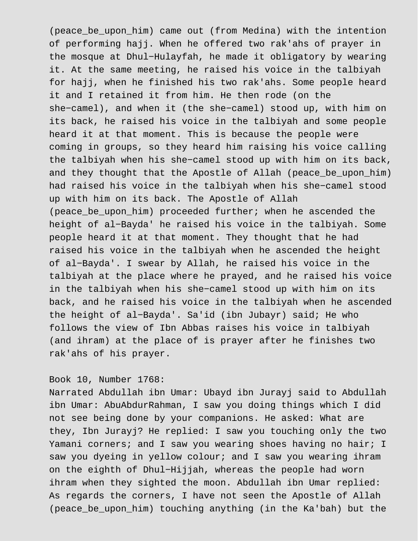(peace be upon him) came out (from Medina) with the intention of performing hajj. When he offered two rak'ahs of prayer in the mosque at Dhul−Hulayfah, he made it obligatory by wearing it. At the same meeting, he raised his voice in the talbiyah for hajj, when he finished his two rak'ahs. Some people heard it and I retained it from him. He then rode (on the she−camel), and when it (the she−camel) stood up, with him on its back, he raised his voice in the talbiyah and some people heard it at that moment. This is because the people were coming in groups, so they heard him raising his voice calling the talbiyah when his she−camel stood up with him on its back, and they thought that the Apostle of Allah (peace be upon him) had raised his voice in the talbiyah when his she−camel stood up with him on its back. The Apostle of Allah (peace be upon him) proceeded further; when he ascended the height of al−Bayda' he raised his voice in the talbiyah. Some people heard it at that moment. They thought that he had raised his voice in the talbiyah when he ascended the height of al−Bayda'. I swear by Allah, he raised his voice in the talbiyah at the place where he prayed, and he raised his voice in the talbiyah when his she−camel stood up with him on its back, and he raised his voice in the talbiyah when he ascended the height of al−Bayda'. Sa'id (ibn Jubayr) said; He who follows the view of Ibn Abbas raises his voice in talbiyah (and ihram) at the place of is prayer after he finishes two rak'ahs of his prayer.

# Book 10, Number 1768:

Narrated Abdullah ibn Umar: Ubayd ibn Jurayj said to Abdullah ibn Umar: AbuAbdurRahman, I saw you doing things which I did not see being done by your companions. He asked: What are they, Ibn Jurayj? He replied: I saw you touching only the two Yamani corners; and I saw you wearing shoes having no hair; I saw you dyeing in yellow colour; and I saw you wearing ihram on the eighth of Dhul−Hijjah, whereas the people had worn ihram when they sighted the moon. Abdullah ibn Umar replied: As regards the corners, I have not seen the Apostle of Allah (peace\_be\_upon\_him) touching anything (in the Ka'bah) but the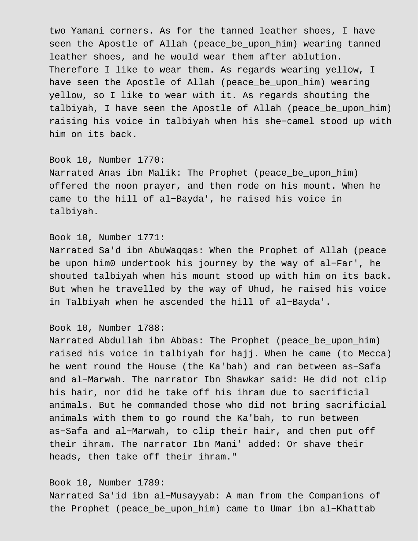two Yamani corners. As for the tanned leather shoes, I have seen the Apostle of Allah (peace\_be\_upon\_him) wearing tanned leather shoes, and he would wear them after ablution. Therefore I like to wear them. As regards wearing yellow, I have seen the Apostle of Allah (peace be upon him) wearing yellow, so I like to wear with it. As regards shouting the talbiyah, I have seen the Apostle of Allah (peace\_be\_upon\_him) raising his voice in talbiyah when his she−camel stood up with him on its back.

### Book 10, Number 1770:

Narrated Anas ibn Malik: The Prophet (peace\_be\_upon\_him) offered the noon prayer, and then rode on his mount. When he came to the hill of al−Bayda', he raised his voice in talbiyah.

# Book 10, Number 1771:

Narrated Sa'd ibn AbuWaqqas: When the Prophet of Allah (peace be upon him0 undertook his journey by the way of al−Far', he shouted talbiyah when his mount stood up with him on its back. But when he travelled by the way of Uhud, he raised his voice in Talbiyah when he ascended the hill of al−Bayda'.

# Book 10, Number 1788:

Narrated Abdullah ibn Abbas: The Prophet (peace\_be\_upon\_him) raised his voice in talbiyah for hajj. When he came (to Mecca) he went round the House (the Ka'bah) and ran between as−Safa and al−Marwah. The narrator Ibn Shawkar said: He did not clip his hair, nor did he take off his ihram due to sacrificial animals. But he commanded those who did not bring sacrificial animals with them to go round the Ka'bah, to run between as−Safa and al−Marwah, to clip their hair, and then put off their ihram. The narrator Ibn Mani' added: Or shave their heads, then take off their ihram."

# Book 10, Number 1789:

Narrated Sa'id ibn al−Musayyab: A man from the Companions of the Prophet (peace\_be\_upon\_him) came to Umar ibn al−Khattab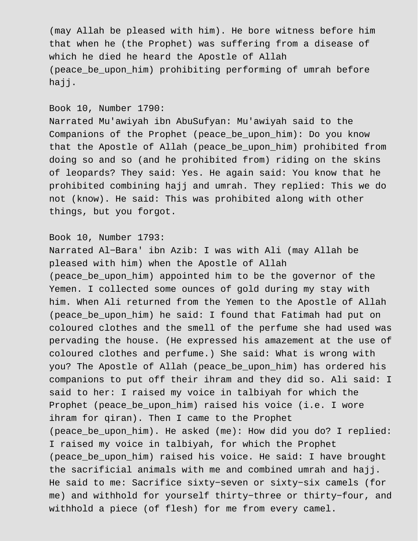(may Allah be pleased with him). He bore witness before him that when he (the Prophet) was suffering from a disease of which he died he heard the Apostle of Allah (peace\_be\_upon\_him) prohibiting performing of umrah before hajj.

Book 10, Number 1790:

Narrated Mu'awiyah ibn AbuSufyan: Mu'awiyah said to the Companions of the Prophet (peace\_be\_upon\_him): Do you know that the Apostle of Allah (peace be upon him) prohibited from doing so and so (and he prohibited from) riding on the skins of leopards? They said: Yes. He again said: You know that he prohibited combining hajj and umrah. They replied: This we do not (know). He said: This was prohibited along with other things, but you forgot.

Book 10, Number 1793:

Narrated Al−Bara' ibn Azib: I was with Ali (may Allah be pleased with him) when the Apostle of Allah (peace be upon him) appointed him to be the governor of the Yemen. I collected some ounces of gold during my stay with him. When Ali returned from the Yemen to the Apostle of Allah (peace\_be\_upon\_him) he said: I found that Fatimah had put on coloured clothes and the smell of the perfume she had used was pervading the house. (He expressed his amazement at the use of coloured clothes and perfume.) She said: What is wrong with you? The Apostle of Allah (peace\_be\_upon\_him) has ordered his companions to put off their ihram and they did so. Ali said: I said to her: I raised my voice in talbiyah for which the Prophet (peace\_be\_upon\_him) raised his voice (i.e. I wore ihram for qiran). Then I came to the Prophet (peace\_be\_upon\_him). He asked (me): How did you do? I replied: I raised my voice in talbiyah, for which the Prophet (peace\_be\_upon\_him) raised his voice. He said: I have brought the sacrificial animals with me and combined umrah and hajj. He said to me: Sacrifice sixty−seven or sixty−six camels (for me) and withhold for yourself thirty−three or thirty−four, and withhold a piece (of flesh) for me from every camel.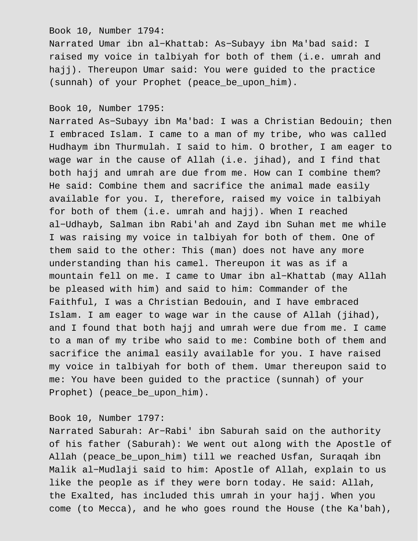## Book 10, Number 1794:

Narrated Umar ibn al−Khattab: As−Subayy ibn Ma'bad said: I raised my voice in talbiyah for both of them (i.e. umrah and hajj). Thereupon Umar said: You were guided to the practice (sunnah) of your Prophet (peace be upon him).

## Book 10, Number 1795:

Narrated As−Subayy ibn Ma'bad: I was a Christian Bedouin; then I embraced Islam. I came to a man of my tribe, who was called Hudhaym ibn Thurmulah. I said to him. O brother, I am eager to wage war in the cause of Allah (i.e. jihad), and I find that both hajj and umrah are due from me. How can I combine them? He said: Combine them and sacrifice the animal made easily available for you. I, therefore, raised my voice in talbiyah for both of them (i.e. umrah and hajj). When I reached al−Udhayb, Salman ibn Rabi'ah and Zayd ibn Suhan met me while I was raising my voice in talbiyah for both of them. One of them said to the other: This (man) does not have any more understanding than his camel. Thereupon it was as if a mountain fell on me. I came to Umar ibn al−Khattab (may Allah be pleased with him) and said to him: Commander of the Faithful, I was a Christian Bedouin, and I have embraced Islam. I am eager to wage war in the cause of Allah (jihad), and I found that both hajj and umrah were due from me. I came to a man of my tribe who said to me: Combine both of them and sacrifice the animal easily available for you. I have raised my voice in talbiyah for both of them. Umar thereupon said to me: You have been guided to the practice (sunnah) of your Prophet) (peace\_be\_upon\_him).

## Book 10, Number 1797:

Narrated Saburah: Ar−Rabi' ibn Saburah said on the authority of his father (Saburah): We went out along with the Apostle of Allah (peace\_be\_upon\_him) till we reached Usfan, Suraqah ibn Malik al−Mudlaji said to him: Apostle of Allah, explain to us like the people as if they were born today. He said: Allah, the Exalted, has included this umrah in your hajj. When you come (to Mecca), and he who goes round the House (the Ka'bah),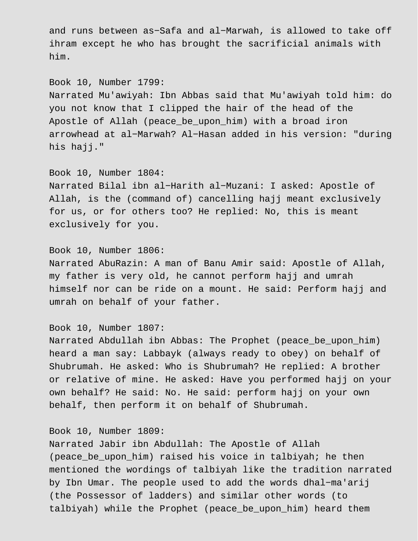and runs between as−Safa and al−Marwah, is allowed to take off ihram except he who has brought the sacrificial animals with him.

Book 10, Number 1799: Narrated Mu'awiyah: Ibn Abbas said that Mu'awiyah told him: do you not know that I clipped the hair of the head of the Apostle of Allah (peace\_be\_upon\_him) with a broad iron arrowhead at al−Marwah? Al−Hasan added in his version: "during his hajj."

Book 10, Number 1804: Narrated Bilal ibn al−Harith al−Muzani: I asked: Apostle of Allah, is the (command of) cancelling hajj meant exclusively for us, or for others too? He replied: No, this is meant exclusively for you.

Book 10, Number 1806: Narrated AbuRazin: A man of Banu Amir said: Apostle of Allah, my father is very old, he cannot perform hajj and umrah himself nor can be ride on a mount. He said: Perform hajj and umrah on behalf of your father.

Book 10, Number 1807:

Narrated Abdullah ibn Abbas: The Prophet (peace\_be\_upon\_him) heard a man say: Labbayk (always ready to obey) on behalf of Shubrumah. He asked: Who is Shubrumah? He replied: A brother or relative of mine. He asked: Have you performed hajj on your own behalf? He said: No. He said: perform hajj on your own behalf, then perform it on behalf of Shubrumah.

Book 10, Number 1809:

Narrated Jabir ibn Abdullah: The Apostle of Allah (peace be upon him) raised his voice in talbiyah; he then mentioned the wordings of talbiyah like the tradition narrated by Ibn Umar. The people used to add the words dhal−ma'arij (the Possessor of ladders) and similar other words (to talbiyah) while the Prophet (peace\_be\_upon\_him) heard them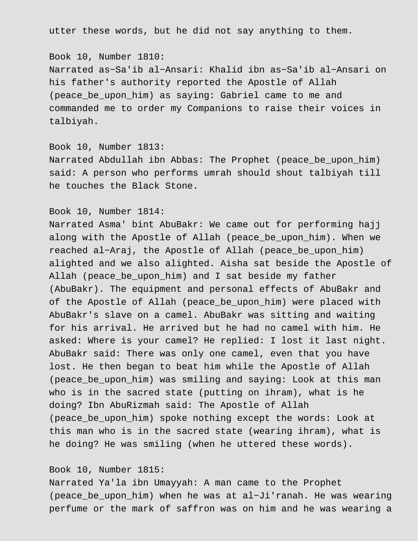utter these words, but he did not say anything to them.

## Book 10, Number 1810:

Narrated as−Sa'ib al−Ansari: Khalid ibn as−Sa'ib al−Ansari on his father's authority reported the Apostle of Allah (peace\_be\_upon\_him) as saying: Gabriel came to me and commanded me to order my Companions to raise their voices in talbiyah.

### Book 10, Number 1813:

Narrated Abdullah ibn Abbas: The Prophet (peace be upon him) said: A person who performs umrah should shout talbiyah till he touches the Black Stone.

## Book 10, Number 1814:

Narrated Asma' bint AbuBakr: We came out for performing hajj along with the Apostle of Allah (peace be upon him). When we reached al−Araj, the Apostle of Allah (peace\_be\_upon\_him) alighted and we also alighted. Aisha sat beside the Apostle of Allah (peace be upon him) and I sat beside my father (AbuBakr). The equipment and personal effects of AbuBakr and of the Apostle of Allah (peace\_be\_upon\_him) were placed with AbuBakr's slave on a camel. AbuBakr was sitting and waiting for his arrival. He arrived but he had no camel with him. He asked: Where is your camel? He replied: I lost it last night. AbuBakr said: There was only one camel, even that you have lost. He then began to beat him while the Apostle of Allah (peace\_be\_upon\_him) was smiling and saying: Look at this man who is in the sacred state (putting on ihram), what is he doing? Ibn AbuRizmah said: The Apostle of Allah (peace be upon him) spoke nothing except the words: Look at this man who is in the sacred state (wearing ihram), what is he doing? He was smiling (when he uttered these words).

## Book 10, Number 1815:

Narrated Ya'la ibn Umayyah: A man came to the Prophet (peace\_be\_upon\_him) when he was at al−Ji'ranah. He was wearing perfume or the mark of saffron was on him and he was wearing a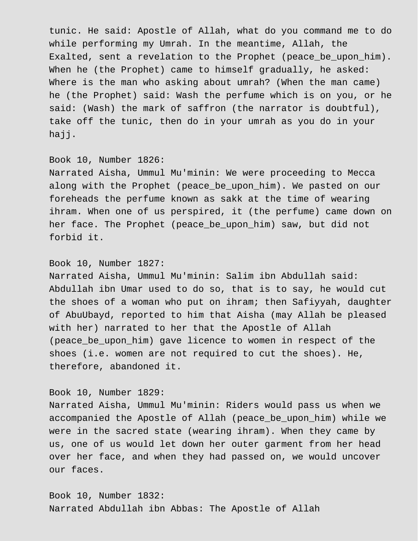tunic. He said: Apostle of Allah, what do you command me to do while performing my Umrah. In the meantime, Allah, the Exalted, sent a revelation to the Prophet (peace be upon him). When he (the Prophet) came to himself gradually, he asked: Where is the man who asking about umrah? (When the man came) he (the Prophet) said: Wash the perfume which is on you, or he said: (Wash) the mark of saffron (the narrator is doubtful), take off the tunic, then do in your umrah as you do in your hajj.

#### Book 10, Number 1826:

Narrated Aisha, Ummul Mu'minin: We were proceeding to Mecca along with the Prophet (peace\_be\_upon\_him). We pasted on our foreheads the perfume known as sakk at the time of wearing ihram. When one of us perspired, it (the perfume) came down on her face. The Prophet (peace\_be\_upon\_him) saw, but did not forbid it.

## Book 10, Number 1827:

Narrated Aisha, Ummul Mu'minin: Salim ibn Abdullah said: Abdullah ibn Umar used to do so, that is to say, he would cut the shoes of a woman who put on ihram; then Safiyyah, daughter of AbuUbayd, reported to him that Aisha (may Allah be pleased with her) narrated to her that the Apostle of Allah (peace be upon him) gave licence to women in respect of the shoes (i.e. women are not required to cut the shoes). He, therefore, abandoned it.

# Book 10, Number 1829:

Narrated Aisha, Ummul Mu'minin: Riders would pass us when we accompanied the Apostle of Allah (peace\_be\_upon\_him) while we were in the sacred state (wearing ihram). When they came by us, one of us would let down her outer garment from her head over her face, and when they had passed on, we would uncover our faces.

Book 10, Number 1832: Narrated Abdullah ibn Abbas: The Apostle of Allah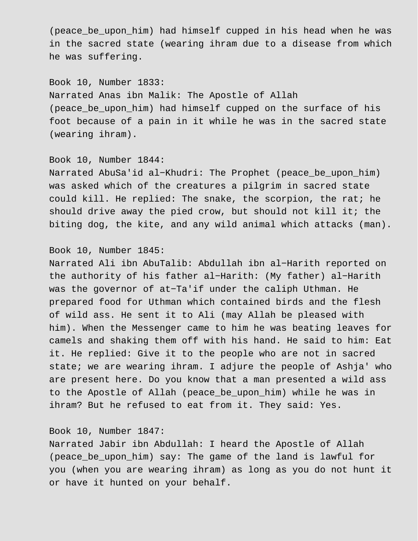(peace be upon him) had himself cupped in his head when he was in the sacred state (wearing ihram due to a disease from which he was suffering.

Book 10, Number 1833: Narrated Anas ibn Malik: The Apostle of Allah (peace\_be\_upon\_him) had himself cupped on the surface of his foot because of a pain in it while he was in the sacred state (wearing ihram).

Book 10, Number 1844:

Narrated AbuSa'id al-Khudri: The Prophet (peace be upon him) was asked which of the creatures a pilgrim in sacred state could kill. He replied: The snake, the scorpion, the rat; he should drive away the pied crow, but should not kill it; the biting dog, the kite, and any wild animal which attacks (man).

Book 10, Number 1845:

Narrated Ali ibn AbuTalib: Abdullah ibn al−Harith reported on the authority of his father al−Harith: (My father) al−Harith was the governor of at−Ta'if under the caliph Uthman. He prepared food for Uthman which contained birds and the flesh of wild ass. He sent it to Ali (may Allah be pleased with him). When the Messenger came to him he was beating leaves for camels and shaking them off with his hand. He said to him: Eat it. He replied: Give it to the people who are not in sacred state; we are wearing ihram. I adjure the people of Ashja' who are present here. Do you know that a man presented a wild ass to the Apostle of Allah (peace\_be\_upon\_him) while he was in ihram? But he refused to eat from it. They said: Yes.

Book 10, Number 1847:

Narrated Jabir ibn Abdullah: I heard the Apostle of Allah (peace\_be\_upon\_him) say: The game of the land is lawful for you (when you are wearing ihram) as long as you do not hunt it or have it hunted on your behalf.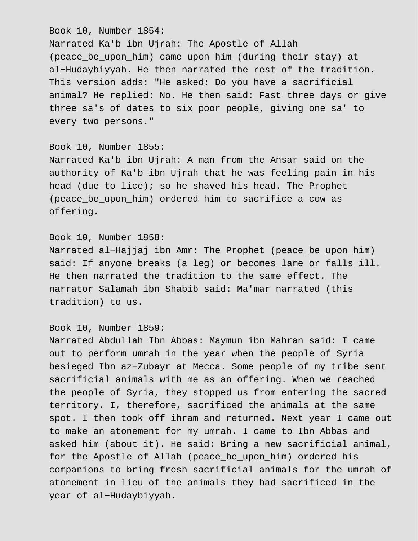Book 10, Number 1854:

Narrated Ka'b ibn Ujrah: The Apostle of Allah (peace\_be\_upon\_him) came upon him (during their stay) at al−Hudaybiyyah. He then narrated the rest of the tradition. This version adds: "He asked: Do you have a sacrificial animal? He replied: No. He then said: Fast three days or give three sa's of dates to six poor people, giving one sa' to every two persons."

### Book 10, Number 1855:

Narrated Ka'b ibn Ujrah: A man from the Ansar said on the authority of Ka'b ibn Ujrah that he was feeling pain in his head (due to lice); so he shaved his head. The Prophet (peace\_be\_upon\_him) ordered him to sacrifice a cow as offering.

# Book 10, Number 1858:

Narrated al−Hajjaj ibn Amr: The Prophet (peace\_be\_upon\_him) said: If anyone breaks (a leg) or becomes lame or falls ill. He then narrated the tradition to the same effect. The narrator Salamah ibn Shabib said: Ma'mar narrated (this tradition) to us.

### Book 10, Number 1859:

Narrated Abdullah Ibn Abbas: Maymun ibn Mahran said: I came out to perform umrah in the year when the people of Syria besieged Ibn az−Zubayr at Mecca. Some people of my tribe sent sacrificial animals with me as an offering. When we reached the people of Syria, they stopped us from entering the sacred territory. I, therefore, sacrificed the animals at the same spot. I then took off ihram and returned. Next year I came out to make an atonement for my umrah. I came to Ibn Abbas and asked him (about it). He said: Bring a new sacrificial animal, for the Apostle of Allah (peace be upon him) ordered his companions to bring fresh sacrificial animals for the umrah of atonement in lieu of the animals they had sacrificed in the year of al−Hudaybiyyah.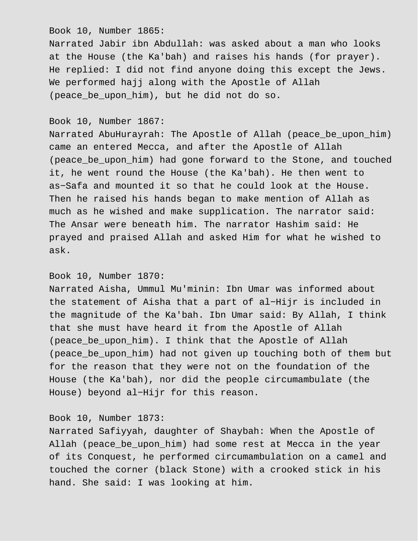## Book 10, Number 1865:

Narrated Jabir ibn Abdullah: was asked about a man who looks at the House (the Ka'bah) and raises his hands (for prayer). He replied: I did not find anyone doing this except the Jews. We performed hajj along with the Apostle of Allah (peace\_be\_upon\_him), but he did not do so.

## Book 10, Number 1867:

Narrated AbuHurayrah: The Apostle of Allah (peace be upon him) came an entered Mecca, and after the Apostle of Allah (peace be upon him) had gone forward to the Stone, and touched it, he went round the House (the Ka'bah). He then went to as−Safa and mounted it so that he could look at the House. Then he raised his hands began to make mention of Allah as much as he wished and make supplication. The narrator said: The Ansar were beneath him. The narrator Hashim said: He prayed and praised Allah and asked Him for what he wished to ask.

#### Book 10, Number 1870:

Narrated Aisha, Ummul Mu'minin: Ibn Umar was informed about the statement of Aisha that a part of al−Hijr is included in the magnitude of the Ka'bah. Ibn Umar said: By Allah, I think that she must have heard it from the Apostle of Allah (peace\_be\_upon\_him). I think that the Apostle of Allah (peace be upon him) had not given up touching both of them but for the reason that they were not on the foundation of the House (the Ka'bah), nor did the people circumambulate (the House) beyond al−Hijr for this reason.

# Book 10, Number 1873:

Narrated Safiyyah, daughter of Shaybah: When the Apostle of Allah (peace\_be\_upon\_him) had some rest at Mecca in the year of its Conquest, he performed circumambulation on a camel and touched the corner (black Stone) with a crooked stick in his hand. She said: I was looking at him.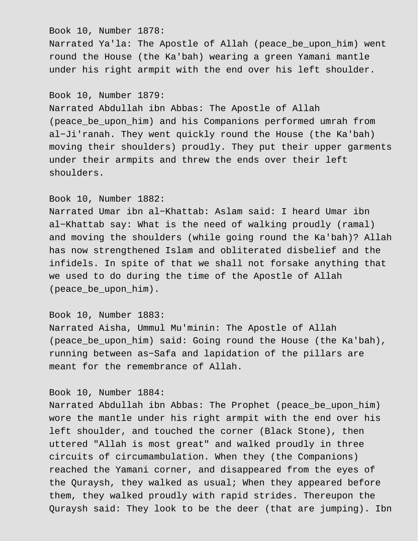#### Book 10, Number 1878:

Narrated Ya'la: The Apostle of Allah (peace\_be\_upon\_him) went round the House (the Ka'bah) wearing a green Yamani mantle under his right armpit with the end over his left shoulder.

# Book 10, Number 1879:

Narrated Abdullah ibn Abbas: The Apostle of Allah (peace\_be\_upon\_him) and his Companions performed umrah from al−Ji'ranah. They went quickly round the House (the Ka'bah) moving their shoulders) proudly. They put their upper garments under their armpits and threw the ends over their left shoulders.

#### Book 10, Number 1882:

Narrated Umar ibn al−Khattab: Aslam said: I heard Umar ibn al−Khattab say: What is the need of walking proudly (ramal) and moving the shoulders (while going round the Ka'bah)? Allah has now strengthened Islam and obliterated disbelief and the infidels. In spite of that we shall not forsake anything that we used to do during the time of the Apostle of Allah (peace\_be\_upon\_him).

#### Book 10, Number 1883:

Narrated Aisha, Ummul Mu'minin: The Apostle of Allah (peace\_be\_upon\_him) said: Going round the House (the Ka'bah), running between as−Safa and lapidation of the pillars are meant for the remembrance of Allah.

# Book 10, Number 1884:

Narrated Abdullah ibn Abbas: The Prophet (peace\_be\_upon\_him) wore the mantle under his right armpit with the end over his left shoulder, and touched the corner (Black Stone), then uttered "Allah is most great" and walked proudly in three circuits of circumambulation. When they (the Companions) reached the Yamani corner, and disappeared from the eyes of the Quraysh, they walked as usual; When they appeared before them, they walked proudly with rapid strides. Thereupon the Quraysh said: They look to be the deer (that are jumping). Ibn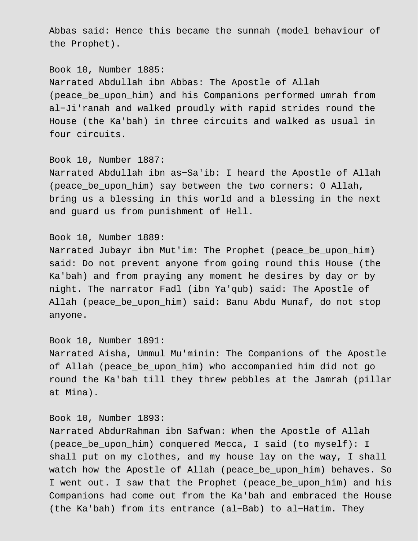Abbas said: Hence this became the sunnah (model behaviour of the Prophet).

Book 10, Number 1885: Narrated Abdullah ibn Abbas: The Apostle of Allah (peace\_be\_upon\_him) and his Companions performed umrah from al−Ji'ranah and walked proudly with rapid strides round the House (the Ka'bah) in three circuits and walked as usual in four circuits.

Book 10, Number 1887:

Narrated Abdullah ibn as−Sa'ib: I heard the Apostle of Allah (peace\_be\_upon\_him) say between the two corners: O Allah, bring us a blessing in this world and a blessing in the next and guard us from punishment of Hell.

Book 10, Number 1889:

Narrated Jubayr ibn Mut'im: The Prophet (peace\_be\_upon\_him) said: Do not prevent anyone from going round this House (the Ka'bah) and from praying any moment he desires by day or by night. The narrator Fadl (ibn Ya'qub) said: The Apostle of Allah (peace\_be\_upon\_him) said: Banu Abdu Munaf, do not stop anyone.

Book 10, Number 1891: Narrated Aisha, Ummul Mu'minin: The Companions of the Apostle of Allah (peace\_be\_upon\_him) who accompanied him did not go round the Ka'bah till they threw pebbles at the Jamrah (pillar at Mina).

Book 10, Number 1893:

Narrated AbdurRahman ibn Safwan: When the Apostle of Allah (peace\_be\_upon\_him) conquered Mecca, I said (to myself): I shall put on my clothes, and my house lay on the way, I shall watch how the Apostle of Allah (peace be upon him) behaves. So I went out. I saw that the Prophet (peace\_be\_upon\_him) and his Companions had come out from the Ka'bah and embraced the House (the Ka'bah) from its entrance (al−Bab) to al−Hatim. They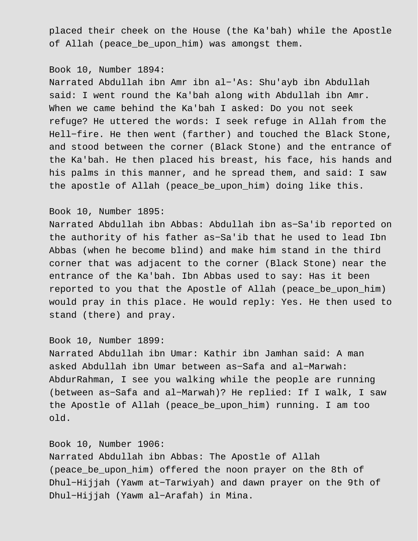placed their cheek on the House (the Ka'bah) while the Apostle of Allah (peace\_be\_upon\_him) was amongst them.

# Book 10, Number 1894:

Narrated Abdullah ibn Amr ibn al−'As: Shu'ayb ibn Abdullah said: I went round the Ka'bah along with Abdullah ibn Amr. When we came behind the Ka'bah I asked: Do you not seek refuge? He uttered the words: I seek refuge in Allah from the Hell−fire. He then went (farther) and touched the Black Stone, and stood between the corner (Black Stone) and the entrance of the Ka'bah. He then placed his breast, his face, his hands and his palms in this manner, and he spread them, and said: I saw the apostle of Allah (peace\_be\_upon\_him) doing like this.

## Book 10, Number 1895:

Narrated Abdullah ibn Abbas: Abdullah ibn as−Sa'ib reported on the authority of his father as−Sa'ib that he used to lead Ibn Abbas (when he become blind) and make him stand in the third corner that was adjacent to the corner (Black Stone) near the entrance of the Ka'bah. Ibn Abbas used to say: Has it been reported to you that the Apostle of Allah (peace be upon him) would pray in this place. He would reply: Yes. He then used to stand (there) and pray.

#### Book 10, Number 1899:

Narrated Abdullah ibn Umar: Kathir ibn Jamhan said: A man asked Abdullah ibn Umar between as−Safa and al−Marwah: AbdurRahman, I see you walking while the people are running (between as−Safa and al−Marwah)? He replied: If I walk, I saw the Apostle of Allah (peace\_be\_upon\_him) running. I am too old.

## Book 10, Number 1906:

Narrated Abdullah ibn Abbas: The Apostle of Allah (peace be upon him) offered the noon prayer on the 8th of Dhul−Hijjah (Yawm at−Tarwiyah) and dawn prayer on the 9th of Dhul−Hijjah (Yawm al−Arafah) in Mina.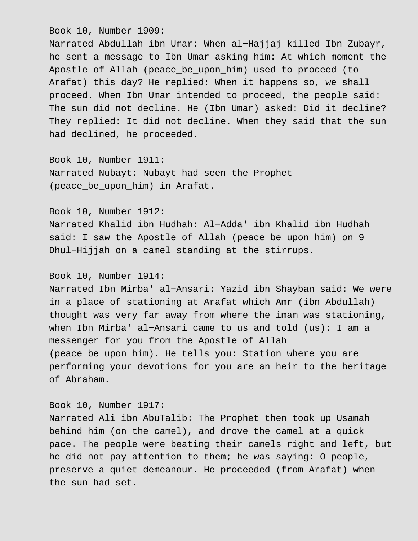Book 10, Number 1909:

Narrated Abdullah ibn Umar: When al−Hajjaj killed Ibn Zubayr, he sent a message to Ibn Umar asking him: At which moment the Apostle of Allah (peace\_be\_upon\_him) used to proceed (to Arafat) this day? He replied: When it happens so, we shall proceed. When Ibn Umar intended to proceed, the people said: The sun did not decline. He (Ibn Umar) asked: Did it decline? They replied: It did not decline. When they said that the sun had declined, he proceeded.

Book 10, Number 1911: Narrated Nubayt: Nubayt had seen the Prophet (peace\_be\_upon\_him) in Arafat.

Book 10, Number 1912: Narrated Khalid ibn Hudhah: Al−Adda' ibn Khalid ibn Hudhah said: I saw the Apostle of Allah (peace be upon him) on 9 Dhul−Hijjah on a camel standing at the stirrups.

#### Book 10, Number 1914:

Narrated Ibn Mirba' al−Ansari: Yazid ibn Shayban said: We were in a place of stationing at Arafat which Amr (ibn Abdullah) thought was very far away from where the imam was stationing, when Ibn Mirba' al−Ansari came to us and told (us): I am a messenger for you from the Apostle of Allah (peace be upon him). He tells you: Station where you are performing your devotions for you are an heir to the heritage of Abraham.

Book 10, Number 1917:

Narrated Ali ibn AbuTalib: The Prophet then took up Usamah behind him (on the camel), and drove the camel at a quick pace. The people were beating their camels right and left, but he did not pay attention to them; he was saying: O people, preserve a quiet demeanour. He proceeded (from Arafat) when the sun had set.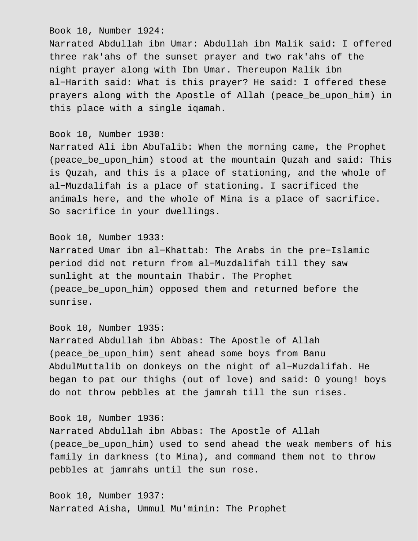### Book 10, Number 1924:

Narrated Abdullah ibn Umar: Abdullah ibn Malik said: I offered three rak'ahs of the sunset prayer and two rak'ahs of the night prayer along with Ibn Umar. Thereupon Malik ibn al−Harith said: What is this prayer? He said: I offered these prayers along with the Apostle of Allah (peace\_be\_upon\_him) in this place with a single iqamah.

#### Book 10, Number 1930:

Narrated Ali ibn AbuTalib: When the morning came, the Prophet (peace be upon him) stood at the mountain Quzah and said: This is Quzah, and this is a place of stationing, and the whole of al−Muzdalifah is a place of stationing. I sacrificed the animals here, and the whole of Mina is a place of sacrifice. So sacrifice in your dwellings.

## Book 10, Number 1933:

Narrated Umar ibn al−Khattab: The Arabs in the pre−Islamic period did not return from al−Muzdalifah till they saw sunlight at the mountain Thabir. The Prophet (peace\_be\_upon\_him) opposed them and returned before the sunrise.

# Book 10, Number 1935:

Narrated Abdullah ibn Abbas: The Apostle of Allah (peace\_be\_upon\_him) sent ahead some boys from Banu AbdulMuttalib on donkeys on the night of al−Muzdalifah. He began to pat our thighs (out of love) and said: O young! boys do not throw pebbles at the jamrah till the sun rises.

## Book 10, Number 1936:

Narrated Abdullah ibn Abbas: The Apostle of Allah (peace\_be\_upon\_him) used to send ahead the weak members of his family in darkness (to Mina), and command them not to throw pebbles at jamrahs until the sun rose.

Book 10, Number 1937: Narrated Aisha, Ummul Mu'minin: The Prophet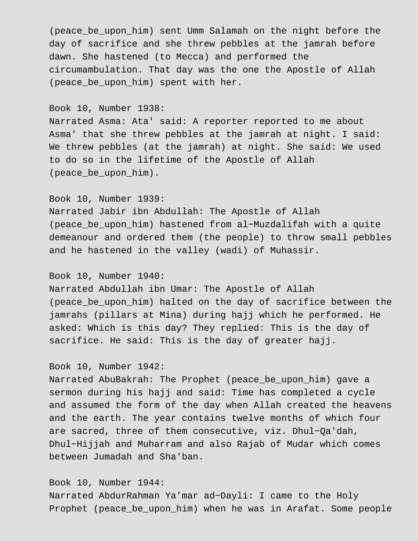(peace be upon him) sent Umm Salamah on the night before the day of sacrifice and she threw pebbles at the jamrah before dawn. She hastened (to Mecca) and performed the circumambulation. That day was the one the Apostle of Allah (peace be upon him) spent with her.

#### Book 10, Number 1938:

Narrated Asma: Ata' said: A reporter reported to me about Asma' that she threw pebbles at the jamrah at night. I said: We threw pebbles (at the jamrah) at night. She said: We used to do so in the lifetime of the Apostle of Allah (peace\_be\_upon\_him).

#### Book 10, Number 1939:

Narrated Jabir ibn Abdullah: The Apostle of Allah (peace\_be\_upon\_him) hastened from al−Muzdalifah with a quite demeanour and ordered them (the people) to throw small pebbles and he hastened in the valley (wadi) of Muhassir.

#### Book 10, Number 1940:

Narrated Abdullah ibn Umar: The Apostle of Allah (peace\_be\_upon\_him) halted on the day of sacrifice between the jamrahs (pillars at Mina) during hajj which he performed. He asked: Which is this day? They replied: This is the day of sacrifice. He said: This is the day of greater hajj.

#### Book 10, Number 1942:

Narrated AbuBakrah: The Prophet (peace\_be\_upon\_him) gave a sermon during his hajj and said: Time has completed a cycle and assumed the form of the day when Allah created the heavens and the earth. The year contains twelve months of which four are sacred, three of them consecutive, viz. Dhul−Qa'dah, Dhul−Hijjah and Muharram and also Rajab of Mudar which comes between Jumadah and Sha'ban.

# Book 10, Number 1944:

Narrated AbdurRahman Ya'mar ad−Dayli: I came to the Holy Prophet (peace\_be\_upon\_him) when he was in Arafat. Some people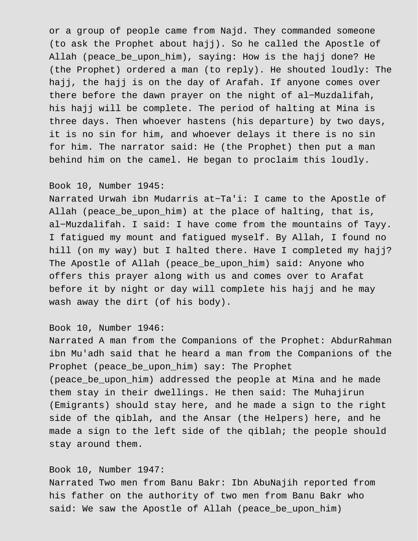or a group of people came from Najd. They commanded someone (to ask the Prophet about hajj). So he called the Apostle of Allah (peace be upon him), saying: How is the hajj done? He (the Prophet) ordered a man (to reply). He shouted loudly: The hajj, the hajj is on the day of Arafah. If anyone comes over there before the dawn prayer on the night of al−Muzdalifah, his hajj will be complete. The period of halting at Mina is three days. Then whoever hastens (his departure) by two days, it is no sin for him, and whoever delays it there is no sin for him. The narrator said: He (the Prophet) then put a man behind him on the camel. He began to proclaim this loudly.

## Book 10, Number 1945:

Narrated Urwah ibn Mudarris at−Ta'i: I came to the Apostle of Allah (peace\_be\_upon\_him) at the place of halting, that is, al−Muzdalifah. I said: I have come from the mountains of Tayy. I fatigued my mount and fatigued myself. By Allah, I found no hill (on my way) but I halted there. Have I completed my hajj? The Apostle of Allah (peace be upon him) said: Anyone who offers this prayer along with us and comes over to Arafat before it by night or day will complete his hajj and he may wash away the dirt (of his body).

## Book 10, Number 1946:

Narrated A man from the Companions of the Prophet: AbdurRahman ibn Mu'adh said that he heard a man from the Companions of the Prophet (peace\_be\_upon\_him) say: The Prophet (peace\_be\_upon\_him) addressed the people at Mina and he made them stay in their dwellings. He then said: The Muhajirun (Emigrants) should stay here, and he made a sign to the right side of the qiblah, and the Ansar (the Helpers) here, and he made a sign to the left side of the qiblah; the people should stay around them.

#### Book 10, Number 1947:

Narrated Two men from Banu Bakr: Ibn AbuNajih reported from his father on the authority of two men from Banu Bakr who said: We saw the Apostle of Allah (peace be upon him)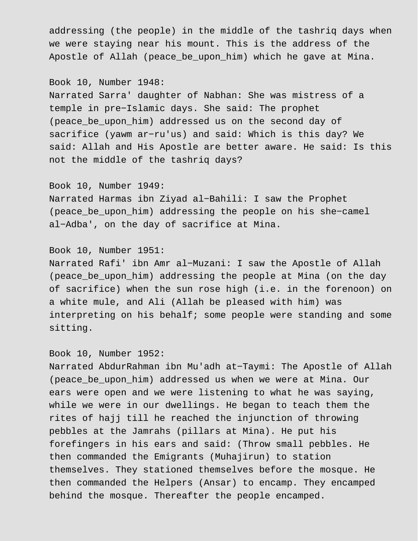addressing (the people) in the middle of the tashriq days when we were staying near his mount. This is the address of the Apostle of Allah (peace be upon him) which he gave at Mina.

# Book 10, Number 1948:

Narrated Sarra' daughter of Nabhan: She was mistress of a temple in pre−Islamic days. She said: The prophet (peace\_be\_upon\_him) addressed us on the second day of sacrifice (yawm ar−ru'us) and said: Which is this day? We said: Allah and His Apostle are better aware. He said: Is this not the middle of the tashriq days?

#### Book 10, Number 1949:

Narrated Harmas ibn Ziyad al−Bahili: I saw the Prophet (peace\_be\_upon\_him) addressing the people on his she−camel al−Adba', on the day of sacrifice at Mina.

## Book 10, Number 1951:

Narrated Rafi' ibn Amr al−Muzani: I saw the Apostle of Allah (peace\_be\_upon\_him) addressing the people at Mina (on the day of sacrifice) when the sun rose high (i.e. in the forenoon) on a white mule, and Ali (Allah be pleased with him) was interpreting on his behalf; some people were standing and some sitting.

# Book 10, Number 1952:

Narrated AbdurRahman ibn Mu'adh at−Taymi: The Apostle of Allah (peace\_be\_upon\_him) addressed us when we were at Mina. Our ears were open and we were listening to what he was saying, while we were in our dwellings. He began to teach them the rites of hajj till he reached the injunction of throwing pebbles at the Jamrahs (pillars at Mina). He put his forefingers in his ears and said: (Throw small pebbles. He then commanded the Emigrants (Muhajirun) to station themselves. They stationed themselves before the mosque. He then commanded the Helpers (Ansar) to encamp. They encamped behind the mosque. Thereafter the people encamped.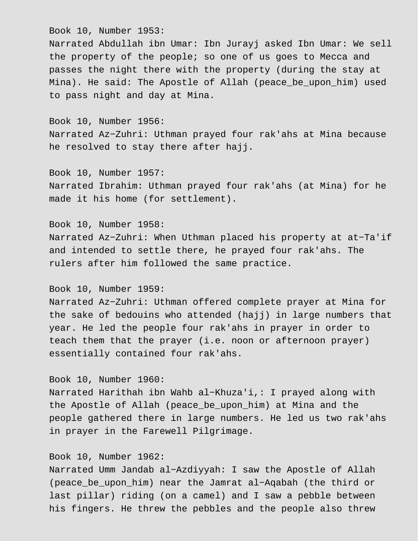#### Book 10, Number 1953:

Narrated Abdullah ibn Umar: Ibn Jurayj asked Ibn Umar: We sell the property of the people; so one of us goes to Mecca and passes the night there with the property (during the stay at Mina). He said: The Apostle of Allah (peace be upon him) used to pass night and day at Mina.

Book 10, Number 1956: Narrated Az−Zuhri: Uthman prayed four rak'ahs at Mina because he resolved to stay there after hajj.

Book 10, Number 1957: Narrated Ibrahim: Uthman prayed four rak'ahs (at Mina) for he made it his home (for settlement).

Book 10, Number 1958: Narrated Az−Zuhri: When Uthman placed his property at at−Ta'if and intended to settle there, he prayed four rak'ahs. The rulers after him followed the same practice.

#### Book 10, Number 1959:

Narrated Az−Zuhri: Uthman offered complete prayer at Mina for the sake of bedouins who attended (hajj) in large numbers that year. He led the people four rak'ahs in prayer in order to teach them that the prayer (i.e. noon or afternoon prayer) essentially contained four rak'ahs.

### Book 10, Number 1960:

Narrated Harithah ibn Wahb al−Khuza'i,: I prayed along with the Apostle of Allah (peace\_be\_upon\_him) at Mina and the people gathered there in large numbers. He led us two rak'ahs in prayer in the Farewell Pilgrimage.

#### Book 10, Number 1962:

Narrated Umm Jandab al−Azdiyyah: I saw the Apostle of Allah (peace\_be\_upon\_him) near the Jamrat al−Aqabah (the third or last pillar) riding (on a camel) and I saw a pebble between his fingers. He threw the pebbles and the people also threw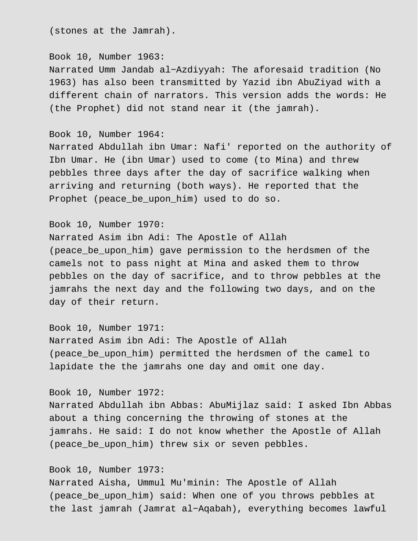(stones at the Jamrah).

Book 10, Number 1963: Narrated Umm Jandab al−Azdiyyah: The aforesaid tradition (No 1963) has also been transmitted by Yazid ibn AbuZiyad with a different chain of narrators. This version adds the words: He (the Prophet) did not stand near it (the jamrah).

#### Book 10, Number 1964:

Narrated Abdullah ibn Umar: Nafi' reported on the authority of Ibn Umar. He (ibn Umar) used to come (to Mina) and threw pebbles three days after the day of sacrifice walking when arriving and returning (both ways). He reported that the Prophet (peace\_be\_upon\_him) used to do so.

#### Book 10, Number 1970:

Narrated Asim ibn Adi: The Apostle of Allah (peace\_be\_upon\_him) gave permission to the herdsmen of the camels not to pass night at Mina and asked them to throw pebbles on the day of sacrifice, and to throw pebbles at the jamrahs the next day and the following two days, and on the day of their return.

#### Book 10, Number 1971:

Narrated Asim ibn Adi: The Apostle of Allah (peace\_be\_upon\_him) permitted the herdsmen of the camel to lapidate the the jamrahs one day and omit one day.

#### Book 10, Number 1972:

Narrated Abdullah ibn Abbas: AbuMijlaz said: I asked Ibn Abbas about a thing concerning the throwing of stones at the jamrahs. He said: I do not know whether the Apostle of Allah (peace\_be\_upon\_him) threw six or seven pebbles.

## Book 10, Number 1973:

Narrated Aisha, Ummul Mu'minin: The Apostle of Allah (peace\_be\_upon\_him) said: When one of you throws pebbles at the last jamrah (Jamrat al−Aqabah), everything becomes lawful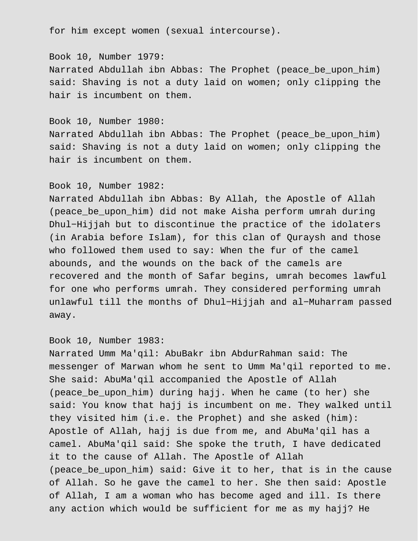for him except women (sexual intercourse).

Book 10, Number 1979:

Narrated Abdullah ibn Abbas: The Prophet (peace\_be\_upon\_him) said: Shaving is not a duty laid on women; only clipping the hair is incumbent on them.

### Book 10, Number 1980:

Narrated Abdullah ibn Abbas: The Prophet (peace\_be\_upon\_him) said: Shaving is not a duty laid on women; only clipping the hair is incumbent on them.

#### Book 10, Number 1982:

Narrated Abdullah ibn Abbas: By Allah, the Apostle of Allah (peace\_be\_upon\_him) did not make Aisha perform umrah during Dhul−Hijjah but to discontinue the practice of the idolaters (in Arabia before Islam), for this clan of Quraysh and those who followed them used to say: When the fur of the camel abounds, and the wounds on the back of the camels are recovered and the month of Safar begins, umrah becomes lawful for one who performs umrah. They considered performing umrah unlawful till the months of Dhul−Hijjah and al−Muharram passed away.

Book 10, Number 1983:

Narrated Umm Ma'qil: AbuBakr ibn AbdurRahman said: The messenger of Marwan whom he sent to Umm Ma'qil reported to me. She said: AbuMa'qil accompanied the Apostle of Allah (peace\_be\_upon\_him) during hajj. When he came (to her) she said: You know that hajj is incumbent on me. They walked until they visited him (i.e. the Prophet) and she asked (him): Apostle of Allah, hajj is due from me, and AbuMa'qil has a camel. AbuMa'qil said: She spoke the truth, I have dedicated it to the cause of Allah. The Apostle of Allah (peace be upon him) said: Give it to her, that is in the cause of Allah. So he gave the camel to her. She then said: Apostle of Allah, I am a woman who has become aged and ill. Is there any action which would be sufficient for me as my hajj? He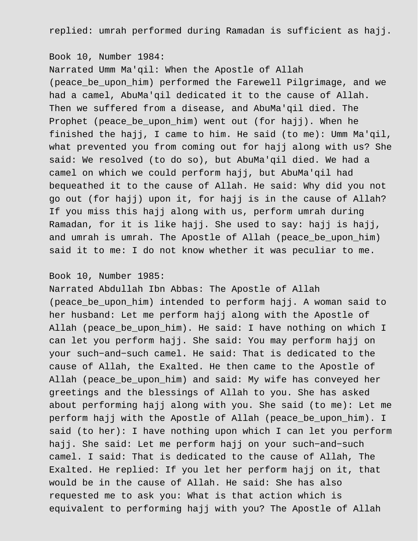replied: umrah performed during Ramadan is sufficient as hajj.

Book 10, Number 1984:

Narrated Umm Ma'qil: When the Apostle of Allah (peace be upon him) performed the Farewell Pilgrimage, and we had a camel, AbuMa'qil dedicated it to the cause of Allah. Then we suffered from a disease, and AbuMa'qil died. The Prophet (peace\_be\_upon\_him) went out (for hajj). When he finished the hajj, I came to him. He said (to me): Umm Ma'qil, what prevented you from coming out for hajj along with us? She said: We resolved (to do so), but AbuMa'qil died. We had a camel on which we could perform hajj, but AbuMa'qil had bequeathed it to the cause of Allah. He said: Why did you not go out (for hajj) upon it, for hajj is in the cause of Allah? If you miss this hajj along with us, perform umrah during Ramadan, for it is like hajj. She used to say: hajj is hajj, and umrah is umrah. The Apostle of Allah (peace\_be\_upon\_him) said it to me: I do not know whether it was peculiar to me.

#### Book 10, Number 1985:

Narrated Abdullah Ibn Abbas: The Apostle of Allah (peace\_be\_upon\_him) intended to perform hajj. A woman said to her husband: Let me perform hajj along with the Apostle of Allah (peace\_be\_upon\_him). He said: I have nothing on which I can let you perform hajj. She said: You may perform hajj on your such−and−such camel. He said: That is dedicated to the cause of Allah, the Exalted. He then came to the Apostle of Allah (peace\_be\_upon\_him) and said: My wife has conveyed her greetings and the blessings of Allah to you. She has asked about performing hajj along with you. She said (to me): Let me perform hajj with the Apostle of Allah (peace\_be\_upon\_him). I said (to her): I have nothing upon which I can let you perform hajj. She said: Let me perform hajj on your such−and−such camel. I said: That is dedicated to the cause of Allah, The Exalted. He replied: If you let her perform hajj on it, that would be in the cause of Allah. He said: She has also requested me to ask you: What is that action which is equivalent to performing hajj with you? The Apostle of Allah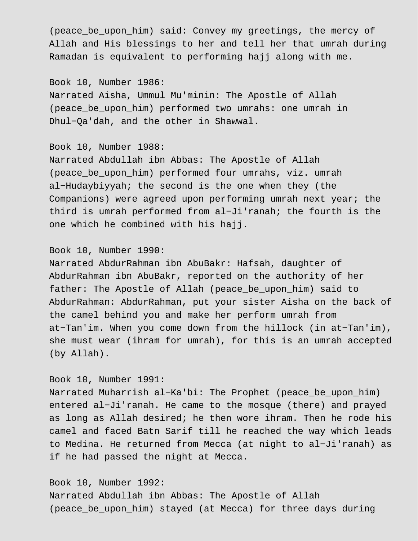(peace be upon him) said: Convey my greetings, the mercy of Allah and His blessings to her and tell her that umrah during Ramadan is equivalent to performing hajj along with me.

Book 10, Number 1986: Narrated Aisha, Ummul Mu'minin: The Apostle of Allah (peace\_be\_upon\_him) performed two umrahs: one umrah in Dhul−Qa'dah, and the other in Shawwal.

# Book 10, Number 1988:

Narrated Abdullah ibn Abbas: The Apostle of Allah (peace\_be\_upon\_him) performed four umrahs, viz. umrah al−Hudaybiyyah; the second is the one when they (the Companions) were agreed upon performing umrah next year; the third is umrah performed from al−Ji'ranah; the fourth is the one which he combined with his hajj.

## Book 10, Number 1990:

Narrated AbdurRahman ibn AbuBakr: Hafsah, daughter of AbdurRahman ibn AbuBakr, reported on the authority of her father: The Apostle of Allah (peace be upon him) said to AbdurRahman: AbdurRahman, put your sister Aisha on the back of the camel behind you and make her perform umrah from at−Tan'im. When you come down from the hillock (in at−Tan'im), she must wear (ihram for umrah), for this is an umrah accepted (by Allah).

## Book 10, Number 1991:

Narrated Muharrish al−Ka'bi: The Prophet (peace\_be\_upon\_him) entered al−Ji'ranah. He came to the mosque (there) and prayed as long as Allah desired; he then wore ihram. Then he rode his camel and faced Batn Sarif till he reached the way which leads to Medina. He returned from Mecca (at night to al−Ji'ranah) as if he had passed the night at Mecca.

## Book 10, Number 1992:

Narrated Abdullah ibn Abbas: The Apostle of Allah (peace\_be\_upon\_him) stayed (at Mecca) for three days during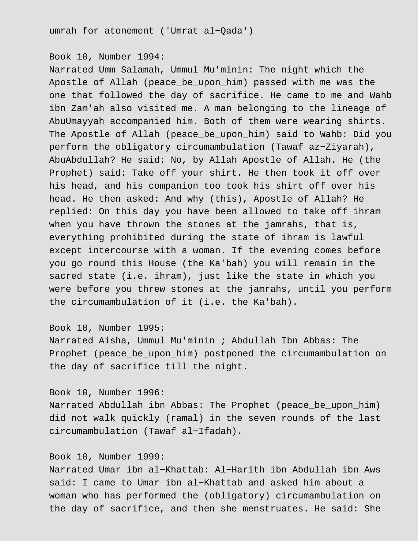Book 10, Number 1994:

Narrated Umm Salamah, Ummul Mu'minin: The night which the Apostle of Allah (peace be upon him) passed with me was the one that followed the day of sacrifice. He came to me and Wahb ibn Zam'ah also visited me. A man belonging to the lineage of AbuUmayyah accompanied him. Both of them were wearing shirts. The Apostle of Allah (peace\_be\_upon\_him) said to Wahb: Did you perform the obligatory circumambulation (Tawaf az−Ziyarah), AbuAbdullah? He said: No, by Allah Apostle of Allah. He (the Prophet) said: Take off your shirt. He then took it off over his head, and his companion too took his shirt off over his head. He then asked: And why (this), Apostle of Allah? He replied: On this day you have been allowed to take off ihram when you have thrown the stones at the jamrahs, that is, everything prohibited during the state of ihram is lawful except intercourse with a woman. If the evening comes before you go round this House (the Ka'bah) you will remain in the sacred state (i.e. ihram), just like the state in which you were before you threw stones at the jamrahs, until you perform the circumambulation of it (i.e. the Ka'bah).

### Book 10, Number 1995:

Narrated Aisha, Ummul Mu'minin ; Abdullah Ibn Abbas: The Prophet (peace be upon him) postponed the circumambulation on the day of sacrifice till the night.

#### Book 10, Number 1996:

Narrated Abdullah ibn Abbas: The Prophet (peace\_be\_upon\_him) did not walk quickly (ramal) in the seven rounds of the last circumambulation (Tawaf al−Ifadah).

## Book 10, Number 1999:

Narrated Umar ibn al−Khattab: Al−Harith ibn Abdullah ibn Aws said: I came to Umar ibn al−Khattab and asked him about a woman who has performed the (obligatory) circumambulation on the day of sacrifice, and then she menstruates. He said: She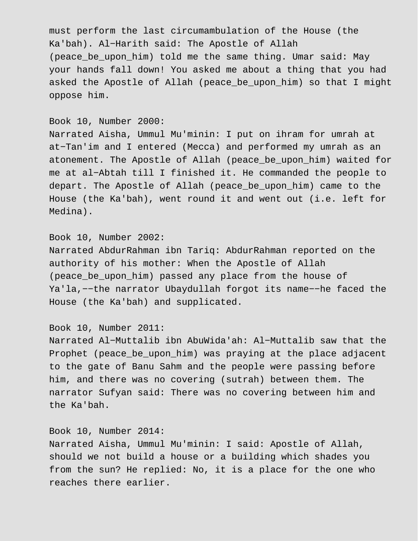must perform the last circumambulation of the House (the Ka'bah). Al−Harith said: The Apostle of Allah (peace\_be\_upon\_him) told me the same thing. Umar said: May your hands fall down! You asked me about a thing that you had asked the Apostle of Allah (peace be upon him) so that I might oppose him.

## Book 10, Number 2000:

Narrated Aisha, Ummul Mu'minin: I put on ihram for umrah at at−Tan'im and I entered (Mecca) and performed my umrah as an atonement. The Apostle of Allah (peace\_be\_upon\_him) waited for me at al−Abtah till I finished it. He commanded the people to depart. The Apostle of Allah (peace\_be\_upon\_him) came to the House (the Ka'bah), went round it and went out (i.e. left for Medina).

## Book 10, Number 2002:

Narrated AbdurRahman ibn Tariq: AbdurRahman reported on the authority of his mother: When the Apostle of Allah (peace\_be\_upon\_him) passed any place from the house of Ya'la,−−the narrator Ubaydullah forgot its name−−he faced the House (the Ka'bah) and supplicated.

## Book 10, Number 2011:

Narrated Al−Muttalib ibn AbuWida'ah: Al−Muttalib saw that the Prophet (peace be upon him) was praying at the place adjacent to the gate of Banu Sahm and the people were passing before him, and there was no covering (sutrah) between them. The narrator Sufyan said: There was no covering between him and the Ka'bah.

## Book 10, Number 2014:

Narrated Aisha, Ummul Mu'minin: I said: Apostle of Allah, should we not build a house or a building which shades you from the sun? He replied: No, it is a place for the one who reaches there earlier.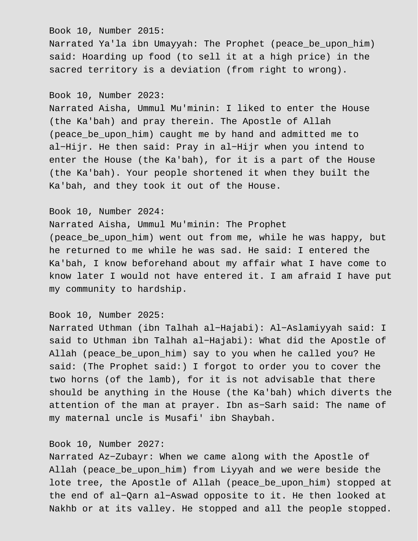#### Book 10, Number 2015:

Narrated Ya'la ibn Umayyah: The Prophet (peace\_be\_upon\_him) said: Hoarding up food (to sell it at a high price) in the sacred territory is a deviation (from right to wrong).

## Book 10, Number 2023:

Narrated Aisha, Ummul Mu'minin: I liked to enter the House (the Ka'bah) and pray therein. The Apostle of Allah (peace\_be\_upon\_him) caught me by hand and admitted me to al−Hijr. He then said: Pray in al−Hijr when you intend to enter the House (the Ka'bah), for it is a part of the House (the Ka'bah). Your people shortened it when they built the Ka'bah, and they took it out of the House.

#### Book 10, Number 2024:

Narrated Aisha, Ummul Mu'minin: The Prophet

(peace be upon him) went out from me, while he was happy, but he returned to me while he was sad. He said: I entered the Ka'bah, I know beforehand about my affair what I have come to know later I would not have entered it. I am afraid I have put my community to hardship.

#### Book 10, Number 2025:

Narrated Uthman (ibn Talhah al−Hajabi): Al−Aslamiyyah said: I said to Uthman ibn Talhah al−Hajabi): What did the Apostle of Allah (peace\_be\_upon\_him) say to you when he called you? He said: (The Prophet said:) I forgot to order you to cover the two horns (of the lamb), for it is not advisable that there should be anything in the House (the Ka'bah) which diverts the attention of the man at prayer. Ibn as−Sarh said: The name of my maternal uncle is Musafi' ibn Shaybah.

## Book 10, Number 2027:

Narrated Az−Zubayr: When we came along with the Apostle of Allah (peace be upon him) from Liyyah and we were beside the lote tree, the Apostle of Allah (peace\_be\_upon\_him) stopped at the end of al−Qarn al−Aswad opposite to it. He then looked at Nakhb or at its valley. He stopped and all the people stopped.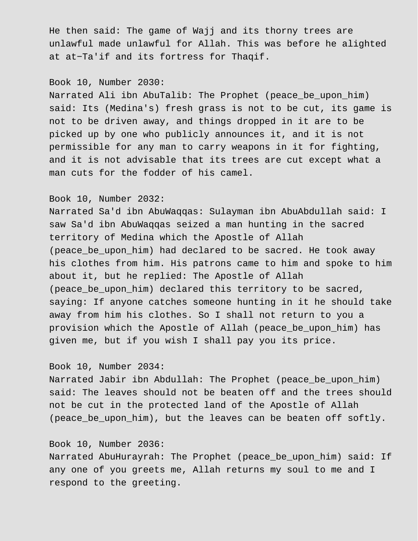He then said: The game of Wajj and its thorny trees are unlawful made unlawful for Allah. This was before he alighted at at−Ta'if and its fortress for Thaqif.

## Book 10, Number 2030:

Narrated Ali ibn AbuTalib: The Prophet (peace be upon him) said: Its (Medina's) fresh grass is not to be cut, its game is not to be driven away, and things dropped in it are to be picked up by one who publicly announces it, and it is not permissible for any man to carry weapons in it for fighting, and it is not advisable that its trees are cut except what a man cuts for the fodder of his camel.

#### Book 10, Number 2032:

Narrated Sa'd ibn AbuWaqqas: Sulayman ibn AbuAbdullah said: I saw Sa'd ibn AbuWaqqas seized a man hunting in the sacred territory of Medina which the Apostle of Allah (peace be upon him) had declared to be sacred. He took away his clothes from him. His patrons came to him and spoke to him about it, but he replied: The Apostle of Allah (peace be upon him) declared this territory to be sacred, saying: If anyone catches someone hunting in it he should take away from him his clothes. So I shall not return to you a provision which the Apostle of Allah (peace\_be\_upon\_him) has given me, but if you wish I shall pay you its price.

## Book 10, Number 2034:

Narrated Jabir ibn Abdullah: The Prophet (peace\_be\_upon\_him) said: The leaves should not be beaten off and the trees should not be cut in the protected land of the Apostle of Allah (peace\_be\_upon\_him), but the leaves can be beaten off softly.

## Book 10, Number 2036:

Narrated AbuHurayrah: The Prophet (peace\_be\_upon\_him) said: If any one of you greets me, Allah returns my soul to me and I respond to the greeting.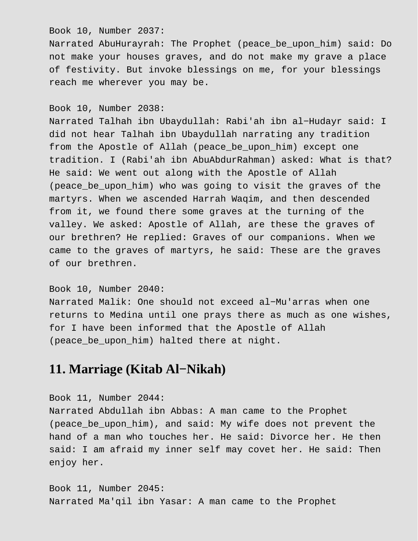#### Book 10, Number 2037:

Narrated AbuHurayrah: The Prophet (peace\_be\_upon\_him) said: Do not make your houses graves, and do not make my grave a place of festivity. But invoke blessings on me, for your blessings reach me wherever you may be.

#### Book 10, Number 2038:

Narrated Talhah ibn Ubaydullah: Rabi'ah ibn al−Hudayr said: I did not hear Talhah ibn Ubaydullah narrating any tradition from the Apostle of Allah (peace be upon him) except one tradition. I (Rabi'ah ibn AbuAbdurRahman) asked: What is that? He said: We went out along with the Apostle of Allah (peace\_be\_upon\_him) who was going to visit the graves of the martyrs. When we ascended Harrah Waqim, and then descended from it, we found there some graves at the turning of the valley. We asked: Apostle of Allah, are these the graves of our brethren? He replied: Graves of our companions. When we came to the graves of martyrs, he said: These are the graves of our brethren.

## Book 10, Number 2040:

Narrated Malik: One should not exceed al−Mu'arras when one returns to Medina until one prays there as much as one wishes, for I have been informed that the Apostle of Allah (peace\_be\_upon\_him) halted there at night.

# **11. Marriage (Kitab Al−Nikah)**

## Book 11, Number 2044:

Narrated Abdullah ibn Abbas: A man came to the Prophet (peace\_be\_upon\_him), and said: My wife does not prevent the hand of a man who touches her. He said: Divorce her. He then said: I am afraid my inner self may covet her. He said: Then enjoy her.

Book 11, Number 2045: Narrated Ma'qil ibn Yasar: A man came to the Prophet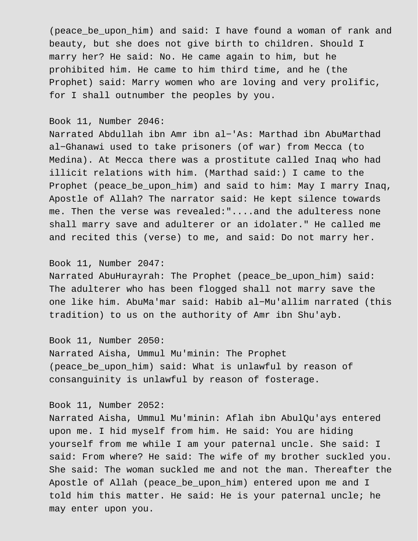(peace be upon him) and said: I have found a woman of rank and beauty, but she does not give birth to children. Should I marry her? He said: No. He came again to him, but he prohibited him. He came to him third time, and he (the Prophet) said: Marry women who are loving and very prolific, for I shall outnumber the peoples by you.

## Book 11, Number 2046:

Narrated Abdullah ibn Amr ibn al−'As: Marthad ibn AbuMarthad al−Ghanawi used to take prisoners (of war) from Mecca (to Medina). At Mecca there was a prostitute called Inaq who had illicit relations with him. (Marthad said:) I came to the Prophet (peace be upon him) and said to him: May I marry Inaq, Apostle of Allah? The narrator said: He kept silence towards me. Then the verse was revealed:"....and the adulteress none shall marry save and adulterer or an idolater." He called me and recited this (verse) to me, and said: Do not marry her.

## Book 11, Number 2047:

Narrated AbuHurayrah: The Prophet (peace be upon him) said: The adulterer who has been flogged shall not marry save the one like him. AbuMa'mar said: Habib al−Mu'allim narrated (this tradition) to us on the authority of Amr ibn Shu'ayb.

Book 11, Number 2050:

Narrated Aisha, Ummul Mu'minin: The Prophet (peace\_be\_upon\_him) said: What is unlawful by reason of consanguinity is unlawful by reason of fosterage.

#### Book 11, Number 2052:

Narrated Aisha, Ummul Mu'minin: Aflah ibn AbulQu'ays entered upon me. I hid myself from him. He said: You are hiding yourself from me while I am your paternal uncle. She said: I said: From where? He said: The wife of my brother suckled you. She said: The woman suckled me and not the man. Thereafter the Apostle of Allah (peace\_be\_upon\_him) entered upon me and I told him this matter. He said: He is your paternal uncle; he may enter upon you.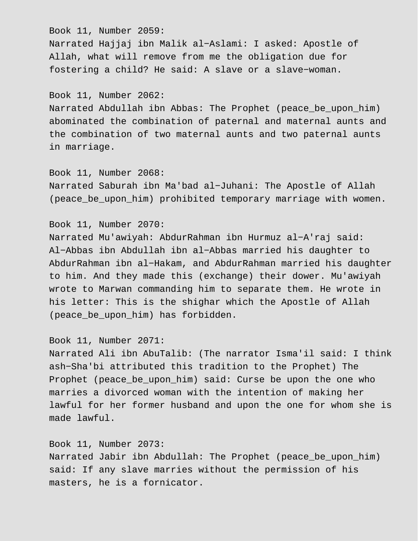Book 11, Number 2059: Narrated Hajjaj ibn Malik al−Aslami: I asked: Apostle of Allah, what will remove from me the obligation due for fostering a child? He said: A slave or a slave−woman.

Book 11, Number 2062:

Narrated Abdullah ibn Abbas: The Prophet (peace\_be\_upon\_him) abominated the combination of paternal and maternal aunts and the combination of two maternal aunts and two paternal aunts in marriage.

Book 11, Number 2068: Narrated Saburah ibn Ma'bad al−Juhani: The Apostle of Allah (peace\_be\_upon\_him) prohibited temporary marriage with women.

Book 11, Number 2070:

Narrated Mu'awiyah: AbdurRahman ibn Hurmuz al−A'raj said: Al−Abbas ibn Abdullah ibn al−Abbas married his daughter to AbdurRahman ibn al−Hakam, and AbdurRahman married his daughter to him. And they made this (exchange) their dower. Mu'awiyah wrote to Marwan commanding him to separate them. He wrote in his letter: This is the shighar which the Apostle of Allah (peace\_be\_upon\_him) has forbidden.

Book 11, Number 2071:

Narrated Ali ibn AbuTalib: (The narrator Isma'il said: I think ash−Sha'bi attributed this tradition to the Prophet) The Prophet (peace be upon him) said: Curse be upon the one who marries a divorced woman with the intention of making her lawful for her former husband and upon the one for whom she is made lawful.

Book 11, Number 2073:

Narrated Jabir ibn Abdullah: The Prophet (peace\_be\_upon\_him) said: If any slave marries without the permission of his masters, he is a fornicator.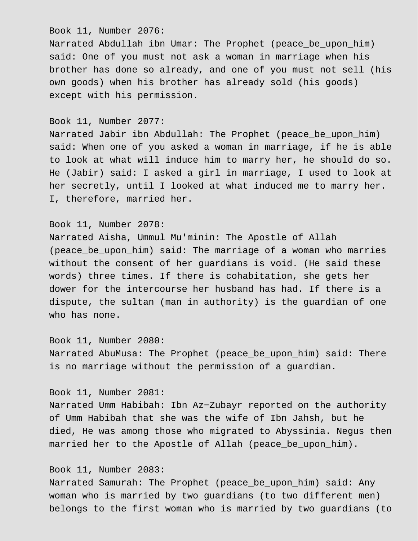#### Book 11, Number 2076:

Narrated Abdullah ibn Umar: The Prophet (peace\_be\_upon\_him) said: One of you must not ask a woman in marriage when his brother has done so already, and one of you must not sell (his own goods) when his brother has already sold (his goods) except with his permission.

#### Book 11, Number 2077:

Narrated Jabir ibn Abdullah: The Prophet (peace\_be\_upon\_him) said: When one of you asked a woman in marriage, if he is able to look at what will induce him to marry her, he should do so. He (Jabir) said: I asked a girl in marriage, I used to look at her secretly, until I looked at what induced me to marry her. I, therefore, married her.

#### Book 11, Number 2078:

Narrated Aisha, Ummul Mu'minin: The Apostle of Allah (peace be upon him) said: The marriage of a woman who marries without the consent of her guardians is void. (He said these words) three times. If there is cohabitation, she gets her dower for the intercourse her husband has had. If there is a dispute, the sultan (man in authority) is the guardian of one who has none.

#### Book 11, Number 2080:

Narrated AbuMusa: The Prophet (peace\_be\_upon\_him) said: There is no marriage without the permission of a guardian.

#### Book 11, Number 2081:

Narrated Umm Habibah: Ibn Az−Zubayr reported on the authority of Umm Habibah that she was the wife of Ibn Jahsh, but he died, He was among those who migrated to Abyssinia. Negus then married her to the Apostle of Allah (peace\_be\_upon\_him).

## Book 11, Number 2083:

Narrated Samurah: The Prophet (peace\_be\_upon\_him) said: Any woman who is married by two guardians (to two different men) belongs to the first woman who is married by two guardians (to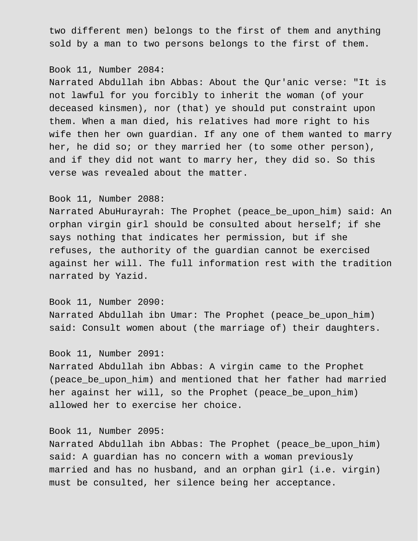two different men) belongs to the first of them and anything sold by a man to two persons belongs to the first of them.

## Book 11, Number 2084:

Narrated Abdullah ibn Abbas: About the Qur'anic verse: "It is not lawful for you forcibly to inherit the woman (of your deceased kinsmen), nor (that) ye should put constraint upon them. When a man died, his relatives had more right to his wife then her own guardian. If any one of them wanted to marry her, he did so; or they married her (to some other person), and if they did not want to marry her, they did so. So this verse was revealed about the matter.

#### Book 11, Number 2088:

Narrated AbuHurayrah: The Prophet (peace be upon him) said: An orphan virgin girl should be consulted about herself; if she says nothing that indicates her permission, but if she refuses, the authority of the guardian cannot be exercised against her will. The full information rest with the tradition narrated by Yazid.

Book 11, Number 2090: Narrated Abdullah ibn Umar: The Prophet (peace\_be\_upon\_him) said: Consult women about (the marriage of) their daughters.

Book 11, Number 2091:

Narrated Abdullah ibn Abbas: A virgin came to the Prophet (peace\_be\_upon\_him) and mentioned that her father had married her against her will, so the Prophet (peace\_be\_upon\_him) allowed her to exercise her choice.

Book 11, Number 2095:

Narrated Abdullah ibn Abbas: The Prophet (peace\_be\_upon\_him) said: A guardian has no concern with a woman previously married and has no husband, and an orphan girl (i.e. virgin) must be consulted, her silence being her acceptance.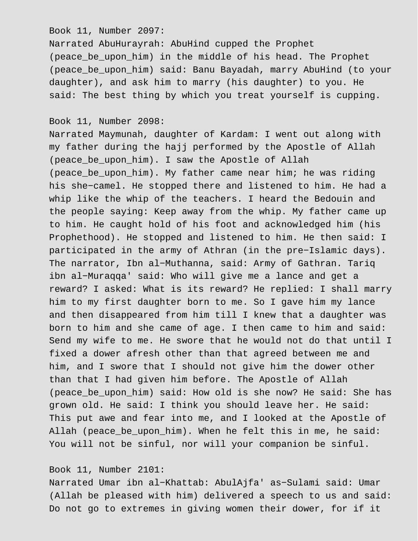## Book 11, Number 2097:

Narrated AbuHurayrah: AbuHind cupped the Prophet (peace be upon him) in the middle of his head. The Prophet (peace\_be\_upon\_him) said: Banu Bayadah, marry AbuHind (to your daughter), and ask him to marry (his daughter) to you. He said: The best thing by which you treat yourself is cupping.

## Book 11, Number 2098:

Narrated Maymunah, daughter of Kardam: I went out along with my father during the hajj performed by the Apostle of Allah (peace\_be\_upon\_him). I saw the Apostle of Allah (peace\_be\_upon\_him). My father came near him; he was riding his she−camel. He stopped there and listened to him. He had a whip like the whip of the teachers. I heard the Bedouin and the people saying: Keep away from the whip. My father came up to him. He caught hold of his foot and acknowledged him (his Prophethood). He stopped and listened to him. He then said: I participated in the army of Athran (in the pre−Islamic days). The narrator, Ibn al−Muthanna, said: Army of Gathran. Tariq ibn al−Muraqqa' said: Who will give me a lance and get a reward? I asked: What is its reward? He replied: I shall marry him to my first daughter born to me. So I gave him my lance and then disappeared from him till I knew that a daughter was born to him and she came of age. I then came to him and said: Send my wife to me. He swore that he would not do that until I fixed a dower afresh other than that agreed between me and him, and I swore that I should not give him the dower other than that I had given him before. The Apostle of Allah (peace\_be\_upon\_him) said: How old is she now? He said: She has grown old. He said: I think you should leave her. He said: This put awe and fear into me, and I looked at the Apostle of Allah (peace\_be\_upon\_him). When he felt this in me, he said: You will not be sinful, nor will your companion be sinful.

## Book 11, Number 2101:

Narrated Umar ibn al−Khattab: AbulAjfa' as−Sulami said: Umar (Allah be pleased with him) delivered a speech to us and said: Do not go to extremes in giving women their dower, for if it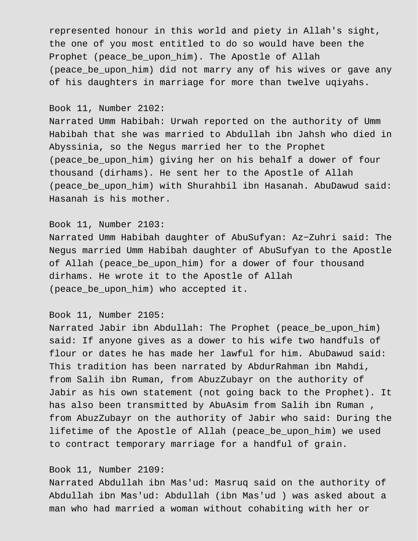represented honour in this world and piety in Allah's sight, the one of you most entitled to do so would have been the Prophet (peace be upon him). The Apostle of Allah (peace\_be\_upon\_him) did not marry any of his wives or gave any of his daughters in marriage for more than twelve uqiyahs.

#### Book 11, Number 2102:

Narrated Umm Habibah: Urwah reported on the authority of Umm Habibah that she was married to Abdullah ibn Jahsh who died in Abyssinia, so the Negus married her to the Prophet (peace be upon him) giving her on his behalf a dower of four thousand (dirhams). He sent her to the Apostle of Allah (peace be upon him) with Shurahbil ibn Hasanah. AbuDawud said: Hasanah is his mother.

#### Book 11, Number 2103:

Narrated Umm Habibah daughter of AbuSufyan: Az−Zuhri said: The Negus married Umm Habibah daughter of AbuSufyan to the Apostle of Allah (peace\_be\_upon\_him) for a dower of four thousand dirhams. He wrote it to the Apostle of Allah (peace\_be\_upon\_him) who accepted it.

#### Book 11, Number 2105:

Narrated Jabir ibn Abdullah: The Prophet (peace\_be\_upon\_him) said: If anyone gives as a dower to his wife two handfuls of flour or dates he has made her lawful for him. AbuDawud said: This tradition has been narrated by AbdurRahman ibn Mahdi, from Salih ibn Ruman, from AbuzZubayr on the authority of Jabir as his own statement (not going back to the Prophet). It has also been transmitted by AbuAsim from Salih ibn Ruman , from AbuzZubayr on the authority of Jabir who said: During the lifetime of the Apostle of Allah (peace\_be\_upon\_him) we used to contract temporary marriage for a handful of grain.

#### Book 11, Number 2109:

Narrated Abdullah ibn Mas'ud: Masruq said on the authority of Abdullah ibn Mas'ud: Abdullah (ibn Mas'ud ) was asked about a man who had married a woman without cohabiting with her or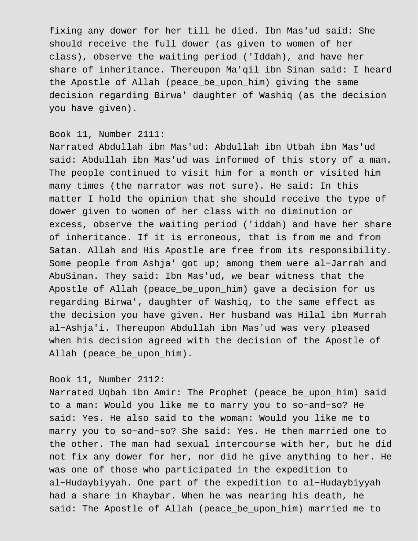fixing any dower for her till he died. Ibn Mas'ud said: She should receive the full dower (as given to women of her class), observe the waiting period ('Iddah), and have her share of inheritance. Thereupon Ma'qil ibn Sinan said: I heard the Apostle of Allah (peace be upon him) giving the same decision regarding Birwa' daughter of Washiq (as the decision you have given).

## Book 11, Number 2111:

Narrated Abdullah ibn Mas'ud: Abdullah ibn Utbah ibn Mas'ud said: Abdullah ibn Mas'ud was informed of this story of a man. The people continued to visit him for a month or visited him many times (the narrator was not sure). He said: In this matter I hold the opinion that she should receive the type of dower given to women of her class with no diminution or excess, observe the waiting period ('iddah) and have her share of inheritance. If it is erroneous, that is from me and from Satan. Allah and His Apostle are free from its responsibility. Some people from Ashja' got up; among them were al−Jarrah and AbuSinan. They said: Ibn Mas'ud, we bear witness that the Apostle of Allah (peace\_be\_upon\_him) gave a decision for us regarding Birwa', daughter of Washiq, to the same effect as the decision you have given. Her husband was Hilal ibn Murrah al−Ashja'i. Thereupon Abdullah ibn Mas'ud was very pleased when his decision agreed with the decision of the Apostle of Allah (peace be upon him).

## Book 11, Number 2112:

Narrated Uqbah ibn Amir: The Prophet (peace\_be\_upon\_him) said to a man: Would you like me to marry you to so−and−so? He said: Yes. He also said to the woman: Would you like me to marry you to so−and−so? She said: Yes. He then married one to the other. The man had sexual intercourse with her, but he did not fix any dower for her, nor did he give anything to her. He was one of those who participated in the expedition to al−Hudaybiyyah. One part of the expedition to al−Hudaybiyyah had a share in Khaybar. When he was nearing his death, he said: The Apostle of Allah (peace\_be\_upon\_him) married me to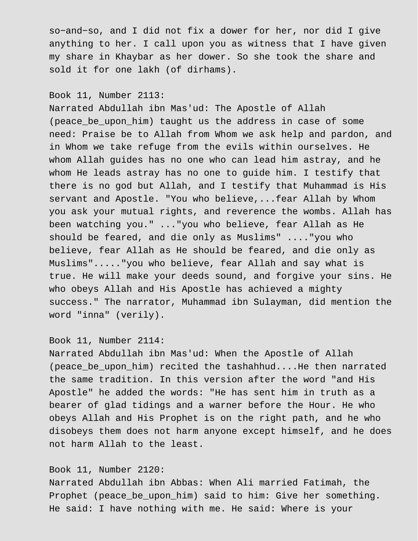so−and−so, and I did not fix a dower for her, nor did I give anything to her. I call upon you as witness that I have given my share in Khaybar as her dower. So she took the share and sold it for one lakh (of dirhams).

#### Book 11, Number 2113:

Narrated Abdullah ibn Mas'ud: The Apostle of Allah (peace be upon him) taught us the address in case of some need: Praise be to Allah from Whom we ask help and pardon, and in Whom we take refuge from the evils within ourselves. He whom Allah guides has no one who can lead him astray, and he whom He leads astray has no one to guide him. I testify that there is no god but Allah, and I testify that Muhammad is His servant and Apostle. "You who believe,...fear Allah by Whom you ask your mutual rights, and reverence the wombs. Allah has been watching you." ..."you who believe, fear Allah as He should be feared, and die only as Muslims" ...."you who believe, fear Allah as He should be feared, and die only as Muslims"....."you who believe, fear Allah and say what is true. He will make your deeds sound, and forgive your sins. He who obeys Allah and His Apostle has achieved a mighty success." The narrator, Muhammad ibn Sulayman, did mention the word "inna" (verily).

#### Book 11, Number 2114:

Narrated Abdullah ibn Mas'ud: When the Apostle of Allah (peace be upon him) recited the tashahhud....He then narrated the same tradition. In this version after the word "and His Apostle" he added the words: "He has sent him in truth as a bearer of glad tidings and a warner before the Hour. He who obeys Allah and His Prophet is on the right path, and he who disobeys them does not harm anyone except himself, and he does not harm Allah to the least.

#### Book 11, Number 2120:

Narrated Abdullah ibn Abbas: When Ali married Fatimah, the Prophet (peace\_be\_upon\_him) said to him: Give her something. He said: I have nothing with me. He said: Where is your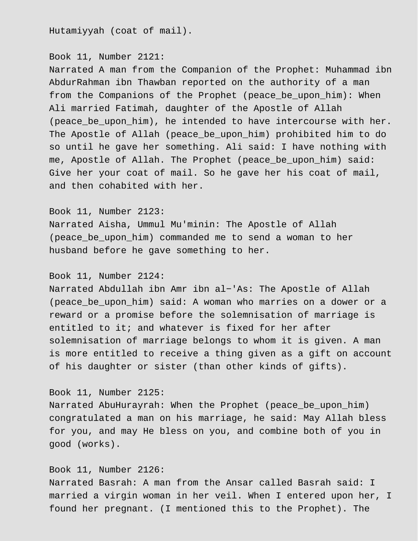Hutamiyyah (coat of mail).

## Book 11, Number 2121:

Narrated A man from the Companion of the Prophet: Muhammad ibn AbdurRahman ibn Thawban reported on the authority of a man from the Companions of the Prophet (peace\_be\_upon\_him): When Ali married Fatimah, daughter of the Apostle of Allah (peace be upon him), he intended to have intercourse with her. The Apostle of Allah (peace be upon him) prohibited him to do so until he gave her something. Ali said: I have nothing with me, Apostle of Allah. The Prophet (peace\_be\_upon\_him) said: Give her your coat of mail. So he gave her his coat of mail, and then cohabited with her.

#### Book 11, Number 2123:

Narrated Aisha, Ummul Mu'minin: The Apostle of Allah (peace\_be\_upon\_him) commanded me to send a woman to her husband before he gave something to her.

#### Book 11, Number 2124:

Narrated Abdullah ibn Amr ibn al−'As: The Apostle of Allah (peace\_be\_upon\_him) said: A woman who marries on a dower or a reward or a promise before the solemnisation of marriage is entitled to it; and whatever is fixed for her after solemnisation of marriage belongs to whom it is given. A man is more entitled to receive a thing given as a gift on account of his daughter or sister (than other kinds of gifts).

## Book 11, Number 2125:

Narrated AbuHurayrah: When the Prophet (peace\_be\_upon\_him) congratulated a man on his marriage, he said: May Allah bless for you, and may He bless on you, and combine both of you in good (works).

## Book 11, Number 2126:

Narrated Basrah: A man from the Ansar called Basrah said: I married a virgin woman in her veil. When I entered upon her, I found her pregnant. (I mentioned this to the Prophet). The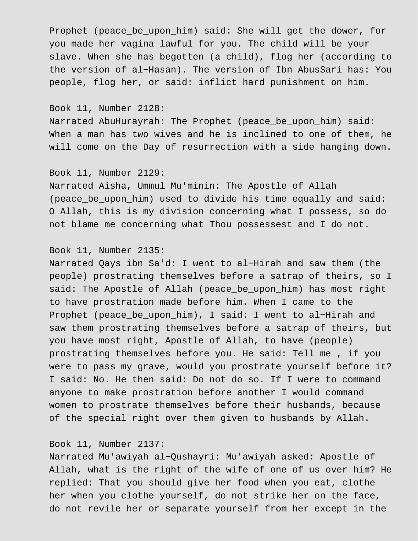Prophet (peace be upon him) said: She will get the dower, for you made her vagina lawful for you. The child will be your slave. When she has begotten (a child), flog her (according to the version of al−Hasan). The version of Ibn AbusSari has: You people, flog her, or said: inflict hard punishment on him.

#### Book 11, Number 2128:

Narrated AbuHurayrah: The Prophet (peace be upon him) said: When a man has two wives and he is inclined to one of them, he will come on the Day of resurrection with a side hanging down.

## Book 11, Number 2129:

Narrated Aisha, Ummul Mu'minin: The Apostle of Allah (peace\_be\_upon\_him) used to divide his time equally and said: O Allah, this is my division concerning what I possess, so do not blame me concerning what Thou possessest and I do not.

#### Book 11, Number 2135:

Narrated Qays ibn Sa'd: I went to al−Hirah and saw them (the people) prostrating themselves before a satrap of theirs, so I said: The Apostle of Allah (peace be upon him) has most right to have prostration made before him. When I came to the Prophet (peace\_be\_upon\_him), I said: I went to al−Hirah and saw them prostrating themselves before a satrap of theirs, but you have most right, Apostle of Allah, to have (people) prostrating themselves before you. He said: Tell me , if you were to pass my grave, would you prostrate yourself before it? I said: No. He then said: Do not do so. If I were to command anyone to make prostration before another I would command women to prostrate themselves before their husbands, because of the special right over them given to husbands by Allah.

## Book 11, Number 2137:

Narrated Mu'awiyah al−Qushayri: Mu'awiyah asked: Apostle of Allah, what is the right of the wife of one of us over him? He replied: That you should give her food when you eat, clothe her when you clothe yourself, do not strike her on the face, do not revile her or separate yourself from her except in the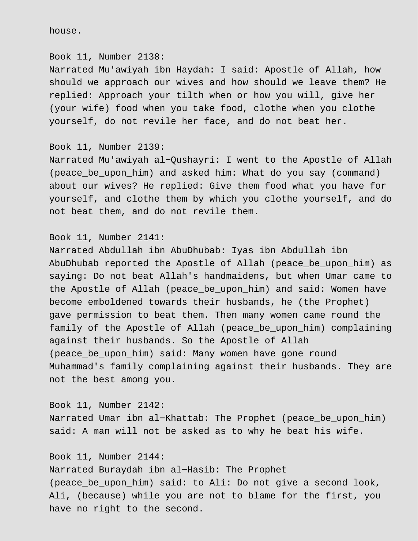house.

#### Book 11, Number 2138:

Narrated Mu'awiyah ibn Haydah: I said: Apostle of Allah, how should we approach our wives and how should we leave them? He replied: Approach your tilth when or how you will, give her (your wife) food when you take food, clothe when you clothe yourself, do not revile her face, and do not beat her.

## Book 11, Number 2139:

Narrated Mu'awiyah al−Qushayri: I went to the Apostle of Allah (peace\_be\_upon\_him) and asked him: What do you say (command) about our wives? He replied: Give them food what you have for yourself, and clothe them by which you clothe yourself, and do not beat them, and do not revile them.

## Book 11, Number 2141:

Narrated Abdullah ibn AbuDhubab: Iyas ibn Abdullah ibn AbuDhubab reported the Apostle of Allah (peace\_be\_upon\_him) as saying: Do not beat Allah's handmaidens, but when Umar came to the Apostle of Allah (peace be upon him) and said: Women have become emboldened towards their husbands, he (the Prophet) gave permission to beat them. Then many women came round the family of the Apostle of Allah (peace\_be\_upon\_him) complaining against their husbands. So the Apostle of Allah (peace\_be\_upon\_him) said: Many women have gone round Muhammad's family complaining against their husbands. They are not the best among you.

#### Book 11, Number 2142:

Narrated Umar ibn al−Khattab: The Prophet (peace\_be\_upon\_him) said: A man will not be asked as to why he beat his wife.

#### Book 11, Number 2144:

Narrated Buraydah ibn al−Hasib: The Prophet (peace\_be\_upon\_him) said: to Ali: Do not give a second look, Ali, (because) while you are not to blame for the first, you have no right to the second.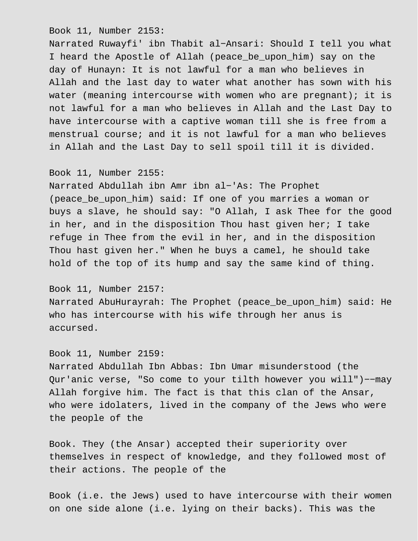Book 11, Number 2153:

Narrated Ruwayfi' ibn Thabit al−Ansari: Should I tell you what I heard the Apostle of Allah (peace be upon him) say on the day of Hunayn: It is not lawful for a man who believes in Allah and the last day to water what another has sown with his water (meaning intercourse with women who are pregnant); it is not lawful for a man who believes in Allah and the Last Day to have intercourse with a captive woman till she is free from a menstrual course; and it is not lawful for a man who believes in Allah and the Last Day to sell spoil till it is divided.

#### Book 11, Number 2155:

Narrated Abdullah ibn Amr ibn al−'As: The Prophet (peace\_be\_upon\_him) said: If one of you marries a woman or buys a slave, he should say: "O Allah, I ask Thee for the good in her, and in the disposition Thou hast given her; I take refuge in Thee from the evil in her, and in the disposition Thou hast given her." When he buys a camel, he should take hold of the top of its hump and say the same kind of thing.

#### Book 11, Number 2157:

Narrated AbuHurayrah: The Prophet (peace\_be\_upon\_him) said: He who has intercourse with his wife through her anus is accursed.

#### Book 11, Number 2159:

Narrated Abdullah Ibn Abbas: Ibn Umar misunderstood (the Qur'anic verse, "So come to your tilth however you will")−−may Allah forgive him. The fact is that this clan of the Ansar, who were idolaters, lived in the company of the Jews who were the people of the

Book. They (the Ansar) accepted their superiority over themselves in respect of knowledge, and they followed most of their actions. The people of the

Book (i.e. the Jews) used to have intercourse with their women on one side alone (i.e. lying on their backs). This was the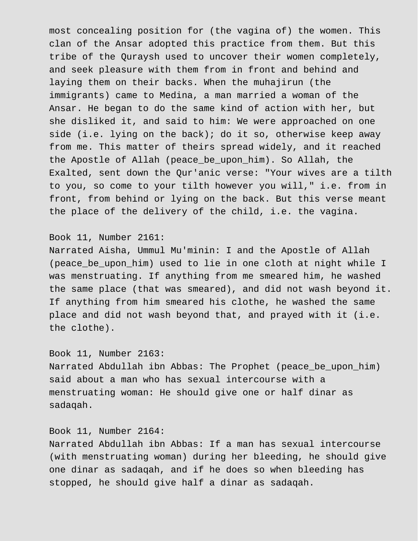most concealing position for (the vagina of) the women. This clan of the Ansar adopted this practice from them. But this tribe of the Quraysh used to uncover their women completely, and seek pleasure with them from in front and behind and laying them on their backs. When the muhajirun (the immigrants) came to Medina, a man married a woman of the Ansar. He began to do the same kind of action with her, but she disliked it, and said to him: We were approached on one side (i.e. lying on the back); do it so, otherwise keep away from me. This matter of theirs spread widely, and it reached the Apostle of Allah (peace\_be\_upon\_him). So Allah, the Exalted, sent down the Qur'anic verse: "Your wives are a tilth to you, so come to your tilth however you will," i.e. from in front, from behind or lying on the back. But this verse meant the place of the delivery of the child, i.e. the vagina.

## Book 11, Number 2161:

Narrated Aisha, Ummul Mu'minin: I and the Apostle of Allah (peace\_be\_upon\_him) used to lie in one cloth at night while I was menstruating. If anything from me smeared him, he washed the same place (that was smeared), and did not wash beyond it. If anything from him smeared his clothe, he washed the same place and did not wash beyond that, and prayed with it (i.e. the clothe).

#### Book 11, Number 2163:

Narrated Abdullah ibn Abbas: The Prophet (peace\_be\_upon\_him) said about a man who has sexual intercourse with a menstruating woman: He should give one or half dinar as sadaqah.

### Book 11, Number 2164:

Narrated Abdullah ibn Abbas: If a man has sexual intercourse (with menstruating woman) during her bleeding, he should give one dinar as sadaqah, and if he does so when bleeding has stopped, he should give half a dinar as sadaqah.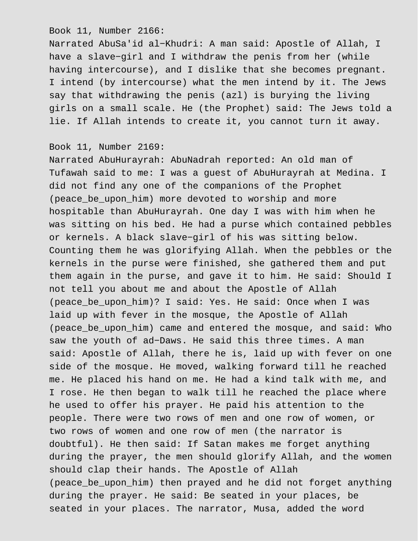Book 11, Number 2166:

Narrated AbuSa'id al−Khudri: A man said: Apostle of Allah, I have a slave−girl and I withdraw the penis from her (while having intercourse), and I dislike that she becomes pregnant. I intend (by intercourse) what the men intend by it. The Jews say that withdrawing the penis (azl) is burying the living girls on a small scale. He (the Prophet) said: The Jews told a lie. If Allah intends to create it, you cannot turn it away.

# Book 11, Number 2169:

Narrated AbuHurayrah: AbuNadrah reported: An old man of Tufawah said to me: I was a guest of AbuHurayrah at Medina. I did not find any one of the companions of the Prophet (peace\_be\_upon\_him) more devoted to worship and more hospitable than AbuHurayrah. One day I was with him when he was sitting on his bed. He had a purse which contained pebbles or kernels. A black slave−girl of his was sitting below. Counting them he was glorifying Allah. When the pebbles or the kernels in the purse were finished, she gathered them and put them again in the purse, and gave it to him. He said: Should I not tell you about me and about the Apostle of Allah (peace\_be\_upon\_him)? I said: Yes. He said: Once when I was laid up with fever in the mosque, the Apostle of Allah (peace\_be\_upon\_him) came and entered the mosque, and said: Who saw the youth of ad−Daws. He said this three times. A man said: Apostle of Allah, there he is, laid up with fever on one side of the mosque. He moved, walking forward till he reached me. He placed his hand on me. He had a kind talk with me, and I rose. He then began to walk till he reached the place where he used to offer his prayer. He paid his attention to the people. There were two rows of men and one row of women, or two rows of women and one row of men (the narrator is doubtful). He then said: If Satan makes me forget anything during the prayer, the men should glorify Allah, and the women should clap their hands. The Apostle of Allah (peace\_be\_upon\_him) then prayed and he did not forget anything during the prayer. He said: Be seated in your places, be seated in your places. The narrator, Musa, added the word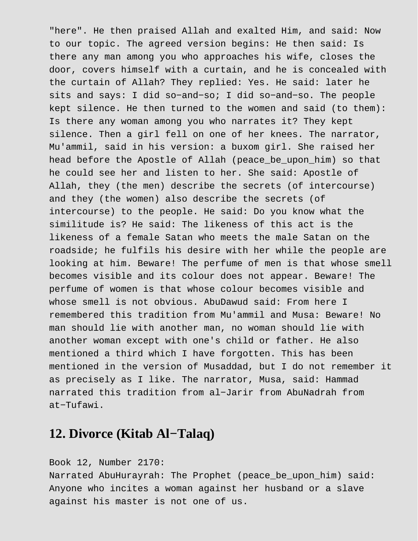"here". He then praised Allah and exalted Him, and said: Now to our topic. The agreed version begins: He then said: Is there any man among you who approaches his wife, closes the door, covers himself with a curtain, and he is concealed with the curtain of Allah? They replied: Yes. He said: later he sits and says: I did so−and−so; I did so−and−so. The people kept silence. He then turned to the women and said (to them): Is there any woman among you who narrates it? They kept silence. Then a girl fell on one of her knees. The narrator, Mu'ammil, said in his version: a buxom girl. She raised her head before the Apostle of Allah (peace be upon him) so that he could see her and listen to her. She said: Apostle of Allah, they (the men) describe the secrets (of intercourse) and they (the women) also describe the secrets (of intercourse) to the people. He said: Do you know what the similitude is? He said: The likeness of this act is the likeness of a female Satan who meets the male Satan on the roadside; he fulfils his desire with her while the people are looking at him. Beware! The perfume of men is that whose smell becomes visible and its colour does not appear. Beware! The perfume of women is that whose colour becomes visible and whose smell is not obvious. AbuDawud said: From here I remembered this tradition from Mu'ammil and Musa: Beware! No man should lie with another man, no woman should lie with another woman except with one's child or father. He also mentioned a third which I have forgotten. This has been mentioned in the version of Musaddad, but I do not remember it as precisely as I like. The narrator, Musa, said: Hammad narrated this tradition from al−Jarir from AbuNadrah from at−Tufawi.

# **12. Divorce (Kitab Al−Talaq)**

# Book 12, Number 2170:

Narrated AbuHurayrah: The Prophet (peace\_be\_upon\_him) said: Anyone who incites a woman against her husband or a slave against his master is not one of us.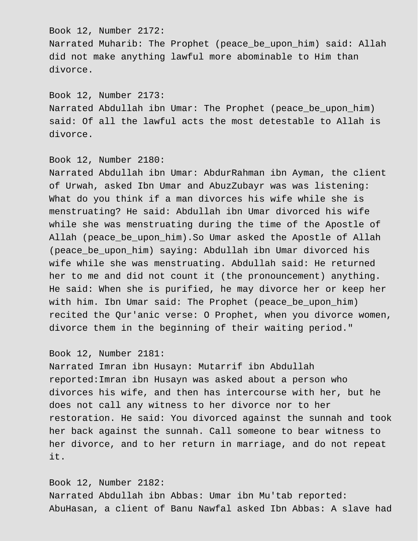#### Book 12, Number 2172:

Narrated Muharib: The Prophet (peace\_be\_upon\_him) said: Allah did not make anything lawful more abominable to Him than divorce.

Book 12, Number 2173: Narrated Abdullah ibn Umar: The Prophet (peace\_be\_upon\_him) said: Of all the lawful acts the most detestable to Allah is divorce.

Book 12, Number 2180:

Narrated Abdullah ibn Umar: AbdurRahman ibn Ayman, the client of Urwah, asked Ibn Umar and AbuzZubayr was was listening: What do you think if a man divorces his wife while she is menstruating? He said: Abdullah ibn Umar divorced his wife while she was menstruating during the time of the Apostle of Allah (peace\_be\_upon\_him).So Umar asked the Apostle of Allah (peace\_be\_upon\_him) saying: Abdullah ibn Umar divorced his wife while she was menstruating. Abdullah said: He returned her to me and did not count it (the pronouncement) anything. He said: When she is purified, he may divorce her or keep her with him. Ibn Umar said: The Prophet (peace\_be\_upon\_him) recited the Qur'anic verse: O Prophet, when you divorce women, divorce them in the beginning of their waiting period."

Book 12, Number 2181:

Narrated Imran ibn Husayn: Mutarrif ibn Abdullah reported:Imran ibn Husayn was asked about a person who divorces his wife, and then has intercourse with her, but he does not call any witness to her divorce nor to her restoration. He said: You divorced against the sunnah and took her back against the sunnah. Call someone to bear witness to her divorce, and to her return in marriage, and do not repeat it.

Book 12, Number 2182: Narrated Abdullah ibn Abbas: Umar ibn Mu'tab reported: AbuHasan, a client of Banu Nawfal asked Ibn Abbas: A slave had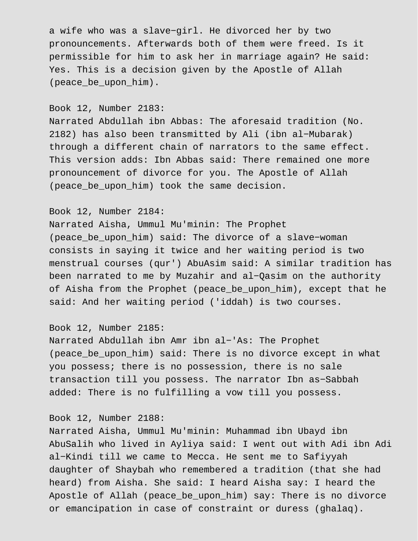a wife who was a slave−girl. He divorced her by two pronouncements. Afterwards both of them were freed. Is it permissible for him to ask her in marriage again? He said: Yes. This is a decision given by the Apostle of Allah (peace\_be\_upon\_him).

#### Book 12, Number 2183:

Narrated Abdullah ibn Abbas: The aforesaid tradition (No. 2182) has also been transmitted by Ali (ibn al−Mubarak) through a different chain of narrators to the same effect. This version adds: Ibn Abbas said: There remained one more pronouncement of divorce for you. The Apostle of Allah (peace be upon him) took the same decision.

## Book 12, Number 2184:

Narrated Aisha, Ummul Mu'minin: The Prophet (peace\_be\_upon\_him) said: The divorce of a slave−woman consists in saying it twice and her waiting period is two menstrual courses (qur') AbuAsim said: A similar tradition has been narrated to me by Muzahir and al−Qasim on the authority of Aisha from the Prophet (peace\_be\_upon\_him), except that he said: And her waiting period ('iddah) is two courses.

# Book 12, Number 2185:

Narrated Abdullah ibn Amr ibn al−'As: The Prophet (peace be upon him) said: There is no divorce except in what you possess; there is no possession, there is no sale transaction till you possess. The narrator Ibn as−Sabbah added: There is no fulfilling a vow till you possess.

## Book 12, Number 2188:

Narrated Aisha, Ummul Mu'minin: Muhammad ibn Ubayd ibn AbuSalih who lived in Ayliya said: I went out with Adi ibn Adi al−Kindi till we came to Mecca. He sent me to Safiyyah daughter of Shaybah who remembered a tradition (that she had heard) from Aisha. She said: I heard Aisha say: I heard the Apostle of Allah (peace\_be\_upon\_him) say: There is no divorce or emancipation in case of constraint or duress (ghalaq).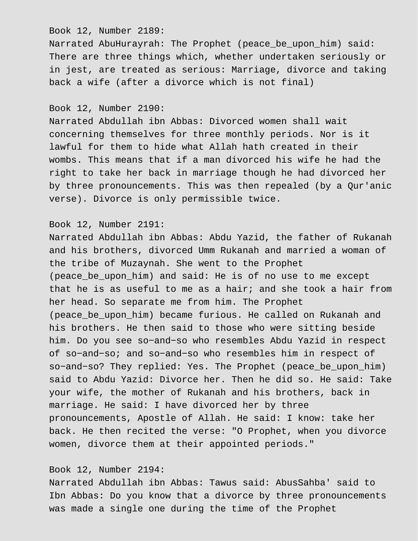#### Book 12, Number 2189:

Narrated AbuHurayrah: The Prophet (peace\_be\_upon\_him) said: There are three things which, whether undertaken seriously or in jest, are treated as serious: Marriage, divorce and taking back a wife (after a divorce which is not final)

## Book 12, Number 2190:

Narrated Abdullah ibn Abbas: Divorced women shall wait concerning themselves for three monthly periods. Nor is it lawful for them to hide what Allah hath created in their wombs. This means that if a man divorced his wife he had the right to take her back in marriage though he had divorced her by three pronouncements. This was then repealed (by a Qur'anic verse). Divorce is only permissible twice.

#### Book 12, Number 2191:

Narrated Abdullah ibn Abbas: Abdu Yazid, the father of Rukanah and his brothers, divorced Umm Rukanah and married a woman of the tribe of Muzaynah. She went to the Prophet (peace be upon him) and said: He is of no use to me except that he is as useful to me as a hair; and she took a hair from her head. So separate me from him. The Prophet (peace\_be\_upon\_him) became furious. He called on Rukanah and his brothers. He then said to those who were sitting beside him. Do you see so−and−so who resembles Abdu Yazid in respect of so−and−so; and so−and−so who resembles him in respect of so−and−so? They replied: Yes. The Prophet (peace\_be\_upon\_him) said to Abdu Yazid: Divorce her. Then he did so. He said: Take your wife, the mother of Rukanah and his brothers, back in marriage. He said: I have divorced her by three pronouncements, Apostle of Allah. He said: I know: take her back. He then recited the verse: "O Prophet, when you divorce women, divorce them at their appointed periods."

## Book 12, Number 2194:

Narrated Abdullah ibn Abbas: Tawus said: AbusSahba' said to Ibn Abbas: Do you know that a divorce by three pronouncements was made a single one during the time of the Prophet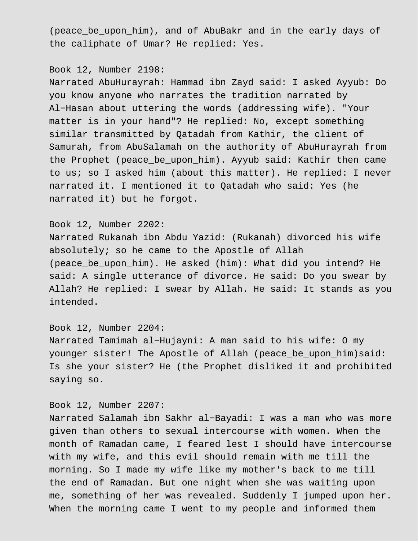(peace be upon him), and of AbuBakr and in the early days of the caliphate of Umar? He replied: Yes.

# Book 12, Number 2198:

Narrated AbuHurayrah: Hammad ibn Zayd said: I asked Ayyub: Do you know anyone who narrates the tradition narrated by Al−Hasan about uttering the words (addressing wife). "Your matter is in your hand"? He replied: No, except something similar transmitted by Qatadah from Kathir, the client of Samurah, from AbuSalamah on the authority of AbuHurayrah from the Prophet (peace\_be\_upon\_him). Ayyub said: Kathir then came to us; so I asked him (about this matter). He replied: I never narrated it. I mentioned it to Qatadah who said: Yes (he narrated it) but he forgot.

#### Book 12, Number 2202:

Narrated Rukanah ibn Abdu Yazid: (Rukanah) divorced his wife absolutely; so he came to the Apostle of Allah (peace\_be\_upon\_him). He asked (him): What did you intend? He said: A single utterance of divorce. He said: Do you swear by Allah? He replied: I swear by Allah. He said: It stands as you intended.

#### Book 12, Number 2204:

Narrated Tamimah al−Hujayni: A man said to his wife: O my younger sister! The Apostle of Allah (peace be upon him)said: Is she your sister? He (the Prophet disliked it and prohibited saying so.

#### Book 12, Number 2207:

Narrated Salamah ibn Sakhr al−Bayadi: I was a man who was more given than others to sexual intercourse with women. When the month of Ramadan came, I feared lest I should have intercourse with my wife, and this evil should remain with me till the morning. So I made my wife like my mother's back to me till the end of Ramadan. But one night when she was waiting upon me, something of her was revealed. Suddenly I jumped upon her. When the morning came I went to my people and informed them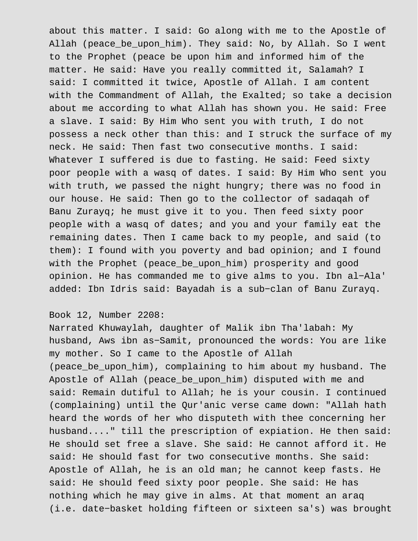about this matter. I said: Go along with me to the Apostle of Allah (peace\_be\_upon\_him). They said: No, by Allah. So I went to the Prophet (peace be upon him and informed him of the matter. He said: Have you really committed it, Salamah? I said: I committed it twice, Apostle of Allah. I am content with the Commandment of Allah, the Exalted; so take a decision about me according to what Allah has shown you. He said: Free a slave. I said: By Him Who sent you with truth, I do not possess a neck other than this: and I struck the surface of my neck. He said: Then fast two consecutive months. I said: Whatever I suffered is due to fasting. He said: Feed sixty poor people with a wasq of dates. I said: By Him Who sent you with truth, we passed the night hungry; there was no food in our house. He said: Then go to the collector of sadaqah of Banu Zurayq; he must give it to you. Then feed sixty poor people with a wasq of dates; and you and your family eat the remaining dates. Then I came back to my people, and said (to them): I found with you poverty and bad opinion; and I found with the Prophet (peace be upon him) prosperity and good opinion. He has commanded me to give alms to you. Ibn al−Ala' added: Ibn Idris said: Bayadah is a sub−clan of Banu Zurayq.

# Book 12, Number 2208:

Narrated Khuwaylah, daughter of Malik ibn Tha'labah: My husband, Aws ibn as−Samit, pronounced the words: You are like my mother. So I came to the Apostle of Allah (peace\_be\_upon\_him), complaining to him about my husband. The Apostle of Allah (peace\_be\_upon\_him) disputed with me and said: Remain dutiful to Allah; he is your cousin. I continued (complaining) until the Qur'anic verse came down: "Allah hath heard the words of her who disputeth with thee concerning her husband...." till the prescription of expiation. He then said: He should set free a slave. She said: He cannot afford it. He said: He should fast for two consecutive months. She said: Apostle of Allah, he is an old man; he cannot keep fasts. He said: He should feed sixty poor people. She said: He has nothing which he may give in alms. At that moment an araq (i.e. date−basket holding fifteen or sixteen sa's) was brought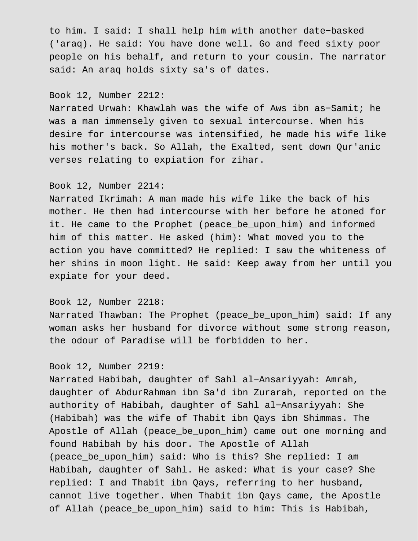to him. I said: I shall help him with another date−basked ('araq). He said: You have done well. Go and feed sixty poor people on his behalf, and return to your cousin. The narrator said: An araq holds sixty sa's of dates.

#### Book 12, Number 2212:

Narrated Urwah: Khawlah was the wife of Aws ibn as−Samit; he was a man immensely given to sexual intercourse. When his desire for intercourse was intensified, he made his wife like his mother's back. So Allah, the Exalted, sent down Qur'anic verses relating to expiation for zihar.

#### Book 12, Number 2214:

Narrated Ikrimah: A man made his wife like the back of his mother. He then had intercourse with her before he atoned for it. He came to the Prophet (peace\_be\_upon\_him) and informed him of this matter. He asked (him): What moved you to the action you have committed? He replied: I saw the whiteness of her shins in moon light. He said: Keep away from her until you expiate for your deed.

#### Book 12, Number 2218:

Narrated Thawban: The Prophet (peace\_be\_upon\_him) said: If any woman asks her husband for divorce without some strong reason, the odour of Paradise will be forbidden to her.

## Book 12, Number 2219:

Narrated Habibah, daughter of Sahl al−Ansariyyah: Amrah, daughter of AbdurRahman ibn Sa'd ibn Zurarah, reported on the authority of Habibah, daughter of Sahl al−Ansariyyah: She (Habibah) was the wife of Thabit ibn Qays ibn Shimmas. The Apostle of Allah (peace\_be\_upon\_him) came out one morning and found Habibah by his door. The Apostle of Allah (peace\_be\_upon\_him) said: Who is this? She replied: I am Habibah, daughter of Sahl. He asked: What is your case? She replied: I and Thabit ibn Qays, referring to her husband, cannot live together. When Thabit ibn Qays came, the Apostle of Allah (peace\_be\_upon\_him) said to him: This is Habibah,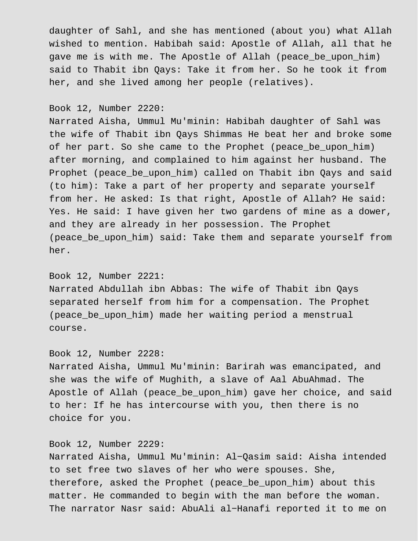daughter of Sahl, and she has mentioned (about you) what Allah wished to mention. Habibah said: Apostle of Allah, all that he gave me is with me. The Apostle of Allah (peace be upon him) said to Thabit ibn Qays: Take it from her. So he took it from her, and she lived among her people (relatives).

#### Book 12, Number 2220:

Narrated Aisha, Ummul Mu'minin: Habibah daughter of Sahl was the wife of Thabit ibn Qays Shimmas He beat her and broke some of her part. So she came to the Prophet (peace be upon him) after morning, and complained to him against her husband. The Prophet (peace be upon him) called on Thabit ibn Qays and said (to him): Take a part of her property and separate yourself from her. He asked: Is that right, Apostle of Allah? He said: Yes. He said: I have given her two gardens of mine as a dower, and they are already in her possession. The Prophet (peace\_be\_upon\_him) said: Take them and separate yourself from her.

#### Book 12, Number 2221:

Narrated Abdullah ibn Abbas: The wife of Thabit ibn Qays separated herself from him for a compensation. The Prophet (peace\_be\_upon\_him) made her waiting period a menstrual course.

#### Book 12, Number 2228:

Narrated Aisha, Ummul Mu'minin: Barirah was emancipated, and she was the wife of Mughith, a slave of Aal AbuAhmad. The Apostle of Allah (peace\_be\_upon\_him) gave her choice, and said to her: If he has intercourse with you, then there is no choice for you.

# Book 12, Number 2229:

Narrated Aisha, Ummul Mu'minin: Al−Qasim said: Aisha intended to set free two slaves of her who were spouses. She, therefore, asked the Prophet (peace\_be\_upon\_him) about this matter. He commanded to begin with the man before the woman. The narrator Nasr said: AbuAli al−Hanafi reported it to me on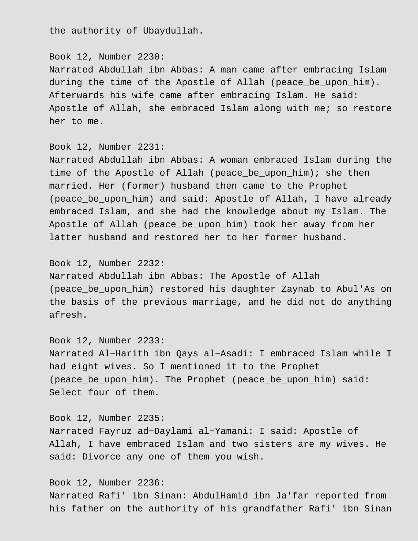the authority of Ubaydullah.

Book 12, Number 2230:

Narrated Abdullah ibn Abbas: A man came after embracing Islam during the time of the Apostle of Allah (peace be upon him). Afterwards his wife came after embracing Islam. He said: Apostle of Allah, she embraced Islam along with me; so restore her to me.

# Book 12, Number 2231:

Narrated Abdullah ibn Abbas: A woman embraced Islam during the time of the Apostle of Allah (peace be upon  $h$ im); she then married. Her (former) husband then came to the Prophet (peace\_be\_upon\_him) and said: Apostle of Allah, I have already embraced Islam, and she had the knowledge about my Islam. The Apostle of Allah (peace\_be\_upon\_him) took her away from her latter husband and restored her to her former husband.

Book 12, Number 2232:

Narrated Abdullah ibn Abbas: The Apostle of Allah (peace\_be\_upon\_him) restored his daughter Zaynab to Abul'As on the basis of the previous marriage, and he did not do anything afresh.

Book 12, Number 2233: Narrated Al−Harith ibn Qays al−Asadi: I embraced Islam while I had eight wives. So I mentioned it to the Prophet (peace\_be\_upon\_him). The Prophet (peace\_be\_upon\_him) said: Select four of them.

Book 12, Number 2235: Narrated Fayruz ad−Daylami al−Yamani: I said: Apostle of Allah, I have embraced Islam and two sisters are my wives. He said: Divorce any one of them you wish.

Book 12, Number 2236: Narrated Rafi' ibn Sinan: AbdulHamid ibn Ja'far reported from his father on the authority of his grandfather Rafi' ibn Sinan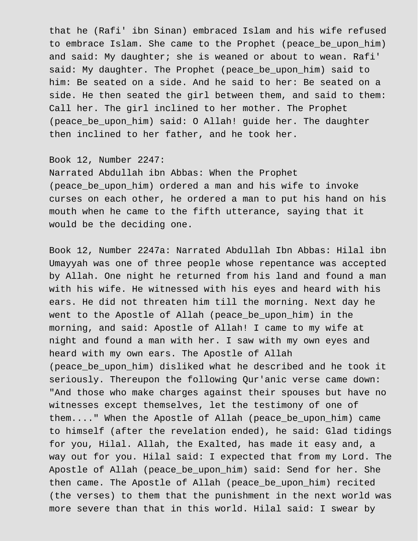that he (Rafi' ibn Sinan) embraced Islam and his wife refused to embrace Islam. She came to the Prophet (peace\_be\_upon\_him) and said: My daughter; she is weaned or about to wean. Rafi' said: My daughter. The Prophet (peace\_be\_upon\_him) said to him: Be seated on a side. And he said to her: Be seated on a side. He then seated the girl between them, and said to them: Call her. The girl inclined to her mother. The Prophet (peace\_be\_upon\_him) said: O Allah! guide her. The daughter then inclined to her father, and he took her.

#### Book 12, Number 2247:

Narrated Abdullah ibn Abbas: When the Prophet (peace be upon him) ordered a man and his wife to invoke curses on each other, he ordered a man to put his hand on his mouth when he came to the fifth utterance, saying that it would be the deciding one.

Book 12, Number 2247a: Narrated Abdullah Ibn Abbas: Hilal ibn Umayyah was one of three people whose repentance was accepted by Allah. One night he returned from his land and found a man with his wife. He witnessed with his eyes and heard with his ears. He did not threaten him till the morning. Next day he went to the Apostle of Allah (peace\_be\_upon\_him) in the morning, and said: Apostle of Allah! I came to my wife at night and found a man with her. I saw with my own eyes and heard with my own ears. The Apostle of Allah (peace\_be\_upon\_him) disliked what he described and he took it seriously. Thereupon the following Qur'anic verse came down: "And those who make charges against their spouses but have no witnesses except themselves, let the testimony of one of them...." When the Apostle of Allah (peace\_be\_upon\_him) came to himself (after the revelation ended), he said: Glad tidings for you, Hilal. Allah, the Exalted, has made it easy and, a way out for you. Hilal said: I expected that from my Lord. The Apostle of Allah (peace be upon him) said: Send for her. She then came. The Apostle of Allah (peace be upon him) recited (the verses) to them that the punishment in the next world was more severe than that in this world. Hilal said: I swear by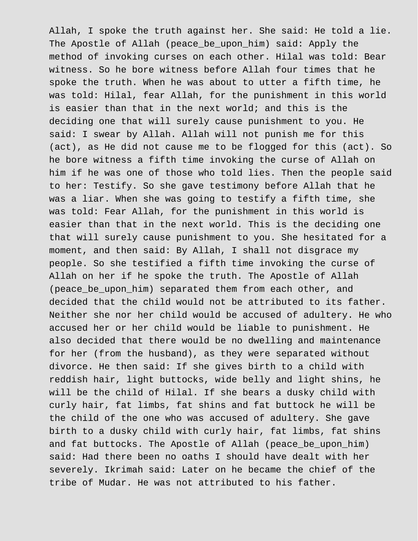Allah, I spoke the truth against her. She said: He told a lie. The Apostle of Allah (peace\_be\_upon\_him) said: Apply the method of invoking curses on each other. Hilal was told: Bear witness. So he bore witness before Allah four times that he spoke the truth. When he was about to utter a fifth time, he was told: Hilal, fear Allah, for the punishment in this world is easier than that in the next world; and this is the deciding one that will surely cause punishment to you. He said: I swear by Allah. Allah will not punish me for this (act), as He did not cause me to be flogged for this (act). So he bore witness a fifth time invoking the curse of Allah on him if he was one of those who told lies. Then the people said to her: Testify. So she gave testimony before Allah that he was a liar. When she was going to testify a fifth time, she was told: Fear Allah, for the punishment in this world is easier than that in the next world. This is the deciding one that will surely cause punishment to you. She hesitated for a moment, and then said: By Allah, I shall not disgrace my people. So she testified a fifth time invoking the curse of Allah on her if he spoke the truth. The Apostle of Allah (peace be upon him) separated them from each other, and decided that the child would not be attributed to its father. Neither she nor her child would be accused of adultery. He who accused her or her child would be liable to punishment. He also decided that there would be no dwelling and maintenance for her (from the husband), as they were separated without divorce. He then said: If she gives birth to a child with reddish hair, light buttocks, wide belly and light shins, he will be the child of Hilal. If she bears a dusky child with curly hair, fat limbs, fat shins and fat buttock he will be the child of the one who was accused of adultery. She gave birth to a dusky child with curly hair, fat limbs, fat shins and fat buttocks. The Apostle of Allah (peace\_be\_upon\_him) said: Had there been no oaths I should have dealt with her severely. Ikrimah said: Later on he became the chief of the tribe of Mudar. He was not attributed to his father.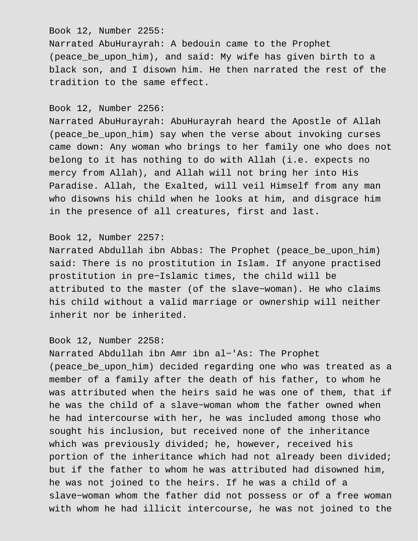#### Book 12, Number 2255:

Narrated AbuHurayrah: A bedouin came to the Prophet (peace be upon him), and said: My wife has given birth to a black son, and I disown him. He then narrated the rest of the tradition to the same effect.

## Book 12, Number 2256:

Narrated AbuHurayrah: AbuHurayrah heard the Apostle of Allah (peace\_be\_upon\_him) say when the verse about invoking curses came down: Any woman who brings to her family one who does not belong to it has nothing to do with Allah (i.e. expects no mercy from Allah), and Allah will not bring her into His Paradise. Allah, the Exalted, will veil Himself from any man who disowns his child when he looks at him, and disgrace him in the presence of all creatures, first and last.

## Book 12, Number 2257:

Narrated Abdullah ibn Abbas: The Prophet (peace\_be\_upon\_him) said: There is no prostitution in Islam. If anyone practised prostitution in pre−Islamic times, the child will be attributed to the master (of the slave−woman). He who claims his child without a valid marriage or ownership will neither inherit nor be inherited.

## Book 12, Number 2258:

Narrated Abdullah ibn Amr ibn al−'As: The Prophet (peace\_be\_upon\_him) decided regarding one who was treated as a member of a family after the death of his father, to whom he was attributed when the heirs said he was one of them, that if he was the child of a slave−woman whom the father owned when he had intercourse with her, he was included among those who sought his inclusion, but received none of the inheritance which was previously divided; he, however, received his portion of the inheritance which had not already been divided; but if the father to whom he was attributed had disowned him, he was not joined to the heirs. If he was a child of a slave−woman whom the father did not possess or of a free woman with whom he had illicit intercourse, he was not joined to the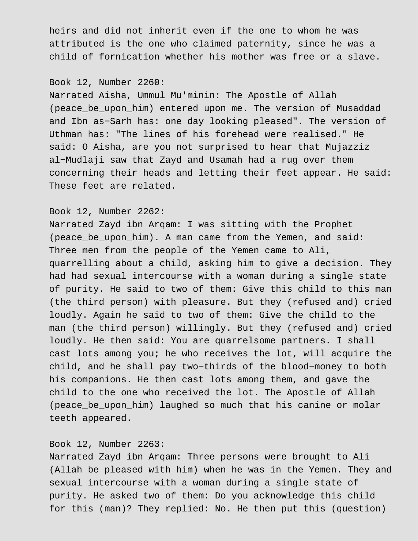heirs and did not inherit even if the one to whom he was attributed is the one who claimed paternity, since he was a child of fornication whether his mother was free or a slave.

# Book 12, Number 2260:

Narrated Aisha, Ummul Mu'minin: The Apostle of Allah (peace\_be\_upon\_him) entered upon me. The version of Musaddad and Ibn as−Sarh has: one day looking pleased". The version of Uthman has: "The lines of his forehead were realised." He said: O Aisha, are you not surprised to hear that Mujazziz al−Mudlaji saw that Zayd and Usamah had a rug over them concerning their heads and letting their feet appear. He said: These feet are related.

# Book 12, Number 2262:

Narrated Zayd ibn Arqam: I was sitting with the Prophet (peace be upon him). A man came from the Yemen, and said: Three men from the people of the Yemen came to Ali, quarrelling about a child, asking him to give a decision. They had had sexual intercourse with a woman during a single state of purity. He said to two of them: Give this child to this man (the third person) with pleasure. But they (refused and) cried loudly. Again he said to two of them: Give the child to the man (the third person) willingly. But they (refused and) cried loudly. He then said: You are quarrelsome partners. I shall cast lots among you; he who receives the lot, will acquire the child, and he shall pay two−thirds of the blood−money to both his companions. He then cast lots among them, and gave the child to the one who received the lot. The Apostle of Allah (peace\_be\_upon\_him) laughed so much that his canine or molar teeth appeared.

# Book 12, Number 2263:

Narrated Zayd ibn Arqam: Three persons were brought to Ali (Allah be pleased with him) when he was in the Yemen. They and sexual intercourse with a woman during a single state of purity. He asked two of them: Do you acknowledge this child for this (man)? They replied: No. He then put this (question)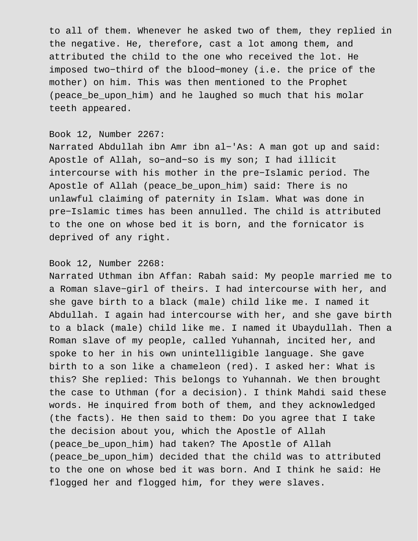to all of them. Whenever he asked two of them, they replied in the negative. He, therefore, cast a lot among them, and attributed the child to the one who received the lot. He imposed two−third of the blood−money (i.e. the price of the mother) on him. This was then mentioned to the Prophet (peace\_be\_upon\_him) and he laughed so much that his molar teeth appeared.

# Book 12, Number 2267:

Narrated Abdullah ibn Amr ibn al−'As: A man got up and said: Apostle of Allah, so−and−so is my son; I had illicit intercourse with his mother in the pre−Islamic period. The Apostle of Allah (peace\_be\_upon\_him) said: There is no unlawful claiming of paternity in Islam. What was done in pre−Islamic times has been annulled. The child is attributed to the one on whose bed it is born, and the fornicator is deprived of any right.

# Book 12, Number 2268:

Narrated Uthman ibn Affan: Rabah said: My people married me to a Roman slave−girl of theirs. I had intercourse with her, and she gave birth to a black (male) child like me. I named it Abdullah. I again had intercourse with her, and she gave birth to a black (male) child like me. I named it Ubaydullah. Then a Roman slave of my people, called Yuhannah, incited her, and spoke to her in his own unintelligible language. She gave birth to a son like a chameleon (red). I asked her: What is this? She replied: This belongs to Yuhannah. We then brought the case to Uthman (for a decision). I think Mahdi said these words. He inquired from both of them, and they acknowledged (the facts). He then said to them: Do you agree that I take the decision about you, which the Apostle of Allah (peace\_be\_upon\_him) had taken? The Apostle of Allah (peace\_be\_upon\_him) decided that the child was to attributed to the one on whose bed it was born. And I think he said: He flogged her and flogged him, for they were slaves.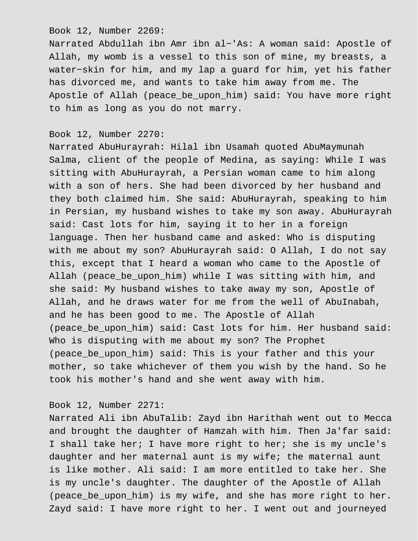### Book 12, Number 2269:

Narrated Abdullah ibn Amr ibn al−'As: A woman said: Apostle of Allah, my womb is a vessel to this son of mine, my breasts, a water−skin for him, and my lap a guard for him, yet his father has divorced me, and wants to take him away from me. The Apostle of Allah (peace\_be\_upon\_him) said: You have more right to him as long as you do not marry.

# Book 12, Number 2270:

Narrated AbuHurayrah: Hilal ibn Usamah quoted AbuMaymunah Salma, client of the people of Medina, as saying: While I was sitting with AbuHurayrah, a Persian woman came to him along with a son of hers. She had been divorced by her husband and they both claimed him. She said: AbuHurayrah, speaking to him in Persian, my husband wishes to take my son away. AbuHurayrah said: Cast lots for him, saying it to her in a foreign language. Then her husband came and asked: Who is disputing with me about my son? AbuHurayrah said: O Allah, I do not say this, except that I heard a woman who came to the Apostle of Allah (peace be upon him) while I was sitting with him, and she said: My husband wishes to take away my son, Apostle of Allah, and he draws water for me from the well of AbuInabah, and he has been good to me. The Apostle of Allah (peace\_be\_upon\_him) said: Cast lots for him. Her husband said: Who is disputing with me about my son? The Prophet (peace be upon him) said: This is your father and this your mother, so take whichever of them you wish by the hand. So he took his mother's hand and she went away with him.

#### Book 12, Number 2271:

Narrated Ali ibn AbuTalib: Zayd ibn Harithah went out to Mecca and brought the daughter of Hamzah with him. Then Ja'far said: I shall take her; I have more right to her; she is my uncle's daughter and her maternal aunt is my wife; the maternal aunt is like mother. Ali said: I am more entitled to take her. She is my uncle's daughter. The daughter of the Apostle of Allah (peace\_be\_upon\_him) is my wife, and she has more right to her. Zayd said: I have more right to her. I went out and journeyed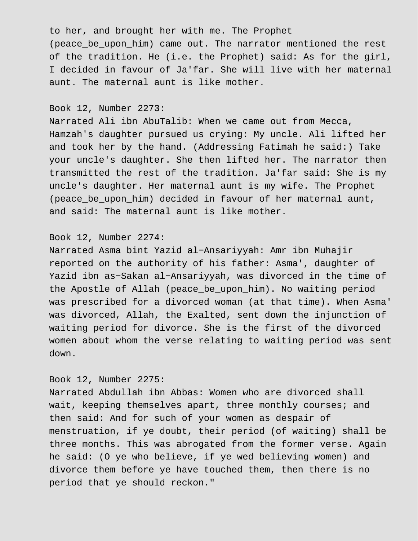# to her, and brought her with me. The Prophet

(peace\_be\_upon\_him) came out. The narrator mentioned the rest of the tradition. He (i.e. the Prophet) said: As for the girl, I decided in favour of Ja'far. She will live with her maternal aunt. The maternal aunt is like mother.

# Book 12, Number 2273:

Narrated Ali ibn AbuTalib: When we came out from Mecca, Hamzah's daughter pursued us crying: My uncle. Ali lifted her and took her by the hand. (Addressing Fatimah he said:) Take your uncle's daughter. She then lifted her. The narrator then transmitted the rest of the tradition. Ja'far said: She is my uncle's daughter. Her maternal aunt is my wife. The Prophet (peace\_be\_upon\_him) decided in favour of her maternal aunt, and said: The maternal aunt is like mother.

# Book 12, Number 2274:

Narrated Asma bint Yazid al−Ansariyyah: Amr ibn Muhajir reported on the authority of his father: Asma', daughter of Yazid ibn as−Sakan al−Ansariyyah, was divorced in the time of the Apostle of Allah (peace\_be\_upon\_him). No waiting period was prescribed for a divorced woman (at that time). When Asma' was divorced, Allah, the Exalted, sent down the injunction of waiting period for divorce. She is the first of the divorced women about whom the verse relating to waiting period was sent down.

#### Book 12, Number 2275:

Narrated Abdullah ibn Abbas: Women who are divorced shall wait, keeping themselves apart, three monthly courses; and then said: And for such of your women as despair of menstruation, if ye doubt, their period (of waiting) shall be three months. This was abrogated from the former verse. Again he said: (O ye who believe, if ye wed believing women) and divorce them before ye have touched them, then there is no period that ye should reckon."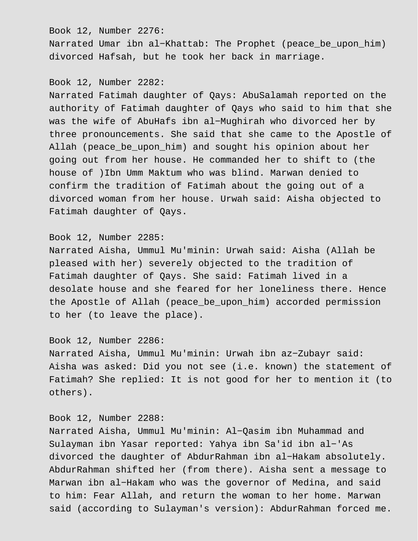# Book 12, Number 2276:

Narrated Umar ibn al−Khattab: The Prophet (peace\_be\_upon\_him) divorced Hafsah, but he took her back in marriage.

# Book 12, Number 2282:

Narrated Fatimah daughter of Qays: AbuSalamah reported on the authority of Fatimah daughter of Qays who said to him that she was the wife of AbuHafs ibn al−Mughirah who divorced her by three pronouncements. She said that she came to the Apostle of Allah (peace be upon him) and sought his opinion about her going out from her house. He commanded her to shift to (the house of )Ibn Umm Maktum who was blind. Marwan denied to confirm the tradition of Fatimah about the going out of a divorced woman from her house. Urwah said: Aisha objected to Fatimah daughter of Qays.

## Book 12, Number 2285:

Narrated Aisha, Ummul Mu'minin: Urwah said: Aisha (Allah be pleased with her) severely objected to the tradition of Fatimah daughter of Qays. She said: Fatimah lived in a desolate house and she feared for her loneliness there. Hence the Apostle of Allah (peace be upon him) accorded permission to her (to leave the place).

## Book 12, Number 2286:

Narrated Aisha, Ummul Mu'minin: Urwah ibn az−Zubayr said: Aisha was asked: Did you not see (i.e. known) the statement of Fatimah? She replied: It is not good for her to mention it (to others).

# Book 12, Number 2288:

Narrated Aisha, Ummul Mu'minin: Al−Qasim ibn Muhammad and Sulayman ibn Yasar reported: Yahya ibn Sa'id ibn al−'As divorced the daughter of AbdurRahman ibn al−Hakam absolutely. AbdurRahman shifted her (from there). Aisha sent a message to Marwan ibn al−Hakam who was the governor of Medina, and said to him: Fear Allah, and return the woman to her home. Marwan said (according to Sulayman's version): AbdurRahman forced me.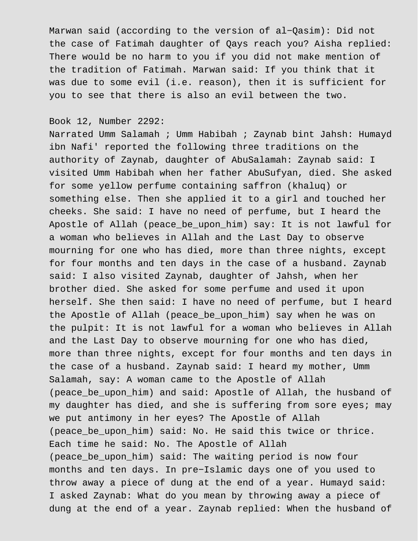Marwan said (according to the version of al−Qasim): Did not the case of Fatimah daughter of Qays reach you? Aisha replied: There would be no harm to you if you did not make mention of the tradition of Fatimah. Marwan said: If you think that it was due to some evil (i.e. reason), then it is sufficient for you to see that there is also an evil between the two.

## Book 12, Number 2292:

Narrated Umm Salamah ; Umm Habibah ; Zaynab bint Jahsh: Humayd ibn Nafi' reported the following three traditions on the authority of Zaynab, daughter of AbuSalamah: Zaynab said: I visited Umm Habibah when her father AbuSufyan, died. She asked for some yellow perfume containing saffron (khaluq) or something else. Then she applied it to a girl and touched her cheeks. She said: I have no need of perfume, but I heard the Apostle of Allah (peace\_be\_upon\_him) say: It is not lawful for a woman who believes in Allah and the Last Day to observe mourning for one who has died, more than three nights, except for four months and ten days in the case of a husband. Zaynab said: I also visited Zaynab, daughter of Jahsh, when her brother died. She asked for some perfume and used it upon herself. She then said: I have no need of perfume, but I heard the Apostle of Allah (peace\_be\_upon\_him) say when he was on the pulpit: It is not lawful for a woman who believes in Allah and the Last Day to observe mourning for one who has died, more than three nights, except for four months and ten days in the case of a husband. Zaynab said: I heard my mother, Umm Salamah, say: A woman came to the Apostle of Allah (peace\_be\_upon\_him) and said: Apostle of Allah, the husband of my daughter has died, and she is suffering from sore eyes; may we put antimony in her eyes? The Apostle of Allah (peace\_be\_upon\_him) said: No. He said this twice or thrice. Each time he said: No. The Apostle of Allah (peace\_be\_upon\_him) said: The waiting period is now four months and ten days. In pre−Islamic days one of you used to throw away a piece of dung at the end of a year. Humayd said: I asked Zaynab: What do you mean by throwing away a piece of dung at the end of a year. Zaynab replied: When the husband of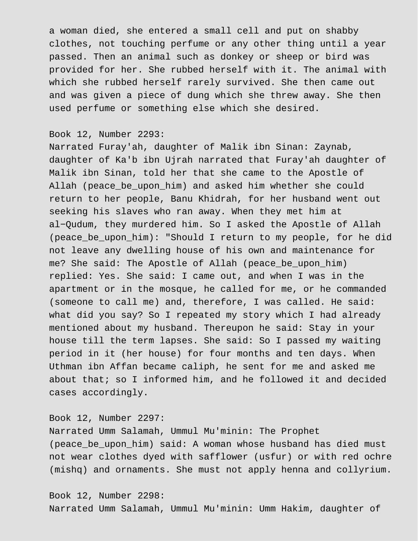a woman died, she entered a small cell and put on shabby clothes, not touching perfume or any other thing until a year passed. Then an animal such as donkey or sheep or bird was provided for her. She rubbed herself with it. The animal with which she rubbed herself rarely survived. She then came out and was given a piece of dung which she threw away. She then used perfume or something else which she desired.

#### Book 12, Number 2293:

Narrated Furay'ah, daughter of Malik ibn Sinan: Zaynab, daughter of Ka'b ibn Ujrah narrated that Furay'ah daughter of Malik ibn Sinan, told her that she came to the Apostle of Allah (peace\_be\_upon\_him) and asked him whether she could return to her people, Banu Khidrah, for her husband went out seeking his slaves who ran away. When they met him at al−Qudum, they murdered him. So I asked the Apostle of Allah (peace\_be\_upon\_him): "Should I return to my people, for he did not leave any dwelling house of his own and maintenance for me? She said: The Apostle of Allah (peace\_be\_upon\_him) replied: Yes. She said: I came out, and when I was in the apartment or in the mosque, he called for me, or he commanded (someone to call me) and, therefore, I was called. He said: what did you say? So I repeated my story which I had already mentioned about my husband. Thereupon he said: Stay in your house till the term lapses. She said: So I passed my waiting period in it (her house) for four months and ten days. When Uthman ibn Affan became caliph, he sent for me and asked me about that; so I informed him, and he followed it and decided cases accordingly.

## Book 12, Number 2297:

Narrated Umm Salamah, Ummul Mu'minin: The Prophet (peace be upon him) said: A woman whose husband has died must not wear clothes dyed with safflower (usfur) or with red ochre (mishq) and ornaments. She must not apply henna and collyrium.

Book 12, Number 2298:

Narrated Umm Salamah, Ummul Mu'minin: Umm Hakim, daughter of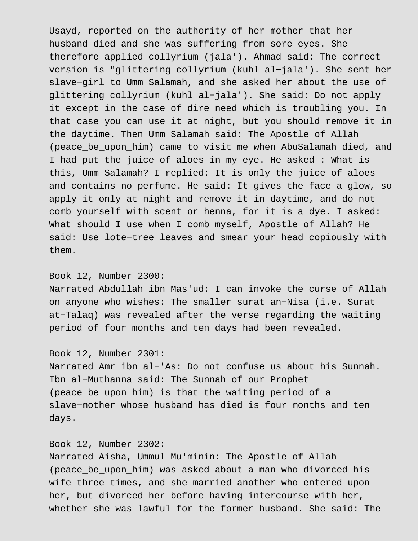Usayd, reported on the authority of her mother that her husband died and she was suffering from sore eyes. She therefore applied collyrium (jala'). Ahmad said: The correct version is "glittering collyrium (kuhl al−jala'). She sent her slave−girl to Umm Salamah, and she asked her about the use of glittering collyrium (kuhl al−jala'). She said: Do not apply it except in the case of dire need which is troubling you. In that case you can use it at night, but you should remove it in the daytime. Then Umm Salamah said: The Apostle of Allah (peace be upon him) came to visit me when AbuSalamah died, and I had put the juice of aloes in my eye. He asked : What is this, Umm Salamah? I replied: It is only the juice of aloes and contains no perfume. He said: It gives the face a glow, so apply it only at night and remove it in daytime, and do not comb yourself with scent or henna, for it is a dye. I asked: What should I use when I comb myself, Apostle of Allah? He said: Use lote−tree leaves and smear your head copiously with them.

#### Book 12, Number 2300:

Narrated Abdullah ibn Mas'ud: I can invoke the curse of Allah on anyone who wishes: The smaller surat an−Nisa (i.e. Surat at−Talaq) was revealed after the verse regarding the waiting period of four months and ten days had been revealed.

# Book 12, Number 2301:

Narrated Amr ibn al−'As: Do not confuse us about his Sunnah. Ibn al−Muthanna said: The Sunnah of our Prophet (peace\_be\_upon\_him) is that the waiting period of a slave−mother whose husband has died is four months and ten days.

# Book 12, Number 2302:

Narrated Aisha, Ummul Mu'minin: The Apostle of Allah (peace be upon him) was asked about a man who divorced his wife three times, and she married another who entered upon her, but divorced her before having intercourse with her, whether she was lawful for the former husband. She said: The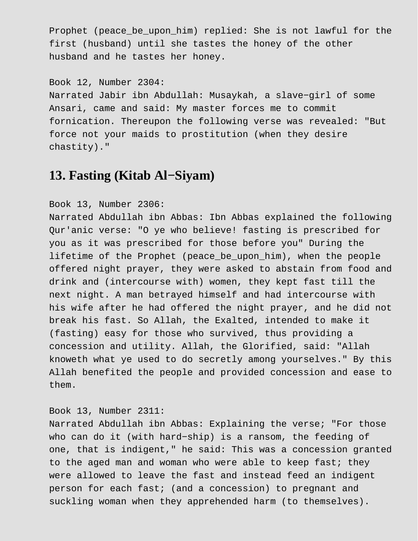Prophet (peace be upon him) replied: She is not lawful for the first (husband) until she tastes the honey of the other husband and he tastes her honey.

```
Book 12, Number 2304:
```
Narrated Jabir ibn Abdullah: Musaykah, a slave−girl of some Ansari, came and said: My master forces me to commit fornication. Thereupon the following verse was revealed: "But force not your maids to prostitution (when they desire chastity)."

# **13. Fasting (Kitab Al−Siyam)**

## Book 13, Number 2306:

Narrated Abdullah ibn Abbas: Ibn Abbas explained the following Qur'anic verse: "O ye who believe! fasting is prescribed for you as it was prescribed for those before you" During the lifetime of the Prophet (peace be upon him), when the people offered night prayer, they were asked to abstain from food and drink and (intercourse with) women, they kept fast till the next night. A man betrayed himself and had intercourse with his wife after he had offered the night prayer, and he did not break his fast. So Allah, the Exalted, intended to make it (fasting) easy for those who survived, thus providing a concession and utility. Allah, the Glorified, said: "Allah knoweth what ye used to do secretly among yourselves." By this Allah benefited the people and provided concession and ease to them.

# Book 13, Number 2311:

Narrated Abdullah ibn Abbas: Explaining the verse; "For those who can do it (with hard−ship) is a ransom, the feeding of one, that is indigent," he said: This was a concession granted to the aged man and woman who were able to keep fast; they were allowed to leave the fast and instead feed an indigent person for each fast; (and a concession) to pregnant and suckling woman when they apprehended harm (to themselves).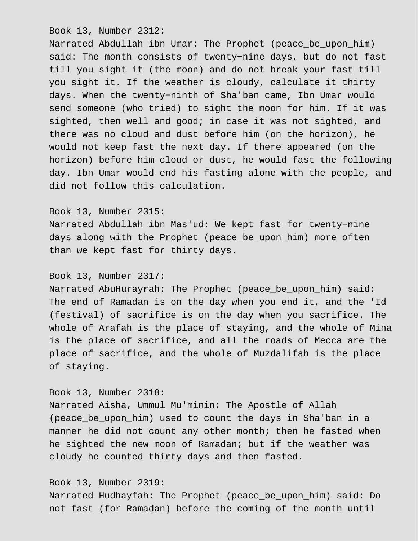Book 13, Number 2312:

Narrated Abdullah ibn Umar: The Prophet (peace\_be\_upon\_him) said: The month consists of twenty−nine days, but do not fast till you sight it (the moon) and do not break your fast till you sight it. If the weather is cloudy, calculate it thirty days. When the twenty−ninth of Sha'ban came, Ibn Umar would send someone (who tried) to sight the moon for him. If it was sighted, then well and good; in case it was not sighted, and there was no cloud and dust before him (on the horizon), he would not keep fast the next day. If there appeared (on the horizon) before him cloud or dust, he would fast the following day. Ibn Umar would end his fasting alone with the people, and did not follow this calculation.

### Book 13, Number 2315:

Narrated Abdullah ibn Mas'ud: We kept fast for twenty−nine days along with the Prophet (peace\_be\_upon\_him) more often than we kept fast for thirty days.

#### Book 13, Number 2317:

Narrated AbuHurayrah: The Prophet (peace\_be\_upon\_him) said: The end of Ramadan is on the day when you end it, and the 'Id (festival) of sacrifice is on the day when you sacrifice. The whole of Arafah is the place of staying, and the whole of Mina is the place of sacrifice, and all the roads of Mecca are the place of sacrifice, and the whole of Muzdalifah is the place of staying.

# Book 13, Number 2318:

Narrated Aisha, Ummul Mu'minin: The Apostle of Allah (peace\_be\_upon\_him) used to count the days in Sha'ban in a manner he did not count any other month; then he fasted when he sighted the new moon of Ramadan; but if the weather was cloudy he counted thirty days and then fasted.

# Book 13, Number 2319:

Narrated Hudhayfah: The Prophet (peace\_be\_upon\_him) said: Do not fast (for Ramadan) before the coming of the month until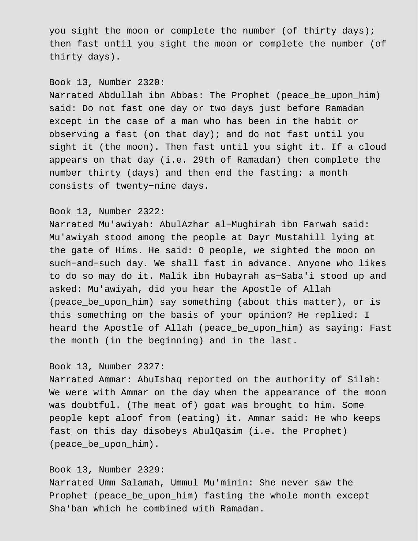you sight the moon or complete the number (of thirty days); then fast until you sight the moon or complete the number (of thirty days).

## Book 13, Number 2320:

Narrated Abdullah ibn Abbas: The Prophet (peace\_be\_upon\_him) said: Do not fast one day or two days just before Ramadan except in the case of a man who has been in the habit or observing a fast (on that day); and do not fast until you sight it (the moon). Then fast until you sight it. If a cloud appears on that day (i.e. 29th of Ramadan) then complete the number thirty (days) and then end the fasting: a month consists of twenty−nine days.

## Book 13, Number 2322:

Narrated Mu'awiyah: AbulAzhar al−Mughirah ibn Farwah said: Mu'awiyah stood among the people at Dayr Mustahill lying at the gate of Hims. He said: O people, we sighted the moon on such−and−such day. We shall fast in advance. Anyone who likes to do so may do it. Malik ibn Hubayrah as−Saba'i stood up and asked: Mu'awiyah, did you hear the Apostle of Allah (peace\_be\_upon\_him) say something (about this matter), or is this something on the basis of your opinion? He replied: I heard the Apostle of Allah (peace\_be\_upon\_him) as saying: Fast the month (in the beginning) and in the last.

#### Book 13, Number 2327:

Narrated Ammar: AbuIshaq reported on the authority of Silah: We were with Ammar on the day when the appearance of the moon was doubtful. (The meat of) goat was brought to him. Some people kept aloof from (eating) it. Ammar said: He who keeps fast on this day disobeys AbulQasim (i.e. the Prophet) (peace\_be\_upon\_him).

#### Book 13, Number 2329:

Narrated Umm Salamah, Ummul Mu'minin: She never saw the Prophet (peace\_be\_upon\_him) fasting the whole month except Sha'ban which he combined with Ramadan.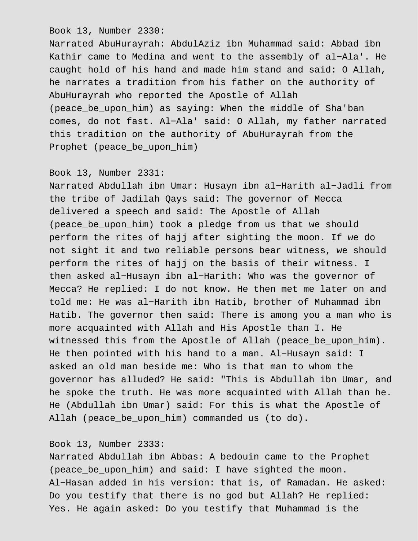# Book 13, Number 2330:

Narrated AbuHurayrah: AbdulAziz ibn Muhammad said: Abbad ibn Kathir came to Medina and went to the assembly of al−Ala'. He caught hold of his hand and made him stand and said: O Allah, he narrates a tradition from his father on the authority of AbuHurayrah who reported the Apostle of Allah (peace\_be\_upon\_him) as saying: When the middle of Sha'ban comes, do not fast. Al−Ala' said: O Allah, my father narrated this tradition on the authority of AbuHurayrah from the Prophet (peace be upon him)

# Book 13, Number 2331:

Narrated Abdullah ibn Umar: Husayn ibn al−Harith al−Jadli from the tribe of Jadilah Qays said: The governor of Mecca delivered a speech and said: The Apostle of Allah (peace\_be\_upon\_him) took a pledge from us that we should perform the rites of hajj after sighting the moon. If we do not sight it and two reliable persons bear witness, we should perform the rites of hajj on the basis of their witness. I then asked al−Husayn ibn al−Harith: Who was the governor of Mecca? He replied: I do not know. He then met me later on and told me: He was al−Harith ibn Hatib, brother of Muhammad ibn Hatib. The governor then said: There is among you a man who is more acquainted with Allah and His Apostle than I. He witnessed this from the Apostle of Allah (peace\_be\_upon\_him). He then pointed with his hand to a man. Al−Husayn said: I asked an old man beside me: Who is that man to whom the governor has alluded? He said: "This is Abdullah ibn Umar, and he spoke the truth. He was more acquainted with Allah than he. He (Abdullah ibn Umar) said: For this is what the Apostle of Allah (peace\_be\_upon\_him) commanded us (to do).

## Book 13, Number 2333:

Narrated Abdullah ibn Abbas: A bedouin came to the Prophet (peace be upon him) and said: I have sighted the moon. Al−Hasan added in his version: that is, of Ramadan. He asked: Do you testify that there is no god but Allah? He replied: Yes. He again asked: Do you testify that Muhammad is the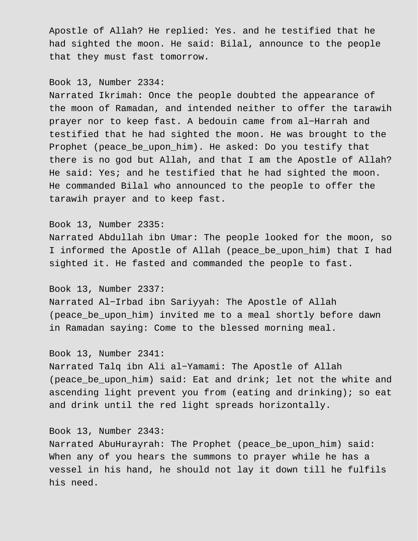Apostle of Allah? He replied: Yes. and he testified that he had sighted the moon. He said: Bilal, announce to the people that they must fast tomorrow.

#### Book 13, Number 2334:

Narrated Ikrimah: Once the people doubted the appearance of the moon of Ramadan, and intended neither to offer the tarawih prayer nor to keep fast. A bedouin came from al−Harrah and testified that he had sighted the moon. He was brought to the Prophet (peace be upon him). He asked: Do you testify that there is no god but Allah, and that I am the Apostle of Allah? He said: Yes; and he testified that he had sighted the moon. He commanded Bilal who announced to the people to offer the tarawih prayer and to keep fast.

## Book 13, Number 2335:

Narrated Abdullah ibn Umar: The people looked for the moon, so I informed the Apostle of Allah (peace\_be\_upon\_him) that I had sighted it. He fasted and commanded the people to fast.

#### Book 13, Number 2337:

Narrated Al−Irbad ibn Sariyyah: The Apostle of Allah (peace\_be\_upon\_him) invited me to a meal shortly before dawn in Ramadan saying: Come to the blessed morning meal.

#### Book 13, Number 2341:

Narrated Talq ibn Ali al−Yamami: The Apostle of Allah (peace\_be\_upon\_him) said: Eat and drink; let not the white and ascending light prevent you from (eating and drinking); so eat and drink until the red light spreads horizontally.

Book 13, Number 2343:

Narrated AbuHurayrah: The Prophet (peace\_be\_upon\_him) said: When any of you hears the summons to prayer while he has a vessel in his hand, he should not lay it down till he fulfils his need.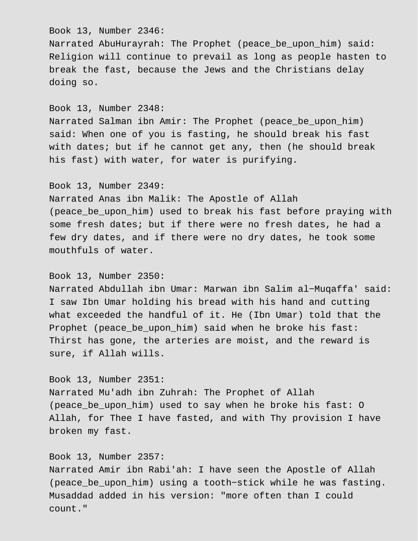#### Book 13, Number 2346:

Narrated AbuHurayrah: The Prophet (peace\_be\_upon\_him) said: Religion will continue to prevail as long as people hasten to break the fast, because the Jews and the Christians delay doing so.

#### Book 13, Number 2348:

Narrated Salman ibn Amir: The Prophet (peace\_be\_upon\_him) said: When one of you is fasting, he should break his fast with dates; but if he cannot get any, then (he should break his fast) with water, for water is purifying.

#### Book 13, Number 2349:

Narrated Anas ibn Malik: The Apostle of Allah (peace be upon him) used to break his fast before praying with some fresh dates; but if there were no fresh dates, he had a few dry dates, and if there were no dry dates, he took some mouthfuls of water.

#### Book 13, Number 2350:

Narrated Abdullah ibn Umar: Marwan ibn Salim al−Muqaffa' said: I saw Ibn Umar holding his bread with his hand and cutting what exceeded the handful of it. He (Ibn Umar) told that the Prophet (peace be upon him) said when he broke his fast: Thirst has gone, the arteries are moist, and the reward is sure, if Allah wills.

## Book 13, Number 2351:

Narrated Mu'adh ibn Zuhrah: The Prophet of Allah (peace\_be\_upon\_him) used to say when he broke his fast: O Allah, for Thee I have fasted, and with Thy provision I have broken my fast.

#### Book 13, Number 2357:

Narrated Amir ibn Rabi'ah: I have seen the Apostle of Allah (peace\_be\_upon\_him) using a tooth−stick while he was fasting. Musaddad added in his version: "more often than I could count."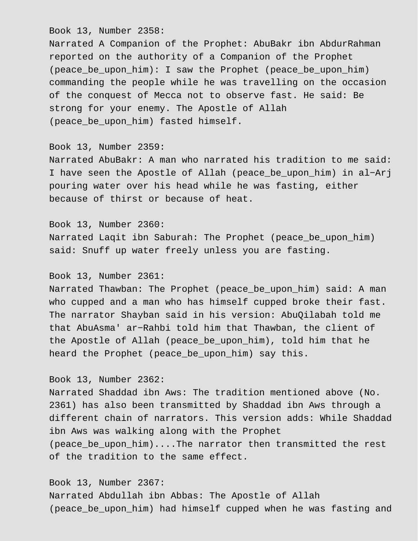Book 13, Number 2358:

Narrated A Companion of the Prophet: AbuBakr ibn AbdurRahman reported on the authority of a Companion of the Prophet (peace be upon him): I saw the Prophet (peace be upon him) commanding the people while he was travelling on the occasion of the conquest of Mecca not to observe fast. He said: Be strong for your enemy. The Apostle of Allah (peace\_be\_upon\_him) fasted himself.

#### Book 13, Number 2359:

Narrated AbuBakr: A man who narrated his tradition to me said: I have seen the Apostle of Allah (peace\_be\_upon\_him) in al−Arj pouring water over his head while he was fasting, either because of thirst or because of heat.

Book 13, Number 2360: Narrated Laqit ibn Saburah: The Prophet (peace\_be\_upon\_him) said: Snuff up water freely unless you are fasting.

#### Book 13, Number 2361:

Narrated Thawban: The Prophet (peace\_be\_upon\_him) said: A man who cupped and a man who has himself cupped broke their fast. The narrator Shayban said in his version: AbuQilabah told me that AbuAsma' ar−Rahbi told him that Thawban, the client of the Apostle of Allah (peace\_be\_upon\_him), told him that he heard the Prophet (peace\_be\_upon\_him) say this.

Book 13, Number 2362:

Narrated Shaddad ibn Aws: The tradition mentioned above (No. 2361) has also been transmitted by Shaddad ibn Aws through a different chain of narrators. This version adds: While Shaddad ibn Aws was walking along with the Prophet (peace\_be\_upon\_him)....The narrator then transmitted the rest of the tradition to the same effect.

Book 13, Number 2367: Narrated Abdullah ibn Abbas: The Apostle of Allah (peace\_be\_upon\_him) had himself cupped when he was fasting and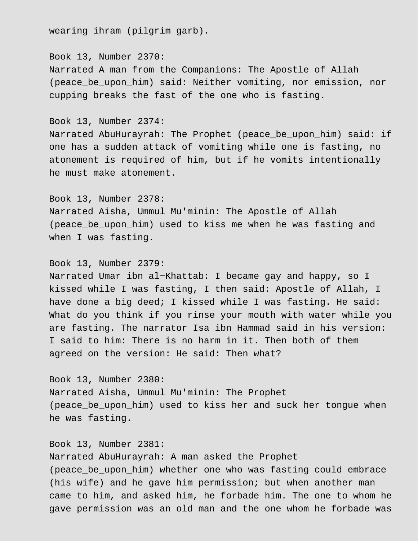wearing ihram (pilgrim garb).

Book 13, Number 2370: Narrated A man from the Companions: The Apostle of Allah (peace\_be\_upon\_him) said: Neither vomiting, nor emission, nor cupping breaks the fast of the one who is fasting.

Book 13, Number 2374:

Narrated AbuHurayrah: The Prophet (peace\_be\_upon\_him) said: if one has a sudden attack of vomiting while one is fasting, no atonement is required of him, but if he vomits intentionally he must make atonement.

Book 13, Number 2378: Narrated Aisha, Ummul Mu'minin: The Apostle of Allah (peace\_be\_upon\_him) used to kiss me when he was fasting and when I was fasting.

Book 13, Number 2379: Narrated Umar ibn al−Khattab: I became gay and happy, so I kissed while I was fasting, I then said: Apostle of Allah, I have done a big deed; I kissed while I was fasting. He said: What do you think if you rinse your mouth with water while you are fasting. The narrator Isa ibn Hammad said in his version: I said to him: There is no harm in it. Then both of them agreed on the version: He said: Then what?

Book 13, Number 2380: Narrated Aisha, Ummul Mu'minin: The Prophet (peace\_be\_upon\_him) used to kiss her and suck her tongue when he was fasting.

Book 13, Number 2381:

Narrated AbuHurayrah: A man asked the Prophet (peace be upon him) whether one who was fasting could embrace (his wife) and he gave him permission; but when another man came to him, and asked him, he forbade him. The one to whom he gave permission was an old man and the one whom he forbade was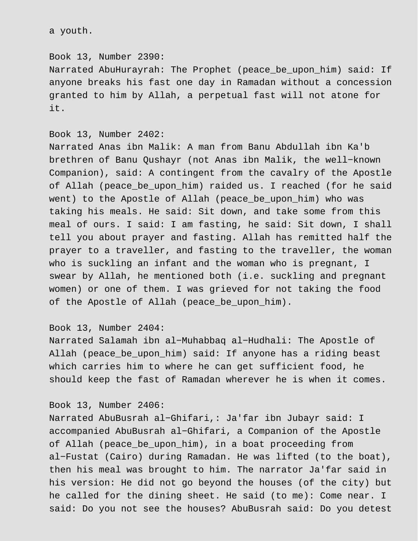a youth.

Book 13, Number 2390:

Narrated AbuHurayrah: The Prophet (peace\_be\_upon\_him) said: If anyone breaks his fast one day in Ramadan without a concession granted to him by Allah, a perpetual fast will not atone for it.

## Book 13, Number 2402:

Narrated Anas ibn Malik: A man from Banu Abdullah ibn Ka'b brethren of Banu Qushayr (not Anas ibn Malik, the well−known Companion), said: A contingent from the cavalry of the Apostle of Allah (peace\_be\_upon\_him) raided us. I reached (for he said went) to the Apostle of Allah (peace\_be\_upon\_him) who was taking his meals. He said: Sit down, and take some from this meal of ours. I said: I am fasting, he said: Sit down, I shall tell you about prayer and fasting. Allah has remitted half the prayer to a traveller, and fasting to the traveller, the woman who is suckling an infant and the woman who is pregnant, I swear by Allah, he mentioned both (i.e. suckling and pregnant women) or one of them. I was grieved for not taking the food of the Apostle of Allah (peace\_be\_upon\_him).

# Book 13, Number 2404:

Narrated Salamah ibn al−Muhabbaq al−Hudhali: The Apostle of Allah (peace\_be\_upon\_him) said: If anyone has a riding beast which carries him to where he can get sufficient food, he should keep the fast of Ramadan wherever he is when it comes.

#### Book 13, Number 2406:

Narrated AbuBusrah al−Ghifari,: Ja'far ibn Jubayr said: I accompanied AbuBusrah al−Ghifari, a Companion of the Apostle of Allah (peace\_be\_upon\_him), in a boat proceeding from al−Fustat (Cairo) during Ramadan. He was lifted (to the boat), then his meal was brought to him. The narrator Ja'far said in his version: He did not go beyond the houses (of the city) but he called for the dining sheet. He said (to me): Come near. I said: Do you not see the houses? AbuBusrah said: Do you detest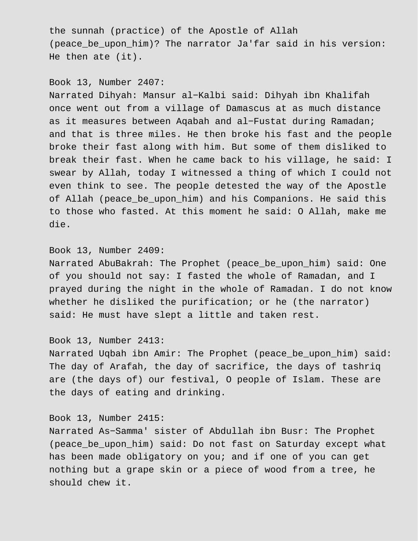the sunnah (practice) of the Apostle of Allah (peace\_be\_upon\_him)? The narrator Ja'far said in his version: He then ate (it).

## Book 13, Number 2407:

Narrated Dihyah: Mansur al−Kalbi said: Dihyah ibn Khalifah once went out from a village of Damascus at as much distance as it measures between Aqabah and al−Fustat during Ramadan; and that is three miles. He then broke his fast and the people broke their fast along with him. But some of them disliked to break their fast. When he came back to his village, he said: I swear by Allah, today I witnessed a thing of which I could not even think to see. The people detested the way of the Apostle of Allah (peace\_be\_upon\_him) and his Companions. He said this to those who fasted. At this moment he said: O Allah, make me die.

# Book 13, Number 2409:

Narrated AbuBakrah: The Prophet (peace\_be\_upon\_him) said: One of you should not say: I fasted the whole of Ramadan, and I prayed during the night in the whole of Ramadan. I do not know whether he disliked the purification; or he (the narrator) said: He must have slept a little and taken rest.

#### Book 13, Number 2413:

Narrated Uqbah ibn Amir: The Prophet (peace be upon him) said: The day of Arafah, the day of sacrifice, the days of tashriq are (the days of) our festival, O people of Islam. These are the days of eating and drinking.

## Book 13, Number 2415:

Narrated As−Samma' sister of Abdullah ibn Busr: The Prophet (peace\_be\_upon\_him) said: Do not fast on Saturday except what has been made obligatory on you; and if one of you can get nothing but a grape skin or a piece of wood from a tree, he should chew it.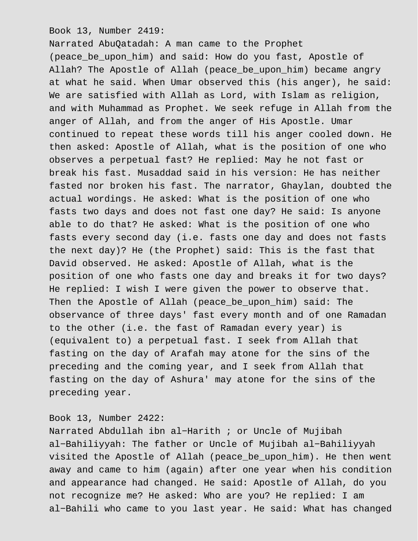Book 13, Number 2419:

Narrated AbuQatadah: A man came to the Prophet (peace be upon him) and said: How do you fast, Apostle of Allah? The Apostle of Allah (peace\_be\_upon\_him) became angry at what he said. When Umar observed this (his anger), he said: We are satisfied with Allah as Lord, with Islam as religion, and with Muhammad as Prophet. We seek refuge in Allah from the anger of Allah, and from the anger of His Apostle. Umar continued to repeat these words till his anger cooled down. He then asked: Apostle of Allah, what is the position of one who observes a perpetual fast? He replied: May he not fast or break his fast. Musaddad said in his version: He has neither fasted nor broken his fast. The narrator, Ghaylan, doubted the actual wordings. He asked: What is the position of one who fasts two days and does not fast one day? He said: Is anyone able to do that? He asked: What is the position of one who fasts every second day (i.e. fasts one day and does not fasts the next day)? He (the Prophet) said: This is the fast that David observed. He asked: Apostle of Allah, what is the position of one who fasts one day and breaks it for two days? He replied: I wish I were given the power to observe that. Then the Apostle of Allah (peace\_be\_upon\_him) said: The observance of three days' fast every month and of one Ramadan to the other (i.e. the fast of Ramadan every year) is (equivalent to) a perpetual fast. I seek from Allah that fasting on the day of Arafah may atone for the sins of the preceding and the coming year, and I seek from Allah that fasting on the day of Ashura' may atone for the sins of the preceding year.

# Book 13, Number 2422:

Narrated Abdullah ibn al−Harith ; or Uncle of Mujibah al−Bahiliyyah: The father or Uncle of Mujibah al−Bahiliyyah visited the Apostle of Allah (peace\_be\_upon\_him). He then went away and came to him (again) after one year when his condition and appearance had changed. He said: Apostle of Allah, do you not recognize me? He asked: Who are you? He replied: I am al−Bahili who came to you last year. He said: What has changed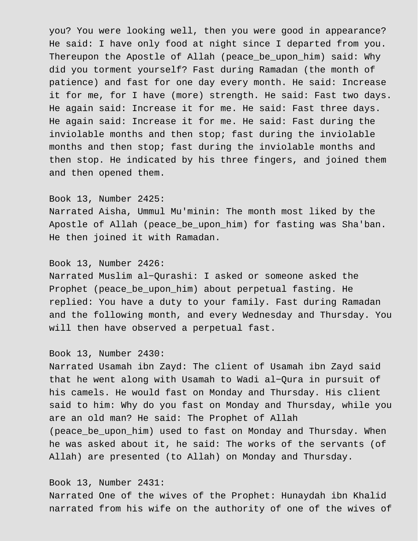you? You were looking well, then you were good in appearance? He said: I have only food at night since I departed from you. Thereupon the Apostle of Allah (peace\_be\_upon\_him) said: Why did you torment yourself? Fast during Ramadan (the month of patience) and fast for one day every month. He said: Increase it for me, for I have (more) strength. He said: Fast two days. He again said: Increase it for me. He said: Fast three days. He again said: Increase it for me. He said: Fast during the inviolable months and then stop; fast during the inviolable months and then stop; fast during the inviolable months and then stop. He indicated by his three fingers, and joined them and then opened them.

#### Book 13, Number 2425:

Narrated Aisha, Ummul Mu'minin: The month most liked by the Apostle of Allah (peace\_be\_upon\_him) for fasting was Sha'ban. He then joined it with Ramadan.

## Book 13, Number 2426:

Narrated Muslim al−Qurashi: I asked or someone asked the Prophet (peace\_be\_upon\_him) about perpetual fasting. He replied: You have a duty to your family. Fast during Ramadan and the following month, and every Wednesday and Thursday. You will then have observed a perpetual fast.

#### Book 13, Number 2430:

Narrated Usamah ibn Zayd: The client of Usamah ibn Zayd said that he went along with Usamah to Wadi al−Qura in pursuit of his camels. He would fast on Monday and Thursday. His client said to him: Why do you fast on Monday and Thursday, while you are an old man? He said: The Prophet of Allah (peace\_be\_upon\_him) used to fast on Monday and Thursday. When he was asked about it, he said: The works of the servants (of Allah) are presented (to Allah) on Monday and Thursday.

# Book 13, Number 2431:

Narrated One of the wives of the Prophet: Hunaydah ibn Khalid narrated from his wife on the authority of one of the wives of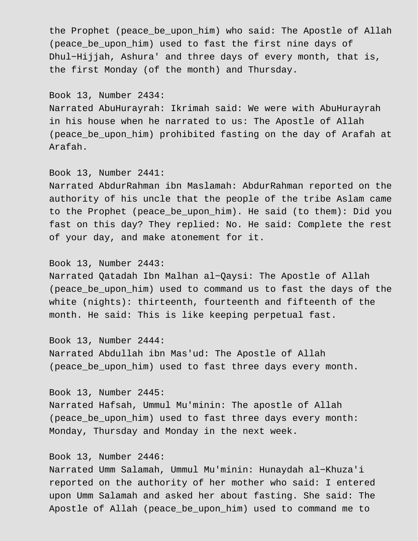the Prophet (peace be upon him) who said: The Apostle of Allah (peace\_be\_upon\_him) used to fast the first nine days of Dhul−Hijjah, Ashura' and three days of every month, that is, the first Monday (of the month) and Thursday.

Book 13, Number 2434:

Narrated AbuHurayrah: Ikrimah said: We were with AbuHurayrah in his house when he narrated to us: The Apostle of Allah (peace\_be\_upon\_him) prohibited fasting on the day of Arafah at Arafah.

Book 13, Number 2441:

Narrated AbdurRahman ibn Maslamah: AbdurRahman reported on the authority of his uncle that the people of the tribe Aslam came to the Prophet (peace be upon him). He said (to them): Did you fast on this day? They replied: No. He said: Complete the rest of your day, and make atonement for it.

Book 13, Number 2443:

Narrated Qatadah Ibn Malhan al−Qaysi: The Apostle of Allah (peace\_be\_upon\_him) used to command us to fast the days of the white (nights): thirteenth, fourteenth and fifteenth of the month. He said: This is like keeping perpetual fast.

Book 13, Number 2444: Narrated Abdullah ibn Mas'ud: The Apostle of Allah (peace\_be\_upon\_him) used to fast three days every month.

Book 13, Number 2445: Narrated Hafsah, Ummul Mu'minin: The apostle of Allah (peace\_be\_upon\_him) used to fast three days every month: Monday, Thursday and Monday in the next week.

#### Book 13, Number 2446:

Narrated Umm Salamah, Ummul Mu'minin: Hunaydah al−Khuza'i reported on the authority of her mother who said: I entered upon Umm Salamah and asked her about fasting. She said: The Apostle of Allah (peace\_be\_upon\_him) used to command me to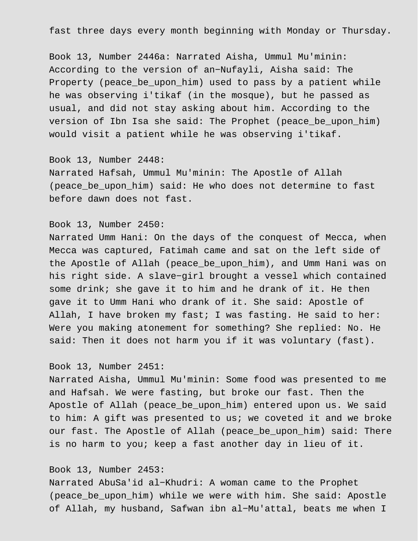fast three days every month beginning with Monday or Thursday.

Book 13, Number 2446a: Narrated Aisha, Ummul Mu'minin: According to the version of an−Nufayli, Aisha said: The Property (peace be upon him) used to pass by a patient while he was observing i'tikaf (in the mosque), but he passed as usual, and did not stay asking about him. According to the version of Ibn Isa she said: The Prophet (peace\_be\_upon\_him) would visit a patient while he was observing i'tikaf.

#### Book 13, Number 2448:

Narrated Hafsah, Ummul Mu'minin: The Apostle of Allah (peace\_be\_upon\_him) said: He who does not determine to fast before dawn does not fast.

#### Book 13, Number 2450:

Narrated Umm Hani: On the days of the conquest of Mecca, when Mecca was captured, Fatimah came and sat on the left side of the Apostle of Allah (peace\_be\_upon\_him), and Umm Hani was on his right side. A slave−girl brought a vessel which contained some drink; she gave it to him and he drank of it. He then gave it to Umm Hani who drank of it. She said: Apostle of Allah, I have broken my fast; I was fasting. He said to her: Were you making atonement for something? She replied: No. He said: Then it does not harm you if it was voluntary (fast).

#### Book 13, Number 2451:

Narrated Aisha, Ummul Mu'minin: Some food was presented to me and Hafsah. We were fasting, but broke our fast. Then the Apostle of Allah (peace\_be\_upon\_him) entered upon us. We said to him: A gift was presented to us; we coveted it and we broke our fast. The Apostle of Allah (peace\_be\_upon\_him) said: There is no harm to you; keep a fast another day in lieu of it.

## Book 13, Number 2453:

Narrated AbuSa'id al−Khudri: A woman came to the Prophet (peace\_be\_upon\_him) while we were with him. She said: Apostle of Allah, my husband, Safwan ibn al−Mu'attal, beats me when I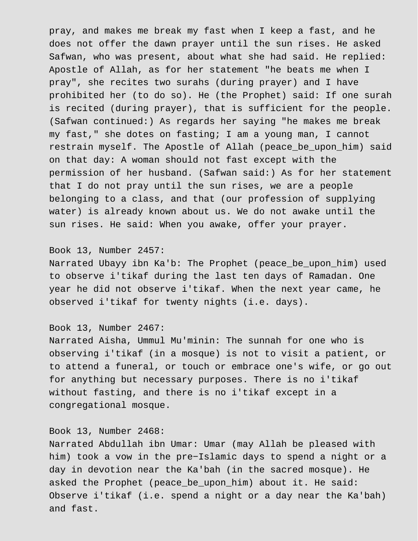pray, and makes me break my fast when I keep a fast, and he does not offer the dawn prayer until the sun rises. He asked Safwan, who was present, about what she had said. He replied: Apostle of Allah, as for her statement "he beats me when I pray", she recites two surahs (during prayer) and I have prohibited her (to do so). He (the Prophet) said: If one surah is recited (during prayer), that is sufficient for the people. (Safwan continued:) As regards her saying "he makes me break my fast," she dotes on fasting; I am a young man, I cannot restrain myself. The Apostle of Allah (peace be upon him) said on that day: A woman should not fast except with the permission of her husband. (Safwan said:) As for her statement that I do not pray until the sun rises, we are a people belonging to a class, and that (our profession of supplying water) is already known about us. We do not awake until the sun rises. He said: When you awake, offer your prayer.

## Book 13, Number 2457:

Narrated Ubayy ibn Ka'b: The Prophet (peace\_be\_upon\_him) used to observe i'tikaf during the last ten days of Ramadan. One year he did not observe i'tikaf. When the next year came, he observed i'tikaf for twenty nights (i.e. days).

## Book 13, Number 2467:

Narrated Aisha, Ummul Mu'minin: The sunnah for one who is observing i'tikaf (in a mosque) is not to visit a patient, or to attend a funeral, or touch or embrace one's wife, or go out for anything but necessary purposes. There is no i'tikaf without fasting, and there is no i'tikaf except in a congregational mosque.

## Book 13, Number 2468:

Narrated Abdullah ibn Umar: Umar (may Allah be pleased with him) took a vow in the pre−Islamic days to spend a night or a day in devotion near the Ka'bah (in the sacred mosque). He asked the Prophet (peace\_be\_upon\_him) about it. He said: Observe i'tikaf (i.e. spend a night or a day near the Ka'bah) and fast.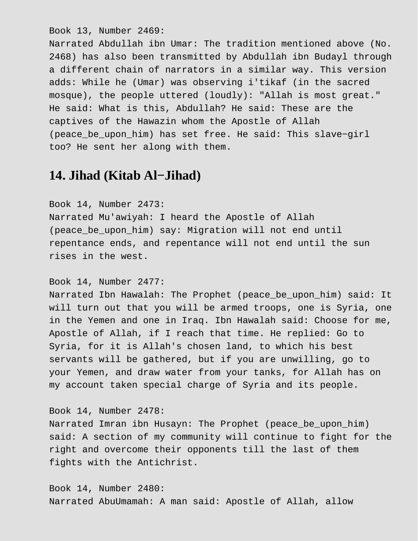Book 13, Number 2469:

Narrated Abdullah ibn Umar: The tradition mentioned above (No. 2468) has also been transmitted by Abdullah ibn Budayl through a different chain of narrators in a similar way. This version adds: While he (Umar) was observing i'tikaf (in the sacred mosque), the people uttered (loudly): "Allah is most great." He said: What is this, Abdullah? He said: These are the captives of the Hawazin whom the Apostle of Allah (peace\_be\_upon\_him) has set free. He said: This slave−girl too? He sent her along with them.

# **14. Jihad (Kitab Al−Jihad)**

Book 14, Number 2473:

Narrated Mu'awiyah: I heard the Apostle of Allah (peace\_be\_upon\_him) say: Migration will not end until repentance ends, and repentance will not end until the sun rises in the west.

Book 14, Number 2477:

Narrated Ibn Hawalah: The Prophet (peace be upon him) said: It will turn out that you will be armed troops, one is Syria, one in the Yemen and one in Iraq. Ibn Hawalah said: Choose for me, Apostle of Allah, if I reach that time. He replied: Go to Syria, for it is Allah's chosen land, to which his best servants will be gathered, but if you are unwilling, go to your Yemen, and draw water from your tanks, for Allah has on my account taken special charge of Syria and its people.

Book 14, Number 2478:

Narrated Imran ibn Husayn: The Prophet (peace\_be\_upon\_him) said: A section of my community will continue to fight for the right and overcome their opponents till the last of them fights with the Antichrist.

Book 14, Number 2480: Narrated AbuUmamah: A man said: Apostle of Allah, allow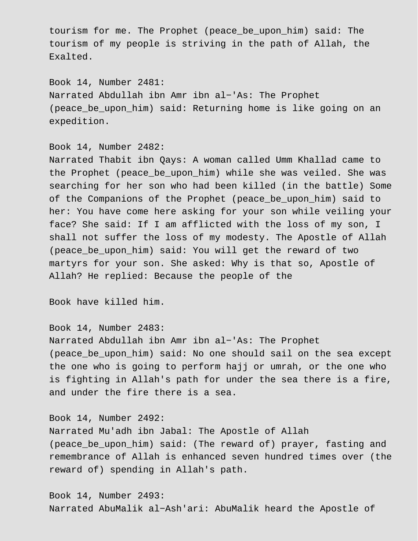tourism for me. The Prophet (peace\_be\_upon\_him) said: The tourism of my people is striving in the path of Allah, the Exalted.

Book 14, Number 2481: Narrated Abdullah ibn Amr ibn al−'As: The Prophet (peace\_be\_upon\_him) said: Returning home is like going on an expedition.

```
Book 14, Number 2482:
```
Narrated Thabit ibn Qays: A woman called Umm Khallad came to the Prophet (peace be upon him) while she was veiled. She was searching for her son who had been killed (in the battle) Some of the Companions of the Prophet (peace\_be\_upon\_him) said to her: You have come here asking for your son while veiling your face? She said: If I am afflicted with the loss of my son, I shall not suffer the loss of my modesty. The Apostle of Allah (peace\_be\_upon\_him) said: You will get the reward of two martyrs for your son. She asked: Why is that so, Apostle of Allah? He replied: Because the people of the

Book have killed him.

Book 14, Number 2483: Narrated Abdullah ibn Amr ibn al−'As: The Prophet (peace be upon him) said: No one should sail on the sea except the one who is going to perform hajj or umrah, or the one who is fighting in Allah's path for under the sea there is a fire, and under the fire there is a sea.

Book 14, Number 2492: Narrated Mu'adh ibn Jabal: The Apostle of Allah (peace\_be\_upon\_him) said: (The reward of) prayer, fasting and remembrance of Allah is enhanced seven hundred times over (the reward of) spending in Allah's path.

Book 14, Number 2493: Narrated AbuMalik al−Ash'ari: AbuMalik heard the Apostle of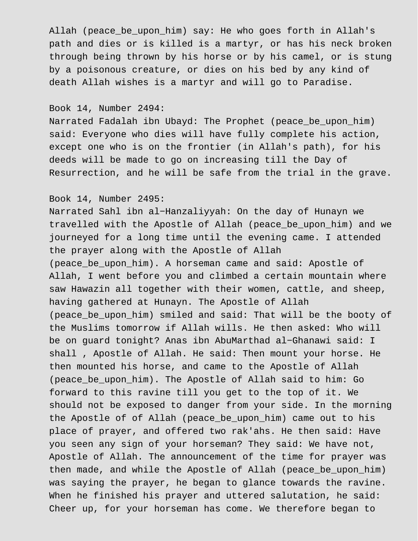Allah (peace be upon him) say: He who goes forth in Allah's path and dies or is killed is a martyr, or has his neck broken through being thrown by his horse or by his camel, or is stung by a poisonous creature, or dies on his bed by any kind of death Allah wishes is a martyr and will go to Paradise.

## Book 14, Number 2494:

Narrated Fadalah ibn Ubayd: The Prophet (peace\_be\_upon\_him) said: Everyone who dies will have fully complete his action, except one who is on the frontier (in Allah's path), for his deeds will be made to go on increasing till the Day of Resurrection, and he will be safe from the trial in the grave.

## Book 14, Number 2495:

Narrated Sahl ibn al−Hanzaliyyah: On the day of Hunayn we travelled with the Apostle of Allah (peace\_be\_upon\_him) and we journeyed for a long time until the evening came. I attended the prayer along with the Apostle of Allah (peace\_be\_upon\_him). A horseman came and said: Apostle of Allah, I went before you and climbed a certain mountain where saw Hawazin all together with their women, cattle, and sheep, having gathered at Hunayn. The Apostle of Allah (peace\_be\_upon\_him) smiled and said: That will be the booty of the Muslims tomorrow if Allah wills. He then asked: Who will be on guard tonight? Anas ibn AbuMarthad al−Ghanawi said: I shall , Apostle of Allah. He said: Then mount your horse. He then mounted his horse, and came to the Apostle of Allah (peace\_be\_upon\_him). The Apostle of Allah said to him: Go forward to this ravine till you get to the top of it. We should not be exposed to danger from your side. In the morning the Apostle of of Allah (peace be upon him) came out to his place of prayer, and offered two rak'ahs. He then said: Have you seen any sign of your horseman? They said: We have not, Apostle of Allah. The announcement of the time for prayer was then made, and while the Apostle of Allah (peace be upon him) was saying the prayer, he began to glance towards the ravine. When he finished his prayer and uttered salutation, he said: Cheer up, for your horseman has come. We therefore began to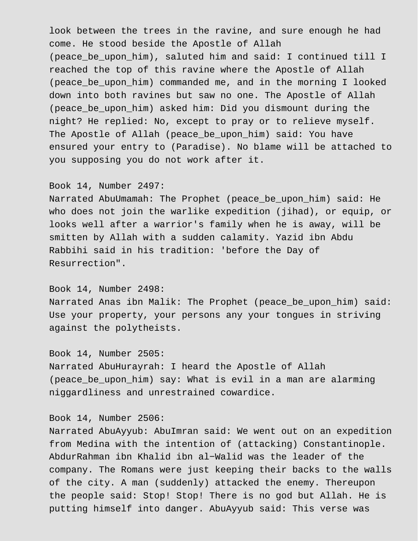look between the trees in the ravine, and sure enough he had come. He stood beside the Apostle of Allah (peace be upon him), saluted him and said: I continued till I reached the top of this ravine where the Apostle of Allah (peace be upon him) commanded me, and in the morning I looked down into both ravines but saw no one. The Apostle of Allah (peace\_be\_upon\_him) asked him: Did you dismount during the night? He replied: No, except to pray or to relieve myself. The Apostle of Allah (peace be upon him) said: You have ensured your entry to (Paradise). No blame will be attached to you supposing you do not work after it.

## Book 14, Number 2497:

Narrated AbuUmamah: The Prophet (peace\_be\_upon\_him) said: He who does not join the warlike expedition (jihad), or equip, or looks well after a warrior's family when he is away, will be smitten by Allah with a sudden calamity. Yazid ibn Abdu Rabbihi said in his tradition: 'before the Day of Resurrection".

## Book 14, Number 2498:

Narrated Anas ibn Malik: The Prophet (peace be upon him) said: Use your property, your persons any your tongues in striving against the polytheists.

## Book 14, Number 2505:

Narrated AbuHurayrah: I heard the Apostle of Allah (peace\_be\_upon\_him) say: What is evil in a man are alarming niggardliness and unrestrained cowardice.

## Book 14, Number 2506:

Narrated AbuAyyub: AbuImran said: We went out on an expedition from Medina with the intention of (attacking) Constantinople. AbdurRahman ibn Khalid ibn al−Walid was the leader of the company. The Romans were just keeping their backs to the walls of the city. A man (suddenly) attacked the enemy. Thereupon the people said: Stop! Stop! There is no god but Allah. He is putting himself into danger. AbuAyyub said: This verse was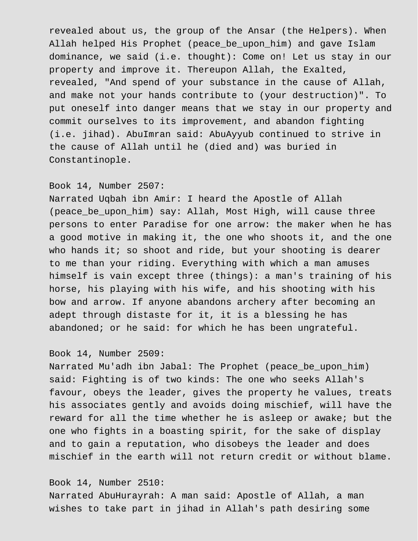revealed about us, the group of the Ansar (the Helpers). When Allah helped His Prophet (peace\_be\_upon\_him) and gave Islam dominance, we said (i.e. thought): Come on! Let us stay in our property and improve it. Thereupon Allah, the Exalted, revealed, "And spend of your substance in the cause of Allah, and make not your hands contribute to (your destruction)". To put oneself into danger means that we stay in our property and commit ourselves to its improvement, and abandon fighting (i.e. jihad). AbuImran said: AbuAyyub continued to strive in the cause of Allah until he (died and) was buried in Constantinople.

#### Book 14, Number 2507:

Narrated Uqbah ibn Amir: I heard the Apostle of Allah (peace\_be\_upon\_him) say: Allah, Most High, will cause three persons to enter Paradise for one arrow: the maker when he has a good motive in making it, the one who shoots it, and the one who hands it; so shoot and ride, but your shooting is dearer to me than your riding. Everything with which a man amuses himself is vain except three (things): a man's training of his horse, his playing with his wife, and his shooting with his bow and arrow. If anyone abandons archery after becoming an adept through distaste for it, it is a blessing he has abandoned; or he said: for which he has been ungrateful.

## Book 14, Number 2509:

Narrated Mu'adh ibn Jabal: The Prophet (peace\_be\_upon\_him) said: Fighting is of two kinds: The one who seeks Allah's favour, obeys the leader, gives the property he values, treats his associates gently and avoids doing mischief, will have the reward for all the time whether he is asleep or awake; but the one who fights in a boasting spirit, for the sake of display and to gain a reputation, who disobeys the leader and does mischief in the earth will not return credit or without blame.

## Book 14, Number 2510:

Narrated AbuHurayrah: A man said: Apostle of Allah, a man wishes to take part in jihad in Allah's path desiring some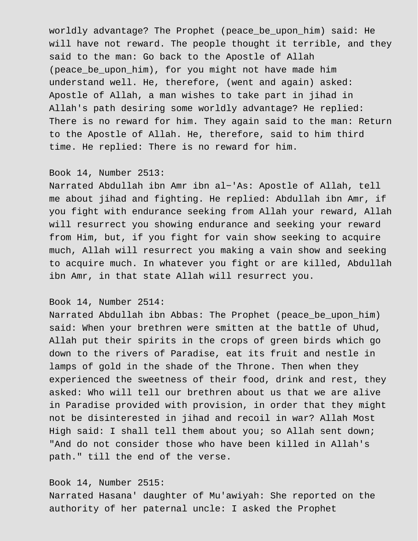worldly advantage? The Prophet (peace be upon him) said: He will have not reward. The people thought it terrible, and they said to the man: Go back to the Apostle of Allah (peace\_be\_upon\_him), for you might not have made him understand well. He, therefore, (went and again) asked: Apostle of Allah, a man wishes to take part in jihad in Allah's path desiring some worldly advantage? He replied: There is no reward for him. They again said to the man: Return to the Apostle of Allah. He, therefore, said to him third time. He replied: There is no reward for him.

## Book 14, Number 2513:

Narrated Abdullah ibn Amr ibn al−'As: Apostle of Allah, tell me about jihad and fighting. He replied: Abdullah ibn Amr, if you fight with endurance seeking from Allah your reward, Allah will resurrect you showing endurance and seeking your reward from Him, but, if you fight for vain show seeking to acquire much, Allah will resurrect you making a vain show and seeking to acquire much. In whatever you fight or are killed, Abdullah ibn Amr, in that state Allah will resurrect you.

## Book 14, Number 2514:

Narrated Abdullah ibn Abbas: The Prophet (peace\_be\_upon\_him) said: When your brethren were smitten at the battle of Uhud, Allah put their spirits in the crops of green birds which go down to the rivers of Paradise, eat its fruit and nestle in lamps of gold in the shade of the Throne. Then when they experienced the sweetness of their food, drink and rest, they asked: Who will tell our brethren about us that we are alive in Paradise provided with provision, in order that they might not be disinterested in jihad and recoil in war? Allah Most High said: I shall tell them about you; so Allah sent down; "And do not consider those who have been killed in Allah's path." till the end of the verse.

## Book 14, Number 2515:

Narrated Hasana' daughter of Mu'awiyah: She reported on the authority of her paternal uncle: I asked the Prophet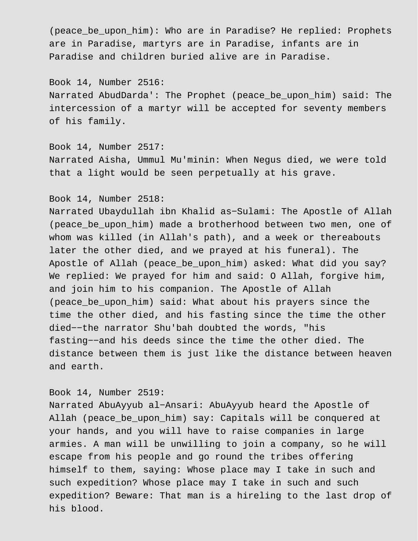(peace be upon him): Who are in Paradise? He replied: Prophets are in Paradise, martyrs are in Paradise, infants are in Paradise and children buried alive are in Paradise.

Book 14, Number 2516: Narrated AbudDarda': The Prophet (peace\_be\_upon\_him) said: The intercession of a martyr will be accepted for seventy members of his family.

Book 14, Number 2517: Narrated Aisha, Ummul Mu'minin: When Negus died, we were told that a light would be seen perpetually at his grave.

## Book 14, Number 2518:

Narrated Ubaydullah ibn Khalid as−Sulami: The Apostle of Allah (peace\_be\_upon\_him) made a brotherhood between two men, one of whom was killed (in Allah's path), and a week or thereabouts later the other died, and we prayed at his funeral). The Apostle of Allah (peace\_be\_upon\_him) asked: What did you say? We replied: We prayed for him and said: O Allah, forgive him, and join him to his companion. The Apostle of Allah (peace\_be\_upon\_him) said: What about his prayers since the time the other died, and his fasting since the time the other died−−the narrator Shu'bah doubted the words, "his fasting−−and his deeds since the time the other died. The distance between them is just like the distance between heaven and earth.

## Book 14, Number 2519:

Narrated AbuAyyub al−Ansari: AbuAyyub heard the Apostle of Allah (peace\_be\_upon\_him) say: Capitals will be conquered at your hands, and you will have to raise companies in large armies. A man will be unwilling to join a company, so he will escape from his people and go round the tribes offering himself to them, saying: Whose place may I take in such and such expedition? Whose place may I take in such and such expedition? Beware: That man is a hireling to the last drop of his blood.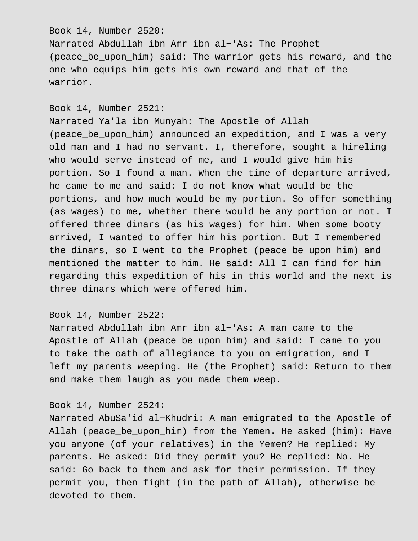#### Book 14, Number 2520:

Narrated Abdullah ibn Amr ibn al−'As: The Prophet (peace be upon him) said: The warrior gets his reward, and the one who equips him gets his own reward and that of the warrior.

#### Book 14, Number 2521:

Narrated Ya'la ibn Munyah: The Apostle of Allah (peace\_be\_upon\_him) announced an expedition, and I was a very old man and I had no servant. I, therefore, sought a hireling who would serve instead of me, and I would give him his portion. So I found a man. When the time of departure arrived, he came to me and said: I do not know what would be the portions, and how much would be my portion. So offer something (as wages) to me, whether there would be any portion or not. I offered three dinars (as his wages) for him. When some booty arrived, I wanted to offer him his portion. But I remembered the dinars, so I went to the Prophet (peace\_be\_upon\_him) and mentioned the matter to him. He said: All I can find for him regarding this expedition of his in this world and the next is three dinars which were offered him.

## Book 14, Number 2522:

Narrated Abdullah ibn Amr ibn al−'As: A man came to the Apostle of Allah (peace\_be\_upon\_him) and said: I came to you to take the oath of allegiance to you on emigration, and I left my parents weeping. He (the Prophet) said: Return to them and make them laugh as you made them weep.

## Book 14, Number 2524:

Narrated AbuSa'id al−Khudri: A man emigrated to the Apostle of Allah (peace\_be\_upon\_him) from the Yemen. He asked (him): Have you anyone (of your relatives) in the Yemen? He replied: My parents. He asked: Did they permit you? He replied: No. He said: Go back to them and ask for their permission. If they permit you, then fight (in the path of Allah), otherwise be devoted to them.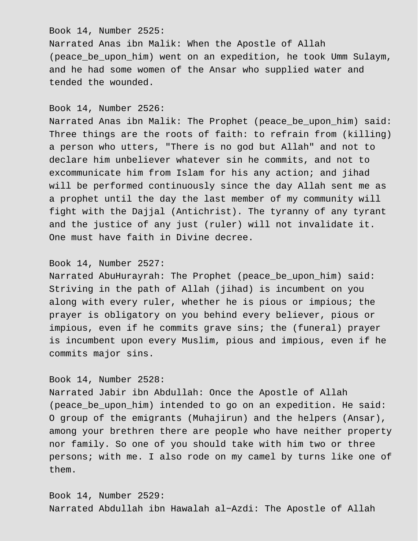#### Book 14, Number 2525:

Narrated Anas ibn Malik: When the Apostle of Allah (peace be upon him) went on an expedition, he took Umm Sulaym, and he had some women of the Ansar who supplied water and tended the wounded.

#### Book 14, Number 2526:

Narrated Anas ibn Malik: The Prophet (peace\_be\_upon\_him) said: Three things are the roots of faith: to refrain from (killing) a person who utters, "There is no god but Allah" and not to declare him unbeliever whatever sin he commits, and not to excommunicate him from Islam for his any action; and jihad will be performed continuously since the day Allah sent me as a prophet until the day the last member of my community will fight with the Dajjal (Antichrist). The tyranny of any tyrant and the justice of any just (ruler) will not invalidate it. One must have faith in Divine decree.

## Book 14, Number 2527:

Narrated AbuHurayrah: The Prophet (peace\_be\_upon\_him) said: Striving in the path of Allah (jihad) is incumbent on you along with every ruler, whether he is pious or impious; the prayer is obligatory on you behind every believer, pious or impious, even if he commits grave sins; the (funeral) prayer is incumbent upon every Muslim, pious and impious, even if he commits major sins.

## Book 14, Number 2528:

Narrated Jabir ibn Abdullah: Once the Apostle of Allah (peace\_be\_upon\_him) intended to go on an expedition. He said: O group of the emigrants (Muhajirun) and the helpers (Ansar), among your brethren there are people who have neither property nor family. So one of you should take with him two or three persons; with me. I also rode on my camel by turns like one of them.

## Book 14, Number 2529: Narrated Abdullah ibn Hawalah al−Azdi: The Apostle of Allah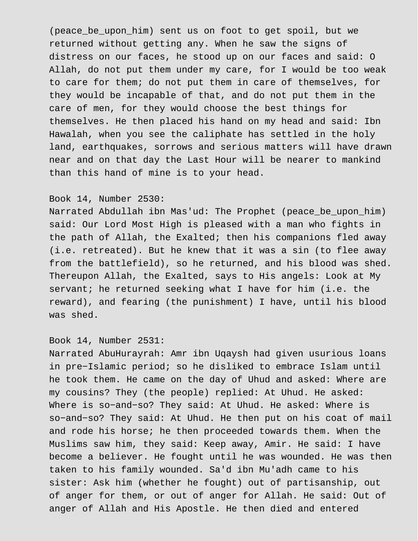(peace be upon him) sent us on foot to get spoil, but we returned without getting any. When he saw the signs of distress on our faces, he stood up on our faces and said: O Allah, do not put them under my care, for I would be too weak to care for them; do not put them in care of themselves, for they would be incapable of that, and do not put them in the care of men, for they would choose the best things for themselves. He then placed his hand on my head and said: Ibn Hawalah, when you see the caliphate has settled in the holy land, earthquakes, sorrows and serious matters will have drawn near and on that day the Last Hour will be nearer to mankind than this hand of mine is to your head.

## Book 14, Number 2530:

Narrated Abdullah ibn Mas'ud: The Prophet (peace be upon him) said: Our Lord Most High is pleased with a man who fights in the path of Allah, the Exalted; then his companions fled away (i.e. retreated). But he knew that it was a sin (to flee away from the battlefield), so he returned, and his blood was shed. Thereupon Allah, the Exalted, says to His angels: Look at My servant; he returned seeking what I have for him (i.e. the reward), and fearing (the punishment) I have, until his blood was shed.

## Book 14, Number 2531:

Narrated AbuHurayrah: Amr ibn Uqaysh had given usurious loans in pre−Islamic period; so he disliked to embrace Islam until he took them. He came on the day of Uhud and asked: Where are my cousins? They (the people) replied: At Uhud. He asked: Where is so−and−so? They said: At Uhud. He asked: Where is so−and−so? They said: At Uhud. He then put on his coat of mail and rode his horse; he then proceeded towards them. When the Muslims saw him, they said: Keep away, Amir. He said: I have become a believer. He fought until he was wounded. He was then taken to his family wounded. Sa'd ibn Mu'adh came to his sister: Ask him (whether he fought) out of partisanship, out of anger for them, or out of anger for Allah. He said: Out of anger of Allah and His Apostle. He then died and entered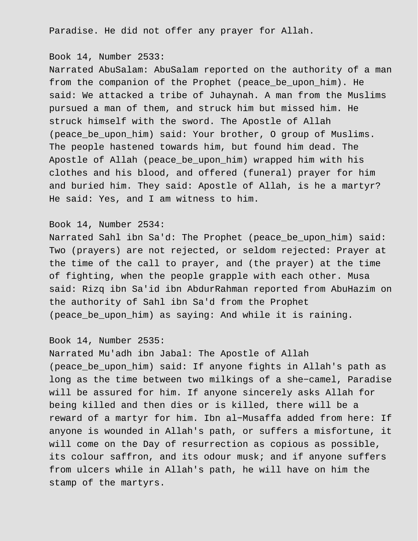Paradise. He did not offer any prayer for Allah.

## Book 14, Number 2533:

Narrated AbuSalam: AbuSalam reported on the authority of a man from the companion of the Prophet (peace be upon him). He said: We attacked a tribe of Juhaynah. A man from the Muslims pursued a man of them, and struck him but missed him. He struck himself with the sword. The Apostle of Allah (peace\_be\_upon\_him) said: Your brother, O group of Muslims. The people hastened towards him, but found him dead. The Apostle of Allah (peace\_be\_upon\_him) wrapped him with his clothes and his blood, and offered (funeral) prayer for him and buried him. They said: Apostle of Allah, is he a martyr? He said: Yes, and I am witness to him.

## Book 14, Number 2534:

Narrated Sahl ibn Sa'd: The Prophet (peace\_be\_upon\_him) said: Two (prayers) are not rejected, or seldom rejected: Prayer at the time of the call to prayer, and (the prayer) at the time of fighting, when the people grapple with each other. Musa said: Rizq ibn Sa'id ibn AbdurRahman reported from AbuHazim on the authority of Sahl ibn Sa'd from the Prophet (peace\_be\_upon\_him) as saying: And while it is raining.

## Book 14, Number 2535:

Narrated Mu'adh ibn Jabal: The Apostle of Allah (peace\_be\_upon\_him) said: If anyone fights in Allah's path as long as the time between two milkings of a she−camel, Paradise will be assured for him. If anyone sincerely asks Allah for being killed and then dies or is killed, there will be a reward of a martyr for him. Ibn al−Musaffa added from here: If anyone is wounded in Allah's path, or suffers a misfortune, it will come on the Day of resurrection as copious as possible, its colour saffron, and its odour musk; and if anyone suffers from ulcers while in Allah's path, he will have on him the stamp of the martyrs.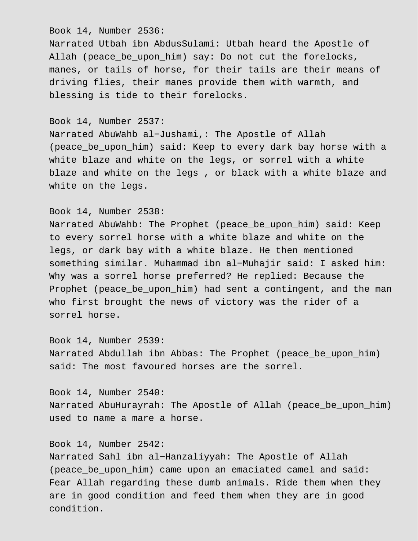#### Book 14, Number 2536:

Narrated Utbah ibn AbdusSulami: Utbah heard the Apostle of Allah (peace be upon him) say: Do not cut the forelocks, manes, or tails of horse, for their tails are their means of driving flies, their manes provide them with warmth, and blessing is tide to their forelocks.

#### Book 14, Number 2537:

Narrated AbuWahb al−Jushami,: The Apostle of Allah (peace be upon him) said: Keep to every dark bay horse with a white blaze and white on the legs, or sorrel with a white blaze and white on the legs , or black with a white blaze and white on the legs.

#### Book 14, Number 2538:

Narrated AbuWahb: The Prophet (peace\_be\_upon\_him) said: Keep to every sorrel horse with a white blaze and white on the legs, or dark bay with a white blaze. He then mentioned something similar. Muhammad ibn al−Muhajir said: I asked him: Why was a sorrel horse preferred? He replied: Because the Prophet (peace be upon him) had sent a contingent, and the man who first brought the news of victory was the rider of a sorrel horse.

Book 14, Number 2539: Narrated Abdullah ibn Abbas: The Prophet (peace be upon him) said: The most favoured horses are the sorrel.

Book 14, Number 2540: Narrated AbuHurayrah: The Apostle of Allah (peace\_be\_upon\_him) used to name a mare a horse.

Book 14, Number 2542:

Narrated Sahl ibn al−Hanzaliyyah: The Apostle of Allah (peace be upon him) came upon an emaciated camel and said: Fear Allah regarding these dumb animals. Ride them when they are in good condition and feed them when they are in good condition.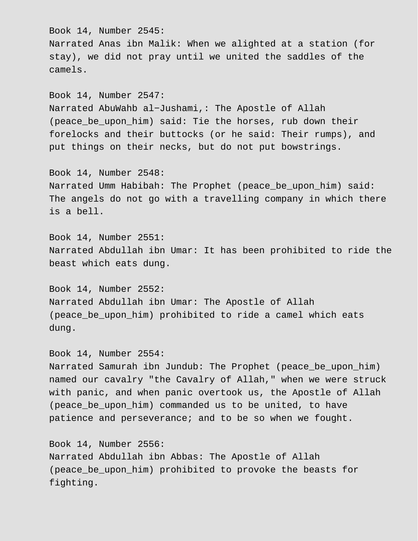Book 14, Number 2545: Narrated Anas ibn Malik: When we alighted at a station (for stay), we did not pray until we united the saddles of the camels.

Book 14, Number 2547: Narrated AbuWahb al−Jushami,: The Apostle of Allah (peace be upon him) said: Tie the horses, rub down their forelocks and their buttocks (or he said: Their rumps), and put things on their necks, but do not put bowstrings.

Book 14, Number 2548: Narrated Umm Habibah: The Prophet (peace\_be\_upon\_him) said: The angels do not go with a travelling company in which there is a bell.

Book 14, Number 2551: Narrated Abdullah ibn Umar: It has been prohibited to ride the beast which eats dung.

Book 14, Number 2552: Narrated Abdullah ibn Umar: The Apostle of Allah (peace\_be\_upon\_him) prohibited to ride a camel which eats dung.

Book 14, Number 2554: Narrated Samurah ibn Jundub: The Prophet (peace\_be\_upon\_him) named our cavalry "the Cavalry of Allah," when we were struck with panic, and when panic overtook us, the Apostle of Allah (peace\_be\_upon\_him) commanded us to be united, to have patience and perseverance; and to be so when we fought.

Book 14, Number 2556: Narrated Abdullah ibn Abbas: The Apostle of Allah (peace\_be\_upon\_him) prohibited to provoke the beasts for fighting.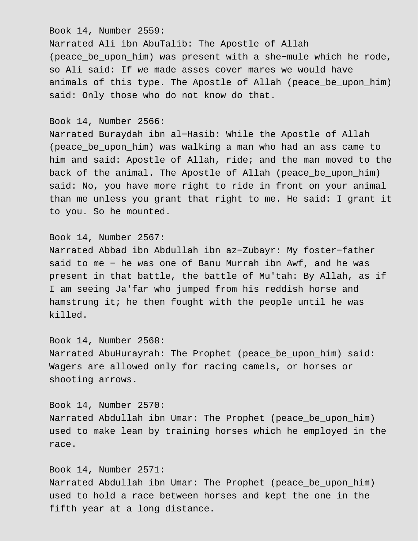#### Book 14, Number 2559:

Narrated Ali ibn AbuTalib: The Apostle of Allah (peace\_be\_upon\_him) was present with a she−mule which he rode, so Ali said: If we made asses cover mares we would have animals of this type. The Apostle of Allah (peace be upon him) said: Only those who do not know do that.

#### Book 14, Number 2566:

Narrated Buraydah ibn al−Hasib: While the Apostle of Allah (peace\_be\_upon\_him) was walking a man who had an ass came to him and said: Apostle of Allah, ride; and the man moved to the back of the animal. The Apostle of Allah (peace be upon him) said: No, you have more right to ride in front on your animal than me unless you grant that right to me. He said: I grant it to you. So he mounted.

## Book 14, Number 2567:

Narrated Abbad ibn Abdullah ibn az−Zubayr: My foster−father said to me − he was one of Banu Murrah ibn Awf, and he was present in that battle, the battle of Mu'tah: By Allah, as if I am seeing Ja'far who jumped from his reddish horse and hamstrung it; he then fought with the people until he was killed.

Book 14, Number 2568: Narrated AbuHurayrah: The Prophet (peace be upon him) said: Wagers are allowed only for racing camels, or horses or shooting arrows.

Book 14, Number 2570: Narrated Abdullah ibn Umar: The Prophet (peace\_be\_upon\_him) used to make lean by training horses which he employed in the race.

Book 14, Number 2571:

Narrated Abdullah ibn Umar: The Prophet (peace\_be\_upon\_him) used to hold a race between horses and kept the one in the fifth year at a long distance.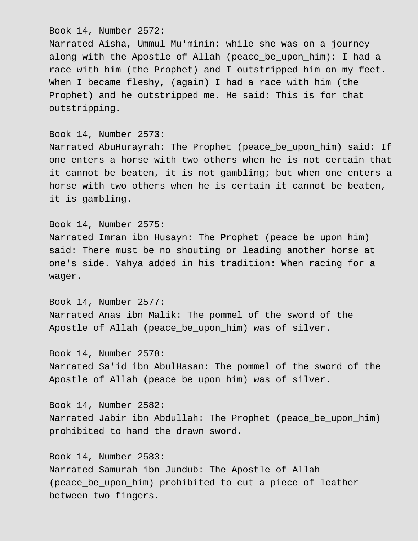#### Book 14, Number 2572:

Narrated Aisha, Ummul Mu'minin: while she was on a journey along with the Apostle of Allah (peace be upon him): I had a race with him (the Prophet) and I outstripped him on my feet. When I became fleshy, (again) I had a race with him (the Prophet) and he outstripped me. He said: This is for that outstripping.

#### Book 14, Number 2573:

Narrated AbuHurayrah: The Prophet (peace be upon him) said: If one enters a horse with two others when he is not certain that it cannot be beaten, it is not gambling; but when one enters a horse with two others when he is certain it cannot be beaten, it is gambling.

Book 14, Number 2575: Narrated Imran ibn Husayn: The Prophet (peace be upon him) said: There must be no shouting or leading another horse at one's side. Yahya added in his tradition: When racing for a wager.

Book 14, Number 2577: Narrated Anas ibn Malik: The pommel of the sword of the Apostle of Allah (peace\_be\_upon\_him) was of silver.

Book 14, Number 2578: Narrated Sa'id ibn AbulHasan: The pommel of the sword of the Apostle of Allah (peace\_be\_upon\_him) was of silver.

Book 14, Number 2582: Narrated Jabir ibn Abdullah: The Prophet (peace\_be\_upon\_him) prohibited to hand the drawn sword.

Book 14, Number 2583:

Narrated Samurah ibn Jundub: The Apostle of Allah (peace\_be\_upon\_him) prohibited to cut a piece of leather between two fingers.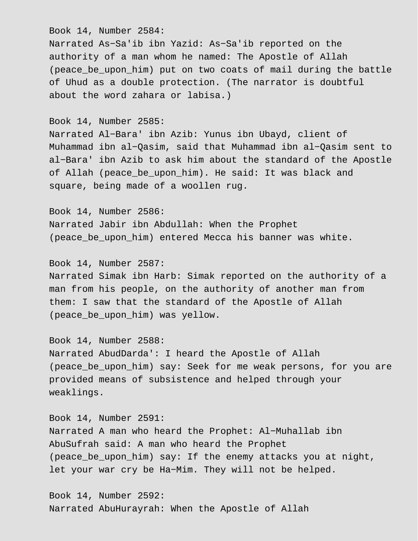#### Book 14, Number 2584:

Narrated As−Sa'ib ibn Yazid: As−Sa'ib reported on the authority of a man whom he named: The Apostle of Allah (peace\_be\_upon\_him) put on two coats of mail during the battle of Uhud as a double protection. (The narrator is doubtful about the word zahara or labisa.)

#### Book 14, Number 2585:

Narrated Al−Bara' ibn Azib: Yunus ibn Ubayd, client of Muhammad ibn al−Qasim, said that Muhammad ibn al−Qasim sent to al−Bara' ibn Azib to ask him about the standard of the Apostle of Allah (peace\_be\_upon\_him). He said: It was black and square, being made of a woollen rug.

Book 14, Number 2586: Narrated Jabir ibn Abdullah: When the Prophet (peace\_be\_upon\_him) entered Mecca his banner was white.

Book 14, Number 2587: Narrated Simak ibn Harb: Simak reported on the authority of a man from his people, on the authority of another man from them: I saw that the standard of the Apostle of Allah (peace\_be\_upon\_him) was yellow.

Book 14, Number 2588: Narrated AbudDarda': I heard the Apostle of Allah (peace\_be\_upon\_him) say: Seek for me weak persons, for you are provided means of subsistence and helped through your weaklings.

Book 14, Number 2591: Narrated A man who heard the Prophet: Al−Muhallab ibn AbuSufrah said: A man who heard the Prophet (peace\_be\_upon\_him) say: If the enemy attacks you at night, let your war cry be Ha−Mim. They will not be helped.

Book 14, Number 2592: Narrated AbuHurayrah: When the Apostle of Allah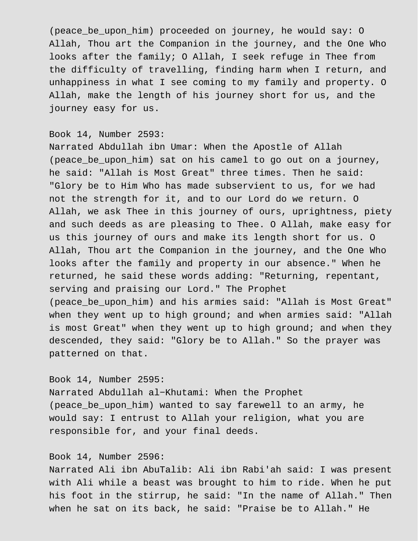(peace\_be\_upon\_him) proceeded on journey, he would say: O Allah, Thou art the Companion in the journey, and the One Who looks after the family; O Allah, I seek refuge in Thee from the difficulty of travelling, finding harm when I return, and unhappiness in what I see coming to my family and property. O Allah, make the length of his journey short for us, and the journey easy for us.

#### Book 14, Number 2593:

Narrated Abdullah ibn Umar: When the Apostle of Allah (peace\_be\_upon\_him) sat on his camel to go out on a journey, he said: "Allah is Most Great" three times. Then he said: "Glory be to Him Who has made subservient to us, for we had not the strength for it, and to our Lord do we return. O Allah, we ask Thee in this journey of ours, uprightness, piety and such deeds as are pleasing to Thee. O Allah, make easy for us this journey of ours and make its length short for us. O Allah, Thou art the Companion in the journey, and the One Who looks after the family and property in our absence." When he returned, he said these words adding: "Returning, repentant, serving and praising our Lord." The Prophet (peace be upon him) and his armies said: "Allah is Most Great" when they went up to high ground; and when armies said: "Allah is most Great" when they went up to high ground; and when they descended, they said: "Glory be to Allah." So the prayer was patterned on that.

## Book 14, Number 2595:

Narrated Abdullah al−Khutami: When the Prophet (peace\_be\_upon\_him) wanted to say farewell to an army, he would say: I entrust to Allah your religion, what you are responsible for, and your final deeds.

## Book 14, Number 2596:

Narrated Ali ibn AbuTalib: Ali ibn Rabi'ah said: I was present with Ali while a beast was brought to him to ride. When he put his foot in the stirrup, he said: "In the name of Allah." Then when he sat on its back, he said: "Praise be to Allah." He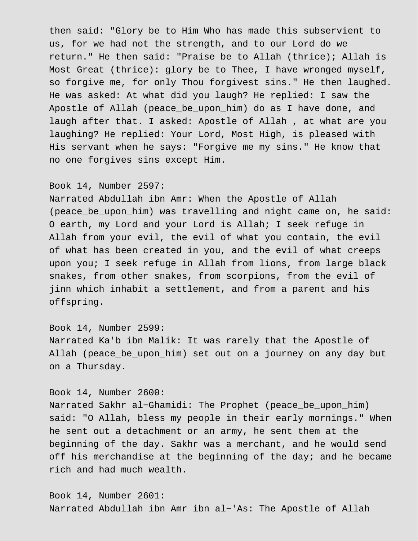then said: "Glory be to Him Who has made this subservient to us, for we had not the strength, and to our Lord do we return." He then said: "Praise be to Allah (thrice); Allah is Most Great (thrice): glory be to Thee, I have wronged myself, so forgive me, for only Thou forgivest sins." He then laughed. He was asked: At what did you laugh? He replied: I saw the Apostle of Allah (peace\_be\_upon\_him) do as I have done, and laugh after that. I asked: Apostle of Allah , at what are you laughing? He replied: Your Lord, Most High, is pleased with His servant when he says: "Forgive me my sins." He know that no one forgives sins except Him.

#### Book 14, Number 2597:

Narrated Abdullah ibn Amr: When the Apostle of Allah (peace be upon him) was travelling and night came on, he said: O earth, my Lord and your Lord is Allah; I seek refuge in Allah from your evil, the evil of what you contain, the evil of what has been created in you, and the evil of what creeps upon you; I seek refuge in Allah from lions, from large black snakes, from other snakes, from scorpions, from the evil of jinn which inhabit a settlement, and from a parent and his offspring.

## Book 14, Number 2599:

Narrated Ka'b ibn Malik: It was rarely that the Apostle of Allah (peace\_be\_upon\_him) set out on a journey on any day but on a Thursday.

## Book 14, Number 2600:

Narrated Sakhr al−Ghamidi: The Prophet (peace\_be\_upon\_him) said: "O Allah, bless my people in their early mornings." When he sent out a detachment or an army, he sent them at the beginning of the day. Sakhr was a merchant, and he would send off his merchandise at the beginning of the day; and he became rich and had much wealth.

Book 14, Number 2601: Narrated Abdullah ibn Amr ibn al−'As: The Apostle of Allah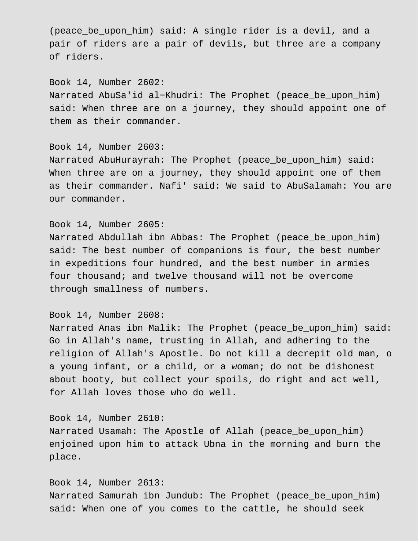(peace be upon him) said: A single rider is a devil, and a pair of riders are a pair of devils, but three are a company of riders.

Book 14, Number 2602: Narrated AbuSa'id al−Khudri: The Prophet (peace\_be\_upon\_him) said: When three are on a journey, they should appoint one of them as their commander.

Book 14, Number 2603: Narrated AbuHurayrah: The Prophet (peace\_be\_upon\_him) said: When three are on a journey, they should appoint one of them as their commander. Nafi' said: We said to AbuSalamah: You are our commander.

Narrated Abdullah ibn Abbas: The Prophet (peace be upon him) said: The best number of companions is four, the best number in expeditions four hundred, and the best number in armies four thousand; and twelve thousand will not be overcome through smallness of numbers.

Book 14, Number 2608:

Book 14, Number 2605:

Narrated Anas ibn Malik: The Prophet (peace\_be\_upon\_him) said: Go in Allah's name, trusting in Allah, and adhering to the religion of Allah's Apostle. Do not kill a decrepit old man, o a young infant, or a child, or a woman; do not be dishonest about booty, but collect your spoils, do right and act well, for Allah loves those who do well.

Book 14, Number 2610: Narrated Usamah: The Apostle of Allah (peace\_be\_upon\_him) enjoined upon him to attack Ubna in the morning and burn the place.

Book 14, Number 2613: Narrated Samurah ibn Jundub: The Prophet (peace\_be\_upon\_him) said: When one of you comes to the cattle, he should seek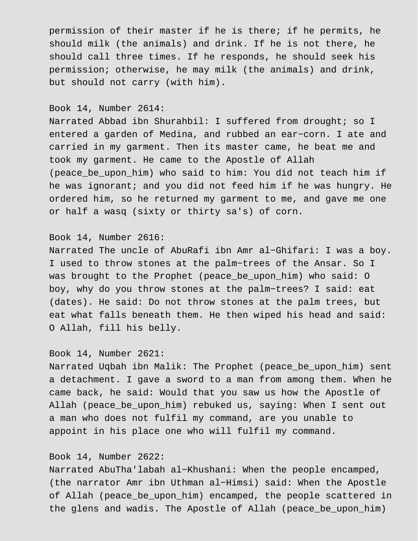permission of their master if he is there; if he permits, he should milk (the animals) and drink. If he is not there, he should call three times. If he responds, he should seek his permission; otherwise, he may milk (the animals) and drink, but should not carry (with him).

#### Book 14, Number 2614:

Narrated Abbad ibn Shurahbil: I suffered from drought; so I entered a garden of Medina, and rubbed an ear−corn. I ate and carried in my garment. Then its master came, he beat me and took my garment. He came to the Apostle of Allah (peace be upon him) who said to him: You did not teach him if he was ignorant; and you did not feed him if he was hungry. He ordered him, so he returned my garment to me, and gave me one or half a wasq (sixty or thirty sa's) of corn.

## Book 14, Number 2616:

Narrated The uncle of AbuRafi ibn Amr al−Ghifari: I was a boy. I used to throw stones at the palm−trees of the Ansar. So I was brought to the Prophet (peace\_be\_upon\_him) who said: O boy, why do you throw stones at the palm−trees? I said: eat (dates). He said: Do not throw stones at the palm trees, but eat what falls beneath them. He then wiped his head and said: O Allah, fill his belly.

## Book 14, Number 2621:

Narrated Uqbah ibn Malik: The Prophet (peace\_be\_upon\_him) sent a detachment. I gave a sword to a man from among them. When he came back, he said: Would that you saw us how the Apostle of Allah (peace\_be\_upon\_him) rebuked us, saying: When I sent out a man who does not fulfil my command, are you unable to appoint in his place one who will fulfil my command.

#### Book 14, Number 2622:

Narrated AbuTha'labah al−Khushani: When the people encamped, (the narrator Amr ibn Uthman al−Himsi) said: When the Apostle of Allah (peace\_be\_upon\_him) encamped, the people scattered in the glens and wadis. The Apostle of Allah (peace be upon him)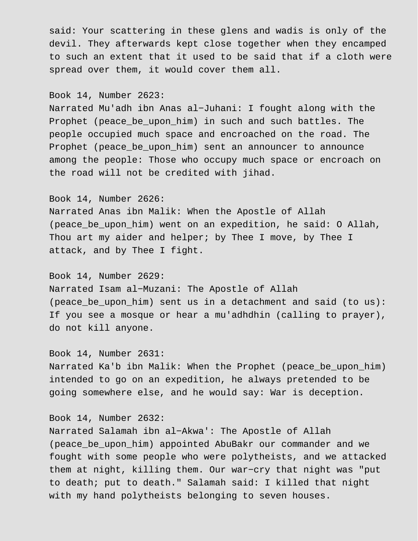said: Your scattering in these glens and wadis is only of the devil. They afterwards kept close together when they encamped to such an extent that it used to be said that if a cloth were spread over them, it would cover them all.

## Book 14, Number 2623:

Narrated Mu'adh ibn Anas al−Juhani: I fought along with the Prophet (peace\_be\_upon\_him) in such and such battles. The people occupied much space and encroached on the road. The Prophet (peace be upon him) sent an announcer to announce among the people: Those who occupy much space or encroach on the road will not be credited with jihad.

## Book 14, Number 2626:

Narrated Anas ibn Malik: When the Apostle of Allah (peace\_be\_upon\_him) went on an expedition, he said: O Allah, Thou art my aider and helper; by Thee I move, by Thee I attack, and by Thee I fight.

#### Book 14, Number 2629:

Narrated Isam al−Muzani: The Apostle of Allah (peace\_be\_upon\_him) sent us in a detachment and said (to us): If you see a mosque or hear a mu'adhdhin (calling to prayer), do not kill anyone.

## Book 14, Number 2631:

Narrated Ka'b ibn Malik: When the Prophet (peace\_be\_upon\_him) intended to go on an expedition, he always pretended to be going somewhere else, and he would say: War is deception.

## Book 14, Number 2632:

Narrated Salamah ibn al−Akwa': The Apostle of Allah (peace\_be\_upon\_him) appointed AbuBakr our commander and we fought with some people who were polytheists, and we attacked them at night, killing them. Our war−cry that night was "put to death; put to death." Salamah said: I killed that night with my hand polytheists belonging to seven houses.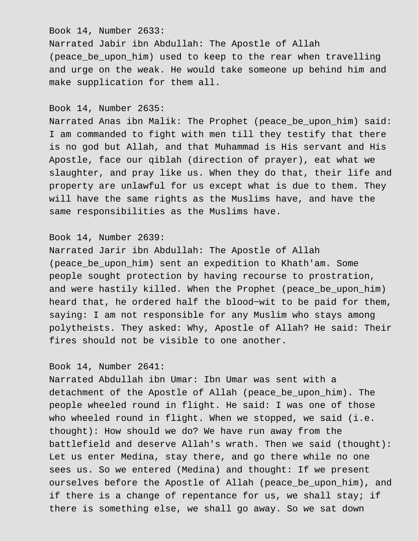#### Book 14, Number 2633:

Narrated Jabir ibn Abdullah: The Apostle of Allah (peace be upon him) used to keep to the rear when travelling and urge on the weak. He would take someone up behind him and make supplication for them all.

#### Book 14, Number 2635:

Narrated Anas ibn Malik: The Prophet (peace\_be\_upon\_him) said: I am commanded to fight with men till they testify that there is no god but Allah, and that Muhammad is His servant and His Apostle, face our qiblah (direction of prayer), eat what we slaughter, and pray like us. When they do that, their life and property are unlawful for us except what is due to them. They will have the same rights as the Muslims have, and have the same responsibilities as the Muslims have.

## Book 14, Number 2639:

Narrated Jarir ibn Abdullah: The Apostle of Allah (peace\_be\_upon\_him) sent an expedition to Khath'am. Some people sought protection by having recourse to prostration, and were hastily killed. When the Prophet (peace\_be\_upon\_him) heard that, he ordered half the blood−wit to be paid for them, saying: I am not responsible for any Muslim who stays among polytheists. They asked: Why, Apostle of Allah? He said: Their fires should not be visible to one another.

## Book 14, Number 2641:

Narrated Abdullah ibn Umar: Ibn Umar was sent with a detachment of the Apostle of Allah (peace\_be\_upon\_him). The people wheeled round in flight. He said: I was one of those who wheeled round in flight. When we stopped, we said (i.e. thought): How should we do? We have run away from the battlefield and deserve Allah's wrath. Then we said (thought): Let us enter Medina, stay there, and go there while no one sees us. So we entered (Medina) and thought: If we present ourselves before the Apostle of Allah (peace\_be\_upon\_him), and if there is a change of repentance for us, we shall stay; if there is something else, we shall go away. So we sat down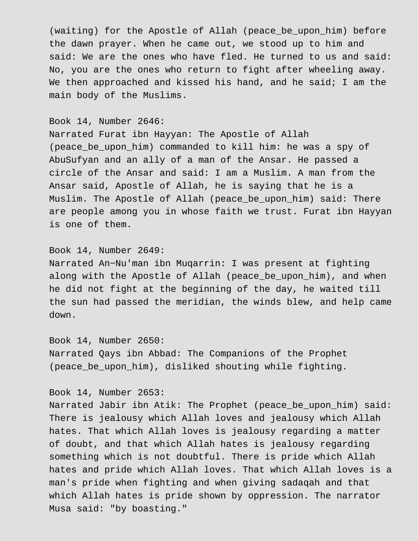(waiting) for the Apostle of Allah (peace be upon him) before the dawn prayer. When he came out, we stood up to him and said: We are the ones who have fled. He turned to us and said: No, you are the ones who return to fight after wheeling away. We then approached and kissed his hand, and he said; I am the main body of the Muslims.

#### Book 14, Number 2646:

Narrated Furat ibn Hayyan: The Apostle of Allah (peace be upon him) commanded to kill him: he was a spy of AbuSufyan and an ally of a man of the Ansar. He passed a circle of the Ansar and said: I am a Muslim. A man from the Ansar said, Apostle of Allah, he is saying that he is a Muslim. The Apostle of Allah (peace\_be\_upon\_him) said: There are people among you in whose faith we trust. Furat ibn Hayyan is one of them.

## Book 14, Number 2649:

Narrated An−Nu'man ibn Muqarrin: I was present at fighting along with the Apostle of Allah (peace\_be\_upon\_him), and when he did not fight at the beginning of the day, he waited till the sun had passed the meridian, the winds blew, and help came down.

Book 14, Number 2650: Narrated Qays ibn Abbad: The Companions of the Prophet (peace\_be\_upon\_him), disliked shouting while fighting.

Book 14, Number 2653:

Narrated Jabir ibn Atik: The Prophet (peace\_be\_upon\_him) said: There is jealousy which Allah loves and jealousy which Allah hates. That which Allah loves is jealousy regarding a matter of doubt, and that which Allah hates is jealousy regarding something which is not doubtful. There is pride which Allah hates and pride which Allah loves. That which Allah loves is a man's pride when fighting and when giving sadaqah and that which Allah hates is pride shown by oppression. The narrator Musa said: "by boasting."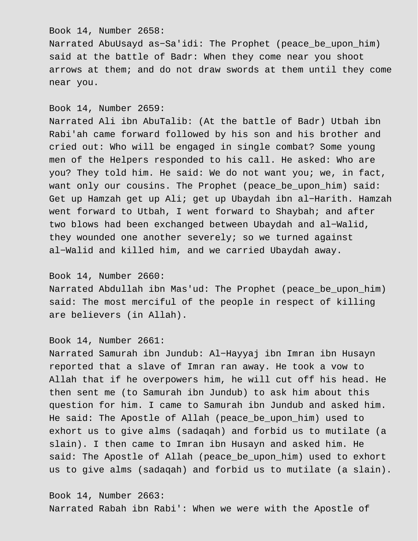#### Book 14, Number 2658:

Narrated AbuUsayd as−Sa'idi: The Prophet (peace\_be\_upon\_him) said at the battle of Badr: When they come near you shoot arrows at them; and do not draw swords at them until they come near you.

Book 14, Number 2659:

Narrated Ali ibn AbuTalib: (At the battle of Badr) Utbah ibn Rabi'ah came forward followed by his son and his brother and cried out: Who will be engaged in single combat? Some young men of the Helpers responded to his call. He asked: Who are you? They told him. He said: We do not want you; we, in fact, want only our cousins. The Prophet (peace be upon him) said: Get up Hamzah get up Ali; get up Ubaydah ibn al−Harith. Hamzah went forward to Utbah, I went forward to Shaybah; and after two blows had been exchanged between Ubaydah and al−Walid, they wounded one another severely; so we turned against al−Walid and killed him, and we carried Ubaydah away.

#### Book 14, Number 2660:

Narrated Abdullah ibn Mas'ud: The Prophet (peace be upon him) said: The most merciful of the people in respect of killing are believers (in Allah).

Book 14, Number 2661:

Narrated Samurah ibn Jundub: Al−Hayyaj ibn Imran ibn Husayn reported that a slave of Imran ran away. He took a vow to Allah that if he overpowers him, he will cut off his head. He then sent me (to Samurah ibn Jundub) to ask him about this question for him. I came to Samurah ibn Jundub and asked him. He said: The Apostle of Allah (peace\_be\_upon\_him) used to exhort us to give alms (sadaqah) and forbid us to mutilate (a slain). I then came to Imran ibn Husayn and asked him. He said: The Apostle of Allah (peace be upon him) used to exhort us to give alms (sadaqah) and forbid us to mutilate (a slain).

Book 14, Number 2663: Narrated Rabah ibn Rabi': When we were with the Apostle of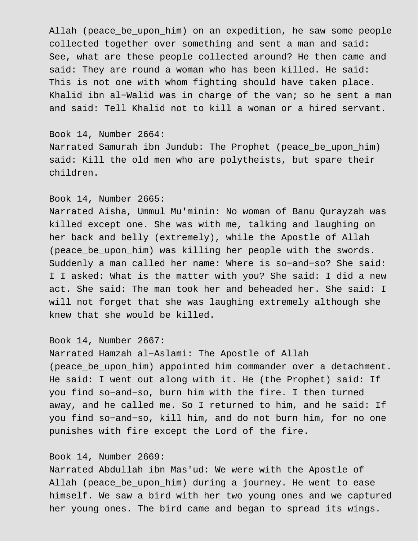Allah (peace be upon him) on an expedition, he saw some people collected together over something and sent a man and said: See, what are these people collected around? He then came and said: They are round a woman who has been killed. He said: This is not one with whom fighting should have taken place. Khalid ibn al−Walid was in charge of the van; so he sent a man and said: Tell Khalid not to kill a woman or a hired servant.

#### Book 14, Number 2664:

Narrated Samurah ibn Jundub: The Prophet (peace be upon him) said: Kill the old men who are polytheists, but spare their children.

## Book 14, Number 2665:

Narrated Aisha, Ummul Mu'minin: No woman of Banu Qurayzah was killed except one. She was with me, talking and laughing on her back and belly (extremely), while the Apostle of Allah (peace\_be\_upon\_him) was killing her people with the swords. Suddenly a man called her name: Where is so−and−so? She said: I I asked: What is the matter with you? She said: I did a new act. She said: The man took her and beheaded her. She said: I will not forget that she was laughing extremely although she knew that she would be killed.

## Book 14, Number 2667:

Narrated Hamzah al−Aslami: The Apostle of Allah (peace\_be\_upon\_him) appointed him commander over a detachment. He said: I went out along with it. He (the Prophet) said: If you find so−and−so, burn him with the fire. I then turned away, and he called me. So I returned to him, and he said: If you find so−and−so, kill him, and do not burn him, for no one punishes with fire except the Lord of the fire.

## Book 14, Number 2669:

Narrated Abdullah ibn Mas'ud: We were with the Apostle of Allah (peace\_be\_upon\_him) during a journey. He went to ease himself. We saw a bird with her two young ones and we captured her young ones. The bird came and began to spread its wings.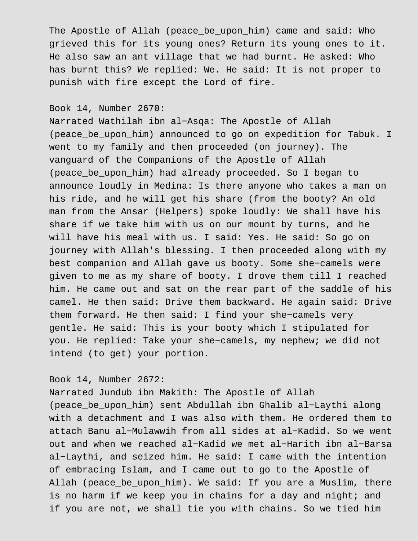The Apostle of Allah (peace be upon him) came and said: Who grieved this for its young ones? Return its young ones to it. He also saw an ant village that we had burnt. He asked: Who has burnt this? We replied: We. He said: It is not proper to punish with fire except the Lord of fire.

## Book 14, Number 2670:

Narrated Wathilah ibn al−Asqa: The Apostle of Allah (peace\_be\_upon\_him) announced to go on expedition for Tabuk. I went to my family and then proceeded (on journey). The vanguard of the Companions of the Apostle of Allah (peace\_be\_upon\_him) had already proceeded. So I began to announce loudly in Medina: Is there anyone who takes a man on his ride, and he will get his share (from the booty? An old man from the Ansar (Helpers) spoke loudly: We shall have his share if we take him with us on our mount by turns, and he will have his meal with us. I said: Yes. He said: So go on journey with Allah's blessing. I then proceeded along with my best companion and Allah gave us booty. Some she−camels were given to me as my share of booty. I drove them till I reached him. He came out and sat on the rear part of the saddle of his camel. He then said: Drive them backward. He again said: Drive them forward. He then said: I find your she−camels very gentle. He said: This is your booty which I stipulated for you. He replied: Take your she−camels, my nephew; we did not intend (to get) your portion.

## Book 14, Number 2672:

Narrated Jundub ibn Makith: The Apostle of Allah (peace\_be\_upon\_him) sent Abdullah ibn Ghalib al−Laythi along with a detachment and I was also with them. He ordered them to attach Banu al−Mulawwih from all sides at al−Kadid. So we went out and when we reached al−Kadid we met al−Harith ibn al−Barsa al−Laythi, and seized him. He said: I came with the intention of embracing Islam, and I came out to go to the Apostle of Allah (peace be upon him). We said: If you are a Muslim, there is no harm if we keep you in chains for a day and night; and if you are not, we shall tie you with chains. So we tied him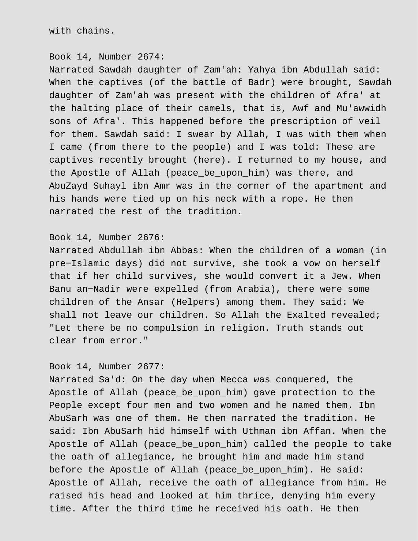## Book 14, Number 2674:

Narrated Sawdah daughter of Zam'ah: Yahya ibn Abdullah said: When the captives (of the battle of Badr) were brought, Sawdah daughter of Zam'ah was present with the children of Afra' at the halting place of their camels, that is, Awf and Mu'awwidh sons of Afra'. This happened before the prescription of veil for them. Sawdah said: I swear by Allah, I was with them when I came (from there to the people) and I was told: These are captives recently brought (here). I returned to my house, and the Apostle of Allah (peace be upon him) was there, and AbuZayd Suhayl ibn Amr was in the corner of the apartment and his hands were tied up on his neck with a rope. He then narrated the rest of the tradition.

## Book 14, Number 2676:

Narrated Abdullah ibn Abbas: When the children of a woman (in pre−Islamic days) did not survive, she took a vow on herself that if her child survives, she would convert it a Jew. When Banu an−Nadir were expelled (from Arabia), there were some children of the Ansar (Helpers) among them. They said: We shall not leave our children. So Allah the Exalted revealed; "Let there be no compulsion in religion. Truth stands out clear from error."

## Book 14, Number 2677:

Narrated Sa'd: On the day when Mecca was conquered, the Apostle of Allah (peace\_be\_upon\_him) gave protection to the People except four men and two women and he named them. Ibn AbuSarh was one of them. He then narrated the tradition. He said: Ibn AbuSarh hid himself with Uthman ibn Affan. When the Apostle of Allah (peace\_be\_upon\_him) called the people to take the oath of allegiance, he brought him and made him stand before the Apostle of Allah (peace be upon him). He said: Apostle of Allah, receive the oath of allegiance from him. He raised his head and looked at him thrice, denying him every time. After the third time he received his oath. He then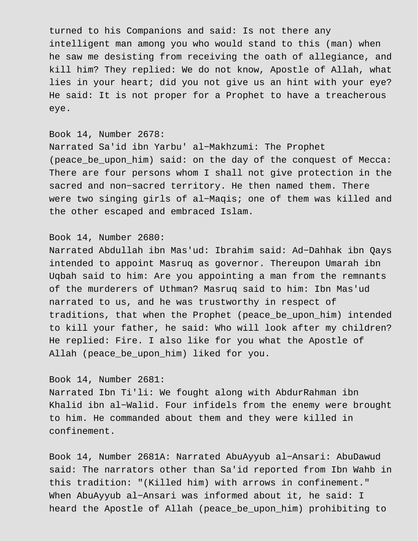turned to his Companions and said: Is not there any intelligent man among you who would stand to this (man) when he saw me desisting from receiving the oath of allegiance, and kill him? They replied: We do not know, Apostle of Allah, what lies in your heart; did you not give us an hint with your eye? He said: It is not proper for a Prophet to have a treacherous eye.

## Book 14, Number 2678:

Narrated Sa'id ibn Yarbu' al−Makhzumi: The Prophet (peace\_be\_upon\_him) said: on the day of the conquest of Mecca: There are four persons whom I shall not give protection in the sacred and non−sacred territory. He then named them. There were two singing girls of al−Maqis; one of them was killed and the other escaped and embraced Islam.

## Book 14, Number 2680:

Narrated Abdullah ibn Mas'ud: Ibrahim said: Ad−Dahhak ibn Qays intended to appoint Masruq as governor. Thereupon Umarah ibn Uqbah said to him: Are you appointing a man from the remnants of the murderers of Uthman? Masruq said to him: Ibn Mas'ud narrated to us, and he was trustworthy in respect of traditions, that when the Prophet (peace\_be\_upon\_him) intended to kill your father, he said: Who will look after my children? He replied: Fire. I also like for you what the Apostle of Allah (peace\_be\_upon\_him) liked for you.

## Book 14, Number 2681:

Narrated Ibn Ti'li: We fought along with AbdurRahman ibn Khalid ibn al−Walid. Four infidels from the enemy were brought to him. He commanded about them and they were killed in confinement.

Book 14, Number 2681A: Narrated AbuAyyub al−Ansari: AbuDawud said: The narrators other than Sa'id reported from Ibn Wahb in this tradition: "(Killed him) with arrows in confinement." When AbuAyyub al−Ansari was informed about it, he said: I heard the Apostle of Allah (peace\_be\_upon\_him) prohibiting to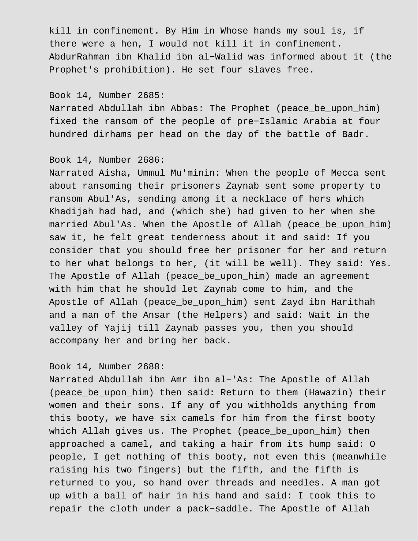kill in confinement. By Him in Whose hands my soul is, if there were a hen, I would not kill it in confinement. AbdurRahman ibn Khalid ibn al−Walid was informed about it (the Prophet's prohibition). He set four slaves free.

## Book 14, Number 2685:

Narrated Abdullah ibn Abbas: The Prophet (peace\_be\_upon\_him) fixed the ransom of the people of pre−Islamic Arabia at four hundred dirhams per head on the day of the battle of Badr.

#### Book 14, Number 2686:

Narrated Aisha, Ummul Mu'minin: When the people of Mecca sent about ransoming their prisoners Zaynab sent some property to ransom Abul'As, sending among it a necklace of hers which Khadijah had had, and (which she) had given to her when she married Abul'As. When the Apostle of Allah (peace\_be\_upon\_him) saw it, he felt great tenderness about it and said: If you consider that you should free her prisoner for her and return to her what belongs to her, (it will be well). They said: Yes. The Apostle of Allah (peace be upon him) made an agreement with him that he should let Zaynab come to him, and the Apostle of Allah (peace\_be\_upon\_him) sent Zayd ibn Harithah and a man of the Ansar (the Helpers) and said: Wait in the valley of Yajij till Zaynab passes you, then you should accompany her and bring her back.

## Book 14, Number 2688:

Narrated Abdullah ibn Amr ibn al−'As: The Apostle of Allah (peace\_be\_upon\_him) then said: Return to them (Hawazin) their women and their sons. If any of you withholds anything from this booty, we have six camels for him from the first booty which Allah gives us. The Prophet (peace\_be\_upon\_him) then approached a camel, and taking a hair from its hump said: O people, I get nothing of this booty, not even this (meanwhile raising his two fingers) but the fifth, and the fifth is returned to you, so hand over threads and needles. A man got up with a ball of hair in his hand and said: I took this to repair the cloth under a pack−saddle. The Apostle of Allah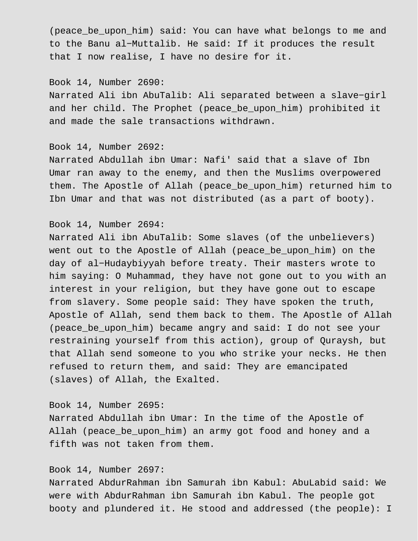(peace be upon him) said: You can have what belongs to me and to the Banu al−Muttalib. He said: If it produces the result that I now realise, I have no desire for it.

Book 14, Number 2690: Narrated Ali ibn AbuTalib: Ali separated between a slave−girl and her child. The Prophet (peace\_be\_upon\_him) prohibited it and made the sale transactions withdrawn.

## Book 14, Number 2692:

Narrated Abdullah ibn Umar: Nafi' said that a slave of Ibn Umar ran away to the enemy, and then the Muslims overpowered them. The Apostle of Allah (peace\_be\_upon\_him) returned him to Ibn Umar and that was not distributed (as a part of booty).

#### Book 14, Number 2694:

Narrated Ali ibn AbuTalib: Some slaves (of the unbelievers) went out to the Apostle of Allah (peace be upon him) on the day of al−Hudaybiyyah before treaty. Their masters wrote to him saying: O Muhammad, they have not gone out to you with an interest in your religion, but they have gone out to escape from slavery. Some people said: They have spoken the truth, Apostle of Allah, send them back to them. The Apostle of Allah (peace\_be\_upon\_him) became angry and said: I do not see your restraining yourself from this action), group of Quraysh, but that Allah send someone to you who strike your necks. He then refused to return them, and said: They are emancipated (slaves) of Allah, the Exalted.

#### Book 14, Number 2695:

Narrated Abdullah ibn Umar: In the time of the Apostle of Allah (peace\_be\_upon\_him) an army got food and honey and a fifth was not taken from them.

#### Book 14, Number 2697:

Narrated AbdurRahman ibn Samurah ibn Kabul: AbuLabid said: We were with AbdurRahman ibn Samurah ibn Kabul. The people got booty and plundered it. He stood and addressed (the people): I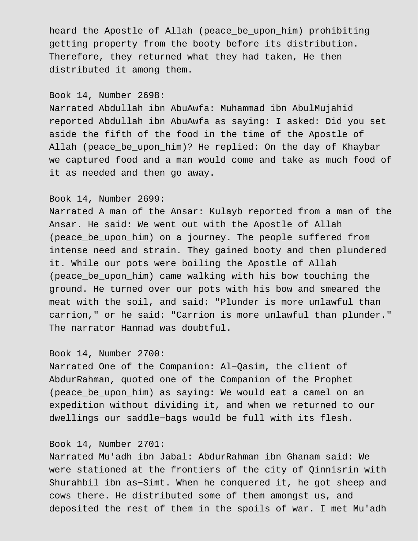heard the Apostle of Allah (peace be upon him) prohibiting getting property from the booty before its distribution. Therefore, they returned what they had taken, He then distributed it among them.

#### Book 14, Number 2698:

Narrated Abdullah ibn AbuAwfa: Muhammad ibn AbulMujahid reported Abdullah ibn AbuAwfa as saying: I asked: Did you set aside the fifth of the food in the time of the Apostle of Allah (peace be upon him)? He replied: On the day of Khaybar we captured food and a man would come and take as much food of it as needed and then go away.

## Book 14, Number 2699:

Narrated A man of the Ansar: Kulayb reported from a man of the Ansar. He said: We went out with the Apostle of Allah (peace\_be\_upon\_him) on a journey. The people suffered from intense need and strain. They gained booty and then plundered it. While our pots were boiling the Apostle of Allah (peace be upon him) came walking with his bow touching the ground. He turned over our pots with his bow and smeared the meat with the soil, and said: "Plunder is more unlawful than carrion," or he said: "Carrion is more unlawful than plunder." The narrator Hannad was doubtful.

## Book 14, Number 2700:

Narrated One of the Companion: Al−Qasim, the client of AbdurRahman, quoted one of the Companion of the Prophet (peace\_be\_upon\_him) as saying: We would eat a camel on an expedition without dividing it, and when we returned to our dwellings our saddle−bags would be full with its flesh.

## Book 14, Number 2701:

Narrated Mu'adh ibn Jabal: AbdurRahman ibn Ghanam said: We were stationed at the frontiers of the city of Qinnisrin with Shurahbil ibn as−Simt. When he conquered it, he got sheep and cows there. He distributed some of them amongst us, and deposited the rest of them in the spoils of war. I met Mu'adh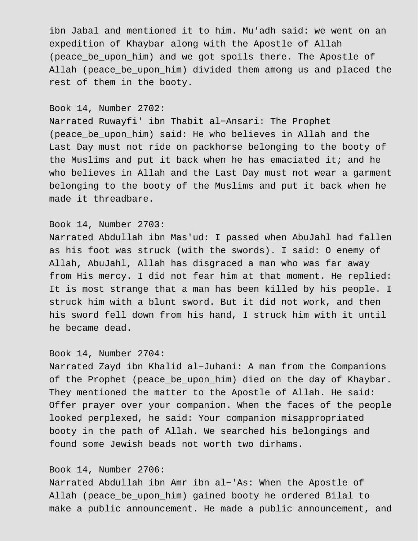ibn Jabal and mentioned it to him. Mu'adh said: we went on an expedition of Khaybar along with the Apostle of Allah (peace be upon him) and we got spoils there. The Apostle of Allah (peace\_be\_upon\_him) divided them among us and placed the rest of them in the booty.

#### Book 14, Number 2702:

Narrated Ruwayfi' ibn Thabit al−Ansari: The Prophet (peace\_be\_upon\_him) said: He who believes in Allah and the Last Day must not ride on packhorse belonging to the booty of the Muslims and put it back when he has emaciated it; and he who believes in Allah and the Last Day must not wear a garment belonging to the booty of the Muslims and put it back when he made it threadbare.

#### Book 14, Number 2703:

Narrated Abdullah ibn Mas'ud: I passed when AbuJahl had fallen as his foot was struck (with the swords). I said: O enemy of Allah, AbuJahl, Allah has disgraced a man who was far away from His mercy. I did not fear him at that moment. He replied: It is most strange that a man has been killed by his people. I struck him with a blunt sword. But it did not work, and then his sword fell down from his hand, I struck him with it until he became dead.

## Book 14, Number 2704:

Narrated Zayd ibn Khalid al−Juhani: A man from the Companions of the Prophet (peace\_be\_upon\_him) died on the day of Khaybar. They mentioned the matter to the Apostle of Allah. He said: Offer prayer over your companion. When the faces of the people looked perplexed, he said: Your companion misappropriated booty in the path of Allah. We searched his belongings and found some Jewish beads not worth two dirhams.

## Book 14, Number 2706:

Narrated Abdullah ibn Amr ibn al−'As: When the Apostle of Allah (peace\_be\_upon\_him) gained booty he ordered Bilal to make a public announcement. He made a public announcement, and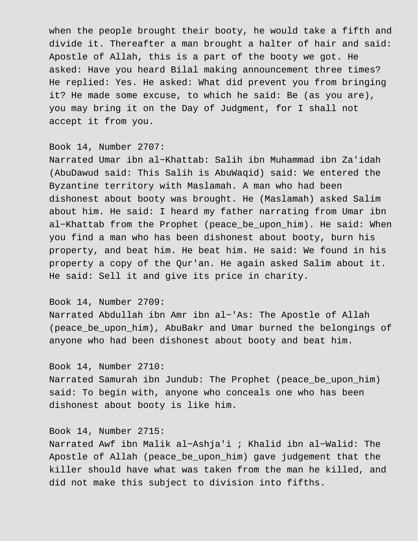when the people brought their booty, he would take a fifth and divide it. Thereafter a man brought a halter of hair and said: Apostle of Allah, this is a part of the booty we got. He asked: Have you heard Bilal making announcement three times? He replied: Yes. He asked: What did prevent you from bringing it? He made some excuse, to which he said: Be (as you are), you may bring it on the Day of Judgment, for I shall not accept it from you.

## Book 14, Number 2707:

Narrated Umar ibn al−Khattab: Salih ibn Muhammad ibn Za'idah (AbuDawud said: This Salih is AbuWaqid) said: We entered the Byzantine territory with Maslamah. A man who had been dishonest about booty was brought. He (Maslamah) asked Salim about him. He said: I heard my father narrating from Umar ibn al−Khattab from the Prophet (peace\_be\_upon\_him). He said: When you find a man who has been dishonest about booty, burn his property, and beat him. He beat him. He said: We found in his property a copy of the Qur'an. He again asked Salim about it. He said: Sell it and give its price in charity.

## Book 14, Number 2709:

Narrated Abdullah ibn Amr ibn al−'As: The Apostle of Allah (peace\_be\_upon\_him), AbuBakr and Umar burned the belongings of anyone who had been dishonest about booty and beat him.

## Book 14, Number 2710:

Narrated Samurah ibn Jundub: The Prophet (peace\_be\_upon\_him) said: To begin with, anyone who conceals one who has been dishonest about booty is like him.

## Book 14, Number 2715:

Narrated Awf ibn Malik al−Ashja'i ; Khalid ibn al−Walid: The Apostle of Allah (peace\_be\_upon\_him) gave judgement that the killer should have what was taken from the man he killed, and did not make this subject to division into fifths.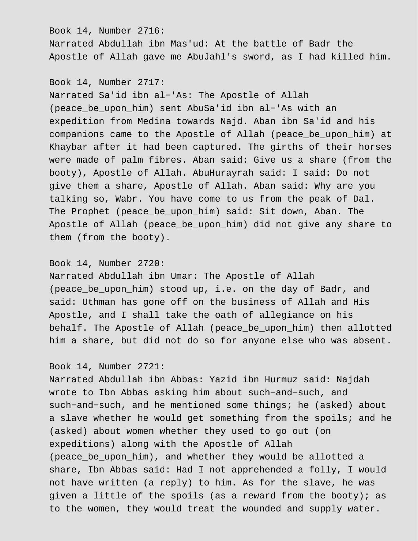## Book 14, Number 2716: Narrated Abdullah ibn Mas'ud: At the battle of Badr the Apostle of Allah gave me AbuJahl's sword, as I had killed him.

## Book 14, Number 2717:

Narrated Sa'id ibn al−'As: The Apostle of Allah (peace\_be\_upon\_him) sent AbuSa'id ibn al−'As with an expedition from Medina towards Najd. Aban ibn Sa'id and his companions came to the Apostle of Allah (peace\_be\_upon\_him) at Khaybar after it had been captured. The girths of their horses were made of palm fibres. Aban said: Give us a share (from the booty), Apostle of Allah. AbuHurayrah said: I said: Do not give them a share, Apostle of Allah. Aban said: Why are you talking so, Wabr. You have come to us from the peak of Dal. The Prophet (peace be upon him) said: Sit down, Aban. The Apostle of Allah (peace\_be\_upon\_him) did not give any share to them (from the booty).

## Book 14, Number 2720:

Narrated Abdullah ibn Umar: The Apostle of Allah (peace be upon him) stood up, i.e. on the day of Badr, and said: Uthman has gone off on the business of Allah and His Apostle, and I shall take the oath of allegiance on his behalf. The Apostle of Allah (peace\_be\_upon\_him) then allotted him a share, but did not do so for anyone else who was absent.

## Book 14, Number 2721:

Narrated Abdullah ibn Abbas: Yazid ibn Hurmuz said: Najdah wrote to Ibn Abbas asking him about such−and−such, and such−and−such, and he mentioned some things; he (asked) about a slave whether he would get something from the spoils; and he (asked) about women whether they used to go out (on expeditions) along with the Apostle of Allah (peace\_be\_upon\_him), and whether they would be allotted a share, Ibn Abbas said: Had I not apprehended a folly, I would not have written (a reply) to him. As for the slave, he was given a little of the spoils (as a reward from the booty); as to the women, they would treat the wounded and supply water.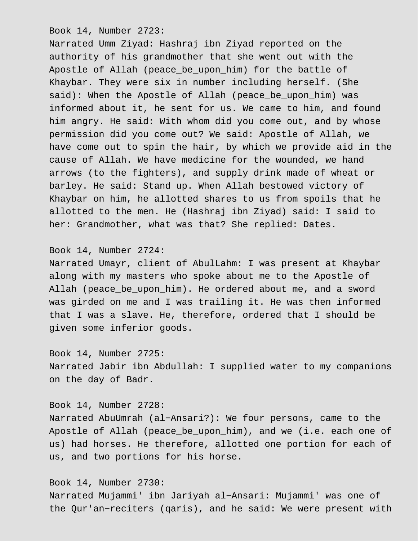Book 14, Number 2723:

Narrated Umm Ziyad: Hashraj ibn Ziyad reported on the authority of his grandmother that she went out with the Apostle of Allah (peace\_be\_upon\_him) for the battle of Khaybar. They were six in number including herself. (She said): When the Apostle of Allah (peace\_be\_upon\_him) was informed about it, he sent for us. We came to him, and found him angry. He said: With whom did you come out, and by whose permission did you come out? We said: Apostle of Allah, we have come out to spin the hair, by which we provide aid in the cause of Allah. We have medicine for the wounded, we hand arrows (to the fighters), and supply drink made of wheat or barley. He said: Stand up. When Allah bestowed victory of Khaybar on him, he allotted shares to us from spoils that he allotted to the men. He (Hashraj ibn Ziyad) said: I said to her: Grandmother, what was that? She replied: Dates.

### Book 14, Number 2724:

Narrated Umayr, client of AbulLahm: I was present at Khaybar along with my masters who spoke about me to the Apostle of Allah (peace\_be\_upon\_him). He ordered about me, and a sword was girded on me and I was trailing it. He was then informed that I was a slave. He, therefore, ordered that I should be given some inferior goods.

Book 14, Number 2725: Narrated Jabir ibn Abdullah: I supplied water to my companions on the day of Badr.

## Book 14, Number 2728:

Narrated AbuUmrah (al−Ansari?): We four persons, came to the Apostle of Allah (peace\_be\_upon\_him), and we (i.e. each one of us) had horses. He therefore, allotted one portion for each of us, and two portions for his horse.

# Book 14, Number 2730:

Narrated Mujammi' ibn Jariyah al−Ansari: Mujammi' was one of the Qur'an−reciters (qaris), and he said: We were present with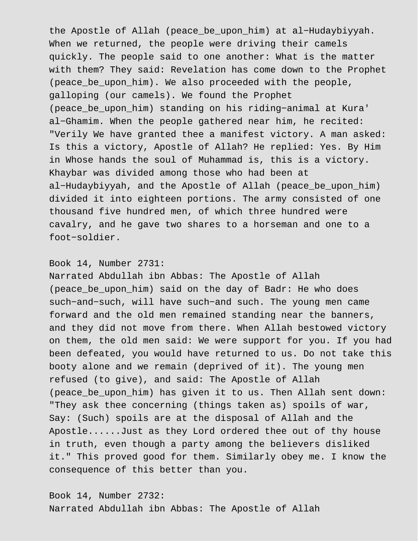the Apostle of Allah (peace\_be\_upon\_him) at al−Hudaybiyyah. When we returned, the people were driving their camels quickly. The people said to one another: What is the matter with them? They said: Revelation has come down to the Prophet (peace be upon him). We also proceeded with the people, galloping (our camels). We found the Prophet (peace\_be\_upon\_him) standing on his riding−animal at Kura' al−Ghamim. When the people gathered near him, he recited: "Verily We have granted thee a manifest victory. A man asked: Is this a victory, Apostle of Allah? He replied: Yes. By Him in Whose hands the soul of Muhammad is, this is a victory. Khaybar was divided among those who had been at al−Hudaybiyyah, and the Apostle of Allah (peace\_be\_upon\_him) divided it into eighteen portions. The army consisted of one thousand five hundred men, of which three hundred were cavalry, and he gave two shares to a horseman and one to a foot−soldier.

# Book 14, Number 2731:

Narrated Abdullah ibn Abbas: The Apostle of Allah (peace\_be\_upon\_him) said on the day of Badr: He who does such−and−such, will have such−and such. The young men came forward and the old men remained standing near the banners, and they did not move from there. When Allah bestowed victory on them, the old men said: We were support for you. If you had been defeated, you would have returned to us. Do not take this booty alone and we remain (deprived of it). The young men refused (to give), and said: The Apostle of Allah (peace\_be\_upon\_him) has given it to us. Then Allah sent down: "They ask thee concerning (things taken as) spoils of war, Say: (Such) spoils are at the disposal of Allah and the Apostle......Just as they Lord ordered thee out of thy house in truth, even though a party among the believers disliked it." This proved good for them. Similarly obey me. I know the consequence of this better than you.

# Book 14, Number 2732:

Narrated Abdullah ibn Abbas: The Apostle of Allah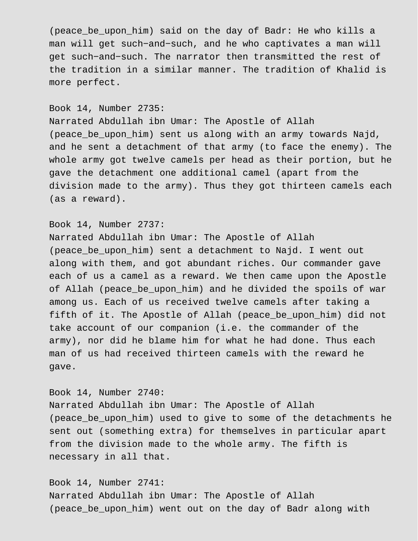(peace be upon him) said on the day of Badr: He who kills a man will get such−and−such, and he who captivates a man will get such−and−such. The narrator then transmitted the rest of the tradition in a similar manner. The tradition of Khalid is more perfect.

#### Book 14, Number 2735:

Narrated Abdullah ibn Umar: The Apostle of Allah (peace be upon him) sent us along with an army towards Najd, and he sent a detachment of that army (to face the enemy). The whole army got twelve camels per head as their portion, but he gave the detachment one additional camel (apart from the division made to the army). Thus they got thirteen camels each (as a reward).

#### Book 14, Number 2737:

Narrated Abdullah ibn Umar: The Apostle of Allah (peace\_be\_upon\_him) sent a detachment to Najd. I went out along with them, and got abundant riches. Our commander gave each of us a camel as a reward. We then came upon the Apostle of Allah (peace\_be\_upon\_him) and he divided the spoils of war among us. Each of us received twelve camels after taking a fifth of it. The Apostle of Allah (peace\_be\_upon\_him) did not take account of our companion (i.e. the commander of the army), nor did he blame him for what he had done. Thus each man of us had received thirteen camels with the reward he gave.

# Book 14, Number 2740:

Narrated Abdullah ibn Umar: The Apostle of Allah (peace\_be\_upon\_him) used to give to some of the detachments he sent out (something extra) for themselves in particular apart from the division made to the whole army. The fifth is necessary in all that.

# Book 14, Number 2741: Narrated Abdullah ibn Umar: The Apostle of Allah

(peace\_be\_upon\_him) went out on the day of Badr along with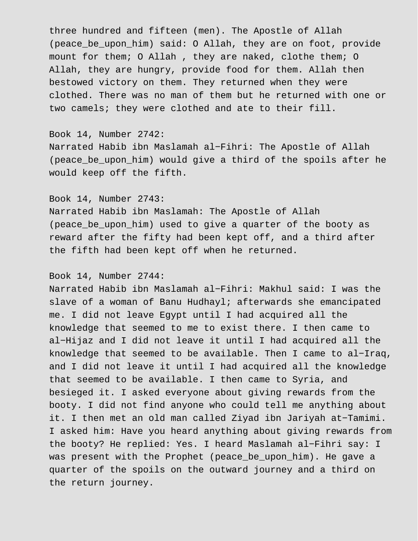three hundred and fifteen (men). The Apostle of Allah (peace\_be\_upon\_him) said: O Allah, they are on foot, provide mount for them; O Allah , they are naked, clothe them; O Allah, they are hungry, provide food for them. Allah then bestowed victory on them. They returned when they were clothed. There was no man of them but he returned with one or two camels; they were clothed and ate to their fill.

# Book 14, Number 2742:

Narrated Habib ibn Maslamah al−Fihri: The Apostle of Allah (peace\_be\_upon\_him) would give a third of the spoils after he would keep off the fifth.

# Book 14, Number 2743:

Narrated Habib ibn Maslamah: The Apostle of Allah (peace\_be\_upon\_him) used to give a quarter of the booty as reward after the fifty had been kept off, and a third after the fifth had been kept off when he returned.

#### Book 14, Number 2744:

Narrated Habib ibn Maslamah al−Fihri: Makhul said: I was the slave of a woman of Banu Hudhayl; afterwards she emancipated me. I did not leave Egypt until I had acquired all the knowledge that seemed to me to exist there. I then came to al−Hijaz and I did not leave it until I had acquired all the knowledge that seemed to be available. Then I came to al−Iraq, and I did not leave it until I had acquired all the knowledge that seemed to be available. I then came to Syria, and besieged it. I asked everyone about giving rewards from the booty. I did not find anyone who could tell me anything about it. I then met an old man called Ziyad ibn Jariyah at−Tamimi. I asked him: Have you heard anything about giving rewards from the booty? He replied: Yes. I heard Maslamah al−Fihri say: I was present with the Prophet (peace\_be\_upon\_him). He gave a quarter of the spoils on the outward journey and a third on the return journey.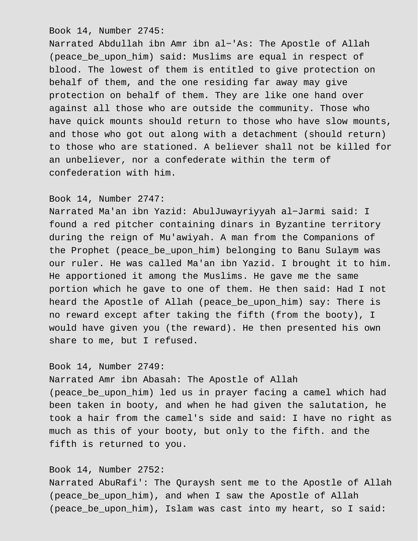#### Book 14, Number 2745:

Narrated Abdullah ibn Amr ibn al−'As: The Apostle of Allah (peace\_be\_upon\_him) said: Muslims are equal in respect of blood. The lowest of them is entitled to give protection on behalf of them, and the one residing far away may give protection on behalf of them. They are like one hand over against all those who are outside the community. Those who have quick mounts should return to those who have slow mounts, and those who got out along with a detachment (should return) to those who are stationed. A believer shall not be killed for an unbeliever, nor a confederate within the term of confederation with him.

## Book 14, Number 2747:

Narrated Ma'an ibn Yazid: AbulJuwayriyyah al−Jarmi said: I found a red pitcher containing dinars in Byzantine territory during the reign of Mu'awiyah. A man from the Companions of the Prophet (peace\_be\_upon\_him) belonging to Banu Sulaym was our ruler. He was called Ma'an ibn Yazid. I brought it to him. He apportioned it among the Muslims. He gave me the same portion which he gave to one of them. He then said: Had I not heard the Apostle of Allah (peace\_be\_upon\_him) say: There is no reward except after taking the fifth (from the booty), I would have given you (the reward). He then presented his own share to me, but I refused.

# Book 14, Number 2749:

Narrated Amr ibn Abasah: The Apostle of Allah (peace\_be\_upon\_him) led us in prayer facing a camel which had been taken in booty, and when he had given the salutation, he took a hair from the camel's side and said: I have no right as much as this of your booty, but only to the fifth. and the fifth is returned to you.

# Book 14, Number 2752:

Narrated AbuRafi': The Quraysh sent me to the Apostle of Allah (peace\_be\_upon\_him), and when I saw the Apostle of Allah (peace be\_upon\_him), Islam was cast into my heart, so I said: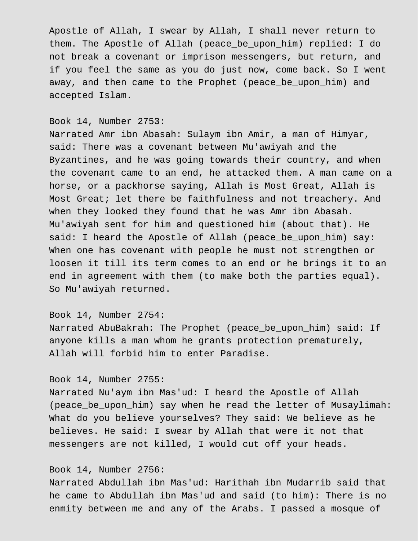Apostle of Allah, I swear by Allah, I shall never return to them. The Apostle of Allah (peace\_be\_upon\_him) replied: I do not break a covenant or imprison messengers, but return, and if you feel the same as you do just now, come back. So I went away, and then came to the Prophet (peace be upon him) and accepted Islam.

## Book 14, Number 2753:

Narrated Amr ibn Abasah: Sulaym ibn Amir, a man of Himyar, said: There was a covenant between Mu'awiyah and the Byzantines, and he was going towards their country, and when the covenant came to an end, he attacked them. A man came on a horse, or a packhorse saying, Allah is Most Great, Allah is Most Great; let there be faithfulness and not treachery. And when they looked they found that he was Amr ibn Abasah. Mu'awiyah sent for him and questioned him (about that). He said: I heard the Apostle of Allah (peace\_be\_upon\_him) say: When one has covenant with people he must not strengthen or loosen it till its term comes to an end or he brings it to an end in agreement with them (to make both the parties equal). So Mu'awiyah returned.

#### Book 14, Number 2754:

Narrated AbuBakrah: The Prophet (peace\_be\_upon\_him) said: If anyone kills a man whom he grants protection prematurely, Allah will forbid him to enter Paradise.

# Book 14, Number 2755:

Narrated Nu'aym ibn Mas'ud: I heard the Apostle of Allah (peace\_be\_upon\_him) say when he read the letter of Musaylimah: What do you believe yourselves? They said: We believe as he believes. He said: I swear by Allah that were it not that messengers are not killed, I would cut off your heads.

# Book 14, Number 2756:

Narrated Abdullah ibn Mas'ud: Harithah ibn Mudarrib said that he came to Abdullah ibn Mas'ud and said (to him): There is no enmity between me and any of the Arabs. I passed a mosque of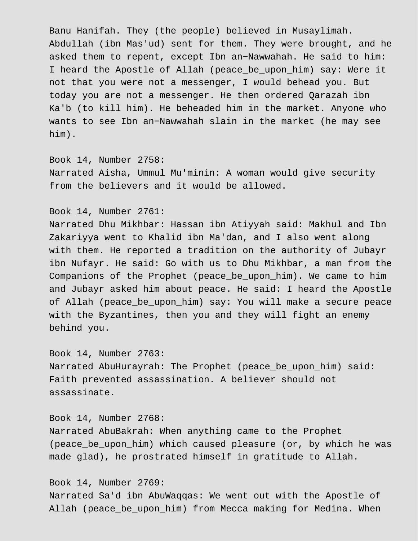Banu Hanifah. They (the people) believed in Musaylimah. Abdullah (ibn Mas'ud) sent for them. They were brought, and he asked them to repent, except Ibn an−Nawwahah. He said to him: I heard the Apostle of Allah (peace\_be\_upon\_him) say: Were it not that you were not a messenger, I would behead you. But today you are not a messenger. He then ordered Qarazah ibn Ka'b (to kill him). He beheaded him in the market. Anyone who wants to see Ibn an−Nawwahah slain in the market (he may see him).

Book 14, Number 2758: Narrated Aisha, Ummul Mu'minin: A woman would give security from the believers and it would be allowed.

Book 14, Number 2761:

Book 14, Number 2769:

Narrated Dhu Mikhbar: Hassan ibn Atiyyah said: Makhul and Ibn Zakariyya went to Khalid ibn Ma'dan, and I also went along with them. He reported a tradition on the authority of Jubayr ibn Nufayr. He said: Go with us to Dhu Mikhbar, a man from the Companions of the Prophet (peace\_be\_upon\_him). We came to him and Jubayr asked him about peace. He said: I heard the Apostle of Allah (peace\_be\_upon\_him) say: You will make a secure peace with the Byzantines, then you and they will fight an enemy behind you.

Book 14, Number 2763: Narrated AbuHurayrah: The Prophet (peace\_be\_upon\_him) said: Faith prevented assassination. A believer should not assassinate.

Book 14, Number 2768: Narrated AbuBakrah: When anything came to the Prophet (peace\_be\_upon\_him) which caused pleasure (or, by which he was made glad), he prostrated himself in gratitude to Allah.

Narrated Sa'd ibn AbuWaqqas: We went out with the Apostle of Allah (peace\_be\_upon\_him) from Mecca making for Medina. When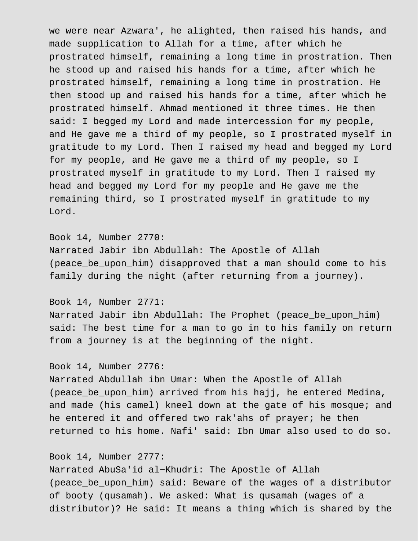we were near Azwara', he alighted, then raised his hands, and made supplication to Allah for a time, after which he prostrated himself, remaining a long time in prostration. Then he stood up and raised his hands for a time, after which he prostrated himself, remaining a long time in prostration. He then stood up and raised his hands for a time, after which he prostrated himself. Ahmad mentioned it three times. He then said: I begged my Lord and made intercession for my people, and He gave me a third of my people, so I prostrated myself in gratitude to my Lord. Then I raised my head and begged my Lord for my people, and He gave me a third of my people, so I prostrated myself in gratitude to my Lord. Then I raised my head and begged my Lord for my people and He gave me the remaining third, so I prostrated myself in gratitude to my Lord.

### Book 14, Number 2770:

Narrated Jabir ibn Abdullah: The Apostle of Allah (peace\_be\_upon\_him) disapproved that a man should come to his family during the night (after returning from a journey).

#### Book 14, Number 2771:

Narrated Jabir ibn Abdullah: The Prophet (peace\_be\_upon\_him) said: The best time for a man to go in to his family on return from a journey is at the beginning of the night.

# Book 14, Number 2776:

Narrated Abdullah ibn Umar: When the Apostle of Allah (peace\_be\_upon\_him) arrived from his hajj, he entered Medina, and made (his camel) kneel down at the gate of his mosque; and he entered it and offered two rak'ahs of prayer; he then returned to his home. Nafi' said: Ibn Umar also used to do so.

#### Book 14, Number 2777:

Narrated AbuSa'id al−Khudri: The Apostle of Allah (peace\_be\_upon\_him) said: Beware of the wages of a distributor of booty (qusamah). We asked: What is qusamah (wages of a distributor)? He said: It means a thing which is shared by the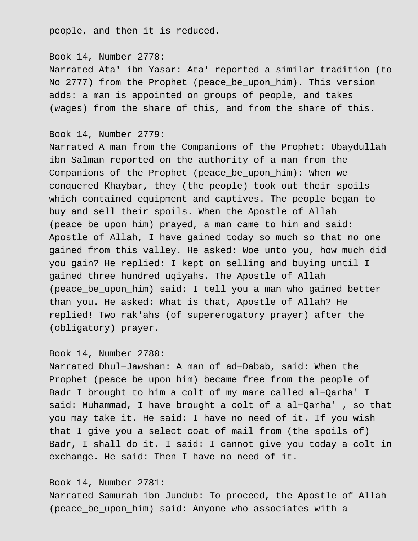people, and then it is reduced.

Book 14, Number 2778:

Narrated Ata' ibn Yasar: Ata' reported a similar tradition (to No 2777) from the Prophet (peace be upon him). This version adds: a man is appointed on groups of people, and takes (wages) from the share of this, and from the share of this.

#### Book 14, Number 2779:

Narrated A man from the Companions of the Prophet: Ubaydullah ibn Salman reported on the authority of a man from the Companions of the Prophet (peace\_be\_upon\_him): When we conquered Khaybar, they (the people) took out their spoils which contained equipment and captives. The people began to buy and sell their spoils. When the Apostle of Allah (peace\_be\_upon\_him) prayed, a man came to him and said: Apostle of Allah, I have gained today so much so that no one gained from this valley. He asked: Woe unto you, how much did you gain? He replied: I kept on selling and buying until I gained three hundred uqiyahs. The Apostle of Allah (peace be upon him) said: I tell you a man who gained better than you. He asked: What is that, Apostle of Allah? He replied! Two rak'ahs (of supererogatory prayer) after the (obligatory) prayer.

# Book 14, Number 2780:

Narrated Dhul−Jawshan: A man of ad−Dabab, said: When the Prophet (peace\_be\_upon\_him) became free from the people of Badr I brought to him a colt of my mare called al−Qarha' I said: Muhammad, I have brought a colt of a al−Qarha' , so that you may take it. He said: I have no need of it. If you wish that I give you a select coat of mail from (the spoils of) Badr, I shall do it. I said: I cannot give you today a colt in exchange. He said: Then I have no need of it.

# Book 14, Number 2781:

Narrated Samurah ibn Jundub: To proceed, the Apostle of Allah (peace\_be\_upon\_him) said: Anyone who associates with a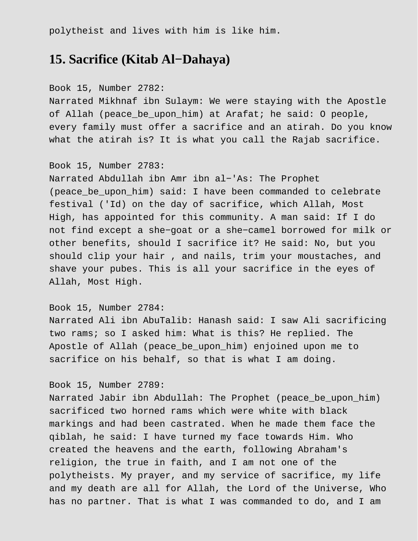polytheist and lives with him is like him.

# **15. Sacrifice (Kitab Al−Dahaya)**

#### Book 15, Number 2782:

Narrated Mikhnaf ibn Sulaym: We were staying with the Apostle of Allah (peace\_be\_upon\_him) at Arafat; he said: O people, every family must offer a sacrifice and an atirah. Do you know what the atirah is? It is what you call the Rajab sacrifice.

# Book 15, Number 2783:

Narrated Abdullah ibn Amr ibn al−'As: The Prophet (peace\_be\_upon\_him) said: I have been commanded to celebrate festival ('Id) on the day of sacrifice, which Allah, Most High, has appointed for this community. A man said: If I do not find except a she−goat or a she−camel borrowed for milk or other benefits, should I sacrifice it? He said: No, but you should clip your hair , and nails, trim your moustaches, and shave your pubes. This is all your sacrifice in the eyes of Allah, Most High.

# Book 15, Number 2784:

Narrated Ali ibn AbuTalib: Hanash said: I saw Ali sacrificing two rams; so I asked him: What is this? He replied. The Apostle of Allah (peace\_be\_upon\_him) enjoined upon me to sacrifice on his behalf, so that is what I am doing.

#### Book 15, Number 2789:

Narrated Jabir ibn Abdullah: The Prophet (peace\_be\_upon\_him) sacrificed two horned rams which were white with black markings and had been castrated. When he made them face the qiblah, he said: I have turned my face towards Him. Who created the heavens and the earth, following Abraham's religion, the true in faith, and I am not one of the polytheists. My prayer, and my service of sacrifice, my life and my death are all for Allah, the Lord of the Universe, Who has no partner. That is what I was commanded to do, and I am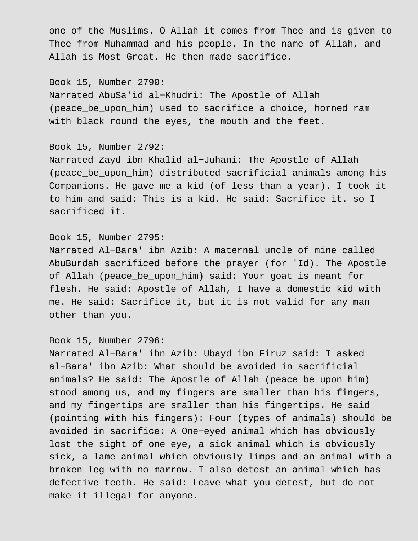one of the Muslims. O Allah it comes from Thee and is given to Thee from Muhammad and his people. In the name of Allah, and Allah is Most Great. He then made sacrifice.

Book 15, Number 2790: Narrated AbuSa'id al−Khudri: The Apostle of Allah (peace\_be\_upon\_him) used to sacrifice a choice, horned ram with black round the eyes, the mouth and the feet.

Book 15, Number 2792:

Narrated Zayd ibn Khalid al−Juhani: The Apostle of Allah (peace be upon him) distributed sacrificial animals among his Companions. He gave me a kid (of less than a year). I took it to him and said: This is a kid. He said: Sacrifice it. so I sacrificed it.

# Book 15, Number 2795:

Narrated Al−Bara' ibn Azib: A maternal uncle of mine called AbuBurdah sacrificed before the prayer (for 'Id). The Apostle of Allah (peace\_be\_upon\_him) said: Your goat is meant for flesh. He said: Apostle of Allah, I have a domestic kid with me. He said: Sacrifice it, but it is not valid for any man other than you.

Book 15, Number 2796:

Narrated Al−Bara' ibn Azib: Ubayd ibn Firuz said: I asked al−Bara' ibn Azib: What should be avoided in sacrificial animals? He said: The Apostle of Allah (peace\_be\_upon\_him) stood among us, and my fingers are smaller than his fingers, and my fingertips are smaller than his fingertips. He said (pointing with his fingers): Four (types of animals) should be avoided in sacrifice: A One−eyed animal which has obviously lost the sight of one eye, a sick animal which is obviously sick, a lame animal which obviously limps and an animal with a broken leg with no marrow. I also detest an animal which has defective teeth. He said: Leave what you detest, but do not make it illegal for anyone.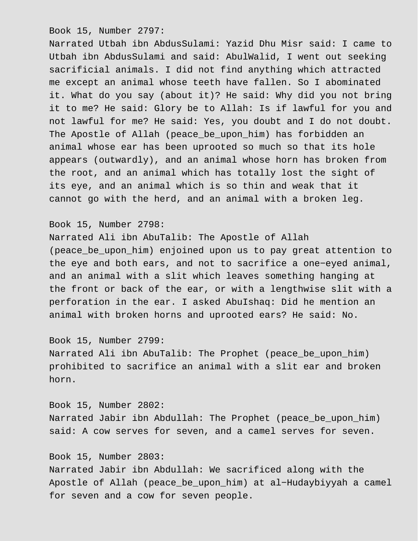Book 15, Number 2797:

Narrated Utbah ibn AbdusSulami: Yazid Dhu Misr said: I came to Utbah ibn AbdusSulami and said: AbulWalid, I went out seeking sacrificial animals. I did not find anything which attracted me except an animal whose teeth have fallen. So I abominated it. What do you say (about it)? He said: Why did you not bring it to me? He said: Glory be to Allah: Is if lawful for you and not lawful for me? He said: Yes, you doubt and I do not doubt. The Apostle of Allah (peace be upon him) has forbidden an animal whose ear has been uprooted so much so that its hole appears (outwardly), and an animal whose horn has broken from the root, and an animal which has totally lost the sight of its eye, and an animal which is so thin and weak that it cannot go with the herd, and an animal with a broken leg.

### Book 15, Number 2798:

Narrated Ali ibn AbuTalib: The Apostle of Allah (peace\_be\_upon\_him) enjoined upon us to pay great attention to the eye and both ears, and not to sacrifice a one−eyed animal, and an animal with a slit which leaves something hanging at the front or back of the ear, or with a lengthwise slit with a perforation in the ear. I asked AbuIshaq: Did he mention an animal with broken horns and uprooted ears? He said: No.

#### Book 15, Number 2799:

Narrated Ali ibn AbuTalib: The Prophet (peace be upon him) prohibited to sacrifice an animal with a slit ear and broken horn.

Book 15, Number 2802: Narrated Jabir ibn Abdullah: The Prophet (peace\_be\_upon\_him) said: A cow serves for seven, and a camel serves for seven.

## Book 15, Number 2803:

Narrated Jabir ibn Abdullah: We sacrificed along with the Apostle of Allah (peace\_be\_upon\_him) at al−Hudaybiyyah a camel for seven and a cow for seven people.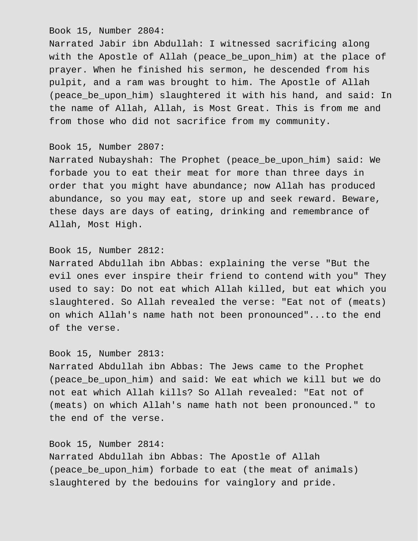Book 15, Number 2804:

Narrated Jabir ibn Abdullah: I witnessed sacrificing along with the Apostle of Allah (peace be upon him) at the place of prayer. When he finished his sermon, he descended from his pulpit, and a ram was brought to him. The Apostle of Allah (peace be upon him) slaughtered it with his hand, and said: In the name of Allah, Allah, is Most Great. This is from me and from those who did not sacrifice from my community.

# Book 15, Number 2807:

Narrated Nubayshah: The Prophet (peace be upon him) said: We forbade you to eat their meat for more than three days in order that you might have abundance; now Allah has produced abundance, so you may eat, store up and seek reward. Beware, these days are days of eating, drinking and remembrance of Allah, Most High.

## Book 15, Number 2812:

Narrated Abdullah ibn Abbas: explaining the verse "But the evil ones ever inspire their friend to contend with you" They used to say: Do not eat which Allah killed, but eat which you slaughtered. So Allah revealed the verse: "Eat not of (meats) on which Allah's name hath not been pronounced"...to the end of the verse.

# Book 15, Number 2813:

Narrated Abdullah ibn Abbas: The Jews came to the Prophet (peace\_be\_upon\_him) and said: We eat which we kill but we do not eat which Allah kills? So Allah revealed: "Eat not of (meats) on which Allah's name hath not been pronounced." to the end of the verse.

# Book 15, Number 2814:

Narrated Abdullah ibn Abbas: The Apostle of Allah (peace be upon him) forbade to eat (the meat of animals) slaughtered by the bedouins for vainglory and pride.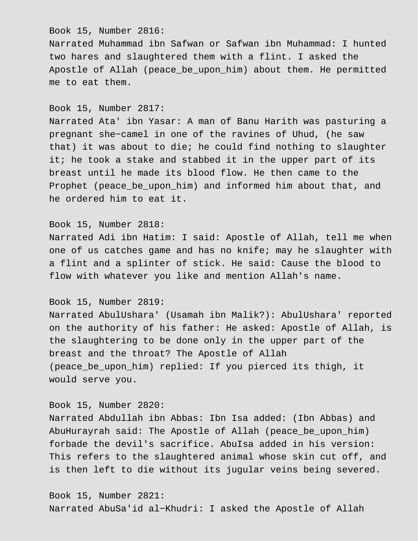#### Book 15, Number 2816:

Narrated Muhammad ibn Safwan or Safwan ibn Muhammad: I hunted two hares and slaughtered them with a flint. I asked the Apostle of Allah (peace\_be\_upon\_him) about them. He permitted me to eat them.

#### Book 15, Number 2817:

Narrated Ata' ibn Yasar: A man of Banu Harith was pasturing a pregnant she−camel in one of the ravines of Uhud, (he saw that) it was about to die; he could find nothing to slaughter it; he took a stake and stabbed it in the upper part of its breast until he made its blood flow. He then came to the Prophet (peace\_be\_upon\_him) and informed him about that, and he ordered him to eat it.

### Book 15, Number 2818:

Narrated Adi ibn Hatim: I said: Apostle of Allah, tell me when one of us catches game and has no knife; may he slaughter with a flint and a splinter of stick. He said: Cause the blood to flow with whatever you like and mention Allah's name.

#### Book 15, Number 2819:

Narrated AbulUshara' (Usamah ibn Malik?): AbulUshara' reported on the authority of his father: He asked: Apostle of Allah, is the slaughtering to be done only in the upper part of the breast and the throat? The Apostle of Allah (peace\_be\_upon\_him) replied: If you pierced its thigh, it would serve you.

## Book 15, Number 2820:

Narrated Abdullah ibn Abbas: Ibn Isa added: (Ibn Abbas) and AbuHurayrah said: The Apostle of Allah (peace\_be\_upon\_him) forbade the devil's sacrifice. AbuIsa added in his version: This refers to the slaughtered animal whose skin cut off, and is then left to die without its jugular veins being severed.

Book 15, Number 2821: Narrated AbuSa'id al−Khudri: I asked the Apostle of Allah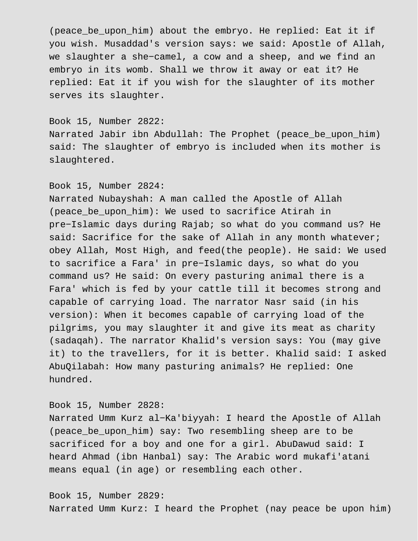(peace be upon him) about the embryo. He replied: Eat it if you wish. Musaddad's version says: we said: Apostle of Allah, we slaughter a she−camel, a cow and a sheep, and we find an embryo in its womb. Shall we throw it away or eat it? He replied: Eat it if you wish for the slaughter of its mother serves its slaughter.

## Book 15, Number 2822:

Narrated Jabir ibn Abdullah: The Prophet (peace\_be\_upon\_him) said: The slaughter of embryo is included when its mother is slaughtered.

#### Book 15, Number 2824:

Narrated Nubayshah: A man called the Apostle of Allah (peace be upon  $him)$ : We used to sacrifice Atirah in pre−Islamic days during Rajab; so what do you command us? He said: Sacrifice for the sake of Allah in any month whatever; obey Allah, Most High, and feed(the people). He said: We used to sacrifice a Fara' in pre−Islamic days, so what do you command us? He said: On every pasturing animal there is a Fara' which is fed by your cattle till it becomes strong and capable of carrying load. The narrator Nasr said (in his version): When it becomes capable of carrying load of the pilgrims, you may slaughter it and give its meat as charity (sadaqah). The narrator Khalid's version says: You (may give it) to the travellers, for it is better. Khalid said: I asked AbuQilabah: How many pasturing animals? He replied: One hundred.

# Book 15, Number 2828:

Narrated Umm Kurz al−Ka'biyyah: I heard the Apostle of Allah (peace\_be\_upon\_him) say: Two resembling sheep are to be sacrificed for a boy and one for a girl. AbuDawud said: I heard Ahmad (ibn Hanbal) say: The Arabic word mukafi'atani means equal (in age) or resembling each other.

# Book 15, Number 2829:

Narrated Umm Kurz: I heard the Prophet (nay peace be upon him)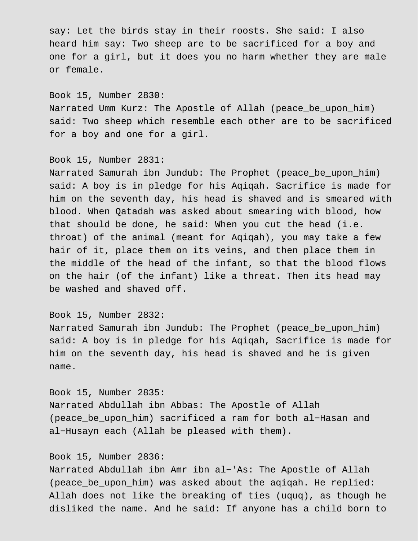say: Let the birds stay in their roosts. She said: I also heard him say: Two sheep are to be sacrificed for a boy and one for a girl, but it does you no harm whether they are male or female.

# Book 15, Number 2830:

Narrated Umm Kurz: The Apostle of Allah (peace\_be\_upon\_him) said: Two sheep which resemble each other are to be sacrificed for a boy and one for a girl.

## Book 15, Number 2831:

Narrated Samurah ibn Jundub: The Prophet (peace be upon him) said: A boy is in pledge for his Aqiqah. Sacrifice is made for him on the seventh day, his head is shaved and is smeared with blood. When Qatadah was asked about smearing with blood, how that should be done, he said: When you cut the head (i.e. throat) of the animal (meant for Aqiqah), you may take a few hair of it, place them on its veins, and then place them in the middle of the head of the infant, so that the blood flows on the hair (of the infant) like a threat. Then its head may be washed and shaved off.

## Book 15, Number 2832:

Narrated Samurah ibn Jundub: The Prophet (peace\_be\_upon\_him) said: A boy is in pledge for his Aqiqah, Sacrifice is made for him on the seventh day, his head is shaved and he is given name.

Book 15, Number 2835: Narrated Abdullah ibn Abbas: The Apostle of Allah (peace\_be\_upon\_him) sacrificed a ram for both al−Hasan and al−Husayn each (Allah be pleased with them).

#### Book 15, Number 2836:

Narrated Abdullah ibn Amr ibn al−'As: The Apostle of Allah (peace\_be\_upon\_him) was asked about the aqiqah. He replied: Allah does not like the breaking of ties (uquq), as though he disliked the name. And he said: If anyone has a child born to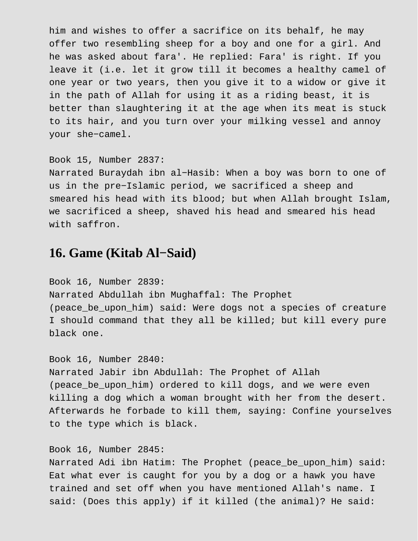him and wishes to offer a sacrifice on its behalf, he may offer two resembling sheep for a boy and one for a girl. And he was asked about fara'. He replied: Fara' is right. If you leave it (i.e. let it grow till it becomes a healthy camel of one year or two years, then you give it to a widow or give it in the path of Allah for using it as a riding beast, it is better than slaughtering it at the age when its meat is stuck to its hair, and you turn over your milking vessel and annoy your she−camel.

```
Book 15, Number 2837:
```
Narrated Buraydah ibn al−Hasib: When a boy was born to one of us in the pre−Islamic period, we sacrificed a sheep and smeared his head with its blood; but when Allah brought Islam, we sacrificed a sheep, shaved his head and smeared his head with saffron.

# **16. Game (Kitab Al−Said)**

Book 16, Number 2839:

Narrated Abdullah ibn Mughaffal: The Prophet (peace\_be\_upon\_him) said: Were dogs not a species of creature I should command that they all be killed; but kill every pure black one.

# Book 16, Number 2840:

Narrated Jabir ibn Abdullah: The Prophet of Allah (peace\_be\_upon\_him) ordered to kill dogs, and we were even killing a dog which a woman brought with her from the desert. Afterwards he forbade to kill them, saying: Confine yourselves to the type which is black.

# Book 16, Number 2845:

Narrated Adi ibn Hatim: The Prophet (peace\_be\_upon\_him) said: Eat what ever is caught for you by a dog or a hawk you have trained and set off when you have mentioned Allah's name. I said: (Does this apply) if it killed (the animal)? He said: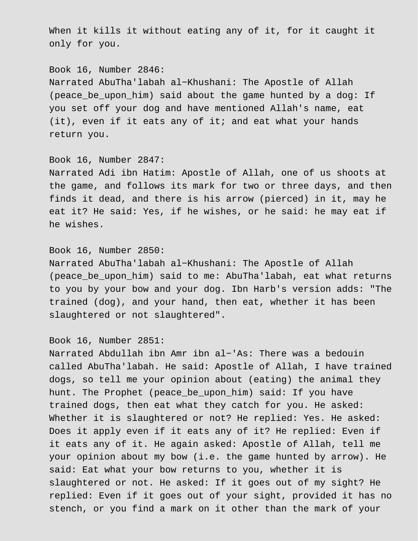When it kills it without eating any of it, for it caught it only for you.

Book 16, Number 2846:

Narrated AbuTha'labah al−Khushani: The Apostle of Allah (peace be upon him) said about the game hunted by a dog: If you set off your dog and have mentioned Allah's name, eat (it), even if it eats any of it; and eat what your hands return you.

Book 16, Number 2847:

Narrated Adi ibn Hatim: Apostle of Allah, one of us shoots at the game, and follows its mark for two or three days, and then finds it dead, and there is his arrow (pierced) in it, may he eat it? He said: Yes, if he wishes, or he said: he may eat if he wishes.

Book 16, Number 2850:

Narrated AbuTha'labah al−Khushani: The Apostle of Allah (peace\_be\_upon\_him) said to me: AbuTha'labah, eat what returns to you by your bow and your dog. Ibn Harb's version adds: "The trained (dog), and your hand, then eat, whether it has been slaughtered or not slaughtered".

Book 16, Number 2851:

Narrated Abdullah ibn Amr ibn al−'As: There was a bedouin called AbuTha'labah. He said: Apostle of Allah, I have trained dogs, so tell me your opinion about (eating) the animal they hunt. The Prophet (peace\_be\_upon\_him) said: If you have trained dogs, then eat what they catch for you. He asked: Whether it is slaughtered or not? He replied: Yes. He asked: Does it apply even if it eats any of it? He replied: Even if it eats any of it. He again asked: Apostle of Allah, tell me your opinion about my bow (i.e. the game hunted by arrow). He said: Eat what your bow returns to you, whether it is slaughtered or not. He asked: If it goes out of my sight? He replied: Even if it goes out of your sight, provided it has no stench, or you find a mark on it other than the mark of your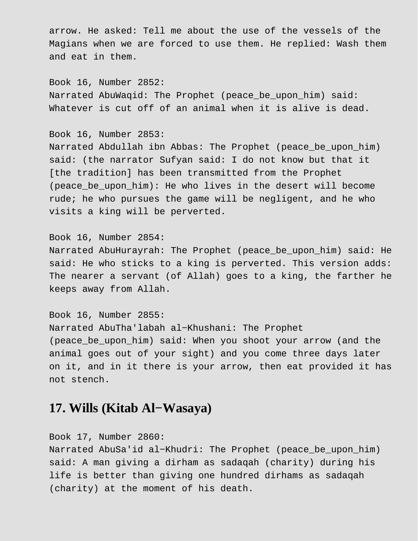arrow. He asked: Tell me about the use of the vessels of the Magians when we are forced to use them. He replied: Wash them and eat in them.

Book 16, Number 2852: Narrated AbuWaqid: The Prophet (peace\_be\_upon\_him) said: Whatever is cut off of an animal when it is alive is dead.

Book 16, Number 2853: Narrated Abdullah ibn Abbas: The Prophet (peace be upon him) said: (the narrator Sufyan said: I do not know but that it [the tradition] has been transmitted from the Prophet (peace be upon him): He who lives in the desert will become rude; he who pursues the game will be negligent, and he who visits a king will be perverted.

Book 16, Number 2854: Narrated AbuHurayrah: The Prophet (peace\_be\_upon\_him) said: He said: He who sticks to a king is perverted. This version adds: The nearer a servant (of Allah) goes to a king, the farther he keeps away from Allah.

Book 16, Number 2855: Narrated AbuTha'labah al−Khushani: The Prophet (peace\_be\_upon\_him) said: When you shoot your arrow (and the animal goes out of your sight) and you come three days later on it, and in it there is your arrow, then eat provided it has not stench.

# **17. Wills (Kitab Al−Wasaya)**

Book 17, Number 2860:

Narrated AbuSa'id al−Khudri: The Prophet (peace\_be\_upon\_him) said: A man giving a dirham as sadaqah (charity) during his life is better than giving one hundred dirhams as sadaqah (charity) at the moment of his death.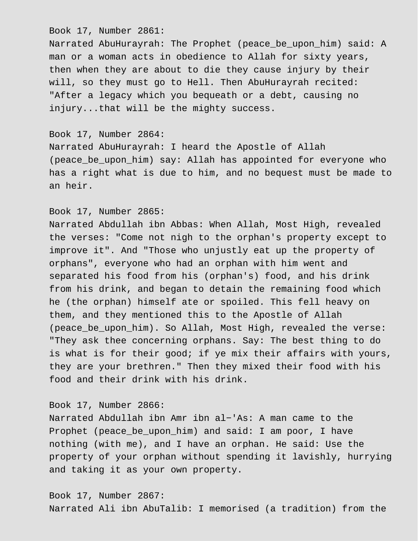#### Book 17, Number 2861:

Narrated AbuHurayrah: The Prophet (peace\_be\_upon\_him) said: A man or a woman acts in obedience to Allah for sixty years, then when they are about to die they cause injury by their will, so they must go to Hell. Then AbuHurayrah recited: "After a legacy which you bequeath or a debt, causing no injury...that will be the mighty success.

#### Book 17, Number 2864:

Narrated AbuHurayrah: I heard the Apostle of Allah (peace\_be\_upon\_him) say: Allah has appointed for everyone who has a right what is due to him, and no bequest must be made to an heir.

# Book 17, Number 2865:

Narrated Abdullah ibn Abbas: When Allah, Most High, revealed the verses: "Come not nigh to the orphan's property except to improve it". And "Those who unjustly eat up the property of orphans", everyone who had an orphan with him went and separated his food from his (orphan's) food, and his drink from his drink, and began to detain the remaining food which he (the orphan) himself ate or spoiled. This fell heavy on them, and they mentioned this to the Apostle of Allah (peace\_be\_upon\_him). So Allah, Most High, revealed the verse: "They ask thee concerning orphans. Say: The best thing to do is what is for their good; if ye mix their affairs with yours, they are your brethren." Then they mixed their food with his food and their drink with his drink.

# Book 17, Number 2866:

Narrated Abdullah ibn Amr ibn al−'As: A man came to the Prophet (peace\_be\_upon\_him) and said: I am poor, I have nothing (with me), and I have an orphan. He said: Use the property of your orphan without spending it lavishly, hurrying and taking it as your own property.

# Book 17, Number 2867:

Narrated Ali ibn AbuTalib: I memorised (a tradition) from the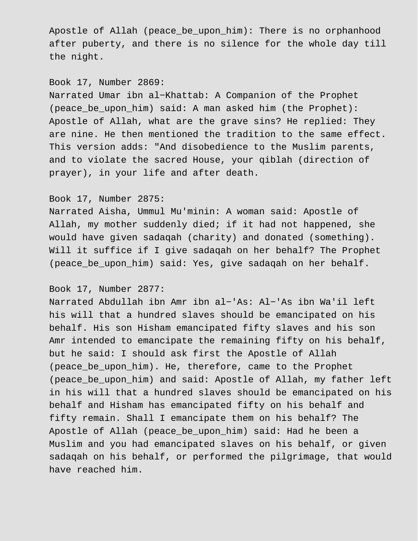Apostle of Allah (peace be upon him): There is no orphanhood after puberty, and there is no silence for the whole day till the night.

# Book 17, Number 2869:

Narrated Umar ibn al−Khattab: A Companion of the Prophet (peace\_be\_upon\_him) said: A man asked him (the Prophet): Apostle of Allah, what are the grave sins? He replied: They are nine. He then mentioned the tradition to the same effect. This version adds: "And disobedience to the Muslim parents, and to violate the sacred House, your qiblah (direction of prayer), in your life and after death.

# Book 17, Number 2875:

Narrated Aisha, Ummul Mu'minin: A woman said: Apostle of Allah, my mother suddenly died; if it had not happened, she would have given sadaqah (charity) and donated (something). Will it suffice if I give sadaqah on her behalf? The Prophet (peace\_be\_upon\_him) said: Yes, give sadaqah on her behalf.

# Book 17, Number 2877:

Narrated Abdullah ibn Amr ibn al−'As: Al−'As ibn Wa'il left his will that a hundred slaves should be emancipated on his behalf. His son Hisham emancipated fifty slaves and his son Amr intended to emancipate the remaining fifty on his behalf, but he said: I should ask first the Apostle of Allah (peace\_be\_upon\_him). He, therefore, came to the Prophet (peace\_be\_upon\_him) and said: Apostle of Allah, my father left in his will that a hundred slaves should be emancipated on his behalf and Hisham has emancipated fifty on his behalf and fifty remain. Shall I emancipate them on his behalf? The Apostle of Allah (peace\_be\_upon\_him) said: Had he been a Muslim and you had emancipated slaves on his behalf, or given sadaqah on his behalf, or performed the pilgrimage, that would have reached him.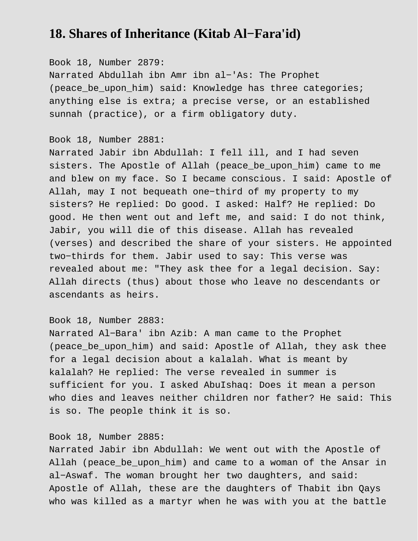# **18. Shares of Inheritance (Kitab Al−Fara'id)**

## Book 18, Number 2879:

Narrated Abdullah ibn Amr ibn al−'As: The Prophet (peace be upon him) said: Knowledge has three categories; anything else is extra; a precise verse, or an established sunnah (practice), or a firm obligatory duty.

# Book 18, Number 2881:

Narrated Jabir ibn Abdullah: I fell ill, and I had seven sisters. The Apostle of Allah (peace be upon him) came to me and blew on my face. So I became conscious. I said: Apostle of Allah, may I not bequeath one−third of my property to my sisters? He replied: Do good. I asked: Half? He replied: Do good. He then went out and left me, and said: I do not think, Jabir, you will die of this disease. Allah has revealed (verses) and described the share of your sisters. He appointed two−thirds for them. Jabir used to say: This verse was revealed about me: "They ask thee for a legal decision. Say: Allah directs (thus) about those who leave no descendants or ascendants as heirs.

# Book 18, Number 2883:

Narrated Al−Bara' ibn Azib: A man came to the Prophet (peace be upon him) and said: Apostle of Allah, they ask thee for a legal decision about a kalalah. What is meant by kalalah? He replied: The verse revealed in summer is sufficient for you. I asked AbuIshaq: Does it mean a person who dies and leaves neither children nor father? He said: This is so. The people think it is so.

# Book 18, Number 2885:

Narrated Jabir ibn Abdullah: We went out with the Apostle of Allah (peace\_be\_upon\_him) and came to a woman of the Ansar in al−Aswaf. The woman brought her two daughters, and said: Apostle of Allah, these are the daughters of Thabit ibn Qays who was killed as a martyr when he was with you at the battle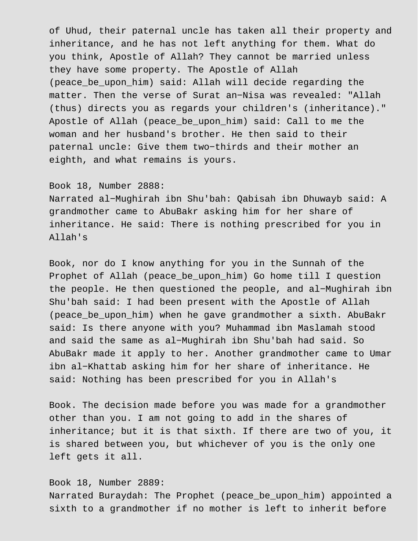of Uhud, their paternal uncle has taken all their property and inheritance, and he has not left anything for them. What do you think, Apostle of Allah? They cannot be married unless they have some property. The Apostle of Allah (peace be upon him) said: Allah will decide regarding the matter. Then the verse of Surat an−Nisa was revealed: "Allah (thus) directs you as regards your children's (inheritance)." Apostle of Allah (peace\_be\_upon\_him) said: Call to me the woman and her husband's brother. He then said to their paternal uncle: Give them two−thirds and their mother an eighth, and what remains is yours.

Book 18, Number 2888:

Narrated al−Mughirah ibn Shu'bah: Qabisah ibn Dhuwayb said: A grandmother came to AbuBakr asking him for her share of inheritance. He said: There is nothing prescribed for you in Allah's

Book, nor do I know anything for you in the Sunnah of the Prophet of Allah (peace\_be\_upon\_him) Go home till I question the people. He then questioned the people, and al−Mughirah ibn Shu'bah said: I had been present with the Apostle of Allah (peace\_be\_upon\_him) when he gave grandmother a sixth. AbuBakr said: Is there anyone with you? Muhammad ibn Maslamah stood and said the same as al−Mughirah ibn Shu'bah had said. So AbuBakr made it apply to her. Another grandmother came to Umar ibn al−Khattab asking him for her share of inheritance. He said: Nothing has been prescribed for you in Allah's

Book. The decision made before you was made for a grandmother other than you. I am not going to add in the shares of inheritance; but it is that sixth. If there are two of you, it is shared between you, but whichever of you is the only one left gets it all.

## Book 18, Number 2889:

Narrated Buraydah: The Prophet (peace\_be\_upon\_him) appointed a sixth to a grandmother if no mother is left to inherit before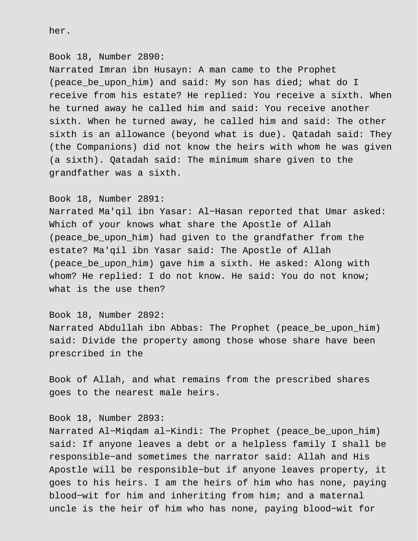her.

# Book 18, Number 2890:

Narrated Imran ibn Husayn: A man came to the Prophet (peace be upon him) and said: My son has died; what do I receive from his estate? He replied: You receive a sixth. When he turned away he called him and said: You receive another sixth. When he turned away, he called him and said: The other sixth is an allowance (beyond what is due). Qatadah said: They (the Companions) did not know the heirs with whom he was given (a sixth). Qatadah said: The minimum share given to the grandfather was a sixth.

# Book 18, Number 2891:

Narrated Ma'qil ibn Yasar: Al−Hasan reported that Umar asked: Which of your knows what share the Apostle of Allah (peace\_be\_upon\_him) had given to the grandfather from the estate? Ma'qil ibn Yasar said: The Apostle of Allah (peace\_be\_upon\_him) gave him a sixth. He asked: Along with whom? He replied: I do not know. He said: You do not know; what is the use then?

#### Book 18, Number 2892:

Narrated Abdullah ibn Abbas: The Prophet (peace\_be\_upon\_him) said: Divide the property among those whose share have been prescribed in the

Book of Allah, and what remains from the prescribed shares goes to the nearest male heirs.

# Book 18, Number 2893:

Narrated Al−Miqdam al−Kindi: The Prophet (peace\_be\_upon\_him) said: If anyone leaves a debt or a helpless family I shall be responsible−and sometimes the narrator said: Allah and His Apostle will be responsible−but if anyone leaves property, it goes to his heirs. I am the heirs of him who has none, paying blood−wit for him and inheriting from him; and a maternal uncle is the heir of him who has none, paying blood−wit for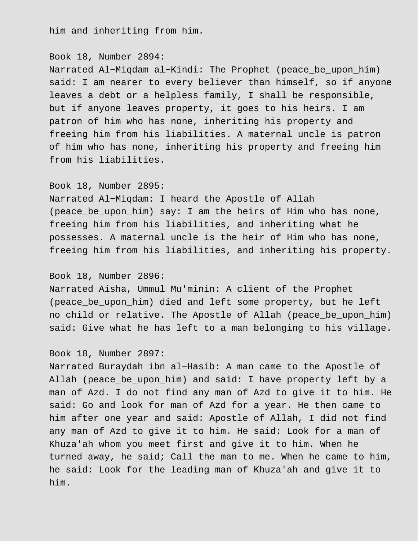him and inheriting from him.

# Book 18, Number 2894:

Narrated Al−Miqdam al−Kindi: The Prophet (peace\_be\_upon\_him) said: I am nearer to every believer than himself, so if anyone leaves a debt or a helpless family, I shall be responsible, but if anyone leaves property, it goes to his heirs. I am patron of him who has none, inheriting his property and freeing him from his liabilities. A maternal uncle is patron of him who has none, inheriting his property and freeing him from his liabilities.

#### Book 18, Number 2895:

Narrated Al−Miqdam: I heard the Apostle of Allah (peace be upon him) say: I am the heirs of Him who has none, freeing him from his liabilities, and inheriting what he possesses. A maternal uncle is the heir of Him who has none, freeing him from his liabilities, and inheriting his property.

#### Book 18, Number 2896:

Narrated Aisha, Ummul Mu'minin: A client of the Prophet (peace\_be\_upon\_him) died and left some property, but he left no child or relative. The Apostle of Allah (peace\_be\_upon\_him) said: Give what he has left to a man belonging to his village.

# Book 18, Number 2897:

Narrated Buraydah ibn al−Hasib: A man came to the Apostle of Allah (peace be upon him) and said: I have property left by a man of Azd. I do not find any man of Azd to give it to him. He said: Go and look for man of Azd for a year. He then came to him after one year and said: Apostle of Allah, I did not find any man of Azd to give it to him. He said: Look for a man of Khuza'ah whom you meet first and give it to him. When he turned away, he said; Call the man to me. When he came to him, he said: Look for the leading man of Khuza'ah and give it to him.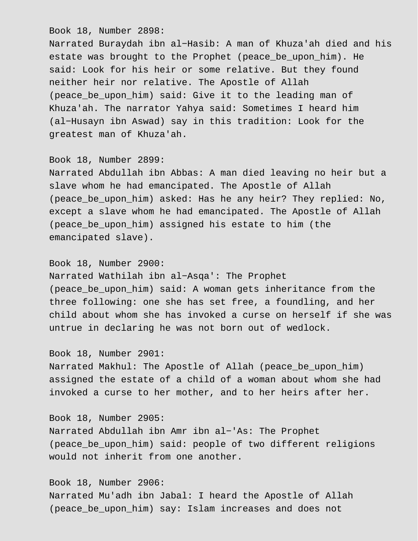Book 18, Number 2898:

Narrated Buraydah ibn al−Hasib: A man of Khuza'ah died and his estate was brought to the Prophet (peace be upon him). He said: Look for his heir or some relative. But they found neither heir nor relative. The Apostle of Allah (peace be upon him) said: Give it to the leading man of Khuza'ah. The narrator Yahya said: Sometimes I heard him (al−Husayn ibn Aswad) say in this tradition: Look for the greatest man of Khuza'ah.

## Book 18, Number 2899:

Narrated Abdullah ibn Abbas: A man died leaving no heir but a slave whom he had emancipated. The Apostle of Allah (peace\_be\_upon\_him) asked: Has he any heir? They replied: No, except a slave whom he had emancipated. The Apostle of Allah (peace\_be\_upon\_him) assigned his estate to him (the emancipated slave).

Book 18, Number 2900: Narrated Wathilah ibn al−Asqa': The Prophet (peace\_be\_upon\_him) said: A woman gets inheritance from the three following: one she has set free, a foundling, and her child about whom she has invoked a curse on herself if she was untrue in declaring he was not born out of wedlock.

Book 18, Number 2901:

Narrated Makhul: The Apostle of Allah (peace\_be\_upon\_him) assigned the estate of a child of a woman about whom she had invoked a curse to her mother, and to her heirs after her.

Book 18, Number 2905: Narrated Abdullah ibn Amr ibn al−'As: The Prophet (peace\_be\_upon\_him) said: people of two different religions would not inherit from one another.

Book 18, Number 2906:

Narrated Mu'adh ibn Jabal: I heard the Apostle of Allah (peace\_be\_upon\_him) say: Islam increases and does not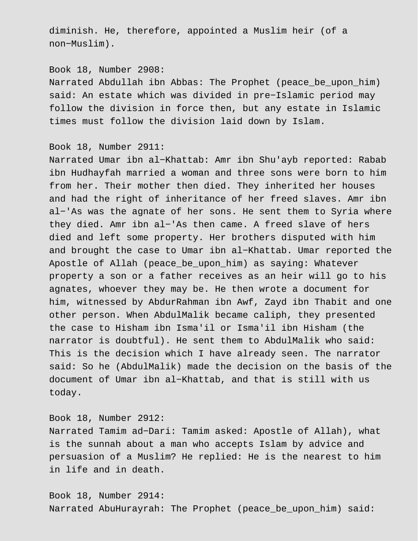diminish. He, therefore, appointed a Muslim heir (of a non−Muslim).

Book 18, Number 2908:

Narrated Abdullah ibn Abbas: The Prophet (peace be upon him) said: An estate which was divided in pre−Islamic period may follow the division in force then, but any estate in Islamic times must follow the division laid down by Islam.

Book 18, Number 2911:

Narrated Umar ibn al−Khattab: Amr ibn Shu'ayb reported: Rabab ibn Hudhayfah married a woman and three sons were born to him from her. Their mother then died. They inherited her houses and had the right of inheritance of her freed slaves. Amr ibn al−'As was the agnate of her sons. He sent them to Syria where they died. Amr ibn al−'As then came. A freed slave of hers died and left some property. Her brothers disputed with him and brought the case to Umar ibn al−Khattab. Umar reported the Apostle of Allah (peace\_be\_upon\_him) as saying: Whatever property a son or a father receives as an heir will go to his agnates, whoever they may be. He then wrote a document for him, witnessed by AbdurRahman ibn Awf, Zayd ibn Thabit and one other person. When AbdulMalik became caliph, they presented the case to Hisham ibn Isma'il or Isma'il ibn Hisham (the narrator is doubtful). He sent them to AbdulMalik who said: This is the decision which I have already seen. The narrator said: So he (AbdulMalik) made the decision on the basis of the document of Umar ibn al−Khattab, and that is still with us today.

# Book 18, Number 2912:

Narrated Tamim ad−Dari: Tamim asked: Apostle of Allah), what is the sunnah about a man who accepts Islam by advice and persuasion of a Muslim? He replied: He is the nearest to him in life and in death.

Book 18, Number 2914: Narrated AbuHurayrah: The Prophet (peace\_be\_upon\_him) said: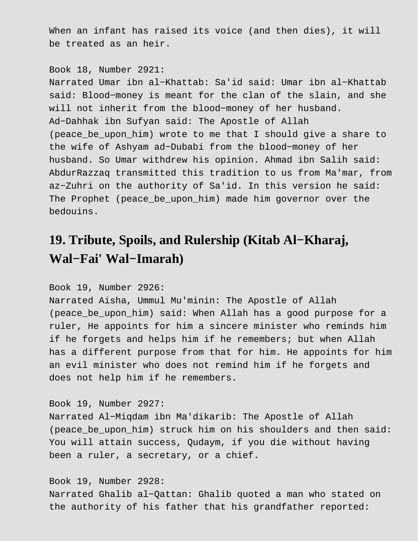When an infant has raised its voice (and then dies), it will be treated as an heir.

# Book 18, Number 2921:

Narrated Umar ibn al−Khattab: Sa'id said: Umar ibn al−Khattab said: Blood−money is meant for the clan of the slain, and she will not inherit from the blood−money of her husband. Ad−Dahhak ibn Sufyan said: The Apostle of Allah (peace\_be\_upon\_him) wrote to me that I should give a share to the wife of Ashyam ad−Dubabi from the blood−money of her husband. So Umar withdrew his opinion. Ahmad ibn Salih said: AbdurRazzaq transmitted this tradition to us from Ma'mar, from az−Zuhri on the authority of Sa'id. In this version he said: The Prophet (peace\_be\_upon\_him) made him governor over the bedouins.

# **19. Tribute, Spoils, and Rulership (Kitab Al−Kharaj, Wal−Fai' Wal−Imarah)**

#### Book 19, Number 2926:

Narrated Aisha, Ummul Mu'minin: The Apostle of Allah (peace\_be\_upon\_him) said: When Allah has a good purpose for a ruler, He appoints for him a sincere minister who reminds him if he forgets and helps him if he remembers; but when Allah has a different purpose from that for him. He appoints for him an evil minister who does not remind him if he forgets and does not help him if he remembers.

# Book 19, Number 2927:

Narrated Al−Miqdam ibn Ma'dikarib: The Apostle of Allah (peace\_be\_upon\_him) struck him on his shoulders and then said: You will attain success, Qudaym, if you die without having been a ruler, a secretary, or a chief.

# Book 19, Number 2928:

Narrated Ghalib al−Qattan: Ghalib quoted a man who stated on the authority of his father that his grandfather reported: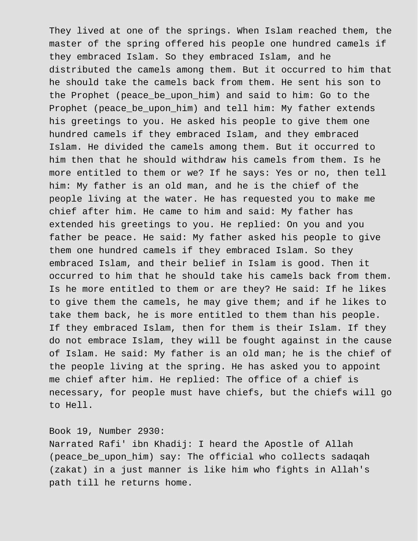They lived at one of the springs. When Islam reached them, the master of the spring offered his people one hundred camels if they embraced Islam. So they embraced Islam, and he distributed the camels among them. But it occurred to him that he should take the camels back from them. He sent his son to the Prophet (peace\_be\_upon\_him) and said to him: Go to the Prophet (peace\_be\_upon\_him) and tell him: My father extends his greetings to you. He asked his people to give them one hundred camels if they embraced Islam, and they embraced Islam. He divided the camels among them. But it occurred to him then that he should withdraw his camels from them. Is he more entitled to them or we? If he says: Yes or no, then tell him: My father is an old man, and he is the chief of the people living at the water. He has requested you to make me chief after him. He came to him and said: My father has extended his greetings to you. He replied: On you and you father be peace. He said: My father asked his people to give them one hundred camels if they embraced Islam. So they embraced Islam, and their belief in Islam is good. Then it occurred to him that he should take his camels back from them. Is he more entitled to them or are they? He said: If he likes to give them the camels, he may give them; and if he likes to take them back, he is more entitled to them than his people. If they embraced Islam, then for them is their Islam. If they do not embrace Islam, they will be fought against in the cause of Islam. He said: My father is an old man; he is the chief of the people living at the spring. He has asked you to appoint me chief after him. He replied: The office of a chief is necessary, for people must have chiefs, but the chiefs will go to Hell.

Book 19, Number 2930:

Narrated Rafi' ibn Khadij: I heard the Apostle of Allah (peace\_be\_upon\_him) say: The official who collects sadaqah (zakat) in a just manner is like him who fights in Allah's path till he returns home.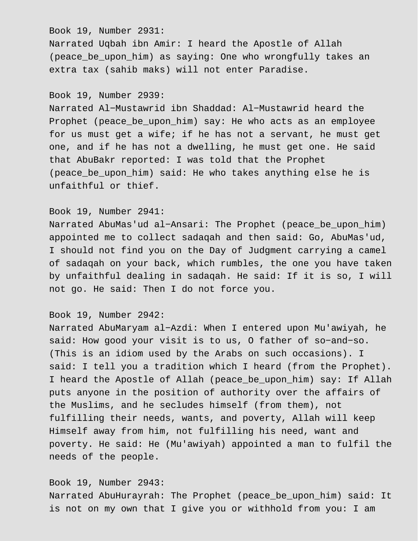#### Book 19, Number 2931:

Narrated Uqbah ibn Amir: I heard the Apostle of Allah (peace\_be\_upon\_him) as saying: One who wrongfully takes an extra tax (sahib maks) will not enter Paradise.

# Book 19, Number 2939:

Narrated Al−Mustawrid ibn Shaddad: Al−Mustawrid heard the Prophet (peace\_be\_upon\_him) say: He who acts as an employee for us must get a wife; if he has not a servant, he must get one, and if he has not a dwelling, he must get one. He said that AbuBakr reported: I was told that the Prophet (peace\_be\_upon\_him) said: He who takes anything else he is unfaithful or thief.

# Book 19, Number 2941:

Narrated AbuMas'ud al−Ansari: The Prophet (peace\_be\_upon\_him) appointed me to collect sadaqah and then said: Go, AbuMas'ud, I should not find you on the Day of Judgment carrying a camel of sadaqah on your back, which rumbles, the one you have taken by unfaithful dealing in sadaqah. He said: If it is so, I will not go. He said: Then I do not force you.

#### Book 19, Number 2942:

Narrated AbuMaryam al−Azdi: When I entered upon Mu'awiyah, he said: How good your visit is to us, O father of so−and−so. (This is an idiom used by the Arabs on such occasions). I said: I tell you a tradition which I heard (from the Prophet). I heard the Apostle of Allah (peace\_be\_upon\_him) say: If Allah puts anyone in the position of authority over the affairs of the Muslims, and he secludes himself (from them), not fulfilling their needs, wants, and poverty, Allah will keep Himself away from him, not fulfilling his need, want and poverty. He said: He (Mu'awiyah) appointed a man to fulfil the needs of the people.

# Book 19, Number 2943:

Narrated AbuHurayrah: The Prophet (peace\_be\_upon\_him) said: It is not on my own that I give you or withhold from you: I am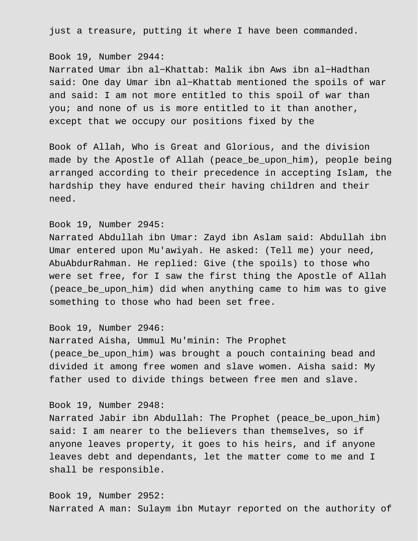just a treasure, putting it where I have been commanded.

# Book 19, Number 2944:

Narrated Umar ibn al−Khattab: Malik ibn Aws ibn al−Hadthan said: One day Umar ibn al−Khattab mentioned the spoils of war and said: I am not more entitled to this spoil of war than you; and none of us is more entitled to it than another, except that we occupy our positions fixed by the

Book of Allah, Who is Great and Glorious, and the division made by the Apostle of Allah (peace\_be\_upon\_him), people being arranged according to their precedence in accepting Islam, the hardship they have endured their having children and their need.

#### Book 19, Number 2945:

Narrated Abdullah ibn Umar: Zayd ibn Aslam said: Abdullah ibn Umar entered upon Mu'awiyah. He asked: (Tell me) your need, AbuAbdurRahman. He replied: Give (the spoils) to those who were set free, for I saw the first thing the Apostle of Allah (peace\_be\_upon\_him) did when anything came to him was to give something to those who had been set free.

## Book 19, Number 2946:

Narrated Aisha, Ummul Mu'minin: The Prophet (peace be upon him) was brought a pouch containing bead and divided it among free women and slave women. Aisha said: My father used to divide things between free men and slave.

# Book 19, Number 2948:

Narrated Jabir ibn Abdullah: The Prophet (peace be upon him) said: I am nearer to the believers than themselves, so if anyone leaves property, it goes to his heirs, and if anyone leaves debt and dependants, let the matter come to me and I shall be responsible.

# Book 19, Number 2952:

Narrated A man: Sulaym ibn Mutayr reported on the authority of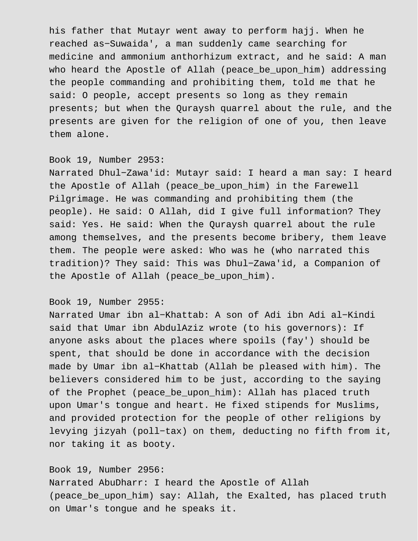his father that Mutayr went away to perform hajj. When he reached as−Suwaida', a man suddenly came searching for medicine and ammonium anthorhizum extract, and he said: A man who heard the Apostle of Allah (peace be upon him) addressing the people commanding and prohibiting them, told me that he said: O people, accept presents so long as they remain presents; but when the Quraysh quarrel about the rule, and the presents are given for the religion of one of you, then leave them alone.

## Book 19, Number 2953:

Narrated Dhul−Zawa'id: Mutayr said: I heard a man say: I heard the Apostle of Allah (peace\_be\_upon\_him) in the Farewell Pilgrimage. He was commanding and prohibiting them (the people). He said: O Allah, did I give full information? They said: Yes. He said: When the Quraysh quarrel about the rule among themselves, and the presents become bribery, them leave them. The people were asked: Who was he (who narrated this tradition)? They said: This was Dhul−Zawa'id, a Companion of the Apostle of Allah (peace\_be\_upon\_him).

# Book 19, Number 2955:

Narrated Umar ibn al−Khattab: A son of Adi ibn Adi al−Kindi said that Umar ibn AbdulAziz wrote (to his governors): If anyone asks about the places where spoils (fay') should be spent, that should be done in accordance with the decision made by Umar ibn al−Khattab (Allah be pleased with him). The believers considered him to be just, according to the saying of the Prophet (peace\_be\_upon\_him): Allah has placed truth upon Umar's tongue and heart. He fixed stipends for Muslims, and provided protection for the people of other religions by levying jizyah (poll−tax) on them, deducting no fifth from it, nor taking it as booty.

### Book 19, Number 2956:

Narrated AbuDharr: I heard the Apostle of Allah (peace\_be\_upon\_him) say: Allah, the Exalted, has placed truth on Umar's tongue and he speaks it.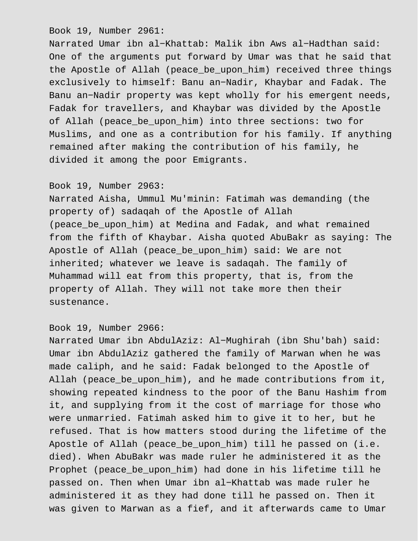# Book 19, Number 2961:

Narrated Umar ibn al−Khattab: Malik ibn Aws al−Hadthan said: One of the arguments put forward by Umar was that he said that the Apostle of Allah (peace\_be\_upon\_him) received three things exclusively to himself: Banu an−Nadir, Khaybar and Fadak. The Banu an−Nadir property was kept wholly for his emergent needs, Fadak for travellers, and Khaybar was divided by the Apostle of Allah (peace\_be\_upon\_him) into three sections: two for Muslims, and one as a contribution for his family. If anything remained after making the contribution of his family, he divided it among the poor Emigrants.

# Book 19, Number 2963:

Narrated Aisha, Ummul Mu'minin: Fatimah was demanding (the property of) sadaqah of the Apostle of Allah (peace\_be\_upon\_him) at Medina and Fadak, and what remained from the fifth of Khaybar. Aisha quoted AbuBakr as saying: The Apostle of Allah (peace\_be\_upon\_him) said: We are not inherited; whatever we leave is sadaqah. The family of Muhammad will eat from this property, that is, from the property of Allah. They will not take more then their sustenance.

# Book 19, Number 2966:

Narrated Umar ibn AbdulAziz: Al−Mughirah (ibn Shu'bah) said: Umar ibn AbdulAziz gathered the family of Marwan when he was made caliph, and he said: Fadak belonged to the Apostle of Allah (peace\_be\_upon\_him), and he made contributions from it, showing repeated kindness to the poor of the Banu Hashim from it, and supplying from it the cost of marriage for those who were unmarried. Fatimah asked him to give it to her, but he refused. That is how matters stood during the lifetime of the Apostle of Allah (peace\_be\_upon\_him) till he passed on (i.e. died). When AbuBakr was made ruler he administered it as the Prophet (peace be upon him) had done in his lifetime till he passed on. Then when Umar ibn al−Khattab was made ruler he administered it as they had done till he passed on. Then it was given to Marwan as a fief, and it afterwards came to Umar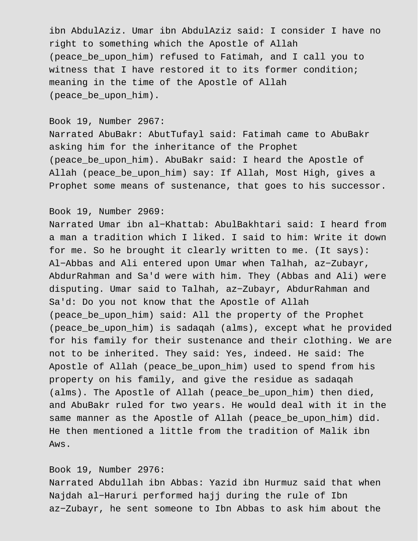ibn AbdulAziz. Umar ibn AbdulAziz said: I consider I have no right to something which the Apostle of Allah (peace\_be\_upon\_him) refused to Fatimah, and I call you to witness that I have restored it to its former condition; meaning in the time of the Apostle of Allah (peace\_be\_upon\_him).

# Book 19, Number 2967:

Narrated AbuBakr: AbutTufayl said: Fatimah came to AbuBakr asking him for the inheritance of the Prophet (peace\_be\_upon\_him). AbuBakr said: I heard the Apostle of Allah (peace\_be\_upon\_him) say: If Allah, Most High, gives a Prophet some means of sustenance, that goes to his successor.

# Book 19, Number 2969:

Narrated Umar ibn al−Khattab: AbulBakhtari said: I heard from a man a tradition which I liked. I said to him: Write it down for me. So he brought it clearly written to me. (It says): Al−Abbas and Ali entered upon Umar when Talhah, az−Zubayr, AbdurRahman and Sa'd were with him. They (Abbas and Ali) were disputing. Umar said to Talhah, az−Zubayr, AbdurRahman and Sa'd: Do you not know that the Apostle of Allah (peace\_be\_upon\_him) said: All the property of the Prophet (peace\_be\_upon\_him) is sadaqah (alms), except what he provided for his family for their sustenance and their clothing. We are not to be inherited. They said: Yes, indeed. He said: The Apostle of Allah (peace\_be\_upon\_him) used to spend from his property on his family, and give the residue as sadaqah (alms). The Apostle of Allah (peace\_be\_upon\_him) then died, and AbuBakr ruled for two years. He would deal with it in the same manner as the Apostle of Allah (peace\_be\_upon\_him) did. He then mentioned a little from the tradition of Malik ibn Aws.

# Book 19, Number 2976:

Narrated Abdullah ibn Abbas: Yazid ibn Hurmuz said that when Najdah al−Haruri performed hajj during the rule of Ibn az−Zubayr, he sent someone to Ibn Abbas to ask him about the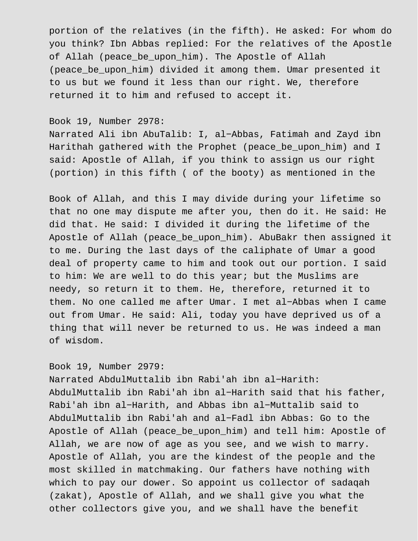portion of the relatives (in the fifth). He asked: For whom do you think? Ibn Abbas replied: For the relatives of the Apostle of Allah (peace\_be\_upon\_him). The Apostle of Allah (peace\_be\_upon\_him) divided it among them. Umar presented it to us but we found it less than our right. We, therefore returned it to him and refused to accept it.

# Book 19, Number 2978:

Narrated Ali ibn AbuTalib: I, al−Abbas, Fatimah and Zayd ibn Harithah gathered with the Prophet (peace be upon him) and I said: Apostle of Allah, if you think to assign us our right (portion) in this fifth ( of the booty) as mentioned in the

Book of Allah, and this I may divide during your lifetime so that no one may dispute me after you, then do it. He said: He did that. He said: I divided it during the lifetime of the Apostle of Allah (peace\_be\_upon\_him). AbuBakr then assigned it to me. During the last days of the caliphate of Umar a good deal of property came to him and took out our portion. I said to him: We are well to do this year; but the Muslims are needy, so return it to them. He, therefore, returned it to them. No one called me after Umar. I met al−Abbas when I came out from Umar. He said: Ali, today you have deprived us of a thing that will never be returned to us. He was indeed a man of wisdom.

# Book 19, Number 2979:

Narrated AbdulMuttalib ibn Rabi'ah ibn al−Harith: AbdulMuttalib ibn Rabi'ah ibn al−Harith said that his father, Rabi'ah ibn al−Harith, and Abbas ibn al−Muttalib said to AbdulMuttalib ibn Rabi'ah and al−Fadl ibn Abbas: Go to the Apostle of Allah (peace\_be\_upon\_him) and tell him: Apostle of Allah, we are now of age as you see, and we wish to marry. Apostle of Allah, you are the kindest of the people and the most skilled in matchmaking. Our fathers have nothing with which to pay our dower. So appoint us collector of sadaqah (zakat), Apostle of Allah, and we shall give you what the other collectors give you, and we shall have the benefit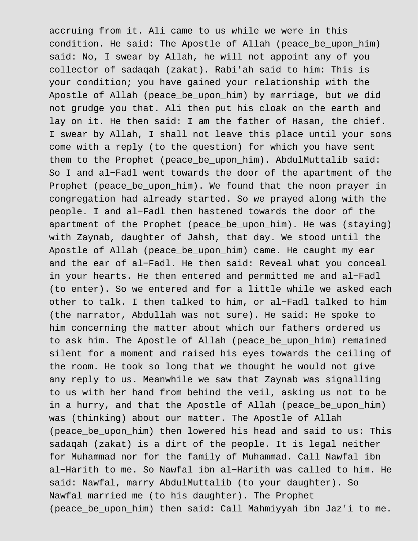accruing from it. Ali came to us while we were in this condition. He said: The Apostle of Allah (peace\_be\_upon\_him) said: No, I swear by Allah, he will not appoint any of you collector of sadaqah (zakat). Rabi'ah said to him: This is your condition; you have gained your relationship with the Apostle of Allah (peace be upon him) by marriage, but we did not grudge you that. Ali then put his cloak on the earth and lay on it. He then said: I am the father of Hasan, the chief. I swear by Allah, I shall not leave this place until your sons come with a reply (to the question) for which you have sent them to the Prophet (peace be upon him). AbdulMuttalib said: So I and al−Fadl went towards the door of the apartment of the Prophet (peace\_be\_upon\_him). We found that the noon prayer in congregation had already started. So we prayed along with the people. I and al−Fadl then hastened towards the door of the apartment of the Prophet (peace\_be\_upon\_him). He was (staying) with Zaynab, daughter of Jahsh, that day. We stood until the Apostle of Allah (peace\_be\_upon\_him) came. He caught my ear and the ear of al−Fadl. He then said: Reveal what you conceal in your hearts. He then entered and permitted me and al−Fadl (to enter). So we entered and for a little while we asked each other to talk. I then talked to him, or al−Fadl talked to him (the narrator, Abdullah was not sure). He said: He spoke to him concerning the matter about which our fathers ordered us to ask him. The Apostle of Allah (peace\_be\_upon\_him) remained silent for a moment and raised his eyes towards the ceiling of the room. He took so long that we thought he would not give any reply to us. Meanwhile we saw that Zaynab was signalling to us with her hand from behind the veil, asking us not to be in a hurry, and that the Apostle of Allah (peace\_be\_upon\_him) was (thinking) about our matter. The Apostle of Allah (peace\_be\_upon\_him) then lowered his head and said to us: This sadaqah (zakat) is a dirt of the people. It is legal neither for Muhammad nor for the family of Muhammad. Call Nawfal ibn al−Harith to me. So Nawfal ibn al−Harith was called to him. He said: Nawfal, marry AbdulMuttalib (to your daughter). So Nawfal married me (to his daughter). The Prophet (peace be upon him) then said: Call Mahmiyyah ibn Jaz'i to me.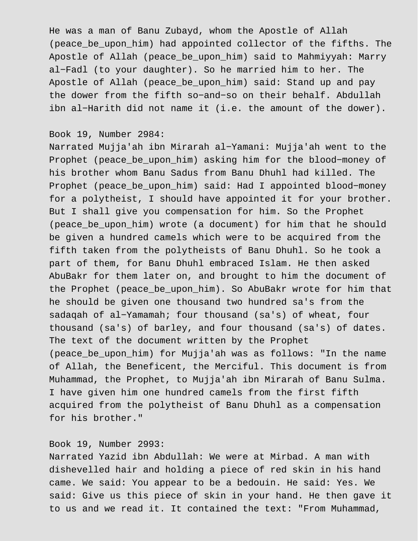He was a man of Banu Zubayd, whom the Apostle of Allah (peace\_be\_upon\_him) had appointed collector of the fifths. The Apostle of Allah (peace\_be\_upon\_him) said to Mahmiyyah: Marry al−Fadl (to your daughter). So he married him to her. The Apostle of Allah (peace be upon him) said: Stand up and pay the dower from the fifth so−and−so on their behalf. Abdullah ibn al−Harith did not name it (i.e. the amount of the dower).

## Book 19, Number 2984:

Narrated Mujja'ah ibn Mirarah al−Yamani: Mujja'ah went to the Prophet (peace\_be\_upon\_him) asking him for the blood−money of his brother whom Banu Sadus from Banu Dhuhl had killed. The Prophet (peace\_be\_upon\_him) said: Had I appointed blood−money for a polytheist, I should have appointed it for your brother. But I shall give you compensation for him. So the Prophet (peace\_be\_upon\_him) wrote (a document) for him that he should be given a hundred camels which were to be acquired from the fifth taken from the polytheists of Banu Dhuhl. So he took a part of them, for Banu Dhuhl embraced Islam. He then asked AbuBakr for them later on, and brought to him the document of the Prophet (peace\_be\_upon\_him). So AbuBakr wrote for him that he should be given one thousand two hundred sa's from the sadaqah of al−Yamamah; four thousand (sa's) of wheat, four thousand (sa's) of barley, and four thousand (sa's) of dates. The text of the document written by the Prophet (peace be upon him) for Mujja'ah was as follows: "In the name of Allah, the Beneficent, the Merciful. This document is from Muhammad, the Prophet, to Mujja'ah ibn Mirarah of Banu Sulma. I have given him one hundred camels from the first fifth acquired from the polytheist of Banu Dhuhl as a compensation for his brother."

# Book 19, Number 2993:

Narrated Yazid ibn Abdullah: We were at Mirbad. A man with dishevelled hair and holding a piece of red skin in his hand came. We said: You appear to be a bedouin. He said: Yes. We said: Give us this piece of skin in your hand. He then gave it to us and we read it. It contained the text: "From Muhammad,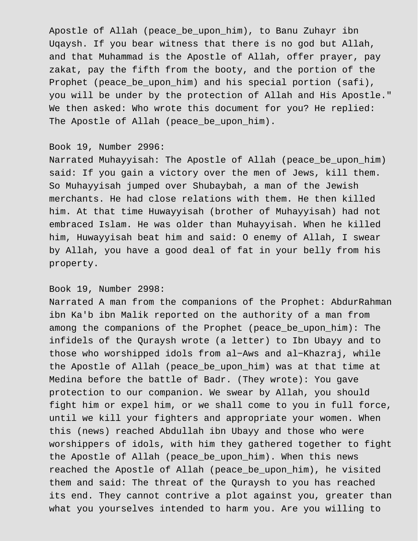Apostle of Allah (peace\_be\_upon\_him), to Banu Zuhayr ibn Uqaysh. If you bear witness that there is no god but Allah, and that Muhammad is the Apostle of Allah, offer prayer, pay zakat, pay the fifth from the booty, and the portion of the Prophet (peace be upon him) and his special portion (safi), you will be under by the protection of Allah and His Apostle." We then asked: Who wrote this document for you? He replied: The Apostle of Allah (peace be upon him).

# Book 19, Number 2996:

Narrated Muhayyisah: The Apostle of Allah (peace be upon him) said: If you gain a victory over the men of Jews, kill them. So Muhayyisah jumped over Shubaybah, a man of the Jewish merchants. He had close relations with them. He then killed him. At that time Huwayyisah (brother of Muhayyisah) had not embraced Islam. He was older than Muhayyisah. When he killed him, Huwayyisah beat him and said: O enemy of Allah, I swear by Allah, you have a good deal of fat in your belly from his property.

# Book 19, Number 2998:

Narrated A man from the companions of the Prophet: AbdurRahman ibn Ka'b ibn Malik reported on the authority of a man from among the companions of the Prophet (peace\_be\_upon\_him): The infidels of the Quraysh wrote (a letter) to Ibn Ubayy and to those who worshipped idols from al−Aws and al−Khazraj, while the Apostle of Allah (peace\_be\_upon\_him) was at that time at Medina before the battle of Badr. (They wrote): You gave protection to our companion. We swear by Allah, you should fight him or expel him, or we shall come to you in full force, until we kill your fighters and appropriate your women. When this (news) reached Abdullah ibn Ubayy and those who were worshippers of idols, with him they gathered together to fight the Apostle of Allah (peace be upon him). When this news reached the Apostle of Allah (peace be upon him), he visited them and said: The threat of the Quraysh to you has reached its end. They cannot contrive a plot against you, greater than what you yourselves intended to harm you. Are you willing to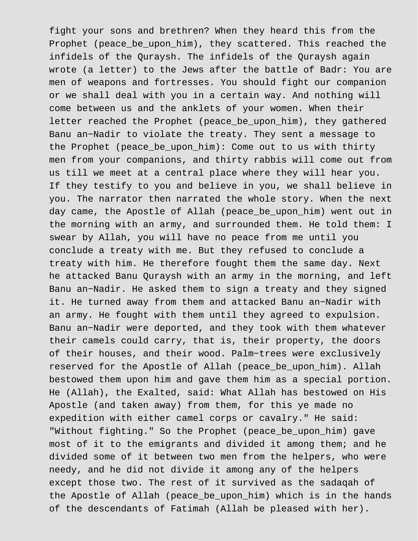fight your sons and brethren? When they heard this from the Prophet (peace\_be\_upon\_him), they scattered. This reached the infidels of the Quraysh. The infidels of the Quraysh again wrote (a letter) to the Jews after the battle of Badr: You are men of weapons and fortresses. You should fight our companion or we shall deal with you in a certain way. And nothing will come between us and the anklets of your women. When their letter reached the Prophet (peace\_be\_upon\_him), they gathered Banu an−Nadir to violate the treaty. They sent a message to the Prophet (peace be upon him): Come out to us with thirty men from your companions, and thirty rabbis will come out from us till we meet at a central place where they will hear you. If they testify to you and believe in you, we shall believe in you. The narrator then narrated the whole story. When the next day came, the Apostle of Allah (peace be upon him) went out in the morning with an army, and surrounded them. He told them: I swear by Allah, you will have no peace from me until you conclude a treaty with me. But they refused to conclude a treaty with him. He therefore fought them the same day. Next he attacked Banu Quraysh with an army in the morning, and left Banu an−Nadir. He asked them to sign a treaty and they signed it. He turned away from them and attacked Banu an−Nadir with an army. He fought with them until they agreed to expulsion. Banu an−Nadir were deported, and they took with them whatever their camels could carry, that is, their property, the doors of their houses, and their wood. Palm−trees were exclusively reserved for the Apostle of Allah (peace\_be\_upon\_him). Allah bestowed them upon him and gave them him as a special portion. He (Allah), the Exalted, said: What Allah has bestowed on His Apostle (and taken away) from them, for this ye made no expedition with either camel corps or cavalry." He said: "Without fighting." So the Prophet (peace\_be\_upon\_him) gave most of it to the emigrants and divided it among them; and he divided some of it between two men from the helpers, who were needy, and he did not divide it among any of the helpers except those two. The rest of it survived as the sadaqah of the Apostle of Allah (peace\_be\_upon\_him) which is in the hands of the descendants of Fatimah (Allah be pleased with her).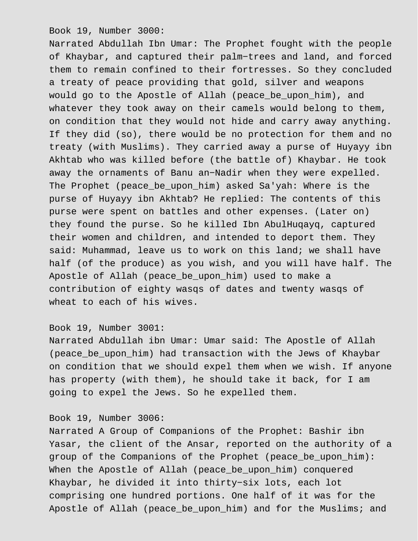Book 19, Number 3000:

Narrated Abdullah Ibn Umar: The Prophet fought with the people of Khaybar, and captured their palm−trees and land, and forced them to remain confined to their fortresses. So they concluded a treaty of peace providing that gold, silver and weapons would go to the Apostle of Allah (peace be upon him), and whatever they took away on their camels would belong to them, on condition that they would not hide and carry away anything. If they did (so), there would be no protection for them and no treaty (with Muslims). They carried away a purse of Huyayy ibn Akhtab who was killed before (the battle of) Khaybar. He took away the ornaments of Banu an−Nadir when they were expelled. The Prophet (peace\_be\_upon\_him) asked Sa'yah: Where is the purse of Huyayy ibn Akhtab? He replied: The contents of this purse were spent on battles and other expenses. (Later on) they found the purse. So he killed Ibn AbulHuqayq, captured their women and children, and intended to deport them. They said: Muhammad, leave us to work on this land; we shall have half (of the produce) as you wish, and you will have half. The Apostle of Allah (peace be upon him) used to make a contribution of eighty wasqs of dates and twenty wasqs of wheat to each of his wives.

# Book 19, Number 3001:

Narrated Abdullah ibn Umar: Umar said: The Apostle of Allah (peace be upon him) had transaction with the Jews of Khaybar on condition that we should expel them when we wish. If anyone has property (with them), he should take it back, for I am going to expel the Jews. So he expelled them.

# Book 19, Number 3006:

Narrated A Group of Companions of the Prophet: Bashir ibn Yasar, the client of the Ansar, reported on the authority of a group of the Companions of the Prophet (peace\_be\_upon\_him): When the Apostle of Allah (peace be upon him) conquered Khaybar, he divided it into thirty−six lots, each lot comprising one hundred portions. One half of it was for the Apostle of Allah (peace\_be\_upon\_him) and for the Muslims; and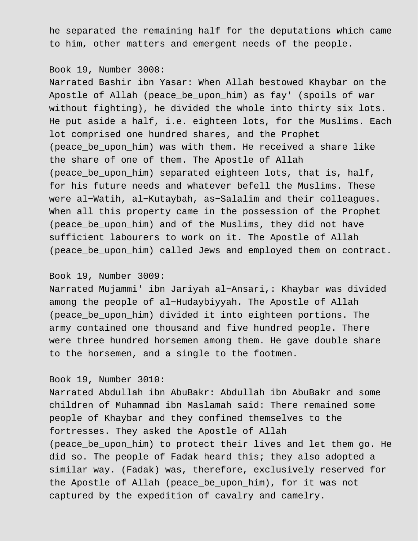he separated the remaining half for the deputations which came to him, other matters and emergent needs of the people.

# Book 19, Number 3008:

Narrated Bashir ibn Yasar: When Allah bestowed Khaybar on the Apostle of Allah (peace\_be\_upon\_him) as fay' (spoils of war without fighting), he divided the whole into thirty six lots. He put aside a half, i.e. eighteen lots, for the Muslims. Each lot comprised one hundred shares, and the Prophet (peace be upon him) was with them. He received a share like the share of one of them. The Apostle of Allah (peace\_be\_upon\_him) separated eighteen lots, that is, half, for his future needs and whatever befell the Muslims. These were al−Watih, al−Kutaybah, as−Salalim and their colleagues. When all this property came in the possession of the Prophet (peace\_be\_upon\_him) and of the Muslims, they did not have sufficient labourers to work on it. The Apostle of Allah (peace\_be\_upon\_him) called Jews and employed them on contract.

## Book 19, Number 3009:

Narrated Mujammi' ibn Jariyah al−Ansari,: Khaybar was divided among the people of al−Hudaybiyyah. The Apostle of Allah (peace\_be\_upon\_him) divided it into eighteen portions. The army contained one thousand and five hundred people. There were three hundred horsemen among them. He gave double share to the horsemen, and a single to the footmen.

# Book 19, Number 3010:

Narrated Abdullah ibn AbuBakr: Abdullah ibn AbuBakr and some children of Muhammad ibn Maslamah said: There remained some people of Khaybar and they confined themselves to the fortresses. They asked the Apostle of Allah (peace\_be\_upon\_him) to protect their lives and let them go. He did so. The people of Fadak heard this; they also adopted a similar way. (Fadak) was, therefore, exclusively reserved for the Apostle of Allah (peace\_be\_upon\_him), for it was not captured by the expedition of cavalry and camelry.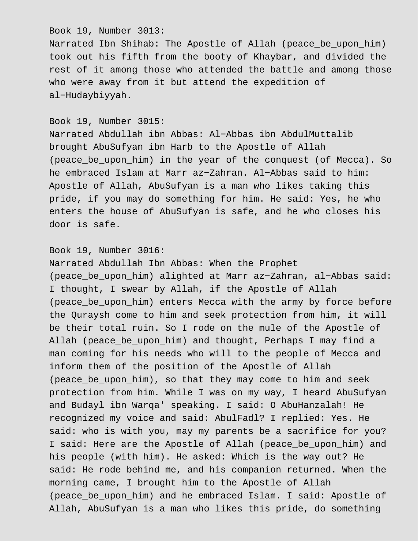## Book 19, Number 3013:

Narrated Ibn Shihab: The Apostle of Allah (peace\_be\_upon\_him) took out his fifth from the booty of Khaybar, and divided the rest of it among those who attended the battle and among those who were away from it but attend the expedition of al−Hudaybiyyah.

# Book 19, Number 3015:

Narrated Abdullah ibn Abbas: Al−Abbas ibn AbdulMuttalib brought AbuSufyan ibn Harb to the Apostle of Allah (peace be upon him) in the year of the conquest (of Mecca). So he embraced Islam at Marr az−Zahran. Al−Abbas said to him: Apostle of Allah, AbuSufyan is a man who likes taking this pride, if you may do something for him. He said: Yes, he who enters the house of AbuSufyan is safe, and he who closes his door is safe.

# Book 19, Number 3016:

Narrated Abdullah Ibn Abbas: When the Prophet (peace\_be\_upon\_him) alighted at Marr az−Zahran, al−Abbas said: I thought, I swear by Allah, if the Apostle of Allah (peace\_be\_upon\_him) enters Mecca with the army by force before the Quraysh come to him and seek protection from him, it will be their total ruin. So I rode on the mule of the Apostle of Allah (peace\_be\_upon\_him) and thought, Perhaps I may find a man coming for his needs who will to the people of Mecca and inform them of the position of the Apostle of Allah (peace\_be\_upon\_him), so that they may come to him and seek protection from him. While I was on my way, I heard AbuSufyan and Budayl ibn Warqa' speaking. I said: O AbuHanzalah! He recognized my voice and said: AbulFadl? I replied: Yes. He said: who is with you, may my parents be a sacrifice for you? I said: Here are the Apostle of Allah (peace be upon him) and his people (with him). He asked: Which is the way out? He said: He rode behind me, and his companion returned. When the morning came, I brought him to the Apostle of Allah (peace\_be\_upon\_him) and he embraced Islam. I said: Apostle of Allah, AbuSufyan is a man who likes this pride, do something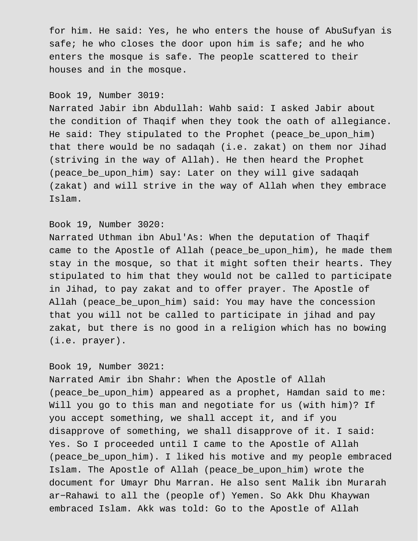for him. He said: Yes, he who enters the house of AbuSufyan is safe; he who closes the door upon him is safe; and he who enters the mosque is safe. The people scattered to their houses and in the mosque.

## Book 19, Number 3019:

Narrated Jabir ibn Abdullah: Wahb said: I asked Jabir about the condition of Thaqif when they took the oath of allegiance. He said: They stipulated to the Prophet (peace\_be\_upon\_him) that there would be no sadaqah (i.e. zakat) on them nor Jihad (striving in the way of Allah). He then heard the Prophet (peace\_be\_upon\_him) say: Later on they will give sadaqah (zakat) and will strive in the way of Allah when they embrace Islam.

## Book 19, Number 3020:

Narrated Uthman ibn Abul'As: When the deputation of Thaqif came to the Apostle of Allah (peace\_be\_upon\_him), he made them stay in the mosque, so that it might soften their hearts. They stipulated to him that they would not be called to participate in Jihad, to pay zakat and to offer prayer. The Apostle of Allah (peace\_be\_upon\_him) said: You may have the concession that you will not be called to participate in jihad and pay zakat, but there is no good in a religion which has no bowing (i.e. prayer).

## Book 19, Number 3021:

Narrated Amir ibn Shahr: When the Apostle of Allah (peace\_be\_upon\_him) appeared as a prophet, Hamdan said to me: Will you go to this man and negotiate for us (with him)? If you accept something, we shall accept it, and if you disapprove of something, we shall disapprove of it. I said: Yes. So I proceeded until I came to the Apostle of Allah (peace\_be\_upon\_him). I liked his motive and my people embraced Islam. The Apostle of Allah (peace be upon him) wrote the document for Umayr Dhu Marran. He also sent Malik ibn Murarah ar−Rahawi to all the (people of) Yemen. So Akk Dhu Khaywan embraced Islam. Akk was told: Go to the Apostle of Allah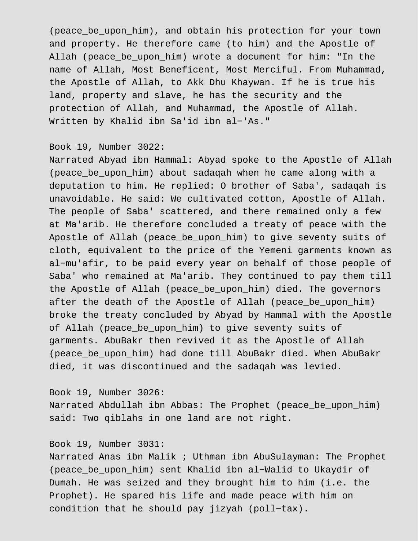(peace be upon him), and obtain his protection for your town and property. He therefore came (to him) and the Apostle of Allah (peace be upon him) wrote a document for him: "In the name of Allah, Most Beneficent, Most Merciful. From Muhammad, the Apostle of Allah, to Akk Dhu Khaywan. If he is true his land, property and slave, he has the security and the protection of Allah, and Muhammad, the Apostle of Allah. Written by Khalid ibn Sa'id ibn al−'As."

# Book 19, Number 3022:

Narrated Abyad ibn Hammal: Abyad spoke to the Apostle of Allah (peace\_be\_upon\_him) about sadaqah when he came along with a deputation to him. He replied: O brother of Saba', sadaqah is unavoidable. He said: We cultivated cotton, Apostle of Allah. The people of Saba' scattered, and there remained only a few at Ma'arib. He therefore concluded a treaty of peace with the Apostle of Allah (peace\_be\_upon\_him) to give seventy suits of cloth, equivalent to the price of the Yemeni garments known as al−mu'afir, to be paid every year on behalf of those people of Saba' who remained at Ma'arib. They continued to pay them till the Apostle of Allah (peace\_be\_upon\_him) died. The governors after the death of the Apostle of Allah (peace\_be\_upon\_him) broke the treaty concluded by Abyad by Hammal with the Apostle of Allah (peace\_be\_upon\_him) to give seventy suits of garments. AbuBakr then revived it as the Apostle of Allah (peace be upon him) had done till AbuBakr died. When AbuBakr died, it was discontinued and the sadaqah was levied.

# Book 19, Number 3026:

Narrated Abdullah ibn Abbas: The Prophet (peace\_be\_upon\_him) said: Two qiblahs in one land are not right.

# Book 19, Number 3031:

Narrated Anas ibn Malik ; Uthman ibn AbuSulayman: The Prophet (peace\_be\_upon\_him) sent Khalid ibn al−Walid to Ukaydir of Dumah. He was seized and they brought him to him (i.e. the Prophet). He spared his life and made peace with him on condition that he should pay jizyah (poll−tax).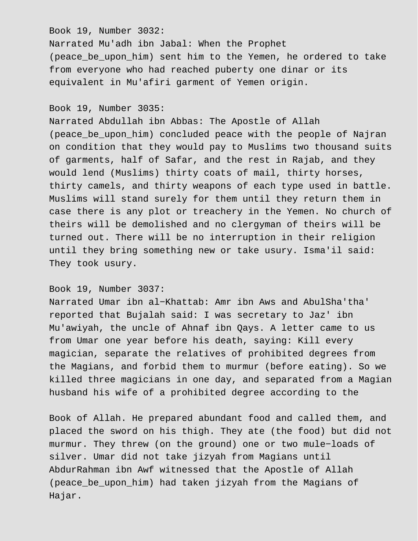# Book 19, Number 3032:

Narrated Mu'adh ibn Jabal: When the Prophet (peace be upon him) sent him to the Yemen, he ordered to take from everyone who had reached puberty one dinar or its equivalent in Mu'afiri garment of Yemen origin.

# Book 19, Number 3035:

Narrated Abdullah ibn Abbas: The Apostle of Allah (peace\_be\_upon\_him) concluded peace with the people of Najran on condition that they would pay to Muslims two thousand suits of garments, half of Safar, and the rest in Rajab, and they would lend (Muslims) thirty coats of mail, thirty horses, thirty camels, and thirty weapons of each type used in battle. Muslims will stand surely for them until they return them in case there is any plot or treachery in the Yemen. No church of theirs will be demolished and no clergyman of theirs will be turned out. There will be no interruption in their religion until they bring something new or take usury. Isma'il said: They took usury.

# Book 19, Number 3037:

Narrated Umar ibn al−Khattab: Amr ibn Aws and AbulSha'tha' reported that Bujalah said: I was secretary to Jaz' ibn Mu'awiyah, the uncle of Ahnaf ibn Qays. A letter came to us from Umar one year before his death, saying: Kill every magician, separate the relatives of prohibited degrees from the Magians, and forbid them to murmur (before eating). So we killed three magicians in one day, and separated from a Magian husband his wife of a prohibited degree according to the

Book of Allah. He prepared abundant food and called them, and placed the sword on his thigh. They ate (the food) but did not murmur. They threw (on the ground) one or two mule−loads of silver. Umar did not take jizyah from Magians until AbdurRahman ibn Awf witnessed that the Apostle of Allah (peace\_be\_upon\_him) had taken jizyah from the Magians of Hajar.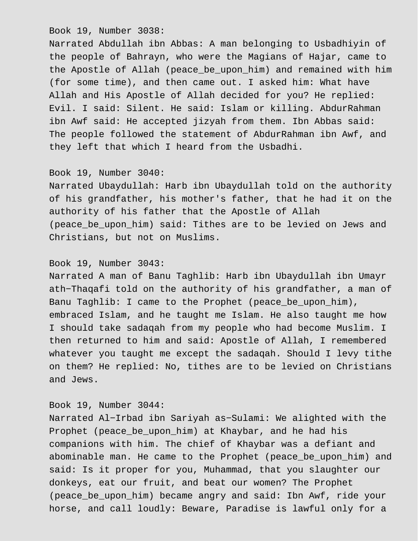Book 19, Number 3038:

Narrated Abdullah ibn Abbas: A man belonging to Usbadhiyin of the people of Bahrayn, who were the Magians of Hajar, came to the Apostle of Allah (peace\_be\_upon\_him) and remained with him (for some time), and then came out. I asked him: What have Allah and His Apostle of Allah decided for you? He replied: Evil. I said: Silent. He said: Islam or killing. AbdurRahman ibn Awf said: He accepted jizyah from them. Ibn Abbas said: The people followed the statement of AbdurRahman ibn Awf, and they left that which I heard from the Usbadhi.

# Book 19, Number 3040:

Narrated Ubaydullah: Harb ibn Ubaydullah told on the authority of his grandfather, his mother's father, that he had it on the authority of his father that the Apostle of Allah (peace\_be\_upon\_him) said: Tithes are to be levied on Jews and Christians, but not on Muslims.

## Book 19, Number 3043:

Narrated A man of Banu Taghlib: Harb ibn Ubaydullah ibn Umayr ath−Thaqafi told on the authority of his grandfather, a man of Banu Taghlib: I came to the Prophet (peace\_be\_upon\_him), embraced Islam, and he taught me Islam. He also taught me how I should take sadaqah from my people who had become Muslim. I then returned to him and said: Apostle of Allah, I remembered whatever you taught me except the sadaqah. Should I levy tithe on them? He replied: No, tithes are to be levied on Christians and Jews.

# Book 19, Number 3044:

Narrated Al−Irbad ibn Sariyah as−Sulami: We alighted with the Prophet (peace\_be\_upon\_him) at Khaybar, and he had his companions with him. The chief of Khaybar was a defiant and abominable man. He came to the Prophet (peace\_be\_upon\_him) and said: Is it proper for you, Muhammad, that you slaughter our donkeys, eat our fruit, and beat our women? The Prophet (peace\_be\_upon\_him) became angry and said: Ibn Awf, ride your horse, and call loudly: Beware, Paradise is lawful only for a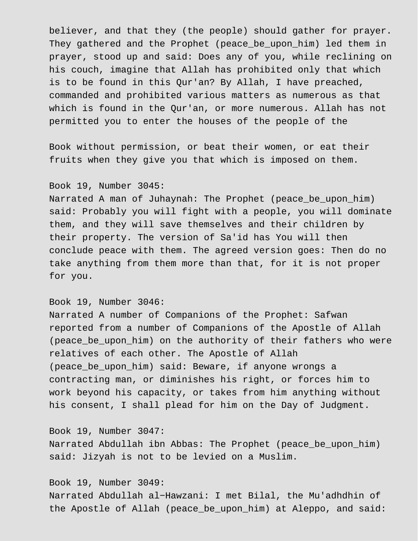believer, and that they (the people) should gather for prayer. They gathered and the Prophet (peace\_be\_upon\_him) led them in prayer, stood up and said: Does any of you, while reclining on his couch, imagine that Allah has prohibited only that which is to be found in this Qur'an? By Allah, I have preached, commanded and prohibited various matters as numerous as that which is found in the Qur'an, or more numerous. Allah has not permitted you to enter the houses of the people of the

Book without permission, or beat their women, or eat their fruits when they give you that which is imposed on them.

### Book 19, Number 3045:

Narrated A man of Juhaynah: The Prophet (peace\_be\_upon\_him) said: Probably you will fight with a people, you will dominate them, and they will save themselves and their children by their property. The version of Sa'id has You will then conclude peace with them. The agreed version goes: Then do no take anything from them more than that, for it is not proper for you.

#### Book 19, Number 3046:

Narrated A number of Companions of the Prophet: Safwan reported from a number of Companions of the Apostle of Allah (peace\_be\_upon\_him) on the authority of their fathers who were relatives of each other. The Apostle of Allah (peace\_be\_upon\_him) said: Beware, if anyone wrongs a contracting man, or diminishes his right, or forces him to work beyond his capacity, or takes from him anything without his consent, I shall plead for him on the Day of Judgment.

Book 19, Number 3047: Narrated Abdullah ibn Abbas: The Prophet (peace\_be\_upon\_him) said: Jizyah is not to be levied on a Muslim.

Book 19, Number 3049: Narrated Abdullah al−Hawzani: I met Bilal, the Mu'adhdhin of the Apostle of Allah (peace\_be\_upon\_him) at Aleppo, and said: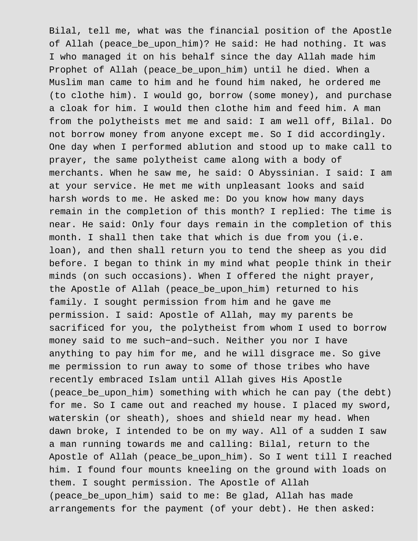Bilal, tell me, what was the financial position of the Apostle of Allah (peace\_be\_upon\_him)? He said: He had nothing. It was I who managed it on his behalf since the day Allah made him Prophet of Allah (peace\_be\_upon\_him) until he died. When a Muslim man came to him and he found him naked, he ordered me (to clothe him). I would go, borrow (some money), and purchase a cloak for him. I would then clothe him and feed him. A man from the polytheists met me and said: I am well off, Bilal. Do not borrow money from anyone except me. So I did accordingly. One day when I performed ablution and stood up to make call to prayer, the same polytheist came along with a body of merchants. When he saw me, he said: O Abyssinian. I said: I am at your service. He met me with unpleasant looks and said harsh words to me. He asked me: Do you know how many days remain in the completion of this month? I replied: The time is near. He said: Only four days remain in the completion of this month. I shall then take that which is due from you (i.e. loan), and then shall return you to tend the sheep as you did before. I began to think in my mind what people think in their minds (on such occasions). When I offered the night prayer, the Apostle of Allah (peace be upon him) returned to his family. I sought permission from him and he gave me permission. I said: Apostle of Allah, may my parents be sacrificed for you, the polytheist from whom I used to borrow money said to me such−and−such. Neither you nor I have anything to pay him for me, and he will disgrace me. So give me permission to run away to some of those tribes who have recently embraced Islam until Allah gives His Apostle (peace\_be\_upon\_him) something with which he can pay (the debt) for me. So I came out and reached my house. I placed my sword, waterskin (or sheath), shoes and shield near my head. When dawn broke, I intended to be on my way. All of a sudden I saw a man running towards me and calling: Bilal, return to the Apostle of Allah (peace\_be\_upon\_him). So I went till I reached him. I found four mounts kneeling on the ground with loads on them. I sought permission. The Apostle of Allah (peace\_be\_upon\_him) said to me: Be glad, Allah has made arrangements for the payment (of your debt). He then asked: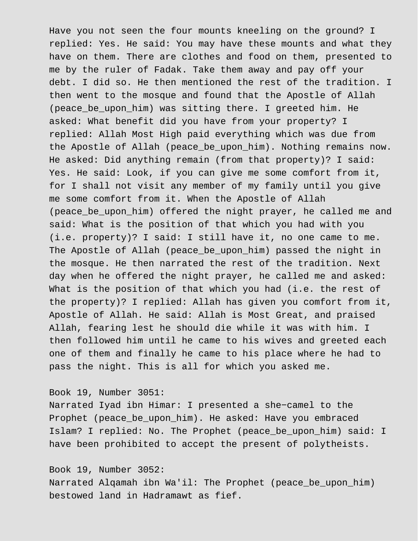Have you not seen the four mounts kneeling on the ground? I replied: Yes. He said: You may have these mounts and what they have on them. There are clothes and food on them, presented to me by the ruler of Fadak. Take them away and pay off your debt. I did so. He then mentioned the rest of the tradition. I then went to the mosque and found that the Apostle of Allah (peace\_be\_upon\_him) was sitting there. I greeted him. He asked: What benefit did you have from your property? I replied: Allah Most High paid everything which was due from the Apostle of Allah (peace be upon him). Nothing remains now. He asked: Did anything remain (from that property)? I said: Yes. He said: Look, if you can give me some comfort from it, for I shall not visit any member of my family until you give me some comfort from it. When the Apostle of Allah (peace be upon him) offered the night prayer, he called me and said: What is the position of that which you had with you (i.e. property)? I said: I still have it, no one came to me. The Apostle of Allah (peace\_be\_upon\_him) passed the night in the mosque. He then narrated the rest of the tradition. Next day when he offered the night prayer, he called me and asked: What is the position of that which you had (i.e. the rest of the property)? I replied: Allah has given you comfort from it, Apostle of Allah. He said: Allah is Most Great, and praised Allah, fearing lest he should die while it was with him. I then followed him until he came to his wives and greeted each one of them and finally he came to his place where he had to pass the night. This is all for which you asked me.

# Book 19, Number 3051:

Narrated Iyad ibn Himar: I presented a she−camel to the Prophet (peace\_be\_upon\_him). He asked: Have you embraced Islam? I replied: No. The Prophet (peace\_be\_upon\_him) said: I have been prohibited to accept the present of polytheists.

Book 19, Number 3052: Narrated Alqamah ibn Wa'il: The Prophet (peace\_be\_upon\_him) bestowed land in Hadramawt as fief.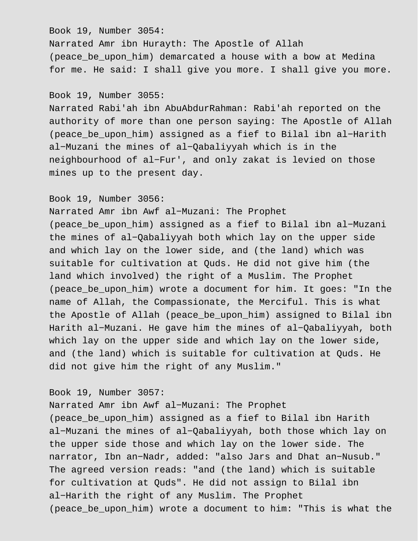## Book 19, Number 3054:

Narrated Amr ibn Hurayth: The Apostle of Allah (peace be upon him) demarcated a house with a bow at Medina for me. He said: I shall give you more. I shall give you more.

# Book 19, Number 3055:

Narrated Rabi'ah ibn AbuAbdurRahman: Rabi'ah reported on the authority of more than one person saying: The Apostle of Allah (peace\_be\_upon\_him) assigned as a fief to Bilal ibn al−Harith al−Muzani the mines of al−Qabaliyyah which is in the neighbourhood of al−Fur', and only zakat is levied on those mines up to the present day.

## Book 19, Number 3056:

Narrated Amr ibn Awf al−Muzani: The Prophet (peace\_be\_upon\_him) assigned as a fief to Bilal ibn al−Muzani the mines of al−Qabaliyyah both which lay on the upper side and which lay on the lower side, and (the land) which was suitable for cultivation at Quds. He did not give him (the land which involved) the right of a Muslim. The Prophet (peace be upon him) wrote a document for him. It goes: "In the name of Allah, the Compassionate, the Merciful. This is what the Apostle of Allah (peace\_be\_upon\_him) assigned to Bilal ibn Harith al−Muzani. He gave him the mines of al−Qabaliyyah, both which lay on the upper side and which lay on the lower side, and (the land) which is suitable for cultivation at Quds. He did not give him the right of any Muslim."

# Book 19, Number 3057:

# Narrated Amr ibn Awf al−Muzani: The Prophet

(peace be upon him) assigned as a fief to Bilal ibn Harith al−Muzani the mines of al−Qabaliyyah, both those which lay on the upper side those and which lay on the lower side. The narrator, Ibn an−Nadr, added: "also Jars and Dhat an−Nusub." The agreed version reads: "and (the land) which is suitable for cultivation at Quds". He did not assign to Bilal ibn al−Harith the right of any Muslim. The Prophet (peace\_be\_upon\_him) wrote a document to him: "This is what the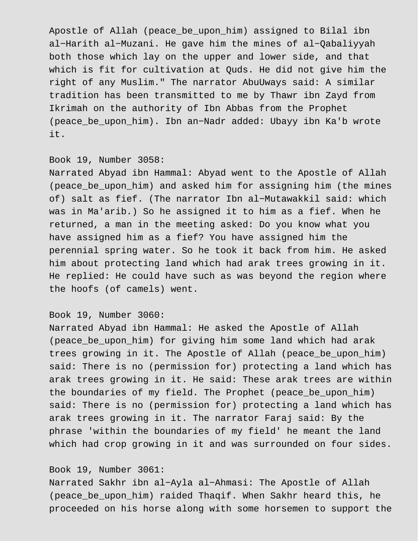Apostle of Allah (peace be upon him) assigned to Bilal ibn al−Harith al−Muzani. He gave him the mines of al−Qabaliyyah both those which lay on the upper and lower side, and that which is fit for cultivation at Quds. He did not give him the right of any Muslim." The narrator AbuUways said: A similar tradition has been transmitted to me by Thawr ibn Zayd from Ikrimah on the authority of Ibn Abbas from the Prophet (peace\_be\_upon\_him). Ibn an−Nadr added: Ubayy ibn Ka'b wrote it.

## Book 19, Number 3058:

Narrated Abyad ibn Hammal: Abyad went to the Apostle of Allah (peace\_be\_upon\_him) and asked him for assigning him (the mines of) salt as fief. (The narrator Ibn al−Mutawakkil said: which was in Ma'arib.) So he assigned it to him as a fief. When he returned, a man in the meeting asked: Do you know what you have assigned him as a fief? You have assigned him the perennial spring water. So he took it back from him. He asked him about protecting land which had arak trees growing in it. He replied: He could have such as was beyond the region where the hoofs (of camels) went.

## Book 19, Number 3060:

Narrated Abyad ibn Hammal: He asked the Apostle of Allah (peace\_be\_upon\_him) for giving him some land which had arak trees growing in it. The Apostle of Allah (peace be upon him) said: There is no (permission for) protecting a land which has arak trees growing in it. He said: These arak trees are within the boundaries of my field. The Prophet (peace\_be\_upon\_him) said: There is no (permission for) protecting a land which has arak trees growing in it. The narrator Faraj said: By the phrase 'within the boundaries of my field' he meant the land which had crop growing in it and was surrounded on four sides.

# Book 19, Number 3061:

Narrated Sakhr ibn al−Ayla al−Ahmasi: The Apostle of Allah (peace\_be\_upon\_him) raided Thaqif. When Sakhr heard this, he proceeded on his horse along with some horsemen to support the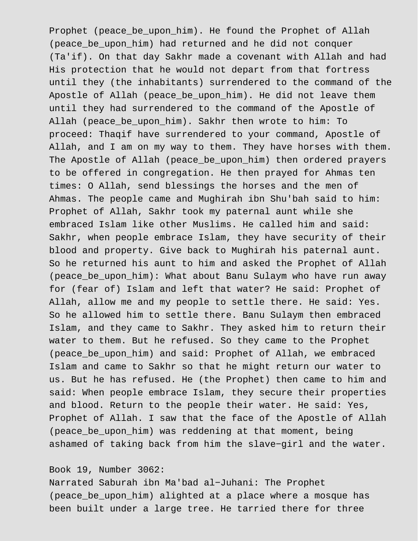Prophet (peace be upon him). He found the Prophet of Allah (peace\_be\_upon\_him) had returned and he did not conquer (Ta'if). On that day Sakhr made a covenant with Allah and had His protection that he would not depart from that fortress until they (the inhabitants) surrendered to the command of the Apostle of Allah (peace\_be\_upon\_him). He did not leave them until they had surrendered to the command of the Apostle of Allah (peace\_be\_upon\_him). Sakhr then wrote to him: To proceed: Thaqif have surrendered to your command, Apostle of Allah, and I am on my way to them. They have horses with them. The Apostle of Allah (peace be upon him) then ordered prayers to be offered in congregation. He then prayed for Ahmas ten times: O Allah, send blessings the horses and the men of Ahmas. The people came and Mughirah ibn Shu'bah said to him: Prophet of Allah, Sakhr took my paternal aunt while she embraced Islam like other Muslims. He called him and said: Sakhr, when people embrace Islam, they have security of their blood and property. Give back to Mughirah his paternal aunt. So he returned his aunt to him and asked the Prophet of Allah (peace be upon him): What about Banu Sulaym who have run away for (fear of) Islam and left that water? He said: Prophet of Allah, allow me and my people to settle there. He said: Yes. So he allowed him to settle there. Banu Sulaym then embraced Islam, and they came to Sakhr. They asked him to return their water to them. But he refused. So they came to the Prophet (peace be upon him) and said: Prophet of Allah, we embraced Islam and came to Sakhr so that he might return our water to us. But he has refused. He (the Prophet) then came to him and said: When people embrace Islam, they secure their properties and blood. Return to the people their water. He said: Yes, Prophet of Allah. I saw that the face of the Apostle of Allah (peace\_be\_upon\_him) was reddening at that moment, being ashamed of taking back from him the slave−girl and the water.

# Book 19, Number 3062:

Narrated Saburah ibn Ma'bad al−Juhani: The Prophet (peace\_be\_upon\_him) alighted at a place where a mosque has been built under a large tree. He tarried there for three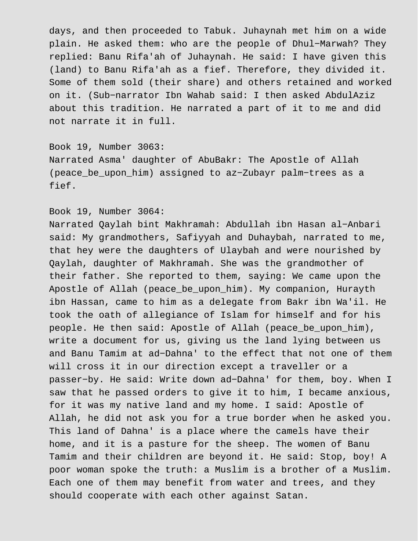days, and then proceeded to Tabuk. Juhaynah met him on a wide plain. He asked them: who are the people of Dhul−Marwah? They replied: Banu Rifa'ah of Juhaynah. He said: I have given this (land) to Banu Rifa'ah as a fief. Therefore, they divided it. Some of them sold (their share) and others retained and worked on it. (Sub−narrator Ibn Wahab said: I then asked AbdulAziz about this tradition. He narrated a part of it to me and did not narrate it in full.

# Book 19, Number 3063:

Narrated Asma' daughter of AbuBakr: The Apostle of Allah (peace\_be\_upon\_him) assigned to az−Zubayr palm−trees as a fief.

## Book 19, Number 3064:

Narrated Qaylah bint Makhramah: Abdullah ibn Hasan al−Anbari said: My grandmothers, Safiyyah and Duhaybah, narrated to me, that hey were the daughters of Ulaybah and were nourished by Qaylah, daughter of Makhramah. She was the grandmother of their father. She reported to them, saying: We came upon the Apostle of Allah (peace\_be\_upon\_him). My companion, Hurayth ibn Hassan, came to him as a delegate from Bakr ibn Wa'il. He took the oath of allegiance of Islam for himself and for his people. He then said: Apostle of Allah (peace\_be\_upon\_him), write a document for us, giving us the land lying between us and Banu Tamim at ad−Dahna' to the effect that not one of them will cross it in our direction except a traveller or a passer−by. He said: Write down ad−Dahna' for them, boy. When I saw that he passed orders to give it to him, I became anxious, for it was my native land and my home. I said: Apostle of Allah, he did not ask you for a true border when he asked you. This land of Dahna' is a place where the camels have their home, and it is a pasture for the sheep. The women of Banu Tamim and their children are beyond it. He said: Stop, boy! A poor woman spoke the truth: a Muslim is a brother of a Muslim. Each one of them may benefit from water and trees, and they should cooperate with each other against Satan.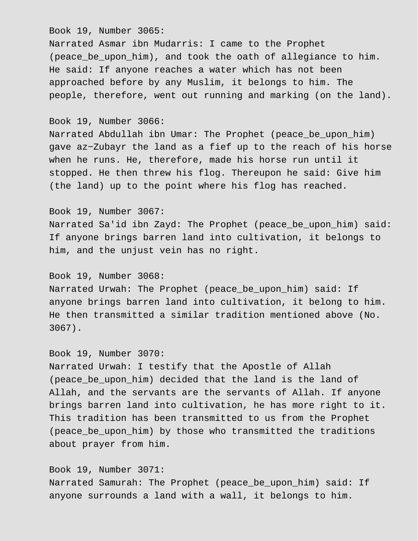#### Book 19, Number 3065:

Narrated Asmar ibn Mudarris: I came to the Prophet (peace be upon him), and took the oath of allegiance to him. He said: If anyone reaches a water which has not been approached before by any Muslim, it belongs to him. The people, therefore, went out running and marking (on the land).

#### Book 19, Number 3066:

Narrated Abdullah ibn Umar: The Prophet (peace\_be\_upon\_him) gave az−Zubayr the land as a fief up to the reach of his horse when he runs. He, therefore, made his horse run until it stopped. He then threw his flog. Thereupon he said: Give him (the land) up to the point where his flog has reached.

# Book 19, Number 3067: Narrated Sa'id ibn Zayd: The Prophet (peace\_be\_upon\_him) said: If anyone brings barren land into cultivation, it belongs to him, and the unjust vein has no right.

#### Book 19, Number 3068:

Narrated Urwah: The Prophet (peace\_be\_upon\_him) said: If anyone brings barren land into cultivation, it belong to him. He then transmitted a similar tradition mentioned above (No. 3067).

## Book 19, Number 3070:

Narrated Urwah: I testify that the Apostle of Allah (peace\_be\_upon\_him) decided that the land is the land of Allah, and the servants are the servants of Allah. If anyone brings barren land into cultivation, he has more right to it. This tradition has been transmitted to us from the Prophet (peace\_be\_upon\_him) by those who transmitted the traditions about prayer from him.

## Book 19, Number 3071:

Narrated Samurah: The Prophet (peace\_be\_upon\_him) said: If anyone surrounds a land with a wall, it belongs to him.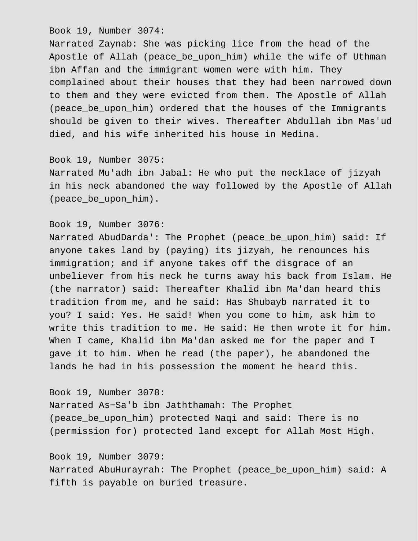Book 19, Number 3074:

Narrated Zaynab: She was picking lice from the head of the Apostle of Allah (peace be upon him) while the wife of Uthman ibn Affan and the immigrant women were with him. They complained about their houses that they had been narrowed down to them and they were evicted from them. The Apostle of Allah (peace\_be\_upon\_him) ordered that the houses of the Immigrants should be given to their wives. Thereafter Abdullah ibn Mas'ud died, and his wife inherited his house in Medina.

Book 19, Number 3075:

Narrated Mu'adh ibn Jabal: He who put the necklace of jizyah in his neck abandoned the way followed by the Apostle of Allah (peace\_be\_upon\_him).

Book 19, Number 3076:

Narrated AbudDarda': The Prophet (peace be upon him) said: If anyone takes land by (paying) its jizyah, he renounces his immigration; and if anyone takes off the disgrace of an unbeliever from his neck he turns away his back from Islam. He (the narrator) said: Thereafter Khalid ibn Ma'dan heard this tradition from me, and he said: Has Shubayb narrated it to you? I said: Yes. He said! When you come to him, ask him to write this tradition to me. He said: He then wrote it for him. When I came, Khalid ibn Ma'dan asked me for the paper and I gave it to him. When he read (the paper), he abandoned the lands he had in his possession the moment he heard this.

Book 19, Number 3078: Narrated As−Sa'b ibn Jaththamah: The Prophet (peace\_be\_upon\_him) protected Naqi and said: There is no (permission for) protected land except for Allah Most High.

Book 19, Number 3079: Narrated AbuHurayrah: The Prophet (peace be upon him) said: A fifth is payable on buried treasure.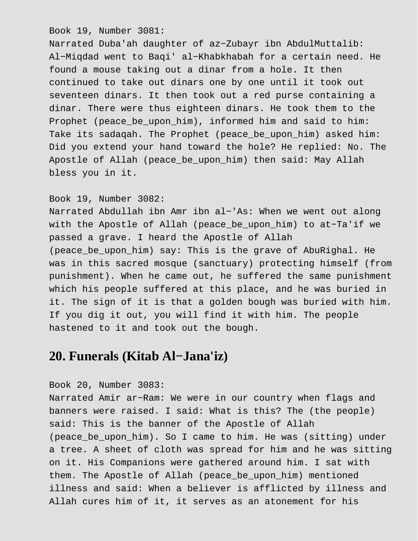Book 19, Number 3081:

Narrated Duba'ah daughter of az−Zubayr ibn AbdulMuttalib: Al−Miqdad went to Baqi' al−Khabkhabah for a certain need. He found a mouse taking out a dinar from a hole. It then continued to take out dinars one by one until it took out seventeen dinars. It then took out a red purse containing a dinar. There were thus eighteen dinars. He took them to the Prophet (peace be upon him), informed him and said to him: Take its sadaqah. The Prophet (peace\_be\_upon\_him) asked him: Did you extend your hand toward the hole? He replied: No. The Apostle of Allah (peace\_be\_upon\_him) then said: May Allah bless you in it.

Book 19, Number 3082:

Narrated Abdullah ibn Amr ibn al−'As: When we went out along with the Apostle of Allah (peace\_be\_upon\_him) to at−Ta'if we passed a grave. I heard the Apostle of Allah (peace\_be\_upon\_him) say: This is the grave of AbuRighal. He was in this sacred mosque (sanctuary) protecting himself (from punishment). When he came out, he suffered the same punishment which his people suffered at this place, and he was buried in it. The sign of it is that a golden bough was buried with him. If you dig it out, you will find it with him. The people hastened to it and took out the bough.

# **20. Funerals (Kitab Al−Jana'iz)**

# Book 20, Number 3083:

Narrated Amir ar−Ram: We were in our country when flags and banners were raised. I said: What is this? The (the people) said: This is the banner of the Apostle of Allah (peace\_be\_upon\_him). So I came to him. He was (sitting) under a tree. A sheet of cloth was spread for him and he was sitting on it. His Companions were gathered around him. I sat with them. The Apostle of Allah (peace be upon him) mentioned illness and said: When a believer is afflicted by illness and Allah cures him of it, it serves as an atonement for his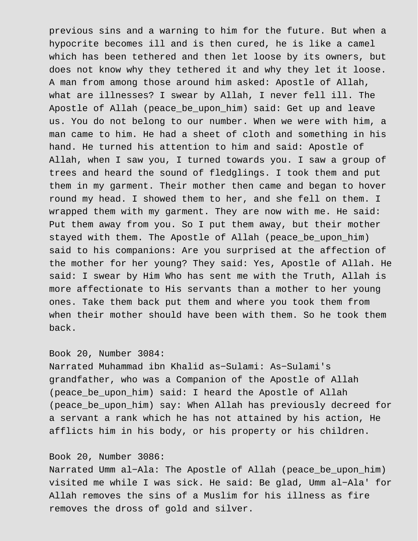previous sins and a warning to him for the future. But when a hypocrite becomes ill and is then cured, he is like a camel which has been tethered and then let loose by its owners, but does not know why they tethered it and why they let it loose. A man from among those around him asked: Apostle of Allah, what are illnesses? I swear by Allah, I never fell ill. The Apostle of Allah (peace\_be\_upon\_him) said: Get up and leave us. You do not belong to our number. When we were with him, a man came to him. He had a sheet of cloth and something in his hand. He turned his attention to him and said: Apostle of Allah, when I saw you, I turned towards you. I saw a group of trees and heard the sound of fledglings. I took them and put them in my garment. Their mother then came and began to hover round my head. I showed them to her, and she fell on them. I wrapped them with my garment. They are now with me. He said: Put them away from you. So I put them away, but their mother stayed with them. The Apostle of Allah (peace be upon him) said to his companions: Are you surprised at the affection of the mother for her young? They said: Yes, Apostle of Allah. He said: I swear by Him Who has sent me with the Truth, Allah is more affectionate to His servants than a mother to her young ones. Take them back put them and where you took them from when their mother should have been with them. So he took them back.

# Book 20, Number 3084:

Narrated Muhammad ibn Khalid as−Sulami: As−Sulami's grandfather, who was a Companion of the Apostle of Allah (peace\_be\_upon\_him) said: I heard the Apostle of Allah (peace\_be\_upon\_him) say: When Allah has previously decreed for a servant a rank which he has not attained by his action, He afflicts him in his body, or his property or his children.

## Book 20, Number 3086:

Narrated Umm al-Ala: The Apostle of Allah (peace be upon him) visited me while I was sick. He said: Be glad, Umm al−Ala' for Allah removes the sins of a Muslim for his illness as fire removes the dross of gold and silver.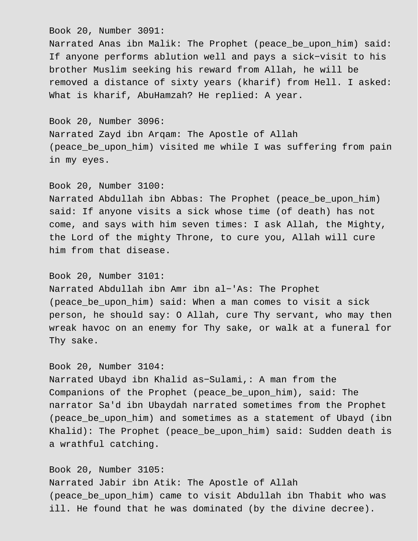#### Book 20, Number 3091:

Narrated Anas ibn Malik: The Prophet (peace\_be\_upon\_him) said: If anyone performs ablution well and pays a sick−visit to his brother Muslim seeking his reward from Allah, he will be removed a distance of sixty years (kharif) from Hell. I asked: What is kharif, AbuHamzah? He replied: A year.

Book 20, Number 3096: Narrated Zayd ibn Arqam: The Apostle of Allah (peace be upon him) visited me while I was suffering from pain in my eyes.

### Book 20, Number 3100:

Narrated Abdullah ibn Abbas: The Prophet (peace\_be\_upon\_him) said: If anyone visits a sick whose time (of death) has not come, and says with him seven times: I ask Allah, the Mighty, the Lord of the mighty Throne, to cure you, Allah will cure him from that disease.

#### Book 20, Number 3101:

Narrated Abdullah ibn Amr ibn al−'As: The Prophet (peace\_be\_upon\_him) said: When a man comes to visit a sick person, he should say: O Allah, cure Thy servant, who may then wreak havoc on an enemy for Thy sake, or walk at a funeral for Thy sake.

#### Book 20, Number 3104:

Narrated Ubayd ibn Khalid as−Sulami,: A man from the Companions of the Prophet (peace\_be\_upon\_him), said: The narrator Sa'd ibn Ubaydah narrated sometimes from the Prophet (peace\_be\_upon\_him) and sometimes as a statement of Ubayd (ibn Khalid): The Prophet (peace\_be\_upon\_him) said: Sudden death is a wrathful catching.

# Book 20, Number 3105:

Narrated Jabir ibn Atik: The Apostle of Allah (peace\_be\_upon\_him) came to visit Abdullah ibn Thabit who was ill. He found that he was dominated (by the divine decree).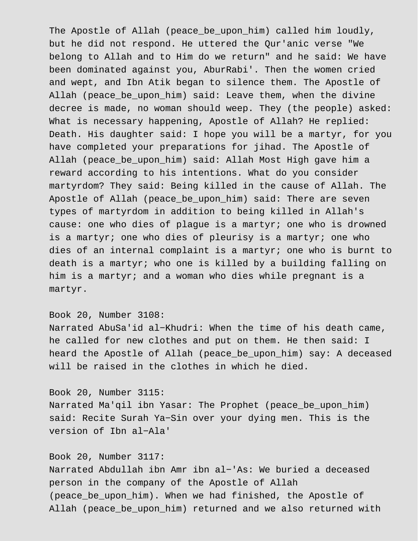The Apostle of Allah (peace be upon him) called him loudly, but he did not respond. He uttered the Qur'anic verse "We belong to Allah and to Him do we return" and he said: We have been dominated against you, AburRabi'. Then the women cried and wept, and Ibn Atik began to silence them. The Apostle of Allah (peace be upon him) said: Leave them, when the divine decree is made, no woman should weep. They (the people) asked: What is necessary happening, Apostle of Allah? He replied: Death. His daughter said: I hope you will be a martyr, for you have completed your preparations for jihad. The Apostle of Allah (peace\_be\_upon\_him) said: Allah Most High gave him a reward according to his intentions. What do you consider martyrdom? They said: Being killed in the cause of Allah. The Apostle of Allah (peace\_be\_upon\_him) said: There are seven types of martyrdom in addition to being killed in Allah's cause: one who dies of plague is a martyr; one who is drowned is a martyr; one who dies of pleurisy is a martyr; one who dies of an internal complaint is a martyr; one who is burnt to death is a martyr; who one is killed by a building falling on him is a martyr; and a woman who dies while pregnant is a martyr.

## Book 20, Number 3108:

Narrated AbuSa'id al−Khudri: When the time of his death came, he called for new clothes and put on them. He then said: I heard the Apostle of Allah (peace be upon him) say: A deceased will be raised in the clothes in which he died.

Book 20, Number 3115: Narrated Ma'qil ibn Yasar: The Prophet (peace\_be\_upon\_him) said: Recite Surah Ya−Sin over your dying men. This is the version of Ibn al−Ala'

## Book 20, Number 3117:

Narrated Abdullah ibn Amr ibn al−'As: We buried a deceased person in the company of the Apostle of Allah (peace\_be\_upon\_him). When we had finished, the Apostle of Allah (peace\_be\_upon\_him) returned and we also returned with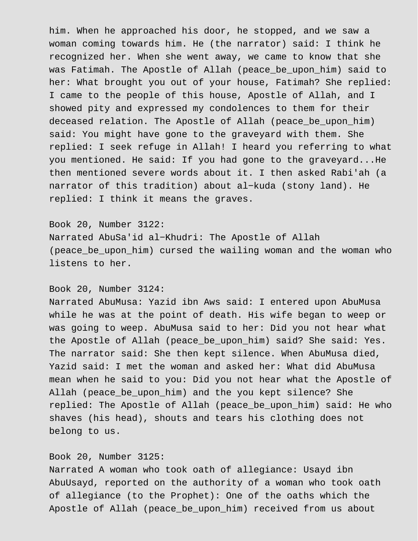him. When he approached his door, he stopped, and we saw a woman coming towards him. He (the narrator) said: I think he recognized her. When she went away, we came to know that she was Fatimah. The Apostle of Allah (peace\_be\_upon\_him) said to her: What brought you out of your house, Fatimah? She replied: I came to the people of this house, Apostle of Allah, and I showed pity and expressed my condolences to them for their deceased relation. The Apostle of Allah (peace\_be\_upon\_him) said: You might have gone to the graveyard with them. She replied: I seek refuge in Allah! I heard you referring to what you mentioned. He said: If you had gone to the graveyard...He then mentioned severe words about it. I then asked Rabi'ah (a narrator of this tradition) about al−kuda (stony land). He replied: I think it means the graves.

Book 20, Number 3122: Narrated AbuSa'id al−Khudri: The Apostle of Allah (peace\_be\_upon\_him) cursed the wailing woman and the woman who listens to her.

## Book 20, Number 3124:

Narrated AbuMusa: Yazid ibn Aws said: I entered upon AbuMusa while he was at the point of death. His wife began to weep or was going to weep. AbuMusa said to her: Did you not hear what the Apostle of Allah (peace\_be\_upon\_him) said? She said: Yes. The narrator said: She then kept silence. When AbuMusa died, Yazid said: I met the woman and asked her: What did AbuMusa mean when he said to you: Did you not hear what the Apostle of Allah (peace\_be\_upon\_him) and the you kept silence? She replied: The Apostle of Allah (peace\_be\_upon\_him) said: He who shaves (his head), shouts and tears his clothing does not belong to us.

## Book 20, Number 3125:

Narrated A woman who took oath of allegiance: Usayd ibn AbuUsayd, reported on the authority of a woman who took oath of allegiance (to the Prophet): One of the oaths which the Apostle of Allah (peace\_be\_upon\_him) received from us about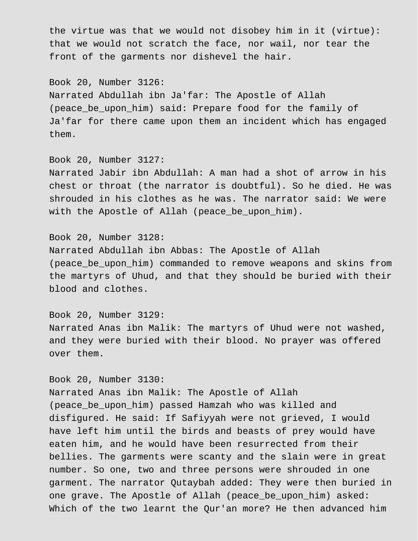the virtue was that we would not disobey him in it (virtue): that we would not scratch the face, nor wail, nor tear the front of the garments nor dishevel the hair.

Book 20, Number 3126: Narrated Abdullah ibn Ja'far: The Apostle of Allah (peace\_be\_upon\_him) said: Prepare food for the family of Ja'far for there came upon them an incident which has engaged them.

Book 20, Number 3127: Narrated Jabir ibn Abdullah: A man had a shot of arrow in his chest or throat (the narrator is doubtful). So he died. He was shrouded in his clothes as he was. The narrator said: We were with the Apostle of Allah (peace be upon him).

Book 20, Number 3128: Narrated Abdullah ibn Abbas: The Apostle of Allah (peace\_be\_upon\_him) commanded to remove weapons and skins from the martyrs of Uhud, and that they should be buried with their blood and clothes.

Book 20, Number 3129: Narrated Anas ibn Malik: The martyrs of Uhud were not washed, and they were buried with their blood. No prayer was offered over them.

Book 20, Number 3130:

Narrated Anas ibn Malik: The Apostle of Allah (peace\_be\_upon\_him) passed Hamzah who was killed and disfigured. He said: If Safiyyah were not grieved, I would have left him until the birds and beasts of prey would have eaten him, and he would have been resurrected from their bellies. The garments were scanty and the slain were in great number. So one, two and three persons were shrouded in one garment. The narrator Qutaybah added: They were then buried in one grave. The Apostle of Allah (peace\_be\_upon\_him) asked: Which of the two learnt the Qur'an more? He then advanced him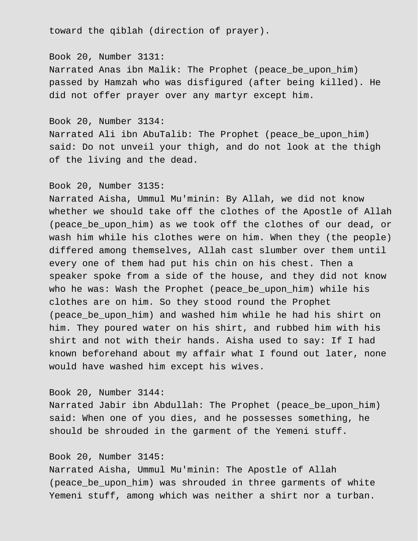toward the qiblah (direction of prayer).

Book 20, Number 3131:

Narrated Anas ibn Malik: The Prophet (peace\_be\_upon\_him) passed by Hamzah who was disfigured (after being killed). He did not offer prayer over any martyr except him.

## Book 20, Number 3134:

Narrated Ali ibn AbuTalib: The Prophet (peace\_be\_upon\_him) said: Do not unveil your thigh, and do not look at the thigh of the living and the dead.

#### Book 20, Number 3135:

Narrated Aisha, Ummul Mu'minin: By Allah, we did not know whether we should take off the clothes of the Apostle of Allah (peace\_be\_upon\_him) as we took off the clothes of our dead, or wash him while his clothes were on him. When they (the people) differed among themselves, Allah cast slumber over them until every one of them had put his chin on his chest. Then a speaker spoke from a side of the house, and they did not know who he was: Wash the Prophet (peace\_be\_upon\_him) while his clothes are on him. So they stood round the Prophet (peace\_be\_upon\_him) and washed him while he had his shirt on him. They poured water on his shirt, and rubbed him with his shirt and not with their hands. Aisha used to say: If I had known beforehand about my affair what I found out later, none would have washed him except his wives.

# Book 20, Number 3144:

Narrated Jabir ibn Abdullah: The Prophet (peace\_be\_upon\_him) said: When one of you dies, and he possesses something, he should be shrouded in the garment of the Yemeni stuff.

#### Book 20, Number 3145:

Narrated Aisha, Ummul Mu'minin: The Apostle of Allah (peace\_be\_upon\_him) was shrouded in three garments of white Yemeni stuff, among which was neither a shirt nor a turban.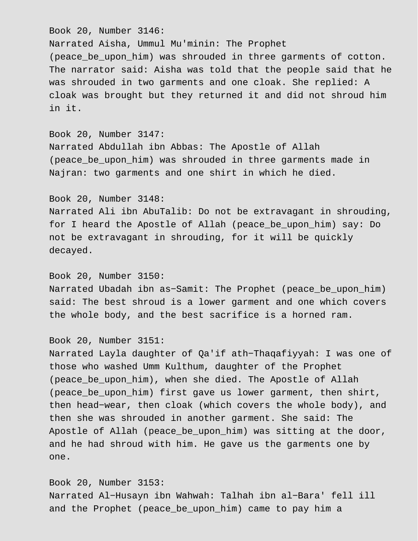## Book 20, Number 3146:

Narrated Aisha, Ummul Mu'minin: The Prophet (peace be upon him) was shrouded in three garments of cotton. The narrator said: Aisha was told that the people said that he was shrouded in two garments and one cloak. She replied: A cloak was brought but they returned it and did not shroud him in it.

#### Book 20, Number 3147:

Narrated Abdullah ibn Abbas: The Apostle of Allah (peace\_be\_upon\_him) was shrouded in three garments made in Najran: two garments and one shirt in which he died.

# Book 20, Number 3148:

Narrated Ali ibn AbuTalib: Do not be extravagant in shrouding, for I heard the Apostle of Allah (peace\_be\_upon\_him) say: Do not be extravagant in shrouding, for it will be quickly decayed.

#### Book 20, Number 3150:

Narrated Ubadah ibn as−Samit: The Prophet (peace\_be\_upon\_him) said: The best shroud is a lower garment and one which covers the whole body, and the best sacrifice is a horned ram.

Book 20, Number 3151:

Narrated Layla daughter of Qa'if ath−Thaqafiyyah: I was one of those who washed Umm Kulthum, daughter of the Prophet (peace\_be\_upon\_him), when she died. The Apostle of Allah (peace\_be\_upon\_him) first gave us lower garment, then shirt, then head−wear, then cloak (which covers the whole body), and then she was shrouded in another garment. She said: The Apostle of Allah (peace\_be\_upon\_him) was sitting at the door, and he had shroud with him. He gave us the garments one by one.

Book 20, Number 3153: Narrated Al−Husayn ibn Wahwah: Talhah ibn al−Bara' fell ill and the Prophet (peace\_be\_upon\_him) came to pay him a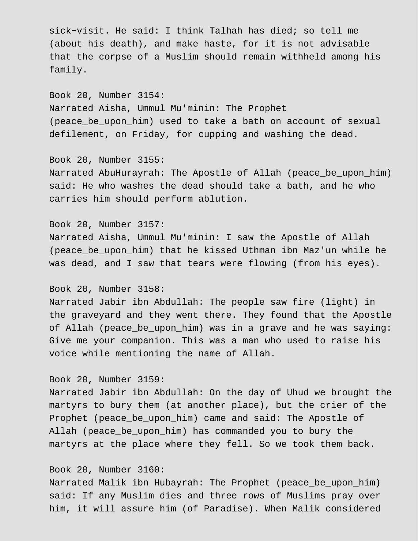sick−visit. He said: I think Talhah has died; so tell me (about his death), and make haste, for it is not advisable that the corpse of a Muslim should remain withheld among his family.

Book 20, Number 3154: Narrated Aisha, Ummul Mu'minin: The Prophet (peace be upon him) used to take a bath on account of sexual defilement, on Friday, for cupping and washing the dead.

Book 20, Number 3155: Narrated AbuHurayrah: The Apostle of Allah (peace be upon him) said: He who washes the dead should take a bath, and he who carries him should perform ablution.

## Book 20, Number 3157:

Narrated Aisha, Ummul Mu'minin: I saw the Apostle of Allah (peace\_be\_upon\_him) that he kissed Uthman ibn Maz'un while he was dead, and I saw that tears were flowing (from his eyes).

## Book 20, Number 3158:

Narrated Jabir ibn Abdullah: The people saw fire (light) in the graveyard and they went there. They found that the Apostle of Allah (peace\_be\_upon\_him) was in a grave and he was saying: Give me your companion. This was a man who used to raise his voice while mentioning the name of Allah.

## Book 20, Number 3159:

Narrated Jabir ibn Abdullah: On the day of Uhud we brought the martyrs to bury them (at another place), but the crier of the Prophet (peace\_be\_upon\_him) came and said: The Apostle of Allah (peace\_be\_upon\_him) has commanded you to bury the martyrs at the place where they fell. So we took them back.

# Book 20, Number 3160:

Narrated Malik ibn Hubayrah: The Prophet (peace\_be\_upon\_him) said: If any Muslim dies and three rows of Muslims pray over him, it will assure him (of Paradise). When Malik considered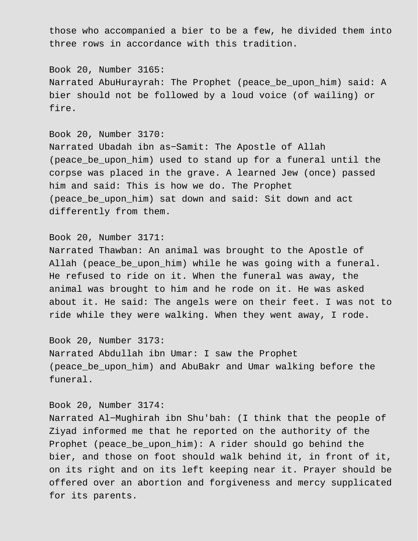those who accompanied a bier to be a few, he divided them into three rows in accordance with this tradition.

Book 20, Number 3165: Narrated AbuHurayrah: The Prophet (peace be upon him) said: A bier should not be followed by a loud voice (of wailing) or fire.

Book 20, Number 3170: Narrated Ubadah ibn as−Samit: The Apostle of Allah (peace\_be\_upon\_him) used to stand up for a funeral until the corpse was placed in the grave. A learned Jew (once) passed him and said: This is how we do. The Prophet (peace\_be\_upon\_him) sat down and said: Sit down and act differently from them.

```
Book 20, Number 3171:
```
Narrated Thawban: An animal was brought to the Apostle of Allah (peace\_be\_upon\_him) while he was going with a funeral. He refused to ride on it. When the funeral was away, the animal was brought to him and he rode on it. He was asked about it. He said: The angels were on their feet. I was not to ride while they were walking. When they went away, I rode.

Book 20, Number 3173: Narrated Abdullah ibn Umar: I saw the Prophet (peace\_be\_upon\_him) and AbuBakr and Umar walking before the funeral.

Book 20, Number 3174:

Narrated Al−Mughirah ibn Shu'bah: (I think that the people of Ziyad informed me that he reported on the authority of the Prophet (peace\_be\_upon\_him): A rider should go behind the bier, and those on foot should walk behind it, in front of it, on its right and on its left keeping near it. Prayer should be offered over an abortion and forgiveness and mercy supplicated for its parents.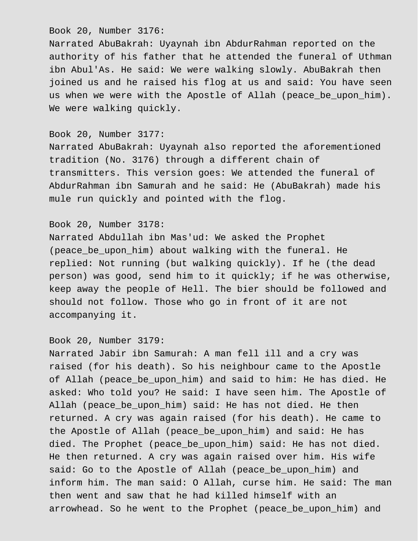#### Book 20, Number 3176:

Narrated AbuBakrah: Uyaynah ibn AbdurRahman reported on the authority of his father that he attended the funeral of Uthman ibn Abul'As. He said: We were walking slowly. AbuBakrah then joined us and he raised his flog at us and said: You have seen us when we were with the Apostle of Allah (peace\_be\_upon\_him). We were walking quickly.

## Book 20, Number 3177:

Narrated AbuBakrah: Uyaynah also reported the aforementioned tradition (No. 3176) through a different chain of transmitters. This version goes: We attended the funeral of AbdurRahman ibn Samurah and he said: He (AbuBakrah) made his mule run quickly and pointed with the flog.

## Book 20, Number 3178:

Narrated Abdullah ibn Mas'ud: We asked the Prophet (peace\_be\_upon\_him) about walking with the funeral. He replied: Not running (but walking quickly). If he (the dead person) was good, send him to it quickly; if he was otherwise, keep away the people of Hell. The bier should be followed and should not follow. Those who go in front of it are not accompanying it.

# Book 20, Number 3179:

Narrated Jabir ibn Samurah: A man fell ill and a cry was raised (for his death). So his neighbour came to the Apostle of Allah (peace\_be\_upon\_him) and said to him: He has died. He asked: Who told you? He said: I have seen him. The Apostle of Allah (peace\_be\_upon\_him) said: He has not died. He then returned. A cry was again raised (for his death). He came to the Apostle of Allah (peace\_be\_upon\_him) and said: He has died. The Prophet (peace\_be\_upon\_him) said: He has not died. He then returned. A cry was again raised over him. His wife said: Go to the Apostle of Allah (peace be upon him) and inform him. The man said: O Allah, curse him. He said: The man then went and saw that he had killed himself with an arrowhead. So he went to the Prophet (peace\_be\_upon\_him) and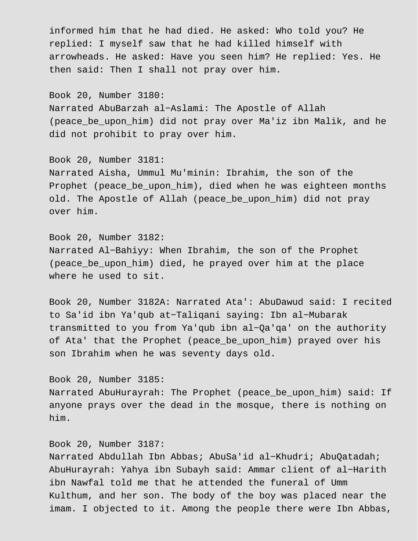informed him that he had died. He asked: Who told you? He replied: I myself saw that he had killed himself with arrowheads. He asked: Have you seen him? He replied: Yes. He then said: Then I shall not pray over him.

Book 20, Number 3180: Narrated AbuBarzah al−Aslami: The Apostle of Allah (peace\_be\_upon\_him) did not pray over Ma'iz ibn Malik, and he did not prohibit to pray over him.

Book 20, Number 3181: Narrated Aisha, Ummul Mu'minin: Ibrahim, the son of the Prophet (peace\_be\_upon\_him), died when he was eighteen months old. The Apostle of Allah (peace\_be\_upon\_him) did not pray over him.

Book 20, Number 3182: Narrated Al−Bahiyy: When Ibrahim, the son of the Prophet (peace\_be\_upon\_him) died, he prayed over him at the place where he used to sit.

Book 20, Number 3182A: Narrated Ata': AbuDawud said: I recited to Sa'id ibn Ya'qub at−Taliqani saying: Ibn al−Mubarak transmitted to you from Ya'qub ibn al−Qa'qa' on the authority of Ata' that the Prophet (peace\_be\_upon\_him) prayed over his son Ibrahim when he was seventy days old.

Book 20, Number 3185: Narrated AbuHurayrah: The Prophet (peace\_be\_upon\_him) said: If anyone prays over the dead in the mosque, there is nothing on him.

Book 20, Number 3187:

Narrated Abdullah Ibn Abbas; AbuSa'id al−Khudri; AbuQatadah; AbuHurayrah: Yahya ibn Subayh said: Ammar client of al−Harith ibn Nawfal told me that he attended the funeral of Umm Kulthum, and her son. The body of the boy was placed near the imam. I objected to it. Among the people there were Ibn Abbas,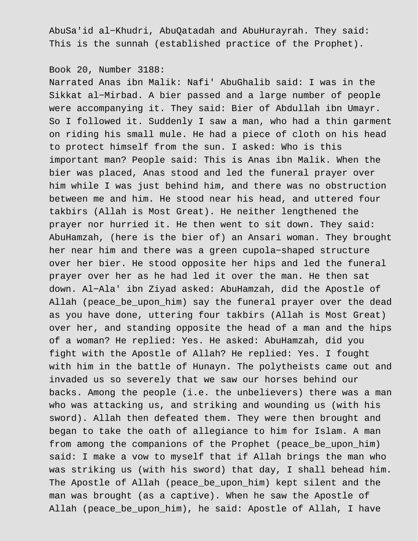AbuSa'id al−Khudri, AbuQatadah and AbuHurayrah. They said: This is the sunnah (established practice of the Prophet).

# Book 20, Number 3188:

Narrated Anas ibn Malik: Nafi' AbuGhalib said: I was in the Sikkat al−Mirbad. A bier passed and a large number of people were accompanying it. They said: Bier of Abdullah ibn Umayr. So I followed it. Suddenly I saw a man, who had a thin garment on riding his small mule. He had a piece of cloth on his head to protect himself from the sun. I asked: Who is this important man? People said: This is Anas ibn Malik. When the bier was placed, Anas stood and led the funeral prayer over him while I was just behind him, and there was no obstruction between me and him. He stood near his head, and uttered four takbirs (Allah is Most Great). He neither lengthened the prayer nor hurried it. He then went to sit down. They said: AbuHamzah, (here is the bier of) an Ansari woman. They brought her near him and there was a green cupola−shaped structure over her bier. He stood opposite her hips and led the funeral prayer over her as he had led it over the man. He then sat down. Al−Ala' ibn Ziyad asked: AbuHamzah, did the Apostle of Allah (peace\_be\_upon\_him) say the funeral prayer over the dead as you have done, uttering four takbirs (Allah is Most Great) over her, and standing opposite the head of a man and the hips of a woman? He replied: Yes. He asked: AbuHamzah, did you fight with the Apostle of Allah? He replied: Yes. I fought with him in the battle of Hunayn. The polytheists came out and invaded us so severely that we saw our horses behind our backs. Among the people (i.e. the unbelievers) there was a man who was attacking us, and striking and wounding us (with his sword). Allah then defeated them. They were then brought and began to take the oath of allegiance to him for Islam. A man from among the companions of the Prophet (peace\_be\_upon\_him) said: I make a vow to myself that if Allah brings the man who was striking us (with his sword) that day, I shall behead him. The Apostle of Allah (peace\_be\_upon\_him) kept silent and the man was brought (as a captive). When he saw the Apostle of Allah (peace\_be\_upon\_him), he said: Apostle of Allah, I have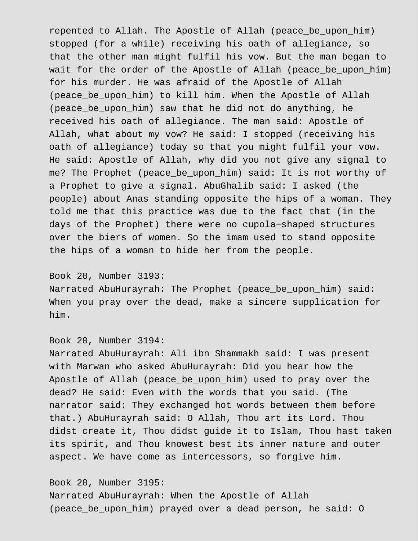repented to Allah. The Apostle of Allah (peace be upon him) stopped (for a while) receiving his oath of allegiance, so that the other man might fulfil his vow. But the man began to wait for the order of the Apostle of Allah (peace be upon him) for his murder. He was afraid of the Apostle of Allah (peace be upon him) to kill him. When the Apostle of Allah (peace\_be\_upon\_him) saw that he did not do anything, he received his oath of allegiance. The man said: Apostle of Allah, what about my vow? He said: I stopped (receiving his oath of allegiance) today so that you might fulfil your vow. He said: Apostle of Allah, why did you not give any signal to me? The Prophet (peace be upon him) said: It is not worthy of a Prophet to give a signal. AbuGhalib said: I asked (the people) about Anas standing opposite the hips of a woman. They told me that this practice was due to the fact that (in the days of the Prophet) there were no cupola−shaped structures over the biers of women. So the imam used to stand opposite the hips of a woman to hide her from the people.

#### Book 20, Number 3193:

Narrated AbuHurayrah: The Prophet (peace be upon him) said: When you pray over the dead, make a sincere supplication for him.

## Book 20, Number 3194:

Narrated AbuHurayrah: Ali ibn Shammakh said: I was present with Marwan who asked AbuHurayrah: Did you hear how the Apostle of Allah (peace\_be\_upon\_him) used to pray over the dead? He said: Even with the words that you said. (The narrator said: They exchanged hot words between them before that.) AbuHurayrah said: O Allah, Thou art its Lord. Thou didst create it, Thou didst guide it to Islam, Thou hast taken its spirit, and Thou knowest best its inner nature and outer aspect. We have come as intercessors, so forgive him.

Book 20, Number 3195: Narrated AbuHurayrah: When the Apostle of Allah (peace\_be\_upon\_him) prayed over a dead person, he said: O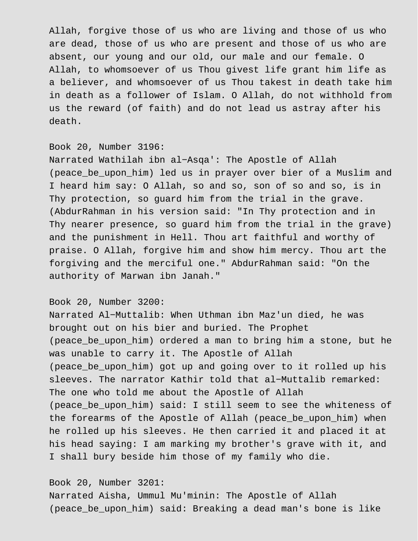Allah, forgive those of us who are living and those of us who are dead, those of us who are present and those of us who are absent, our young and our old, our male and our female. O Allah, to whomsoever of us Thou givest life grant him life as a believer, and whomsoever of us Thou takest in death take him in death as a follower of Islam. O Allah, do not withhold from us the reward (of faith) and do not lead us astray after his death.

# Book 20, Number 3196:

Narrated Wathilah ibn al−Asqa': The Apostle of Allah (peace\_be\_upon\_him) led us in prayer over bier of a Muslim and I heard him say: O Allah, so and so, son of so and so, is in Thy protection, so guard him from the trial in the grave. (AbdurRahman in his version said: "In Thy protection and in Thy nearer presence, so guard him from the trial in the grave) and the punishment in Hell. Thou art faithful and worthy of praise. O Allah, forgive him and show him mercy. Thou art the forgiving and the merciful one." AbdurRahman said: "On the authority of Marwan ibn Janah."

# Book 20, Number 3200:

Narrated Al−Muttalib: When Uthman ibn Maz'un died, he was brought out on his bier and buried. The Prophet (peace\_be\_upon\_him) ordered a man to bring him a stone, but he was unable to carry it. The Apostle of Allah (peace\_be\_upon\_him) got up and going over to it rolled up his sleeves. The narrator Kathir told that al−Muttalib remarked: The one who told me about the Apostle of Allah (peace\_be\_upon\_him) said: I still seem to see the whiteness of the forearms of the Apostle of Allah (peace be upon him) when he rolled up his sleeves. He then carried it and placed it at his head saying: I am marking my brother's grave with it, and I shall bury beside him those of my family who die.

# Book 20, Number 3201:

Narrated Aisha, Ummul Mu'minin: The Apostle of Allah (peace\_be\_upon\_him) said: Breaking a dead man's bone is like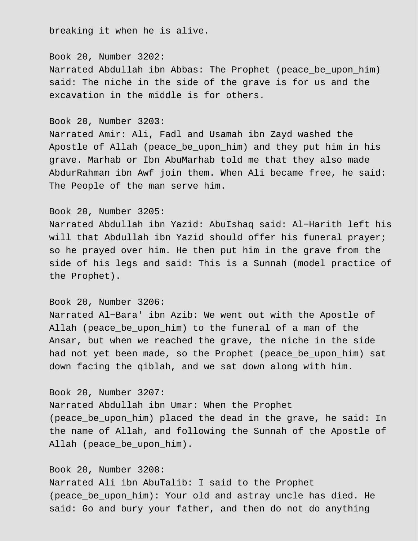breaking it when he is alive.

Book 20, Number 3202:

Narrated Abdullah ibn Abbas: The Prophet (peace be upon him) said: The niche in the side of the grave is for us and the excavation in the middle is for others.

## Book 20, Number 3203:

Narrated Amir: Ali, Fadl and Usamah ibn Zayd washed the Apostle of Allah (peace be upon him) and they put him in his grave. Marhab or Ibn AbuMarhab told me that they also made AbdurRahman ibn Awf join them. When Ali became free, he said: The People of the man serve him.

#### Book 20, Number 3205:

Narrated Abdullah ibn Yazid: AbuIshaq said: Al−Harith left his will that Abdullah ibn Yazid should offer his funeral prayer; so he prayed over him. He then put him in the grave from the side of his legs and said: This is a Sunnah (model practice of the Prophet).

#### Book 20, Number 3206:

Narrated Al−Bara' ibn Azib: We went out with the Apostle of Allah (peace\_be\_upon\_him) to the funeral of a man of the Ansar, but when we reached the grave, the niche in the side had not yet been made, so the Prophet (peace\_be\_upon\_him) sat down facing the qiblah, and we sat down along with him.

## Book 20, Number 3207:

Narrated Abdullah ibn Umar: When the Prophet

(peace\_be\_upon\_him) placed the dead in the grave, he said: In the name of Allah, and following the Sunnah of the Apostle of Allah (peace\_be\_upon\_him).

#### Book 20, Number 3208:

Narrated Ali ibn AbuTalib: I said to the Prophet (peace\_be\_upon\_him): Your old and astray uncle has died. He said: Go and bury your father, and then do not do anything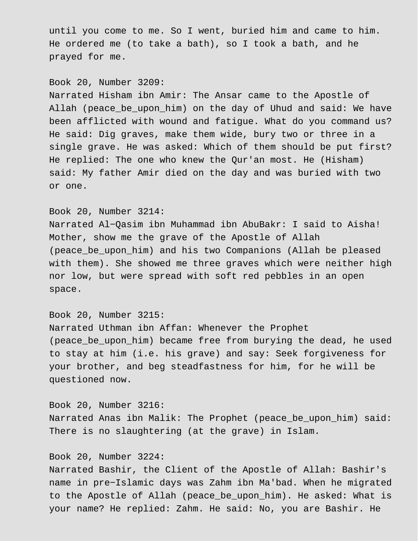until you come to me. So I went, buried him and came to him. He ordered me (to take a bath), so I took a bath, and he prayed for me.

## Book 20, Number 3209:

Narrated Hisham ibn Amir: The Ansar came to the Apostle of Allah (peace\_be\_upon\_him) on the day of Uhud and said: We have been afflicted with wound and fatigue. What do you command us? He said: Dig graves, make them wide, bury two or three in a single grave. He was asked: Which of them should be put first? He replied: The one who knew the Qur'an most. He (Hisham) said: My father Amir died on the day and was buried with two or one.

## Book 20, Number 3214:

Narrated Al−Qasim ibn Muhammad ibn AbuBakr: I said to Aisha! Mother, show me the grave of the Apostle of Allah (peace\_be\_upon\_him) and his two Companions (Allah be pleased with them). She showed me three graves which were neither high nor low, but were spread with soft red pebbles in an open space.

## Book 20, Number 3215:

Narrated Uthman ibn Affan: Whenever the Prophet (peace\_be\_upon\_him) became free from burying the dead, he used to stay at him (i.e. his grave) and say: Seek forgiveness for your brother, and beg steadfastness for him, for he will be questioned now.

Book 20, Number 3216: Narrated Anas ibn Malik: The Prophet (peace\_be\_upon\_him) said: There is no slaughtering (at the grave) in Islam.

# Book 20, Number 3224:

Narrated Bashir, the Client of the Apostle of Allah: Bashir's name in pre−Islamic days was Zahm ibn Ma'bad. When he migrated to the Apostle of Allah (peace\_be\_upon\_him). He asked: What is your name? He replied: Zahm. He said: No, you are Bashir. He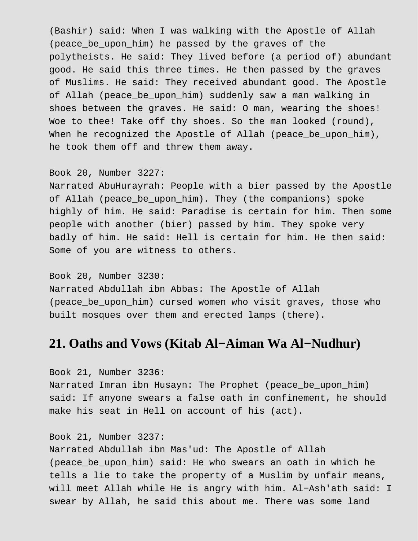(Bashir) said: When I was walking with the Apostle of Allah (peace\_be\_upon\_him) he passed by the graves of the polytheists. He said: They lived before (a period of) abundant good. He said this three times. He then passed by the graves of Muslims. He said: They received abundant good. The Apostle of Allah (peace\_be\_upon\_him) suddenly saw a man walking in shoes between the graves. He said: O man, wearing the shoes! Woe to thee! Take off thy shoes. So the man looked (round), When he recognized the Apostle of Allah (peace be upon him), he took them off and threw them away.

## Book 20, Number 3227:

Narrated AbuHurayrah: People with a bier passed by the Apostle of Allah (peace\_be\_upon\_him). They (the companions) spoke highly of him. He said: Paradise is certain for him. Then some people with another (bier) passed by him. They spoke very badly of him. He said: Hell is certain for him. He then said: Some of you are witness to others.

#### Book 20, Number 3230:

Narrated Abdullah ibn Abbas: The Apostle of Allah (peace be upon him) cursed women who visit graves, those who built mosques over them and erected lamps (there).

# **21. Oaths and Vows (Kitab Al−Aiman Wa Al−Nudhur)**

Book 21, Number 3236:

Narrated Imran ibn Husayn: The Prophet (peace\_be\_upon\_him) said: If anyone swears a false oath in confinement, he should make his seat in Hell on account of his (act).

Book 21, Number 3237:

Narrated Abdullah ibn Mas'ud: The Apostle of Allah (peace\_be\_upon\_him) said: He who swears an oath in which he tells a lie to take the property of a Muslim by unfair means, will meet Allah while He is angry with him. Al−Ash'ath said: I swear by Allah, he said this about me. There was some land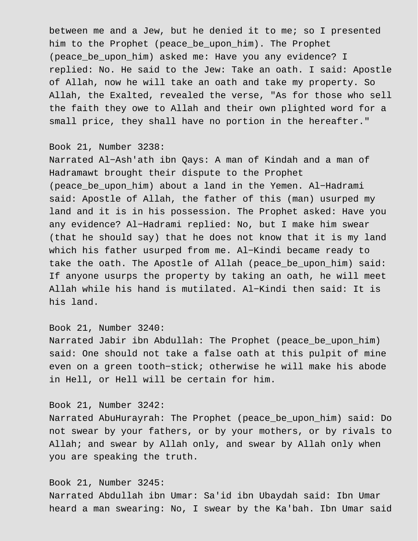between me and a Jew, but he denied it to me; so I presented him to the Prophet (peace\_be\_upon\_him). The Prophet (peace be upon him) asked me: Have you any evidence? I replied: No. He said to the Jew: Take an oath. I said: Apostle of Allah, now he will take an oath and take my property. So Allah, the Exalted, revealed the verse, "As for those who sell the faith they owe to Allah and their own plighted word for a small price, they shall have no portion in the hereafter."

# Book 21, Number 3238:

Narrated Al−Ash'ath ibn Qays: A man of Kindah and a man of Hadramawt brought their dispute to the Prophet (peace\_be\_upon\_him) about a land in the Yemen. Al−Hadrami said: Apostle of Allah, the father of this (man) usurped my land and it is in his possession. The Prophet asked: Have you any evidence? Al−Hadrami replied: No, but I make him swear (that he should say) that he does not know that it is my land which his father usurped from me. Al−Kindi became ready to take the oath. The Apostle of Allah (peace\_be\_upon\_him) said: If anyone usurps the property by taking an oath, he will meet Allah while his hand is mutilated. Al−Kindi then said: It is his land.

# Book 21, Number 3240:

Narrated Jabir ibn Abdullah: The Prophet (peace\_be\_upon\_him) said: One should not take a false oath at this pulpit of mine even on a green tooth−stick; otherwise he will make his abode in Hell, or Hell will be certain for him.

## Book 21, Number 3242:

Narrated AbuHurayrah: The Prophet (peace be upon him) said: Do not swear by your fathers, or by your mothers, or by rivals to Allah; and swear by Allah only, and swear by Allah only when you are speaking the truth.

# Book 21, Number 3245:

Narrated Abdullah ibn Umar: Sa'id ibn Ubaydah said: Ibn Umar heard a man swearing: No, I swear by the Ka'bah. Ibn Umar said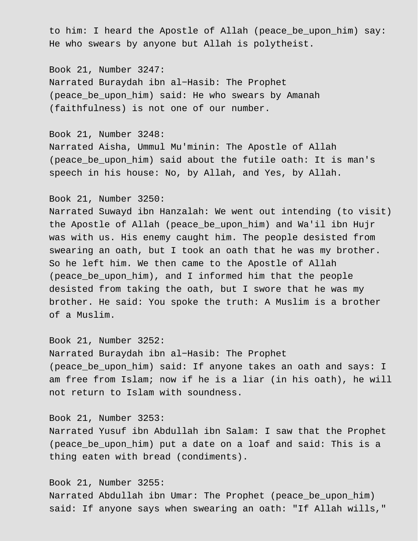to him: I heard the Apostle of Allah (peace\_be\_upon\_him) say: He who swears by anyone but Allah is polytheist.

Book 21, Number 3247: Narrated Buraydah ibn al−Hasib: The Prophet (peace be upon him) said: He who swears by Amanah (faithfulness) is not one of our number.

Book 21, Number 3248: Narrated Aisha, Ummul Mu'minin: The Apostle of Allah (peace\_be\_upon\_him) said about the futile oath: It is man's speech in his house: No, by Allah, and Yes, by Allah.

## Book 21, Number 3250:

Narrated Suwayd ibn Hanzalah: We went out intending (to visit) the Apostle of Allah (peace\_be\_upon\_him) and Wa'il ibn Hujr was with us. His enemy caught him. The people desisted from swearing an oath, but I took an oath that he was my brother. So he left him. We then came to the Apostle of Allah (peace be upon him), and I informed him that the people desisted from taking the oath, but I swore that he was my brother. He said: You spoke the truth: A Muslim is a brother of a Muslim.

Book 21, Number 3252: Narrated Buraydah ibn al−Hasib: The Prophet (peace\_be\_upon\_him) said: If anyone takes an oath and says: I am free from Islam; now if he is a liar (in his oath), he will not return to Islam with soundness.

Book 21, Number 3253:

Narrated Yusuf ibn Abdullah ibn Salam: I saw that the Prophet (peace\_be\_upon\_him) put a date on a loaf and said: This is a thing eaten with bread (condiments).

Book 21, Number 3255:

Narrated Abdullah ibn Umar: The Prophet (peace\_be\_upon\_him) said: If anyone says when swearing an oath: "If Allah wills,"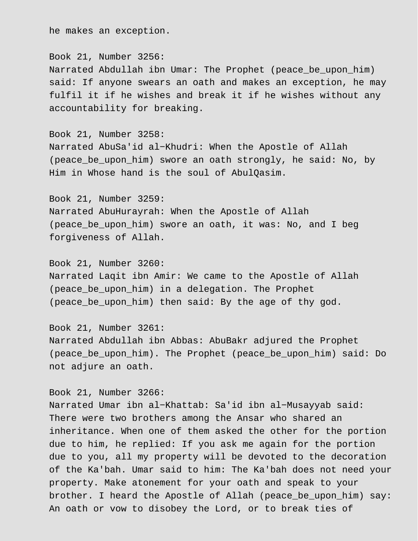he makes an exception.

Book 21, Number 3256: Narrated Abdullah ibn Umar: The Prophet (peace be upon him) said: If anyone swears an oath and makes an exception, he may fulfil it if he wishes and break it if he wishes without any accountability for breaking.

Book 21, Number 3258: Narrated AbuSa'id al−Khudri: When the Apostle of Allah (peace\_be\_upon\_him) swore an oath strongly, he said: No, by Him in Whose hand is the soul of AbulQasim.

Book 21, Number 3259: Narrated AbuHurayrah: When the Apostle of Allah (peace\_be\_upon\_him) swore an oath, it was: No, and I beg forgiveness of Allah.

Book 21, Number 3260: Narrated Laqit ibn Amir: We came to the Apostle of Allah (peace\_be\_upon\_him) in a delegation. The Prophet (peace\_be\_upon\_him) then said: By the age of thy god.

Book 21, Number 3261: Narrated Abdullah ibn Abbas: AbuBakr adjured the Prophet (peace\_be\_upon\_him). The Prophet (peace\_be\_upon\_him) said: Do not adjure an oath.

Book 21, Number 3266:

Narrated Umar ibn al−Khattab: Sa'id ibn al−Musayyab said: There were two brothers among the Ansar who shared an inheritance. When one of them asked the other for the portion due to him, he replied: If you ask me again for the portion due to you, all my property will be devoted to the decoration of the Ka'bah. Umar said to him: The Ka'bah does not need your property. Make atonement for your oath and speak to your brother. I heard the Apostle of Allah (peace\_be\_upon\_him) say: An oath or vow to disobey the Lord, or to break ties of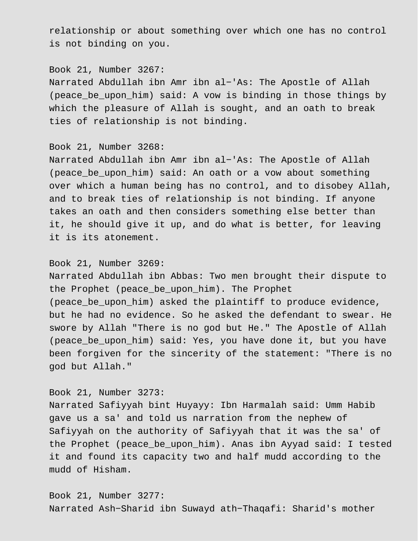relationship or about something over which one has no control is not binding on you.

## Book 21, Number 3267:

Narrated Abdullah ibn Amr ibn al−'As: The Apostle of Allah (peace be upon him) said: A vow is binding in those things by which the pleasure of Allah is sought, and an oath to break ties of relationship is not binding.

# Book 21, Number 3268:

Narrated Abdullah ibn Amr ibn al−'As: The Apostle of Allah (peace\_be\_upon\_him) said: An oath or a vow about something over which a human being has no control, and to disobey Allah, and to break ties of relationship is not binding. If anyone takes an oath and then considers something else better than it, he should give it up, and do what is better, for leaving it is its atonement.

# Book 21, Number 3269:

Narrated Abdullah ibn Abbas: Two men brought their dispute to the Prophet (peace\_be\_upon\_him). The Prophet (peace be upon him) asked the plaintiff to produce evidence, but he had no evidence. So he asked the defendant to swear. He swore by Allah "There is no god but He." The Apostle of Allah (peace\_be\_upon\_him) said: Yes, you have done it, but you have been forgiven for the sincerity of the statement: "There is no god but Allah."

# Book 21, Number 3273:

Narrated Safiyyah bint Huyayy: Ibn Harmalah said: Umm Habib gave us a sa' and told us narration from the nephew of Safiyyah on the authority of Safiyyah that it was the sa' of the Prophet (peace\_be\_upon\_him). Anas ibn Ayyad said: I tested it and found its capacity two and half mudd according to the mudd of Hisham.

# Book 21, Number 3277:

Narrated Ash−Sharid ibn Suwayd ath−Thaqafi: Sharid's mother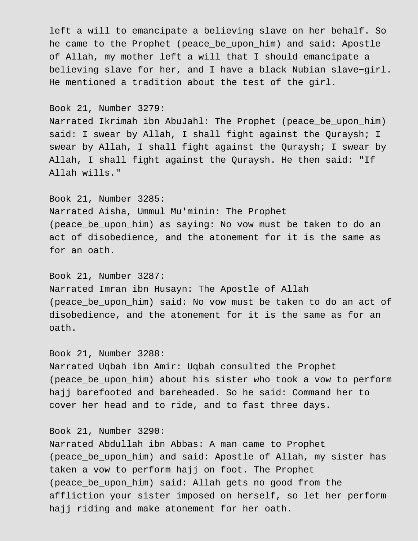left a will to emancipate a believing slave on her behalf. So he came to the Prophet (peace\_be\_upon\_him) and said: Apostle of Allah, my mother left a will that I should emancipate a believing slave for her, and I have a black Nubian slave−girl. He mentioned a tradition about the test of the girl.

Book 21, Number 3279:

Narrated Ikrimah ibn AbuJahl: The Prophet (peace\_be\_upon\_him) said: I swear by Allah, I shall fight against the Quraysh; I swear by Allah, I shall fight against the Quraysh; I swear by Allah, I shall fight against the Quraysh. He then said: "If Allah wills."

Book 21, Number 3285: Narrated Aisha, Ummul Mu'minin: The Prophet (peace\_be\_upon\_him) as saying: No vow must be taken to do an act of disobedience, and the atonement for it is the same as for an oath.

Book 21, Number 3287: Narrated Imran ibn Husayn: The Apostle of Allah (peace\_be\_upon\_him) said: No vow must be taken to do an act of disobedience, and the atonement for it is the same as for an oath.

Book 21, Number 3288:

Narrated Uqbah ibn Amir: Uqbah consulted the Prophet (peace\_be\_upon\_him) about his sister who took a vow to perform hajj barefooted and bareheaded. So he said: Command her to cover her head and to ride, and to fast three days.

Book 21, Number 3290:

Narrated Abdullah ibn Abbas: A man came to Prophet (peace\_be\_upon\_him) and said: Apostle of Allah, my sister has taken a vow to perform hajj on foot. The Prophet (peace\_be\_upon\_him) said: Allah gets no good from the affliction your sister imposed on herself, so let her perform hajj riding and make atonement for her oath.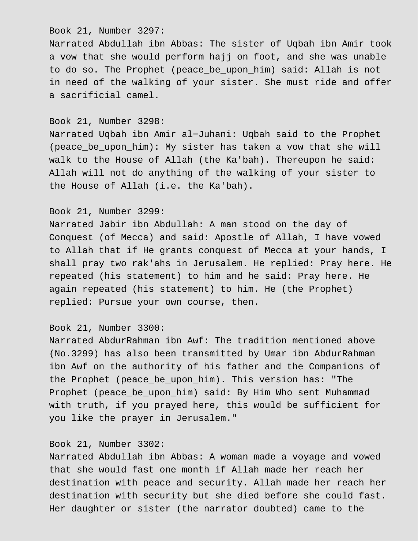#### Book 21, Number 3297:

Narrated Abdullah ibn Abbas: The sister of Uqbah ibn Amir took a vow that she would perform hajj on foot, and she was unable to do so. The Prophet (peace\_be\_upon\_him) said: Allah is not in need of the walking of your sister. She must ride and offer a sacrificial camel.

## Book 21, Number 3298:

Narrated Uqbah ibn Amir al−Juhani: Uqbah said to the Prophet (peace be upon him): My sister has taken a vow that she will walk to the House of Allah (the Ka'bah). Thereupon he said: Allah will not do anything of the walking of your sister to the House of Allah (i.e. the Ka'bah).

# Book 21, Number 3299:

Narrated Jabir ibn Abdullah: A man stood on the day of Conquest (of Mecca) and said: Apostle of Allah, I have vowed to Allah that if He grants conquest of Mecca at your hands, I shall pray two rak'ahs in Jerusalem. He replied: Pray here. He repeated (his statement) to him and he said: Pray here. He again repeated (his statement) to him. He (the Prophet) replied: Pursue your own course, then.

# Book 21, Number 3300:

Narrated AbdurRahman ibn Awf: The tradition mentioned above (No.3299) has also been transmitted by Umar ibn AbdurRahman ibn Awf on the authority of his father and the Companions of the Prophet (peace\_be\_upon\_him). This version has: "The Prophet (peace\_be\_upon\_him) said: By Him Who sent Muhammad with truth, if you prayed here, this would be sufficient for you like the prayer in Jerusalem."

# Book 21, Number 3302:

Narrated Abdullah ibn Abbas: A woman made a voyage and vowed that she would fast one month if Allah made her reach her destination with peace and security. Allah made her reach her destination with security but she died before she could fast. Her daughter or sister (the narrator doubted) came to the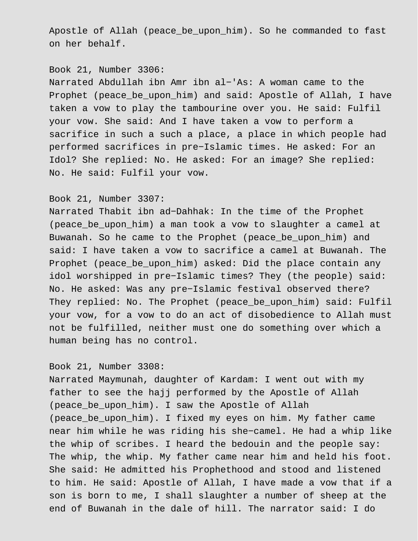Apostle of Allah (peace be upon him). So he commanded to fast on her behalf.

# Book 21, Number 3306:

Narrated Abdullah ibn Amr ibn al−'As: A woman came to the Prophet (peace be upon him) and said: Apostle of Allah, I have taken a vow to play the tambourine over you. He said: Fulfil your vow. She said: And I have taken a vow to perform a sacrifice in such a such a place, a place in which people had performed sacrifices in pre−Islamic times. He asked: For an Idol? She replied: No. He asked: For an image? She replied: No. He said: Fulfil your vow.

## Book 21, Number 3307:

Narrated Thabit ibn ad−Dahhak: In the time of the Prophet (peace\_be\_upon\_him) a man took a vow to slaughter a camel at Buwanah. So he came to the Prophet (peace be upon him) and said: I have taken a vow to sacrifice a camel at Buwanah. The Prophet (peace\_be\_upon\_him) asked: Did the place contain any idol worshipped in pre−Islamic times? They (the people) said: No. He asked: Was any pre−Islamic festival observed there? They replied: No. The Prophet (peace\_be\_upon\_him) said: Fulfil your vow, for a vow to do an act of disobedience to Allah must not be fulfilled, neither must one do something over which a human being has no control.

## Book 21, Number 3308:

Narrated Maymunah, daughter of Kardam: I went out with my father to see the hajj performed by the Apostle of Allah (peace\_be\_upon\_him). I saw the Apostle of Allah (peace\_be\_upon\_him). I fixed my eyes on him. My father came near him while he was riding his she−camel. He had a whip like the whip of scribes. I heard the bedouin and the people say: The whip, the whip. My father came near him and held his foot. She said: He admitted his Prophethood and stood and listened to him. He said: Apostle of Allah, I have made a vow that if a son is born to me, I shall slaughter a number of sheep at the end of Buwanah in the dale of hill. The narrator said: I do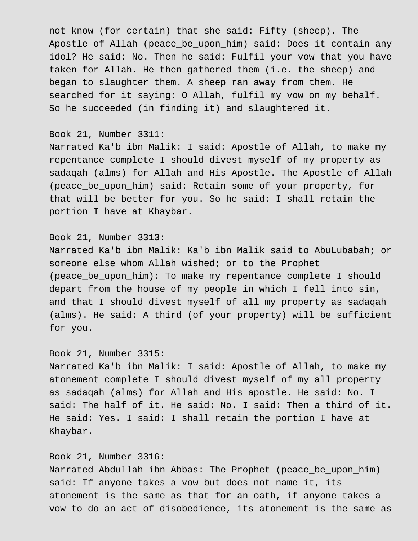not know (for certain) that she said: Fifty (sheep). The Apostle of Allah (peace\_be\_upon\_him) said: Does it contain any idol? He said: No. Then he said: Fulfil your vow that you have taken for Allah. He then gathered them (i.e. the sheep) and began to slaughter them. A sheep ran away from them. He searched for it saying: O Allah, fulfil my vow on my behalf. So he succeeded (in finding it) and slaughtered it.

## Book 21, Number 3311:

Narrated Ka'b ibn Malik: I said: Apostle of Allah, to make my repentance complete I should divest myself of my property as sadaqah (alms) for Allah and His Apostle. The Apostle of Allah (peace\_be\_upon\_him) said: Retain some of your property, for that will be better for you. So he said: I shall retain the portion I have at Khaybar.

# Book 21, Number 3313:

Narrated Ka'b ibn Malik: Ka'b ibn Malik said to AbuLubabah; or someone else whom Allah wished; or to the Prophet (peace\_be\_upon\_him): To make my repentance complete I should depart from the house of my people in which I fell into sin, and that I should divest myself of all my property as sadaqah (alms). He said: A third (of your property) will be sufficient for you.

## Book 21, Number 3315:

Narrated Ka'b ibn Malik: I said: Apostle of Allah, to make my atonement complete I should divest myself of my all property as sadaqah (alms) for Allah and His apostle. He said: No. I said: The half of it. He said: No. I said: Then a third of it. He said: Yes. I said: I shall retain the portion I have at Khaybar.

#### Book 21, Number 3316:

Narrated Abdullah ibn Abbas: The Prophet (peace be upon him) said: If anyone takes a vow but does not name it, its atonement is the same as that for an oath, if anyone takes a vow to do an act of disobedience, its atonement is the same as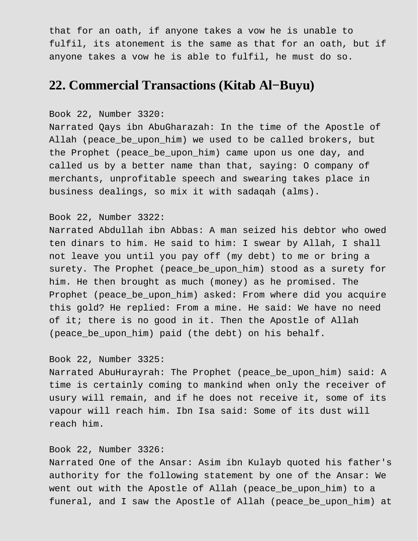that for an oath, if anyone takes a vow he is unable to fulfil, its atonement is the same as that for an oath, but if anyone takes a vow he is able to fulfil, he must do so.

# **22. Commercial Transactions (Kitab Al−Buyu)**

# Book 22, Number 3320:

Narrated Qays ibn AbuGharazah: In the time of the Apostle of Allah (peace\_be\_upon\_him) we used to be called brokers, but the Prophet (peace\_be\_upon\_him) came upon us one day, and called us by a better name than that, saying: O company of merchants, unprofitable speech and swearing takes place in business dealings, so mix it with sadaqah (alms).

## Book 22, Number 3322:

Narrated Abdullah ibn Abbas: A man seized his debtor who owed ten dinars to him. He said to him: I swear by Allah, I shall not leave you until you pay off (my debt) to me or bring a surety. The Prophet (peace\_be\_upon\_him) stood as a surety for him. He then brought as much (money) as he promised. The Prophet (peace be upon him) asked: From where did you acquire this gold? He replied: From a mine. He said: We have no need of it; there is no good in it. Then the Apostle of Allah (peace\_be\_upon\_him) paid (the debt) on his behalf.

#### Book 22, Number 3325:

Narrated AbuHurayrah: The Prophet (peace be upon him) said: A time is certainly coming to mankind when only the receiver of usury will remain, and if he does not receive it, some of its vapour will reach him. Ibn Isa said: Some of its dust will reach him.

## Book 22, Number 3326:

Narrated One of the Ansar: Asim ibn Kulayb quoted his father's authority for the following statement by one of the Ansar: We went out with the Apostle of Allah (peace be upon him) to a funeral, and I saw the Apostle of Allah (peace\_be\_upon\_him) at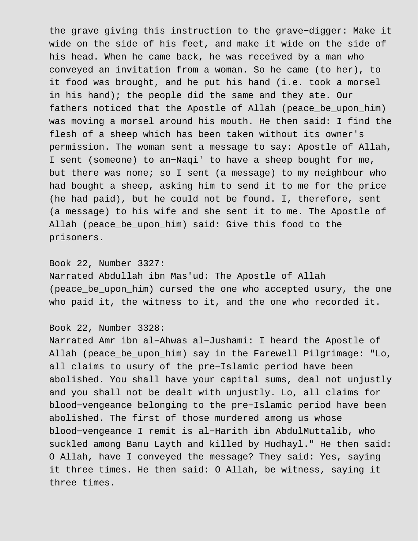the grave giving this instruction to the grave−digger: Make it wide on the side of his feet, and make it wide on the side of his head. When he came back, he was received by a man who conveyed an invitation from a woman. So he came (to her), to it food was brought, and he put his hand (i.e. took a morsel in his hand); the people did the same and they ate. Our fathers noticed that the Apostle of Allah (peace\_be\_upon\_him) was moving a morsel around his mouth. He then said: I find the flesh of a sheep which has been taken without its owner's permission. The woman sent a message to say: Apostle of Allah, I sent (someone) to an−Naqi' to have a sheep bought for me, but there was none; so I sent (a message) to my neighbour who had bought a sheep, asking him to send it to me for the price (he had paid), but he could not be found. I, therefore, sent (a message) to his wife and she sent it to me. The Apostle of Allah (peace\_be\_upon\_him) said: Give this food to the prisoners.

## Book 22, Number 3327:

Narrated Abdullah ibn Mas'ud: The Apostle of Allah (peace\_be\_upon\_him) cursed the one who accepted usury, the one who paid it, the witness to it, and the one who recorded it.

# Book 22, Number 3328:

Narrated Amr ibn al−Ahwas al−Jushami: I heard the Apostle of Allah (peace be upon him) say in the Farewell Pilgrimage: "Lo, all claims to usury of the pre−Islamic period have been abolished. You shall have your capital sums, deal not unjustly and you shall not be dealt with unjustly. Lo, all claims for blood−vengeance belonging to the pre−Islamic period have been abolished. The first of those murdered among us whose blood−vengeance I remit is al−Harith ibn AbdulMuttalib, who suckled among Banu Layth and killed by Hudhayl." He then said: O Allah, have I conveyed the message? They said: Yes, saying it three times. He then said: O Allah, be witness, saying it three times.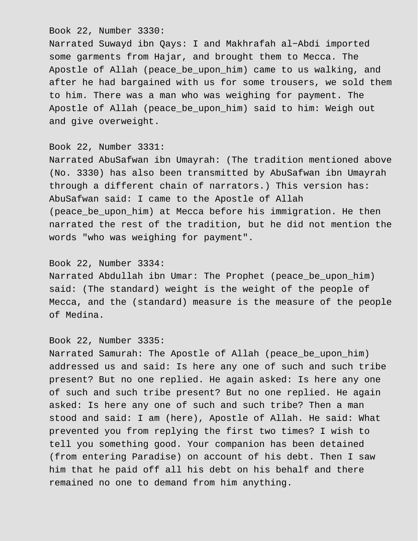# Book 22, Number 3330:

Narrated Suwayd ibn Qays: I and Makhrafah al−Abdi imported some garments from Hajar, and brought them to Mecca. The Apostle of Allah (peace\_be\_upon\_him) came to us walking, and after he had bargained with us for some trousers, we sold them to him. There was a man who was weighing for payment. The Apostle of Allah (peace\_be\_upon\_him) said to him: Weigh out and give overweight.

# Book 22, Number 3331:

Narrated AbuSafwan ibn Umayrah: (The tradition mentioned above (No. 3330) has also been transmitted by AbuSafwan ibn Umayrah through a different chain of narrators.) This version has: AbuSafwan said: I came to the Apostle of Allah (peace be upon him) at Mecca before his immigration. He then narrated the rest of the tradition, but he did not mention the words "who was weighing for payment".

## Book 22, Number 3334:

Narrated Abdullah ibn Umar: The Prophet (peace be upon him) said: (The standard) weight is the weight of the people of Mecca, and the (standard) measure is the measure of the people of Medina.

#### Book 22, Number 3335:

Narrated Samurah: The Apostle of Allah (peace be upon him) addressed us and said: Is here any one of such and such tribe present? But no one replied. He again asked: Is here any one of such and such tribe present? But no one replied. He again asked: Is here any one of such and such tribe? Then a man stood and said: I am (here), Apostle of Allah. He said: What prevented you from replying the first two times? I wish to tell you something good. Your companion has been detained (from entering Paradise) on account of his debt. Then I saw him that he paid off all his debt on his behalf and there remained no one to demand from him anything.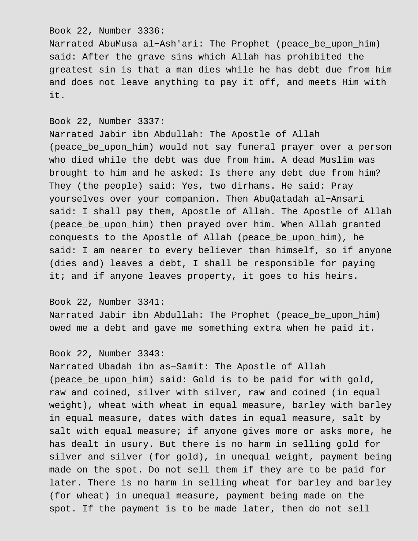# Book 22, Number 3336:

Narrated AbuMusa al−Ash'ari: The Prophet (peace\_be\_upon\_him) said: After the grave sins which Allah has prohibited the greatest sin is that a man dies while he has debt due from him and does not leave anything to pay it off, and meets Him with it.

## Book 22, Number 3337:

Narrated Jabir ibn Abdullah: The Apostle of Allah (peace be upon him) would not say funeral prayer over a person who died while the debt was due from him. A dead Muslim was brought to him and he asked: Is there any debt due from him? They (the people) said: Yes, two dirhams. He said: Pray yourselves over your companion. Then AbuQatadah al−Ansari said: I shall pay them, Apostle of Allah. The Apostle of Allah (peace\_be\_upon\_him) then prayed over him. When Allah granted conquests to the Apostle of Allah (peace\_be\_upon\_him), he said: I am nearer to every believer than himself, so if anyone (dies and) leaves a debt, I shall be responsible for paying it; and if anyone leaves property, it goes to his heirs.

# Book 22, Number 3341:

Narrated Jabir ibn Abdullah: The Prophet (peace\_be\_upon\_him) owed me a debt and gave me something extra when he paid it.

# Book 22, Number 3343:

Narrated Ubadah ibn as−Samit: The Apostle of Allah (peace\_be\_upon\_him) said: Gold is to be paid for with gold, raw and coined, silver with silver, raw and coined (in equal weight), wheat with wheat in equal measure, barley with barley in equal measure, dates with dates in equal measure, salt by salt with equal measure; if anyone gives more or asks more, he has dealt in usury. But there is no harm in selling gold for silver and silver (for gold), in unequal weight, payment being made on the spot. Do not sell them if they are to be paid for later. There is no harm in selling wheat for barley and barley (for wheat) in unequal measure, payment being made on the spot. If the payment is to be made later, then do not sell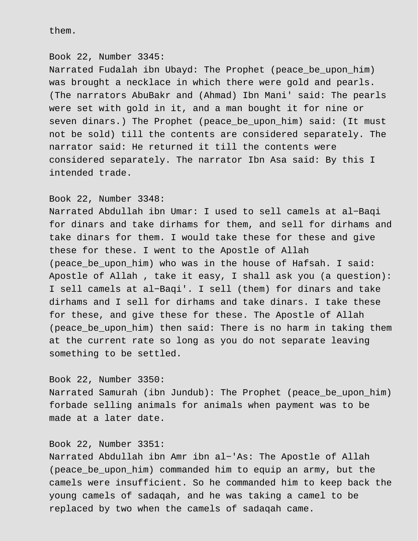them.

# Book 22, Number 3345:

Narrated Fudalah ibn Ubayd: The Prophet (peace\_be\_upon\_him) was brought a necklace in which there were gold and pearls. (The narrators AbuBakr and (Ahmad) Ibn Mani' said: The pearls were set with gold in it, and a man bought it for nine or seven dinars.) The Prophet (peace\_be\_upon\_him) said: (It must not be sold) till the contents are considered separately. The narrator said: He returned it till the contents were considered separately. The narrator Ibn Asa said: By this I intended trade.

# Book 22, Number 3348:

Narrated Abdullah ibn Umar: I used to sell camels at al−Baqi for dinars and take dirhams for them, and sell for dirhams and take dinars for them. I would take these for these and give these for these. I went to the Apostle of Allah (peace\_be\_upon\_him) who was in the house of Hafsah. I said: Apostle of Allah , take it easy, I shall ask you (a question): I sell camels at al−Baqi'. I sell (them) for dinars and take dirhams and I sell for dirhams and take dinars. I take these for these, and give these for these. The Apostle of Allah (peace\_be\_upon\_him) then said: There is no harm in taking them at the current rate so long as you do not separate leaving something to be settled.

# Book 22, Number 3350:

Narrated Samurah (ibn Jundub): The Prophet (peace\_be\_upon\_him) forbade selling animals for animals when payment was to be made at a later date.

# Book 22, Number 3351:

Narrated Abdullah ibn Amr ibn al−'As: The Apostle of Allah (peace be upon him) commanded him to equip an army, but the camels were insufficient. So he commanded him to keep back the young camels of sadaqah, and he was taking a camel to be replaced by two when the camels of sadaqah came.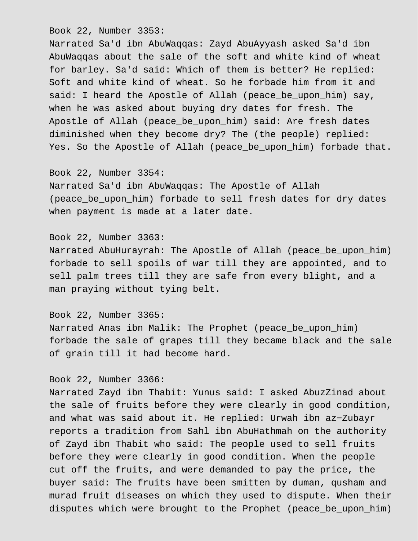Book 22, Number 3353:

Narrated Sa'd ibn AbuWaqqas: Zayd AbuAyyash asked Sa'd ibn AbuWaqqas about the sale of the soft and white kind of wheat for barley. Sa'd said: Which of them is better? He replied: Soft and white kind of wheat. So he forbade him from it and said: I heard the Apostle of Allah (peace be upon him) say, when he was asked about buying dry dates for fresh. The Apostle of Allah (peace\_be\_upon\_him) said: Are fresh dates diminished when they become dry? The (the people) replied: Yes. So the Apostle of Allah (peace be upon him) forbade that.

Book 22, Number 3354:

Narrated Sa'd ibn AbuWaqqas: The Apostle of Allah (peace\_be\_upon\_him) forbade to sell fresh dates for dry dates when payment is made at a later date.

Book 22, Number 3363:

Narrated AbuHurayrah: The Apostle of Allah (peace\_be\_upon\_him) forbade to sell spoils of war till they are appointed, and to sell palm trees till they are safe from every blight, and a man praying without tying belt.

Book 22, Number 3365:

Narrated Anas ibn Malik: The Prophet (peace\_be\_upon\_him) forbade the sale of grapes till they became black and the sale of grain till it had become hard.

# Book 22, Number 3366:

Narrated Zayd ibn Thabit: Yunus said: I asked AbuzZinad about the sale of fruits before they were clearly in good condition, and what was said about it. He replied: Urwah ibn az−Zubayr reports a tradition from Sahl ibn AbuHathmah on the authority of Zayd ibn Thabit who said: The people used to sell fruits before they were clearly in good condition. When the people cut off the fruits, and were demanded to pay the price, the buyer said: The fruits have been smitten by duman, qusham and murad fruit diseases on which they used to dispute. When their disputes which were brought to the Prophet (peace\_be\_upon\_him)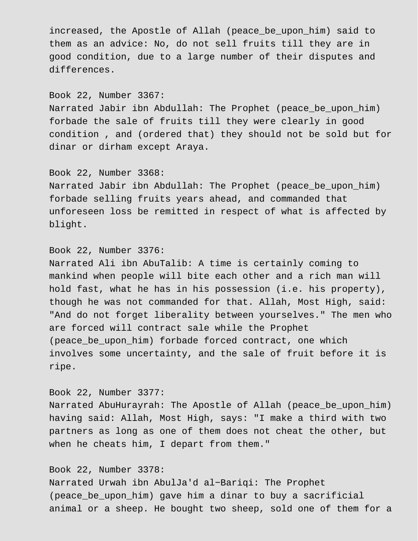increased, the Apostle of Allah (peace be upon him) said to them as an advice: No, do not sell fruits till they are in good condition, due to a large number of their disputes and differences.

# Book 22, Number 3367:

Narrated Jabir ibn Abdullah: The Prophet (peace\_be\_upon\_him) forbade the sale of fruits till they were clearly in good condition , and (ordered that) they should not be sold but for dinar or dirham except Araya.

#### Book 22, Number 3368:

Narrated Jabir ibn Abdullah: The Prophet (peace\_be\_upon\_him) forbade selling fruits years ahead, and commanded that unforeseen loss be remitted in respect of what is affected by blight.

## Book 22, Number 3376:

Narrated Ali ibn AbuTalib: A time is certainly coming to mankind when people will bite each other and a rich man will hold fast, what he has in his possession (i.e. his property), though he was not commanded for that. Allah, Most High, said: "And do not forget liberality between yourselves." The men who are forced will contract sale while the Prophet (peace be upon him) forbade forced contract, one which involves some uncertainty, and the sale of fruit before it is ripe.

## Book 22, Number 3377:

Narrated AbuHurayrah: The Apostle of Allah (peace\_be\_upon\_him) having said: Allah, Most High, says: "I make a third with two partners as long as one of them does not cheat the other, but when he cheats him, I depart from them."

## Book 22, Number 3378:

Narrated Urwah ibn AbulJa'd al−Bariqi: The Prophet (peace\_be\_upon\_him) gave him a dinar to buy a sacrificial animal or a sheep. He bought two sheep, sold one of them for a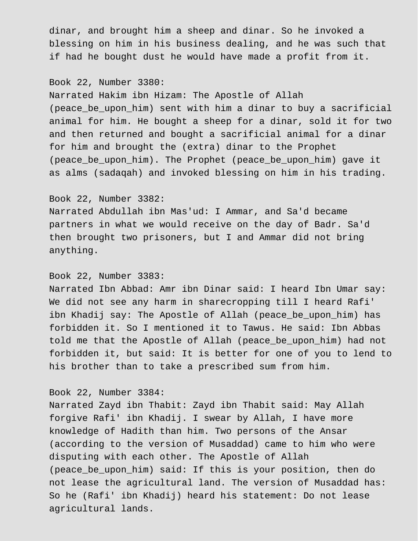dinar, and brought him a sheep and dinar. So he invoked a blessing on him in his business dealing, and he was such that if had he bought dust he would have made a profit from it.

## Book 22, Number 3380:

Narrated Hakim ibn Hizam: The Apostle of Allah (peace\_be\_upon\_him) sent with him a dinar to buy a sacrificial animal for him. He bought a sheep for a dinar, sold it for two and then returned and bought a sacrificial animal for a dinar for him and brought the (extra) dinar to the Prophet (peace\_be\_upon\_him). The Prophet (peace\_be\_upon\_him) gave it as alms (sadaqah) and invoked blessing on him in his trading.

## Book 22, Number 3382:

Narrated Abdullah ibn Mas'ud: I Ammar, and Sa'd became partners in what we would receive on the day of Badr. Sa'd then brought two prisoners, but I and Ammar did not bring anything.

## Book 22, Number 3383:

Narrated Ibn Abbad: Amr ibn Dinar said: I heard Ibn Umar say: We did not see any harm in sharecropping till I heard Rafi' ibn Khadij say: The Apostle of Allah (peace\_be\_upon\_him) has forbidden it. So I mentioned it to Tawus. He said: Ibn Abbas told me that the Apostle of Allah (peace\_be\_upon\_him) had not forbidden it, but said: It is better for one of you to lend to his brother than to take a prescribed sum from him.

# Book 22, Number 3384:

Narrated Zayd ibn Thabit: Zayd ibn Thabit said: May Allah forgive Rafi' ibn Khadij. I swear by Allah, I have more knowledge of Hadith than him. Two persons of the Ansar (according to the version of Musaddad) came to him who were disputing with each other. The Apostle of Allah (peace be upon him) said: If this is your position, then do not lease the agricultural land. The version of Musaddad has: So he (Rafi' ibn Khadij) heard his statement: Do not lease agricultural lands.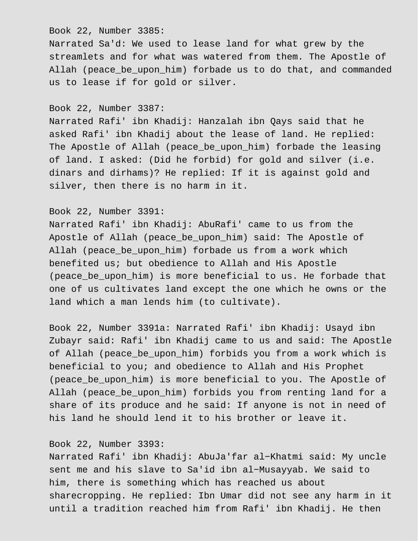### Book 22, Number 3385:

Narrated Sa'd: We used to lease land for what grew by the streamlets and for what was watered from them. The Apostle of Allah (peace\_be\_upon\_him) forbade us to do that, and commanded us to lease if for gold or silver.

#### Book 22, Number 3387:

Narrated Rafi' ibn Khadij: Hanzalah ibn Qays said that he asked Rafi' ibn Khadij about the lease of land. He replied: The Apostle of Allah (peace be upon him) forbade the leasing of land. I asked: (Did he forbid) for gold and silver (i.e. dinars and dirhams)? He replied: If it is against gold and silver, then there is no harm in it.

## Book 22, Number 3391:

Narrated Rafi' ibn Khadij: AbuRafi' came to us from the Apostle of Allah (peace\_be\_upon\_him) said: The Apostle of Allah (peace\_be\_upon\_him) forbade us from a work which benefited us; but obedience to Allah and His Apostle (peace be upon  $him$ ) is more beneficial to us. He forbade that one of us cultivates land except the one which he owns or the land which a man lends him (to cultivate).

Book 22, Number 3391a: Narrated Rafi' ibn Khadij: Usayd ibn Zubayr said: Rafi' ibn Khadij came to us and said: The Apostle of Allah (peace\_be\_upon\_him) forbids you from a work which is beneficial to you; and obedience to Allah and His Prophet (peace\_be\_upon\_him) is more beneficial to you. The Apostle of Allah (peace\_be\_upon\_him) forbids you from renting land for a share of its produce and he said: If anyone is not in need of his land he should lend it to his brother or leave it.

# Book 22, Number 3393:

Narrated Rafi' ibn Khadij: AbuJa'far al−Khatmi said: My uncle sent me and his slave to Sa'id ibn al−Musayyab. We said to him, there is something which has reached us about sharecropping. He replied: Ibn Umar did not see any harm in it until a tradition reached him from Rafi' ibn Khadij. He then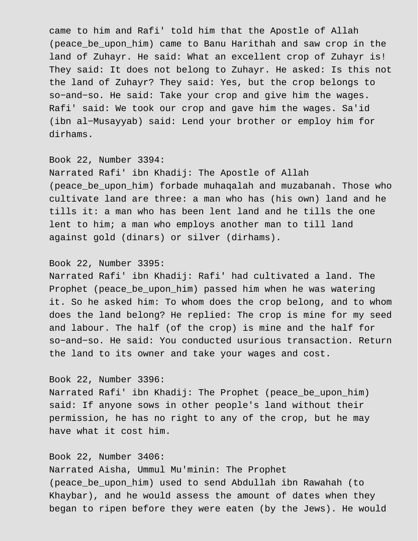came to him and Rafi' told him that the Apostle of Allah (peace\_be\_upon\_him) came to Banu Harithah and saw crop in the land of Zuhayr. He said: What an excellent crop of Zuhayr is! They said: It does not belong to Zuhayr. He asked: Is this not the land of Zuhayr? They said: Yes, but the crop belongs to so−and−so. He said: Take your crop and give him the wages. Rafi' said: We took our crop and gave him the wages. Sa'id (ibn al−Musayyab) said: Lend your brother or employ him for dirhams.

#### Book 22, Number 3394:

Narrated Rafi' ibn Khadij: The Apostle of Allah (peace be upon him) forbade muhaqalah and muzabanah. Those who cultivate land are three: a man who has (his own) land and he tills it: a man who has been lent land and he tills the one lent to him; a man who employs another man to till land against gold (dinars) or silver (dirhams).

## Book 22, Number 3395:

Narrated Rafi' ibn Khadij: Rafi' had cultivated a land. The Prophet (peace\_be\_upon\_him) passed him when he was watering it. So he asked him: To whom does the crop belong, and to whom does the land belong? He replied: The crop is mine for my seed and labour. The half (of the crop) is mine and the half for so−and−so. He said: You conducted usurious transaction. Return the land to its owner and take your wages and cost.

## Book 22, Number 3396:

Narrated Rafi' ibn Khadij: The Prophet (peace\_be\_upon\_him) said: If anyone sows in other people's land without their permission, he has no right to any of the crop, but he may have what it cost him.

#### Book 22, Number 3406:

Narrated Aisha, Ummul Mu'minin: The Prophet (peace\_be\_upon\_him) used to send Abdullah ibn Rawahah (to Khaybar), and he would assess the amount of dates when they began to ripen before they were eaten (by the Jews). He would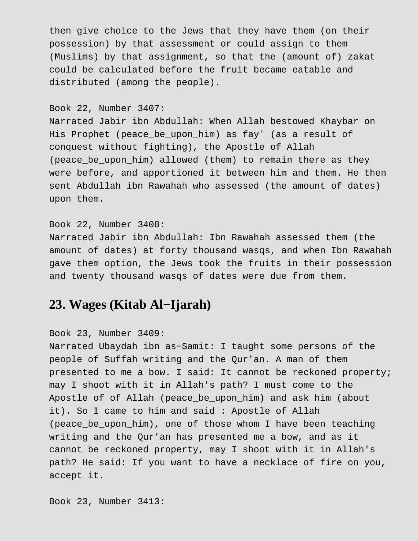then give choice to the Jews that they have them (on their possession) by that assessment or could assign to them (Muslims) by that assignment, so that the (amount of) zakat could be calculated before the fruit became eatable and distributed (among the people).

## Book 22, Number 3407:

Narrated Jabir ibn Abdullah: When Allah bestowed Khaybar on His Prophet (peace\_be\_upon\_him) as fay' (as a result of conquest without fighting), the Apostle of Allah (peace\_be\_upon\_him) allowed (them) to remain there as they were before, and apportioned it between him and them. He then sent Abdullah ibn Rawahah who assessed (the amount of dates) upon them.

#### Book 22, Number 3408:

Narrated Jabir ibn Abdullah: Ibn Rawahah assessed them (the amount of dates) at forty thousand wasqs, and when Ibn Rawahah gave them option, the Jews took the fruits in their possession and twenty thousand wasqs of dates were due from them.

# **23. Wages (Kitab Al−Ijarah)**

#### Book 23, Number 3409:

Narrated Ubaydah ibn as−Samit: I taught some persons of the people of Suffah writing and the Qur'an. A man of them presented to me a bow. I said: It cannot be reckoned property; may I shoot with it in Allah's path? I must come to the Apostle of of Allah (peace\_be\_upon\_him) and ask him (about it). So I came to him and said : Apostle of Allah (peace\_be\_upon\_him), one of those whom I have been teaching writing and the Qur'an has presented me a bow, and as it cannot be reckoned property, may I shoot with it in Allah's path? He said: If you want to have a necklace of fire on you, accept it.

Book 23, Number 3413: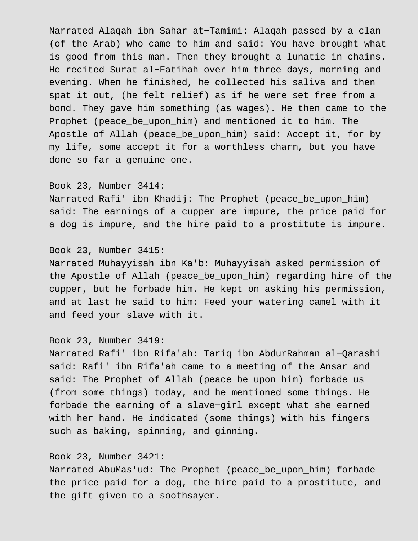Narrated Alaqah ibn Sahar at−Tamimi: Alaqah passed by a clan (of the Arab) who came to him and said: You have brought what is good from this man. Then they brought a lunatic in chains. He recited Surat al−Fatihah over him three days, morning and evening. When he finished, he collected his saliva and then spat it out, (he felt relief) as if he were set free from a bond. They gave him something (as wages). He then came to the Prophet (peace\_be\_upon\_him) and mentioned it to him. The Apostle of Allah (peace\_be\_upon\_him) said: Accept it, for by my life, some accept it for a worthless charm, but you have done so far a genuine one.

#### Book 23, Number 3414:

Narrated Rafi' ibn Khadij: The Prophet (peace\_be\_upon\_him) said: The earnings of a cupper are impure, the price paid for a dog is impure, and the hire paid to a prostitute is impure.

# Book 23, Number 3415:

Narrated Muhayyisah ibn Ka'b: Muhayyisah asked permission of the Apostle of Allah (peace\_be\_upon\_him) regarding hire of the cupper, but he forbade him. He kept on asking his permission, and at last he said to him: Feed your watering camel with it and feed your slave with it.

#### Book 23, Number 3419:

Narrated Rafi' ibn Rifa'ah: Tariq ibn AbdurRahman al−Qarashi said: Rafi' ibn Rifa'ah came to a meeting of the Ansar and said: The Prophet of Allah (peace\_be\_upon\_him) forbade us (from some things) today, and he mentioned some things. He forbade the earning of a slave−girl except what she earned with her hand. He indicated (some things) with his fingers such as baking, spinning, and ginning.

## Book 23, Number 3421:

Narrated AbuMas'ud: The Prophet (peace be upon him) forbade the price paid for a dog, the hire paid to a prostitute, and the gift given to a soothsayer.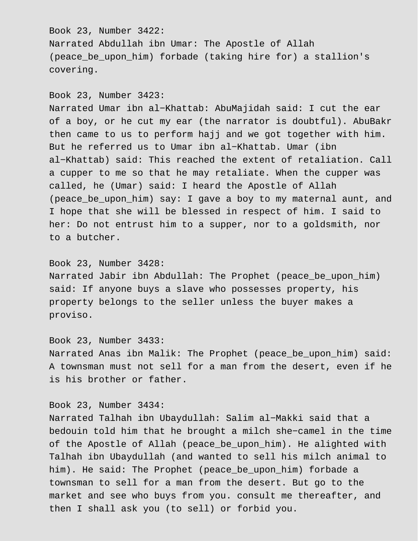#### Book 23, Number 3422:

Narrated Abdullah ibn Umar: The Apostle of Allah (peace\_be\_upon\_him) forbade (taking hire for) a stallion's covering.

#### Book 23, Number 3423:

Narrated Umar ibn al−Khattab: AbuMajidah said: I cut the ear of a boy, or he cut my ear (the narrator is doubtful). AbuBakr then came to us to perform hajj and we got together with him. But he referred us to Umar ibn al−Khattab. Umar (ibn al−Khattab) said: This reached the extent of retaliation. Call a cupper to me so that he may retaliate. When the cupper was called, he (Umar) said: I heard the Apostle of Allah (peace\_be\_upon\_him) say: I gave a boy to my maternal aunt, and I hope that she will be blessed in respect of him. I said to her: Do not entrust him to a supper, nor to a goldsmith, nor to a butcher.

# Book 23, Number 3428:

Narrated Jabir ibn Abdullah: The Prophet (peace\_be\_upon\_him) said: If anyone buys a slave who possesses property, his property belongs to the seller unless the buyer makes a proviso.

Book 23, Number 3433: Narrated Anas ibn Malik: The Prophet (peace be upon him) said: A townsman must not sell for a man from the desert, even if he is his brother or father.

## Book 23, Number 3434:

Narrated Talhah ibn Ubaydullah: Salim al−Makki said that a bedouin told him that he brought a milch she−camel in the time of the Apostle of Allah (peace\_be\_upon\_him). He alighted with Talhah ibn Ubaydullah (and wanted to sell his milch animal to him). He said: The Prophet (peace be upon him) forbade a townsman to sell for a man from the desert. But go to the market and see who buys from you. consult me thereafter, and then I shall ask you (to sell) or forbid you.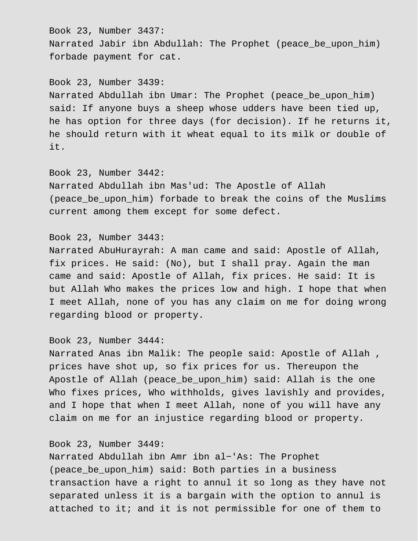Book 23, Number 3437: Narrated Jabir ibn Abdullah: The Prophet (peace\_be\_upon\_him) forbade payment for cat.

Book 23, Number 3439: Narrated Abdullah ibn Umar: The Prophet (peace\_be\_upon\_him) said: If anyone buys a sheep whose udders have been tied up, he has option for three days (for decision). If he returns it, he should return with it wheat equal to its milk or double of it.

Book 23, Number 3442: Narrated Abdullah ibn Mas'ud: The Apostle of Allah (peace\_be\_upon\_him) forbade to break the coins of the Muslims current among them except for some defect.

Book 23, Number 3443:

Narrated AbuHurayrah: A man came and said: Apostle of Allah, fix prices. He said: (No), but I shall pray. Again the man came and said: Apostle of Allah, fix prices. He said: It is but Allah Who makes the prices low and high. I hope that when I meet Allah, none of you has any claim on me for doing wrong regarding blood or property.

Book 23, Number 3444:

Narrated Anas ibn Malik: The people said: Apostle of Allah , prices have shot up, so fix prices for us. Thereupon the Apostle of Allah (peace\_be\_upon\_him) said: Allah is the one Who fixes prices, Who withholds, gives lavishly and provides, and I hope that when I meet Allah, none of you will have any claim on me for an injustice regarding blood or property.

Book 23, Number 3449:

Narrated Abdullah ibn Amr ibn al−'As: The Prophet (peace be upon him) said: Both parties in a business transaction have a right to annul it so long as they have not separated unless it is a bargain with the option to annul is attached to it; and it is not permissible for one of them to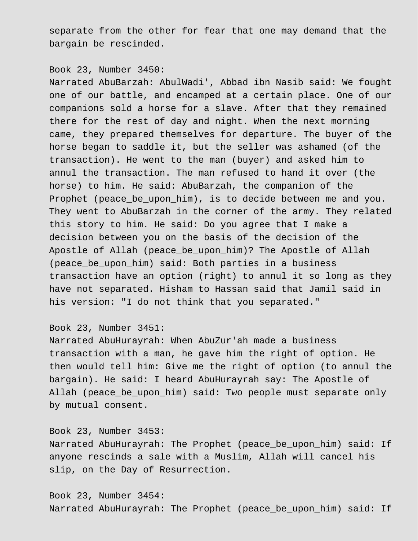separate from the other for fear that one may demand that the bargain be rescinded.

# Book 23, Number 3450:

Narrated AbuBarzah: AbulWadi', Abbad ibn Nasib said: We fought one of our battle, and encamped at a certain place. One of our companions sold a horse for a slave. After that they remained there for the rest of day and night. When the next morning came, they prepared themselves for departure. The buyer of the horse began to saddle it, but the seller was ashamed (of the transaction). He went to the man (buyer) and asked him to annul the transaction. The man refused to hand it over (the horse) to him. He said: AbuBarzah, the companion of the Prophet (peace\_be\_upon\_him), is to decide between me and you. They went to AbuBarzah in the corner of the army. They related this story to him. He said: Do you agree that I make a decision between you on the basis of the decision of the Apostle of Allah (peace\_be\_upon\_him)? The Apostle of Allah (peace\_be\_upon\_him) said: Both parties in a business transaction have an option (right) to annul it so long as they have not separated. Hisham to Hassan said that Jamil said in his version: "I do not think that you separated."

# Book 23, Number 3451:

Narrated AbuHurayrah: When AbuZur'ah made a business transaction with a man, he gave him the right of option. He then would tell him: Give me the right of option (to annul the bargain). He said: I heard AbuHurayrah say: The Apostle of Allah (peace\_be\_upon\_him) said: Two people must separate only by mutual consent.

#### Book 23, Number 3453:

Narrated AbuHurayrah: The Prophet (peace\_be\_upon\_him) said: If anyone rescinds a sale with a Muslim, Allah will cancel his slip, on the Day of Resurrection.

Book 23, Number 3454: Narrated AbuHurayrah: The Prophet (peace\_be\_upon\_him) said: If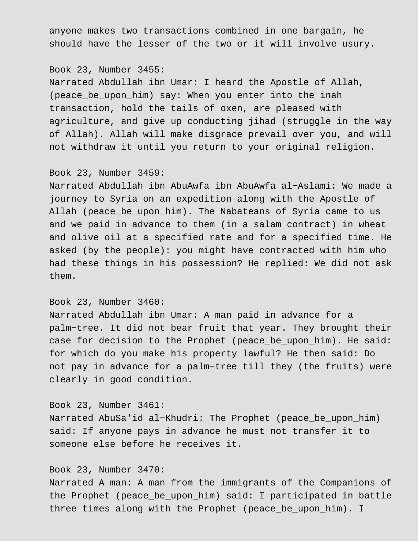anyone makes two transactions combined in one bargain, he should have the lesser of the two or it will involve usury.

## Book 23, Number 3455:

Narrated Abdullah ibn Umar: I heard the Apostle of Allah, (peace\_be\_upon\_him) say: When you enter into the inah transaction, hold the tails of oxen, are pleased with agriculture, and give up conducting jihad (struggle in the way of Allah). Allah will make disgrace prevail over you, and will not withdraw it until you return to your original religion.

## Book 23, Number 3459:

Narrated Abdullah ibn AbuAwfa ibn AbuAwfa al−Aslami: We made a journey to Syria on an expedition along with the Apostle of Allah (peace\_be\_upon\_him). The Nabateans of Syria came to us and we paid in advance to them (in a salam contract) in wheat and olive oil at a specified rate and for a specified time. He asked (by the people): you might have contracted with him who had these things in his possession? He replied: We did not ask them.

#### Book 23, Number 3460:

Narrated Abdullah ibn Umar: A man paid in advance for a palm−tree. It did not bear fruit that year. They brought their case for decision to the Prophet (peace\_be\_upon\_him). He said: for which do you make his property lawful? He then said: Do not pay in advance for a palm−tree till they (the fruits) were clearly in good condition.

## Book 23, Number 3461:

Narrated AbuSa'id al−Khudri: The Prophet (peace\_be\_upon\_him) said: If anyone pays in advance he must not transfer it to someone else before he receives it.

### Book 23, Number 3470:

Narrated A man: A man from the immigrants of the Companions of the Prophet (peace\_be\_upon\_him) said: I participated in battle three times along with the Prophet (peace\_be\_upon\_him). I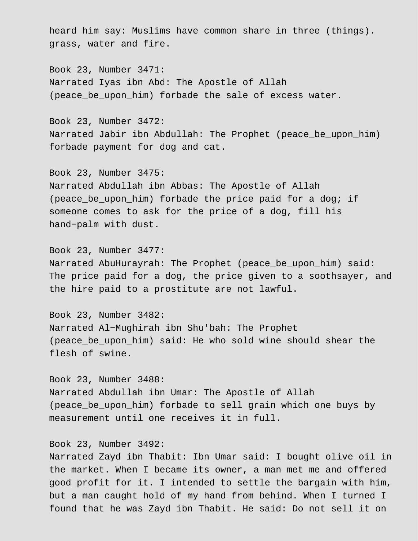heard him say: Muslims have common share in three (things). grass, water and fire.

Book 23, Number 3471: Narrated Iyas ibn Abd: The Apostle of Allah (peace\_be\_upon\_him) forbade the sale of excess water.

Book 23, Number 3472: Narrated Jabir ibn Abdullah: The Prophet (peace\_be\_upon\_him) forbade payment for dog and cat.

Book 23, Number 3475: Narrated Abdullah ibn Abbas: The Apostle of Allah (peace\_be\_upon\_him) forbade the price paid for a dog; if someone comes to ask for the price of a dog, fill his hand−palm with dust.

Book 23, Number 3477: Narrated AbuHurayrah: The Prophet (peace\_be\_upon\_him) said: The price paid for a dog, the price given to a soothsayer, and the hire paid to a prostitute are not lawful.

Book 23, Number 3482: Narrated Al−Mughirah ibn Shu'bah: The Prophet (peace\_be\_upon\_him) said: He who sold wine should shear the flesh of swine.

Book 23, Number 3488: Narrated Abdullah ibn Umar: The Apostle of Allah (peace\_be\_upon\_him) forbade to sell grain which one buys by measurement until one receives it in full.

Book 23, Number 3492:

Narrated Zayd ibn Thabit: Ibn Umar said: I bought olive oil in the market. When I became its owner, a man met me and offered good profit for it. I intended to settle the bargain with him, but a man caught hold of my hand from behind. When I turned I found that he was Zayd ibn Thabit. He said: Do not sell it on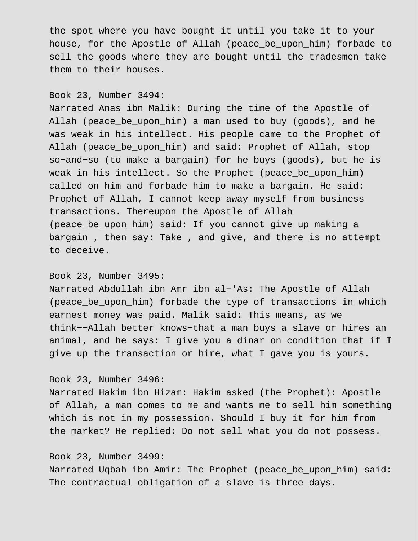the spot where you have bought it until you take it to your house, for the Apostle of Allah (peace\_be\_upon\_him) forbade to sell the goods where they are bought until the tradesmen take them to their houses.

## Book 23, Number 3494:

Narrated Anas ibn Malik: During the time of the Apostle of Allah (peace\_be\_upon\_him) a man used to buy (goods), and he was weak in his intellect. His people came to the Prophet of Allah (peace be upon him) and said: Prophet of Allah, stop so−and−so (to make a bargain) for he buys (goods), but he is weak in his intellect. So the Prophet (peace\_be\_upon\_him) called on him and forbade him to make a bargain. He said: Prophet of Allah, I cannot keep away myself from business transactions. Thereupon the Apostle of Allah (peace\_be\_upon\_him) said: If you cannot give up making a bargain , then say: Take , and give, and there is no attempt to deceive.

#### Book 23, Number 3495:

Narrated Abdullah ibn Amr ibn al−'As: The Apostle of Allah (peace\_be\_upon\_him) forbade the type of transactions in which earnest money was paid. Malik said: This means, as we think−−Allah better knows−that a man buys a slave or hires an animal, and he says: I give you a dinar on condition that if I give up the transaction or hire, what I gave you is yours.

## Book 23, Number 3496:

Narrated Hakim ibn Hizam: Hakim asked (the Prophet): Apostle of Allah, a man comes to me and wants me to sell him something which is not in my possession. Should I buy it for him from the market? He replied: Do not sell what you do not possess.

## Book 23, Number 3499:

Narrated Uqbah ibn Amir: The Prophet (peace be upon him) said: The contractual obligation of a slave is three days.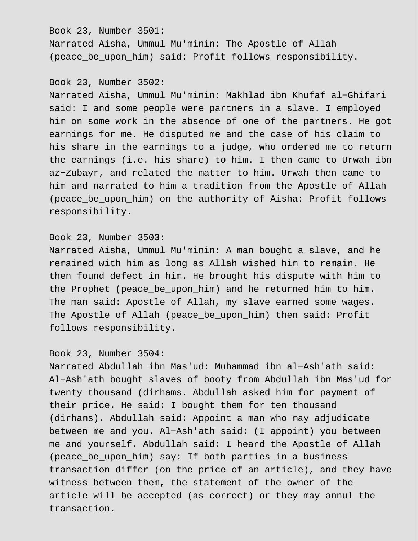# Book 23, Number 3501: Narrated Aisha, Ummul Mu'minin: The Apostle of Allah (peace\_be\_upon\_him) said: Profit follows responsibility.

# Book 23, Number 3502:

Narrated Aisha, Ummul Mu'minin: Makhlad ibn Khufaf al−Ghifari said: I and some people were partners in a slave. I employed him on some work in the absence of one of the partners. He got earnings for me. He disputed me and the case of his claim to his share in the earnings to a judge, who ordered me to return the earnings (i.e. his share) to him. I then came to Urwah ibn az−Zubayr, and related the matter to him. Urwah then came to him and narrated to him a tradition from the Apostle of Allah (peace\_be\_upon\_him) on the authority of Aisha: Profit follows responsibility.

# Book 23, Number 3503:

Narrated Aisha, Ummul Mu'minin: A man bought a slave, and he remained with him as long as Allah wished him to remain. He then found defect in him. He brought his dispute with him to the Prophet (peace be upon him) and he returned him to him. The man said: Apostle of Allah, my slave earned some wages. The Apostle of Allah (peace be upon him) then said: Profit follows responsibility.

# Book 23, Number 3504:

Narrated Abdullah ibn Mas'ud: Muhammad ibn al−Ash'ath said: Al−Ash'ath bought slaves of booty from Abdullah ibn Mas'ud for twenty thousand (dirhams. Abdullah asked him for payment of their price. He said: I bought them for ten thousand (dirhams). Abdullah said: Appoint a man who may adjudicate between me and you. Al−Ash'ath said: (I appoint) you between me and yourself. Abdullah said: I heard the Apostle of Allah (peace\_be\_upon\_him) say: If both parties in a business transaction differ (on the price of an article), and they have witness between them, the statement of the owner of the article will be accepted (as correct) or they may annul the transaction.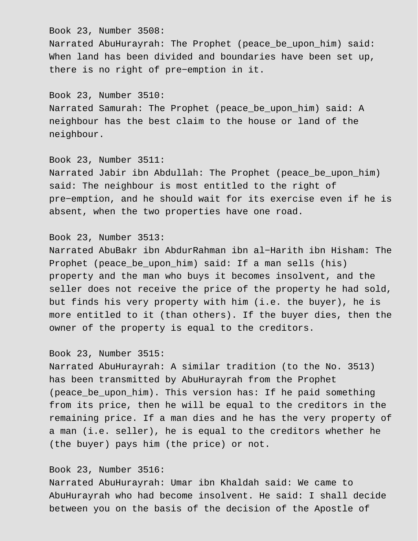### Book 23, Number 3508:

Narrated AbuHurayrah: The Prophet (peace\_be\_upon\_him) said: When land has been divided and boundaries have been set up, there is no right of pre−emption in it.

## Book 23, Number 3510:

Narrated Samurah: The Prophet (peace\_be\_upon\_him) said: A neighbour has the best claim to the house or land of the neighbour.

## Book 23, Number 3511:

Narrated Jabir ibn Abdullah: The Prophet (peace be upon him) said: The neighbour is most entitled to the right of pre−emption, and he should wait for its exercise even if he is absent, when the two properties have one road.

# Book 23, Number 3513:

Narrated AbuBakr ibn AbdurRahman ibn al−Harith ibn Hisham: The Prophet (peace\_be\_upon\_him) said: If a man sells (his) property and the man who buys it becomes insolvent, and the seller does not receive the price of the property he had sold, but finds his very property with him (i.e. the buyer), he is more entitled to it (than others). If the buyer dies, then the owner of the property is equal to the creditors.

## Book 23, Number 3515:

Narrated AbuHurayrah: A similar tradition (to the No. 3513) has been transmitted by AbuHurayrah from the Prophet (peace be upon him). This version has: If he paid something from its price, then he will be equal to the creditors in the remaining price. If a man dies and he has the very property of a man (i.e. seller), he is equal to the creditors whether he (the buyer) pays him (the price) or not.

# Book 23, Number 3516:

Narrated AbuHurayrah: Umar ibn Khaldah said: We came to AbuHurayrah who had become insolvent. He said: I shall decide between you on the basis of the decision of the Apostle of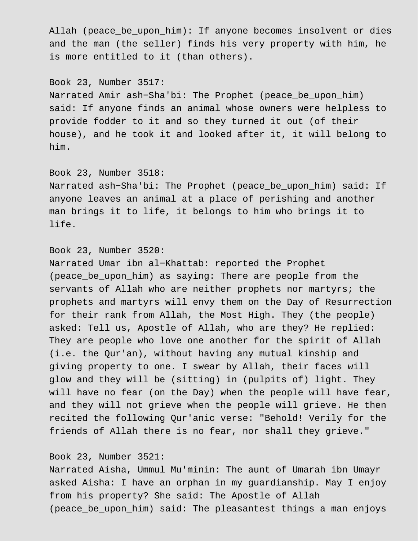Allah (peace be upon him): If anyone becomes insolvent or dies and the man (the seller) finds his very property with him, he is more entitled to it (than others).

## Book 23, Number 3517:

Narrated Amir ash−Sha'bi: The Prophet (peace\_be\_upon\_him) said: If anyone finds an animal whose owners were helpless to provide fodder to it and so they turned it out (of their house), and he took it and looked after it, it will belong to him.

## Book 23, Number 3518:

Narrated ash−Sha'bi: The Prophet (peace\_be\_upon\_him) said: If anyone leaves an animal at a place of perishing and another man brings it to life, it belongs to him who brings it to life.

# Book 23, Number 3520:

Narrated Umar ibn al−Khattab: reported the Prophet (peace\_be\_upon\_him) as saying: There are people from the servants of Allah who are neither prophets nor martyrs; the prophets and martyrs will envy them on the Day of Resurrection for their rank from Allah, the Most High. They (the people) asked: Tell us, Apostle of Allah, who are they? He replied: They are people who love one another for the spirit of Allah (i.e. the Qur'an), without having any mutual kinship and giving property to one. I swear by Allah, their faces will glow and they will be (sitting) in (pulpits of) light. They will have no fear (on the Day) when the people will have fear, and they will not grieve when the people will grieve. He then recited the following Qur'anic verse: "Behold! Verily for the friends of Allah there is no fear, nor shall they grieve."

## Book 23, Number 3521:

Narrated Aisha, Ummul Mu'minin: The aunt of Umarah ibn Umayr asked Aisha: I have an orphan in my guardianship. May I enjoy from his property? She said: The Apostle of Allah (peace\_be\_upon\_him) said: The pleasantest things a man enjoys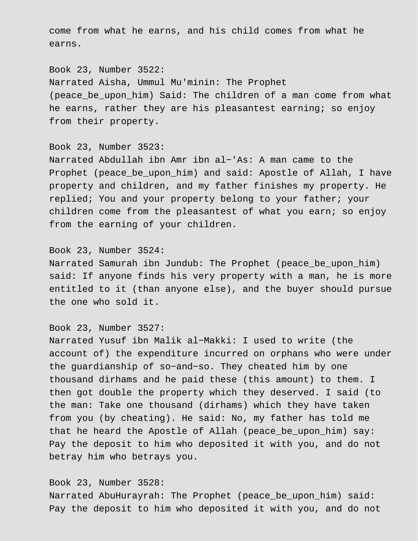come from what he earns, and his child comes from what he earns.

Book 23, Number 3522: Narrated Aisha, Ummul Mu'minin: The Prophet (peace be upon him) Said: The children of a man come from what he earns, rather they are his pleasantest earning; so enjoy from their property.

#### Book 23, Number 3523:

Narrated Abdullah ibn Amr ibn al−'As: A man came to the Prophet (peace be upon him) and said: Apostle of Allah, I have property and children, and my father finishes my property. He replied; You and your property belong to your father; your children come from the pleasantest of what you earn; so enjoy from the earning of your children.

# Book 23, Number 3524:

Narrated Samurah ibn Jundub: The Prophet (peace\_be\_upon\_him) said: If anyone finds his very property with a man, he is more entitled to it (than anyone else), and the buyer should pursue the one who sold it.

# Book 23, Number 3527:

Narrated Yusuf ibn Malik al−Makki: I used to write (the account of) the expenditure incurred on orphans who were under the guardianship of so−and−so. They cheated him by one thousand dirhams and he paid these (this amount) to them. I then got double the property which they deserved. I said (to the man: Take one thousand (dirhams) which they have taken from you (by cheating). He said: No, my father has told me that he heard the Apostle of Allah (peace\_be\_upon\_him) say: Pay the deposit to him who deposited it with you, and do not betray him who betrays you.

# Book 23, Number 3528:

Narrated AbuHurayrah: The Prophet (peace\_be\_upon\_him) said: Pay the deposit to him who deposited it with you, and do not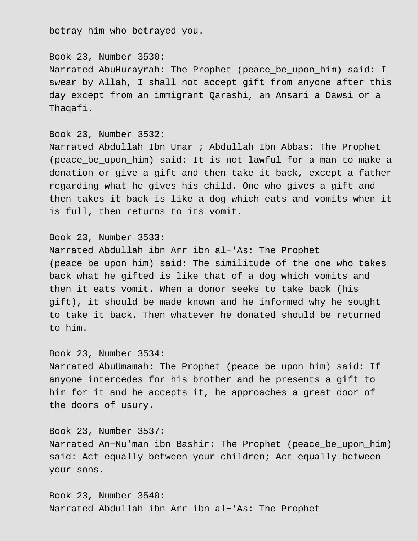betray him who betrayed you.

Book 23, Number 3530: Narrated AbuHurayrah: The Prophet (peace\_be\_upon\_him) said: I swear by Allah, I shall not accept gift from anyone after this day except from an immigrant Qarashi, an Ansari a Dawsi or a Thaqafi.

Book 23, Number 3532:

Narrated Abdullah Ibn Umar ; Abdullah Ibn Abbas: The Prophet (peace\_be\_upon\_him) said: It is not lawful for a man to make a donation or give a gift and then take it back, except a father regarding what he gives his child. One who gives a gift and then takes it back is like a dog which eats and vomits when it is full, then returns to its vomit.

# Book 23, Number 3533:

Narrated Abdullah ibn Amr ibn al−'As: The Prophet (peace\_be\_upon\_him) said: The similitude of the one who takes back what he gifted is like that of a dog which vomits and then it eats vomit. When a donor seeks to take back (his gift), it should be made known and he informed why he sought to take it back. Then whatever he donated should be returned to him.

```
Book 23, Number 3534:
```
Narrated AbuUmamah: The Prophet (peace\_be\_upon\_him) said: If anyone intercedes for his brother and he presents a gift to him for it and he accepts it, he approaches a great door of the doors of usury.

Book 23, Number 3537: Narrated An−Nu'man ibn Bashir: The Prophet (peace\_be\_upon\_him) said: Act equally between your children; Act equally between your sons.

Book 23, Number 3540: Narrated Abdullah ibn Amr ibn al−'As: The Prophet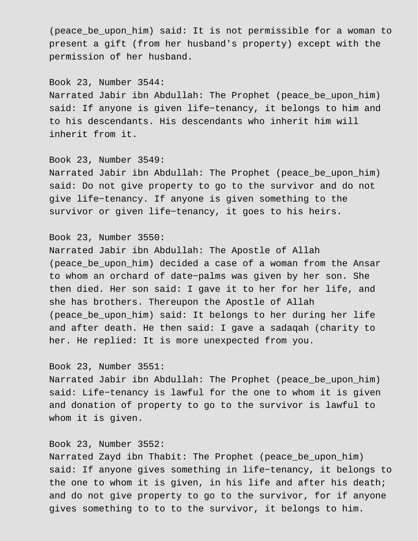(peace\_be\_upon\_him) said: It is not permissible for a woman to present a gift (from her husband's property) except with the permission of her husband.

#### Book 23, Number 3544:

Narrated Jabir ibn Abdullah: The Prophet (peace be upon him) said: If anyone is given life−tenancy, it belongs to him and to his descendants. His descendants who inherit him will inherit from it.

#### Book 23, Number 3549:

Narrated Jabir ibn Abdullah: The Prophet (peace be upon him) said: Do not give property to go to the survivor and do not give life−tenancy. If anyone is given something to the survivor or given life−tenancy, it goes to his heirs.

# Book 23, Number 3550:

Narrated Jabir ibn Abdullah: The Apostle of Allah (peace\_be\_upon\_him) decided a case of a woman from the Ansar to whom an orchard of date−palms was given by her son. She then died. Her son said: I gave it to her for her life, and she has brothers. Thereupon the Apostle of Allah (peace\_be\_upon\_him) said: It belongs to her during her life and after death. He then said: I gave a sadaqah (charity to her. He replied: It is more unexpected from you.

#### Book 23, Number 3551:

Narrated Jabir ibn Abdullah: The Prophet (peace\_be\_upon\_him) said: Life−tenancy is lawful for the one to whom it is given and donation of property to go to the survivor is lawful to whom it is given.

# Book 23, Number 3552:

Narrated Zayd ibn Thabit: The Prophet (peace\_be\_upon\_him) said: If anyone gives something in life−tenancy, it belongs to the one to whom it is given, in his life and after his death; and do not give property to go to the survivor, for if anyone gives something to to to the survivor, it belongs to him.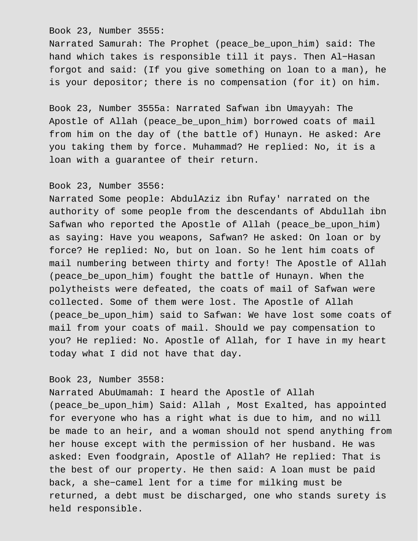# Book 23, Number 3555:

Narrated Samurah: The Prophet (peace\_be\_upon\_him) said: The hand which takes is responsible till it pays. Then Al−Hasan forgot and said: (If you give something on loan to a man), he is your depositor; there is no compensation (for it) on him.

Book 23, Number 3555a: Narrated Safwan ibn Umayyah: The Apostle of Allah (peace\_be\_upon\_him) borrowed coats of mail from him on the day of (the battle of) Hunayn. He asked: Are you taking them by force. Muhammad? He replied: No, it is a loan with a guarantee of their return.

## Book 23, Number 3556:

Narrated Some people: AbdulAziz ibn Rufay' narrated on the authority of some people from the descendants of Abdullah ibn Safwan who reported the Apostle of Allah (peace\_be\_upon\_him) as saying: Have you weapons, Safwan? He asked: On loan or by force? He replied: No, but on loan. So he lent him coats of mail numbering between thirty and forty! The Apostle of Allah (peace\_be\_upon\_him) fought the battle of Hunayn. When the polytheists were defeated, the coats of mail of Safwan were collected. Some of them were lost. The Apostle of Allah (peace\_be\_upon\_him) said to Safwan: We have lost some coats of mail from your coats of mail. Should we pay compensation to you? He replied: No. Apostle of Allah, for I have in my heart today what I did not have that day.

# Book 23, Number 3558:

Narrated AbuUmamah: I heard the Apostle of Allah (peace\_be\_upon\_him) Said: Allah , Most Exalted, has appointed for everyone who has a right what is due to him, and no will be made to an heir, and a woman should not spend anything from her house except with the permission of her husband. He was asked: Even foodgrain, Apostle of Allah? He replied: That is the best of our property. He then said: A loan must be paid back, a she−camel lent for a time for milking must be returned, a debt must be discharged, one who stands surety is held responsible.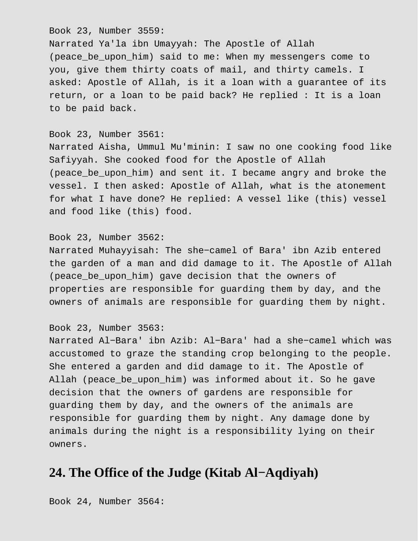#### Book 23, Number 3559:

Narrated Ya'la ibn Umayyah: The Apostle of Allah (peace\_be\_upon\_him) said to me: When my messengers come to you, give them thirty coats of mail, and thirty camels. I asked: Apostle of Allah, is it a loan with a guarantee of its return, or a loan to be paid back? He replied : It is a loan to be paid back.

#### Book 23, Number 3561:

Narrated Aisha, Ummul Mu'minin: I saw no one cooking food like Safiyyah. She cooked food for the Apostle of Allah (peace be upon him) and sent it. I became angry and broke the vessel. I then asked: Apostle of Allah, what is the atonement for what I have done? He replied: A vessel like (this) vessel and food like (this) food.

# Book 23, Number 3562:

Narrated Muhayyisah: The she−camel of Bara' ibn Azib entered the garden of a man and did damage to it. The Apostle of Allah (peace be upon him) gave decision that the owners of properties are responsible for guarding them by day, and the owners of animals are responsible for guarding them by night.

## Book 23, Number 3563:

Narrated Al−Bara' ibn Azib: Al−Bara' had a she−camel which was accustomed to graze the standing crop belonging to the people. She entered a garden and did damage to it. The Apostle of Allah (peace\_be\_upon\_him) was informed about it. So he gave decision that the owners of gardens are responsible for guarding them by day, and the owners of the animals are responsible for guarding them by night. Any damage done by animals during the night is a responsibility lying on their owners.

# **24. The Office of the Judge (Kitab Al−Aqdiyah)**

Book 24, Number 3564: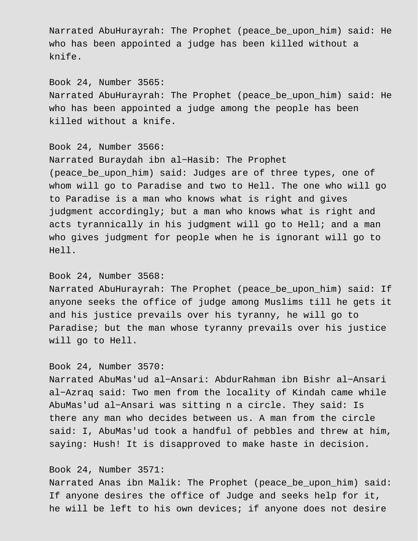Narrated AbuHurayrah: The Prophet (peace\_be\_upon\_him) said: He who has been appointed a judge has been killed without a knife.

Book 24, Number 3565: Narrated AbuHurayrah: The Prophet (peace\_be\_upon\_him) said: He who has been appointed a judge among the people has been killed without a knife.

# Book 24, Number 3566:

Narrated Buraydah ibn al−Hasib: The Prophet (peace be upon him) said: Judges are of three types, one of whom will go to Paradise and two to Hell. The one who will go to Paradise is a man who knows what is right and gives judgment accordingly; but a man who knows what is right and acts tyrannically in his judgment will go to Hell; and a man who gives judgment for people when he is ignorant will go to Hell.

#### Book 24, Number 3568:

Narrated AbuHurayrah: The Prophet (peace\_be\_upon\_him) said: If anyone seeks the office of judge among Muslims till he gets it and his justice prevails over his tyranny, he will go to Paradise; but the man whose tyranny prevails over his justice will go to Hell.

#### Book 24, Number 3570:

Narrated AbuMas'ud al−Ansari: AbdurRahman ibn Bishr al−Ansari al−Azraq said: Two men from the locality of Kindah came while AbuMas'ud al−Ansari was sitting n a circle. They said: Is there any man who decides between us. A man from the circle said: I, AbuMas'ud took a handful of pebbles and threw at him, saying: Hush! It is disapproved to make haste in decision.

# Book 24, Number 3571:

Narrated Anas ibn Malik: The Prophet (peace\_be\_upon\_him) said: If anyone desires the office of Judge and seeks help for it, he will be left to his own devices; if anyone does not desire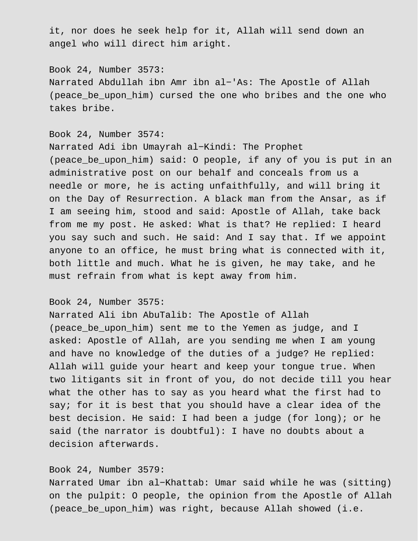it, nor does he seek help for it, Allah will send down an angel who will direct him aright.

Book 24, Number 3573: Narrated Abdullah ibn Amr ibn al−'As: The Apostle of Allah (peace\_be\_upon\_him) cursed the one who bribes and the one who takes bribe.

Book 24, Number 3574:

Narrated Adi ibn Umayrah al−Kindi: The Prophet (peace\_be\_upon\_him) said: O people, if any of you is put in an administrative post on our behalf and conceals from us a needle or more, he is acting unfaithfully, and will bring it on the Day of Resurrection. A black man from the Ansar, as if I am seeing him, stood and said: Apostle of Allah, take back from me my post. He asked: What is that? He replied: I heard you say such and such. He said: And I say that. If we appoint anyone to an office, he must bring what is connected with it, both little and much. What he is given, he may take, and he must refrain from what is kept away from him.

# Book 24, Number 3575:

Narrated Ali ibn AbuTalib: The Apostle of Allah (peace\_be\_upon\_him) sent me to the Yemen as judge, and I asked: Apostle of Allah, are you sending me when I am young and have no knowledge of the duties of a judge? He replied: Allah will guide your heart and keep your tongue true. When two litigants sit in front of you, do not decide till you hear what the other has to say as you heard what the first had to say; for it is best that you should have a clear idea of the best decision. He said: I had been a judge (for long); or he said (the narrator is doubtful): I have no doubts about a decision afterwards.

# Book 24, Number 3579:

Narrated Umar ibn al−Khattab: Umar said while he was (sitting) on the pulpit: O people, the opinion from the Apostle of Allah (peace\_be\_upon\_him) was right, because Allah showed (i.e.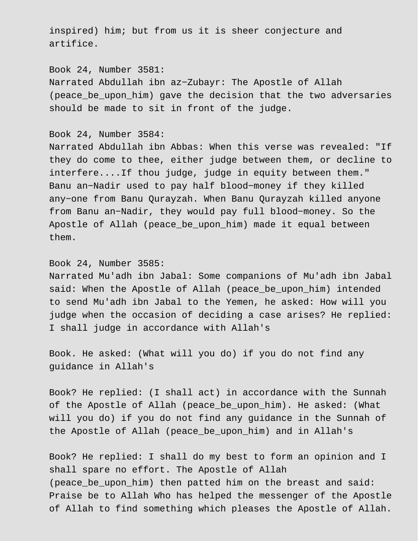inspired) him; but from us it is sheer conjecture and artifice.

Book 24, Number 3581: Narrated Abdullah ibn az−Zubayr: The Apostle of Allah (peace be upon him) gave the decision that the two adversaries should be made to sit in front of the judge.

Book 24, Number 3584:

Narrated Abdullah ibn Abbas: When this verse was revealed: "If they do come to thee, either judge between them, or decline to interfere....If thou judge, judge in equity between them." Banu an−Nadir used to pay half blood−money if they killed any−one from Banu Qurayzah. When Banu Qurayzah killed anyone from Banu an−Nadir, they would pay full blood−money. So the Apostle of Allah (peace\_be\_upon\_him) made it equal between them.

Book 24, Number 3585:

Narrated Mu'adh ibn Jabal: Some companions of Mu'adh ibn Jabal said: When the Apostle of Allah (peace be upon him) intended to send Mu'adh ibn Jabal to the Yemen, he asked: How will you judge when the occasion of deciding a case arises? He replied: I shall judge in accordance with Allah's

Book. He asked: (What will you do) if you do not find any guidance in Allah's

Book? He replied: (I shall act) in accordance with the Sunnah of the Apostle of Allah (peace\_be\_upon\_him). He asked: (What will you do) if you do not find any guidance in the Sunnah of the Apostle of Allah (peace\_be\_upon\_him) and in Allah's

Book? He replied: I shall do my best to form an opinion and I shall spare no effort. The Apostle of Allah (peace\_be\_upon\_him) then patted him on the breast and said: Praise be to Allah Who has helped the messenger of the Apostle of Allah to find something which pleases the Apostle of Allah.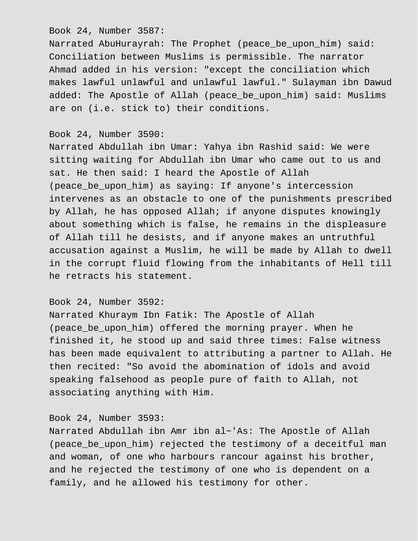# Book 24, Number 3587:

Narrated AbuHurayrah: The Prophet (peace\_be\_upon\_him) said: Conciliation between Muslims is permissible. The narrator Ahmad added in his version: "except the conciliation which makes lawful unlawful and unlawful lawful." Sulayman ibn Dawud added: The Apostle of Allah (peace\_be\_upon\_him) said: Muslims are on (i.e. stick to) their conditions.

# Book 24, Number 3590:

Narrated Abdullah ibn Umar: Yahya ibn Rashid said: We were sitting waiting for Abdullah ibn Umar who came out to us and sat. He then said: I heard the Apostle of Allah (peace\_be\_upon\_him) as saying: If anyone's intercession intervenes as an obstacle to one of the punishments prescribed by Allah, he has opposed Allah; if anyone disputes knowingly about something which is false, he remains in the displeasure of Allah till he desists, and if anyone makes an untruthful accusation against a Muslim, he will be made by Allah to dwell in the corrupt fluid flowing from the inhabitants of Hell till he retracts his statement.

# Book 24, Number 3592:

Narrated Khuraym Ibn Fatik: The Apostle of Allah (peace\_be\_upon\_him) offered the morning prayer. When he finished it, he stood up and said three times: False witness has been made equivalent to attributing a partner to Allah. He then recited: "So avoid the abomination of idols and avoid speaking falsehood as people pure of faith to Allah, not associating anything with Him.

# Book 24, Number 3593:

Narrated Abdullah ibn Amr ibn al−'As: The Apostle of Allah (peace\_be\_upon\_him) rejected the testimony of a deceitful man and woman, of one who harbours rancour against his brother, and he rejected the testimony of one who is dependent on a family, and he allowed his testimony for other.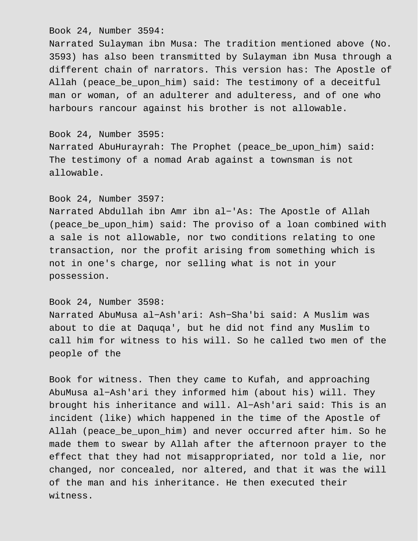# Book 24, Number 3594:

Narrated Sulayman ibn Musa: The tradition mentioned above (No. 3593) has also been transmitted by Sulayman ibn Musa through a different chain of narrators. This version has: The Apostle of Allah (peace be upon him) said: The testimony of a deceitful man or woman, of an adulterer and adulteress, and of one who harbours rancour against his brother is not allowable.

### Book 24, Number 3595:

Narrated AbuHurayrah: The Prophet (peace be upon him) said: The testimony of a nomad Arab against a townsman is not allowable.

#### Book 24, Number 3597:

Narrated Abdullah ibn Amr ibn al−'As: The Apostle of Allah (peace be upon him) said: The proviso of a loan combined with a sale is not allowable, nor two conditions relating to one transaction, nor the profit arising from something which is not in one's charge, nor selling what is not in your possession.

# Book 24, Number 3598:

Narrated AbuMusa al−Ash'ari: Ash−Sha'bi said: A Muslim was about to die at Daquqa', but he did not find any Muslim to call him for witness to his will. So he called two men of the people of the

Book for witness. Then they came to Kufah, and approaching AbuMusa al−Ash'ari they informed him (about his) will. They brought his inheritance and will. Al−Ash'ari said: This is an incident (like) which happened in the time of the Apostle of Allah (peace\_be\_upon\_him) and never occurred after him. So he made them to swear by Allah after the afternoon prayer to the effect that they had not misappropriated, nor told a lie, nor changed, nor concealed, nor altered, and that it was the will of the man and his inheritance. He then executed their witness.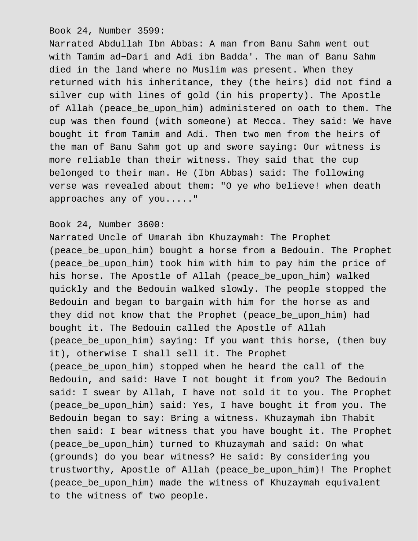Book 24, Number 3599:

Narrated Abdullah Ibn Abbas: A man from Banu Sahm went out with Tamim ad−Dari and Adi ibn Badda'. The man of Banu Sahm died in the land where no Muslim was present. When they returned with his inheritance, they (the heirs) did not find a silver cup with lines of gold (in his property). The Apostle of Allah (peace\_be\_upon\_him) administered on oath to them. The cup was then found (with someone) at Mecca. They said: We have bought it from Tamim and Adi. Then two men from the heirs of the man of Banu Sahm got up and swore saying: Our witness is more reliable than their witness. They said that the cup belonged to their man. He (Ibn Abbas) said: The following verse was revealed about them: "O ye who believe! when death approaches any of you....."

#### Book 24, Number 3600:

Narrated Uncle of Umarah ibn Khuzaymah: The Prophet (peace\_be\_upon\_him) bought a horse from a Bedouin. The Prophet (peace\_be\_upon\_him) took him with him to pay him the price of his horse. The Apostle of Allah (peace be upon him) walked quickly and the Bedouin walked slowly. The people stopped the Bedouin and began to bargain with him for the horse as and they did not know that the Prophet (peace\_be\_upon\_him) had bought it. The Bedouin called the Apostle of Allah (peace\_be\_upon\_him) saying: If you want this horse, (then buy it), otherwise I shall sell it. The Prophet (peace\_be\_upon\_him) stopped when he heard the call of the Bedouin, and said: Have I not bought it from you? The Bedouin said: I swear by Allah, I have not sold it to you. The Prophet (peace\_be\_upon\_him) said: Yes, I have bought it from you. The Bedouin began to say: Bring a witness. Khuzaymah ibn Thabit then said: I bear witness that you have bought it. The Prophet (peace be upon him) turned to Khuzaymah and said: On what (grounds) do you bear witness? He said: By considering you trustworthy, Apostle of Allah (peace\_be\_upon\_him)! The Prophet (peace\_be\_upon\_him) made the witness of Khuzaymah equivalent to the witness of two people.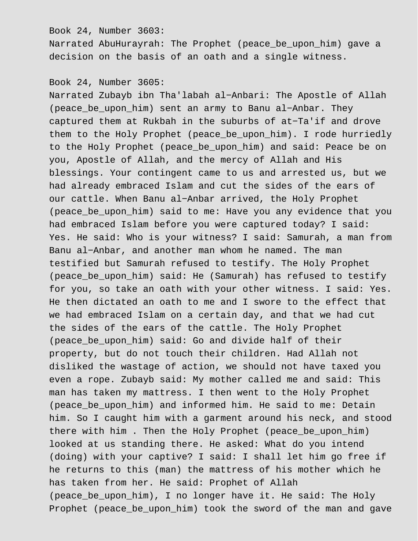# Book 24, Number 3603:

Narrated AbuHurayrah: The Prophet (peace\_be\_upon\_him) gave a decision on the basis of an oath and a single witness.

Book 24, Number 3605:

Narrated Zubayb ibn Tha'labah al−Anbari: The Apostle of Allah (peace\_be\_upon\_him) sent an army to Banu al−Anbar. They captured them at Rukbah in the suburbs of at−Ta'if and drove them to the Holy Prophet (peace\_be\_upon\_him). I rode hurriedly to the Holy Prophet (peace be upon him) and said: Peace be on you, Apostle of Allah, and the mercy of Allah and His blessings. Your contingent came to us and arrested us, but we had already embraced Islam and cut the sides of the ears of our cattle. When Banu al−Anbar arrived, the Holy Prophet (peace be upon him) said to me: Have you any evidence that you had embraced Islam before you were captured today? I said: Yes. He said: Who is your witness? I said: Samurah, a man from Banu al−Anbar, and another man whom he named. The man testified but Samurah refused to testify. The Holy Prophet (peace be upon him) said: He (Samurah) has refused to testify for you, so take an oath with your other witness. I said: Yes. He then dictated an oath to me and I swore to the effect that we had embraced Islam on a certain day, and that we had cut the sides of the ears of the cattle. The Holy Prophet (peace be upon him) said: Go and divide half of their property, but do not touch their children. Had Allah not disliked the wastage of action, we should not have taxed you even a rope. Zubayb said: My mother called me and said: This man has taken my mattress. I then went to the Holy Prophet (peace\_be\_upon\_him) and informed him. He said to me: Detain him. So I caught him with a garment around his neck, and stood there with him . Then the Holy Prophet (peace\_be\_upon\_him) looked at us standing there. He asked: What do you intend (doing) with your captive? I said: I shall let him go free if he returns to this (man) the mattress of his mother which he has taken from her. He said: Prophet of Allah (peace\_be\_upon\_him), I no longer have it. He said: The Holy Prophet (peace\_be\_upon\_him) took the sword of the man and gave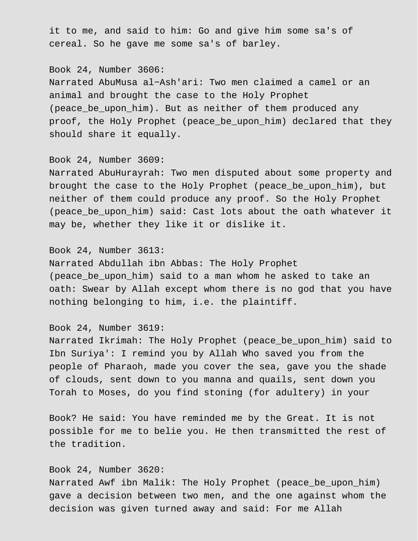it to me, and said to him: Go and give him some sa's of cereal. So he gave me some sa's of barley.

Book 24, Number 3606: Narrated AbuMusa al−Ash'ari: Two men claimed a camel or an animal and brought the case to the Holy Prophet (peace\_be\_upon\_him). But as neither of them produced any proof, the Holy Prophet (peace\_be\_upon\_him) declared that they should share it equally.

Book 24, Number 3609:

Narrated AbuHurayrah: Two men disputed about some property and brought the case to the Holy Prophet (peace\_be\_upon\_him), but neither of them could produce any proof. So the Holy Prophet (peace be upon him) said: Cast lots about the oath whatever it may be, whether they like it or dislike it.

Book 24, Number 3613:

Narrated Abdullah ibn Abbas: The Holy Prophet (peace be upon him) said to a man whom he asked to take an oath: Swear by Allah except whom there is no god that you have nothing belonging to him, i.e. the plaintiff.

Book 24, Number 3619:

Narrated Ikrimah: The Holy Prophet (peace\_be\_upon\_him) said to Ibn Suriya': I remind you by Allah Who saved you from the people of Pharaoh, made you cover the sea, gave you the shade of clouds, sent down to you manna and quails, sent down you Torah to Moses, do you find stoning (for adultery) in your

Book? He said: You have reminded me by the Great. It is not possible for me to belie you. He then transmitted the rest of the tradition.

Book 24, Number 3620:

Narrated Awf ibn Malik: The Holy Prophet (peace\_be\_upon\_him) gave a decision between two men, and the one against whom the decision was given turned away and said: For me Allah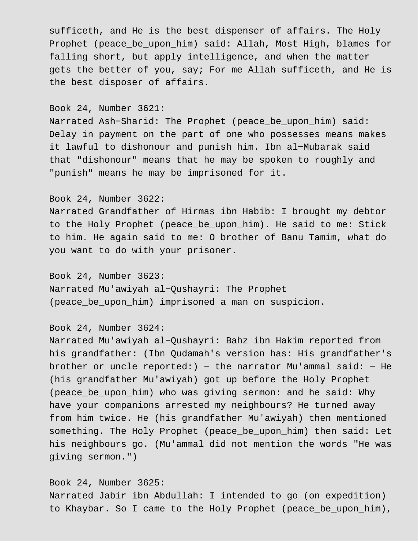sufficeth, and He is the best dispenser of affairs. The Holy Prophet (peace\_be\_upon\_him) said: Allah, Most High, blames for falling short, but apply intelligence, and when the matter gets the better of you, say; For me Allah sufficeth, and He is the best disposer of affairs.

#### Book 24, Number 3621:

Narrated Ash−Sharid: The Prophet (peace\_be\_upon\_him) said: Delay in payment on the part of one who possesses means makes it lawful to dishonour and punish him. Ibn al−Mubarak said that "dishonour" means that he may be spoken to roughly and "punish" means he may be imprisoned for it.

# Book 24, Number 3622:

Narrated Grandfather of Hirmas ibn Habib: I brought my debtor to the Holy Prophet (peace\_be\_upon\_him). He said to me: Stick to him. He again said to me: O brother of Banu Tamim, what do you want to do with your prisoner.

Book 24, Number 3623: Narrated Mu'awiyah al−Qushayri: The Prophet (peace\_be\_upon\_him) imprisoned a man on suspicion.

Book 24, Number 3624:

Narrated Mu'awiyah al−Qushayri: Bahz ibn Hakim reported from his grandfather: (Ibn Qudamah's version has: His grandfather's brother or uncle reported:) − the narrator Mu'ammal said: − He (his grandfather Mu'awiyah) got up before the Holy Prophet (peace\_be\_upon\_him) who was giving sermon: and he said: Why have your companions arrested my neighbours? He turned away from him twice. He (his grandfather Mu'awiyah) then mentioned something. The Holy Prophet (peace\_be\_upon\_him) then said: Let his neighbours go. (Mu'ammal did not mention the words "He was giving sermon.")

# Book 24, Number 3625:

Narrated Jabir ibn Abdullah: I intended to go (on expedition) to Khaybar. So I came to the Holy Prophet (peace\_be\_upon\_him),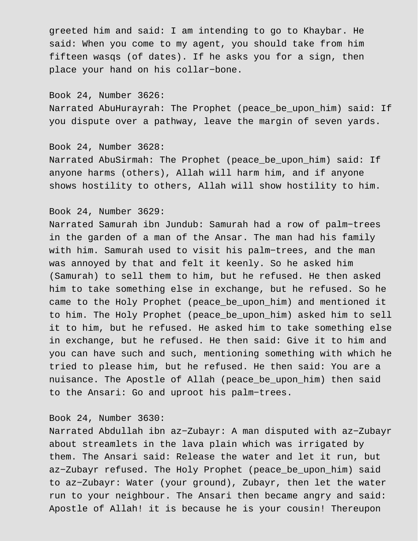greeted him and said: I am intending to go to Khaybar. He said: When you come to my agent, you should take from him fifteen wasqs (of dates). If he asks you for a sign, then place your hand on his collar−bone.

#### Book 24, Number 3626:

Narrated AbuHurayrah: The Prophet (peace\_be\_upon\_him) said: If you dispute over a pathway, leave the margin of seven yards.

# Book 24, Number 3628:

Narrated AbuSirmah: The Prophet (peace be upon him) said: If anyone harms (others), Allah will harm him, and if anyone shows hostility to others, Allah will show hostility to him.

# Book 24, Number 3629:

Narrated Samurah ibn Jundub: Samurah had a row of palm−trees in the garden of a man of the Ansar. The man had his family with him. Samurah used to visit his palm−trees, and the man was annoyed by that and felt it keenly. So he asked him (Samurah) to sell them to him, but he refused. He then asked him to take something else in exchange, but he refused. So he came to the Holy Prophet (peace\_be\_upon\_him) and mentioned it to him. The Holy Prophet (peace\_be\_upon\_him) asked him to sell it to him, but he refused. He asked him to take something else in exchange, but he refused. He then said: Give it to him and you can have such and such, mentioning something with which he tried to please him, but he refused. He then said: You are a nuisance. The Apostle of Allah (peace\_be\_upon\_him) then said to the Ansari: Go and uproot his palm−trees.

# Book 24, Number 3630:

Narrated Abdullah ibn az−Zubayr: A man disputed with az−Zubayr about streamlets in the lava plain which was irrigated by them. The Ansari said: Release the water and let it run, but az-Zubayr refused. The Holy Prophet (peace be upon him) said to az−Zubayr: Water (your ground), Zubayr, then let the water run to your neighbour. The Ansari then became angry and said: Apostle of Allah! it is because he is your cousin! Thereupon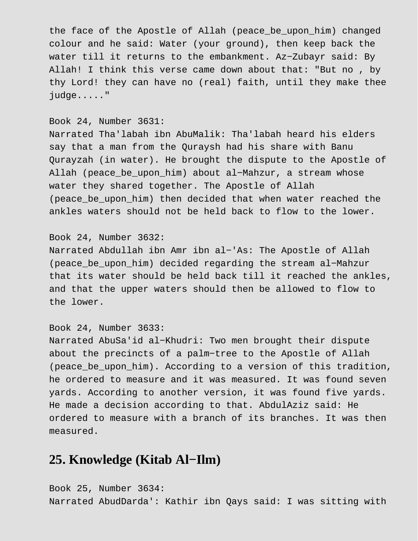the face of the Apostle of Allah (peace\_be\_upon\_him) changed colour and he said: Water (your ground), then keep back the water till it returns to the embankment. Az−Zubayr said: By Allah! I think this verse came down about that: "But no , by thy Lord! they can have no (real) faith, until they make thee judge....."

#### Book 24, Number 3631:

Narrated Tha'labah ibn AbuMalik: Tha'labah heard his elders say that a man from the Quraysh had his share with Banu Qurayzah (in water). He brought the dispute to the Apostle of Allah (peace\_be\_upon\_him) about al−Mahzur, a stream whose water they shared together. The Apostle of Allah (peace\_be\_upon\_him) then decided that when water reached the ankles waters should not be held back to flow to the lower.

# Book 24, Number 3632:

Narrated Abdullah ibn Amr ibn al−'As: The Apostle of Allah (peace\_be\_upon\_him) decided regarding the stream al−Mahzur that its water should be held back till it reached the ankles, and that the upper waters should then be allowed to flow to the lower.

# Book 24, Number 3633:

Narrated AbuSa'id al−Khudri: Two men brought their dispute about the precincts of a palm−tree to the Apostle of Allah (peace\_be\_upon\_him). According to a version of this tradition, he ordered to measure and it was measured. It was found seven yards. According to another version, it was found five yards. He made a decision according to that. AbdulAziz said: He ordered to measure with a branch of its branches. It was then measured.

# **25. Knowledge (Kitab Al−Ilm)**

Book 25, Number 3634: Narrated AbudDarda': Kathir ibn Qays said: I was sitting with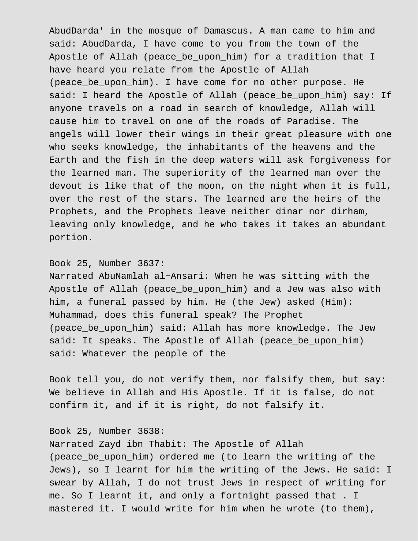AbudDarda' in the mosque of Damascus. A man came to him and said: AbudDarda, I have come to you from the town of the Apostle of Allah (peace be upon him) for a tradition that I have heard you relate from the Apostle of Allah (peace be upon him). I have come for no other purpose. He said: I heard the Apostle of Allah (peace\_be\_upon\_him) say: If anyone travels on a road in search of knowledge, Allah will cause him to travel on one of the roads of Paradise. The angels will lower their wings in their great pleasure with one who seeks knowledge, the inhabitants of the heavens and the Earth and the fish in the deep waters will ask forgiveness for the learned man. The superiority of the learned man over the devout is like that of the moon, on the night when it is full, over the rest of the stars. The learned are the heirs of the Prophets, and the Prophets leave neither dinar nor dirham, leaving only knowledge, and he who takes it takes an abundant portion.

Book 25, Number 3637:

Narrated AbuNamlah al−Ansari: When he was sitting with the Apostle of Allah (peace\_be\_upon\_him) and a Jew was also with him, a funeral passed by him. He (the Jew) asked (Him): Muhammad, does this funeral speak? The Prophet (peace\_be\_upon\_him) said: Allah has more knowledge. The Jew said: It speaks. The Apostle of Allah (peace\_be\_upon\_him) said: Whatever the people of the

Book tell you, do not verify them, nor falsify them, but say: We believe in Allah and His Apostle. If it is false, do not confirm it, and if it is right, do not falsify it.

Book 25, Number 3638:

Narrated Zayd ibn Thabit: The Apostle of Allah (peace\_be\_upon\_him) ordered me (to learn the writing of the Jews), so I learnt for him the writing of the Jews. He said: I swear by Allah, I do not trust Jews in respect of writing for me. So I learnt it, and only a fortnight passed that . I mastered it. I would write for him when he wrote (to them),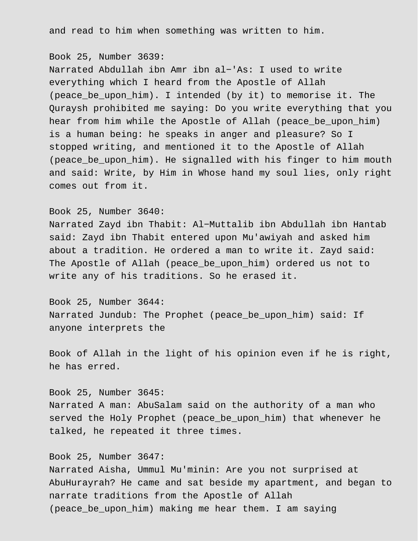and read to him when something was written to him.

Book 25, Number 3639:

Narrated Abdullah ibn Amr ibn al−'As: I used to write everything which I heard from the Apostle of Allah (peace\_be\_upon\_him). I intended (by it) to memorise it. The Quraysh prohibited me saying: Do you write everything that you hear from him while the Apostle of Allah (peace\_be\_upon\_him) is a human being: he speaks in anger and pleasure? So I stopped writing, and mentioned it to the Apostle of Allah (peace\_be\_upon\_him). He signalled with his finger to him mouth and said: Write, by Him in Whose hand my soul lies, only right comes out from it.

Book 25, Number 3640:

Narrated Zayd ibn Thabit: Al−Muttalib ibn Abdullah ibn Hantab said: Zayd ibn Thabit entered upon Mu'awiyah and asked him about a tradition. He ordered a man to write it. Zayd said: The Apostle of Allah (peace\_be\_upon\_him) ordered us not to write any of his traditions. So he erased it.

Book 25, Number 3644: Narrated Jundub: The Prophet (peace\_be\_upon\_him) said: If anyone interprets the

Book of Allah in the light of his opinion even if he is right, he has erred.

Book 25, Number 3645: Narrated A man: AbuSalam said on the authority of a man who served the Holy Prophet (peace\_be\_upon\_him) that whenever he talked, he repeated it three times.

Book 25, Number 3647:

Narrated Aisha, Ummul Mu'minin: Are you not surprised at AbuHurayrah? He came and sat beside my apartment, and began to narrate traditions from the Apostle of Allah (peace\_be\_upon\_him) making me hear them. I am saying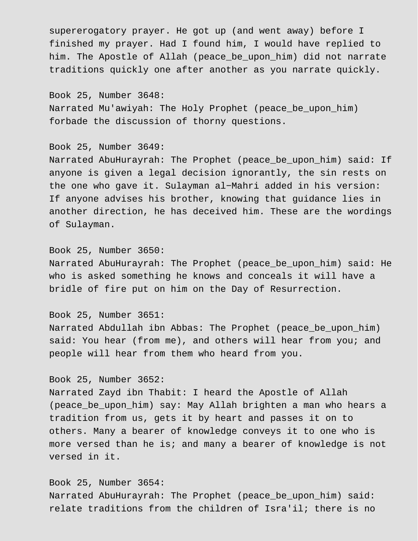supererogatory prayer. He got up (and went away) before I finished my prayer. Had I found him, I would have replied to him. The Apostle of Allah (peace be upon him) did not narrate traditions quickly one after another as you narrate quickly.

Book 25, Number 3648: Narrated Mu'awiyah: The Holy Prophet (peace\_be\_upon\_him) forbade the discussion of thorny questions.

Book 25, Number 3649:

Narrated AbuHurayrah: The Prophet (peace\_be\_upon\_him) said: If anyone is given a legal decision ignorantly, the sin rests on the one who gave it. Sulayman al−Mahri added in his version: If anyone advises his brother, knowing that guidance lies in another direction, he has deceived him. These are the wordings of Sulayman.

Book 25, Number 3650:

Narrated AbuHurayrah: The Prophet (peace\_be\_upon\_him) said: He who is asked something he knows and conceals it will have a bridle of fire put on him on the Day of Resurrection.

Book 25, Number 3651:

Narrated Abdullah ibn Abbas: The Prophet (peace\_be\_upon\_him) said: You hear (from me), and others will hear from you; and people will hear from them who heard from you.

Book 25, Number 3652:

Narrated Zayd ibn Thabit: I heard the Apostle of Allah (peace\_be\_upon\_him) say: May Allah brighten a man who hears a tradition from us, gets it by heart and passes it on to others. Many a bearer of knowledge conveys it to one who is more versed than he is; and many a bearer of knowledge is not versed in it.

# Book 25, Number 3654:

Narrated AbuHurayrah: The Prophet (peace\_be\_upon\_him) said: relate traditions from the children of Isra'il; there is no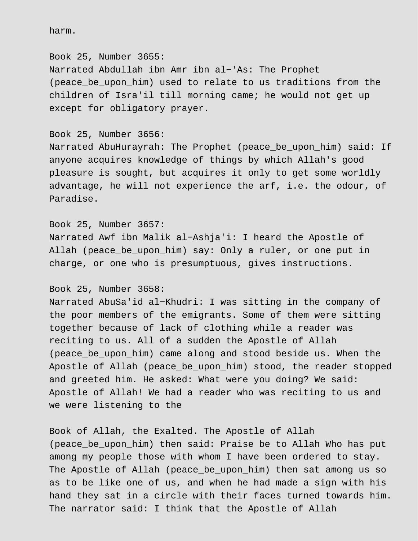harm.

Book 25, Number 3655: Narrated Abdullah ibn Amr ibn al−'As: The Prophet (peace be upon him) used to relate to us traditions from the children of Isra'il till morning came; he would not get up except for obligatory prayer.

#### Book 25, Number 3656:

Narrated AbuHurayrah: The Prophet (peace be upon him) said: If anyone acquires knowledge of things by which Allah's good pleasure is sought, but acquires it only to get some worldly advantage, he will not experience the arf, i.e. the odour, of Paradise.

#### Book 25, Number 3657:

Narrated Awf ibn Malik al−Ashja'i: I heard the Apostle of Allah (peace\_be\_upon\_him) say: Only a ruler, or one put in charge, or one who is presumptuous, gives instructions.

# Book 25, Number 3658:

Narrated AbuSa'id al−Khudri: I was sitting in the company of the poor members of the emigrants. Some of them were sitting together because of lack of clothing while a reader was reciting to us. All of a sudden the Apostle of Allah (peace be upon him) came along and stood beside us. When the Apostle of Allah (peace\_be\_upon\_him) stood, the reader stopped and greeted him. He asked: What were you doing? We said: Apostle of Allah! We had a reader who was reciting to us and we were listening to the

Book of Allah, the Exalted. The Apostle of Allah (peace\_be\_upon\_him) then said: Praise be to Allah Who has put among my people those with whom I have been ordered to stay. The Apostle of Allah (peace be upon him) then sat among us so as to be like one of us, and when he had made a sign with his hand they sat in a circle with their faces turned towards him. The narrator said: I think that the Apostle of Allah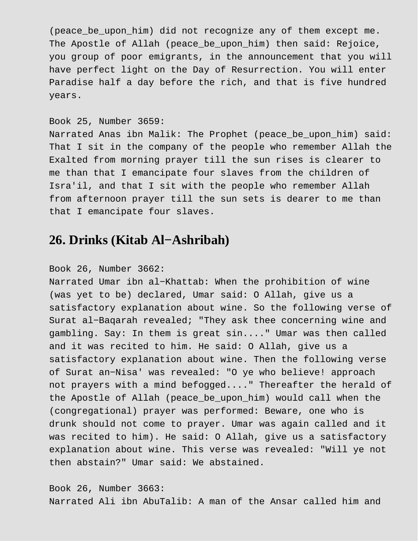(peace be upon him) did not recognize any of them except me. The Apostle of Allah (peace\_be\_upon\_him) then said: Rejoice, you group of poor emigrants, in the announcement that you will have perfect light on the Day of Resurrection. You will enter Paradise half a day before the rich, and that is five hundred years.

#### Book 25, Number 3659:

Narrated Anas ibn Malik: The Prophet (peace be upon him) said: That I sit in the company of the people who remember Allah the Exalted from morning prayer till the sun rises is clearer to me than that I emancipate four slaves from the children of Isra'il, and that I sit with the people who remember Allah from afternoon prayer till the sun sets is dearer to me than that I emancipate four slaves.

# **26. Drinks (Kitab Al−Ashribah)**

#### Book 26, Number 3662:

Narrated Umar ibn al−Khattab: When the prohibition of wine (was yet to be) declared, Umar said: O Allah, give us a satisfactory explanation about wine. So the following verse of Surat al−Baqarah revealed; "They ask thee concerning wine and gambling. Say: In them is great sin...." Umar was then called and it was recited to him. He said: O Allah, give us a satisfactory explanation about wine. Then the following verse of Surat an−Nisa' was revealed: "O ye who believe! approach not prayers with a mind befogged...." Thereafter the herald of the Apostle of Allah (peace\_be\_upon\_him) would call when the (congregational) prayer was performed: Beware, one who is drunk should not come to prayer. Umar was again called and it was recited to him). He said: O Allah, give us a satisfactory explanation about wine. This verse was revealed: "Will ye not then abstain?" Umar said: We abstained.

# Book 26, Number 3663: Narrated Ali ibn AbuTalib: A man of the Ansar called him and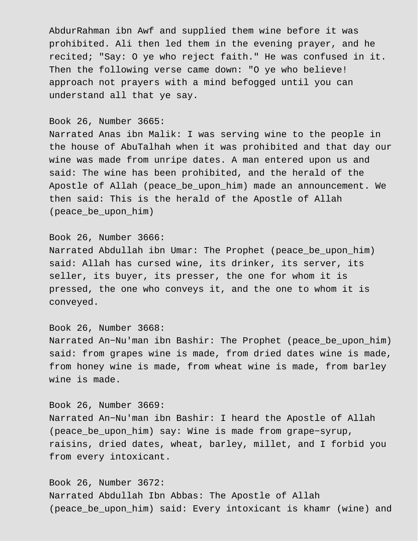AbdurRahman ibn Awf and supplied them wine before it was prohibited. Ali then led them in the evening prayer, and he recited; "Say: O ye who reject faith." He was confused in it. Then the following verse came down: "O ye who believe! approach not prayers with a mind befogged until you can understand all that ye say.

#### Book 26, Number 3665:

Narrated Anas ibn Malik: I was serving wine to the people in the house of AbuTalhah when it was prohibited and that day our wine was made from unripe dates. A man entered upon us and said: The wine has been prohibited, and the herald of the Apostle of Allah (peace\_be\_upon\_him) made an announcement. We then said: This is the herald of the Apostle of Allah (peace\_be\_upon\_him)

# Book 26, Number 3666:

Narrated Abdullah ibn Umar: The Prophet (peace\_be\_upon\_him) said: Allah has cursed wine, its drinker, its server, its seller, its buyer, its presser, the one for whom it is pressed, the one who conveys it, and the one to whom it is conveyed.

# Book 26, Number 3668:

Narrated An−Nu'man ibn Bashir: The Prophet (peace\_be\_upon\_him) said: from grapes wine is made, from dried dates wine is made, from honey wine is made, from wheat wine is made, from barley wine is made.

#### Book 26, Number 3669:

Narrated An−Nu'man ibn Bashir: I heard the Apostle of Allah (peace\_be\_upon\_him) say: Wine is made from grape−syrup, raisins, dried dates, wheat, barley, millet, and I forbid you from every intoxicant.

Book 26, Number 3672: Narrated Abdullah Ibn Abbas: The Apostle of Allah (peace\_be\_upon\_him) said: Every intoxicant is khamr (wine) and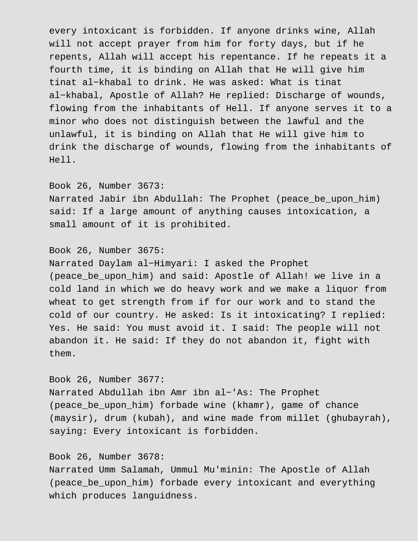every intoxicant is forbidden. If anyone drinks wine, Allah will not accept prayer from him for forty days, but if he repents, Allah will accept his repentance. If he repeats it a fourth time, it is binding on Allah that He will give him tinat al−khabal to drink. He was asked: What is tinat al−khabal, Apostle of Allah? He replied: Discharge of wounds, flowing from the inhabitants of Hell. If anyone serves it to a minor who does not distinguish between the lawful and the unlawful, it is binding on Allah that He will give him to drink the discharge of wounds, flowing from the inhabitants of Hell.

Book 26, Number 3673: Narrated Jabir ibn Abdullah: The Prophet (peace\_be\_upon\_him) said: If a large amount of anything causes intoxication, a small amount of it is prohibited.

Book 26, Number 3675: Narrated Daylam al−Himyari: I asked the Prophet (peace be upon him) and said: Apostle of Allah! we live in a cold land in which we do heavy work and we make a liquor from wheat to get strength from if for our work and to stand the cold of our country. He asked: Is it intoxicating? I replied: Yes. He said: You must avoid it. I said: The people will not abandon it. He said: If they do not abandon it, fight with them.

Book 26, Number 3677: Narrated Abdullah ibn Amr ibn al−'As: The Prophet (peace\_be\_upon\_him) forbade wine (khamr), game of chance (maysir), drum (kubah), and wine made from millet (ghubayrah), saying: Every intoxicant is forbidden.

Narrated Umm Salamah, Ummul Mu'minin: The Apostle of Allah (peace\_be\_upon\_him) forbade every intoxicant and everything which produces languidness.

Book 26, Number 3678: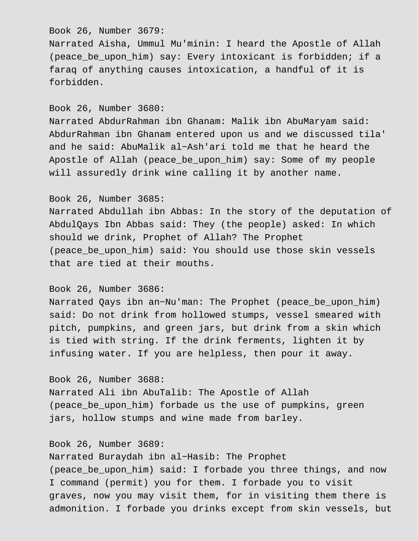#### Book 26, Number 3679:

Narrated Aisha, Ummul Mu'minin: I heard the Apostle of Allah (peace be upon him) say: Every intoxicant is forbidden; if a faraq of anything causes intoxication, a handful of it is forbidden.

#### Book 26, Number 3680:

Narrated AbdurRahman ibn Ghanam: Malik ibn AbuMaryam said: AbdurRahman ibn Ghanam entered upon us and we discussed tila' and he said: AbuMalik al−Ash'ari told me that he heard the Apostle of Allah (peace\_be\_upon\_him) say: Some of my people will assuredly drink wine calling it by another name.

# Book 26, Number 3685:

Narrated Abdullah ibn Abbas: In the story of the deputation of AbdulQays Ibn Abbas said: They (the people) asked: In which should we drink, Prophet of Allah? The Prophet (peace be upon him) said: You should use those skin vessels that are tied at their mouths.

#### Book 26, Number 3686:

Narrated Qays ibn an−Nu'man: The Prophet (peace\_be\_upon\_him) said: Do not drink from hollowed stumps, vessel smeared with pitch, pumpkins, and green jars, but drink from a skin which is tied with string. If the drink ferments, lighten it by infusing water. If you are helpless, then pour it away.

#### Book 26, Number 3688:

Narrated Ali ibn AbuTalib: The Apostle of Allah (peace\_be\_upon\_him) forbade us the use of pumpkins, green jars, hollow stumps and wine made from barley.

# Book 26, Number 3689:

Narrated Buraydah ibn al−Hasib: The Prophet (peace be upon him) said: I forbade you three things, and now I command (permit) you for them. I forbade you to visit graves, now you may visit them, for in visiting them there is admonition. I forbade you drinks except from skin vessels, but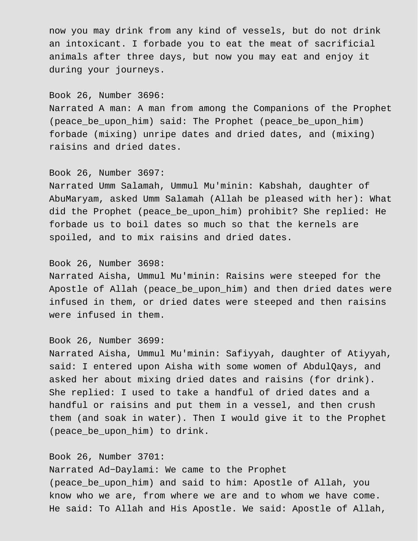now you may drink from any kind of vessels, but do not drink an intoxicant. I forbade you to eat the meat of sacrificial animals after three days, but now you may eat and enjoy it during your journeys.

#### Book 26, Number 3696:

Narrated A man: A man from among the Companions of the Prophet (peace\_be\_upon\_him) said: The Prophet (peace\_be\_upon\_him) forbade (mixing) unripe dates and dried dates, and (mixing) raisins and dried dates.

# Book 26, Number 3697:

Narrated Umm Salamah, Ummul Mu'minin: Kabshah, daughter of AbuMaryam, asked Umm Salamah (Allah be pleased with her): What did the Prophet (peace\_be\_upon\_him) prohibit? She replied: He forbade us to boil dates so much so that the kernels are spoiled, and to mix raisins and dried dates.

## Book 26, Number 3698:

Narrated Aisha, Ummul Mu'minin: Raisins were steeped for the Apostle of Allah (peace be upon him) and then dried dates were infused in them, or dried dates were steeped and then raisins were infused in them.

### Book 26, Number 3699:

Narrated Aisha, Ummul Mu'minin: Safiyyah, daughter of Atiyyah, said: I entered upon Aisha with some women of AbdulQays, and asked her about mixing dried dates and raisins (for drink). She replied: I used to take a handful of dried dates and a handful or raisins and put them in a vessel, and then crush them (and soak in water). Then I would give it to the Prophet (peace\_be\_upon\_him) to drink.

#### Book 26, Number 3701:

Narrated Ad−Daylami: We came to the Prophet (peace\_be\_upon\_him) and said to him: Apostle of Allah, you know who we are, from where we are and to whom we have come. He said: To Allah and His Apostle. We said: Apostle of Allah,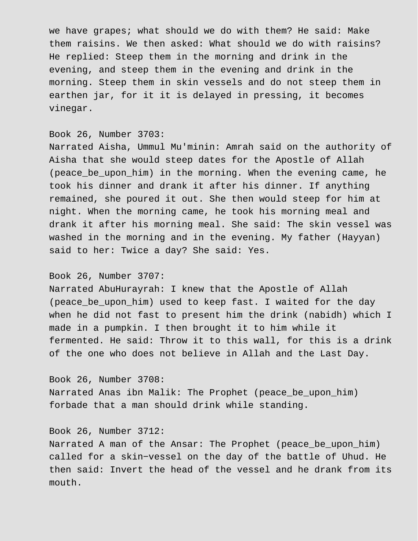we have grapes; what should we do with them? He said: Make them raisins. We then asked: What should we do with raisins? He replied: Steep them in the morning and drink in the evening, and steep them in the evening and drink in the morning. Steep them in skin vessels and do not steep them in earthen jar, for it it is delayed in pressing, it becomes vinegar.

#### Book 26, Number 3703:

Narrated Aisha, Ummul Mu'minin: Amrah said on the authority of Aisha that she would steep dates for the Apostle of Allah (peace be upon him) in the morning. When the evening came, he took his dinner and drank it after his dinner. If anything remained, she poured it out. She then would steep for him at night. When the morning came, he took his morning meal and drank it after his morning meal. She said: The skin vessel was washed in the morning and in the evening. My father (Hayyan) said to her: Twice a day? She said: Yes.

#### Book 26, Number 3707:

Narrated AbuHurayrah: I knew that the Apostle of Allah (peace\_be\_upon\_him) used to keep fast. I waited for the day when he did not fast to present him the drink (nabidh) which I made in a pumpkin. I then brought it to him while it fermented. He said: Throw it to this wall, for this is a drink of the one who does not believe in Allah and the Last Day.

Book 26, Number 3708:

Narrated Anas ibn Malik: The Prophet (peace\_be\_upon\_him) forbade that a man should drink while standing.

Book 26, Number 3712:

Narrated A man of the Ansar: The Prophet (peace\_be\_upon\_him) called for a skin−vessel on the day of the battle of Uhud. He then said: Invert the head of the vessel and he drank from its mouth.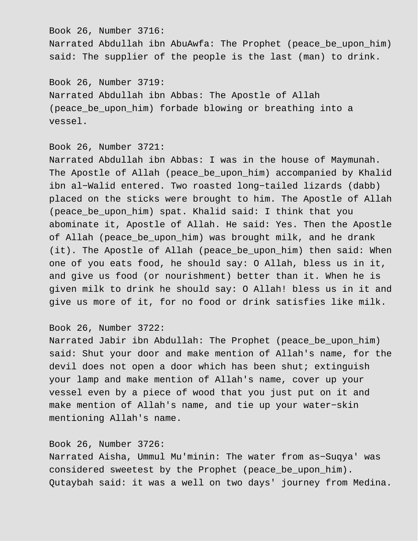Book 26, Number 3716: Narrated Abdullah ibn AbuAwfa: The Prophet (peace\_be\_upon\_him) said: The supplier of the people is the last (man) to drink.

Book 26, Number 3719: Narrated Abdullah ibn Abbas: The Apostle of Allah (peace\_be\_upon\_him) forbade blowing or breathing into a vessel.

# Book 26, Number 3721:

Narrated Abdullah ibn Abbas: I was in the house of Maymunah. The Apostle of Allah (peace be upon him) accompanied by Khalid ibn al−Walid entered. Two roasted long−tailed lizards (dabb) placed on the sticks were brought to him. The Apostle of Allah (peace be upon him) spat. Khalid said: I think that you abominate it, Apostle of Allah. He said: Yes. Then the Apostle of Allah (peace\_be\_upon\_him) was brought milk, and he drank (it). The Apostle of Allah (peace\_be\_upon\_him) then said: When one of you eats food, he should say: O Allah, bless us in it, and give us food (or nourishment) better than it. When he is given milk to drink he should say: O Allah! bless us in it and give us more of it, for no food or drink satisfies like milk.

# Book 26, Number 3722:

Narrated Jabir ibn Abdullah: The Prophet (peace\_be\_upon\_him) said: Shut your door and make mention of Allah's name, for the devil does not open a door which has been shut; extinguish your lamp and make mention of Allah's name, cover up your vessel even by a piece of wood that you just put on it and make mention of Allah's name, and tie up your water−skin mentioning Allah's name.

# Book 26, Number 3726:

Narrated Aisha, Ummul Mu'minin: The water from as−Suqya' was considered sweetest by the Prophet (peace\_be\_upon\_him). Qutaybah said: it was a well on two days' journey from Medina.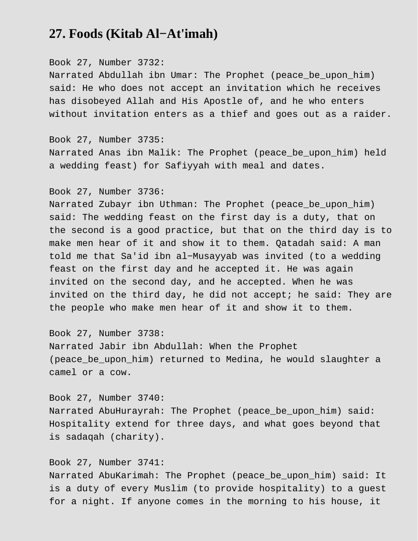# **27. Foods (Kitab Al−At'imah)**

### Book 27, Number 3732:

Narrated Abdullah ibn Umar: The Prophet (peace\_be\_upon\_him) said: He who does not accept an invitation which he receives has disobeyed Allah and His Apostle of, and he who enters without invitation enters as a thief and goes out as a raider.

# Book 27, Number 3735:

Narrated Anas ibn Malik: The Prophet (peace\_be\_upon\_him) held a wedding feast) for Safiyyah with meal and dates.

# Book 27, Number 3736:

Narrated Zubayr ibn Uthman: The Prophet (peace\_be\_upon\_him) said: The wedding feast on the first day is a duty, that on the second is a good practice, but that on the third day is to make men hear of it and show it to them. Qatadah said: A man told me that Sa'id ibn al−Musayyab was invited (to a wedding feast on the first day and he accepted it. He was again invited on the second day, and he accepted. When he was invited on the third day, he did not accept; he said: They are the people who make men hear of it and show it to them.

Book 27, Number 3738: Narrated Jabir ibn Abdullah: When the Prophet (peace\_be\_upon\_him) returned to Medina, he would slaughter a camel or a cow.

Book 27, Number 3740: Narrated AbuHurayrah: The Prophet (peace\_be\_upon\_him) said: Hospitality extend for three days, and what goes beyond that is sadaqah (charity).

Book 27, Number 3741:

Narrated AbuKarimah: The Prophet (peace\_be\_upon\_him) said: It is a duty of every Muslim (to provide hospitality) to a guest for a night. If anyone comes in the morning to his house, it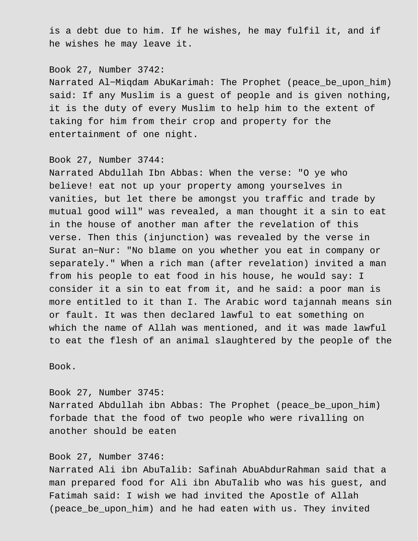is a debt due to him. If he wishes, he may fulfil it, and if he wishes he may leave it.

#### Book 27, Number 3742:

Narrated Al-Miqdam AbuKarimah: The Prophet (peace be upon him) said: If any Muslim is a guest of people and is given nothing, it is the duty of every Muslim to help him to the extent of taking for him from their crop and property for the entertainment of one night.

#### Book 27, Number 3744:

Narrated Abdullah Ibn Abbas: When the verse: "O ye who believe! eat not up your property among yourselves in vanities, but let there be amongst you traffic and trade by mutual good will" was revealed, a man thought it a sin to eat in the house of another man after the revelation of this verse. Then this (injunction) was revealed by the verse in Surat an−Nur: "No blame on you whether you eat in company or separately." When a rich man (after revelation) invited a man from his people to eat food in his house, he would say: I consider it a sin to eat from it, and he said: a poor man is more entitled to it than I. The Arabic word tajannah means sin or fault. It was then declared lawful to eat something on which the name of Allah was mentioned, and it was made lawful to eat the flesh of an animal slaughtered by the people of the

Book.

#### Book 27, Number 3745:

Narrated Abdullah ibn Abbas: The Prophet (peace\_be\_upon\_him) forbade that the food of two people who were rivalling on another should be eaten

#### Book 27, Number 3746:

Narrated Ali ibn AbuTalib: Safinah AbuAbdurRahman said that a man prepared food for Ali ibn AbuTalib who was his guest, and Fatimah said: I wish we had invited the Apostle of Allah (peace\_be\_upon\_him) and he had eaten with us. They invited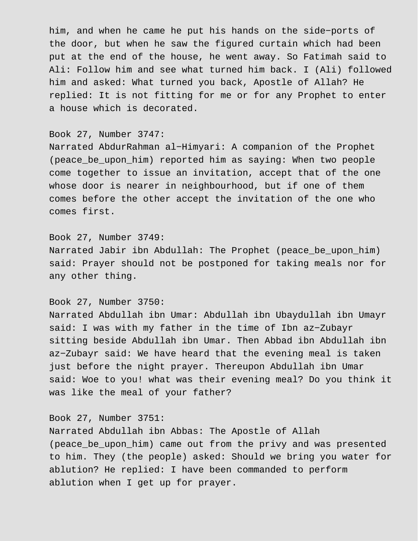him, and when he came he put his hands on the side−ports of the door, but when he saw the figured curtain which had been put at the end of the house, he went away. So Fatimah said to Ali: Follow him and see what turned him back. I (Ali) followed him and asked: What turned you back, Apostle of Allah? He replied: It is not fitting for me or for any Prophet to enter a house which is decorated.

# Book 27, Number 3747:

Narrated AbdurRahman al−Himyari: A companion of the Prophet (peace be upon him) reported him as saying: When two people come together to issue an invitation, accept that of the one whose door is nearer in neighbourhood, but if one of them comes before the other accept the invitation of the one who comes first.

# Book 27, Number 3749:

Narrated Jabir ibn Abdullah: The Prophet (peace\_be\_upon\_him) said: Prayer should not be postponed for taking meals nor for any other thing.

# Book 27, Number 3750:

Narrated Abdullah ibn Umar: Abdullah ibn Ubaydullah ibn Umayr said: I was with my father in the time of Ibn az−Zubayr sitting beside Abdullah ibn Umar. Then Abbad ibn Abdullah ibn az−Zubayr said: We have heard that the evening meal is taken just before the night prayer. Thereupon Abdullah ibn Umar said: Woe to you! what was their evening meal? Do you think it was like the meal of your father?

# Book 27, Number 3751:

Narrated Abdullah ibn Abbas: The Apostle of Allah (peace\_be\_upon\_him) came out from the privy and was presented to him. They (the people) asked: Should we bring you water for ablution? He replied: I have been commanded to perform ablution when I get up for prayer.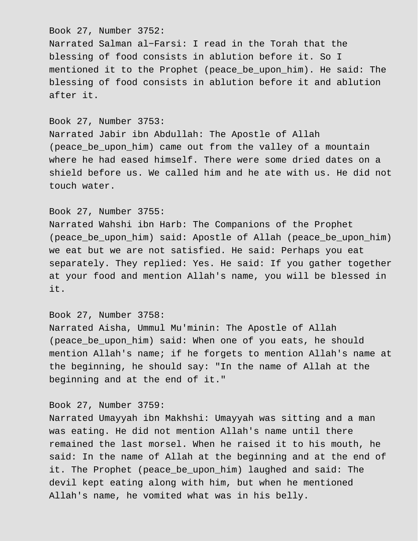#### Book 27, Number 3752:

Narrated Salman al−Farsi: I read in the Torah that the blessing of food consists in ablution before it. So I mentioned it to the Prophet (peace\_be\_upon\_him). He said: The blessing of food consists in ablution before it and ablution after it.

#### Book 27, Number 3753:

Narrated Jabir ibn Abdullah: The Apostle of Allah (peace be upon him) came out from the valley of a mountain where he had eased himself. There were some dried dates on a shield before us. We called him and he ate with us. He did not touch water.

### Book 27, Number 3755:

Narrated Wahshi ibn Harb: The Companions of the Prophet (peace\_be\_upon\_him) said: Apostle of Allah (peace\_be\_upon\_him) we eat but we are not satisfied. He said: Perhaps you eat separately. They replied: Yes. He said: If you gather together at your food and mention Allah's name, you will be blessed in it.

#### Book 27, Number 3758:

Narrated Aisha, Ummul Mu'minin: The Apostle of Allah (peace\_be\_upon\_him) said: When one of you eats, he should mention Allah's name; if he forgets to mention Allah's name at the beginning, he should say: "In the name of Allah at the beginning and at the end of it."

#### Book 27, Number 3759:

Narrated Umayyah ibn Makhshi: Umayyah was sitting and a man was eating. He did not mention Allah's name until there remained the last morsel. When he raised it to his mouth, he said: In the name of Allah at the beginning and at the end of it. The Prophet (peace be upon him) laughed and said: The devil kept eating along with him, but when he mentioned Allah's name, he vomited what was in his belly.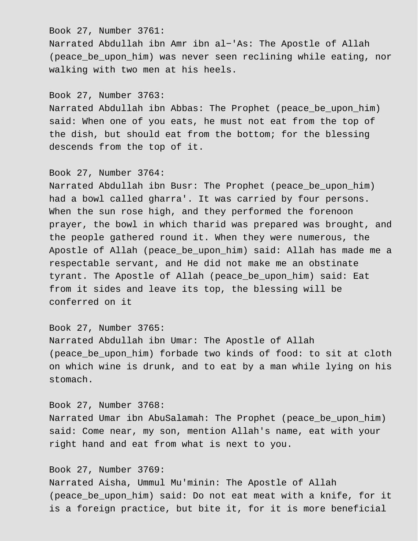#### Book 27, Number 3761:

Narrated Abdullah ibn Amr ibn al−'As: The Apostle of Allah (peace be upon him) was never seen reclining while eating, nor walking with two men at his heels.

#### Book 27, Number 3763:

Narrated Abdullah ibn Abbas: The Prophet (peace\_be\_upon\_him) said: When one of you eats, he must not eat from the top of the dish, but should eat from the bottom; for the blessing descends from the top of it.

# Book 27, Number 3764:

Narrated Abdullah ibn Busr: The Prophet (peace\_be\_upon\_him) had a bowl called gharra'. It was carried by four persons. When the sun rose high, and they performed the forenoon prayer, the bowl in which tharid was prepared was brought, and the people gathered round it. When they were numerous, the Apostle of Allah (peace\_be\_upon\_him) said: Allah has made me a respectable servant, and He did not make me an obstinate tyrant. The Apostle of Allah (peace\_be\_upon\_him) said: Eat from it sides and leave its top, the blessing will be conferred on it

#### Book 27, Number 3765:

Narrated Abdullah ibn Umar: The Apostle of Allah (peace be upon him) forbade two kinds of food: to sit at cloth on which wine is drunk, and to eat by a man while lying on his stomach.

#### Book 27, Number 3768:

Narrated Umar ibn AbuSalamah: The Prophet (peace be upon him) said: Come near, my son, mention Allah's name, eat with your right hand and eat from what is next to you.

#### Book 27, Number 3769:

Narrated Aisha, Ummul Mu'minin: The Apostle of Allah (peace\_be\_upon\_him) said: Do not eat meat with a knife, for it is a foreign practice, but bite it, for it is more beneficial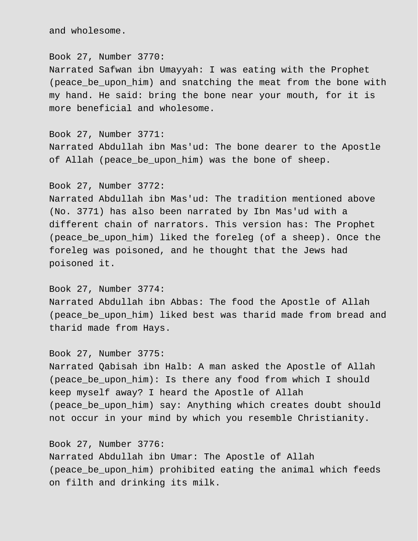and wholesome.

Book 27, Number 3770: Narrated Safwan ibn Umayyah: I was eating with the Prophet (peace be upon him) and snatching the meat from the bone with my hand. He said: bring the bone near your mouth, for it is more beneficial and wholesome.

Book 27, Number 3771: Narrated Abdullah ibn Mas'ud: The bone dearer to the Apostle of Allah (peace\_be\_upon\_him) was the bone of sheep.

Book 27, Number 3772:

Narrated Abdullah ibn Mas'ud: The tradition mentioned above (No. 3771) has also been narrated by Ibn Mas'ud with a different chain of narrators. This version has: The Prophet (peace be upon him) liked the foreleg (of a sheep). Once the foreleg was poisoned, and he thought that the Jews had poisoned it.

Book 27, Number 3774: Narrated Abdullah ibn Abbas: The food the Apostle of Allah (peace\_be\_upon\_him) liked best was tharid made from bread and tharid made from Hays.

Book 27, Number 3775:

Narrated Qabisah ibn Halb: A man asked the Apostle of Allah (peace\_be\_upon\_him): Is there any food from which I should keep myself away? I heard the Apostle of Allah (peace\_be\_upon\_him) say: Anything which creates doubt should not occur in your mind by which you resemble Christianity.

Book 27, Number 3776:

Narrated Abdullah ibn Umar: The Apostle of Allah (peace be upon him) prohibited eating the animal which feeds on filth and drinking its milk.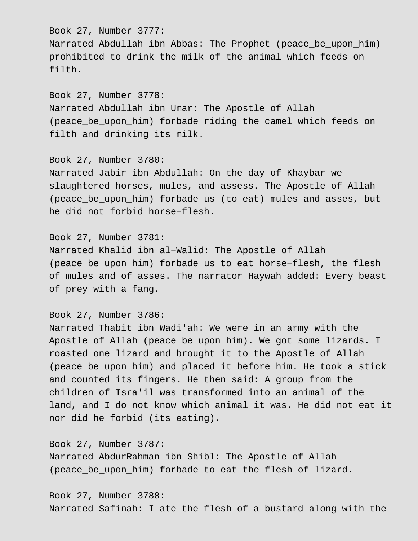Book 27, Number 3777: Narrated Abdullah ibn Abbas: The Prophet (peace\_be\_upon\_him) prohibited to drink the milk of the animal which feeds on filth.

Book 27, Number 3778: Narrated Abdullah ibn Umar: The Apostle of Allah (peace be upon him) forbade riding the camel which feeds on filth and drinking its milk.

Book 27, Number 3780: Narrated Jabir ibn Abdullah: On the day of Khaybar we slaughtered horses, mules, and assess. The Apostle of Allah (peace\_be\_upon\_him) forbade us (to eat) mules and asses, but he did not forbid horse−flesh.

Book 27, Number 3781: Narrated Khalid ibn al−Walid: The Apostle of Allah (peace\_be\_upon\_him) forbade us to eat horse−flesh, the flesh of mules and of asses. The narrator Haywah added: Every beast of prey with a fang.

Narrated Thabit ibn Wadi'ah: We were in an army with the Apostle of Allah (peace\_be\_upon\_him). We got some lizards. I roasted one lizard and brought it to the Apostle of Allah (peace\_be\_upon\_him) and placed it before him. He took a stick and counted its fingers. He then said: A group from the children of Isra'il was transformed into an animal of the land, and I do not know which animal it was. He did not eat it nor did he forbid (its eating).

Book 27, Number 3786:

Book 27, Number 3787: Narrated AbdurRahman ibn Shibl: The Apostle of Allah (peace be upon him) forbade to eat the flesh of lizard.

Book 27, Number 3788: Narrated Safinah: I ate the flesh of a bustard along with the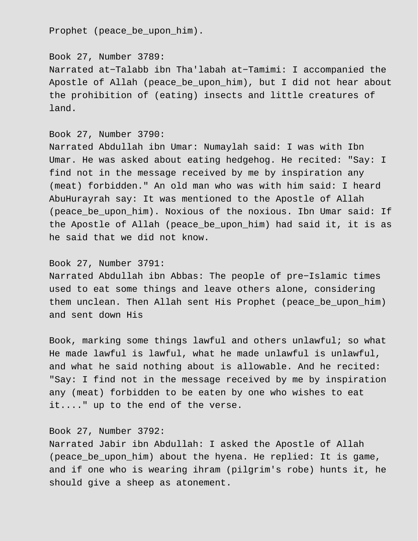Prophet (peace\_be\_upon\_him).

Book 27, Number 3789: Narrated at−Talabb ibn Tha'labah at−Tamimi: I accompanied the Apostle of Allah (peace be upon him), but I did not hear about the prohibition of (eating) insects and little creatures of land.

Book 27, Number 3790:

Narrated Abdullah ibn Umar: Numaylah said: I was with Ibn Umar. He was asked about eating hedgehog. He recited: "Say: I find not in the message received by me by inspiration any (meat) forbidden." An old man who was with him said: I heard AbuHurayrah say: It was mentioned to the Apostle of Allah (peace be upon him). Noxious of the noxious. Ibn Umar said: If the Apostle of Allah (peace\_be\_upon\_him) had said it, it is as he said that we did not know.

Book 27, Number 3791:

Narrated Abdullah ibn Abbas: The people of pre−Islamic times used to eat some things and leave others alone, considering them unclean. Then Allah sent His Prophet (peace\_be\_upon\_him) and sent down His

Book, marking some things lawful and others unlawful; so what He made lawful is lawful, what he made unlawful is unlawful, and what he said nothing about is allowable. And he recited: "Say: I find not in the message received by me by inspiration any (meat) forbidden to be eaten by one who wishes to eat it...." up to the end of the verse.

Book 27, Number 3792:

Narrated Jabir ibn Abdullah: I asked the Apostle of Allah (peace\_be\_upon\_him) about the hyena. He replied: It is game, and if one who is wearing ihram (pilgrim's robe) hunts it, he should give a sheep as atonement.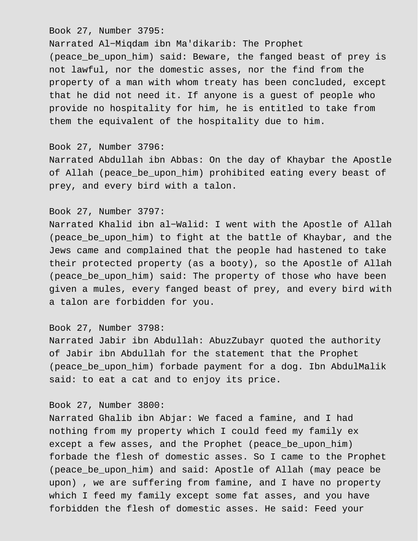#### Book 27, Number 3795:

Narrated Al−Miqdam ibn Ma'dikarib: The Prophet (peace be upon him) said: Beware, the fanged beast of prey is not lawful, nor the domestic asses, nor the find from the property of a man with whom treaty has been concluded, except that he did not need it. If anyone is a guest of people who provide no hospitality for him, he is entitled to take from them the equivalent of the hospitality due to him.

# Book 27, Number 3796:

Narrated Abdullah ibn Abbas: On the day of Khaybar the Apostle of Allah (peace be upon him) prohibited eating every beast of prey, and every bird with a talon.

### Book 27, Number 3797:

Narrated Khalid ibn al−Walid: I went with the Apostle of Allah (peace\_be\_upon\_him) to fight at the battle of Khaybar, and the Jews came and complained that the people had hastened to take their protected property (as a booty), so the Apostle of Allah (peace\_be\_upon\_him) said: The property of those who have been given a mules, every fanged beast of prey, and every bird with a talon are forbidden for you.

# Book 27, Number 3798:

Narrated Jabir ibn Abdullah: AbuzZubayr quoted the authority of Jabir ibn Abdullah for the statement that the Prophet (peace\_be\_upon\_him) forbade payment for a dog. Ibn AbdulMalik said: to eat a cat and to enjoy its price.

#### Book 27, Number 3800:

Narrated Ghalib ibn Abjar: We faced a famine, and I had nothing from my property which I could feed my family ex except a few asses, and the Prophet (peace be upon him) forbade the flesh of domestic asses. So I came to the Prophet (peace be upon him) and said: Apostle of Allah (may peace be upon) , we are suffering from famine, and I have no property which I feed my family except some fat asses, and you have forbidden the flesh of domestic asses. He said: Feed your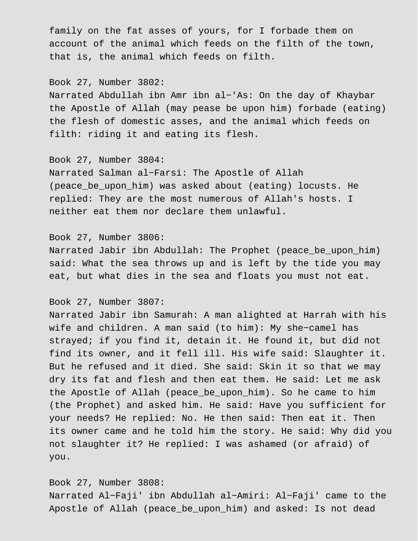family on the fat asses of yours, for I forbade them on account of the animal which feeds on the filth of the town, that is, the animal which feeds on filth.

### Book 27, Number 3802:

Narrated Abdullah ibn Amr ibn al−'As: On the day of Khaybar the Apostle of Allah (may pease be upon him) forbade (eating) the flesh of domestic asses, and the animal which feeds on filth: riding it and eating its flesh.

#### Book 27, Number 3804:

Narrated Salman al−Farsi: The Apostle of Allah (peace\_be\_upon\_him) was asked about (eating) locusts. He replied: They are the most numerous of Allah's hosts. I neither eat them nor declare them unlawful.

# Book 27, Number 3806:

Narrated Jabir ibn Abdullah: The Prophet (peace\_be\_upon\_him) said: What the sea throws up and is left by the tide you may eat, but what dies in the sea and floats you must not eat.

#### Book 27, Number 3807:

Narrated Jabir ibn Samurah: A man alighted at Harrah with his wife and children. A man said (to him): My she−camel has strayed; if you find it, detain it. He found it, but did not find its owner, and it fell ill. His wife said: Slaughter it. But he refused and it died. She said: Skin it so that we may dry its fat and flesh and then eat them. He said: Let me ask the Apostle of Allah (peace\_be\_upon\_him). So he came to him (the Prophet) and asked him. He said: Have you sufficient for your needs? He replied: No. He then said: Then eat it. Then its owner came and he told him the story. He said: Why did you not slaughter it? He replied: I was ashamed (or afraid) of you.

# Book 27, Number 3808: Narrated Al−Faji' ibn Abdullah al−Amiri: Al−Faji' came to the Apostle of Allah (peace\_be\_upon\_him) and asked: Is not dead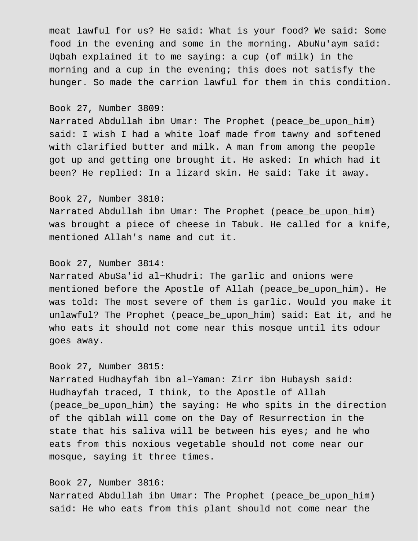meat lawful for us? He said: What is your food? We said: Some food in the evening and some in the morning. AbuNu'aym said: Uqbah explained it to me saying: a cup (of milk) in the morning and a cup in the evening; this does not satisfy the hunger. So made the carrion lawful for them in this condition.

#### Book 27, Number 3809:

Narrated Abdullah ibn Umar: The Prophet (peace\_be\_upon\_him) said: I wish I had a white loaf made from tawny and softened with clarified butter and milk. A man from among the people got up and getting one brought it. He asked: In which had it been? He replied: In a lizard skin. He said: Take it away.

#### Book 27, Number 3810:

Narrated Abdullah ibn Umar: The Prophet (peace be upon him) was brought a piece of cheese in Tabuk. He called for a knife, mentioned Allah's name and cut it.

# Book 27, Number 3814:

Narrated AbuSa'id al−Khudri: The garlic and onions were mentioned before the Apostle of Allah (peace\_be\_upon\_him). He was told: The most severe of them is garlic. Would you make it unlawful? The Prophet (peace\_be\_upon\_him) said: Eat it, and he who eats it should not come near this mosque until its odour goes away.

#### Book 27, Number 3815:

Narrated Hudhayfah ibn al−Yaman: Zirr ibn Hubaysh said: Hudhayfah traced, I think, to the Apostle of Allah (peace\_be\_upon\_him) the saying: He who spits in the direction of the qiblah will come on the Day of Resurrection in the state that his saliva will be between his eyes; and he who eats from this noxious vegetable should not come near our mosque, saying it three times.

# Book 27, Number 3816:

Narrated Abdullah ibn Umar: The Prophet (peace\_be\_upon\_him) said: He who eats from this plant should not come near the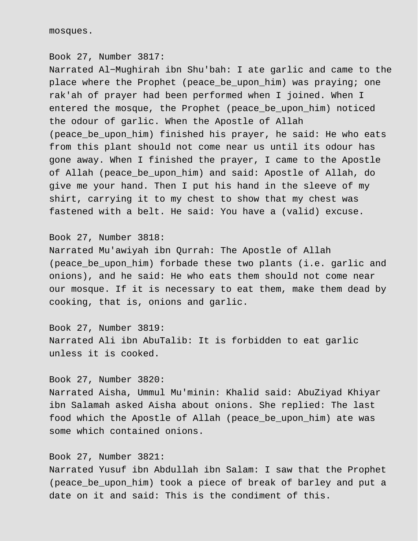mosques.

Book 27, Number 3817:

Narrated Al−Mughirah ibn Shu'bah: I ate garlic and came to the place where the Prophet (peace\_be\_upon\_him) was praying; one rak'ah of prayer had been performed when I joined. When I entered the mosque, the Prophet (peace\_be\_upon\_him) noticed the odour of garlic. When the Apostle of Allah (peace\_be\_upon\_him) finished his prayer, he said: He who eats from this plant should not come near us until its odour has gone away. When I finished the prayer, I came to the Apostle of Allah (peace\_be\_upon\_him) and said: Apostle of Allah, do give me your hand. Then I put his hand in the sleeve of my shirt, carrying it to my chest to show that my chest was fastened with a belt. He said: You have a (valid) excuse.

Book 27, Number 3818:

Narrated Mu'awiyah ibn Qurrah: The Apostle of Allah (peace\_be\_upon\_him) forbade these two plants (i.e. garlic and onions), and he said: He who eats them should not come near our mosque. If it is necessary to eat them, make them dead by cooking, that is, onions and garlic.

Book 27, Number 3819: Narrated Ali ibn AbuTalib: It is forbidden to eat garlic unless it is cooked.

Book 27, Number 3820:

Narrated Aisha, Ummul Mu'minin: Khalid said: AbuZiyad Khiyar ibn Salamah asked Aisha about onions. She replied: The last food which the Apostle of Allah (peace\_be\_upon\_him) ate was some which contained onions.

Book 27, Number 3821:

Narrated Yusuf ibn Abdullah ibn Salam: I saw that the Prophet (peace\_be\_upon\_him) took a piece of break of barley and put a date on it and said: This is the condiment of this.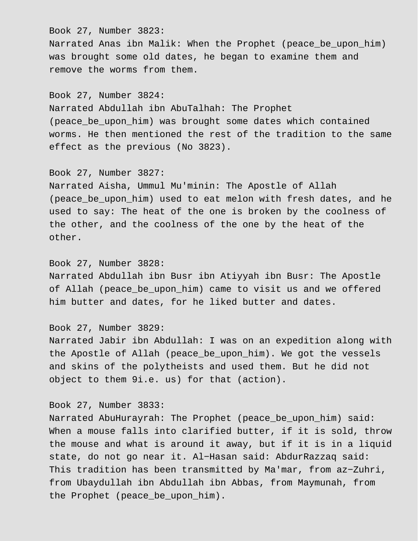#### Book 27, Number 3823:

Narrated Anas ibn Malik: When the Prophet (peace\_be\_upon\_him) was brought some old dates, he began to examine them and remove the worms from them.

#### Book 27, Number 3824:

Narrated Abdullah ibn AbuTalhah: The Prophet (peace\_be\_upon\_him) was brought some dates which contained worms. He then mentioned the rest of the tradition to the same effect as the previous (No 3823).

#### Book 27, Number 3827:

Narrated Aisha, Ummul Mu'minin: The Apostle of Allah (peace\_be\_upon\_him) used to eat melon with fresh dates, and he used to say: The heat of the one is broken by the coolness of the other, and the coolness of the one by the heat of the other.

# Book 27, Number 3828:

Narrated Abdullah ibn Busr ibn Atiyyah ibn Busr: The Apostle of Allah (peace\_be\_upon\_him) came to visit us and we offered him butter and dates, for he liked butter and dates.

# Book 27, Number 3829:

Narrated Jabir ibn Abdullah: I was on an expedition along with the Apostle of Allah (peace\_be\_upon\_him). We got the vessels and skins of the polytheists and used them. But he did not object to them 9i.e. us) for that (action).

#### Book 27, Number 3833:

Narrated AbuHurayrah: The Prophet (peace\_be\_upon\_him) said: When a mouse falls into clarified butter, if it is sold, throw the mouse and what is around it away, but if it is in a liquid state, do not go near it. Al−Hasan said: AbdurRazzaq said: This tradition has been transmitted by Ma'mar, from az−Zuhri, from Ubaydullah ibn Abdullah ibn Abbas, from Maymunah, from the Prophet (peace\_be\_upon\_him).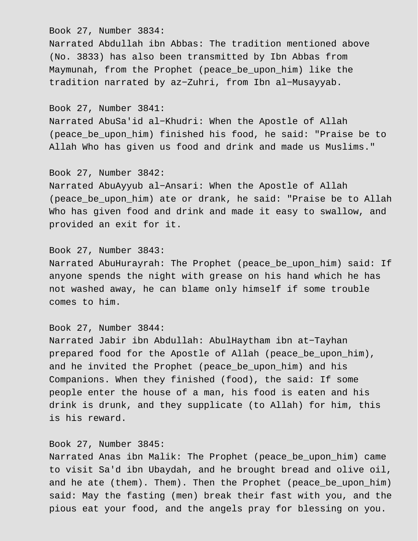#### Book 27, Number 3834:

Narrated Abdullah ibn Abbas: The tradition mentioned above (No. 3833) has also been transmitted by Ibn Abbas from Maymunah, from the Prophet (peace\_be\_upon\_him) like the tradition narrated by az−Zuhri, from Ibn al−Musayyab.

#### Book 27, Number 3841:

Narrated AbuSa'id al−Khudri: When the Apostle of Allah (peace\_be\_upon\_him) finished his food, he said: "Praise be to Allah Who has given us food and drink and made us Muslims."

Book 27, Number 3842:

Narrated AbuAyyub al−Ansari: When the Apostle of Allah (peace\_be\_upon\_him) ate or drank, he said: "Praise be to Allah Who has given food and drink and made it easy to swallow, and provided an exit for it.

#### Book 27, Number 3843:

Narrated AbuHurayrah: The Prophet (peace\_be\_upon\_him) said: If anyone spends the night with grease on his hand which he has not washed away, he can blame only himself if some trouble comes to him.

# Book 27, Number 3844:

Narrated Jabir ibn Abdullah: AbulHaytham ibn at−Tayhan prepared food for the Apostle of Allah (peace be upon him), and he invited the Prophet (peace\_be\_upon\_him) and his Companions. When they finished (food), the said: If some people enter the house of a man, his food is eaten and his drink is drunk, and they supplicate (to Allah) for him, this is his reward.

# Book 27, Number 3845:

Narrated Anas ibn Malik: The Prophet (peace\_be\_upon\_him) came to visit Sa'd ibn Ubaydah, and he brought bread and olive oil, and he ate (them). Them). Then the Prophet (peace\_be\_upon\_him) said: May the fasting (men) break their fast with you, and the pious eat your food, and the angels pray for blessing on you.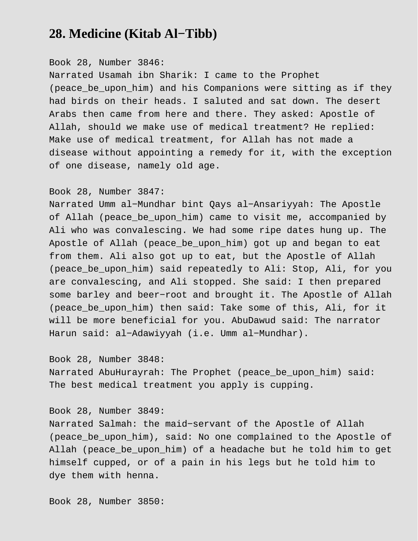# **28. Medicine (Kitab Al−Tibb)**

### Book 28, Number 3846:

Narrated Usamah ibn Sharik: I came to the Prophet (peace be upon him) and his Companions were sitting as if they had birds on their heads. I saluted and sat down. The desert Arabs then came from here and there. They asked: Apostle of Allah, should we make use of medical treatment? He replied: Make use of medical treatment, for Allah has not made a disease without appointing a remedy for it, with the exception of one disease, namely old age.

Book 28, Number 3847:

Narrated Umm al−Mundhar bint Qays al−Ansariyyah: The Apostle of Allah (peace\_be\_upon\_him) came to visit me, accompanied by Ali who was convalescing. We had some ripe dates hung up. The Apostle of Allah (peace\_be\_upon\_him) got up and began to eat from them. Ali also got up to eat, but the Apostle of Allah (peace\_be\_upon\_him) said repeatedly to Ali: Stop, Ali, for you are convalescing, and Ali stopped. She said: I then prepared some barley and beer−root and brought it. The Apostle of Allah (peace\_be\_upon\_him) then said: Take some of this, Ali, for it will be more beneficial for you. AbuDawud said: The narrator Harun said: al−Adawiyyah (i.e. Umm al−Mundhar).

Book 28, Number 3848: Narrated AbuHurayrah: The Prophet (peace be upon him) said: The best medical treatment you apply is cupping.

Book 28, Number 3849:

Narrated Salmah: the maid−servant of the Apostle of Allah (peace\_be\_upon\_him), said: No one complained to the Apostle of Allah (peace\_be\_upon\_him) of a headache but he told him to get himself cupped, or of a pain in his legs but he told him to dye them with henna.

Book 28, Number 3850: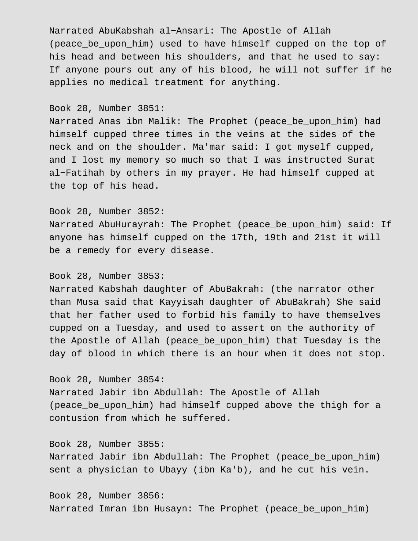Narrated AbuKabshah al−Ansari: The Apostle of Allah (peace\_be\_upon\_him) used to have himself cupped on the top of his head and between his shoulders, and that he used to say: If anyone pours out any of his blood, he will not suffer if he applies no medical treatment for anything.

#### Book 28, Number 3851:

Narrated Anas ibn Malik: The Prophet (peace\_be\_upon\_him) had himself cupped three times in the veins at the sides of the neck and on the shoulder. Ma'mar said: I got myself cupped, and I lost my memory so much so that I was instructed Surat al−Fatihah by others in my prayer. He had himself cupped at the top of his head.

#### Book 28, Number 3852:

Narrated AbuHurayrah: The Prophet (peace\_be\_upon\_him) said: If anyone has himself cupped on the 17th, 19th and 21st it will be a remedy for every disease.

#### Book 28, Number 3853:

Narrated Kabshah daughter of AbuBakrah: (the narrator other than Musa said that Kayyisah daughter of AbuBakrah) She said that her father used to forbid his family to have themselves cupped on a Tuesday, and used to assert on the authority of the Apostle of Allah (peace\_be\_upon\_him) that Tuesday is the day of blood in which there is an hour when it does not stop.

Book 28, Number 3854: Narrated Jabir ibn Abdullah: The Apostle of Allah (peace\_be\_upon\_him) had himself cupped above the thigh for a contusion from which he suffered.

Book 28, Number 3855: Narrated Jabir ibn Abdullah: The Prophet (peace\_be\_upon\_him) sent a physician to Ubayy (ibn Ka'b), and he cut his vein.

Book 28, Number 3856: Narrated Imran ibn Husayn: The Prophet (peace\_be\_upon\_him)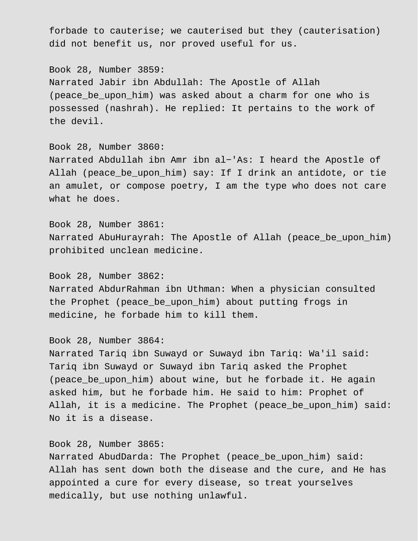forbade to cauterise; we cauterised but they (cauterisation) did not benefit us, nor proved useful for us.

Book 28, Number 3859: Narrated Jabir ibn Abdullah: The Apostle of Allah (peace\_be\_upon\_him) was asked about a charm for one who is possessed (nashrah). He replied: It pertains to the work of the devil.

Book 28, Number 3860: Narrated Abdullah ibn Amr ibn al−'As: I heard the Apostle of Allah (peace\_be\_upon\_him) say: If I drink an antidote, or tie an amulet, or compose poetry, I am the type who does not care what he does.

Book 28, Number 3861: Narrated AbuHurayrah: The Apostle of Allah (peace\_be\_upon\_him) prohibited unclean medicine.

Book 28, Number 3862: Narrated AbdurRahman ibn Uthman: When a physician consulted the Prophet (peace be upon him) about putting frogs in medicine, he forbade him to kill them.

Book 28, Number 3864:

Narrated Tariq ibn Suwayd or Suwayd ibn Tariq: Wa'il said: Tariq ibn Suwayd or Suwayd ibn Tariq asked the Prophet (peace\_be\_upon\_him) about wine, but he forbade it. He again asked him, but he forbade him. He said to him: Prophet of Allah, it is a medicine. The Prophet (peace\_be\_upon\_him) said: No it is a disease.

Book 28, Number 3865:

Narrated AbudDarda: The Prophet (peace\_be\_upon\_him) said: Allah has sent down both the disease and the cure, and He has appointed a cure for every disease, so treat yourselves medically, but use nothing unlawful.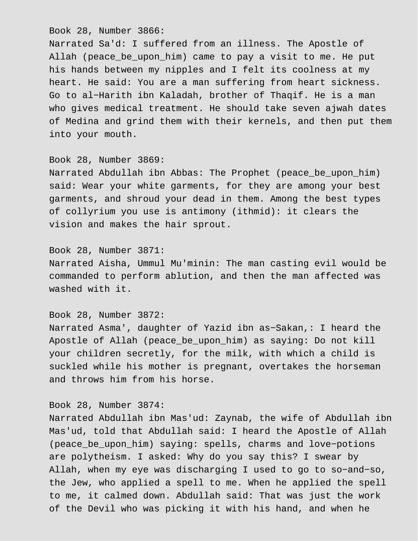Book 28, Number 3866:

Narrated Sa'd: I suffered from an illness. The Apostle of Allah (peace be upon him) came to pay a visit to me. He put his hands between my nipples and I felt its coolness at my heart. He said: You are a man suffering from heart sickness. Go to al−Harith ibn Kaladah, brother of Thaqif. He is a man who gives medical treatment. He should take seven ajwah dates of Medina and grind them with their kernels, and then put them into your mouth.

Book 28, Number 3869:

Narrated Abdullah ibn Abbas: The Prophet (peace be upon him) said: Wear your white garments, for they are among your best garments, and shroud your dead in them. Among the best types of collyrium you use is antimony (ithmid): it clears the vision and makes the hair sprout.

Book 28, Number 3871:

Narrated Aisha, Ummul Mu'minin: The man casting evil would be commanded to perform ablution, and then the man affected was washed with it.

Book 28, Number 3872:

Narrated Asma', daughter of Yazid ibn as−Sakan,: I heard the Apostle of Allah (peace\_be\_upon\_him) as saying: Do not kill your children secretly, for the milk, with which a child is suckled while his mother is pregnant, overtakes the horseman and throws him from his horse.

Book 28, Number 3874:

Narrated Abdullah ibn Mas'ud: Zaynab, the wife of Abdullah ibn Mas'ud, told that Abdullah said: I heard the Apostle of Allah (peace\_be\_upon\_him) saying: spells, charms and love−potions are polytheism. I asked: Why do you say this? I swear by Allah, when my eye was discharging I used to go to so−and−so, the Jew, who applied a spell to me. When he applied the spell to me, it calmed down. Abdullah said: That was just the work of the Devil who was picking it with his hand, and when he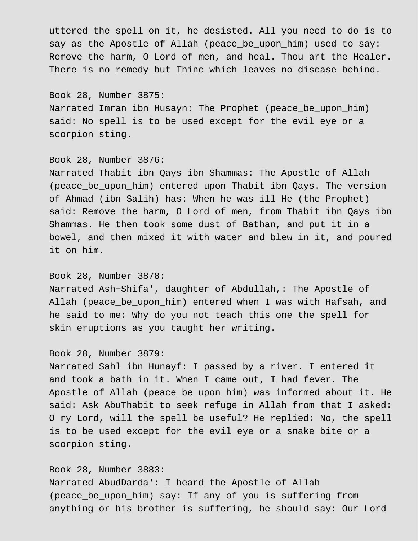uttered the spell on it, he desisted. All you need to do is to say as the Apostle of Allah (peace\_be\_upon\_him) used to say: Remove the harm, O Lord of men, and heal. Thou art the Healer. There is no remedy but Thine which leaves no disease behind.

Book 28, Number 3875: Narrated Imran ibn Husayn: The Prophet (peace\_be\_upon\_him) said: No spell is to be used except for the evil eye or a scorpion sting.

# Book 28, Number 3876:

Narrated Thabit ibn Qays ibn Shammas: The Apostle of Allah (peace\_be\_upon\_him) entered upon Thabit ibn Qays. The version of Ahmad (ibn Salih) has: When he was ill He (the Prophet) said: Remove the harm, O Lord of men, from Thabit ibn Qays ibn Shammas. He then took some dust of Bathan, and put it in a bowel, and then mixed it with water and blew in it, and poured it on him.

#### Book 28, Number 3878:

Narrated Ash−Shifa', daughter of Abdullah,: The Apostle of Allah (peace\_be\_upon\_him) entered when I was with Hafsah, and he said to me: Why do you not teach this one the spell for skin eruptions as you taught her writing.

# Book 28, Number 3879:

Narrated Sahl ibn Hunayf: I passed by a river. I entered it and took a bath in it. When I came out, I had fever. The Apostle of Allah (peace\_be\_upon\_him) was informed about it. He said: Ask AbuThabit to seek refuge in Allah from that I asked: O my Lord, will the spell be useful? He replied: No, the spell is to be used except for the evil eye or a snake bite or a scorpion sting.

# Book 28, Number 3883:

Narrated AbudDarda': I heard the Apostle of Allah (peace\_be\_upon\_him) say: If any of you is suffering from anything or his brother is suffering, he should say: Our Lord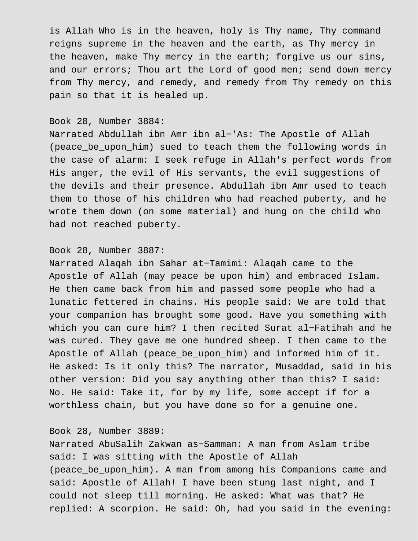is Allah Who is in the heaven, holy is Thy name, Thy command reigns supreme in the heaven and the earth, as Thy mercy in the heaven, make Thy mercy in the earth; forgive us our sins, and our errors; Thou art the Lord of good men; send down mercy from Thy mercy, and remedy, and remedy from Thy remedy on this pain so that it is healed up.

# Book 28, Number 3884:

Narrated Abdullah ibn Amr ibn al−'As: The Apostle of Allah (peace be upon him) sued to teach them the following words in the case of alarm: I seek refuge in Allah's perfect words from His anger, the evil of His servants, the evil suggestions of the devils and their presence. Abdullah ibn Amr used to teach them to those of his children who had reached puberty, and he wrote them down (on some material) and hung on the child who had not reached puberty.

# Book 28, Number 3887:

Narrated Alaqah ibn Sahar at−Tamimi: Alaqah came to the Apostle of Allah (may peace be upon him) and embraced Islam. He then came back from him and passed some people who had a lunatic fettered in chains. His people said: We are told that your companion has brought some good. Have you something with which you can cure him? I then recited Surat al−Fatihah and he was cured. They gave me one hundred sheep. I then came to the Apostle of Allah (peace\_be\_upon\_him) and informed him of it. He asked: Is it only this? The narrator, Musaddad, said in his other version: Did you say anything other than this? I said: No. He said: Take it, for by my life, some accept if for a worthless chain, but you have done so for a genuine one.

#### Book 28, Number 3889:

Narrated AbuSalih Zakwan as−Samman: A man from Aslam tribe said: I was sitting with the Apostle of Allah (peace be upon him). A man from among his Companions came and said: Apostle of Allah! I have been stung last night, and I could not sleep till morning. He asked: What was that? He replied: A scorpion. He said: Oh, had you said in the evening: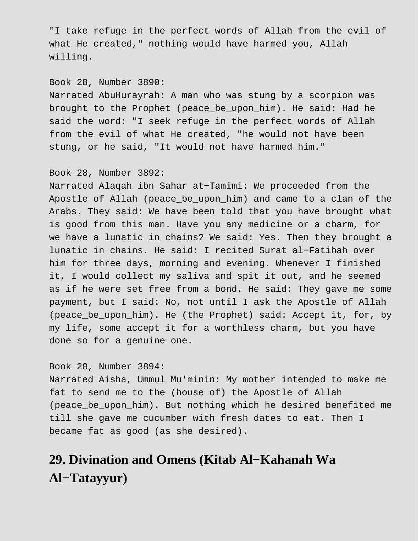"I take refuge in the perfect words of Allah from the evil of what He created," nothing would have harmed you, Allah willing.

# Book 28, Number 3890:

Narrated AbuHurayrah: A man who was stung by a scorpion was brought to the Prophet (peace\_be\_upon\_him). He said: Had he said the word: "I seek refuge in the perfect words of Allah from the evil of what He created, "he would not have been stung, or he said, "It would not have harmed him."

# Book 28, Number 3892:

Narrated Alaqah ibn Sahar at−Tamimi: We proceeded from the Apostle of Allah (peace\_be\_upon\_him) and came to a clan of the Arabs. They said: We have been told that you have brought what is good from this man. Have you any medicine or a charm, for we have a lunatic in chains? We said: Yes. Then they brought a lunatic in chains. He said: I recited Surat al−Fatihah over him for three days, morning and evening. Whenever I finished it, I would collect my saliva and spit it out, and he seemed as if he were set free from a bond. He said: They gave me some payment, but I said: No, not until I ask the Apostle of Allah (peace\_be\_upon\_him). He (the Prophet) said: Accept it, for, by my life, some accept it for a worthless charm, but you have done so for a genuine one.

#### Book 28, Number 3894:

Narrated Aisha, Ummul Mu'minin: My mother intended to make me fat to send me to the (house of) the Apostle of Allah (peace\_be\_upon\_him). But nothing which he desired benefited me till she gave me cucumber with fresh dates to eat. Then I became fat as good (as she desired).

# **29. Divination and Omens (Kitab Al−Kahanah Wa Al−Tatayyur)**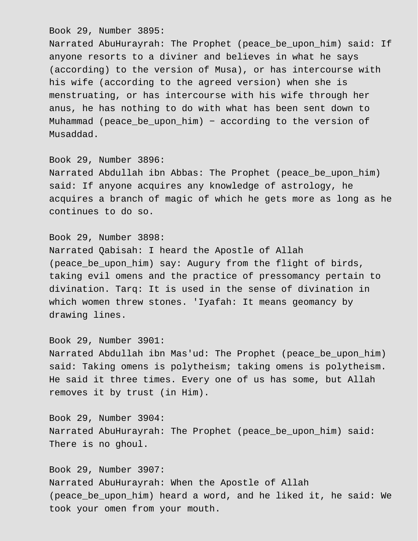Book 29, Number 3895:

Narrated AbuHurayrah: The Prophet (peace\_be\_upon\_him) said: If anyone resorts to a diviner and believes in what he says (according) to the version of Musa), or has intercourse with his wife (according to the agreed version) when she is menstruating, or has intercourse with his wife through her anus, he has nothing to do with what has been sent down to Muhammad (peace\_be\_upon\_him) - according to the version of Musaddad.

Book 29, Number 3896:

Narrated Abdullah ibn Abbas: The Prophet (peace be upon him) said: If anyone acquires any knowledge of astrology, he acquires a branch of magic of which he gets more as long as he continues to do so.

Book 29, Number 3898:

Narrated Qabisah: I heard the Apostle of Allah (peace\_be\_upon\_him) say: Augury from the flight of birds, taking evil omens and the practice of pressomancy pertain to divination. Tarq: It is used in the sense of divination in which women threw stones. 'Iyafah: It means geomancy by drawing lines.

Book 29, Number 3901: Narrated Abdullah ibn Mas'ud: The Prophet (peace be upon him) said: Taking omens is polytheism; taking omens is polytheism. He said it three times. Every one of us has some, but Allah removes it by trust (in Him).

Book 29, Number 3904: Narrated AbuHurayrah: The Prophet (peace\_be\_upon\_him) said: There is no ghoul.

Book 29, Number 3907: Narrated AbuHurayrah: When the Apostle of Allah (peace\_be\_upon\_him) heard a word, and he liked it, he said: We took your omen from your mouth.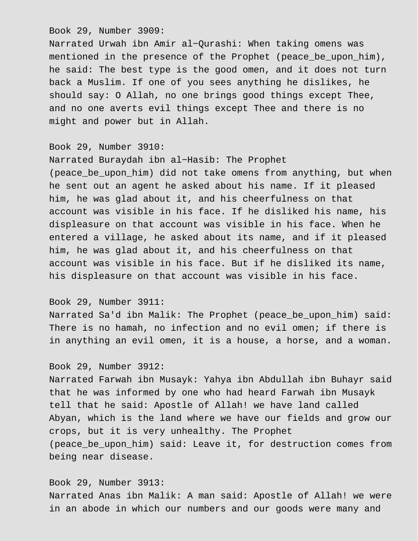#### Book 29, Number 3909:

Narrated Urwah ibn Amir al−Qurashi: When taking omens was mentioned in the presence of the Prophet (peace be upon him), he said: The best type is the good omen, and it does not turn back a Muslim. If one of you sees anything he dislikes, he should say: O Allah, no one brings good things except Thee, and no one averts evil things except Thee and there is no might and power but in Allah.

# Book 29, Number 3910:

Narrated Buraydah ibn al−Hasib: The Prophet (peace be upon him) did not take omens from anything, but when he sent out an agent he asked about his name. If it pleased him, he was glad about it, and his cheerfulness on that account was visible in his face. If he disliked his name, his displeasure on that account was visible in his face. When he entered a village, he asked about its name, and if it pleased him, he was glad about it, and his cheerfulness on that account was visible in his face. But if he disliked its name, his displeasure on that account was visible in his face.

#### Book 29, Number 3911:

Narrated Sa'd ibn Malik: The Prophet (peace\_be\_upon\_him) said: There is no hamah, no infection and no evil omen; if there is in anything an evil omen, it is a house, a horse, and a woman.

#### Book 29, Number 3912:

Narrated Farwah ibn Musayk: Yahya ibn Abdullah ibn Buhayr said that he was informed by one who had heard Farwah ibn Musayk tell that he said: Apostle of Allah! we have land called Abyan, which is the land where we have our fields and grow our crops, but it is very unhealthy. The Prophet (peace\_be\_upon\_him) said: Leave it, for destruction comes from being near disease.

# Book 29, Number 3913:

Narrated Anas ibn Malik: A man said: Apostle of Allah! we were in an abode in which our numbers and our goods were many and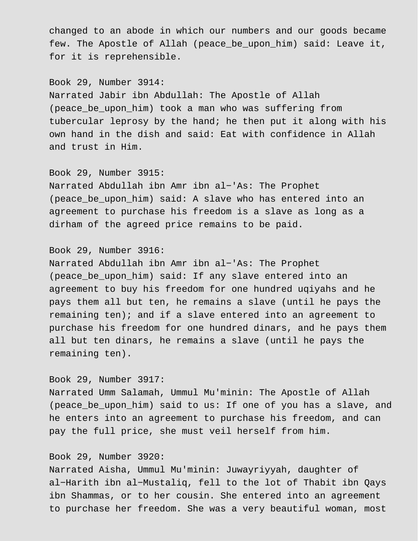changed to an abode in which our numbers and our goods became few. The Apostle of Allah (peace\_be\_upon\_him) said: Leave it, for it is reprehensible.

# Book 29, Number 3914:

Narrated Jabir ibn Abdullah: The Apostle of Allah (peace\_be\_upon\_him) took a man who was suffering from tubercular leprosy by the hand; he then put it along with his own hand in the dish and said: Eat with confidence in Allah and trust in Him.

#### Book 29, Number 3915:

Narrated Abdullah ibn Amr ibn al−'As: The Prophet (peace\_be\_upon\_him) said: A slave who has entered into an agreement to purchase his freedom is a slave as long as a dirham of the agreed price remains to be paid.

# Book 29, Number 3916:

Narrated Abdullah ibn Amr ibn al−'As: The Prophet (peace\_be\_upon\_him) said: If any slave entered into an agreement to buy his freedom for one hundred uqiyahs and he pays them all but ten, he remains a slave (until he pays the remaining ten); and if a slave entered into an agreement to purchase his freedom for one hundred dinars, and he pays them all but ten dinars, he remains a slave (until he pays the remaining ten).

# Book 29, Number 3917:

Narrated Umm Salamah, Ummul Mu'minin: The Apostle of Allah (peace\_be\_upon\_him) said to us: If one of you has a slave, and he enters into an agreement to purchase his freedom, and can pay the full price, she must veil herself from him.

#### Book 29, Number 3920:

Narrated Aisha, Ummul Mu'minin: Juwayriyyah, daughter of al−Harith ibn al−Mustaliq, fell to the lot of Thabit ibn Qays ibn Shammas, or to her cousin. She entered into an agreement to purchase her freedom. She was a very beautiful woman, most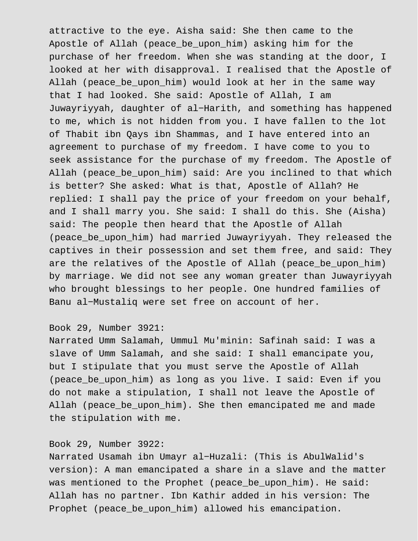attractive to the eye. Aisha said: She then came to the Apostle of Allah (peace\_be\_upon\_him) asking him for the purchase of her freedom. When she was standing at the door, I looked at her with disapproval. I realised that the Apostle of Allah (peace be upon him) would look at her in the same way that I had looked. She said: Apostle of Allah, I am Juwayriyyah, daughter of al−Harith, and something has happened to me, which is not hidden from you. I have fallen to the lot of Thabit ibn Qays ibn Shammas, and I have entered into an agreement to purchase of my freedom. I have come to you to seek assistance for the purchase of my freedom. The Apostle of Allah (peace be upon him) said: Are you inclined to that which is better? She asked: What is that, Apostle of Allah? He replied: I shall pay the price of your freedom on your behalf, and I shall marry you. She said: I shall do this. She (Aisha) said: The people then heard that the Apostle of Allah (peace be upon him) had married Juwayriyyah. They released the captives in their possession and set them free, and said: They are the relatives of the Apostle of Allah (peace\_be\_upon\_him) by marriage. We did not see any woman greater than Juwayriyyah who brought blessings to her people. One hundred families of Banu al−Mustaliq were set free on account of her.

# Book 29, Number 3921:

Narrated Umm Salamah, Ummul Mu'minin: Safinah said: I was a slave of Umm Salamah, and she said: I shall emancipate you, but I stipulate that you must serve the Apostle of Allah (peace\_be\_upon\_him) as long as you live. I said: Even if you do not make a stipulation, I shall not leave the Apostle of Allah (peace\_be\_upon\_him). She then emancipated me and made the stipulation with me.

# Book 29, Number 3922:

Narrated Usamah ibn Umayr al−Huzali: (This is AbulWalid's version): A man emancipated a share in a slave and the matter was mentioned to the Prophet (peace\_be\_upon\_him). He said: Allah has no partner. Ibn Kathir added in his version: The Prophet (peace be upon him) allowed his emancipation.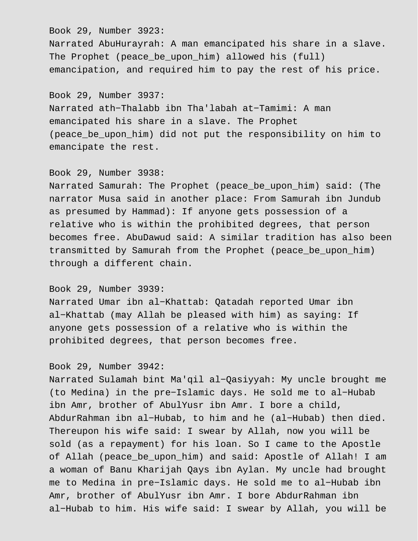#### Book 29, Number 3923:

Narrated AbuHurayrah: A man emancipated his share in a slave. The Prophet (peace be upon him) allowed his (full) emancipation, and required him to pay the rest of his price.

# Book 29, Number 3937:

Narrated ath−Thalabb ibn Tha'labah at−Tamimi: A man emancipated his share in a slave. The Prophet (peace\_be\_upon\_him) did not put the responsibility on him to emancipate the rest.

# Book 29, Number 3938:

Narrated Samurah: The Prophet (peace\_be\_upon\_him) said: (The narrator Musa said in another place: From Samurah ibn Jundub as presumed by Hammad): If anyone gets possession of a relative who is within the prohibited degrees, that person becomes free. AbuDawud said: A similar tradition has also been transmitted by Samurah from the Prophet (peace be upon him) through a different chain.

# Book 29, Number 3939:

Narrated Umar ibn al−Khattab: Qatadah reported Umar ibn al−Khattab (may Allah be pleased with him) as saying: If anyone gets possession of a relative who is within the prohibited degrees, that person becomes free.

# Book 29, Number 3942:

Narrated Sulamah bint Ma'qil al−Qasiyyah: My uncle brought me (to Medina) in the pre−Islamic days. He sold me to al−Hubab ibn Amr, brother of AbulYusr ibn Amr. I bore a child, AbdurRahman ibn al−Hubab, to him and he (al−Hubab) then died. Thereupon his wife said: I swear by Allah, now you will be sold (as a repayment) for his loan. So I came to the Apostle of Allah (peace\_be\_upon\_him) and said: Apostle of Allah! I am a woman of Banu Kharijah Qays ibn Aylan. My uncle had brought me to Medina in pre−Islamic days. He sold me to al−Hubab ibn Amr, brother of AbulYusr ibn Amr. I bore AbdurRahman ibn al−Hubab to him. His wife said: I swear by Allah, you will be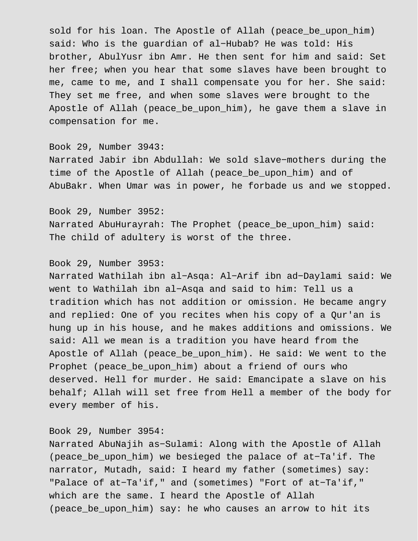sold for his loan. The Apostle of Allah (peace be upon him) said: Who is the guardian of al−Hubab? He was told: His brother, AbulYusr ibn Amr. He then sent for him and said: Set her free; when you hear that some slaves have been brought to me, came to me, and I shall compensate you for her. She said: They set me free, and when some slaves were brought to the Apostle of Allah (peace\_be\_upon\_him), he gave them a slave in compensation for me.

#### Book 29, Number 3943:

Narrated Jabir ibn Abdullah: We sold slave−mothers during the time of the Apostle of Allah (peace be upon him) and of AbuBakr. When Umar was in power, he forbade us and we stopped.

Book 29, Number 3952: Narrated AbuHurayrah: The Prophet (peace\_be\_upon\_him) said: The child of adultery is worst of the three.

Book 29, Number 3953:

Narrated Wathilah ibn al−Asqa: Al−Arif ibn ad−Daylami said: We went to Wathilah ibn al−Asqa and said to him: Tell us a tradition which has not addition or omission. He became angry and replied: One of you recites when his copy of a Qur'an is hung up in his house, and he makes additions and omissions. We said: All we mean is a tradition you have heard from the Apostle of Allah (peace be upon him). He said: We went to the Prophet (peace\_be\_upon\_him) about a friend of ours who deserved. Hell for murder. He said: Emancipate a slave on his behalf; Allah will set free from Hell a member of the body for every member of his.

# Book 29, Number 3954:

Narrated AbuNajih as−Sulami: Along with the Apostle of Allah (peace\_be\_upon\_him) we besieged the palace of at−Ta'if. The narrator, Mutadh, said: I heard my father (sometimes) say: "Palace of at−Ta'if," and (sometimes) "Fort of at−Ta'if," which are the same. I heard the Apostle of Allah (peace\_be\_upon\_him) say: he who causes an arrow to hit its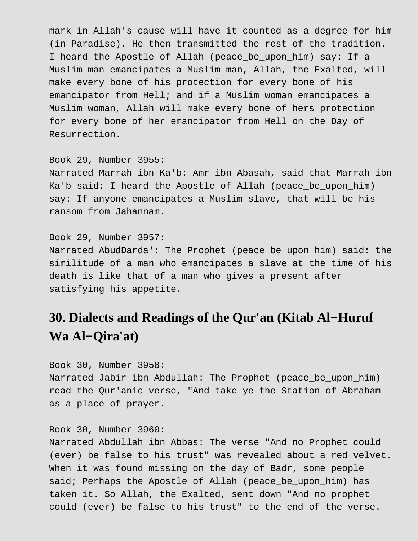mark in Allah's cause will have it counted as a degree for him (in Paradise). He then transmitted the rest of the tradition. I heard the Apostle of Allah (peace be upon him) say: If a Muslim man emancipates a Muslim man, Allah, the Exalted, will make every bone of his protection for every bone of his emancipator from Hell; and if a Muslim woman emancipates a Muslim woman, Allah will make every bone of hers protection for every bone of her emancipator from Hell on the Day of Resurrection.

Book 29, Number 3955: Narrated Marrah ibn Ka'b: Amr ibn Abasah, said that Marrah ibn Ka'b said: I heard the Apostle of Allah (peace be upon him) say: If anyone emancipates a Muslim slave, that will be his ransom from Jahannam.

Book 29, Number 3957: Narrated AbudDarda': The Prophet (peace\_be\_upon\_him) said: the similitude of a man who emancipates a slave at the time of his death is like that of a man who gives a present after satisfying his appetite.

# **30. Dialects and Readings of the Qur'an (Kitab Al−Huruf Wa Al−Qira'at)**

Book 30, Number 3958:

Narrated Jabir ibn Abdullah: The Prophet (peace\_be\_upon\_him) read the Qur'anic verse, "And take ye the Station of Abraham as a place of prayer.

Book 30, Number 3960:

Narrated Abdullah ibn Abbas: The verse "And no Prophet could (ever) be false to his trust" was revealed about a red velvet. When it was found missing on the day of Badr, some people said; Perhaps the Apostle of Allah (peace be upon him) has taken it. So Allah, the Exalted, sent down "And no prophet could (ever) be false to his trust" to the end of the verse.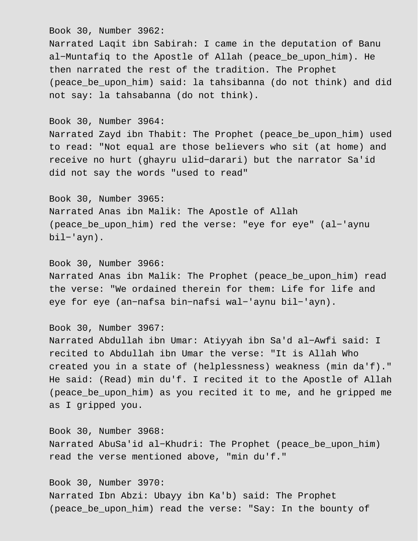Book 30, Number 3962:

Narrated Laqit ibn Sabirah: I came in the deputation of Banu al−Muntafiq to the Apostle of Allah (peace\_be\_upon\_him). He then narrated the rest of the tradition. The Prophet (peace\_be\_upon\_him) said: la tahsibanna (do not think) and did not say: la tahsabanna (do not think).

Book 30, Number 3964:

Narrated Zayd ibn Thabit: The Prophet (peace\_be\_upon\_him) used to read: "Not equal are those believers who sit (at home) and receive no hurt (ghayru ulid−darari) but the narrator Sa'id did not say the words "used to read"

Book 30, Number 3965: Narrated Anas ibn Malik: The Apostle of Allah (peace\_be\_upon\_him) red the verse: "eye for eye" (al−'aynu bil−'ayn).

Book 30, Number 3966: Narrated Anas ibn Malik: The Prophet (peace be upon him) read the verse: "We ordained therein for them: Life for life and eye for eye (an−nafsa bin−nafsi wal−'aynu bil−'ayn).

Book 30, Number 3967: Narrated Abdullah ibn Umar: Atiyyah ibn Sa'd al−Awfi said: I recited to Abdullah ibn Umar the verse: "It is Allah Who created you in a state of (helplessness) weakness (min da'f)." He said: (Read) min du'f. I recited it to the Apostle of Allah (peace\_be\_upon\_him) as you recited it to me, and he gripped me as I gripped you.

Book 30, Number 3968: Narrated AbuSa'id al−Khudri: The Prophet (peace\_be\_upon\_him) read the verse mentioned above, "min du'f."

Book 30, Number 3970: Narrated Ibn Abzi: Ubayy ibn Ka'b) said: The Prophet (peace\_be\_upon\_him) read the verse: "Say: In the bounty of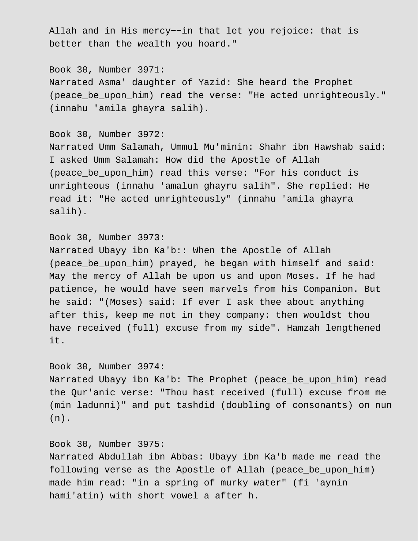Allah and in His mercy−−in that let you rejoice: that is better than the wealth you hoard."

Book 30, Number 3971: Narrated Asma' daughter of Yazid: She heard the Prophet (peace\_be\_upon\_him) read the verse: "He acted unrighteously." (innahu 'amila ghayra salih).

Book 30, Number 3972: Narrated Umm Salamah, Ummul Mu'minin: Shahr ibn Hawshab said: I asked Umm Salamah: How did the Apostle of Allah (peace\_be\_upon\_him) read this verse: "For his conduct is unrighteous (innahu 'amalun ghayru salih". She replied: He read it: "He acted unrighteously" (innahu 'amila ghayra salih).

```
Book 30, Number 3973:
```
Narrated Ubayy ibn Ka'b:: When the Apostle of Allah (peace\_be\_upon\_him) prayed, he began with himself and said: May the mercy of Allah be upon us and upon Moses. If he had patience, he would have seen marvels from his Companion. But he said: "(Moses) said: If ever I ask thee about anything after this, keep me not in they company: then wouldst thou have received (full) excuse from my side". Hamzah lengthened it.

Book 30, Number 3974:

Narrated Ubayy ibn Ka'b: The Prophet (peace\_be\_upon\_him) read the Qur'anic verse: "Thou hast received (full) excuse from me (min ladunni)" and put tashdid (doubling of consonants) on nun  $(n)$ .

Book 30, Number 3975:

Narrated Abdullah ibn Abbas: Ubayy ibn Ka'b made me read the following verse as the Apostle of Allah (peace be upon him) made him read: "in a spring of murky water" (fi 'aynin hami'atin) with short vowel a after h.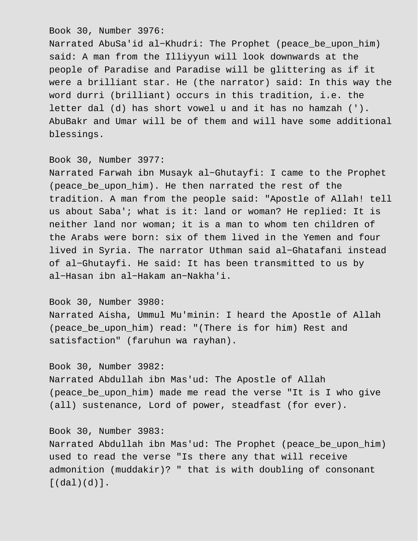# Book 30, Number 3976:

Narrated AbuSa'id al−Khudri: The Prophet (peace\_be\_upon\_him) said: A man from the Illiyyun will look downwards at the people of Paradise and Paradise will be glittering as if it were a brilliant star. He (the narrator) said: In this way the word durri (brilliant) occurs in this tradition, i.e. the letter dal (d) has short vowel u and it has no hamzah ('). AbuBakr and Umar will be of them and will have some additional blessings.

# Book 30, Number 3977:

Narrated Farwah ibn Musayk al−Ghutayfi: I came to the Prophet (peace be upon him). He then narrated the rest of the tradition. A man from the people said: "Apostle of Allah! tell us about Saba'; what is it: land or woman? He replied: It is neither land nor woman; it is a man to whom ten children of the Arabs were born: six of them lived in the Yemen and four lived in Syria. The narrator Uthman said al−Ghatafani instead of al−Ghutayfi. He said: It has been transmitted to us by al−Hasan ibn al−Hakam an−Nakha'i.

# Book 30, Number 3980:

Narrated Aisha, Ummul Mu'minin: I heard the Apostle of Allah (peace\_be\_upon\_him) read: "(There is for him) Rest and satisfaction" (faruhun wa rayhan).

# Book 30, Number 3982:

Narrated Abdullah ibn Mas'ud: The Apostle of Allah (peace\_be\_upon\_him) made me read the verse "It is I who give (all) sustenance, Lord of power, steadfast (for ever).

Book 30, Number 3983:

Narrated Abdullah ibn Mas'ud: The Prophet (peace be upon him) used to read the verse "Is there any that will receive admonition (muddakir)? " that is with doubling of consonant  $[(ddal)(d)].$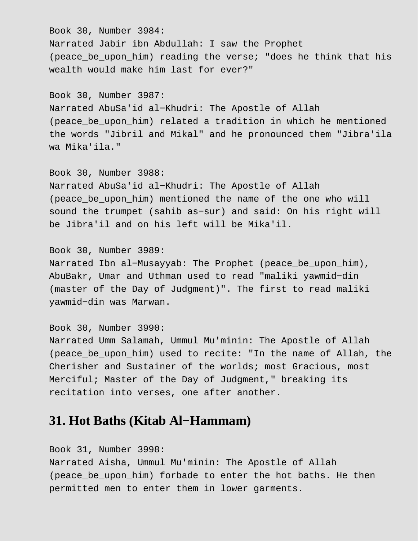Book 30, Number 3984: Narrated Jabir ibn Abdullah: I saw the Prophet (peace be upon him) reading the verse; "does he think that his wealth would make him last for ever?"

Book 30, Number 3987: Narrated AbuSa'id al−Khudri: The Apostle of Allah (peace be upon him) related a tradition in which he mentioned the words "Jibril and Mikal" and he pronounced them "Jibra'ila wa Mika'ila."

Book 30, Number 3988: Narrated AbuSa'id al−Khudri: The Apostle of Allah (peace\_be\_upon\_him) mentioned the name of the one who will sound the trumpet (sahib as−sur) and said: On his right will be Jibra'il and on his left will be Mika'il.

Book 30, Number 3989: Narrated Ibn al−Musayyab: The Prophet (peace\_be\_upon\_him), AbuBakr, Umar and Uthman used to read "maliki yawmid−din (master of the Day of Judgment)". The first to read maliki yawmid−din was Marwan.

Book 30, Number 3990:

Narrated Umm Salamah, Ummul Mu'minin: The Apostle of Allah (peace be upon him) used to recite: "In the name of Allah, the Cherisher and Sustainer of the worlds; most Gracious, most Merciful; Master of the Day of Judgment," breaking its recitation into verses, one after another.

# **31. Hot Baths (Kitab Al−Hammam)**

Book 31, Number 3998:

Narrated Aisha, Ummul Mu'minin: The Apostle of Allah (peace\_be\_upon\_him) forbade to enter the hot baths. He then permitted men to enter them in lower garments.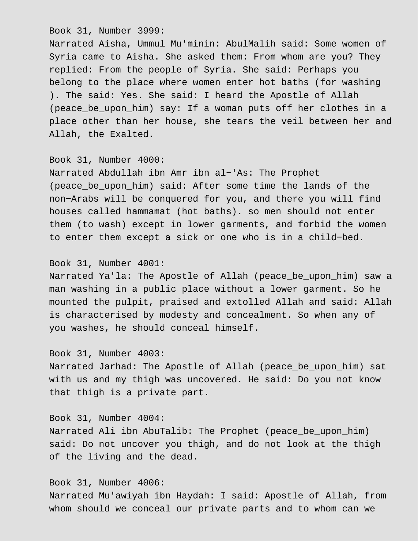Book 31, Number 3999:

Narrated Aisha, Ummul Mu'minin: AbulMalih said: Some women of Syria came to Aisha. She asked them: From whom are you? They replied: From the people of Syria. She said: Perhaps you belong to the place where women enter hot baths (for washing ). The said: Yes. She said: I heard the Apostle of Allah (peace\_be\_upon\_him) say: If a woman puts off her clothes in a place other than her house, she tears the veil between her and Allah, the Exalted.

# Book 31, Number 4000:

Narrated Abdullah ibn Amr ibn al−'As: The Prophet (peace\_be\_upon\_him) said: After some time the lands of the non−Arabs will be conquered for you, and there you will find houses called hammamat (hot baths). so men should not enter them (to wash) except in lower garments, and forbid the women to enter them except a sick or one who is in a child−bed.

# Book 31, Number 4001:

Narrated Ya'la: The Apostle of Allah (peace\_be\_upon\_him) saw a man washing in a public place without a lower garment. So he mounted the pulpit, praised and extolled Allah and said: Allah is characterised by modesty and concealment. So when any of you washes, he should conceal himself.

Book 31, Number 4003:

Narrated Jarhad: The Apostle of Allah (peace\_be\_upon\_him) sat with us and my thigh was uncovered. He said: Do you not know that thigh is a private part.

# Book 31, Number 4004:

Narrated Ali ibn AbuTalib: The Prophet (peace\_be\_upon\_him) said: Do not uncover you thigh, and do not look at the thigh of the living and the dead.

# Book 31, Number 4006:

Narrated Mu'awiyah ibn Haydah: I said: Apostle of Allah, from whom should we conceal our private parts and to whom can we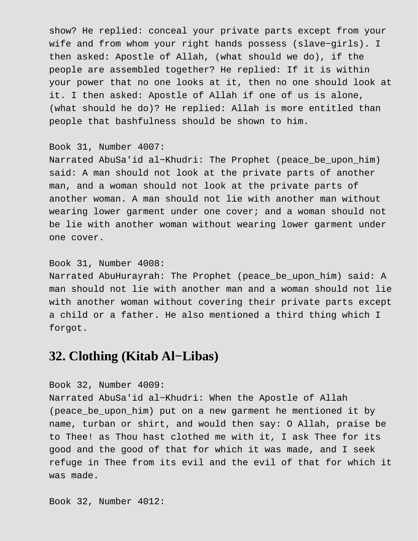show? He replied: conceal your private parts except from your wife and from whom your right hands possess (slave−girls). I then asked: Apostle of Allah, (what should we do), if the people are assembled together? He replied: If it is within your power that no one looks at it, then no one should look at it. I then asked: Apostle of Allah if one of us is alone, (what should he do)? He replied: Allah is more entitled than people that bashfulness should be shown to him.

# Book 31, Number 4007:

Narrated AbuSa'id al−Khudri: The Prophet (peace\_be\_upon\_him) said: A man should not look at the private parts of another man, and a woman should not look at the private parts of another woman. A man should not lie with another man without wearing lower garment under one cover; and a woman should not be lie with another woman without wearing lower garment under one cover.

# Book 31, Number 4008:

Narrated AbuHurayrah: The Prophet (peace\_be\_upon\_him) said: A man should not lie with another man and a woman should not lie with another woman without covering their private parts except a child or a father. He also mentioned a third thing which I forgot.

# **32. Clothing (Kitab Al−Libas)**

# Book 32, Number 4009:

Narrated AbuSa'id al−Khudri: When the Apostle of Allah (peace\_be\_upon\_him) put on a new garment he mentioned it by name, turban or shirt, and would then say: O Allah, praise be to Thee! as Thou hast clothed me with it, I ask Thee for its good and the good of that for which it was made, and I seek refuge in Thee from its evil and the evil of that for which it was made.

Book 32, Number 4012: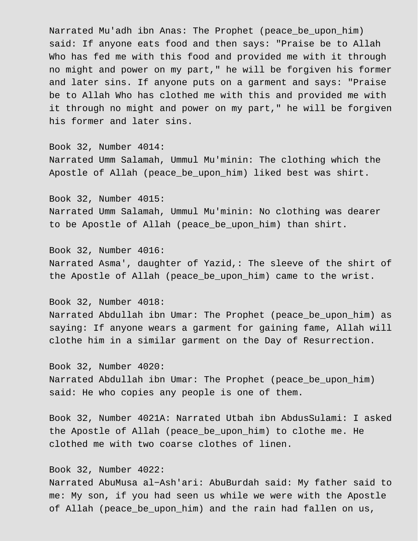Narrated Mu'adh ibn Anas: The Prophet (peace be upon him) said: If anyone eats food and then says: "Praise be to Allah Who has fed me with this food and provided me with it through no might and power on my part," he will be forgiven his former and later sins. If anyone puts on a garment and says: "Praise be to Allah Who has clothed me with this and provided me with it through no might and power on my part," he will be forgiven his former and later sins.

Book 32, Number 4014: Narrated Umm Salamah, Ummul Mu'minin: The clothing which the Apostle of Allah (peace\_be\_upon\_him) liked best was shirt.

Book 32, Number 4015: Narrated Umm Salamah, Ummul Mu'minin: No clothing was dearer to be Apostle of Allah (peace\_be\_upon\_him) than shirt.

Book 32, Number 4016: Narrated Asma', daughter of Yazid,: The sleeve of the shirt of the Apostle of Allah (peace\_be\_upon\_him) came to the wrist.

Book 32, Number 4018: Narrated Abdullah ibn Umar: The Prophet (peace\_be\_upon\_him) as saying: If anyone wears a garment for gaining fame, Allah will clothe him in a similar garment on the Day of Resurrection.

Book 32, Number 4020: Narrated Abdullah ibn Umar: The Prophet (peace\_be\_upon\_him) said: He who copies any people is one of them.

Book 32, Number 4021A: Narrated Utbah ibn AbdusSulami: I asked the Apostle of Allah (peace\_be\_upon\_him) to clothe me. He clothed me with two coarse clothes of linen.

Book 32, Number 4022:

Narrated AbuMusa al−Ash'ari: AbuBurdah said: My father said to me: My son, if you had seen us while we were with the Apostle of Allah (peace\_be\_upon\_him) and the rain had fallen on us,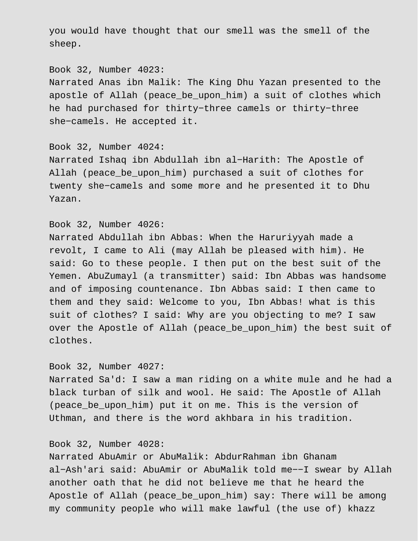you would have thought that our smell was the smell of the sheep.

Book 32, Number 4023: Narrated Anas ibn Malik: The King Dhu Yazan presented to the apostle of Allah (peace be upon him) a suit of clothes which he had purchased for thirty−three camels or thirty−three she−camels. He accepted it.

# Book 32, Number 4024:

Narrated Ishaq ibn Abdullah ibn al−Harith: The Apostle of Allah (peace be upon him) purchased a suit of clothes for twenty she−camels and some more and he presented it to Dhu Yazan.

#### Book 32, Number 4026:

Narrated Abdullah ibn Abbas: When the Haruriyyah made a revolt, I came to Ali (may Allah be pleased with him). He said: Go to these people. I then put on the best suit of the Yemen. AbuZumayl (a transmitter) said: Ibn Abbas was handsome and of imposing countenance. Ibn Abbas said: I then came to them and they said: Welcome to you, Ibn Abbas! what is this suit of clothes? I said: Why are you objecting to me? I saw over the Apostle of Allah (peace\_be\_upon\_him) the best suit of clothes.

#### Book 32, Number 4027:

Narrated Sa'd: I saw a man riding on a white mule and he had a black turban of silk and wool. He said: The Apostle of Allah (peace\_be\_upon\_him) put it on me. This is the version of Uthman, and there is the word akhbara in his tradition.

# Book 32, Number 4028:

Narrated AbuAmir or AbuMalik: AbdurRahman ibn Ghanam al−Ash'ari said: AbuAmir or AbuMalik told me−−I swear by Allah another oath that he did not believe me that he heard the Apostle of Allah (peace\_be\_upon\_him) say: There will be among my community people who will make lawful (the use of) khazz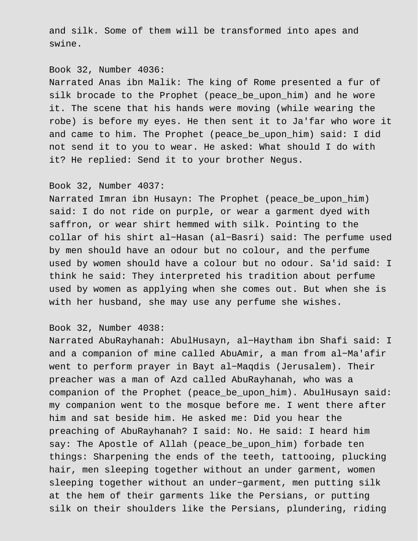and silk. Some of them will be transformed into apes and swine.

# Book 32, Number 4036:

Narrated Anas ibn Malik: The king of Rome presented a fur of silk brocade to the Prophet (peace be upon him) and he wore it. The scene that his hands were moving (while wearing the robe) is before my eyes. He then sent it to Ja'far who wore it and came to him. The Prophet (peace\_be\_upon\_him) said: I did not send it to you to wear. He asked: What should I do with it? He replied: Send it to your brother Negus.

# Book 32, Number 4037:

Narrated Imran ibn Husayn: The Prophet (peace\_be\_upon\_him) said: I do not ride on purple, or wear a garment dyed with saffron, or wear shirt hemmed with silk. Pointing to the collar of his shirt al−Hasan (al−Basri) said: The perfume used by men should have an odour but no colour, and the perfume used by women should have a colour but no odour. Sa'id said: I think he said: They interpreted his tradition about perfume used by women as applying when she comes out. But when she is with her husband, she may use any perfume she wishes.

# Book 32, Number 4038:

Narrated AbuRayhanah: AbulHusayn, al−Haytham ibn Shafi said: I and a companion of mine called AbuAmir, a man from al−Ma'afir went to perform prayer in Bayt al−Maqdis (Jerusalem). Their preacher was a man of Azd called AbuRayhanah, who was a companion of the Prophet (peace\_be\_upon\_him). AbulHusayn said: my companion went to the mosque before me. I went there after him and sat beside him. He asked me: Did you hear the preaching of AbuRayhanah? I said: No. He said: I heard him say: The Apostle of Allah (peace\_be\_upon\_him) forbade ten things: Sharpening the ends of the teeth, tattooing, plucking hair, men sleeping together without an under garment, women sleeping together without an under−garment, men putting silk at the hem of their garments like the Persians, or putting silk on their shoulders like the Persians, plundering, riding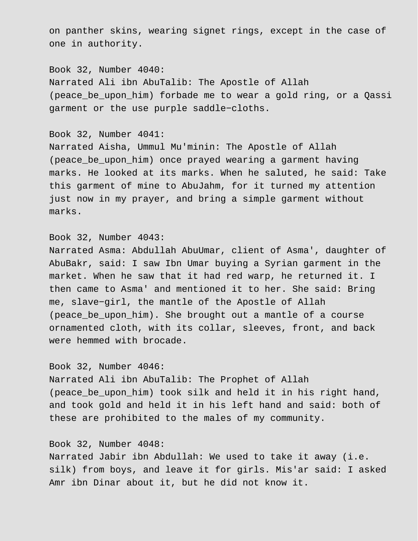on panther skins, wearing signet rings, except in the case of one in authority.

Book 32, Number 4040: Narrated Ali ibn AbuTalib: The Apostle of Allah (peace\_be\_upon\_him) forbade me to wear a gold ring, or a Qassi garment or the use purple saddle−cloths.

#### Book 32, Number 4041:

Narrated Aisha, Ummul Mu'minin: The Apostle of Allah (peace\_be\_upon\_him) once prayed wearing a garment having marks. He looked at its marks. When he saluted, he said: Take this garment of mine to AbuJahm, for it turned my attention just now in my prayer, and bring a simple garment without marks.

# Book 32, Number 4043:

Narrated Asma: Abdullah AbuUmar, client of Asma', daughter of AbuBakr, said: I saw Ibn Umar buying a Syrian garment in the market. When he saw that it had red warp, he returned it. I then came to Asma' and mentioned it to her. She said: Bring me, slave−girl, the mantle of the Apostle of Allah (peace\_be\_upon\_him). She brought out a mantle of a course ornamented cloth, with its collar, sleeves, front, and back were hemmed with brocade.

# Book 32, Number 4046:

Narrated Ali ibn AbuTalib: The Prophet of Allah (peace\_be\_upon\_him) took silk and held it in his right hand, and took gold and held it in his left hand and said: both of these are prohibited to the males of my community.

# Book 32, Number 4048:

Narrated Jabir ibn Abdullah: We used to take it away (i.e. silk) from boys, and leave it for girls. Mis'ar said: I asked Amr ibn Dinar about it, but he did not know it.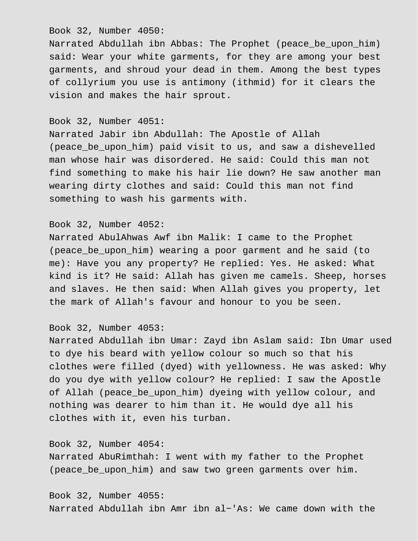#### Book 32, Number 4050:

Narrated Abdullah ibn Abbas: The Prophet (peace\_be\_upon\_him) said: Wear your white garments, for they are among your best garments, and shroud your dead in them. Among the best types of collyrium you use is antimony (ithmid) for it clears the vision and makes the hair sprout.

#### Book 32, Number 4051:

Narrated Jabir ibn Abdullah: The Apostle of Allah (peace be upon him) paid visit to us, and saw a dishevelled man whose hair was disordered. He said: Could this man not find something to make his hair lie down? He saw another man wearing dirty clothes and said: Could this man not find something to wash his garments with.

#### Book 32, Number 4052:

Narrated AbulAhwas Awf ibn Malik: I came to the Prophet (peace\_be\_upon\_him) wearing a poor garment and he said (to me): Have you any property? He replied: Yes. He asked: What kind is it? He said: Allah has given me camels. Sheep, horses and slaves. He then said: When Allah gives you property, let the mark of Allah's favour and honour to you be seen.

# Book 32, Number 4053:

Narrated Abdullah ibn Umar: Zayd ibn Aslam said: Ibn Umar used to dye his beard with yellow colour so much so that his clothes were filled (dyed) with yellowness. He was asked: Why do you dye with yellow colour? He replied: I saw the Apostle of Allah (peace\_be\_upon\_him) dyeing with yellow colour, and nothing was dearer to him than it. He would dye all his clothes with it, even his turban.

#### Book 32, Number 4054:

Narrated AbuRimthah: I went with my father to the Prophet (peace\_be\_upon\_him) and saw two green garments over him.

Book 32, Number 4055: Narrated Abdullah ibn Amr ibn al−'As: We came down with the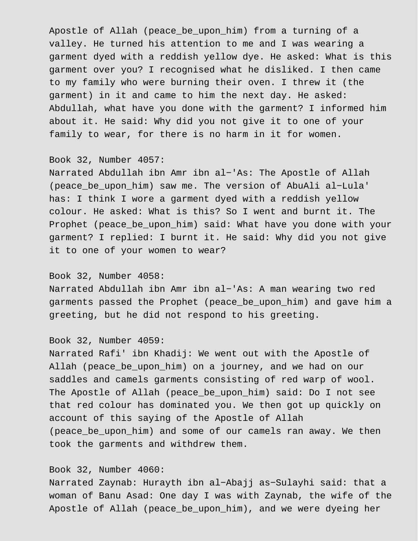Apostle of Allah (peace be upon him) from a turning of a valley. He turned his attention to me and I was wearing a garment dyed with a reddish yellow dye. He asked: What is this garment over you? I recognised what he disliked. I then came to my family who were burning their oven. I threw it (the garment) in it and came to him the next day. He asked: Abdullah, what have you done with the garment? I informed him about it. He said: Why did you not give it to one of your family to wear, for there is no harm in it for women.

#### Book 32, Number 4057:

Narrated Abdullah ibn Amr ibn al−'As: The Apostle of Allah (peace\_be\_upon\_him) saw me. The version of AbuAli al−Lula' has: I think I wore a garment dyed with a reddish yellow colour. He asked: What is this? So I went and burnt it. The Prophet (peace\_be\_upon\_him) said: What have you done with your garment? I replied: I burnt it. He said: Why did you not give it to one of your women to wear?

#### Book 32, Number 4058:

Narrated Abdullah ibn Amr ibn al−'As: A man wearing two red garments passed the Prophet (peace\_be\_upon\_him) and gave him a greeting, but he did not respond to his greeting.

#### Book 32, Number 4059:

Narrated Rafi' ibn Khadij: We went out with the Apostle of Allah (peace\_be\_upon\_him) on a journey, and we had on our saddles and camels garments consisting of red warp of wool. The Apostle of Allah (peace\_be\_upon\_him) said: Do I not see that red colour has dominated you. We then got up quickly on account of this saying of the Apostle of Allah (peace\_be\_upon\_him) and some of our camels ran away. We then took the garments and withdrew them.

# Book 32, Number 4060:

Narrated Zaynab: Hurayth ibn al−Abajj as−Sulayhi said: that a woman of Banu Asad: One day I was with Zaynab, the wife of the Apostle of Allah (peace\_be\_upon\_him), and we were dyeing her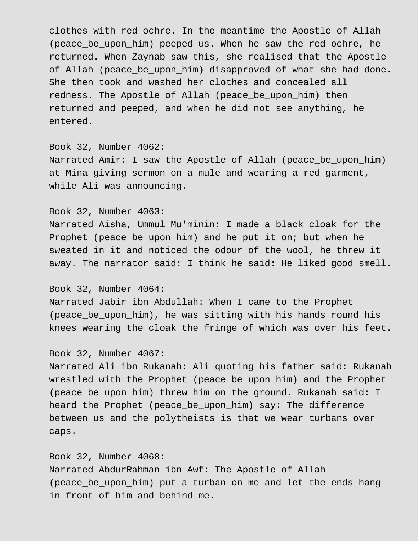clothes with red ochre. In the meantime the Apostle of Allah (peace\_be\_upon\_him) peeped us. When he saw the red ochre, he returned. When Zaynab saw this, she realised that the Apostle of Allah (peace\_be\_upon\_him) disapproved of what she had done. She then took and washed her clothes and concealed all redness. The Apostle of Allah (peace\_be\_upon\_him) then returned and peeped, and when he did not see anything, he entered.

#### Book 32, Number 4062:

Narrated Amir: I saw the Apostle of Allah (peace be upon him) at Mina giving sermon on a mule and wearing a red garment, while Ali was announcing.

#### Book 32, Number 4063:

Narrated Aisha, Ummul Mu'minin: I made a black cloak for the Prophet (peace be upon him) and he put it on; but when he sweated in it and noticed the odour of the wool, he threw it away. The narrator said: I think he said: He liked good smell.

## Book 32, Number 4064:

Narrated Jabir ibn Abdullah: When I came to the Prophet (peace\_be\_upon\_him), he was sitting with his hands round his knees wearing the cloak the fringe of which was over his feet.

# Book 32, Number 4067:

Narrated Ali ibn Rukanah: Ali quoting his father said: Rukanah wrestled with the Prophet (peace\_be\_upon\_him) and the Prophet (peace\_be\_upon\_him) threw him on the ground. Rukanah said: I heard the Prophet (peace\_be\_upon\_him) say: The difference between us and the polytheists is that we wear turbans over caps.

#### Book 32, Number 4068:

Narrated AbdurRahman ibn Awf: The Apostle of Allah (peace\_be\_upon\_him) put a turban on me and let the ends hang in front of him and behind me.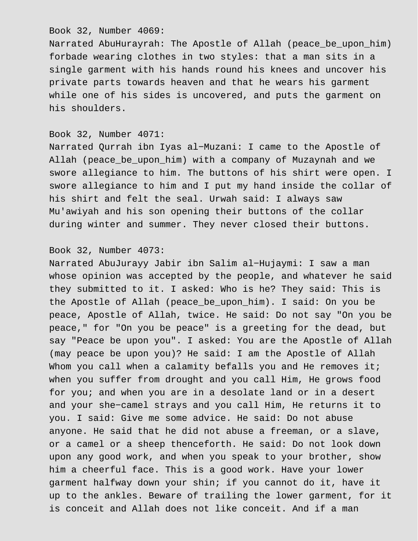#### Book 32, Number 4069:

Narrated AbuHurayrah: The Apostle of Allah (peace\_be\_upon\_him) forbade wearing clothes in two styles: that a man sits in a single garment with his hands round his knees and uncover his private parts towards heaven and that he wears his garment while one of his sides is uncovered, and puts the garment on his shoulders.

# Book 32, Number 4071:

Narrated Qurrah ibn Iyas al−Muzani: I came to the Apostle of Allah (peace\_be\_upon\_him) with a company of Muzaynah and we swore allegiance to him. The buttons of his shirt were open. I swore allegiance to him and I put my hand inside the collar of his shirt and felt the seal. Urwah said: I always saw Mu'awiyah and his son opening their buttons of the collar during winter and summer. They never closed their buttons.

#### Book 32, Number 4073:

Narrated AbuJurayy Jabir ibn Salim al−Hujaymi: I saw a man whose opinion was accepted by the people, and whatever he said they submitted to it. I asked: Who is he? They said: This is the Apostle of Allah (peace\_be\_upon\_him). I said: On you be peace, Apostle of Allah, twice. He said: Do not say "On you be peace," for "On you be peace" is a greeting for the dead, but say "Peace be upon you". I asked: You are the Apostle of Allah (may peace be upon you)? He said: I am the Apostle of Allah Whom you call when a calamity befalls you and He removes it; when you suffer from drought and you call Him, He grows food for you; and when you are in a desolate land or in a desert and your she−camel strays and you call Him, He returns it to you. I said: Give me some advice. He said: Do not abuse anyone. He said that he did not abuse a freeman, or a slave, or a camel or a sheep thenceforth. He said: Do not look down upon any good work, and when you speak to your brother, show him a cheerful face. This is a good work. Have your lower garment halfway down your shin; if you cannot do it, have it up to the ankles. Beware of trailing the lower garment, for it is conceit and Allah does not like conceit. And if a man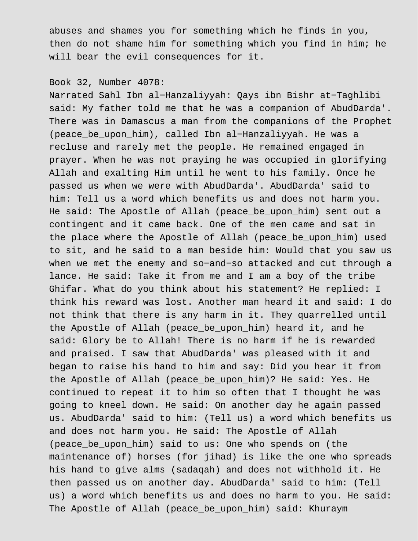abuses and shames you for something which he finds in you, then do not shame him for something which you find in him; he will bear the evil consequences for it.

# Book 32, Number 4078:

Narrated Sahl Ibn al−Hanzaliyyah: Qays ibn Bishr at−Taghlibi said: My father told me that he was a companion of AbudDarda'. There was in Damascus a man from the companions of the Prophet (peace\_be\_upon\_him), called Ibn al−Hanzaliyyah. He was a recluse and rarely met the people. He remained engaged in prayer. When he was not praying he was occupied in glorifying Allah and exalting Him until he went to his family. Once he passed us when we were with AbudDarda'. AbudDarda' said to him: Tell us a word which benefits us and does not harm you. He said: The Apostle of Allah (peace be upon him) sent out a contingent and it came back. One of the men came and sat in the place where the Apostle of Allah (peace\_be\_upon\_him) used to sit, and he said to a man beside him: Would that you saw us when we met the enemy and so−and−so attacked and cut through a lance. He said: Take it from me and I am a boy of the tribe Ghifar. What do you think about his statement? He replied: I think his reward was lost. Another man heard it and said: I do not think that there is any harm in it. They quarrelled until the Apostle of Allah (peace\_be\_upon\_him) heard it, and he said: Glory be to Allah! There is no harm if he is rewarded and praised. I saw that AbudDarda' was pleased with it and began to raise his hand to him and say: Did you hear it from the Apostle of Allah (peace\_be\_upon\_him)? He said: Yes. He continued to repeat it to him so often that I thought he was going to kneel down. He said: On another day he again passed us. AbudDarda' said to him: (Tell us) a word which benefits us and does not harm you. He said: The Apostle of Allah (peace\_be\_upon\_him) said to us: One who spends on (the maintenance of) horses (for jihad) is like the one who spreads his hand to give alms (sadaqah) and does not withhold it. He then passed us on another day. AbudDarda' said to him: (Tell us) a word which benefits us and does no harm to you. He said: The Apostle of Allah (peace be upon him) said: Khuraym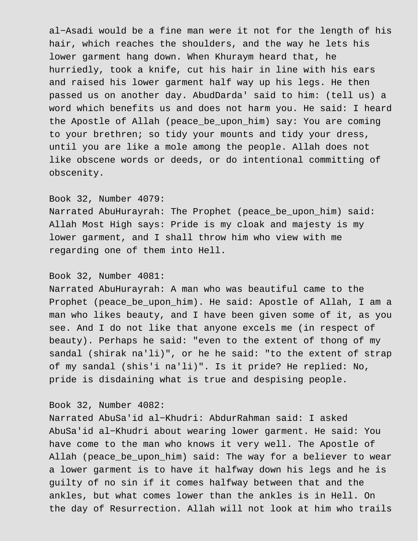al−Asadi would be a fine man were it not for the length of his hair, which reaches the shoulders, and the way he lets his lower garment hang down. When Khuraym heard that, he hurriedly, took a knife, cut his hair in line with his ears and raised his lower garment half way up his legs. He then passed us on another day. AbudDarda' said to him: (tell us) a word which benefits us and does not harm you. He said: I heard the Apostle of Allah (peace\_be\_upon\_him) say: You are coming to your brethren; so tidy your mounts and tidy your dress, until you are like a mole among the people. Allah does not like obscene words or deeds, or do intentional committing of obscenity.

#### Book 32, Number 4079:

Narrated AbuHurayrah: The Prophet (peace be upon him) said: Allah Most High says: Pride is my cloak and majesty is my lower garment, and I shall throw him who view with me regarding one of them into Hell.

#### Book 32, Number 4081:

Narrated AbuHurayrah: A man who was beautiful came to the Prophet (peace\_be\_upon\_him). He said: Apostle of Allah, I am a man who likes beauty, and I have been given some of it, as you see. And I do not like that anyone excels me (in respect of beauty). Perhaps he said: "even to the extent of thong of my sandal (shirak na'li)", or he he said: "to the extent of strap of my sandal (shis'i na'li)". Is it pride? He replied: No, pride is disdaining what is true and despising people.

# Book 32, Number 4082:

Narrated AbuSa'id al−Khudri: AbdurRahman said: I asked AbuSa'id al−Khudri about wearing lower garment. He said: You have come to the man who knows it very well. The Apostle of Allah (peace\_be\_upon\_him) said: The way for a believer to wear a lower garment is to have it halfway down his legs and he is guilty of no sin if it comes halfway between that and the ankles, but what comes lower than the ankles is in Hell. On the day of Resurrection. Allah will not look at him who trails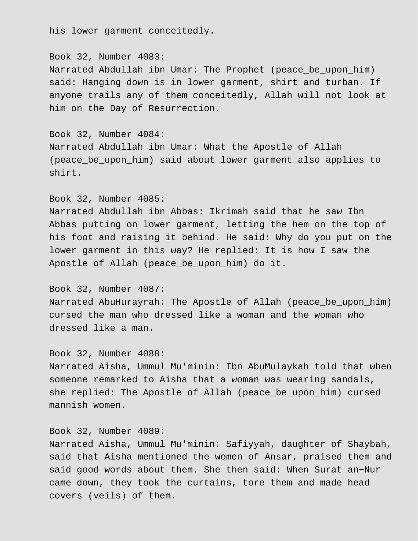his lower garment conceitedly.

Book 32, Number 4083:

Narrated Abdullah ibn Umar: The Prophet (peace\_be\_upon\_him) said: Hanging down is in lower garment, shirt and turban. If anyone trails any of them conceitedly, Allah will not look at him on the Day of Resurrection.

Book 32, Number 4084: Narrated Abdullah ibn Umar: What the Apostle of Allah (peace\_be\_upon\_him) said about lower garment also applies to shirt.

Book 32, Number 4085: Narrated Abdullah ibn Abbas: Ikrimah said that he saw Ibn Abbas putting on lower garment, letting the hem on the top of his foot and raising it behind. He said: Why do you put on the lower garment in this way? He replied: It is how I saw the Apostle of Allah (peace\_be\_upon\_him) do it.

Book 32, Number 4087: Narrated AbuHurayrah: The Apostle of Allah (peace be upon him) cursed the man who dressed like a woman and the woman who dressed like a man.

Book 32, Number 4088:

Narrated Aisha, Ummul Mu'minin: Ibn AbuMulaykah told that when someone remarked to Aisha that a woman was wearing sandals, she replied: The Apostle of Allah (peace\_be\_upon\_him) cursed mannish women.

Book 32, Number 4089:

Narrated Aisha, Ummul Mu'minin: Safiyyah, daughter of Shaybah, said that Aisha mentioned the women of Ansar, praised them and said good words about them. She then said: When Surat an−Nur came down, they took the curtains, tore them and made head covers (veils) of them.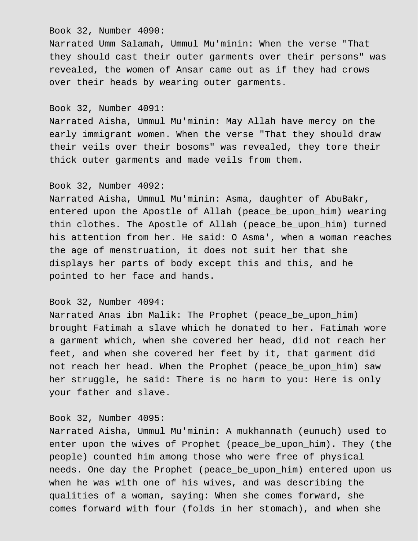# Book 32, Number 4090:

Narrated Umm Salamah, Ummul Mu'minin: When the verse "That they should cast their outer garments over their persons" was revealed, the women of Ansar came out as if they had crows over their heads by wearing outer garments.

#### Book 32, Number 4091:

Narrated Aisha, Ummul Mu'minin: May Allah have mercy on the early immigrant women. When the verse "That they should draw their veils over their bosoms" was revealed, they tore their thick outer garments and made veils from them.

#### Book 32, Number 4092:

Narrated Aisha, Ummul Mu'minin: Asma, daughter of AbuBakr, entered upon the Apostle of Allah (peace be upon him) wearing thin clothes. The Apostle of Allah (peace\_be\_upon\_him) turned his attention from her. He said: O Asma', when a woman reaches the age of menstruation, it does not suit her that she displays her parts of body except this and this, and he pointed to her face and hands.

# Book 32, Number 4094:

Narrated Anas ibn Malik: The Prophet (peace\_be\_upon\_him) brought Fatimah a slave which he donated to her. Fatimah wore a garment which, when she covered her head, did not reach her feet, and when she covered her feet by it, that garment did not reach her head. When the Prophet (peace\_be\_upon\_him) saw her struggle, he said: There is no harm to you: Here is only your father and slave.

# Book 32, Number 4095:

Narrated Aisha, Ummul Mu'minin: A mukhannath (eunuch) used to enter upon the wives of Prophet (peace\_be\_upon\_him). They (the people) counted him among those who were free of physical needs. One day the Prophet (peace be upon him) entered upon us when he was with one of his wives, and was describing the qualities of a woman, saying: When she comes forward, she comes forward with four (folds in her stomach), and when she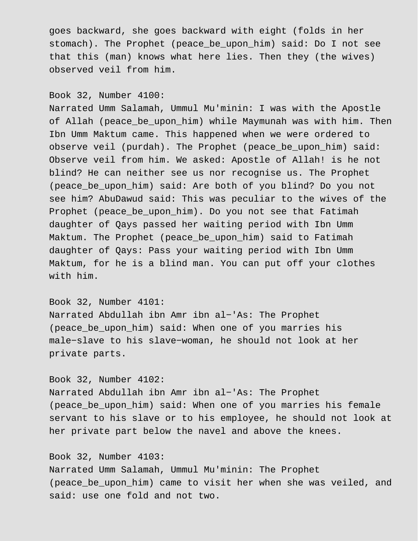goes backward, she goes backward with eight (folds in her stomach). The Prophet (peace\_be\_upon\_him) said: Do I not see that this (man) knows what here lies. Then they (the wives) observed veil from him.

#### Book 32, Number 4100:

Narrated Umm Salamah, Ummul Mu'minin: I was with the Apostle of Allah (peace\_be\_upon\_him) while Maymunah was with him. Then Ibn Umm Maktum came. This happened when we were ordered to observe veil (purdah). The Prophet (peace be upon him) said: Observe veil from him. We asked: Apostle of Allah! is he not blind? He can neither see us nor recognise us. The Prophet (peace\_be\_upon\_him) said: Are both of you blind? Do you not see him? AbuDawud said: This was peculiar to the wives of the Prophet (peace\_be\_upon\_him). Do you not see that Fatimah daughter of Qays passed her waiting period with Ibn Umm Maktum. The Prophet (peace\_be\_upon\_him) said to Fatimah daughter of Qays: Pass your waiting period with Ibn Umm Maktum, for he is a blind man. You can put off your clothes with him.

#### Book 32, Number 4101:

Narrated Abdullah ibn Amr ibn al−'As: The Prophet (peace\_be\_upon\_him) said: When one of you marries his male−slave to his slave−woman, he should not look at her private parts.

# Book 32, Number 4102:

Narrated Abdullah ibn Amr ibn al−'As: The Prophet (peace\_be\_upon\_him) said: When one of you marries his female servant to his slave or to his employee, he should not look at her private part below the navel and above the knees.

#### Book 32, Number 4103:

Narrated Umm Salamah, Ummul Mu'minin: The Prophet (peace\_be\_upon\_him) came to visit her when she was veiled, and said: use one fold and not two.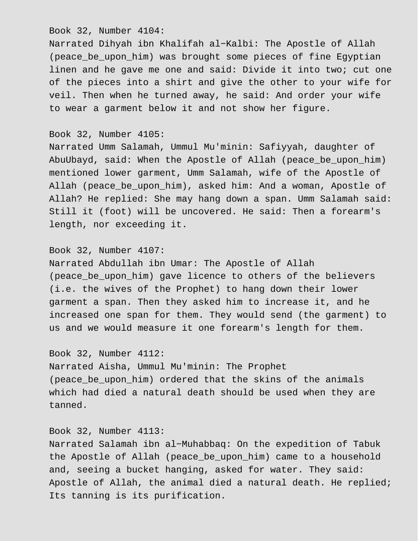# Book 32, Number 4104:

Narrated Dihyah ibn Khalifah al−Kalbi: The Apostle of Allah (peace be upon him) was brought some pieces of fine Egyptian linen and he gave me one and said: Divide it into two; cut one of the pieces into a shirt and give the other to your wife for veil. Then when he turned away, he said: And order your wife to wear a garment below it and not show her figure.

#### Book 32, Number 4105:

Narrated Umm Salamah, Ummul Mu'minin: Safiyyah, daughter of AbuUbayd, said: When the Apostle of Allah (peace\_be\_upon\_him) mentioned lower garment, Umm Salamah, wife of the Apostle of Allah (peace\_be\_upon\_him), asked him: And a woman, Apostle of Allah? He replied: She may hang down a span. Umm Salamah said: Still it (foot) will be uncovered. He said: Then a forearm's length, nor exceeding it.

#### Book 32, Number 4107:

Narrated Abdullah ibn Umar: The Apostle of Allah (peace\_be\_upon\_him) gave licence to others of the believers (i.e. the wives of the Prophet) to hang down their lower garment a span. Then they asked him to increase it, and he increased one span for them. They would send (the garment) to us and we would measure it one forearm's length for them.

Book 32, Number 4112: Narrated Aisha, Ummul Mu'minin: The Prophet (peace\_be\_upon\_him) ordered that the skins of the animals which had died a natural death should be used when they are tanned.

# Book 32, Number 4113:

Narrated Salamah ibn al−Muhabbaq: On the expedition of Tabuk the Apostle of Allah (peace\_be\_upon\_him) came to a household and, seeing a bucket hanging, asked for water. They said: Apostle of Allah, the animal died a natural death. He replied; Its tanning is its purification.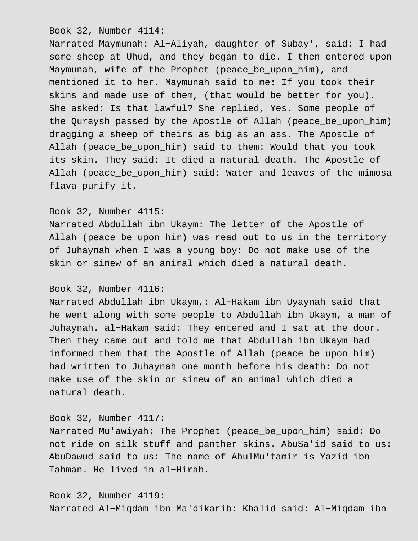# Book 32, Number 4114:

Narrated Maymunah: Al−Aliyah, daughter of Subay', said: I had some sheep at Uhud, and they began to die. I then entered upon Maymunah, wife of the Prophet (peace\_be\_upon\_him), and mentioned it to her. Maymunah said to me: If you took their skins and made use of them, (that would be better for you). She asked: Is that lawful? She replied, Yes. Some people of the Quraysh passed by the Apostle of Allah (peace\_be\_upon\_him) dragging a sheep of theirs as big as an ass. The Apostle of Allah (peace be upon him) said to them: Would that you took its skin. They said: It died a natural death. The Apostle of Allah (peace\_be\_upon\_him) said: Water and leaves of the mimosa flava purify it.

# Book 32, Number 4115:

Narrated Abdullah ibn Ukaym: The letter of the Apostle of Allah (peace be upon him) was read out to us in the territory of Juhaynah when I was a young boy: Do not make use of the skin or sinew of an animal which died a natural death.

## Book 32, Number 4116:

Narrated Abdullah ibn Ukaym,: Al−Hakam ibn Uyaynah said that he went along with some people to Abdullah ibn Ukaym, a man of Juhaynah. al−Hakam said: They entered and I sat at the door. Then they came out and told me that Abdullah ibn Ukaym had informed them that the Apostle of Allah (peace be upon him) had written to Juhaynah one month before his death: Do not make use of the skin or sinew of an animal which died a natural death.

# Book 32, Number 4117:

Narrated Mu'awiyah: The Prophet (peace\_be\_upon\_him) said: Do not ride on silk stuff and panther skins. AbuSa'id said to us: AbuDawud said to us: The name of AbulMu'tamir is Yazid ibn Tahman. He lived in al−Hirah.

# Book 32, Number 4119: Narrated Al−Miqdam ibn Ma'dikarib: Khalid said: Al−Miqdam ibn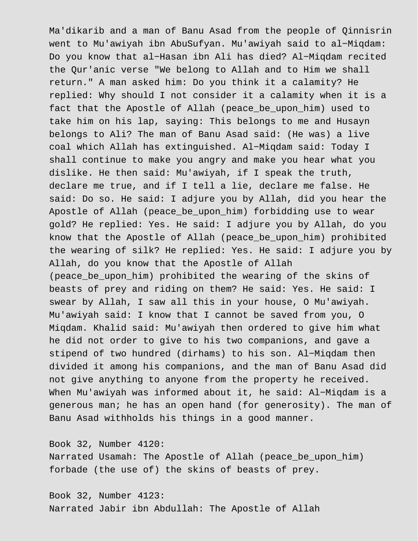Ma'dikarib and a man of Banu Asad from the people of Qinnisrin went to Mu'awiyah ibn AbuSufyan. Mu'awiyah said to al−Miqdam: Do you know that al−Hasan ibn Ali has died? Al−Miqdam recited the Qur'anic verse "We belong to Allah and to Him we shall return." A man asked him: Do you think it a calamity? He replied: Why should I not consider it a calamity when it is a fact that the Apostle of Allah (peace\_be\_upon\_him) used to take him on his lap, saying: This belongs to me and Husayn belongs to Ali? The man of Banu Asad said: (He was) a live coal which Allah has extinguished. Al−Miqdam said: Today I shall continue to make you angry and make you hear what you dislike. He then said: Mu'awiyah, if I speak the truth, declare me true, and if I tell a lie, declare me false. He said: Do so. He said: I adjure you by Allah, did you hear the Apostle of Allah (peace be upon him) forbidding use to wear gold? He replied: Yes. He said: I adjure you by Allah, do you know that the Apostle of Allah (peace\_be\_upon\_him) prohibited the wearing of silk? He replied: Yes. He said: I adjure you by Allah, do you know that the Apostle of Allah (peace be upon him) prohibited the wearing of the skins of beasts of prey and riding on them? He said: Yes. He said: I swear by Allah, I saw all this in your house, O Mu'awiyah. Mu'awiyah said: I know that I cannot be saved from you, O Miqdam. Khalid said: Mu'awiyah then ordered to give him what he did not order to give to his two companions, and gave a stipend of two hundred (dirhams) to his son. Al−Miqdam then divided it among his companions, and the man of Banu Asad did not give anything to anyone from the property he received. When Mu'awiyah was informed about it, he said: Al−Miqdam is a generous man; he has an open hand (for generosity). The man of Banu Asad withholds his things in a good manner.

Book 32, Number 4120:

Narrated Usamah: The Apostle of Allah (peace\_be\_upon\_him) forbade (the use of) the skins of beasts of prey.

Book 32, Number 4123: Narrated Jabir ibn Abdullah: The Apostle of Allah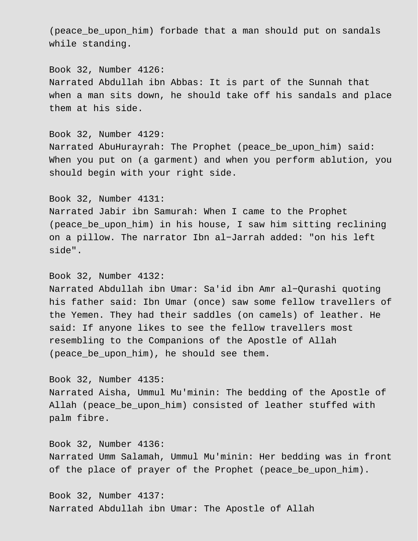(peace\_be\_upon\_him) forbade that a man should put on sandals while standing.

Book 32, Number 4126: Narrated Abdullah ibn Abbas: It is part of the Sunnah that when a man sits down, he should take off his sandals and place them at his side.

Book 32, Number 4129: Narrated AbuHurayrah: The Prophet (peace be upon him) said: When you put on (a garment) and when you perform ablution, you should begin with your right side.

Book 32, Number 4131: Narrated Jabir ibn Samurah: When I came to the Prophet (peace\_be\_upon\_him) in his house, I saw him sitting reclining on a pillow. The narrator Ibn al−Jarrah added: "on his left side".

Book 32, Number 4132:

Narrated Abdullah ibn Umar: Sa'id ibn Amr al−Qurashi quoting his father said: Ibn Umar (once) saw some fellow travellers of the Yemen. They had their saddles (on camels) of leather. He said: If anyone likes to see the fellow travellers most resembling to the Companions of the Apostle of Allah (peace\_be\_upon\_him), he should see them.

Book 32, Number 4135:

Narrated Aisha, Ummul Mu'minin: The bedding of the Apostle of Allah (peace\_be\_upon\_him) consisted of leather stuffed with palm fibre.

Book 32, Number 4136: Narrated Umm Salamah, Ummul Mu'minin: Her bedding was in front of the place of prayer of the Prophet (peace\_be\_upon\_him).

Book 32, Number 4137: Narrated Abdullah ibn Umar: The Apostle of Allah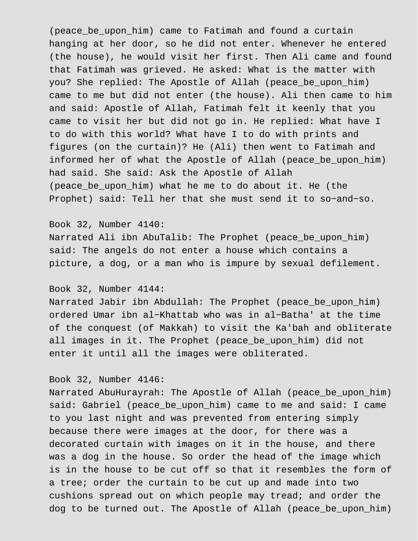(peace be upon him) came to Fatimah and found a curtain hanging at her door, so he did not enter. Whenever he entered (the house), he would visit her first. Then Ali came and found that Fatimah was grieved. He asked: What is the matter with you? She replied: The Apostle of Allah (peace be upon him) came to me but did not enter (the house). Ali then came to him and said: Apostle of Allah, Fatimah felt it keenly that you came to visit her but did not go in. He replied: What have I to do with this world? What have I to do with prints and figures (on the curtain)? He (Ali) then went to Fatimah and informed her of what the Apostle of Allah (peace\_be\_upon\_him) had said. She said: Ask the Apostle of Allah (peace\_be\_upon\_him) what he me to do about it. He (the Prophet) said: Tell her that she must send it to so−and−so.

#### Book 32, Number 4140:

Narrated Ali ibn AbuTalib: The Prophet (peace be upon him) said: The angels do not enter a house which contains a picture, a dog, or a man who is impure by sexual defilement.

## Book 32, Number 4144:

Narrated Jabir ibn Abdullah: The Prophet (peace be upon him) ordered Umar ibn al−Khattab who was in al−Batha' at the time of the conquest (of Makkah) to visit the Ka'bah and obliterate all images in it. The Prophet (peace\_be\_upon\_him) did not enter it until all the images were obliterated.

#### Book 32, Number 4146:

Narrated AbuHurayrah: The Apostle of Allah (peace\_be\_upon\_him) said: Gabriel (peace\_be\_upon\_him) came to me and said: I came to you last night and was prevented from entering simply because there were images at the door, for there was a decorated curtain with images on it in the house, and there was a dog in the house. So order the head of the image which is in the house to be cut off so that it resembles the form of a tree; order the curtain to be cut up and made into two cushions spread out on which people may tread; and order the dog to be turned out. The Apostle of Allah (peace\_be\_upon\_him)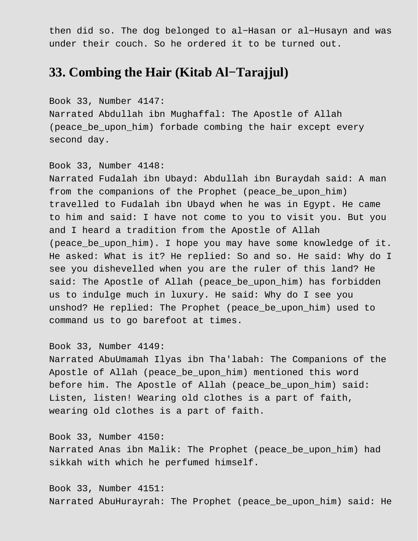then did so. The dog belonged to al−Hasan or al−Husayn and was under their couch. So he ordered it to be turned out.

## **33. Combing the Hair (Kitab Al−Tarajjul)**

Book 33, Number 4147:

Narrated Abdullah ibn Mughaffal: The Apostle of Allah (peace\_be\_upon\_him) forbade combing the hair except every second day.

Book 33, Number 4148:

Narrated Fudalah ibn Ubayd: Abdullah ibn Buraydah said: A man from the companions of the Prophet (peace\_be\_upon\_him) travelled to Fudalah ibn Ubayd when he was in Egypt. He came to him and said: I have not come to you to visit you. But you and I heard a tradition from the Apostle of Allah (peace\_be\_upon\_him). I hope you may have some knowledge of it. He asked: What is it? He replied: So and so. He said: Why do I see you dishevelled when you are the ruler of this land? He said: The Apostle of Allah (peace be upon him) has forbidden us to indulge much in luxury. He said: Why do I see you unshod? He replied: The Prophet (peace\_be\_upon\_him) used to command us to go barefoot at times.

Book 33, Number 4149:

Narrated AbuUmamah Ilyas ibn Tha'labah: The Companions of the Apostle of Allah (peace be upon him) mentioned this word before him. The Apostle of Allah (peace\_be\_upon\_him) said: Listen, listen! Wearing old clothes is a part of faith, wearing old clothes is a part of faith.

Book 33, Number 4150: Narrated Anas ibn Malik: The Prophet (peace\_be\_upon\_him) had sikkah with which he perfumed himself.

Book 33, Number 4151: Narrated AbuHurayrah: The Prophet (peace\_be\_upon\_him) said: He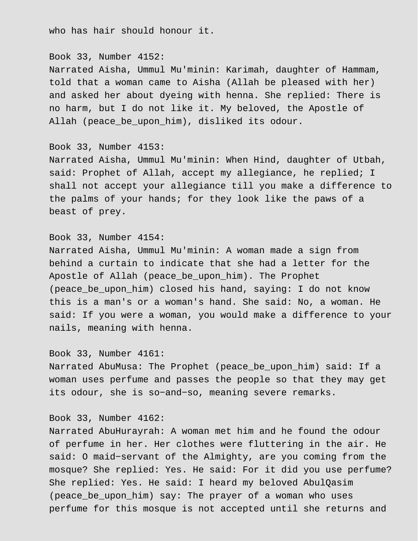who has hair should honour it.

Book 33, Number 4152: Narrated Aisha, Ummul Mu'minin: Karimah, daughter of Hammam, told that a woman came to Aisha (Allah be pleased with her) and asked her about dyeing with henna. She replied: There is no harm, but I do not like it. My beloved, the Apostle of Allah (peace\_be\_upon\_him), disliked its odour.

## Book 33, Number 4153:

Narrated Aisha, Ummul Mu'minin: When Hind, daughter of Utbah, said: Prophet of Allah, accept my allegiance, he replied; I shall not accept your allegiance till you make a difference to the palms of your hands; for they look like the paws of a beast of prey.

## Book 33, Number 4154:

Narrated Aisha, Ummul Mu'minin: A woman made a sign from behind a curtain to indicate that she had a letter for the Apostle of Allah (peace\_be\_upon\_him). The Prophet (peace\_be\_upon\_him) closed his hand, saying: I do not know this is a man's or a woman's hand. She said: No, a woman. He said: If you were a woman, you would make a difference to your nails, meaning with henna.

## Book 33, Number 4161:

Narrated AbuMusa: The Prophet (peace\_be\_upon\_him) said: If a woman uses perfume and passes the people so that they may get its odour, she is so−and−so, meaning severe remarks.

## Book 33, Number 4162:

Narrated AbuHurayrah: A woman met him and he found the odour of perfume in her. Her clothes were fluttering in the air. He said: O maid−servant of the Almighty, are you coming from the mosque? She replied: Yes. He said: For it did you use perfume? She replied: Yes. He said: I heard my beloved AbulQasim (peace\_be\_upon\_him) say: The prayer of a woman who uses perfume for this mosque is not accepted until she returns and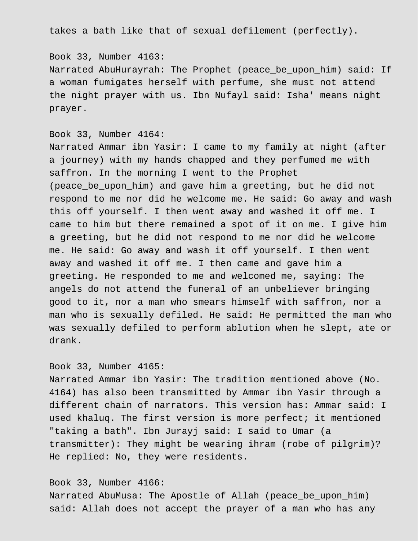takes a bath like that of sexual defilement (perfectly).

Book 33, Number 4163:

Narrated AbuHurayrah: The Prophet (peace\_be\_upon\_him) said: If a woman fumigates herself with perfume, she must not attend the night prayer with us. Ibn Nufayl said: Isha' means night prayer.

#### Book 33, Number 4164:

Narrated Ammar ibn Yasir: I came to my family at night (after a journey) with my hands chapped and they perfumed me with saffron. In the morning I went to the Prophet (peace\_be\_upon\_him) and gave him a greeting, but he did not respond to me nor did he welcome me. He said: Go away and wash this off yourself. I then went away and washed it off me. I came to him but there remained a spot of it on me. I give him a greeting, but he did not respond to me nor did he welcome me. He said: Go away and wash it off yourself. I then went away and washed it off me. I then came and gave him a greeting. He responded to me and welcomed me, saying: The angels do not attend the funeral of an unbeliever bringing good to it, nor a man who smears himself with saffron, nor a man who is sexually defiled. He said: He permitted the man who was sexually defiled to perform ablution when he slept, ate or drank.

## Book 33, Number 4165:

Narrated Ammar ibn Yasir: The tradition mentioned above (No. 4164) has also been transmitted by Ammar ibn Yasir through a different chain of narrators. This version has: Ammar said: I used khaluq. The first version is more perfect; it mentioned "taking a bath". Ibn Jurayj said: I said to Umar (a transmitter): They might be wearing ihram (robe of pilgrim)? He replied: No, they were residents.

## Book 33, Number 4166:

Narrated AbuMusa: The Apostle of Allah (peace\_be\_upon\_him) said: Allah does not accept the prayer of a man who has any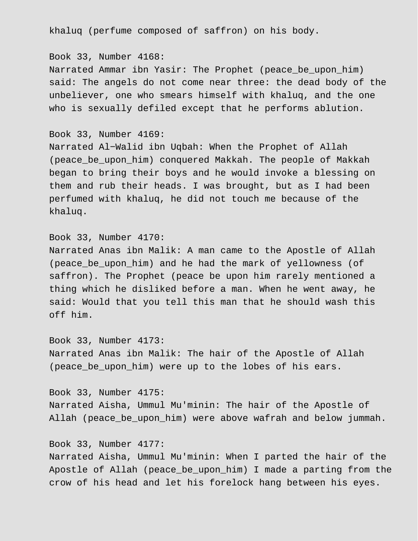khaluq (perfume composed of saffron) on his body.

Book 33, Number 4168:

Narrated Ammar ibn Yasir: The Prophet (peace\_be\_upon\_him) said: The angels do not come near three: the dead body of the unbeliever, one who smears himself with khaluq, and the one who is sexually defiled except that he performs ablution.

#### Book 33, Number 4169:

Narrated Al−Walid ibn Uqbah: When the Prophet of Allah (peace\_be\_upon\_him) conquered Makkah. The people of Makkah began to bring their boys and he would invoke a blessing on them and rub their heads. I was brought, but as I had been perfumed with khaluq, he did not touch me because of the khaluq.

## Book 33, Number 4170:

Narrated Anas ibn Malik: A man came to the Apostle of Allah (peace\_be\_upon\_him) and he had the mark of yellowness (of saffron). The Prophet (peace be upon him rarely mentioned a thing which he disliked before a man. When he went away, he said: Would that you tell this man that he should wash this off him.

Book 33, Number 4173: Narrated Anas ibn Malik: The hair of the Apostle of Allah (peace\_be\_upon\_him) were up to the lobes of his ears.

Book 33, Number 4175: Narrated Aisha, Ummul Mu'minin: The hair of the Apostle of Allah (peace\_be\_upon\_him) were above wafrah and below jummah.

Book 33, Number 4177:

Narrated Aisha, Ummul Mu'minin: When I parted the hair of the Apostle of Allah (peace\_be\_upon\_him) I made a parting from the crow of his head and let his forelock hang between his eyes.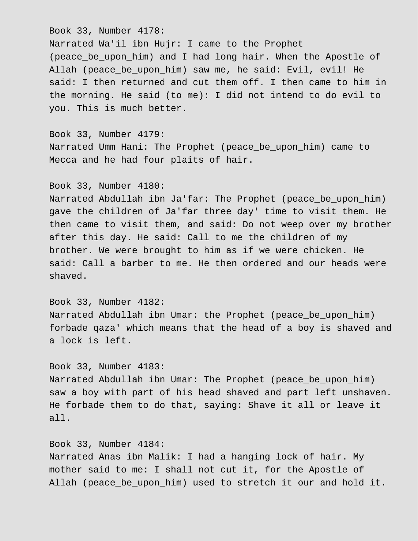#### Book 33, Number 4178:

Narrated Wa'il ibn Hujr: I came to the Prophet (peace be upon him) and I had long hair. When the Apostle of Allah (peace\_be\_upon\_him) saw me, he said: Evil, evil! He said: I then returned and cut them off. I then came to him in the morning. He said (to me): I did not intend to do evil to you. This is much better.

Book 33, Number 4179: Narrated Umm Hani: The Prophet (peace be upon him) came to Mecca and he had four plaits of hair.

#### Book 33, Number 4180:

Narrated Abdullah ibn Ja'far: The Prophet (peace\_be\_upon\_him) gave the children of Ja'far three day' time to visit them. He then came to visit them, and said: Do not weep over my brother after this day. He said: Call to me the children of my brother. We were brought to him as if we were chicken. He said: Call a barber to me. He then ordered and our heads were shaved.

Book 33, Number 4182: Narrated Abdullah ibn Umar: the Prophet (peace\_be\_upon\_him) forbade qaza' which means that the head of a boy is shaved and a lock is left.

#### Book 33, Number 4183:

Narrated Abdullah ibn Umar: The Prophet (peace\_be\_upon\_him) saw a boy with part of his head shaved and part left unshaven. He forbade them to do that, saying: Shave it all or leave it all.

## Book 33, Number 4184:

Narrated Anas ibn Malik: I had a hanging lock of hair. My mother said to me: I shall not cut it, for the Apostle of Allah (peace\_be\_upon\_him) used to stretch it our and hold it.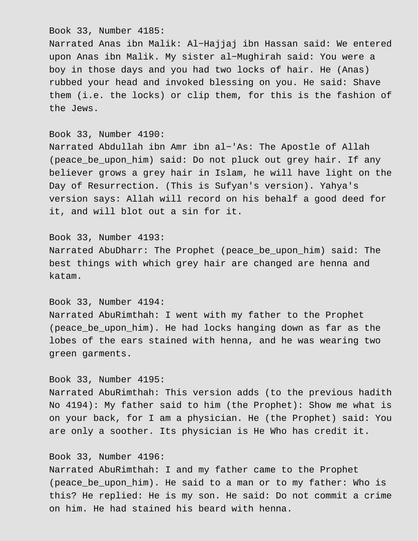#### Book 33, Number 4185:

Narrated Anas ibn Malik: Al−Hajjaj ibn Hassan said: We entered upon Anas ibn Malik. My sister al−Mughirah said: You were a boy in those days and you had two locks of hair. He (Anas) rubbed your head and invoked blessing on you. He said: Shave them (i.e. the locks) or clip them, for this is the fashion of the Jews.

#### Book 33, Number 4190:

Narrated Abdullah ibn Amr ibn al−'As: The Apostle of Allah (peace\_be\_upon\_him) said: Do not pluck out grey hair. If any believer grows a grey hair in Islam, he will have light on the Day of Resurrection. (This is Sufyan's version). Yahya's version says: Allah will record on his behalf a good deed for it, and will blot out a sin for it.

## Book 33, Number 4193:

Narrated AbuDharr: The Prophet (peace\_be\_upon\_him) said: The best things with which grey hair are changed are henna and katam.

#### Book 33, Number 4194:

Narrated AbuRimthah: I went with my father to the Prophet (peace\_be\_upon\_him). He had locks hanging down as far as the lobes of the ears stained with henna, and he was wearing two green garments.

## Book 33, Number 4195:

Narrated AbuRimthah: This version adds (to the previous hadith No 4194): My father said to him (the Prophet): Show me what is on your back, for I am a physician. He (the Prophet) said: You are only a soother. Its physician is He Who has credit it.

#### Book 33, Number 4196:

Narrated AbuRimthah: I and my father came to the Prophet (peace\_be\_upon\_him). He said to a man or to my father: Who is this? He replied: He is my son. He said: Do not commit a crime on him. He had stained his beard with henna.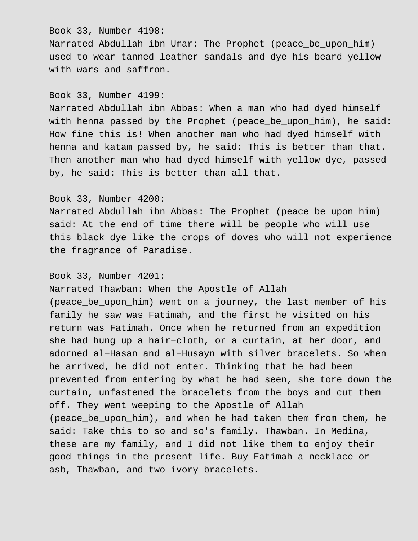#### Book 33, Number 4198:

Narrated Abdullah ibn Umar: The Prophet (peace\_be\_upon\_him) used to wear tanned leather sandals and dye his beard yellow with wars and saffron.

## Book 33, Number 4199:

Narrated Abdullah ibn Abbas: When a man who had dyed himself with henna passed by the Prophet (peace\_be\_upon\_him), he said: How fine this is! When another man who had dyed himself with henna and katam passed by, he said: This is better than that. Then another man who had dyed himself with yellow dye, passed by, he said: This is better than all that.

#### Book 33, Number 4200:

Narrated Abdullah ibn Abbas: The Prophet (peace\_be\_upon\_him) said: At the end of time there will be people who will use this black dye like the crops of doves who will not experience the fragrance of Paradise.

#### Book 33, Number 4201:

Narrated Thawban: When the Apostle of Allah (peace\_be\_upon\_him) went on a journey, the last member of his family he saw was Fatimah, and the first he visited on his return was Fatimah. Once when he returned from an expedition she had hung up a hair−cloth, or a curtain, at her door, and adorned al−Hasan and al−Husayn with silver bracelets. So when he arrived, he did not enter. Thinking that he had been prevented from entering by what he had seen, she tore down the curtain, unfastened the bracelets from the boys and cut them off. They went weeping to the Apostle of Allah (peace\_be\_upon\_him), and when he had taken them from them, he said: Take this to so and so's family. Thawban. In Medina, these are my family, and I did not like them to enjoy their good things in the present life. Buy Fatimah a necklace or asb, Thawban, and two ivory bracelets.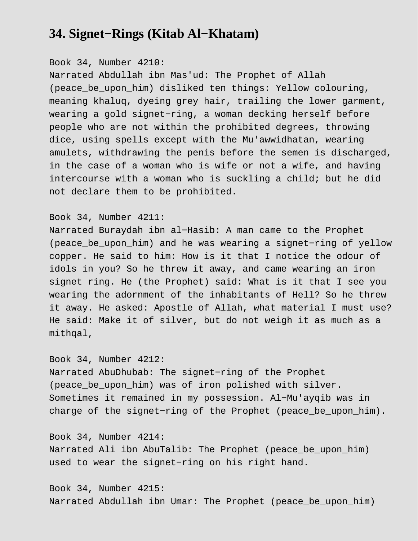## **34. Signet−Rings (Kitab Al−Khatam)**

### Book 34, Number 4210:

Narrated Abdullah ibn Mas'ud: The Prophet of Allah (peace be upon him) disliked ten things: Yellow colouring, meaning khaluq, dyeing grey hair, trailing the lower garment, wearing a gold signet−ring, a woman decking herself before people who are not within the prohibited degrees, throwing dice, using spells except with the Mu'awwidhatan, wearing amulets, withdrawing the penis before the semen is discharged, in the case of a woman who is wife or not a wife, and having intercourse with a woman who is suckling a child; but he did not declare them to be prohibited.

#### Book 34, Number 4211:

Narrated Buraydah ibn al−Hasib: A man came to the Prophet (peace\_be\_upon\_him) and he was wearing a signet−ring of yellow copper. He said to him: How is it that I notice the odour of idols in you? So he threw it away, and came wearing an iron signet ring. He (the Prophet) said: What is it that I see you wearing the adornment of the inhabitants of Hell? So he threw it away. He asked: Apostle of Allah, what material I must use? He said: Make it of silver, but do not weigh it as much as a mithqal,

#### Book 34, Number 4212:

Narrated AbuDhubab: The signet−ring of the Prophet (peace\_be\_upon\_him) was of iron polished with silver. Sometimes it remained in my possession. Al−Mu'ayqib was in charge of the signet−ring of the Prophet (peace\_be\_upon\_him).

Book 34, Number 4214: Narrated Ali ibn AbuTalib: The Prophet (peace\_be\_upon\_him) used to wear the signet−ring on his right hand.

Book 34, Number 4215: Narrated Abdullah ibn Umar: The Prophet (peace\_be\_upon\_him)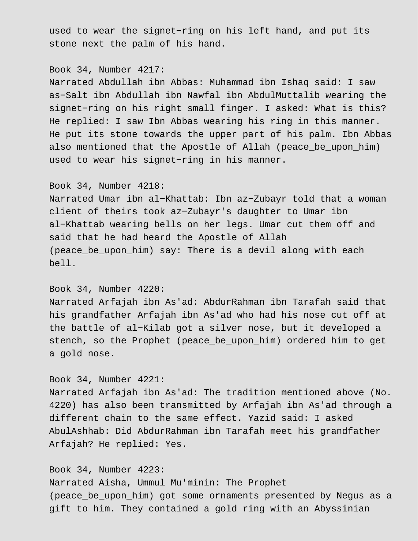used to wear the signet−ring on his left hand, and put its stone next the palm of his hand.

## Book 34, Number 4217:

Narrated Abdullah ibn Abbas: Muhammad ibn Ishaq said: I saw as−Salt ibn Abdullah ibn Nawfal ibn AbdulMuttalib wearing the signet−ring on his right small finger. I asked: What is this? He replied: I saw Ibn Abbas wearing his ring in this manner. He put its stone towards the upper part of his palm. Ibn Abbas also mentioned that the Apostle of Allah (peace be upon him) used to wear his signet−ring in his manner.

#### Book 34, Number 4218:

Narrated Umar ibn al−Khattab: Ibn az−Zubayr told that a woman client of theirs took az−Zubayr's daughter to Umar ibn al−Khattab wearing bells on her legs. Umar cut them off and said that he had heard the Apostle of Allah (peace be upon him) say: There is a devil along with each bell.

## Book 34, Number 4220:

Narrated Arfajah ibn As'ad: AbdurRahman ibn Tarafah said that his grandfather Arfajah ibn As'ad who had his nose cut off at the battle of al−Kilab got a silver nose, but it developed a stench, so the Prophet (peace\_be\_upon\_him) ordered him to get a gold nose.

## Book 34, Number 4221:

Narrated Arfajah ibn As'ad: The tradition mentioned above (No. 4220) has also been transmitted by Arfajah ibn As'ad through a different chain to the same effect. Yazid said: I asked AbulAshhab: Did AbdurRahman ibn Tarafah meet his grandfather Arfajah? He replied: Yes.

### Book 34, Number 4223:

Narrated Aisha, Ummul Mu'minin: The Prophet (peace\_be\_upon\_him) got some ornaments presented by Negus as a gift to him. They contained a gold ring with an Abyssinian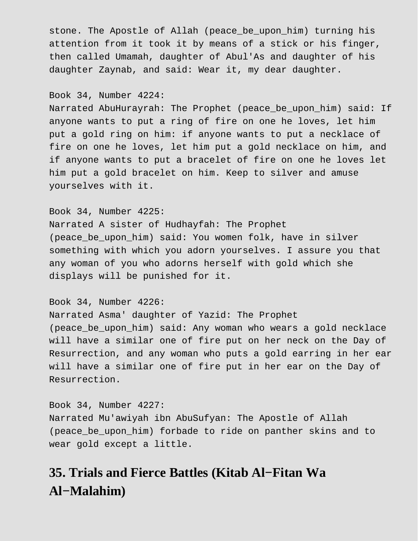stone. The Apostle of Allah (peace be upon him) turning his attention from it took it by means of a stick or his finger, then called Umamah, daughter of Abul'As and daughter of his daughter Zaynab, and said: Wear it, my dear daughter.

#### Book 34, Number 4224:

Narrated AbuHurayrah: The Prophet (peace\_be\_upon\_him) said: If anyone wants to put a ring of fire on one he loves, let him put a gold ring on him: if anyone wants to put a necklace of fire on one he loves, let him put a gold necklace on him, and if anyone wants to put a bracelet of fire on one he loves let him put a gold bracelet on him. Keep to silver and amuse yourselves with it.

#### Book 34, Number 4225:

Narrated A sister of Hudhayfah: The Prophet (peace\_be\_upon\_him) said: You women folk, have in silver something with which you adorn yourselves. I assure you that any woman of you who adorns herself with gold which she displays will be punished for it.

#### Book 34, Number 4226:

Narrated Asma' daughter of Yazid: The Prophet (peace\_be\_upon\_him) said: Any woman who wears a gold necklace will have a similar one of fire put on her neck on the Day of Resurrection, and any woman who puts a gold earring in her ear will have a similar one of fire put in her ear on the Day of Resurrection.

Book 34, Number 4227: Narrated Mu'awiyah ibn AbuSufyan: The Apostle of Allah (peace\_be\_upon\_him) forbade to ride on panther skins and to wear gold except a little.

# **35. Trials and Fierce Battles (Kitab Al−Fitan Wa Al−Malahim)**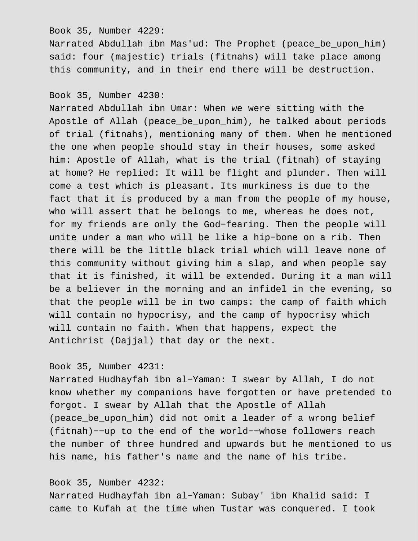#### Book 35, Number 4229:

Narrated Abdullah ibn Mas'ud: The Prophet (peace\_be\_upon\_him) said: four (majestic) trials (fitnahs) will take place among this community, and in their end there will be destruction.

## Book 35, Number 4230:

Narrated Abdullah ibn Umar: When we were sitting with the Apostle of Allah (peace\_be\_upon\_him), he talked about periods of trial (fitnahs), mentioning many of them. When he mentioned the one when people should stay in their houses, some asked him: Apostle of Allah, what is the trial (fitnah) of staying at home? He replied: It will be flight and plunder. Then will come a test which is pleasant. Its murkiness is due to the fact that it is produced by a man from the people of my house, who will assert that he belongs to me, whereas he does not, for my friends are only the God−fearing. Then the people will unite under a man who will be like a hip−bone on a rib. Then there will be the little black trial which will leave none of this community without giving him a slap, and when people say that it is finished, it will be extended. During it a man will be a believer in the morning and an infidel in the evening, so that the people will be in two camps: the camp of faith which will contain no hypocrisy, and the camp of hypocrisy which will contain no faith. When that happens, expect the Antichrist (Dajjal) that day or the next.

## Book 35, Number 4231:

Narrated Hudhayfah ibn al−Yaman: I swear by Allah, I do not know whether my companions have forgotten or have pretended to forgot. I swear by Allah that the Apostle of Allah (peace be upon him) did not omit a leader of a wrong belief (fitnah)−−up to the end of the world−−whose followers reach the number of three hundred and upwards but he mentioned to us his name, his father's name and the name of his tribe.

## Book 35, Number 4232:

Narrated Hudhayfah ibn al−Yaman: Subay' ibn Khalid said: I came to Kufah at the time when Tustar was conquered. I took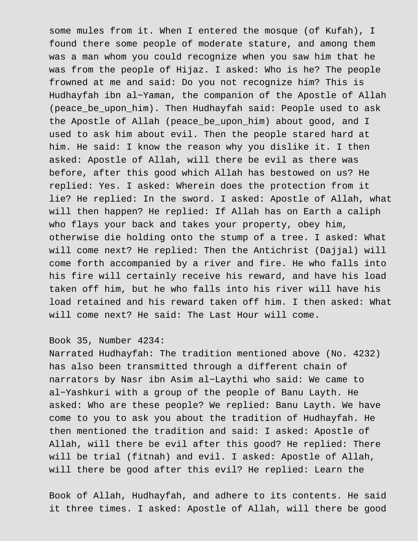some mules from it. When I entered the mosque (of Kufah), I found there some people of moderate stature, and among them was a man whom you could recognize when you saw him that he was from the people of Hijaz. I asked: Who is he? The people frowned at me and said: Do you not recognize him? This is Hudhayfah ibn al−Yaman, the companion of the Apostle of Allah (peace\_be\_upon\_him). Then Hudhayfah said: People used to ask the Apostle of Allah (peace\_be\_upon\_him) about good, and I used to ask him about evil. Then the people stared hard at him. He said: I know the reason why you dislike it. I then asked: Apostle of Allah, will there be evil as there was before, after this good which Allah has bestowed on us? He replied: Yes. I asked: Wherein does the protection from it lie? He replied: In the sword. I asked: Apostle of Allah, what will then happen? He replied: If Allah has on Earth a caliph who flays your back and takes your property, obey him, otherwise die holding onto the stump of a tree. I asked: What will come next? He replied: Then the Antichrist (Dajjal) will come forth accompanied by a river and fire. He who falls into his fire will certainly receive his reward, and have his load taken off him, but he who falls into his river will have his load retained and his reward taken off him. I then asked: What will come next? He said: The Last Hour will come.

#### Book 35, Number 4234:

Narrated Hudhayfah: The tradition mentioned above (No. 4232) has also been transmitted through a different chain of narrators by Nasr ibn Asim al−Laythi who said: We came to al−Yashkuri with a group of the people of Banu Layth. He asked: Who are these people? We replied: Banu Layth. We have come to you to ask you about the tradition of Hudhayfah. He then mentioned the tradition and said: I asked: Apostle of Allah, will there be evil after this good? He replied: There will be trial (fitnah) and evil. I asked: Apostle of Allah, will there be good after this evil? He replied: Learn the

Book of Allah, Hudhayfah, and adhere to its contents. He said it three times. I asked: Apostle of Allah, will there be good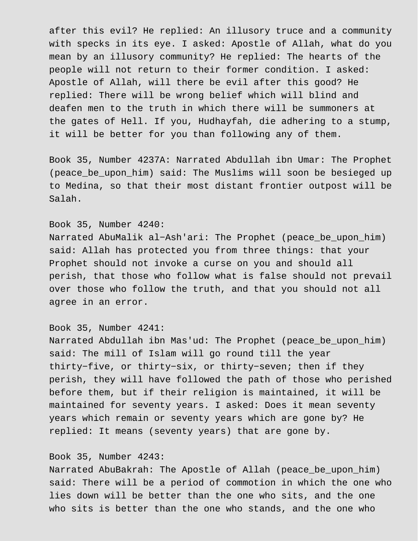after this evil? He replied: An illusory truce and a community with specks in its eye. I asked: Apostle of Allah, what do you mean by an illusory community? He replied: The hearts of the people will not return to their former condition. I asked: Apostle of Allah, will there be evil after this good? He replied: There will be wrong belief which will blind and deafen men to the truth in which there will be summoners at the gates of Hell. If you, Hudhayfah, die adhering to a stump, it will be better for you than following any of them.

Book 35, Number 4237A: Narrated Abdullah ibn Umar: The Prophet (peace be upon him) said: The Muslims will soon be besieged up to Medina, so that their most distant frontier outpost will be Salah.

#### Book 35, Number 4240:

Narrated AbuMalik al-Ash'ari: The Prophet (peace be upon him) said: Allah has protected you from three things: that your Prophet should not invoke a curse on you and should all perish, that those who follow what is false should not prevail over those who follow the truth, and that you should not all agree in an error.

## Book 35, Number 4241:

Narrated Abdullah ibn Mas'ud: The Prophet (peace\_be\_upon\_him) said: The mill of Islam will go round till the year thirty−five, or thirty−six, or thirty−seven; then if they perish, they will have followed the path of those who perished before them, but if their religion is maintained, it will be maintained for seventy years. I asked: Does it mean seventy years which remain or seventy years which are gone by? He replied: It means (seventy years) that are gone by.

#### Book 35, Number 4243:

Narrated AbuBakrah: The Apostle of Allah (peace be upon him) said: There will be a period of commotion in which the one who lies down will be better than the one who sits, and the one who sits is better than the one who stands, and the one who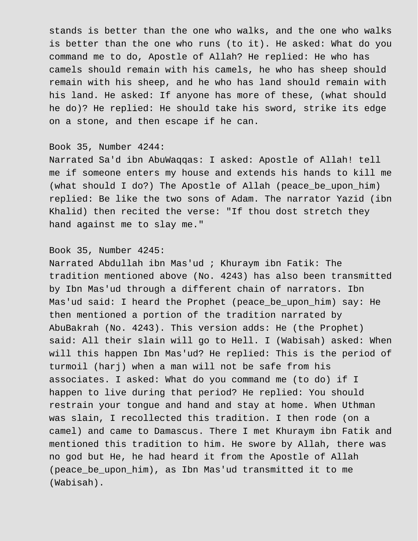stands is better than the one who walks, and the one who walks is better than the one who runs (to it). He asked: What do you command me to do, Apostle of Allah? He replied: He who has camels should remain with his camels, he who has sheep should remain with his sheep, and he who has land should remain with his land. He asked: If anyone has more of these, (what should he do)? He replied: He should take his sword, strike its edge on a stone, and then escape if he can.

## Book 35, Number 4244:

Narrated Sa'd ibn AbuWaqqas: I asked: Apostle of Allah! tell me if someone enters my house and extends his hands to kill me (what should I do?) The Apostle of Allah (peace\_be\_upon\_him) replied: Be like the two sons of Adam. The narrator Yazid (ibn Khalid) then recited the verse: "If thou dost stretch they hand against me to slay me."

## Book 35, Number 4245:

Narrated Abdullah ibn Mas'ud ; Khuraym ibn Fatik: The tradition mentioned above (No. 4243) has also been transmitted by Ibn Mas'ud through a different chain of narrators. Ibn Mas'ud said: I heard the Prophet (peace\_be\_upon\_him) say: He then mentioned a portion of the tradition narrated by AbuBakrah (No. 4243). This version adds: He (the Prophet) said: All their slain will go to Hell. I (Wabisah) asked: When will this happen Ibn Mas'ud? He replied: This is the period of turmoil (harj) when a man will not be safe from his associates. I asked: What do you command me (to do) if I happen to live during that period? He replied: You should restrain your tongue and hand and stay at home. When Uthman was slain, I recollected this tradition. I then rode (on a camel) and came to Damascus. There I met Khuraym ibn Fatik and mentioned this tradition to him. He swore by Allah, there was no god but He, he had heard it from the Apostle of Allah (peace\_be\_upon\_him), as Ibn Mas'ud transmitted it to me (Wabisah).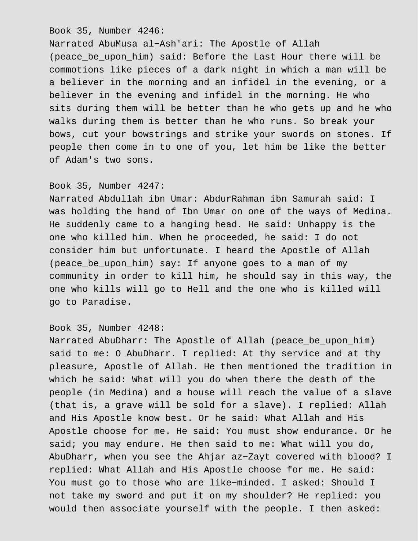## Book 35, Number 4246:

Narrated AbuMusa al−Ash'ari: The Apostle of Allah (peace be upon him) said: Before the Last Hour there will be commotions like pieces of a dark night in which a man will be a believer in the morning and an infidel in the evening, or a believer in the evening and infidel in the morning. He who sits during them will be better than he who gets up and he who walks during them is better than he who runs. So break your bows, cut your bowstrings and strike your swords on stones. If people then come in to one of you, let him be like the better of Adam's two sons.

#### Book 35, Number 4247:

Narrated Abdullah ibn Umar: AbdurRahman ibn Samurah said: I was holding the hand of Ibn Umar on one of the ways of Medina. He suddenly came to a hanging head. He said: Unhappy is the one who killed him. When he proceeded, he said: I do not consider him but unfortunate. I heard the Apostle of Allah (peace\_be\_upon\_him) say: If anyone goes to a man of my community in order to kill him, he should say in this way, the one who kills will go to Hell and the one who is killed will go to Paradise.

## Book 35, Number 4248:

Narrated AbuDharr: The Apostle of Allah (peace\_be\_upon\_him) said to me: O AbuDharr. I replied: At thy service and at thy pleasure, Apostle of Allah. He then mentioned the tradition in which he said: What will you do when there the death of the people (in Medina) and a house will reach the value of a slave (that is, a grave will be sold for a slave). I replied: Allah and His Apostle know best. Or he said: What Allah and His Apostle choose for me. He said: You must show endurance. Or he said; you may endure. He then said to me: What will you do, AbuDharr, when you see the Ahjar az−Zayt covered with blood? I replied: What Allah and His Apostle choose for me. He said: You must go to those who are like−minded. I asked: Should I not take my sword and put it on my shoulder? He replied: you would then associate yourself with the people. I then asked: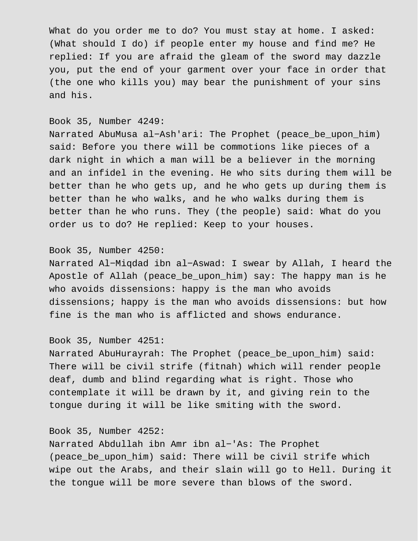What do you order me to do? You must stay at home. I asked: (What should I do) if people enter my house and find me? He replied: If you are afraid the gleam of the sword may dazzle you, put the end of your garment over your face in order that (the one who kills you) may bear the punishment of your sins and his.

## Book 35, Number 4249:

Narrated AbuMusa al−Ash'ari: The Prophet (peace\_be\_upon\_him) said: Before you there will be commotions like pieces of a dark night in which a man will be a believer in the morning and an infidel in the evening. He who sits during them will be better than he who gets up, and he who gets up during them is better than he who walks, and he who walks during them is better than he who runs. They (the people) said: What do you order us to do? He replied: Keep to your houses.

## Book 35, Number 4250:

Narrated Al−Miqdad ibn al−Aswad: I swear by Allah, I heard the Apostle of Allah (peace\_be\_upon\_him) say: The happy man is he who avoids dissensions: happy is the man who avoids dissensions; happy is the man who avoids dissensions: but how fine is the man who is afflicted and shows endurance.

#### Book 35, Number 4251:

Narrated AbuHurayrah: The Prophet (peace be upon him) said: There will be civil strife (fitnah) which will render people deaf, dumb and blind regarding what is right. Those who contemplate it will be drawn by it, and giving rein to the tongue during it will be like smiting with the sword.

#### Book 35, Number 4252:

Narrated Abdullah ibn Amr ibn al−'As: The Prophet (peace\_be\_upon\_him) said: There will be civil strife which wipe out the Arabs, and their slain will go to Hell. During it the tongue will be more severe than blows of the sword.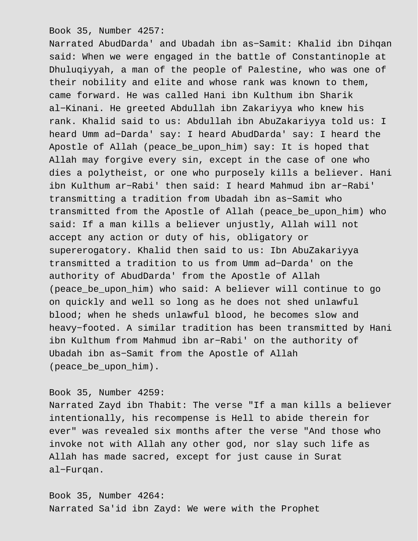#### Book 35, Number 4257:

Narrated AbudDarda' and Ubadah ibn as−Samit: Khalid ibn Dihqan said: When we were engaged in the battle of Constantinople at Dhuluqiyyah, a man of the people of Palestine, who was one of their nobility and elite and whose rank was known to them, came forward. He was called Hani ibn Kulthum ibn Sharik al−Kinani. He greeted Abdullah ibn Zakariyya who knew his rank. Khalid said to us: Abdullah ibn AbuZakariyya told us: I heard Umm ad−Darda' say: I heard AbudDarda' say: I heard the Apostle of Allah (peace be upon him) say: It is hoped that Allah may forgive every sin, except in the case of one who dies a polytheist, or one who purposely kills a believer. Hani ibn Kulthum ar−Rabi' then said: I heard Mahmud ibn ar−Rabi' transmitting a tradition from Ubadah ibn as−Samit who transmitted from the Apostle of Allah (peace be upon him) who said: If a man kills a believer unjustly, Allah will not accept any action or duty of his, obligatory or supererogatory. Khalid then said to us: Ibn AbuZakariyya transmitted a tradition to us from Umm ad−Darda' on the authority of AbudDarda' from the Apostle of Allah (peace\_be\_upon\_him) who said: A believer will continue to go on quickly and well so long as he does not shed unlawful blood; when he sheds unlawful blood, he becomes slow and heavy−footed. A similar tradition has been transmitted by Hani ibn Kulthum from Mahmud ibn ar−Rabi' on the authority of Ubadah ibn as−Samit from the Apostle of Allah (peace\_be\_upon\_him).

## Book 35, Number 4259:

Narrated Zayd ibn Thabit: The verse "If a man kills a believer intentionally, his recompense is Hell to abide therein for ever" was revealed six months after the verse "And those who invoke not with Allah any other god, nor slay such life as Allah has made sacred, except for just cause in Surat al−Furqan.

Book 35, Number 4264: Narrated Sa'id ibn Zayd: We were with the Prophet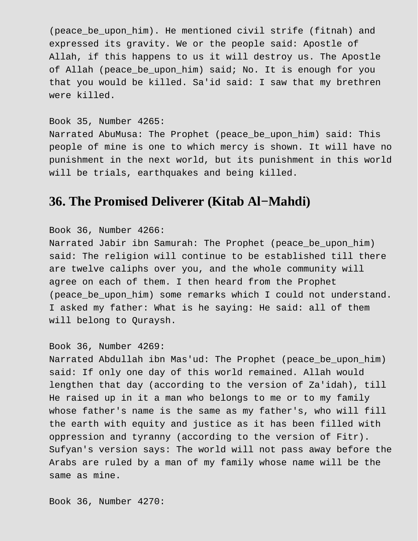(peace be upon him). He mentioned civil strife (fitnah) and expressed its gravity. We or the people said: Apostle of Allah, if this happens to us it will destroy us. The Apostle of Allah (peace\_be\_upon\_him) said; No. It is enough for you that you would be killed. Sa'id said: I saw that my brethren were killed.

## Book 35, Number 4265:

Narrated AbuMusa: The Prophet (peace\_be\_upon\_him) said: This people of mine is one to which mercy is shown. It will have no punishment in the next world, but its punishment in this world will be trials, earthquakes and being killed.

## **36. The Promised Deliverer (Kitab Al−Mahdi)**

## Book 36, Number 4266:

Narrated Jabir ibn Samurah: The Prophet (peace\_be\_upon\_him) said: The religion will continue to be established till there are twelve caliphs over you, and the whole community will agree on each of them. I then heard from the Prophet (peace\_be\_upon\_him) some remarks which I could not understand. I asked my father: What is he saying: He said: all of them will belong to Quraysh.

## Book 36, Number 4269:

Narrated Abdullah ibn Mas'ud: The Prophet (peace\_be\_upon\_him) said: If only one day of this world remained. Allah would lengthen that day (according to the version of Za'idah), till He raised up in it a man who belongs to me or to my family whose father's name is the same as my father's, who will fill the earth with equity and justice as it has been filled with oppression and tyranny (according to the version of Fitr). Sufyan's version says: The world will not pass away before the Arabs are ruled by a man of my family whose name will be the same as mine.

Book 36, Number 4270: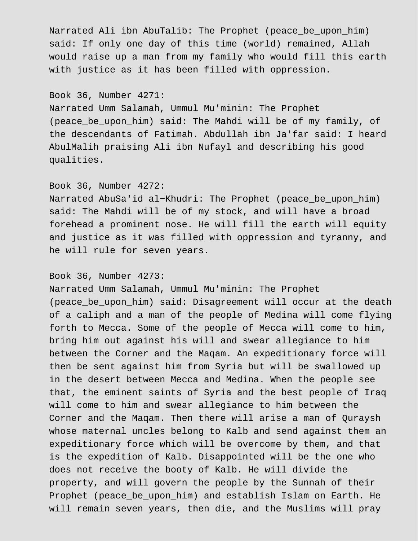Narrated Ali ibn AbuTalib: The Prophet (peace be upon him) said: If only one day of this time (world) remained, Allah would raise up a man from my family who would fill this earth with justice as it has been filled with oppression.

## Book 36, Number 4271:

Narrated Umm Salamah, Ummul Mu'minin: The Prophet (peace be upon him) said: The Mahdi will be of my family, of the descendants of Fatimah. Abdullah ibn Ja'far said: I heard AbulMalih praising Ali ibn Nufayl and describing his good qualities.

#### Book 36, Number 4272:

Narrated AbuSa'id al−Khudri: The Prophet (peace\_be\_upon\_him) said: The Mahdi will be of my stock, and will have a broad forehead a prominent nose. He will fill the earth will equity and justice as it was filled with oppression and tyranny, and he will rule for seven years.

#### Book 36, Number 4273:

Narrated Umm Salamah, Ummul Mu'minin: The Prophet (peace\_be\_upon\_him) said: Disagreement will occur at the death of a caliph and a man of the people of Medina will come flying forth to Mecca. Some of the people of Mecca will come to him, bring him out against his will and swear allegiance to him between the Corner and the Maqam. An expeditionary force will then be sent against him from Syria but will be swallowed up in the desert between Mecca and Medina. When the people see that, the eminent saints of Syria and the best people of Iraq will come to him and swear allegiance to him between the Corner and the Maqam. Then there will arise a man of Quraysh whose maternal uncles belong to Kalb and send against them an expeditionary force which will be overcome by them, and that is the expedition of Kalb. Disappointed will be the one who does not receive the booty of Kalb. He will divide the property, and will govern the people by the Sunnah of their Prophet (peace\_be\_upon\_him) and establish Islam on Earth. He will remain seven years, then die, and the Muslims will pray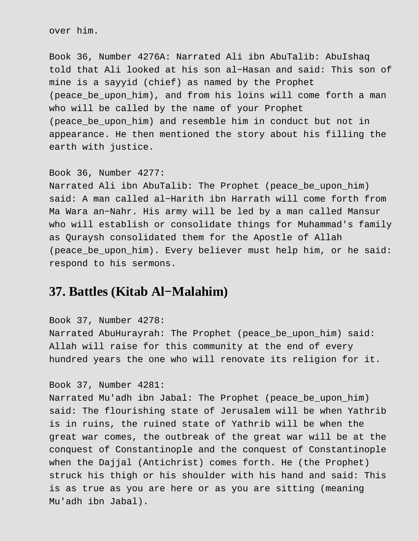over him.

Book 36, Number 4276A: Narrated Ali ibn AbuTalib: AbuIshaq told that Ali looked at his son al−Hasan and said: This son of mine is a sayyid (chief) as named by the Prophet (peace\_be\_upon\_him), and from his loins will come forth a man who will be called by the name of your Prophet (peace\_be\_upon\_him) and resemble him in conduct but not in appearance. He then mentioned the story about his filling the earth with justice.

```
Book 36, Number 4277:
```
Narrated Ali ibn AbuTalib: The Prophet (peace\_be\_upon\_him) said: A man called al−Harith ibn Harrath will come forth from Ma Wara an−Nahr. His army will be led by a man called Mansur who will establish or consolidate things for Muhammad's family as Quraysh consolidated them for the Apostle of Allah (peace be upon him). Every believer must help him, or he said: respond to his sermons.

## **37. Battles (Kitab Al−Malahim)**

## Book 37, Number 4278:

Narrated AbuHurayrah: The Prophet (peace\_be\_upon\_him) said: Allah will raise for this community at the end of every hundred years the one who will renovate its religion for it.

#### Book 37, Number 4281:

Narrated Mu'adh ibn Jabal: The Prophet (peace\_be\_upon\_him) said: The flourishing state of Jerusalem will be when Yathrib is in ruins, the ruined state of Yathrib will be when the great war comes, the outbreak of the great war will be at the conquest of Constantinople and the conquest of Constantinople when the Dajjal (Antichrist) comes forth. He (the Prophet) struck his thigh or his shoulder with his hand and said: This is as true as you are here or as you are sitting (meaning Mu'adh ibn Jabal).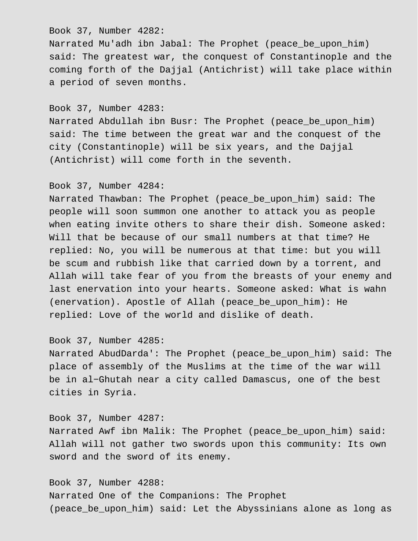#### Book 37, Number 4282:

Narrated Mu'adh ibn Jabal: The Prophet (peace\_be\_upon\_him) said: The greatest war, the conquest of Constantinople and the coming forth of the Dajjal (Antichrist) will take place within a period of seven months.

#### Book 37, Number 4283:

Narrated Abdullah ibn Busr: The Prophet (peace\_be\_upon\_him) said: The time between the great war and the conquest of the city (Constantinople) will be six years, and the Dajjal (Antichrist) will come forth in the seventh.

#### Book 37, Number 4284:

Narrated Thawban: The Prophet (peace\_be\_upon\_him) said: The people will soon summon one another to attack you as people when eating invite others to share their dish. Someone asked: Will that be because of our small numbers at that time? He replied: No, you will be numerous at that time: but you will be scum and rubbish like that carried down by a torrent, and Allah will take fear of you from the breasts of your enemy and last enervation into your hearts. Someone asked: What is wahn (enervation). Apostle of Allah (peace\_be\_upon\_him): He replied: Love of the world and dislike of death.

Book 37, Number 4285:

Narrated AbudDarda': The Prophet (peace be upon him) said: The place of assembly of the Muslims at the time of the war will be in al−Ghutah near a city called Damascus, one of the best cities in Syria.

## Book 37, Number 4287:

Narrated Awf ibn Malik: The Prophet (peace\_be\_upon\_him) said: Allah will not gather two swords upon this community: Its own sword and the sword of its enemy.

Book 37, Number 4288: Narrated One of the Companions: The Prophet (peace\_be\_upon\_him) said: Let the Abyssinians alone as long as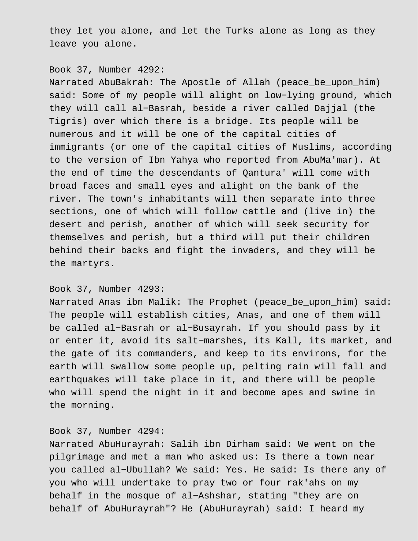they let you alone, and let the Turks alone as long as they leave you alone.

## Book 37, Number 4292:

Narrated AbuBakrah: The Apostle of Allah (peace be upon him) said: Some of my people will alight on low−lying ground, which they will call al−Basrah, beside a river called Dajjal (the Tigris) over which there is a bridge. Its people will be numerous and it will be one of the capital cities of immigrants (or one of the capital cities of Muslims, according to the version of Ibn Yahya who reported from AbuMa'mar). At the end of time the descendants of Qantura' will come with broad faces and small eyes and alight on the bank of the river. The town's inhabitants will then separate into three sections, one of which will follow cattle and (live in) the desert and perish, another of which will seek security for themselves and perish, but a third will put their children behind their backs and fight the invaders, and they will be the martyrs.

## Book 37, Number 4293:

Narrated Anas ibn Malik: The Prophet (peace be upon him) said: The people will establish cities, Anas, and one of them will be called al−Basrah or al−Busayrah. If you should pass by it or enter it, avoid its salt−marshes, its Kall, its market, and the gate of its commanders, and keep to its environs, for the earth will swallow some people up, pelting rain will fall and earthquakes will take place in it, and there will be people who will spend the night in it and become apes and swine in the morning.

## Book 37, Number 4294:

Narrated AbuHurayrah: Salih ibn Dirham said: We went on the pilgrimage and met a man who asked us: Is there a town near you called al−Ubullah? We said: Yes. He said: Is there any of you who will undertake to pray two or four rak'ahs on my behalf in the mosque of al−Ashshar, stating "they are on behalf of AbuHurayrah"? He (AbuHurayrah) said: I heard my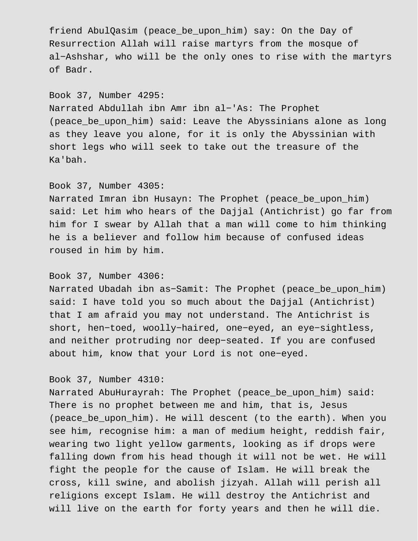friend AbulQasim (peace be upon him) say: On the Day of Resurrection Allah will raise martyrs from the mosque of al−Ashshar, who will be the only ones to rise with the martyrs of Badr.

#### Book 37, Number 4295:

Narrated Abdullah ibn Amr ibn al−'As: The Prophet (peace\_be\_upon\_him) said: Leave the Abyssinians alone as long as they leave you alone, for it is only the Abyssinian with short legs who will seek to take out the treasure of the Ka'bah.

#### Book 37, Number 4305:

Narrated Imran ibn Husayn: The Prophet (peace\_be\_upon\_him) said: Let him who hears of the Dajjal (Antichrist) go far from him for I swear by Allah that a man will come to him thinking he is a believer and follow him because of confused ideas roused in him by him.

#### Book 37, Number 4306:

Narrated Ubadah ibn as−Samit: The Prophet (peace\_be\_upon\_him) said: I have told you so much about the Dajjal (Antichrist) that I am afraid you may not understand. The Antichrist is short, hen−toed, woolly−haired, one−eyed, an eye−sightless, and neither protruding nor deep−seated. If you are confused about him, know that your Lord is not one−eyed.

#### Book 37, Number 4310:

Narrated AbuHurayrah: The Prophet (peace\_be\_upon\_him) said: There is no prophet between me and him, that is, Jesus (peace\_be\_upon\_him). He will descent (to the earth). When you see him, recognise him: a man of medium height, reddish fair, wearing two light yellow garments, looking as if drops were falling down from his head though it will not be wet. He will fight the people for the cause of Islam. He will break the cross, kill swine, and abolish jizyah. Allah will perish all religions except Islam. He will destroy the Antichrist and will live on the earth for forty years and then he will die.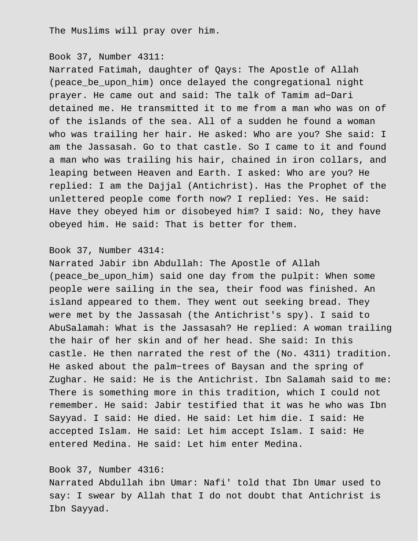The Muslims will pray over him.

## Book 37, Number 4311:

Narrated Fatimah, daughter of Qays: The Apostle of Allah (peace\_be\_upon\_him) once delayed the congregational night prayer. He came out and said: The talk of Tamim ad−Dari detained me. He transmitted it to me from a man who was on of of the islands of the sea. All of a sudden he found a woman who was trailing her hair. He asked: Who are you? She said: I am the Jassasah. Go to that castle. So I came to it and found a man who was trailing his hair, chained in iron collars, and leaping between Heaven and Earth. I asked: Who are you? He replied: I am the Dajjal (Antichrist). Has the Prophet of the unlettered people come forth now? I replied: Yes. He said: Have they obeyed him or disobeyed him? I said: No, they have obeyed him. He said: That is better for them.

## Book 37, Number 4314:

Narrated Jabir ibn Abdullah: The Apostle of Allah (peace\_be\_upon\_him) said one day from the pulpit: When some people were sailing in the sea, their food was finished. An island appeared to them. They went out seeking bread. They were met by the Jassasah (the Antichrist's spy). I said to AbuSalamah: What is the Jassasah? He replied: A woman trailing the hair of her skin and of her head. She said: In this castle. He then narrated the rest of the (No. 4311) tradition. He asked about the palm−trees of Baysan and the spring of Zughar. He said: He is the Antichrist. Ibn Salamah said to me: There is something more in this tradition, which I could not remember. He said: Jabir testified that it was he who was Ibn Sayyad. I said: He died. He said: Let him die. I said: He accepted Islam. He said: Let him accept Islam. I said: He entered Medina. He said: Let him enter Medina.

## Book 37, Number 4316:

Narrated Abdullah ibn Umar: Nafi' told that Ibn Umar used to say: I swear by Allah that I do not doubt that Antichrist is Ibn Sayyad.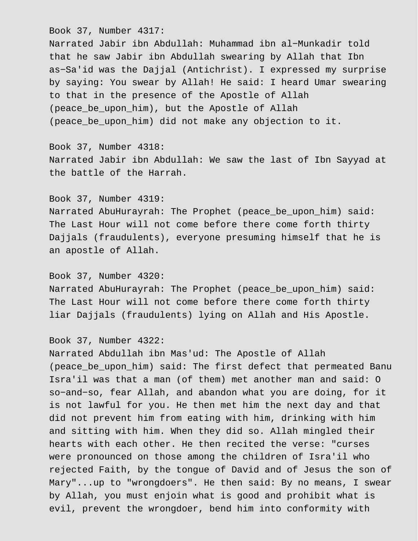Book 37, Number 4317:

Narrated Jabir ibn Abdullah: Muhammad ibn al−Munkadir told that he saw Jabir ibn Abdullah swearing by Allah that Ibn as−Sa'id was the Dajjal (Antichrist). I expressed my surprise by saying: You swear by Allah! He said: I heard Umar swearing to that in the presence of the Apostle of Allah (peace\_be\_upon\_him), but the Apostle of Allah (peace\_be\_upon\_him) did not make any objection to it.

Book 37, Number 4318: Narrated Jabir ibn Abdullah: We saw the last of Ibn Sayyad at the battle of the Harrah.

Book 37, Number 4319: Narrated AbuHurayrah: The Prophet (peace be upon him) said: The Last Hour will not come before there come forth thirty Dajjals (fraudulents), everyone presuming himself that he is an apostle of Allah.

Book 37, Number 4320:

Narrated AbuHurayrah: The Prophet (peace be upon him) said: The Last Hour will not come before there come forth thirty liar Dajjals (fraudulents) lying on Allah and His Apostle.

Book 37, Number 4322:

Narrated Abdullah ibn Mas'ud: The Apostle of Allah (peace be upon him) said: The first defect that permeated Banu Isra'il was that a man (of them) met another man and said: O so−and−so, fear Allah, and abandon what you are doing, for it is not lawful for you. He then met him the next day and that did not prevent him from eating with him, drinking with him and sitting with him. When they did so. Allah mingled their hearts with each other. He then recited the verse: "curses were pronounced on those among the children of Isra'il who rejected Faith, by the tongue of David and of Jesus the son of Mary"...up to "wrongdoers". He then said: By no means, I swear by Allah, you must enjoin what is good and prohibit what is evil, prevent the wrongdoer, bend him into conformity with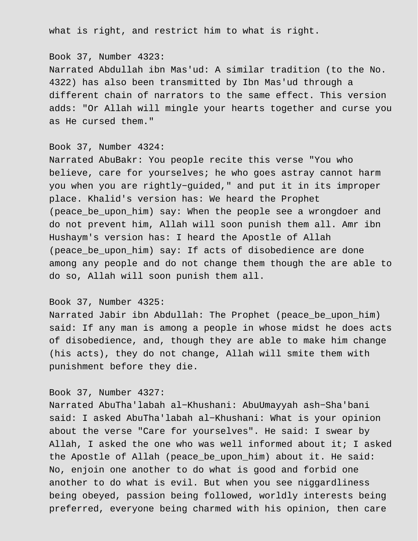what is right, and restrict him to what is right.

Book 37, Number 4323:

Narrated Abdullah ibn Mas'ud: A similar tradition (to the No. 4322) has also been transmitted by Ibn Mas'ud through a different chain of narrators to the same effect. This version adds: "Or Allah will mingle your hearts together and curse you as He cursed them."

#### Book 37, Number 4324:

Narrated AbuBakr: You people recite this verse "You who believe, care for yourselves; he who goes astray cannot harm you when you are rightly−guided," and put it in its improper place. Khalid's version has: We heard the Prophet (peace be upon him) say: When the people see a wrongdoer and do not prevent him, Allah will soon punish them all. Amr ibn Hushaym's version has: I heard the Apostle of Allah (peace\_be\_upon\_him) say: If acts of disobedience are done among any people and do not change them though the are able to do so, Allah will soon punish them all.

#### Book 37, Number 4325:

Narrated Jabir ibn Abdullah: The Prophet (peace\_be\_upon\_him) said: If any man is among a people in whose midst he does acts of disobedience, and, though they are able to make him change (his acts), they do not change, Allah will smite them with punishment before they die.

## Book 37, Number 4327:

Narrated AbuTha'labah al−Khushani: AbuUmayyah ash−Sha'bani said: I asked AbuTha'labah al−Khushani: What is your opinion about the verse "Care for yourselves". He said: I swear by Allah, I asked the one who was well informed about it; I asked the Apostle of Allah (peace\_be\_upon\_him) about it. He said: No, enjoin one another to do what is good and forbid one another to do what is evil. But when you see niggardliness being obeyed, passion being followed, worldly interests being preferred, everyone being charmed with his opinion, then care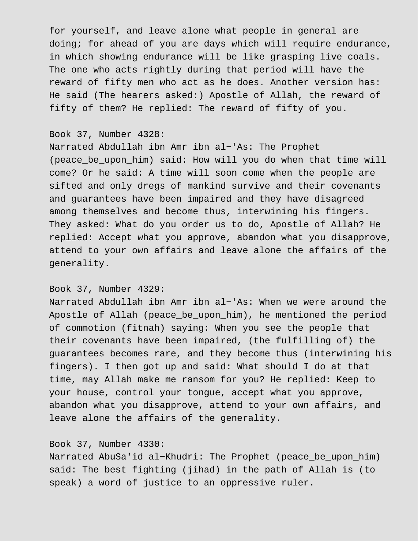for yourself, and leave alone what people in general are doing; for ahead of you are days which will require endurance, in which showing endurance will be like grasping live coals. The one who acts rightly during that period will have the reward of fifty men who act as he does. Another version has: He said (The hearers asked:) Apostle of Allah, the reward of fifty of them? He replied: The reward of fifty of you.

## Book 37, Number 4328:

Narrated Abdullah ibn Amr ibn al−'As: The Prophet (peace\_be\_upon\_him) said: How will you do when that time will come? Or he said: A time will soon come when the people are sifted and only dregs of mankind survive and their covenants and guarantees have been impaired and they have disagreed among themselves and become thus, interwining his fingers. They asked: What do you order us to do, Apostle of Allah? He replied: Accept what you approve, abandon what you disapprove, attend to your own affairs and leave alone the affairs of the generality.

## Book 37, Number 4329:

Narrated Abdullah ibn Amr ibn al−'As: When we were around the Apostle of Allah (peace\_be\_upon\_him), he mentioned the period of commotion (fitnah) saying: When you see the people that their covenants have been impaired, (the fulfilling of) the guarantees becomes rare, and they become thus (interwining his fingers). I then got up and said: What should I do at that time, may Allah make me ransom for you? He replied: Keep to your house, control your tongue, accept what you approve, abandon what you disapprove, attend to your own affairs, and leave alone the affairs of the generality.

## Book 37, Number 4330:

Narrated AbuSa'id al−Khudri: The Prophet (peace\_be\_upon\_him) said: The best fighting (jihad) in the path of Allah is (to speak) a word of justice to an oppressive ruler.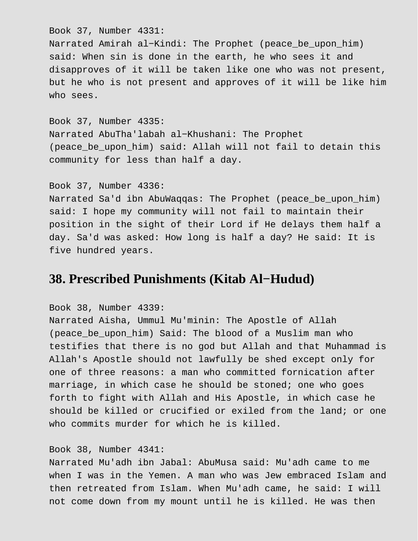#### Book 37, Number 4331:

Narrated Amirah al−Kindi: The Prophet (peace\_be\_upon\_him) said: When sin is done in the earth, he who sees it and disapproves of it will be taken like one who was not present, but he who is not present and approves of it will be like him who sees.

Book 37, Number 4335: Narrated AbuTha'labah al−Khushani: The Prophet (peace be upon him) said: Allah will not fail to detain this community for less than half a day.

#### Book 37, Number 4336:

Narrated Sa'd ibn AbuWaqqas: The Prophet (peace\_be\_upon\_him) said: I hope my community will not fail to maintain their position in the sight of their Lord if He delays them half a day. Sa'd was asked: How long is half a day? He said: It is five hundred years.

## **38. Prescribed Punishments (Kitab Al−Hudud)**

Book 38, Number 4339:

Narrated Aisha, Ummul Mu'minin: The Apostle of Allah (peace\_be\_upon\_him) Said: The blood of a Muslim man who testifies that there is no god but Allah and that Muhammad is Allah's Apostle should not lawfully be shed except only for one of three reasons: a man who committed fornication after marriage, in which case he should be stoned; one who goes forth to fight with Allah and His Apostle, in which case he should be killed or crucified or exiled from the land; or one who commits murder for which he is killed.

#### Book 38, Number 4341:

Narrated Mu'adh ibn Jabal: AbuMusa said: Mu'adh came to me when I was in the Yemen. A man who was Jew embraced Islam and then retreated from Islam. When Mu'adh came, he said: I will not come down from my mount until he is killed. He was then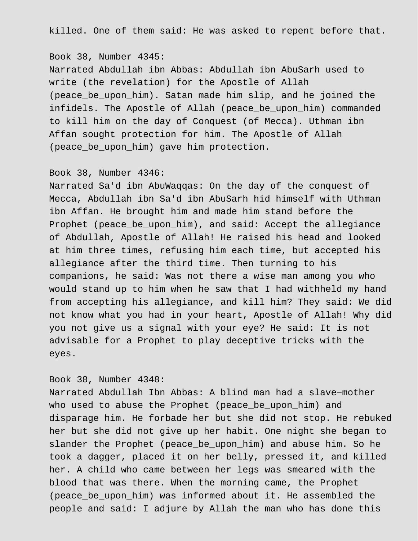killed. One of them said: He was asked to repent before that.

## Book 38, Number 4345:

Narrated Abdullah ibn Abbas: Abdullah ibn AbuSarh used to write (the revelation) for the Apostle of Allah (peace\_be\_upon\_him). Satan made him slip, and he joined the infidels. The Apostle of Allah (peace\_be\_upon\_him) commanded to kill him on the day of Conquest (of Mecca). Uthman ibn Affan sought protection for him. The Apostle of Allah (peace\_be\_upon\_him) gave him protection.

## Book 38, Number 4346:

Narrated Sa'd ibn AbuWaqqas: On the day of the conquest of Mecca, Abdullah ibn Sa'd ibn AbuSarh hid himself with Uthman ibn Affan. He brought him and made him stand before the Prophet (peace\_be\_upon\_him), and said: Accept the allegiance of Abdullah, Apostle of Allah! He raised his head and looked at him three times, refusing him each time, but accepted his allegiance after the third time. Then turning to his companions, he said: Was not there a wise man among you who would stand up to him when he saw that I had withheld my hand from accepting his allegiance, and kill him? They said: We did not know what you had in your heart, Apostle of Allah! Why did you not give us a signal with your eye? He said: It is not advisable for a Prophet to play deceptive tricks with the eyes.

## Book 38, Number 4348:

Narrated Abdullah Ibn Abbas: A blind man had a slave−mother who used to abuse the Prophet (peace\_be\_upon\_him) and disparage him. He forbade her but she did not stop. He rebuked her but she did not give up her habit. One night she began to slander the Prophet (peace\_be\_upon\_him) and abuse him. So he took a dagger, placed it on her belly, pressed it, and killed her. A child who came between her legs was smeared with the blood that was there. When the morning came, the Prophet (peace\_be\_upon\_him) was informed about it. He assembled the people and said: I adjure by Allah the man who has done this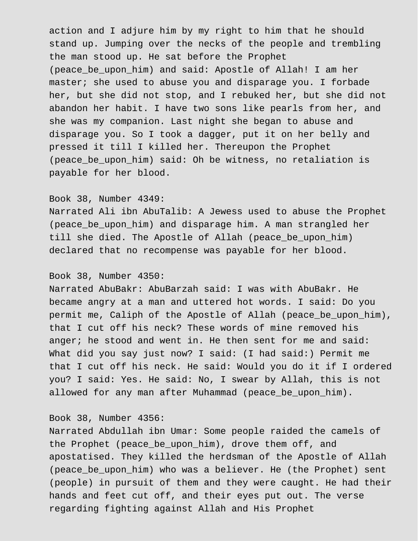action and I adjure him by my right to him that he should stand up. Jumping over the necks of the people and trembling the man stood up. He sat before the Prophet (peace\_be\_upon\_him) and said: Apostle of Allah! I am her master; she used to abuse you and disparage you. I forbade her, but she did not stop, and I rebuked her, but she did not abandon her habit. I have two sons like pearls from her, and she was my companion. Last night she began to abuse and disparage you. So I took a dagger, put it on her belly and pressed it till I killed her. Thereupon the Prophet (peace\_be\_upon\_him) said: Oh be witness, no retaliation is payable for her blood.

#### Book 38, Number 4349:

Narrated Ali ibn AbuTalib: A Jewess used to abuse the Prophet (peace\_be\_upon\_him) and disparage him. A man strangled her till she died. The Apostle of Allah (peace be upon him) declared that no recompense was payable for her blood.

### Book 38, Number 4350:

Narrated AbuBakr: AbuBarzah said: I was with AbuBakr. He became angry at a man and uttered hot words. I said: Do you permit me, Caliph of the Apostle of Allah (peace\_be\_upon\_him), that I cut off his neck? These words of mine removed his anger; he stood and went in. He then sent for me and said: What did you say just now? I said: (I had said:) Permit me that I cut off his neck. He said: Would you do it if I ordered you? I said: Yes. He said: No, I swear by Allah, this is not allowed for any man after Muhammad (peace\_be\_upon\_him).

## Book 38, Number 4356:

Narrated Abdullah ibn Umar: Some people raided the camels of the Prophet (peace\_be\_upon\_him), drove them off, and apostatised. They killed the herdsman of the Apostle of Allah (peace be upon him) who was a believer. He (the Prophet) sent (people) in pursuit of them and they were caught. He had their hands and feet cut off, and their eyes put out. The verse regarding fighting against Allah and His Prophet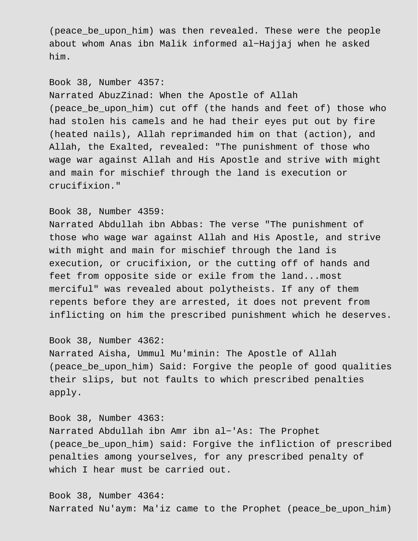(peace be upon him) was then revealed. These were the people about whom Anas ibn Malik informed al−Hajjaj when he asked him.

#### Book 38, Number 4357:

Narrated AbuzZinad: When the Apostle of Allah (peace\_be\_upon\_him) cut off (the hands and feet of) those who had stolen his camels and he had their eyes put out by fire (heated nails), Allah reprimanded him on that (action), and Allah, the Exalted, revealed: "The punishment of those who wage war against Allah and His Apostle and strive with might and main for mischief through the land is execution or crucifixion."

## Book 38, Number 4359:

Narrated Abdullah ibn Abbas: The verse "The punishment of those who wage war against Allah and His Apostle, and strive with might and main for mischief through the land is execution, or crucifixion, or the cutting off of hands and feet from opposite side or exile from the land...most merciful" was revealed about polytheists. If any of them repents before they are arrested, it does not prevent from inflicting on him the prescribed punishment which he deserves.

#### Book 38, Number 4362:

Narrated Aisha, Ummul Mu'minin: The Apostle of Allah (peace\_be\_upon\_him) Said: Forgive the people of good qualities their slips, but not faults to which prescribed penalties apply.

#### Book 38, Number 4363:

Narrated Abdullah ibn Amr ibn al−'As: The Prophet (peace\_be\_upon\_him) said: Forgive the infliction of prescribed penalties among yourselves, for any prescribed penalty of which I hear must be carried out.

Book 38, Number 4364: Narrated Nu'aym: Ma'iz came to the Prophet (peace\_be\_upon\_him)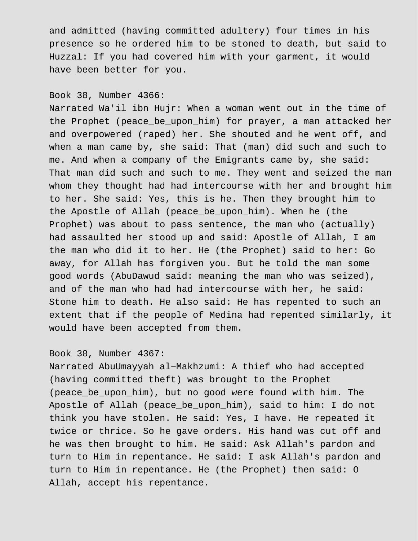and admitted (having committed adultery) four times in his presence so he ordered him to be stoned to death, but said to Huzzal: If you had covered him with your garment, it would have been better for you.

## Book 38, Number 4366:

Narrated Wa'il ibn Hujr: When a woman went out in the time of the Prophet (peace\_be\_upon\_him) for prayer, a man attacked her and overpowered (raped) her. She shouted and he went off, and when a man came by, she said: That (man) did such and such to me. And when a company of the Emigrants came by, she said: That man did such and such to me. They went and seized the man whom they thought had had intercourse with her and brought him to her. She said: Yes, this is he. Then they brought him to the Apostle of Allah (peace be upon him). When he (the Prophet) was about to pass sentence, the man who (actually) had assaulted her stood up and said: Apostle of Allah, I am the man who did it to her. He (the Prophet) said to her: Go away, for Allah has forgiven you. But he told the man some good words (AbuDawud said: meaning the man who was seized), and of the man who had had intercourse with her, he said: Stone him to death. He also said: He has repented to such an extent that if the people of Medina had repented similarly, it would have been accepted from them.

## Book 38, Number 4367:

Narrated AbuUmayyah al−Makhzumi: A thief who had accepted (having committed theft) was brought to the Prophet (peace\_be\_upon\_him), but no good were found with him. The Apostle of Allah (peace\_be\_upon\_him), said to him: I do not think you have stolen. He said: Yes, I have. He repeated it twice or thrice. So he gave orders. His hand was cut off and he was then brought to him. He said: Ask Allah's pardon and turn to Him in repentance. He said: I ask Allah's pardon and turn to Him in repentance. He (the Prophet) then said: O Allah, accept his repentance.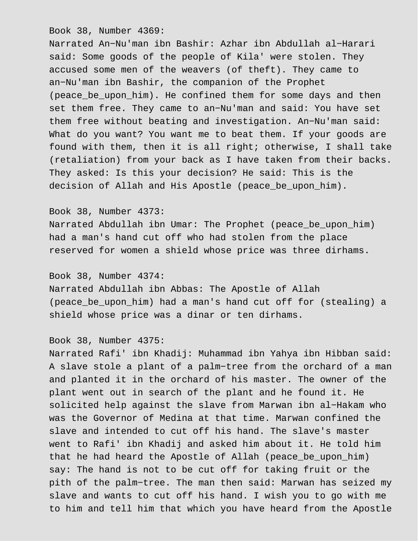Book 38, Number 4369:

Narrated An−Nu'man ibn Bashir: Azhar ibn Abdullah al−Harari said: Some goods of the people of Kila' were stolen. They accused some men of the weavers (of theft). They came to an−Nu'man ibn Bashir, the companion of the Prophet (peace be upon  $him$ ). He confined them for some days and then set them free. They came to an−Nu'man and said: You have set them free without beating and investigation. An−Nu'man said: What do you want? You want me to beat them. If your goods are found with them, then it is all right; otherwise, I shall take (retaliation) from your back as I have taken from their backs. They asked: Is this your decision? He said: This is the decision of Allah and His Apostle (peace\_be\_upon\_him).

#### Book 38, Number 4373:

Narrated Abdullah ibn Umar: The Prophet (peace\_be\_upon\_him) had a man's hand cut off who had stolen from the place reserved for women a shield whose price was three dirhams.

#### Book 38, Number 4374:

Narrated Abdullah ibn Abbas: The Apostle of Allah (peace\_be\_upon\_him) had a man's hand cut off for (stealing) a shield whose price was a dinar or ten dirhams.

Book 38, Number 4375:

Narrated Rafi' ibn Khadij: Muhammad ibn Yahya ibn Hibban said: A slave stole a plant of a palm−tree from the orchard of a man and planted it in the orchard of his master. The owner of the plant went out in search of the plant and he found it. He solicited help against the slave from Marwan ibn al−Hakam who was the Governor of Medina at that time. Marwan confined the slave and intended to cut off his hand. The slave's master went to Rafi' ibn Khadij and asked him about it. He told him that he had heard the Apostle of Allah (peace be upon him) say: The hand is not to be cut off for taking fruit or the pith of the palm−tree. The man then said: Marwan has seized my slave and wants to cut off his hand. I wish you to go with me to him and tell him that which you have heard from the Apostle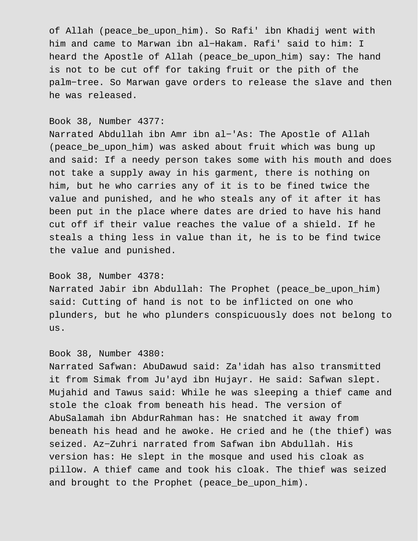of Allah (peace\_be\_upon\_him). So Rafi' ibn Khadij went with him and came to Marwan ibn al−Hakam. Rafi' said to him: I heard the Apostle of Allah (peace be upon him) say: The hand is not to be cut off for taking fruit or the pith of the palm−tree. So Marwan gave orders to release the slave and then he was released.

## Book 38, Number 4377:

Narrated Abdullah ibn Amr ibn al−'As: The Apostle of Allah (peace be upon him) was asked about fruit which was bung up and said: If a needy person takes some with his mouth and does not take a supply away in his garment, there is nothing on him, but he who carries any of it is to be fined twice the value and punished, and he who steals any of it after it has been put in the place where dates are dried to have his hand cut off if their value reaches the value of a shield. If he steals a thing less in value than it, he is to be find twice the value and punished.

#### Book 38, Number 4378:

Narrated Jabir ibn Abdullah: The Prophet (peace\_be\_upon\_him) said: Cutting of hand is not to be inflicted on one who plunders, but he who plunders conspicuously does not belong to us.

## Book 38, Number 4380:

Narrated Safwan: AbuDawud said: Za'idah has also transmitted it from Simak from Ju'ayd ibn Hujayr. He said: Safwan slept. Mujahid and Tawus said: While he was sleeping a thief came and stole the cloak from beneath his head. The version of AbuSalamah ibn AbdurRahman has: He snatched it away from beneath his head and he awoke. He cried and he (the thief) was seized. Az−Zuhri narrated from Safwan ibn Abdullah. His version has: He slept in the mosque and used his cloak as pillow. A thief came and took his cloak. The thief was seized and brought to the Prophet (peace\_be\_upon\_him).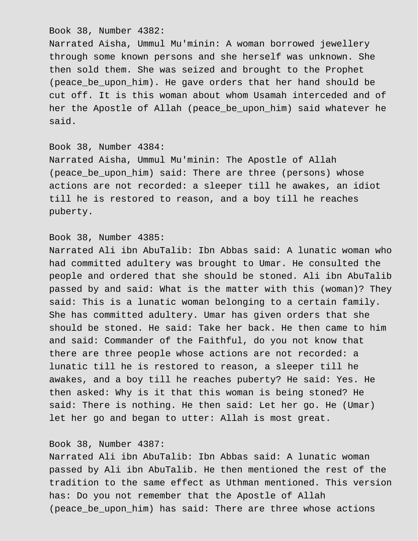## Book 38, Number 4382:

Narrated Aisha, Ummul Mu'minin: A woman borrowed jewellery through some known persons and she herself was unknown. She then sold them. She was seized and brought to the Prophet (peace be upon him). He gave orders that her hand should be cut off. It is this woman about whom Usamah interceded and of her the Apostle of Allah (peace\_be\_upon\_him) said whatever he said.

## Book 38, Number 4384:

Narrated Aisha, Ummul Mu'minin: The Apostle of Allah (peace be upon  $him$ ) said: There are three (persons) whose actions are not recorded: a sleeper till he awakes, an idiot till he is restored to reason, and a boy till he reaches puberty.

## Book 38, Number 4385:

Narrated Ali ibn AbuTalib: Ibn Abbas said: A lunatic woman who had committed adultery was brought to Umar. He consulted the people and ordered that she should be stoned. Ali ibn AbuTalib passed by and said: What is the matter with this (woman)? They said: This is a lunatic woman belonging to a certain family. She has committed adultery. Umar has given orders that she should be stoned. He said: Take her back. He then came to him and said: Commander of the Faithful, do you not know that there are three people whose actions are not recorded: a lunatic till he is restored to reason, a sleeper till he awakes, and a boy till he reaches puberty? He said: Yes. He then asked: Why is it that this woman is being stoned? He said: There is nothing. He then said: Let her go. He (Umar) let her go and began to utter: Allah is most great.

## Book 38, Number 4387:

Narrated Ali ibn AbuTalib: Ibn Abbas said: A lunatic woman passed by Ali ibn AbuTalib. He then mentioned the rest of the tradition to the same effect as Uthman mentioned. This version has: Do you not remember that the Apostle of Allah (peace be upon him) has said: There are three whose actions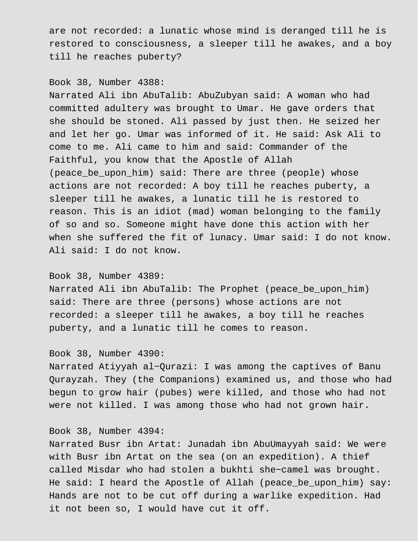are not recorded: a lunatic whose mind is deranged till he is restored to consciousness, a sleeper till he awakes, and a boy till he reaches puberty?

#### Book 38, Number 4388:

Narrated Ali ibn AbuTalib: AbuZubyan said: A woman who had committed adultery was brought to Umar. He gave orders that she should be stoned. Ali passed by just then. He seized her and let her go. Umar was informed of it. He said: Ask Ali to come to me. Ali came to him and said: Commander of the Faithful, you know that the Apostle of Allah (peace be upon  $him$ ) said: There are three (people) whose actions are not recorded: A boy till he reaches puberty, a sleeper till he awakes, a lunatic till he is restored to reason. This is an idiot (mad) woman belonging to the family of so and so. Someone might have done this action with her when she suffered the fit of lunacy. Umar said: I do not know. Ali said: I do not know.

#### Book 38, Number 4389:

Narrated Ali ibn AbuTalib: The Prophet (peace be upon him) said: There are three (persons) whose actions are not recorded: a sleeper till he awakes, a boy till he reaches puberty, and a lunatic till he comes to reason.

#### Book 38, Number 4390:

Narrated Atiyyah al−Qurazi: I was among the captives of Banu Qurayzah. They (the Companions) examined us, and those who had begun to grow hair (pubes) were killed, and those who had not were not killed. I was among those who had not grown hair.

#### Book 38, Number 4394:

Narrated Busr ibn Artat: Junadah ibn AbuUmayyah said: We were with Busr ibn Artat on the sea (on an expedition). A thief called Misdar who had stolen a bukhti she−camel was brought. He said: I heard the Apostle of Allah (peace\_be\_upon\_him) say: Hands are not to be cut off during a warlike expedition. Had it not been so, I would have cut it off.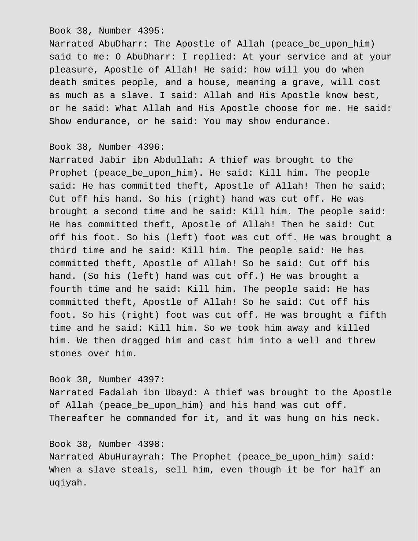#### Book 38, Number 4395:

Narrated AbuDharr: The Apostle of Allah (peace\_be\_upon\_him) said to me: O AbuDharr: I replied: At your service and at your pleasure, Apostle of Allah! He said: how will you do when death smites people, and a house, meaning a grave, will cost as much as a slave. I said: Allah and His Apostle know best, or he said: What Allah and His Apostle choose for me. He said: Show endurance, or he said: You may show endurance.

### Book 38, Number 4396:

Narrated Jabir ibn Abdullah: A thief was brought to the Prophet (peace be upon him). He said: Kill him. The people said: He has committed theft, Apostle of Allah! Then he said: Cut off his hand. So his (right) hand was cut off. He was brought a second time and he said: Kill him. The people said: He has committed theft, Apostle of Allah! Then he said: Cut off his foot. So his (left) foot was cut off. He was brought a third time and he said: Kill him. The people said: He has committed theft, Apostle of Allah! So he said: Cut off his hand. (So his (left) hand was cut off.) He was brought a fourth time and he said: Kill him. The people said: He has committed theft, Apostle of Allah! So he said: Cut off his foot. So his (right) foot was cut off. He was brought a fifth time and he said: Kill him. So we took him away and killed him. We then dragged him and cast him into a well and threw stones over him.

#### Book 38, Number 4397:

Narrated Fadalah ibn Ubayd: A thief was brought to the Apostle of Allah (peace\_be\_upon\_him) and his hand was cut off. Thereafter he commanded for it, and it was hung on his neck.

## Book 38, Number 4398:

Narrated AbuHurayrah: The Prophet (peace\_be\_upon\_him) said: When a slave steals, sell him, even though it be for half an uqiyah.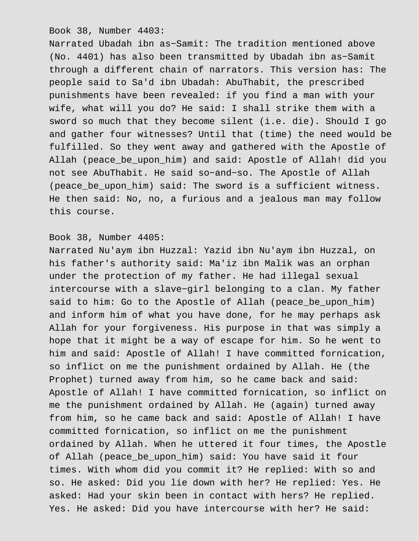Book 38, Number 4403:

Narrated Ubadah ibn as−Samit: The tradition mentioned above (No. 4401) has also been transmitted by Ubadah ibn as−Samit through a different chain of narrators. This version has: The people said to Sa'd ibn Ubadah: AbuThabit, the prescribed punishments have been revealed: if you find a man with your wife, what will you do? He said: I shall strike them with a sword so much that they become silent (i.e. die). Should I go and gather four witnesses? Until that (time) the need would be fulfilled. So they went away and gathered with the Apostle of Allah (peace\_be\_upon\_him) and said: Apostle of Allah! did you not see AbuThabit. He said so−and−so. The Apostle of Allah (peace\_be\_upon\_him) said: The sword is a sufficient witness. He then said: No, no, a furious and a jealous man may follow this course.

## Book 38, Number 4405:

Narrated Nu'aym ibn Huzzal: Yazid ibn Nu'aym ibn Huzzal, on his father's authority said: Ma'iz ibn Malik was an orphan under the protection of my father. He had illegal sexual intercourse with a slave−girl belonging to a clan. My father said to him: Go to the Apostle of Allah (peace be upon him) and inform him of what you have done, for he may perhaps ask Allah for your forgiveness. His purpose in that was simply a hope that it might be a way of escape for him. So he went to him and said: Apostle of Allah! I have committed fornication, so inflict on me the punishment ordained by Allah. He (the Prophet) turned away from him, so he came back and said: Apostle of Allah! I have committed fornication, so inflict on me the punishment ordained by Allah. He (again) turned away from him, so he came back and said: Apostle of Allah! I have committed fornication, so inflict on me the punishment ordained by Allah. When he uttered it four times, the Apostle of Allah (peace\_be\_upon\_him) said: You have said it four times. With whom did you commit it? He replied: With so and so. He asked: Did you lie down with her? He replied: Yes. He asked: Had your skin been in contact with hers? He replied. Yes. He asked: Did you have intercourse with her? He said: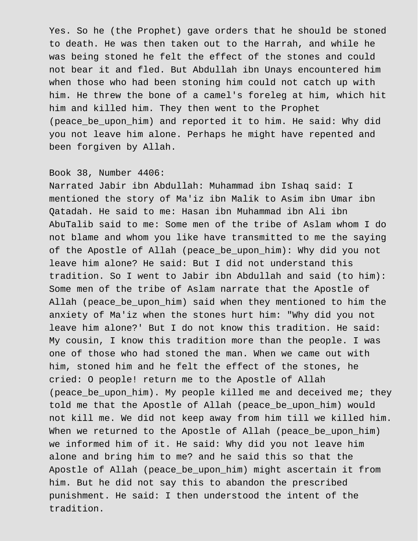Yes. So he (the Prophet) gave orders that he should be stoned to death. He was then taken out to the Harrah, and while he was being stoned he felt the effect of the stones and could not bear it and fled. But Abdullah ibn Unays encountered him when those who had been stoning him could not catch up with him. He threw the bone of a camel's foreleg at him, which hit him and killed him. They then went to the Prophet (peace\_be\_upon\_him) and reported it to him. He said: Why did you not leave him alone. Perhaps he might have repented and been forgiven by Allah.

## Book 38, Number 4406:

Narrated Jabir ibn Abdullah: Muhammad ibn Ishaq said: I mentioned the story of Ma'iz ibn Malik to Asim ibn Umar ibn Qatadah. He said to me: Hasan ibn Muhammad ibn Ali ibn AbuTalib said to me: Some men of the tribe of Aslam whom I do not blame and whom you like have transmitted to me the saying of the Apostle of Allah (peace\_be\_upon\_him): Why did you not leave him alone? He said: But I did not understand this tradition. So I went to Jabir ibn Abdullah and said (to him): Some men of the tribe of Aslam narrate that the Apostle of Allah (peace be upon him) said when they mentioned to him the anxiety of Ma'iz when the stones hurt him: "Why did you not leave him alone?' But I do not know this tradition. He said: My cousin, I know this tradition more than the people. I was one of those who had stoned the man. When we came out with him, stoned him and he felt the effect of the stones, he cried: O people! return me to the Apostle of Allah (peace\_be\_upon\_him). My people killed me and deceived me; they told me that the Apostle of Allah (peace\_be\_upon\_him) would not kill me. We did not keep away from him till we killed him. When we returned to the Apostle of Allah (peace\_be\_upon\_him) we informed him of it. He said: Why did you not leave him alone and bring him to me? and he said this so that the Apostle of Allah (peace be upon him) might ascertain it from him. But he did not say this to abandon the prescribed punishment. He said: I then understood the intent of the tradition.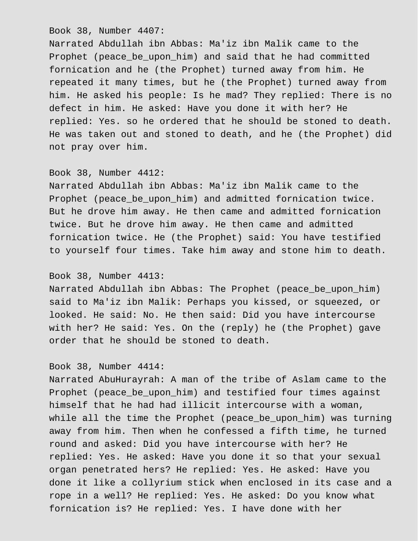Book 38, Number 4407:

Narrated Abdullah ibn Abbas: Ma'iz ibn Malik came to the Prophet (peace be upon him) and said that he had committed fornication and he (the Prophet) turned away from him. He repeated it many times, but he (the Prophet) turned away from him. He asked his people: Is he mad? They replied: There is no defect in him. He asked: Have you done it with her? He replied: Yes. so he ordered that he should be stoned to death. He was taken out and stoned to death, and he (the Prophet) did not pray over him.

#### Book 38, Number 4412:

Narrated Abdullah ibn Abbas: Ma'iz ibn Malik came to the Prophet (peace\_be\_upon\_him) and admitted fornication twice. But he drove him away. He then came and admitted fornication twice. But he drove him away. He then came and admitted fornication twice. He (the Prophet) said: You have testified to yourself four times. Take him away and stone him to death.

#### Book 38, Number 4413:

Narrated Abdullah ibn Abbas: The Prophet (peace\_be\_upon\_him) said to Ma'iz ibn Malik: Perhaps you kissed, or squeezed, or looked. He said: No. He then said: Did you have intercourse with her? He said: Yes. On the (reply) he (the Prophet) gave order that he should be stoned to death.

### Book 38, Number 4414:

Narrated AbuHurayrah: A man of the tribe of Aslam came to the Prophet (peace\_be\_upon\_him) and testified four times against himself that he had had illicit intercourse with a woman, while all the time the Prophet (peace\_be\_upon\_him) was turning away from him. Then when he confessed a fifth time, he turned round and asked: Did you have intercourse with her? He replied: Yes. He asked: Have you done it so that your sexual organ penetrated hers? He replied: Yes. He asked: Have you done it like a collyrium stick when enclosed in its case and a rope in a well? He replied: Yes. He asked: Do you know what fornication is? He replied: Yes. I have done with her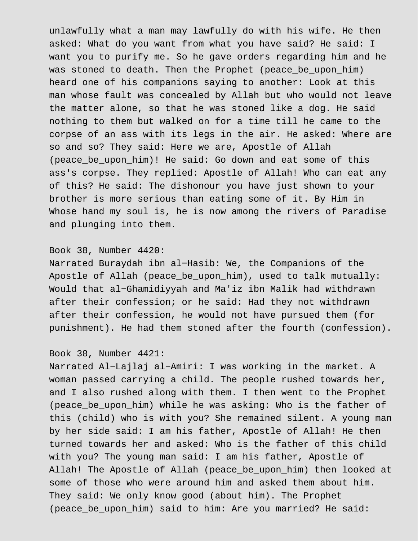unlawfully what a man may lawfully do with his wife. He then asked: What do you want from what you have said? He said: I want you to purify me. So he gave orders regarding him and he was stoned to death. Then the Prophet (peace be upon him) heard one of his companions saying to another: Look at this man whose fault was concealed by Allah but who would not leave the matter alone, so that he was stoned like a dog. He said nothing to them but walked on for a time till he came to the corpse of an ass with its legs in the air. He asked: Where are so and so? They said: Here we are, Apostle of Allah (peace\_be\_upon\_him)! He said: Go down and eat some of this ass's corpse. They replied: Apostle of Allah! Who can eat any of this? He said: The dishonour you have just shown to your brother is more serious than eating some of it. By Him in Whose hand my soul is, he is now among the rivers of Paradise and plunging into them.

## Book 38, Number 4420:

Narrated Buraydah ibn al−Hasib: We, the Companions of the Apostle of Allah (peace be upon him), used to talk mutually: Would that al−Ghamidiyyah and Ma'iz ibn Malik had withdrawn after their confession; or he said: Had they not withdrawn after their confession, he would not have pursued them (for punishment). He had them stoned after the fourth (confession).

## Book 38, Number 4421:

Narrated Al−Lajlaj al−Amiri: I was working in the market. A woman passed carrying a child. The people rushed towards her, and I also rushed along with them. I then went to the Prophet (peace\_be\_upon\_him) while he was asking: Who is the father of this (child) who is with you? She remained silent. A young man by her side said: I am his father, Apostle of Allah! He then turned towards her and asked: Who is the father of this child with you? The young man said: I am his father, Apostle of Allah! The Apostle of Allah (peace be upon him) then looked at some of those who were around him and asked them about him. They said: We only know good (about him). The Prophet (peace\_be\_upon\_him) said to him: Are you married? He said: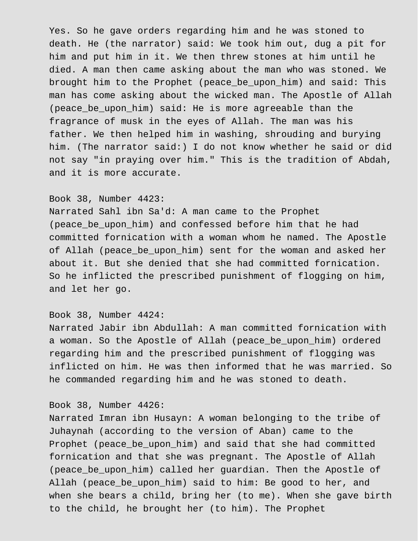Yes. So he gave orders regarding him and he was stoned to death. He (the narrator) said: We took him out, dug a pit for him and put him in it. We then threw stones at him until he died. A man then came asking about the man who was stoned. We brought him to the Prophet (peace\_be\_upon\_him) and said: This man has come asking about the wicked man. The Apostle of Allah (peace\_be\_upon\_him) said: He is more agreeable than the fragrance of musk in the eyes of Allah. The man was his father. We then helped him in washing, shrouding and burying him. (The narrator said:) I do not know whether he said or did not say "in praying over him." This is the tradition of Abdah, and it is more accurate.

#### Book 38, Number 4423:

Narrated Sahl ibn Sa'd: A man came to the Prophet (peace\_be\_upon\_him) and confessed before him that he had committed fornication with a woman whom he named. The Apostle of Allah (peace\_be\_upon\_him) sent for the woman and asked her about it. But she denied that she had committed fornication. So he inflicted the prescribed punishment of flogging on him, and let her go.

#### Book 38, Number 4424:

Narrated Jabir ibn Abdullah: A man committed fornication with a woman. So the Apostle of Allah (peace\_be\_upon\_him) ordered regarding him and the prescribed punishment of flogging was inflicted on him. He was then informed that he was married. So he commanded regarding him and he was stoned to death.

#### Book 38, Number 4426:

Narrated Imran ibn Husayn: A woman belonging to the tribe of Juhaynah (according to the version of Aban) came to the Prophet (peace\_be\_upon\_him) and said that she had committed fornication and that she was pregnant. The Apostle of Allah (peace be upon him) called her quardian. Then the Apostle of Allah (peace\_be\_upon\_him) said to him: Be good to her, and when she bears a child, bring her (to me). When she gave birth to the child, he brought her (to him). The Prophet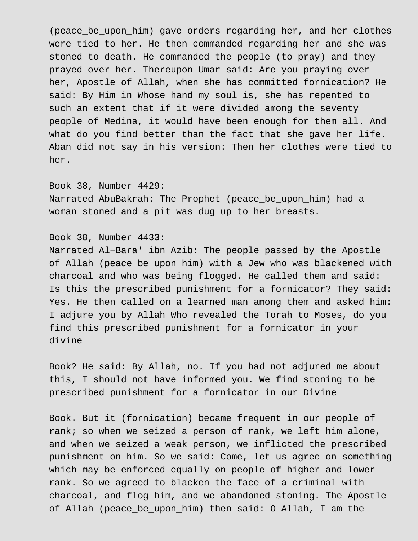(peace be upon him) gave orders regarding her, and her clothes were tied to her. He then commanded regarding her and she was stoned to death. He commanded the people (to pray) and they prayed over her. Thereupon Umar said: Are you praying over her, Apostle of Allah, when she has committed fornication? He said: By Him in Whose hand my soul is, she has repented to such an extent that if it were divided among the seventy people of Medina, it would have been enough for them all. And what do you find better than the fact that she gave her life. Aban did not say in his version: Then her clothes were tied to her.

Book 38, Number 4429: Narrated AbuBakrah: The Prophet (peace\_be\_upon\_him) had a woman stoned and a pit was dug up to her breasts.

Book 38, Number 4433:

Narrated Al−Bara' ibn Azib: The people passed by the Apostle of Allah (peace\_be\_upon\_him) with a Jew who was blackened with charcoal and who was being flogged. He called them and said: Is this the prescribed punishment for a fornicator? They said: Yes. He then called on a learned man among them and asked him: I adjure you by Allah Who revealed the Torah to Moses, do you find this prescribed punishment for a fornicator in your divine

Book? He said: By Allah, no. If you had not adjured me about this, I should not have informed you. We find stoning to be prescribed punishment for a fornicator in our Divine

Book. But it (fornication) became frequent in our people of rank; so when we seized a person of rank, we left him alone, and when we seized a weak person, we inflicted the prescribed punishment on him. So we said: Come, let us agree on something which may be enforced equally on people of higher and lower rank. So we agreed to blacken the face of a criminal with charcoal, and flog him, and we abandoned stoning. The Apostle of Allah (peace\_be\_upon\_him) then said: O Allah, I am the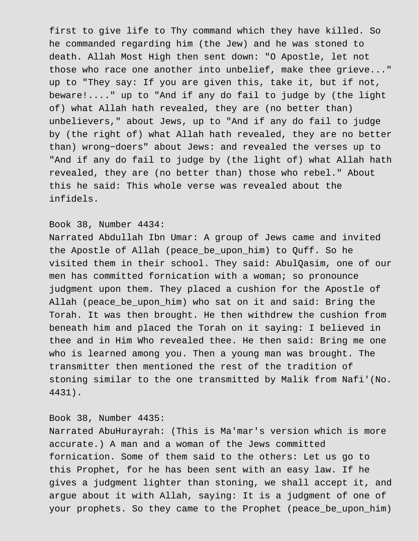first to give life to Thy command which they have killed. So he commanded regarding him (the Jew) and he was stoned to death. Allah Most High then sent down: "O Apostle, let not those who race one another into unbelief, make thee grieve..." up to "They say: If you are given this, take it, but if not, beware!...." up to "And if any do fail to judge by (the light of) what Allah hath revealed, they are (no better than) unbelievers," about Jews, up to "And if any do fail to judge by (the right of) what Allah hath revealed, they are no better than) wrong−doers" about Jews: and revealed the verses up to "And if any do fail to judge by (the light of) what Allah hath revealed, they are (no better than) those who rebel." About this he said: This whole verse was revealed about the infidels.

#### Book 38, Number 4434:

Narrated Abdullah Ibn Umar: A group of Jews came and invited the Apostle of Allah (peace\_be\_upon\_him) to Quff. So he visited them in their school. They said: AbulQasim, one of our men has committed fornication with a woman; so pronounce judgment upon them. They placed a cushion for the Apostle of Allah (peace\_be\_upon\_him) who sat on it and said: Bring the Torah. It was then brought. He then withdrew the cushion from beneath him and placed the Torah on it saying: I believed in thee and in Him Who revealed thee. He then said: Bring me one who is learned among you. Then a young man was brought. The transmitter then mentioned the rest of the tradition of stoning similar to the one transmitted by Malik from Nafi'(No. 4431).

## Book 38, Number 4435:

Narrated AbuHurayrah: (This is Ma'mar's version which is more accurate.) A man and a woman of the Jews committed fornication. Some of them said to the others: Let us go to this Prophet, for he has been sent with an easy law. If he gives a judgment lighter than stoning, we shall accept it, and argue about it with Allah, saying: It is a judgment of one of your prophets. So they came to the Prophet (peace\_be\_upon\_him)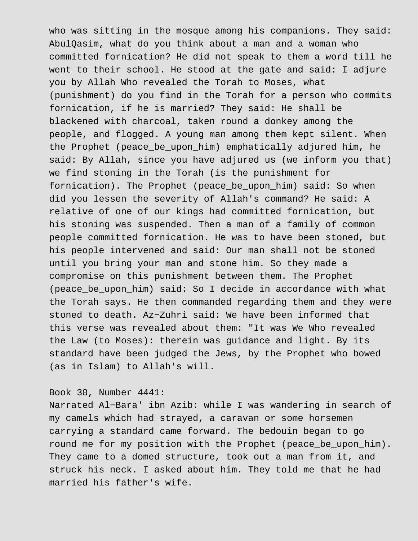who was sitting in the mosque among his companions. They said: AbulQasim, what do you think about a man and a woman who committed fornication? He did not speak to them a word till he went to their school. He stood at the gate and said: I adjure you by Allah Who revealed the Torah to Moses, what (punishment) do you find in the Torah for a person who commits fornication, if he is married? They said: He shall be blackened with charcoal, taken round a donkey among the people, and flogged. A young man among them kept silent. When the Prophet (peace be upon him) emphatically adjured him, he said: By Allah, since you have adjured us (we inform you that) we find stoning in the Torah (is the punishment for fornication). The Prophet (peace\_be\_upon\_him) said: So when did you lessen the severity of Allah's command? He said: A relative of one of our kings had committed fornication, but his stoning was suspended. Then a man of a family of common people committed fornication. He was to have been stoned, but his people intervened and said: Our man shall not be stoned until you bring your man and stone him. So they made a compromise on this punishment between them. The Prophet (peace\_be\_upon\_him) said: So I decide in accordance with what the Torah says. He then commanded regarding them and they were stoned to death. Az−Zuhri said: We have been informed that this verse was revealed about them: "It was We Who revealed the Law (to Moses): therein was guidance and light. By its standard have been judged the Jews, by the Prophet who bowed (as in Islam) to Allah's will.

## Book 38, Number 4441:

Narrated Al−Bara' ibn Azib: while I was wandering in search of my camels which had strayed, a caravan or some horsemen carrying a standard came forward. The bedouin began to go round me for my position with the Prophet (peace be upon him). They came to a domed structure, took out a man from it, and struck his neck. I asked about him. They told me that he had married his father's wife.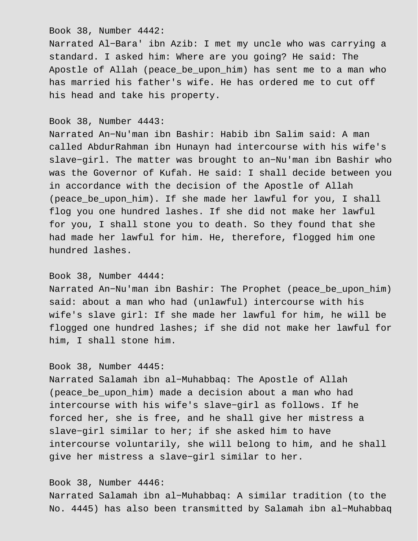#### Book 38, Number 4442:

Narrated Al−Bara' ibn Azib: I met my uncle who was carrying a standard. I asked him: Where are you going? He said: The Apostle of Allah (peace\_be\_upon\_him) has sent me to a man who has married his father's wife. He has ordered me to cut off his head and take his property.

#### Book 38, Number 4443:

Narrated An−Nu'man ibn Bashir: Habib ibn Salim said: A man called AbdurRahman ibn Hunayn had intercourse with his wife's slave−girl. The matter was brought to an−Nu'man ibn Bashir who was the Governor of Kufah. He said: I shall decide between you in accordance with the decision of the Apostle of Allah (peace\_be\_upon\_him). If she made her lawful for you, I shall flog you one hundred lashes. If she did not make her lawful for you, I shall stone you to death. So they found that she had made her lawful for him. He, therefore, flogged him one hundred lashes.

#### Book 38, Number 4444:

Narrated An−Nu'man ibn Bashir: The Prophet (peace\_be\_upon\_him) said: about a man who had (unlawful) intercourse with his wife's slave girl: If she made her lawful for him, he will be flogged one hundred lashes; if she did not make her lawful for him, I shall stone him.

### Book 38, Number 4445:

Narrated Salamah ibn al−Muhabbaq: The Apostle of Allah (peace\_be\_upon\_him) made a decision about a man who had intercourse with his wife's slave−girl as follows. If he forced her, she is free, and he shall give her mistress a slave−girl similar to her; if she asked him to have intercourse voluntarily, she will belong to him, and he shall give her mistress a slave−girl similar to her.

## Book 38, Number 4446:

Narrated Salamah ibn al−Muhabbaq: A similar tradition (to the No. 4445) has also been transmitted by Salamah ibn al−Muhabbaq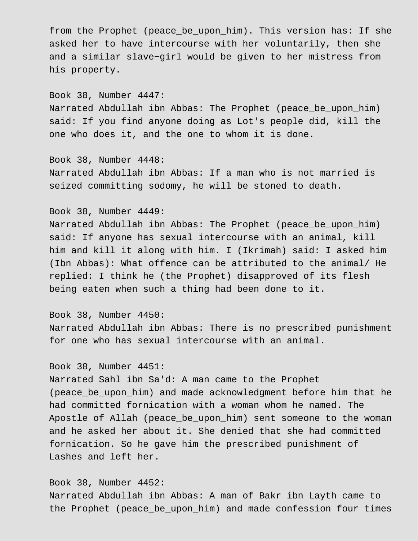from the Prophet (peace be upon him). This version has: If she asked her to have intercourse with her voluntarily, then she and a similar slave−girl would be given to her mistress from his property.

Book 38, Number 4447: Narrated Abdullah ibn Abbas: The Prophet (peace\_be\_upon\_him) said: If you find anyone doing as Lot's people did, kill the one who does it, and the one to whom it is done.

Book 38, Number 4448: Narrated Abdullah ibn Abbas: If a man who is not married is seized committing sodomy, he will be stoned to death.

## Book 38, Number 4449:

Narrated Abdullah ibn Abbas: The Prophet (peace\_be\_upon\_him) said: If anyone has sexual intercourse with an animal, kill him and kill it along with him. I (Ikrimah) said: I asked him (Ibn Abbas): What offence can be attributed to the animal/ He replied: I think he (the Prophet) disapproved of its flesh being eaten when such a thing had been done to it.

Book 38, Number 4450:

Narrated Abdullah ibn Abbas: There is no prescribed punishment for one who has sexual intercourse with an animal.

#### Book 38, Number 4451:

Narrated Sahl ibn Sa'd: A man came to the Prophet (peace\_be\_upon\_him) and made acknowledgment before him that he had committed fornication with a woman whom he named. The Apostle of Allah (peace be upon him) sent someone to the woman and he asked her about it. She denied that she had committed fornication. So he gave him the prescribed punishment of Lashes and left her.

## Book 38, Number 4452:

Narrated Abdullah ibn Abbas: A man of Bakr ibn Layth came to the Prophet (peace\_be\_upon\_him) and made confession four times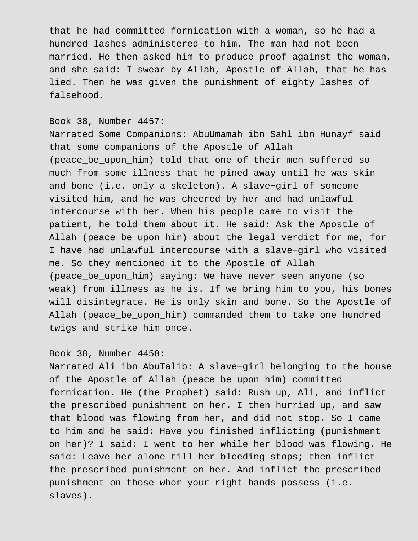that he had committed fornication with a woman, so he had a hundred lashes administered to him. The man had not been married. He then asked him to produce proof against the woman, and she said: I swear by Allah, Apostle of Allah, that he has lied. Then he was given the punishment of eighty lashes of falsehood.

## Book 38, Number 4457:

Narrated Some Companions: AbuUmamah ibn Sahl ibn Hunayf said that some companions of the Apostle of Allah (peace\_be\_upon\_him) told that one of their men suffered so much from some illness that he pined away until he was skin and bone (i.e. only a skeleton). A slave−girl of someone visited him, and he was cheered by her and had unlawful intercourse with her. When his people came to visit the patient, he told them about it. He said: Ask the Apostle of Allah (peace\_be\_upon\_him) about the legal verdict for me, for I have had unlawful intercourse with a slave−girl who visited me. So they mentioned it to the Apostle of Allah (peace\_be\_upon\_him) saying: We have never seen anyone (so weak) from illness as he is. If we bring him to you, his bones will disintegrate. He is only skin and bone. So the Apostle of Allah (peace\_be\_upon\_him) commanded them to take one hundred twigs and strike him once.

#### Book 38, Number 4458:

Narrated Ali ibn AbuTalib: A slave−girl belonging to the house of the Apostle of Allah (peace\_be\_upon\_him) committed fornication. He (the Prophet) said: Rush up, Ali, and inflict the prescribed punishment on her. I then hurried up, and saw that blood was flowing from her, and did not stop. So I came to him and he said: Have you finished inflicting (punishment on her)? I said: I went to her while her blood was flowing. He said: Leave her alone till her bleeding stops; then inflict the prescribed punishment on her. And inflict the prescribed punishment on those whom your right hands possess (i.e. slaves).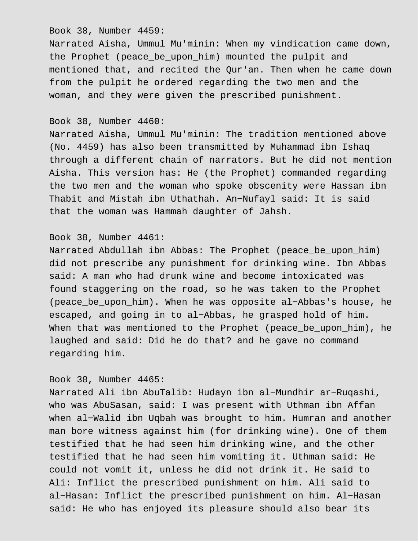#### Book 38, Number 4459:

Narrated Aisha, Ummul Mu'minin: When my vindication came down, the Prophet (peace be upon him) mounted the pulpit and mentioned that, and recited the Qur'an. Then when he came down from the pulpit he ordered regarding the two men and the woman, and they were given the prescribed punishment.

## Book 38, Number 4460:

Narrated Aisha, Ummul Mu'minin: The tradition mentioned above (No. 4459) has also been transmitted by Muhammad ibn Ishaq through a different chain of narrators. But he did not mention Aisha. This version has: He (the Prophet) commanded regarding the two men and the woman who spoke obscenity were Hassan ibn Thabit and Mistah ibn Uthathah. An−Nufayl said: It is said that the woman was Hammah daughter of Jahsh.

## Book 38, Number 4461:

Narrated Abdullah ibn Abbas: The Prophet (peace\_be\_upon\_him) did not prescribe any punishment for drinking wine. Ibn Abbas said: A man who had drunk wine and become intoxicated was found staggering on the road, so he was taken to the Prophet (peace\_be\_upon\_him). When he was opposite al−Abbas's house, he escaped, and going in to al−Abbas, he grasped hold of him. When that was mentioned to the Prophet (peace be upon him), he laughed and said: Did he do that? and he gave no command regarding him.

## Book 38, Number 4465:

Narrated Ali ibn AbuTalib: Hudayn ibn al−Mundhir ar−Ruqashi, who was AbuSasan, said: I was present with Uthman ibn Affan when al−Walid ibn Uqbah was brought to him. Humran and another man bore witness against him (for drinking wine). One of them testified that he had seen him drinking wine, and the other testified that he had seen him vomiting it. Uthman said: He could not vomit it, unless he did not drink it. He said to Ali: Inflict the prescribed punishment on him. Ali said to al−Hasan: Inflict the prescribed punishment on him. Al−Hasan said: He who has enjoyed its pleasure should also bear its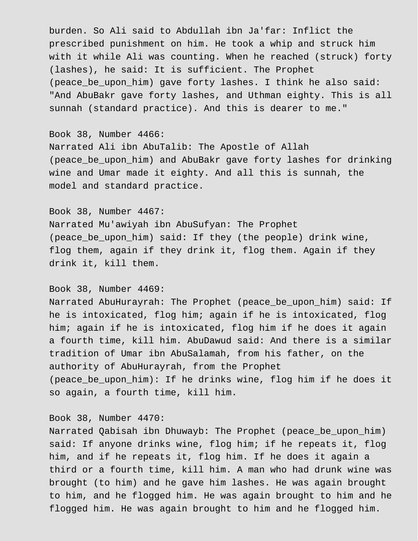burden. So Ali said to Abdullah ibn Ja'far: Inflict the prescribed punishment on him. He took a whip and struck him with it while Ali was counting. When he reached (struck) forty (lashes), he said: It is sufficient. The Prophet (peace\_be\_upon\_him) gave forty lashes. I think he also said: "And AbuBakr gave forty lashes, and Uthman eighty. This is all sunnah (standard practice). And this is dearer to me."

### Book 38, Number 4466:

Narrated Ali ibn AbuTalib: The Apostle of Allah (peace be upon him) and AbuBakr gave forty lashes for drinking wine and Umar made it eighty. And all this is sunnah, the model and standard practice.

#### Book 38, Number 4467:

Narrated Mu'awiyah ibn AbuSufyan: The Prophet (peace be upon him) said: If they (the people) drink wine, flog them, again if they drink it, flog them. Again if they drink it, kill them.

#### Book 38, Number 4469:

Narrated AbuHurayrah: The Prophet (peace be upon him) said: If he is intoxicated, flog him; again if he is intoxicated, flog him; again if he is intoxicated, flog him if he does it again a fourth time, kill him. AbuDawud said: And there is a similar tradition of Umar ibn AbuSalamah, from his father, on the authority of AbuHurayrah, from the Prophet (peace\_be\_upon\_him): If he drinks wine, flog him if he does it so again, a fourth time, kill him.

## Book 38, Number 4470:

Narrated Qabisah ibn Dhuwayb: The Prophet (peace\_be\_upon\_him) said: If anyone drinks wine, flog him; if he repeats it, flog him, and if he repeats it, flog him. If he does it again a third or a fourth time, kill him. A man who had drunk wine was brought (to him) and he gave him lashes. He was again brought to him, and he flogged him. He was again brought to him and he flogged him. He was again brought to him and he flogged him.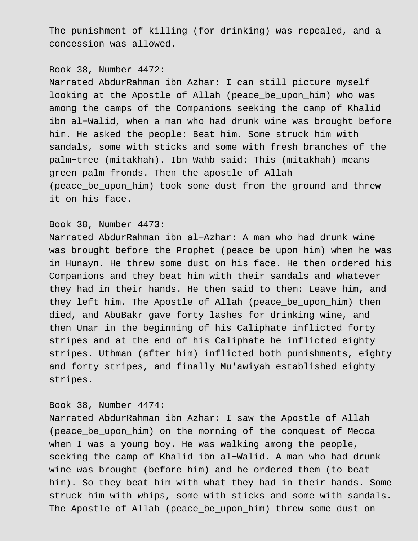The punishment of killing (for drinking) was repealed, and a concession was allowed.

## Book 38, Number 4472:

Narrated AbdurRahman ibn Azhar: I can still picture myself looking at the Apostle of Allah (peace\_be\_upon\_him) who was among the camps of the Companions seeking the camp of Khalid ibn al−Walid, when a man who had drunk wine was brought before him. He asked the people: Beat him. Some struck him with sandals, some with sticks and some with fresh branches of the palm−tree (mitakhah). Ibn Wahb said: This (mitakhah) means green palm fronds. Then the apostle of Allah (peace be upon him) took some dust from the ground and threw it on his face.

#### Book 38, Number 4473:

Narrated AbdurRahman ibn al−Azhar: A man who had drunk wine was brought before the Prophet (peace\_be\_upon\_him) when he was in Hunayn. He threw some dust on his face. He then ordered his Companions and they beat him with their sandals and whatever they had in their hands. He then said to them: Leave him, and they left him. The Apostle of Allah (peace\_be\_upon\_him) then died, and AbuBakr gave forty lashes for drinking wine, and then Umar in the beginning of his Caliphate inflicted forty stripes and at the end of his Caliphate he inflicted eighty stripes. Uthman (after him) inflicted both punishments, eighty and forty stripes, and finally Mu'awiyah established eighty stripes.

#### Book 38, Number 4474:

Narrated AbdurRahman ibn Azhar: I saw the Apostle of Allah (peace\_be\_upon\_him) on the morning of the conquest of Mecca when I was a young boy. He was walking among the people, seeking the camp of Khalid ibn al−Walid. A man who had drunk wine was brought (before him) and he ordered them (to beat him). So they beat him with what they had in their hands. Some struck him with whips, some with sticks and some with sandals. The Apostle of Allah (peace be upon him) threw some dust on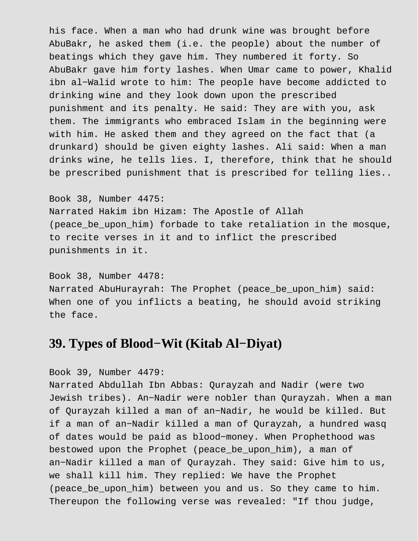his face. When a man who had drunk wine was brought before AbuBakr, he asked them (i.e. the people) about the number of beatings which they gave him. They numbered it forty. So AbuBakr gave him forty lashes. When Umar came to power, Khalid ibn al−Walid wrote to him: The people have become addicted to drinking wine and they look down upon the prescribed punishment and its penalty. He said: They are with you, ask them. The immigrants who embraced Islam in the beginning were with him. He asked them and they agreed on the fact that (a drunkard) should be given eighty lashes. Ali said: When a man drinks wine, he tells lies. I, therefore, think that he should be prescribed punishment that is prescribed for telling lies..

Book 38, Number 4475: Narrated Hakim ibn Hizam: The Apostle of Allah (peace be upon him) forbade to take retaliation in the mosque, to recite verses in it and to inflict the prescribed punishments in it.

Book 38, Number 4478: Narrated AbuHurayrah: The Prophet (peace be upon him) said: When one of you inflicts a beating, he should avoid striking the face.

# **39. Types of Blood−Wit (Kitab Al−Diyat)**

## Book 39, Number 4479:

Narrated Abdullah Ibn Abbas: Qurayzah and Nadir (were two Jewish tribes). An−Nadir were nobler than Qurayzah. When a man of Qurayzah killed a man of an−Nadir, he would be killed. But if a man of an−Nadir killed a man of Qurayzah, a hundred wasq of dates would be paid as blood−money. When Prophethood was bestowed upon the Prophet (peace\_be\_upon\_him), a man of an−Nadir killed a man of Qurayzah. They said: Give him to us, we shall kill him. They replied: We have the Prophet (peace be upon him) between you and us. So they came to him. Thereupon the following verse was revealed: "If thou judge,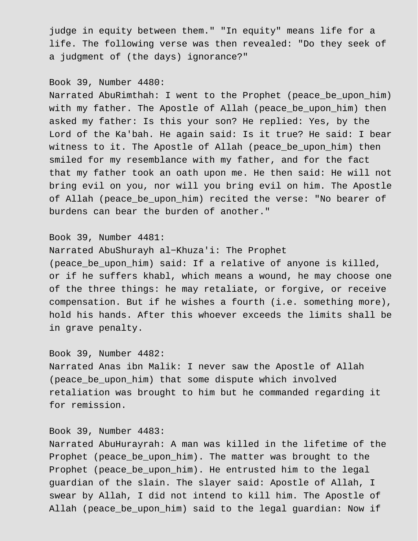judge in equity between them." "In equity" means life for a life. The following verse was then revealed: "Do they seek of a judgment of (the days) ignorance?"

## Book 39, Number 4480:

Narrated AbuRimthah: I went to the Prophet (peace be upon him) with my father. The Apostle of Allah (peace\_be\_upon\_him) then asked my father: Is this your son? He replied: Yes, by the Lord of the Ka'bah. He again said: Is it true? He said: I bear witness to it. The Apostle of Allah (peace be upon him) then smiled for my resemblance with my father, and for the fact that my father took an oath upon me. He then said: He will not bring evil on you, nor will you bring evil on him. The Apostle of Allah (peace\_be\_upon\_him) recited the verse: "No bearer of burdens can bear the burden of another."

## Book 39, Number 4481:

#### Narrated AbuShurayh al−Khuza'i: The Prophet

(peace\_be\_upon\_him) said: If a relative of anyone is killed, or if he suffers khabl, which means a wound, he may choose one of the three things: he may retaliate, or forgive, or receive compensation. But if he wishes a fourth (i.e. something more), hold his hands. After this whoever exceeds the limits shall be in grave penalty.

## Book 39, Number 4482:

Narrated Anas ibn Malik: I never saw the Apostle of Allah (peace\_be\_upon\_him) that some dispute which involved retaliation was brought to him but he commanded regarding it for remission.

## Book 39, Number 4483:

Narrated AbuHurayrah: A man was killed in the lifetime of the Prophet (peace\_be\_upon\_him). The matter was brought to the Prophet (peace be upon him). He entrusted him to the legal guardian of the slain. The slayer said: Apostle of Allah, I swear by Allah, I did not intend to kill him. The Apostle of Allah (peace\_be\_upon\_him) said to the legal guardian: Now if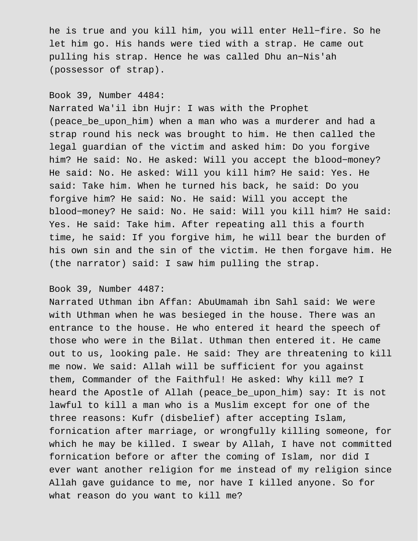he is true and you kill him, you will enter Hell−fire. So he let him go. His hands were tied with a strap. He came out pulling his strap. Hence he was called Dhu an−Nis'ah (possessor of strap).

## Book 39, Number 4484:

Narrated Wa'il ibn Hujr: I was with the Prophet (peace\_be\_upon\_him) when a man who was a murderer and had a strap round his neck was brought to him. He then called the legal guardian of the victim and asked him: Do you forgive him? He said: No. He asked: Will you accept the blood−money? He said: No. He asked: Will you kill him? He said: Yes. He said: Take him. When he turned his back, he said: Do you forgive him? He said: No. He said: Will you accept the blood−money? He said: No. He said: Will you kill him? He said: Yes. He said: Take him. After repeating all this a fourth time, he said: If you forgive him, he will bear the burden of his own sin and the sin of the victim. He then forgave him. He (the narrator) said: I saw him pulling the strap.

## Book 39, Number 4487:

Narrated Uthman ibn Affan: AbuUmamah ibn Sahl said: We were with Uthman when he was besieged in the house. There was an entrance to the house. He who entered it heard the speech of those who were in the Bilat. Uthman then entered it. He came out to us, looking pale. He said: They are threatening to kill me now. We said: Allah will be sufficient for you against them, Commander of the Faithful! He asked: Why kill me? I heard the Apostle of Allah (peace\_be\_upon\_him) say: It is not lawful to kill a man who is a Muslim except for one of the three reasons: Kufr (disbelief) after accepting Islam, fornication after marriage, or wrongfully killing someone, for which he may be killed. I swear by Allah, I have not committed fornication before or after the coming of Islam, nor did I ever want another religion for me instead of my religion since Allah gave guidance to me, nor have I killed anyone. So for what reason do you want to kill me?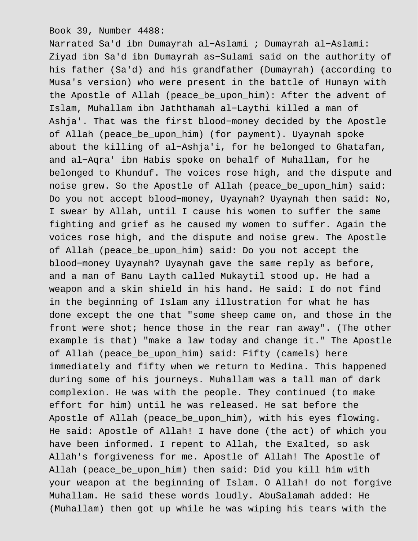Book 39, Number 4488:

Narrated Sa'd ibn Dumayrah al−Aslami ; Dumayrah al−Aslami: Ziyad ibn Sa'd ibn Dumayrah as−Sulami said on the authority of his father (Sa'd) and his grandfather (Dumayrah) (according to Musa's version) who were present in the battle of Hunayn with the Apostle of Allah (peace\_be\_upon\_him): After the advent of Islam, Muhallam ibn Jaththamah al−Laythi killed a man of Ashja'. That was the first blood−money decided by the Apostle of Allah (peace\_be\_upon\_him) (for payment). Uyaynah spoke about the killing of al−Ashja'i, for he belonged to Ghatafan, and al−Aqra' ibn Habis spoke on behalf of Muhallam, for he belonged to Khunduf. The voices rose high, and the dispute and noise grew. So the Apostle of Allah (peace\_be\_upon\_him) said: Do you not accept blood−money, Uyaynah? Uyaynah then said: No, I swear by Allah, until I cause his women to suffer the same fighting and grief as he caused my women to suffer. Again the voices rose high, and the dispute and noise grew. The Apostle of Allah (peace\_be\_upon\_him) said: Do you not accept the blood−money Uyaynah? Uyaynah gave the same reply as before, and a man of Banu Layth called Mukaytil stood up. He had a weapon and a skin shield in his hand. He said: I do not find in the beginning of Islam any illustration for what he has done except the one that "some sheep came on, and those in the front were shot; hence those in the rear ran away". (The other example is that) "make a law today and change it." The Apostle of Allah (peace be upon him) said: Fifty (camels) here immediately and fifty when we return to Medina. This happened during some of his journeys. Muhallam was a tall man of dark complexion. He was with the people. They continued (to make effort for him) until he was released. He sat before the Apostle of Allah (peace be upon him), with his eyes flowing. He said: Apostle of Allah! I have done (the act) of which you have been informed. I repent to Allah, the Exalted, so ask Allah's forgiveness for me. Apostle of Allah! The Apostle of Allah (peace be upon him) then said: Did you kill him with your weapon at the beginning of Islam. O Allah! do not forgive Muhallam. He said these words loudly. AbuSalamah added: He (Muhallam) then got up while he was wiping his tears with the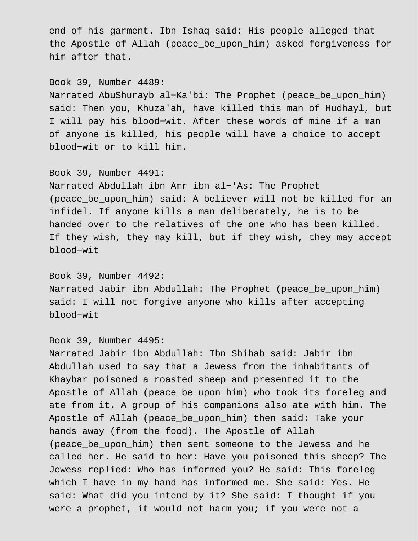end of his garment. Ibn Ishaq said: His people alleged that the Apostle of Allah (peace\_be\_upon\_him) asked forgiveness for him after that.

Book 39, Number 4489: Narrated AbuShurayb al−Ka'bi: The Prophet (peace be upon him) said: Then you, Khuza'ah, have killed this man of Hudhayl, but I will pay his blood−wit. After these words of mine if a man of anyone is killed, his people will have a choice to accept blood−wit or to kill him.

#### Book 39, Number 4491:

Narrated Abdullah ibn Amr ibn al−'As: The Prophet (peace\_be\_upon\_him) said: A believer will not be killed for an infidel. If anyone kills a man deliberately, he is to be handed over to the relatives of the one who has been killed. If they wish, they may kill, but if they wish, they may accept blood−wit

Book 39, Number 4492: Narrated Jabir ibn Abdullah: The Prophet (peace\_be\_upon\_him) said: I will not forgive anyone who kills after accepting blood−wit

Book 39, Number 4495:

Narrated Jabir ibn Abdullah: Ibn Shihab said: Jabir ibn Abdullah used to say that a Jewess from the inhabitants of Khaybar poisoned a roasted sheep and presented it to the Apostle of Allah (peace\_be\_upon\_him) who took its foreleg and ate from it. A group of his companions also ate with him. The Apostle of Allah (peace be upon him) then said: Take your hands away (from the food). The Apostle of Allah (peace\_be\_upon\_him) then sent someone to the Jewess and he called her. He said to her: Have you poisoned this sheep? The Jewess replied: Who has informed you? He said: This foreleg which I have in my hand has informed me. She said: Yes. He said: What did you intend by it? She said: I thought if you were a prophet, it would not harm you; if you were not a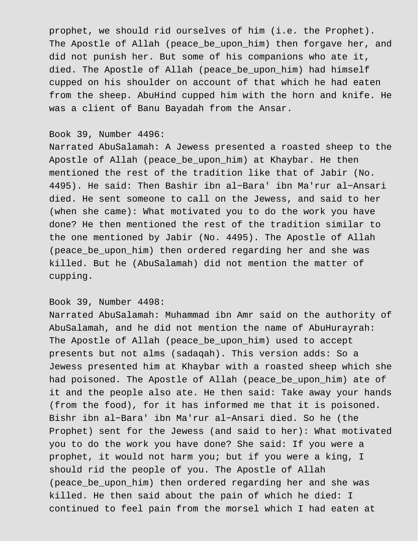prophet, we should rid ourselves of him (i.e. the Prophet). The Apostle of Allah (peace\_be\_upon\_him) then forgave her, and did not punish her. But some of his companions who ate it, died. The Apostle of Allah (peace\_be\_upon\_him) had himself cupped on his shoulder on account of that which he had eaten from the sheep. AbuHind cupped him with the horn and knife. He was a client of Banu Bayadah from the Ansar.

## Book 39, Number 4496:

Narrated AbuSalamah: A Jewess presented a roasted sheep to the Apostle of Allah (peace\_be\_upon\_him) at Khaybar. He then mentioned the rest of the tradition like that of Jabir (No. 4495). He said: Then Bashir ibn al−Bara' ibn Ma'rur al−Ansari died. He sent someone to call on the Jewess, and said to her (when she came): What motivated you to do the work you have done? He then mentioned the rest of the tradition similar to the one mentioned by Jabir (No. 4495). The Apostle of Allah (peace\_be\_upon\_him) then ordered regarding her and she was killed. But he (AbuSalamah) did not mention the matter of cupping.

## Book 39, Number 4498:

Narrated AbuSalamah: Muhammad ibn Amr said on the authority of AbuSalamah, and he did not mention the name of AbuHurayrah: The Apostle of Allah (peace\_be\_upon\_him) used to accept presents but not alms (sadaqah). This version adds: So a Jewess presented him at Khaybar with a roasted sheep which she had poisoned. The Apostle of Allah (peace\_be\_upon\_him) ate of it and the people also ate. He then said: Take away your hands (from the food), for it has informed me that it is poisoned. Bishr ibn al−Bara' ibn Ma'rur al−Ansari died. So he (the Prophet) sent for the Jewess (and said to her): What motivated you to do the work you have done? She said: If you were a prophet, it would not harm you; but if you were a king, I should rid the people of you. The Apostle of Allah (peace\_be\_upon\_him) then ordered regarding her and she was killed. He then said about the pain of which he died: I continued to feel pain from the morsel which I had eaten at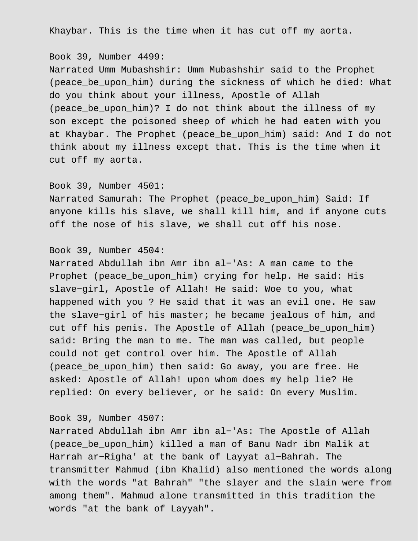Khaybar. This is the time when it has cut off my aorta.

#### Book 39, Number 4499:

Narrated Umm Mubashshir: Umm Mubashshir said to the Prophet (peace be upon him) during the sickness of which he died: What do you think about your illness, Apostle of Allah (peace\_be\_upon\_him)? I do not think about the illness of my son except the poisoned sheep of which he had eaten with you at Khaybar. The Prophet (peace\_be\_upon\_him) said: And I do not think about my illness except that. This is the time when it cut off my aorta.

#### Book 39, Number 4501:

Narrated Samurah: The Prophet (peace\_be\_upon\_him) Said: If anyone kills his slave, we shall kill him, and if anyone cuts off the nose of his slave, we shall cut off his nose.

#### Book 39, Number 4504:

Narrated Abdullah ibn Amr ibn al−'As: A man came to the Prophet (peace\_be\_upon\_him) crying for help. He said: His slave−girl, Apostle of Allah! He said: Woe to you, what happened with you ? He said that it was an evil one. He saw the slave−girl of his master; he became jealous of him, and cut off his penis. The Apostle of Allah (peace\_be\_upon\_him) said: Bring the man to me. The man was called, but people could not get control over him. The Apostle of Allah (peace\_be\_upon\_him) then said: Go away, you are free. He asked: Apostle of Allah! upon whom does my help lie? He replied: On every believer, or he said: On every Muslim.

## Book 39, Number 4507:

Narrated Abdullah ibn Amr ibn al−'As: The Apostle of Allah (peace\_be\_upon\_him) killed a man of Banu Nadr ibn Malik at Harrah ar−Righa' at the bank of Layyat al−Bahrah. The transmitter Mahmud (ibn Khalid) also mentioned the words along with the words "at Bahrah" "the slayer and the slain were from among them". Mahmud alone transmitted in this tradition the words "at the bank of Layyah".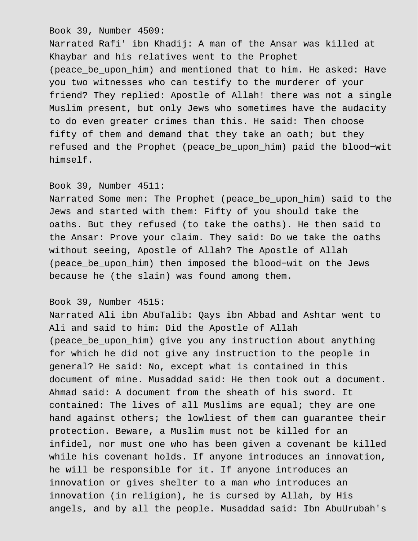Book 39, Number 4509:

Narrated Rafi' ibn Khadij: A man of the Ansar was killed at Khaybar and his relatives went to the Prophet (peace\_be\_upon\_him) and mentioned that to him. He asked: Have you two witnesses who can testify to the murderer of your friend? They replied: Apostle of Allah! there was not a single Muslim present, but only Jews who sometimes have the audacity to do even greater crimes than this. He said: Then choose fifty of them and demand that they take an oath; but they refused and the Prophet (peace\_be\_upon\_him) paid the blood−wit himself.

#### Book 39, Number 4511:

Narrated Some men: The Prophet (peace\_be\_upon\_him) said to the Jews and started with them: Fifty of you should take the oaths. But they refused (to take the oaths). He then said to the Ansar: Prove your claim. They said: Do we take the oaths without seeing, Apostle of Allah? The Apostle of Allah (peace\_be\_upon\_him) then imposed the blood−wit on the Jews because he (the slain) was found among them.

## Book 39, Number 4515:

Narrated Ali ibn AbuTalib: Qays ibn Abbad and Ashtar went to Ali and said to him: Did the Apostle of Allah (peace\_be\_upon\_him) give you any instruction about anything for which he did not give any instruction to the people in general? He said: No, except what is contained in this document of mine. Musaddad said: He then took out a document. Ahmad said: A document from the sheath of his sword. It contained: The lives of all Muslims are equal; they are one hand against others; the lowliest of them can guarantee their protection. Beware, a Muslim must not be killed for an infidel, nor must one who has been given a covenant be killed while his covenant holds. If anyone introduces an innovation, he will be responsible for it. If anyone introduces an innovation or gives shelter to a man who introduces an innovation (in religion), he is cursed by Allah, by His angels, and by all the people. Musaddad said: Ibn AbuUrubah's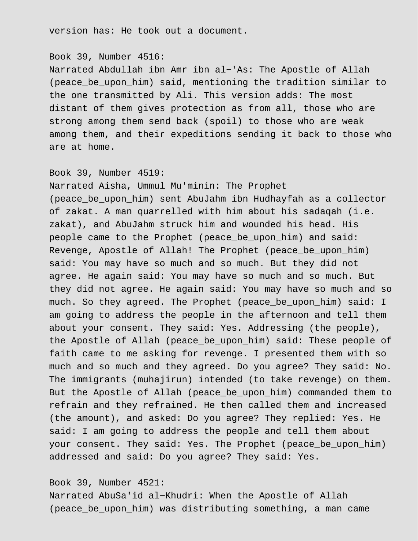version has: He took out a document.

#### Book 39, Number 4516:

Narrated Abdullah ibn Amr ibn al−'As: The Apostle of Allah (peace be upon him) said, mentioning the tradition similar to the one transmitted by Ali. This version adds: The most distant of them gives protection as from all, those who are strong among them send back (spoil) to those who are weak among them, and their expeditions sending it back to those who are at home.

## Book 39, Number 4519:

Narrated Aisha, Ummul Mu'minin: The Prophet (peace\_be\_upon\_him) sent AbuJahm ibn Hudhayfah as a collector of zakat. A man quarrelled with him about his sadaqah (i.e. zakat), and AbuJahm struck him and wounded his head. His people came to the Prophet (peace\_be\_upon\_him) and said: Revenge, Apostle of Allah! The Prophet (peace\_be\_upon\_him) said: You may have so much and so much. But they did not agree. He again said: You may have so much and so much. But they did not agree. He again said: You may have so much and so much. So they agreed. The Prophet (peace\_be\_upon\_him) said: I am going to address the people in the afternoon and tell them about your consent. They said: Yes. Addressing (the people), the Apostle of Allah (peace\_be\_upon\_him) said: These people of faith came to me asking for revenge. I presented them with so much and so much and they agreed. Do you agree? They said: No. The immigrants (muhajirun) intended (to take revenge) on them. But the Apostle of Allah (peace\_be\_upon\_him) commanded them to refrain and they refrained. He then called them and increased (the amount), and asked: Do you agree? They replied: Yes. He said: I am going to address the people and tell them about your consent. They said: Yes. The Prophet (peace be upon him) addressed and said: Do you agree? They said: Yes.

## Book 39, Number 4521:

Narrated AbuSa'id al−Khudri: When the Apostle of Allah (peace\_be\_upon\_him) was distributing something, a man came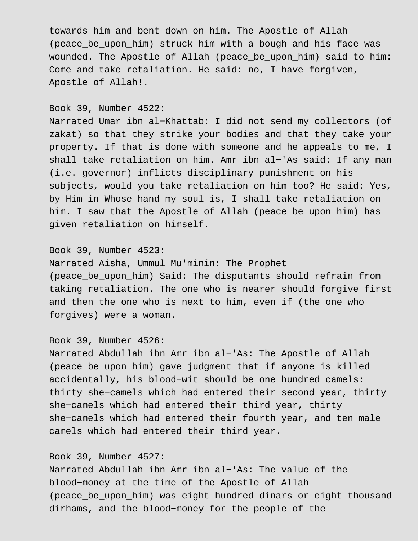towards him and bent down on him. The Apostle of Allah (peace\_be\_upon\_him) struck him with a bough and his face was wounded. The Apostle of Allah (peace be upon him) said to him: Come and take retaliation. He said: no, I have forgiven, Apostle of Allah!.

## Book 39, Number 4522:

Narrated Umar ibn al−Khattab: I did not send my collectors (of zakat) so that they strike your bodies and that they take your property. If that is done with someone and he appeals to me, I shall take retaliation on him. Amr ibn al−'As said: If any man (i.e. governor) inflicts disciplinary punishment on his subjects, would you take retaliation on him too? He said: Yes, by Him in Whose hand my soul is, I shall take retaliation on him. I saw that the Apostle of Allah (peace be upon him) has given retaliation on himself.

## Book 39, Number 4523:

Narrated Aisha, Ummul Mu'minin: The Prophet (peace\_be\_upon\_him) Said: The disputants should refrain from taking retaliation. The one who is nearer should forgive first and then the one who is next to him, even if (the one who forgives) were a woman.

### Book 39, Number 4526:

Narrated Abdullah ibn Amr ibn al−'As: The Apostle of Allah (peace\_be\_upon\_him) gave judgment that if anyone is killed accidentally, his blood−wit should be one hundred camels: thirty she−camels which had entered their second year, thirty she−camels which had entered their third year, thirty she−camels which had entered their fourth year, and ten male camels which had entered their third year.

#### Book 39, Number 4527:

Narrated Abdullah ibn Amr ibn al−'As: The value of the blood−money at the time of the Apostle of Allah (peace\_be\_upon\_him) was eight hundred dinars or eight thousand dirhams, and the blood−money for the people of the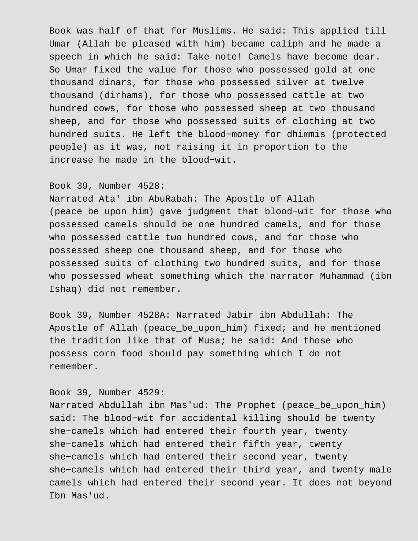Book was half of that for Muslims. He said: This applied till Umar (Allah be pleased with him) became caliph and he made a speech in which he said: Take note! Camels have become dear. So Umar fixed the value for those who possessed gold at one thousand dinars, for those who possessed silver at twelve thousand (dirhams), for those who possessed cattle at two hundred cows, for those who possessed sheep at two thousand sheep, and for those who possessed suits of clothing at two hundred suits. He left the blood−money for dhimmis (protected people) as it was, not raising it in proportion to the increase he made in the blood−wit.

#### Book 39, Number 4528:

Narrated Ata' ibn AbuRabah: The Apostle of Allah (peace\_be\_upon\_him) gave judgment that blood−wit for those who possessed camels should be one hundred camels, and for those who possessed cattle two hundred cows, and for those who possessed sheep one thousand sheep, and for those who possessed suits of clothing two hundred suits, and for those who possessed wheat something which the narrator Muhammad (ibn Ishaq) did not remember.

Book 39, Number 4528A: Narrated Jabir ibn Abdullah: The Apostle of Allah (peace\_be\_upon\_him) fixed; and he mentioned the tradition like that of Musa; he said: And those who possess corn food should pay something which I do not remember.

## Book 39, Number 4529:

Narrated Abdullah ibn Mas'ud: The Prophet (peace\_be\_upon\_him) said: The blood−wit for accidental killing should be twenty she−camels which had entered their fourth year, twenty she−camels which had entered their fifth year, twenty she−camels which had entered their second year, twenty she−camels which had entered their third year, and twenty male camels which had entered their second year. It does not beyond Ibn Mas'ud.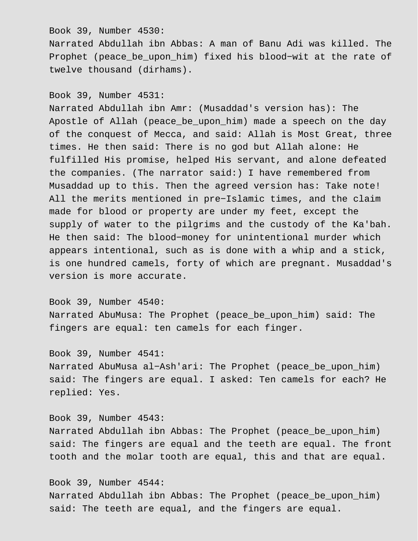#### Book 39, Number 4530:

Narrated Abdullah ibn Abbas: A man of Banu Adi was killed. The Prophet (peace\_be\_upon\_him) fixed his blood−wit at the rate of twelve thousand (dirhams).

#### Book 39, Number 4531:

Narrated Abdullah ibn Amr: (Musaddad's version has): The Apostle of Allah (peace\_be\_upon\_him) made a speech on the day of the conquest of Mecca, and said: Allah is Most Great, three times. He then said: There is no god but Allah alone: He fulfilled His promise, helped His servant, and alone defeated the companies. (The narrator said:) I have remembered from Musaddad up to this. Then the agreed version has: Take note! All the merits mentioned in pre−Islamic times, and the claim made for blood or property are under my feet, except the supply of water to the pilgrims and the custody of the Ka'bah. He then said: The blood−money for unintentional murder which appears intentional, such as is done with a whip and a stick, is one hundred camels, forty of which are pregnant. Musaddad's version is more accurate.

Book 39, Number 4540: Narrated AbuMusa: The Prophet (peace\_be\_upon\_him) said: The fingers are equal: ten camels for each finger.

Book 39, Number 4541: Narrated AbuMusa al−Ash'ari: The Prophet (peace\_be\_upon\_him) said: The fingers are equal. I asked: Ten camels for each? He replied: Yes.

Book 39, Number 4543: Narrated Abdullah ibn Abbas: The Prophet (peace\_be\_upon\_him) said: The fingers are equal and the teeth are equal. The front tooth and the molar tooth are equal, this and that are equal.

Book 39, Number 4544: Narrated Abdullah ibn Abbas: The Prophet (peace\_be\_upon\_him) said: The teeth are equal, and the fingers are equal.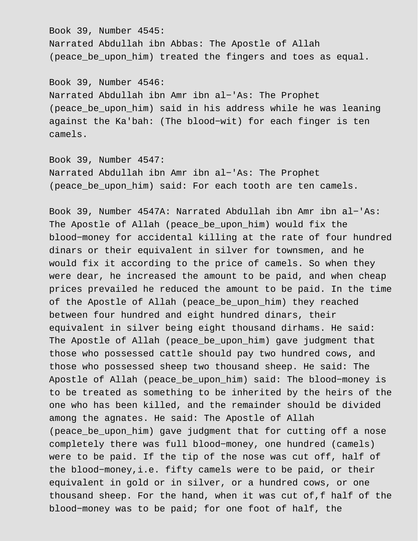Book 39, Number 4545: Narrated Abdullah ibn Abbas: The Apostle of Allah (peace be upon him) treated the fingers and toes as equal.

Book 39, Number 4546: Narrated Abdullah ibn Amr ibn al−'As: The Prophet (peace\_be\_upon\_him) said in his address while he was leaning against the Ka'bah: (The blood−wit) for each finger is ten camels.

Book 39, Number 4547: Narrated Abdullah ibn Amr ibn al−'As: The Prophet (peace\_be\_upon\_him) said: For each tooth are ten camels.

Book 39, Number 4547A: Narrated Abdullah ibn Amr ibn al−'As: The Apostle of Allah (peace\_be\_upon\_him) would fix the blood−money for accidental killing at the rate of four hundred dinars or their equivalent in silver for townsmen, and he would fix it according to the price of camels. So when they were dear, he increased the amount to be paid, and when cheap prices prevailed he reduced the amount to be paid. In the time of the Apostle of Allah (peace be upon him) they reached between four hundred and eight hundred dinars, their equivalent in silver being eight thousand dirhams. He said: The Apostle of Allah (peace\_be\_upon\_him) gave judgment that those who possessed cattle should pay two hundred cows, and those who possessed sheep two thousand sheep. He said: The Apostle of Allah (peace\_be\_upon\_him) said: The blood−money is to be treated as something to be inherited by the heirs of the one who has been killed, and the remainder should be divided among the agnates. He said: The Apostle of Allah (peace\_be\_upon\_him) gave judgment that for cutting off a nose completely there was full blood−money, one hundred (camels) were to be paid. If the tip of the nose was cut off, half of the blood−money,i.e. fifty camels were to be paid, or their equivalent in gold or in silver, or a hundred cows, or one thousand sheep. For the hand, when it was cut of,f half of the blood−money was to be paid; for one foot of half, the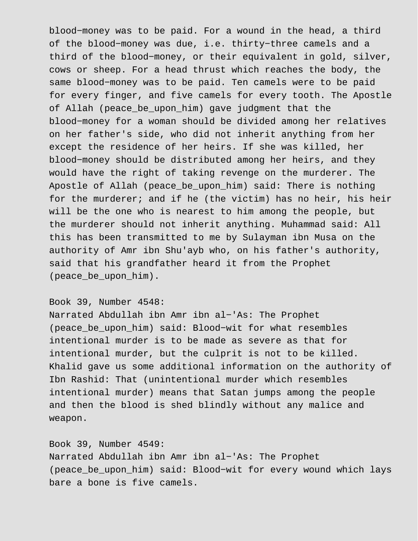blood−money was to be paid. For a wound in the head, a third of the blood−money was due, i.e. thirty−three camels and a third of the blood−money, or their equivalent in gold, silver, cows or sheep. For a head thrust which reaches the body, the same blood−money was to be paid. Ten camels were to be paid for every finger, and five camels for every tooth. The Apostle of Allah (peace\_be\_upon\_him) gave judgment that the blood−money for a woman should be divided among her relatives on her father's side, who did not inherit anything from her except the residence of her heirs. If she was killed, her blood−money should be distributed among her heirs, and they would have the right of taking revenge on the murderer. The Apostle of Allah (peace\_be\_upon\_him) said: There is nothing for the murderer; and if he (the victim) has no heir, his heir will be the one who is nearest to him among the people, but the murderer should not inherit anything. Muhammad said: All this has been transmitted to me by Sulayman ibn Musa on the authority of Amr ibn Shu'ayb who, on his father's authority, said that his grandfather heard it from the Prophet (peace\_be\_upon\_him).

## Book 39, Number 4548:

Narrated Abdullah ibn Amr ibn al−'As: The Prophet (peace\_be\_upon\_him) said: Blood−wit for what resembles intentional murder is to be made as severe as that for intentional murder, but the culprit is not to be killed. Khalid gave us some additional information on the authority of Ibn Rashid: That (unintentional murder which resembles intentional murder) means that Satan jumps among the people and then the blood is shed blindly without any malice and weapon.

Book 39, Number 4549:

Narrated Abdullah ibn Amr ibn al−'As: The Prophet (peace\_be\_upon\_him) said: Blood−wit for every wound which lays bare a bone is five camels.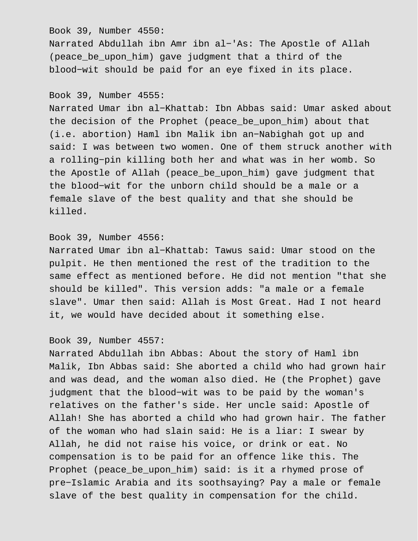#### Book 39, Number 4550:

Narrated Abdullah ibn Amr ibn al−'As: The Apostle of Allah (peace\_be\_upon\_him) gave judgment that a third of the blood−wit should be paid for an eye fixed in its place.

## Book 39, Number 4555:

Narrated Umar ibn al−Khattab: Ibn Abbas said: Umar asked about the decision of the Prophet (peace\_be\_upon\_him) about that (i.e. abortion) Haml ibn Malik ibn an−Nabighah got up and said: I was between two women. One of them struck another with a rolling−pin killing both her and what was in her womb. So the Apostle of Allah (peace be upon him) gave judgment that the blood−wit for the unborn child should be a male or a female slave of the best quality and that she should be killed.

## Book 39, Number 4556:

Narrated Umar ibn al−Khattab: Tawus said: Umar stood on the pulpit. He then mentioned the rest of the tradition to the same effect as mentioned before. He did not mention "that she should be killed". This version adds: "a male or a female slave". Umar then said: Allah is Most Great. Had I not heard it, we would have decided about it something else.

#### Book 39, Number 4557:

Narrated Abdullah ibn Abbas: About the story of Haml ibn Malik, Ibn Abbas said: She aborted a child who had grown hair and was dead, and the woman also died. He (the Prophet) gave judgment that the blood−wit was to be paid by the woman's relatives on the father's side. Her uncle said: Apostle of Allah! She has aborted a child who had grown hair. The father of the woman who had slain said: He is a liar: I swear by Allah, he did not raise his voice, or drink or eat. No compensation is to be paid for an offence like this. The Prophet (peace be upon him) said: is it a rhymed prose of pre−Islamic Arabia and its soothsaying? Pay a male or female slave of the best quality in compensation for the child.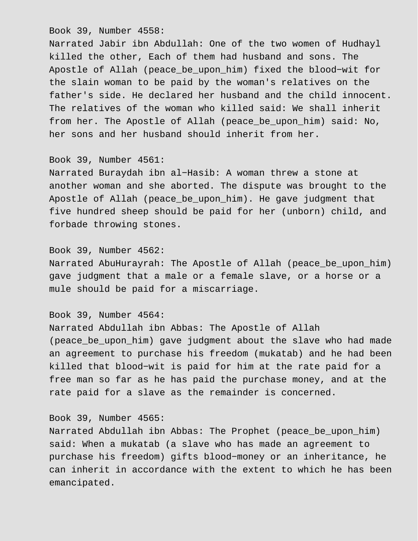Book 39, Number 4558:

Narrated Jabir ibn Abdullah: One of the two women of Hudhayl killed the other, Each of them had husband and sons. The Apostle of Allah (peace\_be\_upon\_him) fixed the blood−wit for the slain woman to be paid by the woman's relatives on the father's side. He declared her husband and the child innocent. The relatives of the woman who killed said: We shall inherit from her. The Apostle of Allah (peace\_be\_upon\_him) said: No, her sons and her husband should inherit from her.

#### Book 39, Number 4561:

Narrated Buraydah ibn al−Hasib: A woman threw a stone at another woman and she aborted. The dispute was brought to the Apostle of Allah (peace\_be\_upon\_him). He gave judgment that five hundred sheep should be paid for her (unborn) child, and forbade throwing stones.

#### Book 39, Number 4562:

Narrated AbuHurayrah: The Apostle of Allah (peace\_be\_upon\_him) gave judgment that a male or a female slave, or a horse or a mule should be paid for a miscarriage.

#### Book 39, Number 4564:

Narrated Abdullah ibn Abbas: The Apostle of Allah (peace\_be\_upon\_him) gave judgment about the slave who had made an agreement to purchase his freedom (mukatab) and he had been killed that blood−wit is paid for him at the rate paid for a free man so far as he has paid the purchase money, and at the rate paid for a slave as the remainder is concerned.

## Book 39, Number 4565:

Narrated Abdullah ibn Abbas: The Prophet (peace\_be\_upon\_him) said: When a mukatab (a slave who has made an agreement to purchase his freedom) gifts blood−money or an inheritance, he can inherit in accordance with the extent to which he has been emancipated.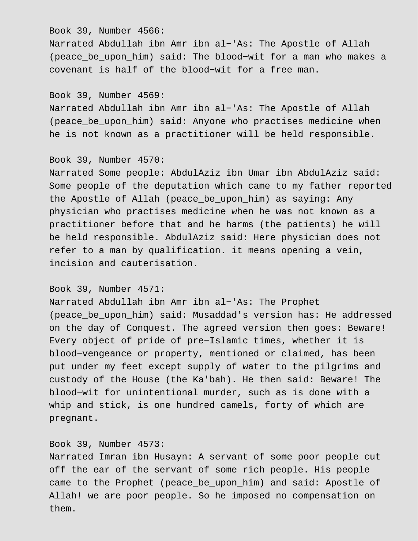#### Book 39, Number 4566:

Narrated Abdullah ibn Amr ibn al−'As: The Apostle of Allah (peace\_be\_upon\_him) said: The blood−wit for a man who makes a covenant is half of the blood−wit for a free man.

#### Book 39, Number 4569:

Narrated Abdullah ibn Amr ibn al−'As: The Apostle of Allah (peace be upon him) said: Anyone who practises medicine when he is not known as a practitioner will be held responsible.

#### Book 39, Number 4570:

Narrated Some people: AbdulAziz ibn Umar ibn AbdulAziz said: Some people of the deputation which came to my father reported the Apostle of Allah (peace\_be\_upon\_him) as saying: Any physician who practises medicine when he was not known as a practitioner before that and he harms (the patients) he will be held responsible. AbdulAziz said: Here physician does not refer to a man by qualification. it means opening a vein, incision and cauterisation.

#### Book 39, Number 4571:

Narrated Abdullah ibn Amr ibn al−'As: The Prophet (peace\_be\_upon\_him) said: Musaddad's version has: He addressed on the day of Conquest. The agreed version then goes: Beware! Every object of pride of pre−Islamic times, whether it is blood−vengeance or property, mentioned or claimed, has been put under my feet except supply of water to the pilgrims and custody of the House (the Ka'bah). He then said: Beware! The blood−wit for unintentional murder, such as is done with a whip and stick, is one hundred camels, forty of which are pregnant.

## Book 39, Number 4573:

Narrated Imran ibn Husayn: A servant of some poor people cut off the ear of the servant of some rich people. His people came to the Prophet (peace\_be\_upon\_him) and said: Apostle of Allah! we are poor people. So he imposed no compensation on them.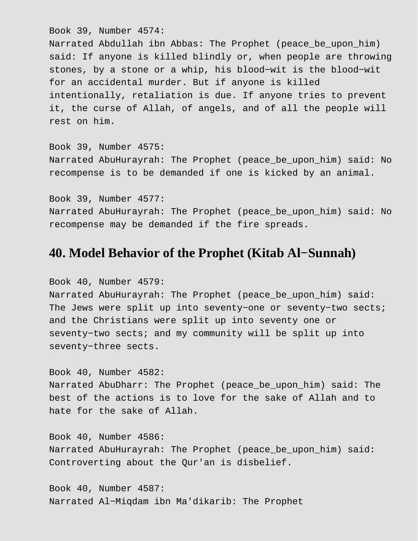Book 39, Number 4574:

Narrated Abdullah ibn Abbas: The Prophet (peace\_be\_upon\_him) said: If anyone is killed blindly or, when people are throwing stones, by a stone or a whip, his blood−wit is the blood−wit for an accidental murder. But if anyone is killed intentionally, retaliation is due. If anyone tries to prevent it, the curse of Allah, of angels, and of all the people will rest on him.

Book 39, Number 4575: Narrated AbuHurayrah: The Prophet (peace\_be\_upon\_him) said: No recompense is to be demanded if one is kicked by an animal.

Book 39, Number 4577: Narrated AbuHurayrah: The Prophet (peace\_be\_upon\_him) said: No recompense may be demanded if the fire spreads.

## **40. Model Behavior of the Prophet (Kitab Al−Sunnah)**

Book 40, Number 4579:

Narrated AbuHurayrah: The Prophet (peace be upon him) said: The Jews were split up into seventy−one or seventy−two sects; and the Christians were split up into seventy one or seventy−two sects; and my community will be split up into seventy−three sects.

Book 40, Number 4582: Narrated AbuDharr: The Prophet (peace\_be\_upon\_him) said: The best of the actions is to love for the sake of Allah and to hate for the sake of Allah.

Book 40, Number 4586: Narrated AbuHurayrah: The Prophet (peace\_be\_upon\_him) said: Controverting about the Qur'an is disbelief.

Book 40, Number 4587: Narrated Al−Miqdam ibn Ma'dikarib: The Prophet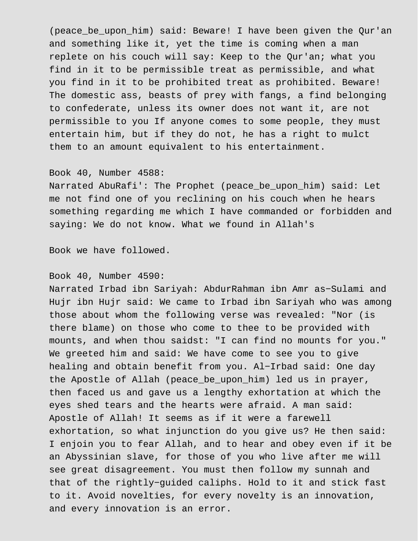(peace be upon him) said: Beware! I have been given the Qur'an and something like it, yet the time is coming when a man replete on his couch will say: Keep to the Qur'an; what you find in it to be permissible treat as permissible, and what you find in it to be prohibited treat as prohibited. Beware! The domestic ass, beasts of prey with fangs, a find belonging to confederate, unless its owner does not want it, are not permissible to you If anyone comes to some people, they must entertain him, but if they do not, he has a right to mulct them to an amount equivalent to his entertainment.

#### Book 40, Number 4588:

Narrated AbuRafi': The Prophet (peace\_be\_upon\_him) said: Let me not find one of you reclining on his couch when he hears something regarding me which I have commanded or forbidden and saying: We do not know. What we found in Allah's

Book we have followed.

#### Book 40, Number 4590:

Narrated Irbad ibn Sariyah: AbdurRahman ibn Amr as−Sulami and Hujr ibn Hujr said: We came to Irbad ibn Sariyah who was among those about whom the following verse was revealed: "Nor (is there blame) on those who come to thee to be provided with mounts, and when thou saidst: "I can find no mounts for you." We greeted him and said: We have come to see you to give healing and obtain benefit from you. Al−Irbad said: One day the Apostle of Allah (peace\_be\_upon\_him) led us in prayer, then faced us and gave us a lengthy exhortation at which the eyes shed tears and the hearts were afraid. A man said: Apostle of Allah! It seems as if it were a farewell exhortation, so what injunction do you give us? He then said: I enjoin you to fear Allah, and to hear and obey even if it be an Abyssinian slave, for those of you who live after me will see great disagreement. You must then follow my sunnah and that of the rightly−guided caliphs. Hold to it and stick fast to it. Avoid novelties, for every novelty is an innovation, and every innovation is an error.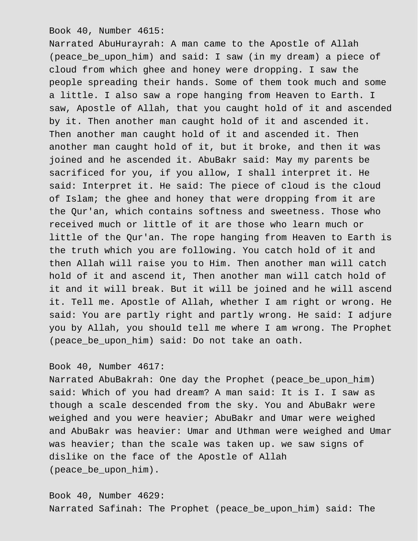Book 40, Number 4615:

Narrated AbuHurayrah: A man came to the Apostle of Allah (peace be upon him) and said: I saw (in my dream) a piece of cloud from which ghee and honey were dropping. I saw the people spreading their hands. Some of them took much and some a little. I also saw a rope hanging from Heaven to Earth. I saw, Apostle of Allah, that you caught hold of it and ascended by it. Then another man caught hold of it and ascended it. Then another man caught hold of it and ascended it. Then another man caught hold of it, but it broke, and then it was joined and he ascended it. AbuBakr said: May my parents be sacrificed for you, if you allow, I shall interpret it. He said: Interpret it. He said: The piece of cloud is the cloud of Islam; the ghee and honey that were dropping from it are the Qur'an, which contains softness and sweetness. Those who received much or little of it are those who learn much or little of the Qur'an. The rope hanging from Heaven to Earth is the truth which you are following. You catch hold of it and then Allah will raise you to Him. Then another man will catch hold of it and ascend it, Then another man will catch hold of it and it will break. But it will be joined and he will ascend it. Tell me. Apostle of Allah, whether I am right or wrong. He said: You are partly right and partly wrong. He said: I adjure you by Allah, you should tell me where I am wrong. The Prophet (peace\_be\_upon\_him) said: Do not take an oath.

### Book 40, Number 4617:

Narrated AbuBakrah: One day the Prophet (peace\_be\_upon\_him) said: Which of you had dream? A man said: It is I. I saw as though a scale descended from the sky. You and AbuBakr were weighed and you were heavier; AbuBakr and Umar were weighed and AbuBakr was heavier: Umar and Uthman were weighed and Umar was heavier; than the scale was taken up. we saw signs of dislike on the face of the Apostle of Allah (peace\_be\_upon\_him).

Book 40, Number 4629: Narrated Safinah: The Prophet (peace\_be\_upon\_him) said: The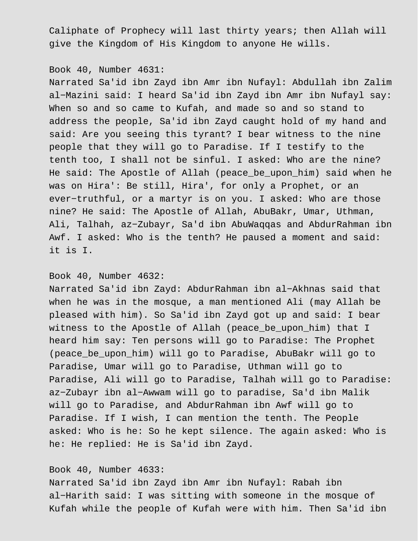Caliphate of Prophecy will last thirty years; then Allah will give the Kingdom of His Kingdom to anyone He wills.

# Book 40, Number 4631:

Narrated Sa'id ibn Zayd ibn Amr ibn Nufayl: Abdullah ibn Zalim al−Mazini said: I heard Sa'id ibn Zayd ibn Amr ibn Nufayl say: When so and so came to Kufah, and made so and so stand to address the people, Sa'id ibn Zayd caught hold of my hand and said: Are you seeing this tyrant? I bear witness to the nine people that they will go to Paradise. If I testify to the tenth too, I shall not be sinful. I asked: Who are the nine? He said: The Apostle of Allah (peace be upon him) said when he was on Hira': Be still, Hira', for only a Prophet, or an ever−truthful, or a martyr is on you. I asked: Who are those nine? He said: The Apostle of Allah, AbuBakr, Umar, Uthman, Ali, Talhah, az−Zubayr, Sa'd ibn AbuWaqqas and AbdurRahman ibn Awf. I asked: Who is the tenth? He paused a moment and said: it is I.

#### Book 40, Number 4632:

Narrated Sa'id ibn Zayd: AbdurRahman ibn al−Akhnas said that when he was in the mosque, a man mentioned Ali (may Allah be pleased with him). So Sa'id ibn Zayd got up and said: I bear witness to the Apostle of Allah (peace\_be\_upon\_him) that I heard him say: Ten persons will go to Paradise: The Prophet (peace\_be\_upon\_him) will go to Paradise, AbuBakr will go to Paradise, Umar will go to Paradise, Uthman will go to Paradise, Ali will go to Paradise, Talhah will go to Paradise: az−Zubayr ibn al−Awwam will go to paradise, Sa'd ibn Malik will go to Paradise, and AbdurRahman ibn Awf will go to Paradise. If I wish, I can mention the tenth. The People asked: Who is he: So he kept silence. The again asked: Who is he: He replied: He is Sa'id ibn Zayd.

# Book 40, Number 4633:

Narrated Sa'id ibn Zayd ibn Amr ibn Nufayl: Rabah ibn al−Harith said: I was sitting with someone in the mosque of Kufah while the people of Kufah were with him. Then Sa'id ibn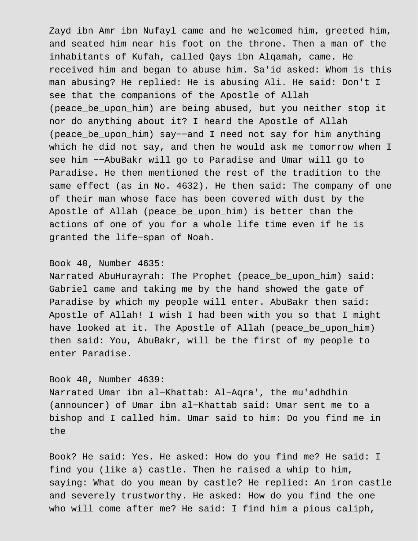Zayd ibn Amr ibn Nufayl came and he welcomed him, greeted him, and seated him near his foot on the throne. Then a man of the inhabitants of Kufah, called Qays ibn Alqamah, came. He received him and began to abuse him. Sa'id asked: Whom is this man abusing? He replied: He is abusing Ali. He said: Don't I see that the companions of the Apostle of Allah (peace\_be\_upon\_him) are being abused, but you neither stop it nor do anything about it? I heard the Apostle of Allah (peace\_be\_upon\_him) say−−and I need not say for him anything which he did not say, and then he would ask me tomorrow when I see him −−AbuBakr will go to Paradise and Umar will go to Paradise. He then mentioned the rest of the tradition to the same effect (as in No. 4632). He then said: The company of one of their man whose face has been covered with dust by the Apostle of Allah (peace be upon him) is better than the actions of one of you for a whole life time even if he is granted the life−span of Noah.

# Book 40, Number 4635:

Narrated AbuHurayrah: The Prophet (peace\_be\_upon\_him) said: Gabriel came and taking me by the hand showed the gate of Paradise by which my people will enter. AbuBakr then said: Apostle of Allah! I wish I had been with you so that I might have looked at it. The Apostle of Allah (peace be upon him) then said: You, AbuBakr, will be the first of my people to enter Paradise.

# Book 40, Number 4639:

Narrated Umar ibn al−Khattab: Al−Aqra', the mu'adhdhin (announcer) of Umar ibn al−Khattab said: Umar sent me to a bishop and I called him. Umar said to him: Do you find me in the

Book? He said: Yes. He asked: How do you find me? He said: I find you (like a) castle. Then he raised a whip to him, saying: What do you mean by castle? He replied: An iron castle and severely trustworthy. He asked: How do you find the one who will come after me? He said: I find him a pious caliph,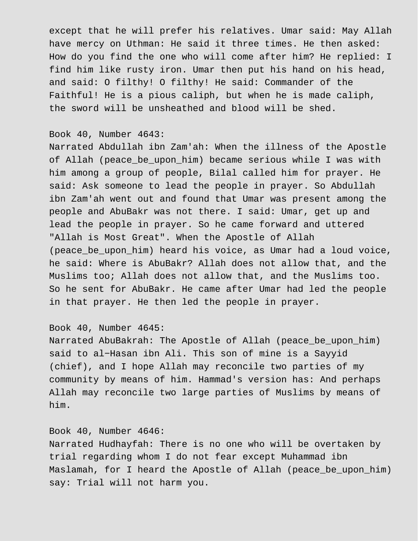except that he will prefer his relatives. Umar said: May Allah have mercy on Uthman: He said it three times. He then asked: How do you find the one who will come after him? He replied: I find him like rusty iron. Umar then put his hand on his head, and said: O filthy! O filthy! He said: Commander of the Faithful! He is a pious caliph, but when he is made caliph, the sword will be unsheathed and blood will be shed.

# Book 40, Number 4643:

Narrated Abdullah ibn Zam'ah: When the illness of the Apostle of Allah (peace\_be\_upon\_him) became serious while I was with him among a group of people, Bilal called him for prayer. He said: Ask someone to lead the people in prayer. So Abdullah ibn Zam'ah went out and found that Umar was present among the people and AbuBakr was not there. I said: Umar, get up and lead the people in prayer. So he came forward and uttered "Allah is Most Great". When the Apostle of Allah (peace\_be\_upon\_him) heard his voice, as Umar had a loud voice, he said: Where is AbuBakr? Allah does not allow that, and the Muslims too; Allah does not allow that, and the Muslims too. So he sent for AbuBakr. He came after Umar had led the people in that prayer. He then led the people in prayer.

# Book 40, Number 4645:

Narrated AbuBakrah: The Apostle of Allah (peace\_be\_upon\_him) said to al−Hasan ibn Ali. This son of mine is a Sayyid (chief), and I hope Allah may reconcile two parties of my community by means of him. Hammad's version has: And perhaps Allah may reconcile two large parties of Muslims by means of him.

# Book 40, Number 4646:

Narrated Hudhayfah: There is no one who will be overtaken by trial regarding whom I do not fear except Muhammad ibn Maslamah, for I heard the Apostle of Allah (peace be upon him) say: Trial will not harm you.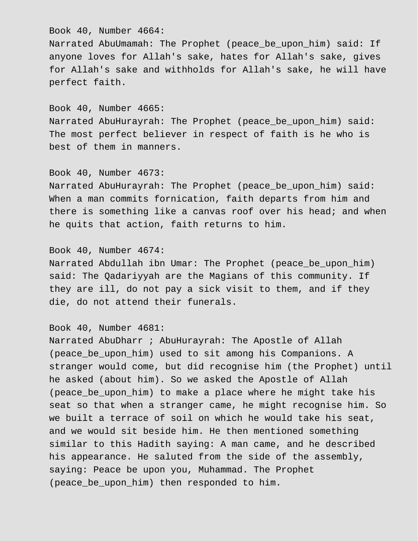# Book 40, Number 4664:

Narrated AbuUmamah: The Prophet (peace\_be\_upon\_him) said: If anyone loves for Allah's sake, hates for Allah's sake, gives for Allah's sake and withholds for Allah's sake, he will have perfect faith.

Book 40, Number 4665: Narrated AbuHurayrah: The Prophet (peace\_be\_upon\_him) said: The most perfect believer in respect of faith is he who is best of them in manners.

Book 40, Number 4673:

Narrated AbuHurayrah: The Prophet (peace be upon him) said: When a man commits fornication, faith departs from him and there is something like a canvas roof over his head; and when he quits that action, faith returns to him.

Book 40, Number 4674:

Narrated Abdullah ibn Umar: The Prophet (peace\_be\_upon\_him) said: The Qadariyyah are the Magians of this community. If they are ill, do not pay a sick visit to them, and if they die, do not attend their funerals.

Book 40, Number 4681:

Narrated AbuDharr ; AbuHurayrah: The Apostle of Allah (peace\_be\_upon\_him) used to sit among his Companions. A stranger would come, but did recognise him (the Prophet) until he asked (about him). So we asked the Apostle of Allah (peace\_be\_upon\_him) to make a place where he might take his seat so that when a stranger came, he might recognise him. So we built a terrace of soil on which he would take his seat, and we would sit beside him. He then mentioned something similar to this Hadith saying: A man came, and he described his appearance. He saluted from the side of the assembly, saying: Peace be upon you, Muhammad. The Prophet (peace\_be\_upon\_him) then responded to him.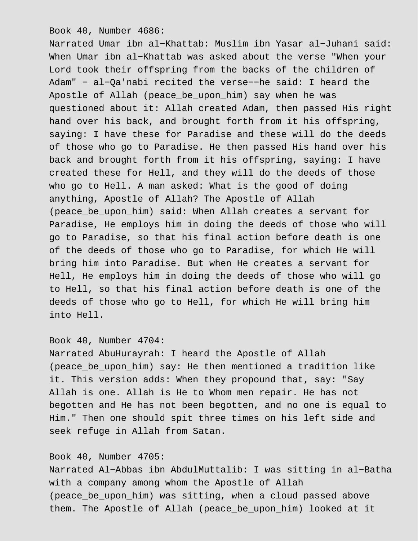Book 40, Number 4686:

Narrated Umar ibn al−Khattab: Muslim ibn Yasar al−Juhani said: When Umar ibn al−Khattab was asked about the verse "When your Lord took their offspring from the backs of the children of Adam" − al−Qa'nabi recited the verse−−he said: I heard the Apostle of Allah (peace be upon him) say when he was questioned about it: Allah created Adam, then passed His right hand over his back, and brought forth from it his offspring, saying: I have these for Paradise and these will do the deeds of those who go to Paradise. He then passed His hand over his back and brought forth from it his offspring, saying: I have created these for Hell, and they will do the deeds of those who go to Hell. A man asked: What is the good of doing anything, Apostle of Allah? The Apostle of Allah (peace be upon him) said: When Allah creates a servant for Paradise, He employs him in doing the deeds of those who will go to Paradise, so that his final action before death is one of the deeds of those who go to Paradise, for which He will bring him into Paradise. But when He creates a servant for Hell, He employs him in doing the deeds of those who will go to Hell, so that his final action before death is one of the deeds of those who go to Hell, for which He will bring him into Hell.

### Book 40, Number 4704:

Narrated AbuHurayrah: I heard the Apostle of Allah (peace\_be\_upon\_him) say: He then mentioned a tradition like it. This version adds: When they propound that, say: "Say Allah is one. Allah is He to Whom men repair. He has not begotten and He has not been begotten, and no one is equal to Him." Then one should spit three times on his left side and seek refuge in Allah from Satan.

# Book 40, Number 4705:

Narrated Al−Abbas ibn AbdulMuttalib: I was sitting in al−Batha with a company among whom the Apostle of Allah (peace\_be\_upon\_him) was sitting, when a cloud passed above them. The Apostle of Allah (peace\_be\_upon\_him) looked at it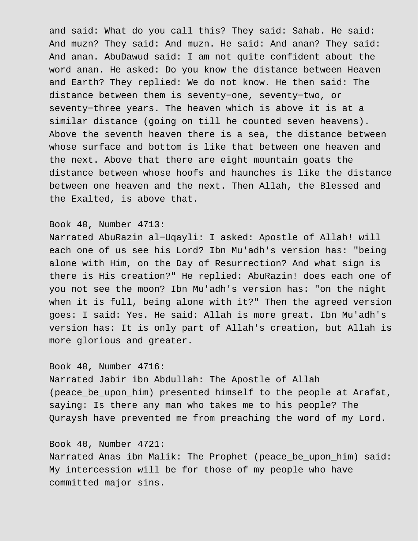and said: What do you call this? They said: Sahab. He said: And muzn? They said: And muzn. He said: And anan? They said: And anan. AbuDawud said: I am not quite confident about the word anan. He asked: Do you know the distance between Heaven and Earth? They replied: We do not know. He then said: The distance between them is seventy−one, seventy−two, or seventy−three years. The heaven which is above it is at a similar distance (going on till he counted seven heavens). Above the seventh heaven there is a sea, the distance between whose surface and bottom is like that between one heaven and the next. Above that there are eight mountain goats the distance between whose hoofs and haunches is like the distance between one heaven and the next. Then Allah, the Blessed and the Exalted, is above that.

# Book 40, Number 4713:

Narrated AbuRazin al−Uqayli: I asked: Apostle of Allah! will each one of us see his Lord? Ibn Mu'adh's version has: "being alone with Him, on the Day of Resurrection? And what sign is there is His creation?" He replied: AbuRazin! does each one of you not see the moon? Ibn Mu'adh's version has: "on the night when it is full, being alone with it?" Then the agreed version goes: I said: Yes. He said: Allah is more great. Ibn Mu'adh's version has: It is only part of Allah's creation, but Allah is more glorious and greater.

### Book 40, Number 4716:

Narrated Jabir ibn Abdullah: The Apostle of Allah (peace\_be\_upon\_him) presented himself to the people at Arafat, saying: Is there any man who takes me to his people? The Quraysh have prevented me from preaching the word of my Lord.

# Book 40, Number 4721:

Narrated Anas ibn Malik: The Prophet (peace\_be\_upon\_him) said: My intercession will be for those of my people who have committed major sins.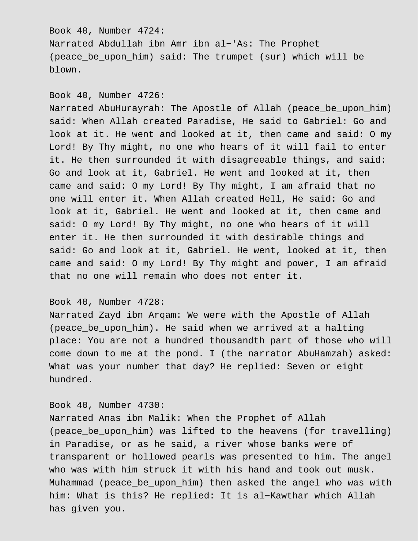# Book 40, Number 4724:

Narrated Abdullah ibn Amr ibn al−'As: The Prophet (peace be upon him) said: The trumpet (sur) which will be blown.

Book 40, Number 4726:

Narrated AbuHurayrah: The Apostle of Allah (peace\_be\_upon\_him) said: When Allah created Paradise, He said to Gabriel: Go and look at it. He went and looked at it, then came and said: O my Lord! By Thy might, no one who hears of it will fail to enter it. He then surrounded it with disagreeable things, and said: Go and look at it, Gabriel. He went and looked at it, then came and said: O my Lord! By Thy might, I am afraid that no one will enter it. When Allah created Hell, He said: Go and look at it, Gabriel. He went and looked at it, then came and said: O my Lord! By Thy might, no one who hears of it will enter it. He then surrounded it with desirable things and said: Go and look at it, Gabriel. He went, looked at it, then came and said: O my Lord! By Thy might and power, I am afraid that no one will remain who does not enter it.

# Book 40, Number 4728:

Narrated Zayd ibn Arqam: We were with the Apostle of Allah (peace\_be\_upon\_him). He said when we arrived at a halting place: You are not a hundred thousandth part of those who will come down to me at the pond. I (the narrator AbuHamzah) asked: What was your number that day? He replied: Seven or eight hundred.

# Book 40, Number 4730:

Narrated Anas ibn Malik: When the Prophet of Allah (peace\_be\_upon\_him) was lifted to the heavens (for travelling) in Paradise, or as he said, a river whose banks were of transparent or hollowed pearls was presented to him. The angel who was with him struck it with his hand and took out musk. Muhammad (peace\_be\_upon\_him) then asked the angel who was with him: What is this? He replied: It is al−Kawthar which Allah has given you.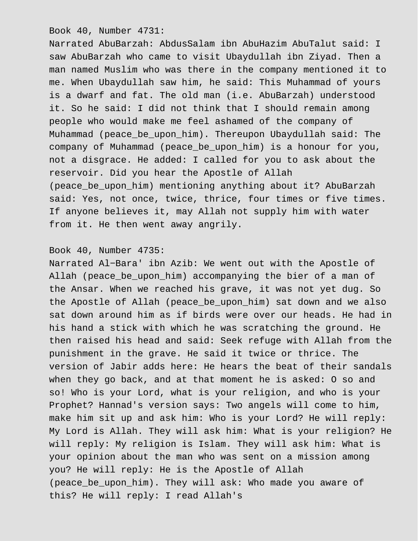Book 40, Number 4731:

Narrated AbuBarzah: AbdusSalam ibn AbuHazim AbuTalut said: I saw AbuBarzah who came to visit Ubaydullah ibn Ziyad. Then a man named Muslim who was there in the company mentioned it to me. When Ubaydullah saw him, he said: This Muhammad of yours is a dwarf and fat. The old man (i.e. AbuBarzah) understood it. So he said: I did not think that I should remain among people who would make me feel ashamed of the company of Muhammad (peace\_be\_upon\_him). Thereupon Ubaydullah said: The company of Muhammad (peace\_be\_upon\_him) is a honour for you, not a disgrace. He added: I called for you to ask about the reservoir. Did you hear the Apostle of Allah (peace\_be\_upon\_him) mentioning anything about it? AbuBarzah said: Yes, not once, twice, thrice, four times or five times. If anyone believes it, may Allah not supply him with water from it. He then went away angrily.

# Book 40, Number 4735:

Narrated Al−Bara' ibn Azib: We went out with the Apostle of Allah (peace\_be\_upon\_him) accompanying the bier of a man of the Ansar. When we reached his grave, it was not yet dug. So the Apostle of Allah (peace\_be\_upon\_him) sat down and we also sat down around him as if birds were over our heads. He had in his hand a stick with which he was scratching the ground. He then raised his head and said: Seek refuge with Allah from the punishment in the grave. He said it twice or thrice. The version of Jabir adds here: He hears the beat of their sandals when they go back, and at that moment he is asked: O so and so! Who is your Lord, what is your religion, and who is your Prophet? Hannad's version says: Two angels will come to him, make him sit up and ask him: Who is your Lord? He will reply: My Lord is Allah. They will ask him: What is your religion? He will reply: My religion is Islam. They will ask him: What is your opinion about the man who was sent on a mission among you? He will reply: He is the Apostle of Allah (peace\_be\_upon\_him). They will ask: Who made you aware of this? He will reply: I read Allah's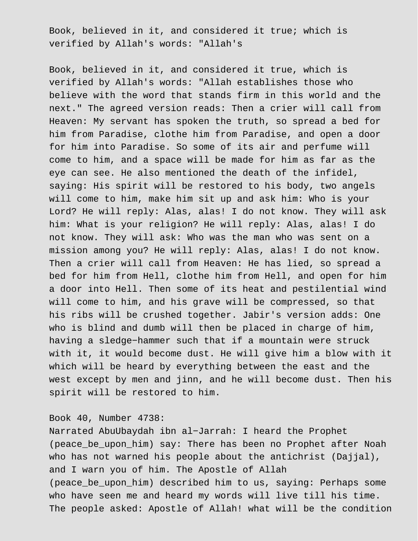Book, believed in it, and considered it true; which is verified by Allah's words: "Allah's

Book, believed in it, and considered it true, which is verified by Allah's words: "Allah establishes those who believe with the word that stands firm in this world and the next." The agreed version reads: Then a crier will call from Heaven: My servant has spoken the truth, so spread a bed for him from Paradise, clothe him from Paradise, and open a door for him into Paradise. So some of its air and perfume will come to him, and a space will be made for him as far as the eye can see. He also mentioned the death of the infidel, saying: His spirit will be restored to his body, two angels will come to him, make him sit up and ask him: Who is your Lord? He will reply: Alas, alas! I do not know. They will ask him: What is your religion? He will reply: Alas, alas! I do not know. They will ask: Who was the man who was sent on a mission among you? He will reply: Alas, alas! I do not know. Then a crier will call from Heaven: He has lied, so spread a bed for him from Hell, clothe him from Hell, and open for him a door into Hell. Then some of its heat and pestilential wind will come to him, and his grave will be compressed, so that his ribs will be crushed together. Jabir's version adds: One who is blind and dumb will then be placed in charge of him, having a sledge−hammer such that if a mountain were struck with it, it would become dust. He will give him a blow with it which will be heard by everything between the east and the west except by men and jinn, and he will become dust. Then his spirit will be restored to him.

# Book 40, Number 4738:

Narrated AbuUbaydah ibn al−Jarrah: I heard the Prophet (peace\_be\_upon\_him) say: There has been no Prophet after Noah who has not warned his people about the antichrist (Dajjal), and I warn you of him. The Apostle of Allah (peace be upon him) described him to us, saying: Perhaps some who have seen me and heard my words will live till his time. The people asked: Apostle of Allah! what will be the condition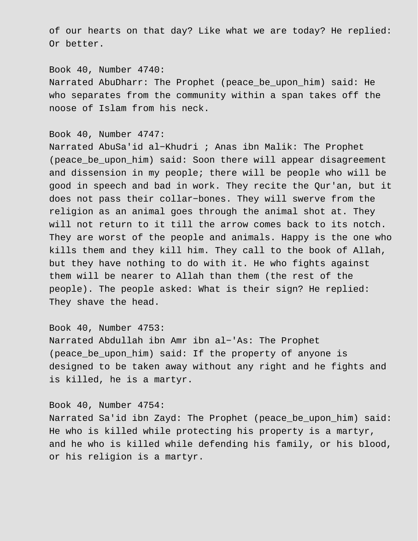of our hearts on that day? Like what we are today? He replied: Or better.

Book 40, Number 4740: Narrated AbuDharr: The Prophet (peace be upon him) said: He who separates from the community within a span takes off the noose of Islam from his neck.

# Book 40, Number 4747:

Narrated AbuSa'id al−Khudri ; Anas ibn Malik: The Prophet (peace\_be\_upon\_him) said: Soon there will appear disagreement and dissension in my people; there will be people who will be good in speech and bad in work. They recite the Qur'an, but it does not pass their collar−bones. They will swerve from the religion as an animal goes through the animal shot at. They will not return to it till the arrow comes back to its notch. They are worst of the people and animals. Happy is the one who kills them and they kill him. They call to the book of Allah, but they have nothing to do with it. He who fights against them will be nearer to Allah than them (the rest of the people). The people asked: What is their sign? He replied: They shave the head.

# Book 40, Number 4753:

Narrated Abdullah ibn Amr ibn al−'As: The Prophet (peace be upon him) said: If the property of anyone is designed to be taken away without any right and he fights and is killed, he is a martyr.

# Book 40, Number 4754:

Narrated Sa'id ibn Zayd: The Prophet (peace\_be\_upon\_him) said: He who is killed while protecting his property is a martyr, and he who is killed while defending his family, or his blood, or his religion is a martyr.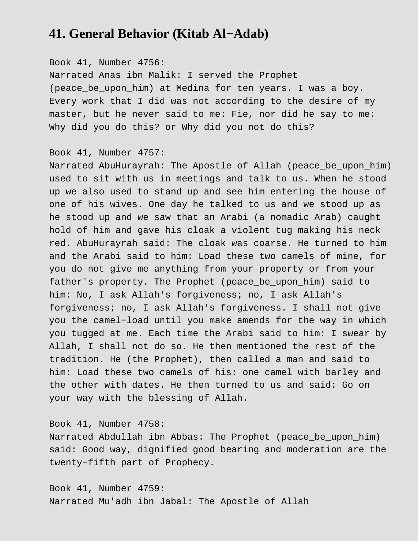# **41. General Behavior (Kitab Al−Adab)**

### Book 41, Number 4756:

Narrated Anas ibn Malik: I served the Prophet (peace be upon him) at Medina for ten years. I was a boy. Every work that I did was not according to the desire of my master, but he never said to me: Fie, nor did he say to me: Why did you do this? or Why did you not do this?

# Book 41, Number 4757:

Narrated AbuHurayrah: The Apostle of Allah (peace be upon him) used to sit with us in meetings and talk to us. When he stood up we also used to stand up and see him entering the house of one of his wives. One day he talked to us and we stood up as he stood up and we saw that an Arabi (a nomadic Arab) caught hold of him and gave his cloak a violent tug making his neck red. AbuHurayrah said: The cloak was coarse. He turned to him and the Arabi said to him: Load these two camels of mine, for you do not give me anything from your property or from your father's property. The Prophet (peace be upon him) said to him: No, I ask Allah's forgiveness; no, I ask Allah's forgiveness; no, I ask Allah's forgiveness. I shall not give you the camel−load until you make amends for the way in which you tugged at me. Each time the Arabi said to him: I swear by Allah, I shall not do so. He then mentioned the rest of the tradition. He (the Prophet), then called a man and said to him: Load these two camels of his: one camel with barley and the other with dates. He then turned to us and said: Go on your way with the blessing of Allah.

# Book 41, Number 4758:

Narrated Abdullah ibn Abbas: The Prophet (peace be upon him) said: Good way, dignified good bearing and moderation are the twenty−fifth part of Prophecy.

Book 41, Number 4759: Narrated Mu'adh ibn Jabal: The Apostle of Allah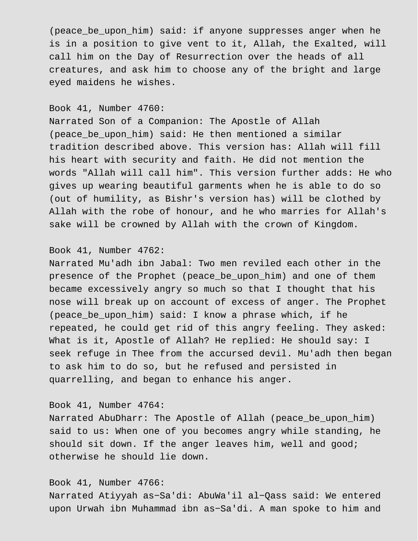(peace be upon him) said: if anyone suppresses anger when he is in a position to give vent to it, Allah, the Exalted, will call him on the Day of Resurrection over the heads of all creatures, and ask him to choose any of the bright and large eyed maidens he wishes.

# Book 41, Number 4760:

Narrated Son of a Companion: The Apostle of Allah (peace be upon him) said: He then mentioned a similar tradition described above. This version has: Allah will fill his heart with security and faith. He did not mention the words "Allah will call him". This version further adds: He who gives up wearing beautiful garments when he is able to do so (out of humility, as Bishr's version has) will be clothed by Allah with the robe of honour, and he who marries for Allah's sake will be crowned by Allah with the crown of Kingdom.

# Book 41, Number 4762:

Narrated Mu'adh ibn Jabal: Two men reviled each other in the presence of the Prophet (peace\_be\_upon\_him) and one of them became excessively angry so much so that I thought that his nose will break up on account of excess of anger. The Prophet (peace\_be\_upon\_him) said: I know a phrase which, if he repeated, he could get rid of this angry feeling. They asked: What is it, Apostle of Allah? He replied: He should say: I seek refuge in Thee from the accursed devil. Mu'adh then began to ask him to do so, but he refused and persisted in quarrelling, and began to enhance his anger.

#### Book 41, Number 4764:

Narrated AbuDharr: The Apostle of Allah (peace be upon him) said to us: When one of you becomes angry while standing, he should sit down. If the anger leaves him, well and good; otherwise he should lie down.

# Book 41, Number 4766:

Narrated Atiyyah as−Sa'di: AbuWa'il al−Qass said: We entered upon Urwah ibn Muhammad ibn as−Sa'di. A man spoke to him and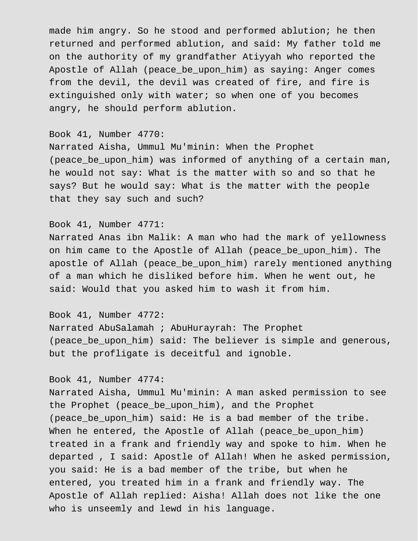made him angry. So he stood and performed ablution; he then returned and performed ablution, and said: My father told me on the authority of my grandfather Atiyyah who reported the Apostle of Allah (peace\_be\_upon\_him) as saying: Anger comes from the devil, the devil was created of fire, and fire is extinguished only with water; so when one of you becomes angry, he should perform ablution.

# Book 41, Number 4770:

Narrated Aisha, Ummul Mu'minin: When the Prophet (peace\_be\_upon\_him) was informed of anything of a certain man, he would not say: What is the matter with so and so that he says? But he would say: What is the matter with the people that they say such and such?

# Book 41, Number 4771:

Narrated Anas ibn Malik: A man who had the mark of yellowness on him came to the Apostle of Allah (peace\_be\_upon\_him). The apostle of Allah (peace\_be\_upon\_him) rarely mentioned anything of a man which he disliked before him. When he went out, he said: Would that you asked him to wash it from him.

#### Book 41, Number 4772:

Narrated AbuSalamah ; AbuHurayrah: The Prophet (peace\_be\_upon\_him) said: The believer is simple and generous, but the profligate is deceitful and ignoble.

# Book 41, Number 4774:

Narrated Aisha, Ummul Mu'minin: A man asked permission to see the Prophet (peace\_be\_upon\_him), and the Prophet (peace\_be\_upon\_him) said: He is a bad member of the tribe. When he entered, the Apostle of Allah (peace\_be\_upon\_him) treated in a frank and friendly way and spoke to him. When he departed , I said: Apostle of Allah! When he asked permission, you said: He is a bad member of the tribe, but when he entered, you treated him in a frank and friendly way. The Apostle of Allah replied: Aisha! Allah does not like the one who is unseemly and lewd in his language.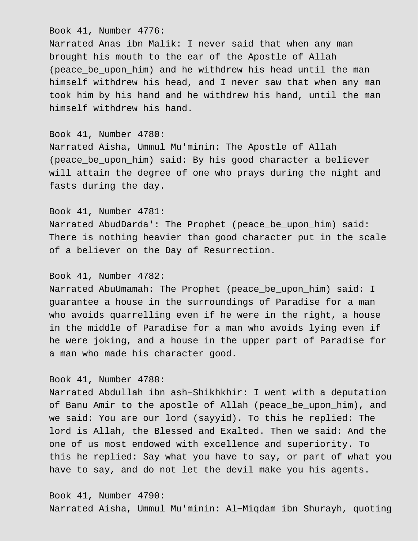#### Book 41, Number 4776:

Narrated Anas ibn Malik: I never said that when any man brought his mouth to the ear of the Apostle of Allah (peace\_be\_upon\_him) and he withdrew his head until the man himself withdrew his head, and I never saw that when any man took him by his hand and he withdrew his hand, until the man himself withdrew his hand.

#### Book 41, Number 4780:

Narrated Aisha, Ummul Mu'minin: The Apostle of Allah (peace\_be\_upon\_him) said: By his good character a believer will attain the degree of one who prays during the night and fasts during the day.

#### Book 41, Number 4781:

Narrated AbudDarda': The Prophet (peace\_be\_upon\_him) said: There is nothing heavier than good character put in the scale of a believer on the Day of Resurrection.

#### Book 41, Number 4782:

Narrated AbuUmamah: The Prophet (peace\_be\_upon\_him) said: I guarantee a house in the surroundings of Paradise for a man who avoids quarrelling even if he were in the right, a house in the middle of Paradise for a man who avoids lying even if he were joking, and a house in the upper part of Paradise for a man who made his character good.

# Book 41, Number 4788:

Narrated Abdullah ibn ash−Shikhkhir: I went with a deputation of Banu Amir to the apostle of Allah (peace\_be\_upon\_him), and we said: You are our lord (sayyid). To this he replied: The lord is Allah, the Blessed and Exalted. Then we said: And the one of us most endowed with excellence and superiority. To this he replied: Say what you have to say, or part of what you have to say, and do not let the devil make you his agents.

# Book 41, Number 4790:

Narrated Aisha, Ummul Mu'minin: Al−Miqdam ibn Shurayh, quoting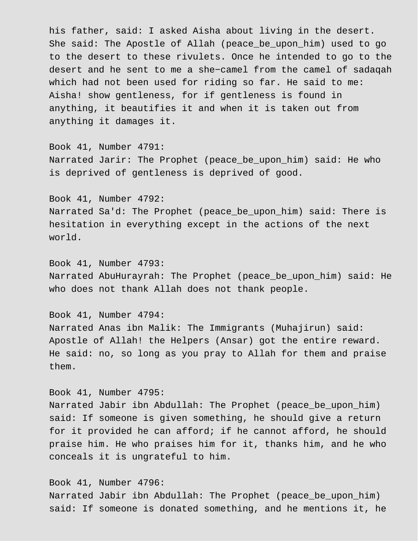his father, said: I asked Aisha about living in the desert. She said: The Apostle of Allah (peace\_be\_upon\_him) used to go to the desert to these rivulets. Once he intended to go to the desert and he sent to me a she−camel from the camel of sadaqah which had not been used for riding so far. He said to me: Aisha! show gentleness, for if gentleness is found in anything, it beautifies it and when it is taken out from anything it damages it.

Book 41, Number 4791: Narrated Jarir: The Prophet (peace\_be\_upon\_him) said: He who is deprived of gentleness is deprived of good.

Book 41, Number 4792: Narrated Sa'd: The Prophet (peace\_be\_upon\_him) said: There is hesitation in everything except in the actions of the next world.

Book 41, Number 4793: Narrated AbuHurayrah: The Prophet (peace\_be\_upon\_him) said: He who does not thank Allah does not thank people.

Book 41, Number 4794: Narrated Anas ibn Malik: The Immigrants (Muhajirun) said: Apostle of Allah! the Helpers (Ansar) got the entire reward. He said: no, so long as you pray to Allah for them and praise them.

Book 41, Number 4795: Narrated Jabir ibn Abdullah: The Prophet (peace\_be\_upon\_him) said: If someone is given something, he should give a return for it provided he can afford; if he cannot afford, he should praise him. He who praises him for it, thanks him, and he who conceals it is ungrateful to him.

Book 41, Number 4796: Narrated Jabir ibn Abdullah: The Prophet (peace\_be\_upon\_him) said: If someone is donated something, and he mentions it, he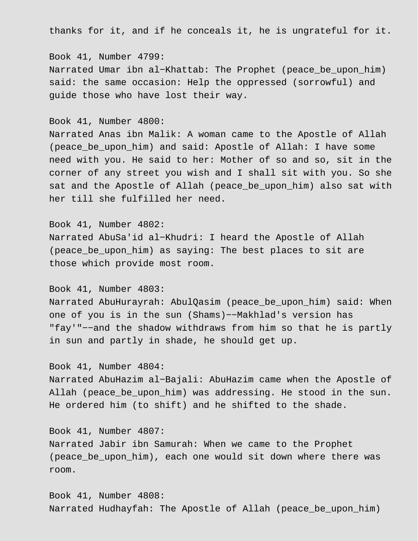thanks for it, and if he conceals it, he is ungrateful for it.

Book 41, Number 4799:

Narrated Umar ibn al−Khattab: The Prophet (peace\_be\_upon\_him) said: the same occasion: Help the oppressed (sorrowful) and guide those who have lost their way.

#### Book 41, Number 4800:

Narrated Anas ibn Malik: A woman came to the Apostle of Allah (peace be upon him) and said: Apostle of Allah: I have some need with you. He said to her: Mother of so and so, sit in the corner of any street you wish and I shall sit with you. So she sat and the Apostle of Allah (peace\_be\_upon\_him) also sat with her till she fulfilled her need.

```
Book 41, Number 4802:
```
Narrated AbuSa'id al−Khudri: I heard the Apostle of Allah (peace be upon him) as saying: The best places to sit are those which provide most room.

#### Book 41, Number 4803:

Narrated AbuHurayrah: AbulQasim (peace\_be\_upon\_him) said: When one of you is in the sun (Shams)−−Makhlad's version has "fay'"−−and the shadow withdraws from him so that he is partly in sun and partly in shade, he should get up.

Book 41, Number 4804:

Narrated AbuHazim al−Bajali: AbuHazim came when the Apostle of Allah (peace\_be\_upon\_him) was addressing. He stood in the sun. He ordered him (to shift) and he shifted to the shade.

Book 41, Number 4807: Narrated Jabir ibn Samurah: When we came to the Prophet (peace\_be\_upon\_him), each one would sit down where there was room.

Book 41, Number 4808: Narrated Hudhayfah: The Apostle of Allah (peace\_be\_upon\_him)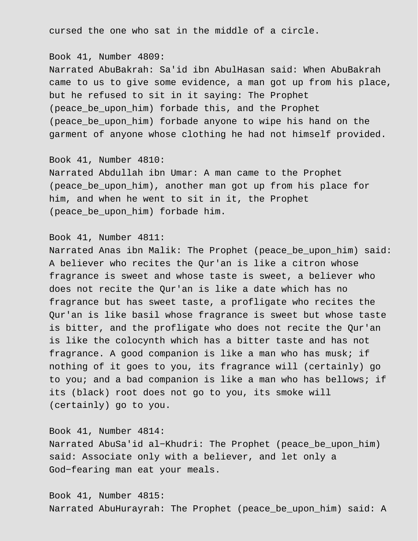cursed the one who sat in the middle of a circle.

# Book 41, Number 4809:

Narrated AbuBakrah: Sa'id ibn AbulHasan said: When AbuBakrah came to us to give some evidence, a man got up from his place, but he refused to sit in it saying: The Prophet (peace\_be\_upon\_him) forbade this, and the Prophet (peace\_be\_upon\_him) forbade anyone to wipe his hand on the garment of anyone whose clothing he had not himself provided.

# Book 41, Number 4810:

Narrated Abdullah ibn Umar: A man came to the Prophet (peace be upon him), another man got up from his place for him, and when he went to sit in it, the Prophet (peace\_be\_upon\_him) forbade him.

# Book 41, Number 4811:

Narrated Anas ibn Malik: The Prophet (peace be upon him) said: A believer who recites the Qur'an is like a citron whose fragrance is sweet and whose taste is sweet, a believer who does not recite the Qur'an is like a date which has no fragrance but has sweet taste, a profligate who recites the Qur'an is like basil whose fragrance is sweet but whose taste is bitter, and the profligate who does not recite the Qur'an is like the colocynth which has a bitter taste and has not fragrance. A good companion is like a man who has musk; if nothing of it goes to you, its fragrance will (certainly) go to you; and a bad companion is like a man who has bellows; if its (black) root does not go to you, its smoke will (certainly) go to you.

Book 41, Number 4814: Narrated AbuSa'id al−Khudri: The Prophet (peace\_be\_upon\_him) said: Associate only with a believer, and let only a God−fearing man eat your meals.

Book 41, Number 4815: Narrated AbuHurayrah: The Prophet (peace\_be\_upon\_him) said: A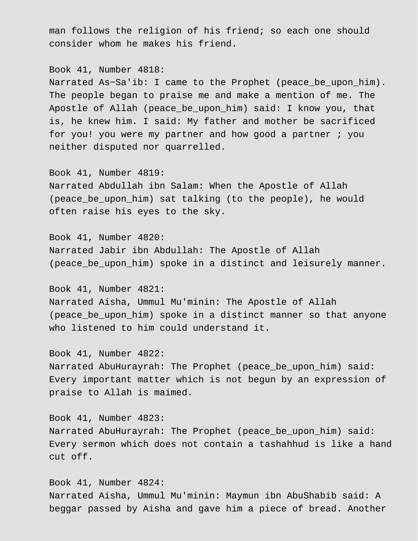man follows the religion of his friend; so each one should consider whom he makes his friend.

Book 41, Number 4818:

Narrated As-Sa'ib: I came to the Prophet (peace be upon him). The people began to praise me and make a mention of me. The Apostle of Allah (peace\_be\_upon\_him) said: I know you, that is, he knew him. I said: My father and mother be sacrificed for you! you were my partner and how good a partner ; you neither disputed nor quarrelled.

Book 41, Number 4819: Narrated Abdullah ibn Salam: When the Apostle of Allah (peace\_be\_upon\_him) sat talking (to the people), he would often raise his eyes to the sky.

Book 41, Number 4820: Narrated Jabir ibn Abdullah: The Apostle of Allah (peace\_be\_upon\_him) spoke in a distinct and leisurely manner.

Book 41, Number 4821: Narrated Aisha, Ummul Mu'minin: The Apostle of Allah (peace\_be\_upon\_him) spoke in a distinct manner so that anyone who listened to him could understand it.

Book 41, Number 4822: Narrated AbuHurayrah: The Prophet (peace\_be\_upon\_him) said: Every important matter which is not begun by an expression of praise to Allah is maimed.

Book 41, Number 4823: Narrated AbuHurayrah: The Prophet (peace\_be\_upon\_him) said: Every sermon which does not contain a tashahhud is like a hand cut off.

Book 41, Number 4824: Narrated Aisha, Ummul Mu'minin: Maymun ibn AbuShabib said: A beggar passed by Aisha and gave him a piece of bread. Another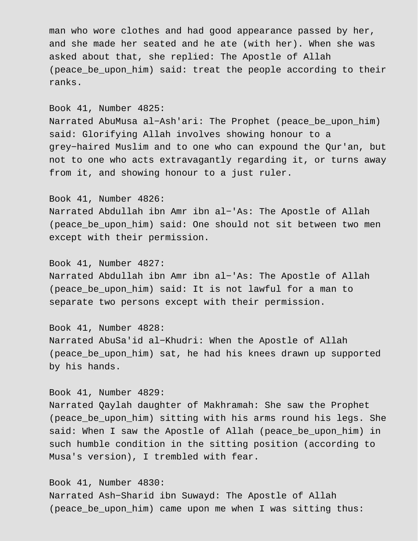man who wore clothes and had good appearance passed by her, and she made her seated and he ate (with her). When she was asked about that, she replied: The Apostle of Allah (peace be upon him) said: treat the people according to their ranks.

Book 41, Number 4825:

Narrated AbuMusa al−Ash'ari: The Prophet (peace\_be\_upon\_him) said: Glorifying Allah involves showing honour to a grey−haired Muslim and to one who can expound the Qur'an, but not to one who acts extravagantly regarding it, or turns away from it, and showing honour to a just ruler.

Book 41, Number 4826:

Narrated Abdullah ibn Amr ibn al−'As: The Apostle of Allah (peace\_be\_upon\_him) said: One should not sit between two men except with their permission.

Book 41, Number 4827: Narrated Abdullah ibn Amr ibn al−'As: The Apostle of Allah (peace\_be\_upon\_him) said: It is not lawful for a man to separate two persons except with their permission.

Book 41, Number 4828: Narrated AbuSa'id al−Khudri: When the Apostle of Allah (peace\_be\_upon\_him) sat, he had his knees drawn up supported by his hands.

Book 41, Number 4829:

Narrated Qaylah daughter of Makhramah: She saw the Prophet (peace\_be\_upon\_him) sitting with his arms round his legs. She said: When I saw the Apostle of Allah (peace\_be\_upon\_him) in such humble condition in the sitting position (according to Musa's version), I trembled with fear.

Book 41, Number 4830: Narrated Ash−Sharid ibn Suwayd: The Apostle of Allah (peace\_be\_upon\_him) came upon me when I was sitting thus: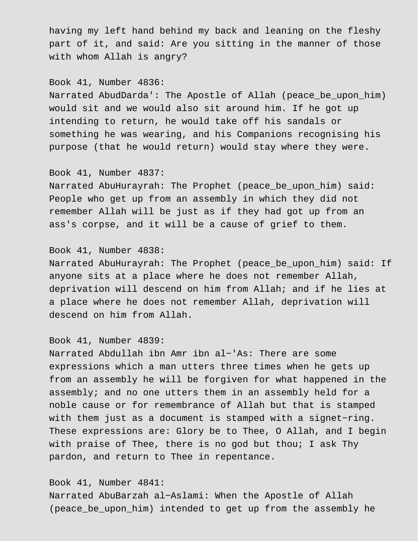having my left hand behind my back and leaning on the fleshy part of it, and said: Are you sitting in the manner of those with whom Allah is angry?

### Book 41, Number 4836:

Narrated AbudDarda': The Apostle of Allah (peace be upon him) would sit and we would also sit around him. If he got up intending to return, he would take off his sandals or something he was wearing, and his Companions recognising his purpose (that he would return) would stay where they were.

#### Book 41, Number 4837:

Narrated AbuHurayrah: The Prophet (peace\_be\_upon\_him) said: People who get up from an assembly in which they did not remember Allah will be just as if they had got up from an ass's corpse, and it will be a cause of grief to them.

# Book 41, Number 4838:

Narrated AbuHurayrah: The Prophet (peace\_be\_upon\_him) said: If anyone sits at a place where he does not remember Allah, deprivation will descend on him from Allah; and if he lies at a place where he does not remember Allah, deprivation will descend on him from Allah.

#### Book 41, Number 4839:

Narrated Abdullah ibn Amr ibn al−'As: There are some expressions which a man utters three times when he gets up from an assembly he will be forgiven for what happened in the assembly; and no one utters them in an assembly held for a noble cause or for remembrance of Allah but that is stamped with them just as a document is stamped with a signet−ring. These expressions are: Glory be to Thee, O Allah, and I begin with praise of Thee, there is no god but thou; I ask Thy pardon, and return to Thee in repentance.

# Book 41, Number 4841:

Narrated AbuBarzah al−Aslami: When the Apostle of Allah (peace\_be\_upon\_him) intended to get up from the assembly he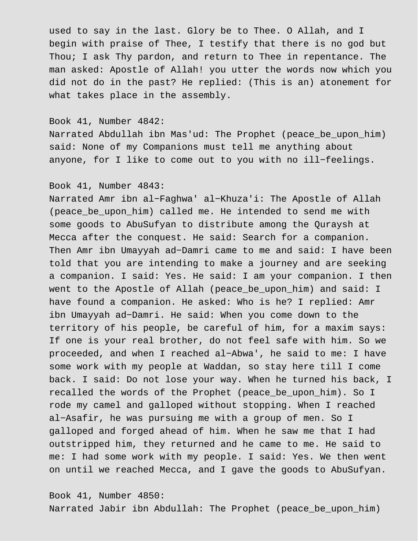used to say in the last. Glory be to Thee. O Allah, and I begin with praise of Thee, I testify that there is no god but Thou; I ask Thy pardon, and return to Thee in repentance. The man asked: Apostle of Allah! you utter the words now which you did not do in the past? He replied: (This is an) atonement for what takes place in the assembly.

### Book 41, Number 4842:

Narrated Abdullah ibn Mas'ud: The Prophet (peace\_be\_upon\_him) said: None of my Companions must tell me anything about anyone, for I like to come out to you with no ill−feelings.

#### Book 41, Number 4843:

Narrated Amr ibn al−Faghwa' al−Khuza'i: The Apostle of Allah (peace be upon him) called me. He intended to send me with some goods to AbuSufyan to distribute among the Quraysh at Mecca after the conquest. He said: Search for a companion. Then Amr ibn Umayyah ad−Damri came to me and said: I have been told that you are intending to make a journey and are seeking a companion. I said: Yes. He said: I am your companion. I then went to the Apostle of Allah (peace\_be\_upon\_him) and said: I have found a companion. He asked: Who is he? I replied: Amr ibn Umayyah ad−Damri. He said: When you come down to the territory of his people, be careful of him, for a maxim says: If one is your real brother, do not feel safe with him. So we proceeded, and when I reached al−Abwa', he said to me: I have some work with my people at Waddan, so stay here till I come back. I said: Do not lose your way. When he turned his back, I recalled the words of the Prophet (peace\_be\_upon\_him). So I rode my camel and galloped without stopping. When I reached al−Asafir, he was pursuing me with a group of men. So I galloped and forged ahead of him. When he saw me that I had outstripped him, they returned and he came to me. He said to me: I had some work with my people. I said: Yes. We then went on until we reached Mecca, and I gave the goods to AbuSufyan.

# Book 41, Number 4850:

Narrated Jabir ibn Abdullah: The Prophet (peace\_be\_upon\_him)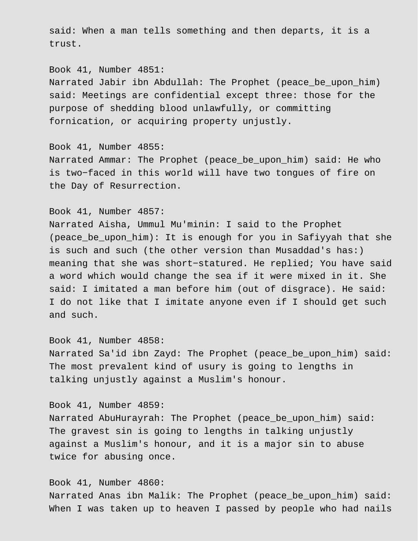said: When a man tells something and then departs, it is a trust.

Book 41, Number 4851: Narrated Jabir ibn Abdullah: The Prophet (peace be upon him) said: Meetings are confidential except three: those for the purpose of shedding blood unlawfully, or committing fornication, or acquiring property unjustly.

Book 41, Number 4855: Narrated Ammar: The Prophet (peace be upon him) said: He who is two−faced in this world will have two tongues of fire on the Day of Resurrection.

Book 41, Number 4857: Narrated Aisha, Ummul Mu'minin: I said to the Prophet (peace\_be\_upon\_him): It is enough for you in Safiyyah that she is such and such (the other version than Musaddad's has:) meaning that she was short−statured. He replied; You have said a word which would change the sea if it were mixed in it. She said: I imitated a man before him (out of disgrace). He said: I do not like that I imitate anyone even if I should get such and such.

Book 41, Number 4858: Narrated Sa'id ibn Zayd: The Prophet (peace be upon him) said: The most prevalent kind of usury is going to lengths in talking unjustly against a Muslim's honour.

Book 41, Number 4859: Narrated AbuHurayrah: The Prophet (peace be upon him) said: The gravest sin is going to lengths in talking unjustly against a Muslim's honour, and it is a major sin to abuse twice for abusing once.

Book 41, Number 4860:

Narrated Anas ibn Malik: The Prophet (peace\_be\_upon\_him) said: When I was taken up to heaven I passed by people who had nails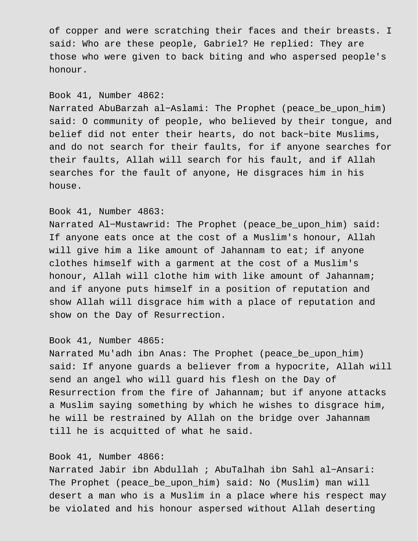of copper and were scratching their faces and their breasts. I said: Who are these people, Gabriel? He replied: They are those who were given to back biting and who aspersed people's honour.

#### Book 41, Number 4862:

Narrated AbuBarzah al−Aslami: The Prophet (peace\_be\_upon\_him) said: O community of people, who believed by their tongue, and belief did not enter their hearts, do not back−bite Muslims, and do not search for their faults, for if anyone searches for their faults, Allah will search for his fault, and if Allah searches for the fault of anyone, He disgraces him in his house.

#### Book 41, Number 4863:

Narrated Al−Mustawrid: The Prophet (peace\_be\_upon\_him) said: If anyone eats once at the cost of a Muslim's honour, Allah will give him a like amount of Jahannam to eat; if anyone clothes himself with a garment at the cost of a Muslim's honour, Allah will clothe him with like amount of Jahannam; and if anyone puts himself in a position of reputation and show Allah will disgrace him with a place of reputation and show on the Day of Resurrection.

# Book 41, Number 4865:

Narrated Mu'adh ibn Anas: The Prophet (peace be upon him) said: If anyone guards a believer from a hypocrite, Allah will send an angel who will guard his flesh on the Day of Resurrection from the fire of Jahannam; but if anyone attacks a Muslim saying something by which he wishes to disgrace him, he will be restrained by Allah on the bridge over Jahannam till he is acquitted of what he said.

#### Book 41, Number 4866:

Narrated Jabir ibn Abdullah ; AbuTalhah ibn Sahl al−Ansari: The Prophet (peace be upon him) said: No (Muslim) man will desert a man who is a Muslim in a place where his respect may be violated and his honour aspersed without Allah deserting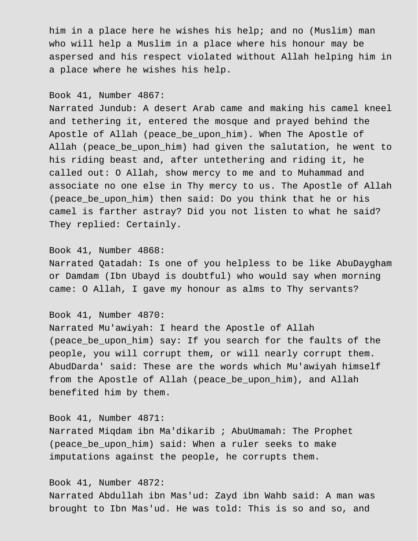him in a place here he wishes his help; and no (Muslim) man who will help a Muslim in a place where his honour may be aspersed and his respect violated without Allah helping him in a place where he wishes his help.

### Book 41, Number 4867:

Narrated Jundub: A desert Arab came and making his camel kneel and tethering it, entered the mosque and prayed behind the Apostle of Allah (peace\_be\_upon\_him). When The Apostle of Allah (peace be upon him) had given the salutation, he went to his riding beast and, after untethering and riding it, he called out: O Allah, show mercy to me and to Muhammad and associate no one else in Thy mercy to us. The Apostle of Allah (peace\_be\_upon\_him) then said: Do you think that he or his camel is farther astray? Did you not listen to what he said? They replied: Certainly.

#### Book 41, Number 4868:

Narrated Qatadah: Is one of you helpless to be like AbuDaygham or Damdam (Ibn Ubayd is doubtful) who would say when morning came: O Allah, I gave my honour as alms to Thy servants?

#### Book 41, Number 4870:

Narrated Mu'awiyah: I heard the Apostle of Allah (peace\_be\_upon\_him) say: If you search for the faults of the people, you will corrupt them, or will nearly corrupt them. AbudDarda' said: These are the words which Mu'awiyah himself from the Apostle of Allah (peace\_be\_upon\_him), and Allah benefited him by them.

# Book 41, Number 4871:

Narrated Miqdam ibn Ma'dikarib ; AbuUmamah: The Prophet (peace\_be\_upon\_him) said: When a ruler seeks to make imputations against the people, he corrupts them.

# Book 41, Number 4872:

Narrated Abdullah ibn Mas'ud: Zayd ibn Wahb said: A man was brought to Ibn Mas'ud. He was told: This is so and so, and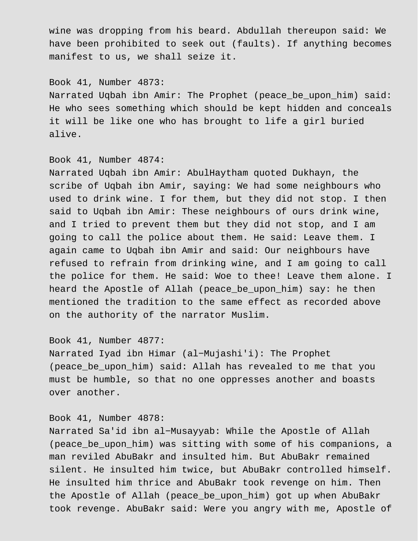wine was dropping from his beard. Abdullah thereupon said: We have been prohibited to seek out (faults). If anything becomes manifest to us, we shall seize it.

Book 41, Number 4873:

Narrated Uqbah ibn Amir: The Prophet (peace\_be\_upon\_him) said: He who sees something which should be kept hidden and conceals it will be like one who has brought to life a girl buried alive.

Book 41, Number 4874:

Narrated Uqbah ibn Amir: AbulHaytham quoted Dukhayn, the scribe of Uqbah ibn Amir, saying: We had some neighbours who used to drink wine. I for them, but they did not stop. I then said to Uqbah ibn Amir: These neighbours of ours drink wine, and I tried to prevent them but they did not stop, and I am going to call the police about them. He said: Leave them. I again came to Uqbah ibn Amir and said: Our neighbours have refused to refrain from drinking wine, and I am going to call the police for them. He said: Woe to thee! Leave them alone. I heard the Apostle of Allah (peace\_be\_upon\_him) say: he then mentioned the tradition to the same effect as recorded above on the authority of the narrator Muslim.

Book 41, Number 4877:

Narrated Iyad ibn Himar (al−Mujashi'i): The Prophet (peace\_be\_upon\_him) said: Allah has revealed to me that you must be humble, so that no one oppresses another and boasts over another.

Book 41, Number 4878:

Narrated Sa'id ibn al−Musayyab: While the Apostle of Allah (peace\_be\_upon\_him) was sitting with some of his companions, a man reviled AbuBakr and insulted him. But AbuBakr remained silent. He insulted him twice, but AbuBakr controlled himself. He insulted him thrice and AbuBakr took revenge on him. Then the Apostle of Allah (peace\_be\_upon\_him) got up when AbuBakr took revenge. AbuBakr said: Were you angry with me, Apostle of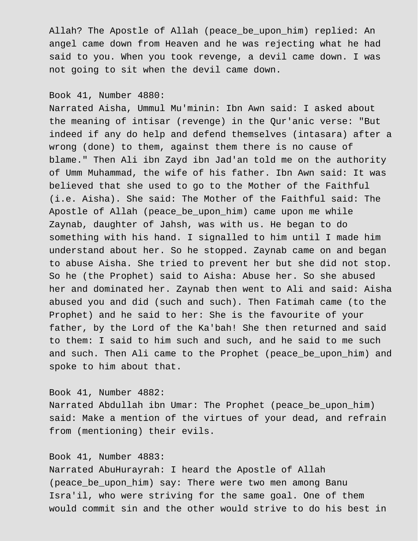Allah? The Apostle of Allah (peace be upon him) replied: An angel came down from Heaven and he was rejecting what he had said to you. When you took revenge, a devil came down. I was not going to sit when the devil came down.

### Book 41, Number 4880:

Narrated Aisha, Ummul Mu'minin: Ibn Awn said: I asked about the meaning of intisar (revenge) in the Qur'anic verse: "But indeed if any do help and defend themselves (intasara) after a wrong (done) to them, against them there is no cause of blame." Then Ali ibn Zayd ibn Jad'an told me on the authority of Umm Muhammad, the wife of his father. Ibn Awn said: It was believed that she used to go to the Mother of the Faithful (i.e. Aisha). She said: The Mother of the Faithful said: The Apostle of Allah (peace be upon him) came upon me while Zaynab, daughter of Jahsh, was with us. He began to do something with his hand. I signalled to him until I made him understand about her. So he stopped. Zaynab came on and began to abuse Aisha. She tried to prevent her but she did not stop. So he (the Prophet) said to Aisha: Abuse her. So she abused her and dominated her. Zaynab then went to Ali and said: Aisha abused you and did (such and such). Then Fatimah came (to the Prophet) and he said to her: She is the favourite of your father, by the Lord of the Ka'bah! She then returned and said to them: I said to him such and such, and he said to me such and such. Then Ali came to the Prophet (peace\_be\_upon\_him) and spoke to him about that.

# Book 41, Number 4882:

Narrated Abdullah ibn Umar: The Prophet (peace\_be\_upon\_him) said: Make a mention of the virtues of your dead, and refrain from (mentioning) their evils.

# Book 41, Number 4883:

Narrated AbuHurayrah: I heard the Apostle of Allah (peace be upon him) say: There were two men among Banu Isra'il, who were striving for the same goal. One of them would commit sin and the other would strive to do his best in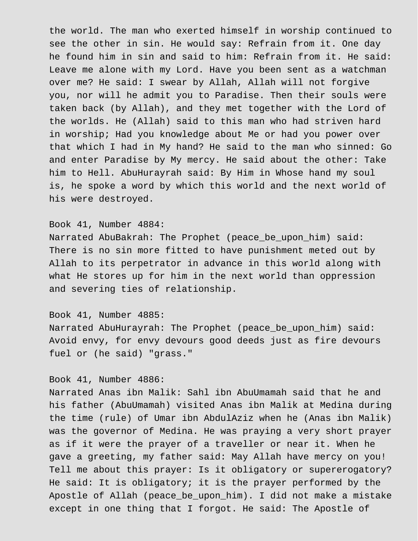the world. The man who exerted himself in worship continued to see the other in sin. He would say: Refrain from it. One day he found him in sin and said to him: Refrain from it. He said: Leave me alone with my Lord. Have you been sent as a watchman over me? He said: I swear by Allah, Allah will not forgive you, nor will he admit you to Paradise. Then their souls were taken back (by Allah), and they met together with the Lord of the worlds. He (Allah) said to this man who had striven hard in worship; Had you knowledge about Me or had you power over that which I had in My hand? He said to the man who sinned: Go and enter Paradise by My mercy. He said about the other: Take him to Hell. AbuHurayrah said: By Him in Whose hand my soul is, he spoke a word by which this world and the next world of his were destroyed.

#### Book 41, Number 4884:

Narrated AbuBakrah: The Prophet (peace be upon him) said: There is no sin more fitted to have punishment meted out by Allah to its perpetrator in advance in this world along with what He stores up for him in the next world than oppression and severing ties of relationship.

#### Book 41, Number 4885:

Narrated AbuHurayrah: The Prophet (peace\_be\_upon\_him) said: Avoid envy, for envy devours good deeds just as fire devours fuel or (he said) "grass."

# Book 41, Number 4886:

Narrated Anas ibn Malik: Sahl ibn AbuUmamah said that he and his father (AbuUmamah) visited Anas ibn Malik at Medina during the time (rule) of Umar ibn AbdulAziz when he (Anas ibn Malik) was the governor of Medina. He was praying a very short prayer as if it were the prayer of a traveller or near it. When he gave a greeting, my father said: May Allah have mercy on you! Tell me about this prayer: Is it obligatory or supererogatory? He said: It is obligatory; it is the prayer performed by the Apostle of Allah (peace\_be\_upon\_him). I did not make a mistake except in one thing that I forgot. He said: The Apostle of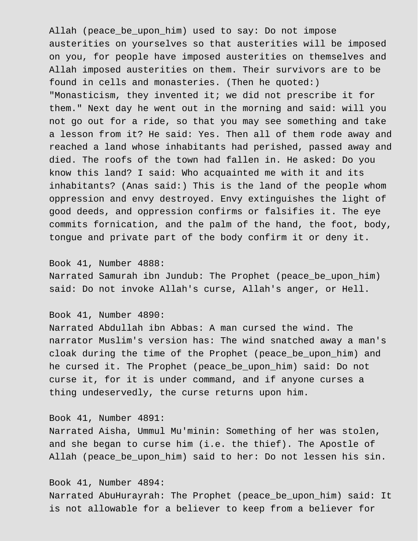Allah (peace be upon him) used to say: Do not impose austerities on yourselves so that austerities will be imposed on you, for people have imposed austerities on themselves and Allah imposed austerities on them. Their survivors are to be found in cells and monasteries. (Then he quoted:) "Monasticism, they invented it; we did not prescribe it for them." Next day he went out in the morning and said: will you not go out for a ride, so that you may see something and take a lesson from it? He said: Yes. Then all of them rode away and reached a land whose inhabitants had perished, passed away and died. The roofs of the town had fallen in. He asked: Do you know this land? I said: Who acquainted me with it and its inhabitants? (Anas said:) This is the land of the people whom oppression and envy destroyed. Envy extinguishes the light of good deeds, and oppression confirms or falsifies it. The eye commits fornication, and the palm of the hand, the foot, body, tongue and private part of the body confirm it or deny it.

#### Book 41, Number 4888:

Narrated Samurah ibn Jundub: The Prophet (peace\_be\_upon\_him) said: Do not invoke Allah's curse, Allah's anger, or Hell.

#### Book 41, Number 4890:

Narrated Abdullah ibn Abbas: A man cursed the wind. The narrator Muslim's version has: The wind snatched away a man's cloak during the time of the Prophet (peace\_be\_upon\_him) and he cursed it. The Prophet (peace\_be\_upon\_him) said: Do not curse it, for it is under command, and if anyone curses a thing undeservedly, the curse returns upon him.

### Book 41, Number 4891:

Narrated Aisha, Ummul Mu'minin: Something of her was stolen, and she began to curse him (i.e. the thief). The Apostle of Allah (peace\_be\_upon\_him) said to her: Do not lessen his sin.

# Book 41, Number 4894:

Narrated AbuHurayrah: The Prophet (peace\_be\_upon\_him) said: It is not allowable for a believer to keep from a believer for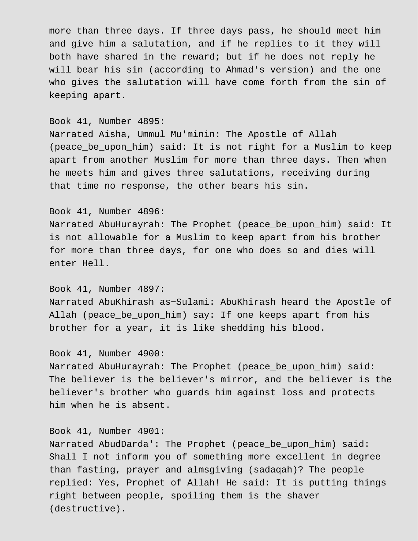more than three days. If three days pass, he should meet him and give him a salutation, and if he replies to it they will both have shared in the reward; but if he does not reply he will bear his sin (according to Ahmad's version) and the one who gives the salutation will have come forth from the sin of keeping apart.

#### Book 41, Number 4895:

Narrated Aisha, Ummul Mu'minin: The Apostle of Allah (peace\_be\_upon\_him) said: It is not right for a Muslim to keep apart from another Muslim for more than three days. Then when he meets him and gives three salutations, receiving during that time no response, the other bears his sin.

### Book 41, Number 4896:

Narrated AbuHurayrah: The Prophet (peace\_be\_upon\_him) said: It is not allowable for a Muslim to keep apart from his brother for more than three days, for one who does so and dies will enter Hell.

#### Book 41, Number 4897:

Narrated AbuKhirash as−Sulami: AbuKhirash heard the Apostle of Allah (peace\_be\_upon\_him) say: If one keeps apart from his brother for a year, it is like shedding his blood.

# Book 41, Number 4900:

Narrated AbuHurayrah: The Prophet (peace\_be\_upon\_him) said: The believer is the believer's mirror, and the believer is the believer's brother who guards him against loss and protects him when he is absent.

#### Book 41, Number 4901:

Narrated AbudDarda': The Prophet (peace\_be\_upon\_him) said: Shall I not inform you of something more excellent in degree than fasting, prayer and almsgiving (sadaqah)? The people replied: Yes, Prophet of Allah! He said: It is putting things right between people, spoiling them is the shaver (destructive).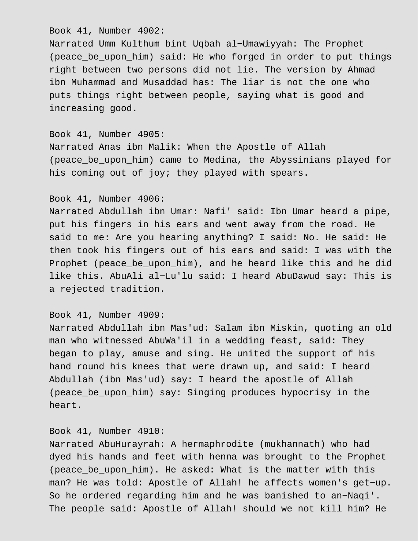# Book 41, Number 4902:

Narrated Umm Kulthum bint Uqbah al−Umawiyyah: The Prophet (peace be upon him) said: He who forged in order to put things right between two persons did not lie. The version by Ahmad ibn Muhammad and Musaddad has: The liar is not the one who puts things right between people, saying what is good and increasing good.

### Book 41, Number 4905:

Narrated Anas ibn Malik: When the Apostle of Allah (peace\_be\_upon\_him) came to Medina, the Abyssinians played for his coming out of joy; they played with spears.

### Book 41, Number 4906:

Narrated Abdullah ibn Umar: Nafi' said: Ibn Umar heard a pipe, put his fingers in his ears and went away from the road. He said to me: Are you hearing anything? I said: No. He said: He then took his fingers out of his ears and said: I was with the Prophet (peace\_be\_upon\_him), and he heard like this and he did like this. AbuAli al−Lu'lu said: I heard AbuDawud say: This is a rejected tradition.

#### Book 41, Number 4909:

Narrated Abdullah ibn Mas'ud: Salam ibn Miskin, quoting an old man who witnessed AbuWa'il in a wedding feast, said: They began to play, amuse and sing. He united the support of his hand round his knees that were drawn up, and said: I heard Abdullah (ibn Mas'ud) say: I heard the apostle of Allah (peace\_be\_upon\_him) say: Singing produces hypocrisy in the heart.

# Book 41, Number 4910:

Narrated AbuHurayrah: A hermaphrodite (mukhannath) who had dyed his hands and feet with henna was brought to the Prophet (peace be upon him). He asked: What is the matter with this man? He was told: Apostle of Allah! he affects women's get−up. So he ordered regarding him and he was banished to an−Naqi'. The people said: Apostle of Allah! should we not kill him? He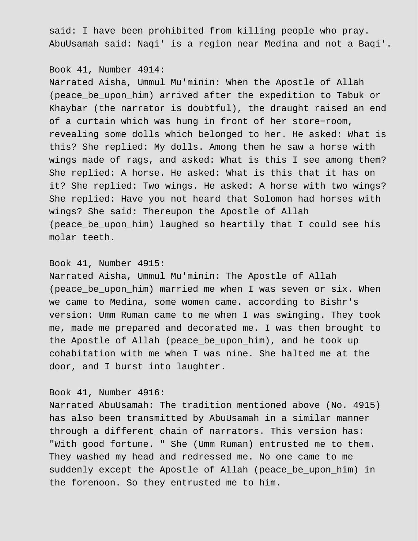said: I have been prohibited from killing people who pray. AbuUsamah said: Naqi' is a region near Medina and not a Baqi'.

# Book 41, Number 4914:

Narrated Aisha, Ummul Mu'minin: When the Apostle of Allah (peace be upon him) arrived after the expedition to Tabuk or Khaybar (the narrator is doubtful), the draught raised an end of a curtain which was hung in front of her store−room, revealing some dolls which belonged to her. He asked: What is this? She replied: My dolls. Among them he saw a horse with wings made of rags, and asked: What is this I see among them? She replied: A horse. He asked: What is this that it has on it? She replied: Two wings. He asked: A horse with two wings? She replied: Have you not heard that Solomon had horses with wings? She said: Thereupon the Apostle of Allah (peace\_be\_upon\_him) laughed so heartily that I could see his molar teeth.

# Book 41, Number 4915:

Narrated Aisha, Ummul Mu'minin: The Apostle of Allah (peace be upon him) married me when I was seven or six. When we came to Medina, some women came. according to Bishr's version: Umm Ruman came to me when I was swinging. They took me, made me prepared and decorated me. I was then brought to the Apostle of Allah (peace\_be\_upon\_him), and he took up cohabitation with me when I was nine. She halted me at the door, and I burst into laughter.

# Book 41, Number 4916:

Narrated AbuUsamah: The tradition mentioned above (No. 4915) has also been transmitted by AbuUsamah in a similar manner through a different chain of narrators. This version has: "With good fortune. " She (Umm Ruman) entrusted me to them. They washed my head and redressed me. No one came to me suddenly except the Apostle of Allah (peace be upon him) in the forenoon. So they entrusted me to him.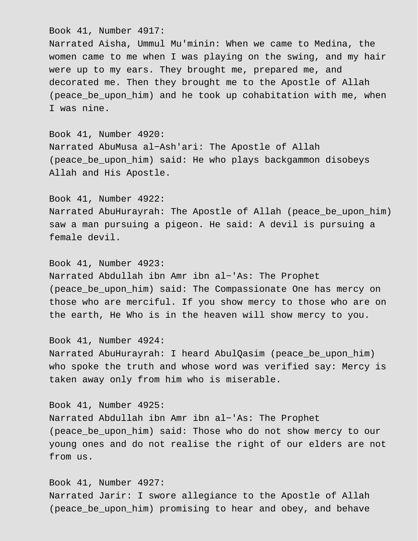#### Book 41, Number 4917:

Narrated Aisha, Ummul Mu'minin: When we came to Medina, the women came to me when I was playing on the swing, and my hair were up to my ears. They brought me, prepared me, and decorated me. Then they brought me to the Apostle of Allah (peace\_be\_upon\_him) and he took up cohabitation with me, when I was nine.

Book 41, Number 4920: Narrated AbuMusa al−Ash'ari: The Apostle of Allah (peace\_be\_upon\_him) said: He who plays backgammon disobeys Allah and His Apostle.

Book 41, Number 4922: Narrated AbuHurayrah: The Apostle of Allah (peace\_be\_upon\_him) saw a man pursuing a pigeon. He said: A devil is pursuing a female devil.

Book 41, Number 4923: Narrated Abdullah ibn Amr ibn al−'As: The Prophet (peace\_be\_upon\_him) said: The Compassionate One has mercy on those who are merciful. If you show mercy to those who are on the earth, He Who is in the heaven will show mercy to you.

Book 41, Number 4924: Narrated AbuHurayrah: I heard AbulQasim (peace\_be\_upon\_him) who spoke the truth and whose word was verified say: Mercy is taken away only from him who is miserable.

Book 41, Number 4925: Narrated Abdullah ibn Amr ibn al−'As: The Prophet (peace\_be\_upon\_him) said: Those who do not show mercy to our young ones and do not realise the right of our elders are not from us.

Book 41, Number 4927: Narrated Jarir: I swore allegiance to the Apostle of Allah (peace\_be\_upon\_him) promising to hear and obey, and behave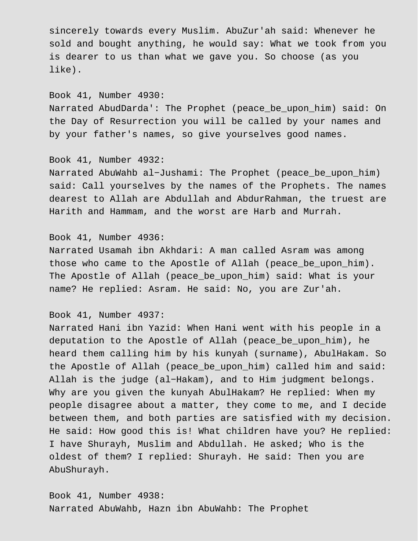sincerely towards every Muslim. AbuZur'ah said: Whenever he sold and bought anything, he would say: What we took from you is dearer to us than what we gave you. So choose (as you like).

#### Book 41, Number 4930:

Narrated AbudDarda': The Prophet (peace\_be\_upon\_him) said: On the Day of Resurrection you will be called by your names and by your father's names, so give yourselves good names.

# Book 41, Number 4932:

Narrated AbuWahb al-Jushami: The Prophet (peace be upon him) said: Call yourselves by the names of the Prophets. The names dearest to Allah are Abdullah and AbdurRahman, the truest are Harith and Hammam, and the worst are Harb and Murrah.

# Book 41, Number 4936:

Narrated Usamah ibn Akhdari: A man called Asram was among those who came to the Apostle of Allah (peace\_be\_upon\_him). The Apostle of Allah (peace\_be\_upon\_him) said: What is your name? He replied: Asram. He said: No, you are Zur'ah.

### Book 41, Number 4937:

Narrated Hani ibn Yazid: When Hani went with his people in a deputation to the Apostle of Allah (peace\_be\_upon\_him), he heard them calling him by his kunyah (surname), AbulHakam. So the Apostle of Allah (peace\_be\_upon\_him) called him and said: Allah is the judge (al−Hakam), and to Him judgment belongs. Why are you given the kunyah AbulHakam? He replied: When my people disagree about a matter, they come to me, and I decide between them, and both parties are satisfied with my decision. He said: How good this is! What children have you? He replied: I have Shurayh, Muslim and Abdullah. He asked; Who is the oldest of them? I replied: Shurayh. He said: Then you are AbuShurayh.

# Book 41, Number 4938: Narrated AbuWahb, Hazn ibn AbuWahb: The Prophet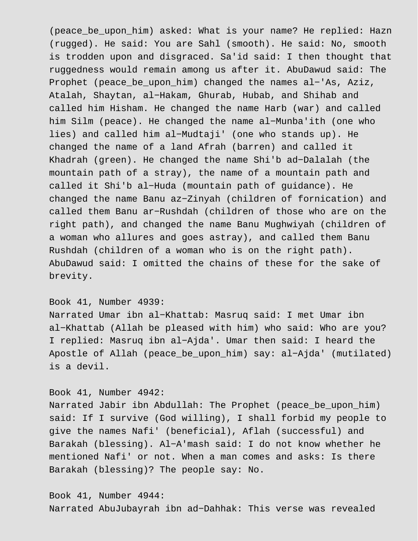(peace be upon him) asked: What is your name? He replied: Hazn (rugged). He said: You are Sahl (smooth). He said: No, smooth is trodden upon and disgraced. Sa'id said: I then thought that ruggedness would remain among us after it. AbuDawud said: The Prophet (peace\_be\_upon\_him) changed the names al−'As, Aziz, Atalah, Shaytan, al−Hakam, Ghurab, Hubab, and Shihab and called him Hisham. He changed the name Harb (war) and called him Silm (peace). He changed the name al−Munba'ith (one who lies) and called him al−Mudtaji' (one who stands up). He changed the name of a land Afrah (barren) and called it Khadrah (green). He changed the name Shi'b ad−Dalalah (the mountain path of a stray), the name of a mountain path and called it Shi'b al−Huda (mountain path of guidance). He changed the name Banu az−Zinyah (children of fornication) and called them Banu ar−Rushdah (children of those who are on the right path), and changed the name Banu Mughwiyah (children of a woman who allures and goes astray), and called them Banu Rushdah (children of a woman who is on the right path). AbuDawud said: I omitted the chains of these for the sake of brevity.

# Book 41, Number 4939:

Narrated Umar ibn al−Khattab: Masruq said: I met Umar ibn al−Khattab (Allah be pleased with him) who said: Who are you? I replied: Masruq ibn al−Ajda'. Umar then said: I heard the Apostle of Allah (peace\_be\_upon\_him) say: al−Ajda' (mutilated) is a devil.

# Book 41, Number 4942:

Narrated Jabir ibn Abdullah: The Prophet (peace\_be\_upon\_him) said: If I survive (God willing), I shall forbid my people to give the names Nafi' (beneficial), Aflah (successful) and Barakah (blessing). Al−A'mash said: I do not know whether he mentioned Nafi' or not. When a man comes and asks: Is there Barakah (blessing)? The people say: No.

Book 41, Number 4944: Narrated AbuJubayrah ibn ad−Dahhak: This verse was revealed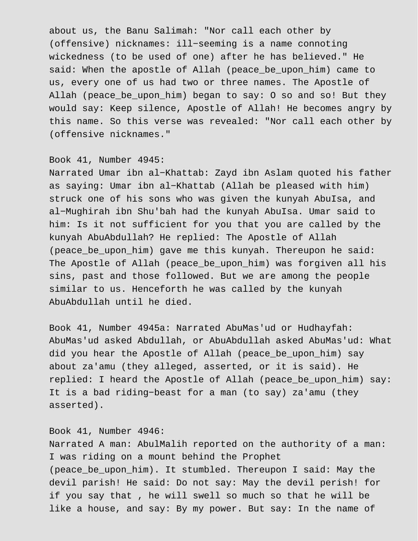about us, the Banu Salimah: "Nor call each other by (offensive) nicknames: ill−seeming is a name connoting wickedness (to be used of one) after he has believed." He said: When the apostle of Allah (peace\_be\_upon\_him) came to us, every one of us had two or three names. The Apostle of Allah (peace\_be\_upon\_him) began to say: O so and so! But they would say: Keep silence, Apostle of Allah! He becomes angry by this name. So this verse was revealed: "Nor call each other by (offensive nicknames."

# Book 41, Number 4945:

Narrated Umar ibn al−Khattab: Zayd ibn Aslam quoted his father as saying: Umar ibn al−Khattab (Allah be pleased with him) struck one of his sons who was given the kunyah AbuIsa, and al−Mughirah ibn Shu'bah had the kunyah AbuIsa. Umar said to him: Is it not sufficient for you that you are called by the kunyah AbuAbdullah? He replied: The Apostle of Allah (peace\_be\_upon\_him) gave me this kunyah. Thereupon he said: The Apostle of Allah (peace\_be\_upon\_him) was forgiven all his sins, past and those followed. But we are among the people similar to us. Henceforth he was called by the kunyah AbuAbdullah until he died.

Book 41, Number 4945a: Narrated AbuMas'ud or Hudhayfah: AbuMas'ud asked Abdullah, or AbuAbdullah asked AbuMas'ud: What did you hear the Apostle of Allah (peace\_be\_upon\_him) say about za'amu (they alleged, asserted, or it is said). He replied: I heard the Apostle of Allah (peace\_be\_upon\_him) say: It is a bad riding−beast for a man (to say) za'amu (they asserted).

# Book 41, Number 4946:

Narrated A man: AbulMalih reported on the authority of a man: I was riding on a mount behind the Prophet (peace be upon him). It stumbled. Thereupon I said: May the devil parish! He said: Do not say: May the devil perish! for if you say that , he will swell so much so that he will be like a house, and say: By my power. But say: In the name of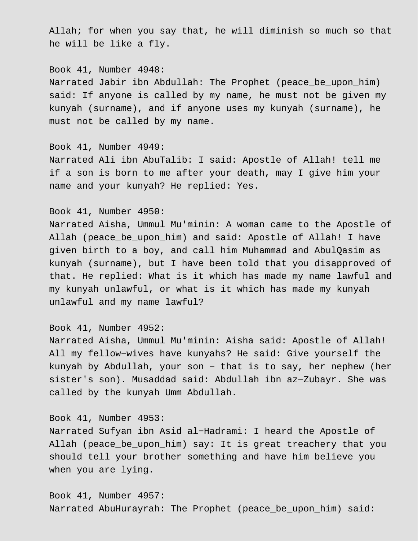Allah; for when you say that, he will diminish so much so that he will be like a fly.

Book 41, Number 4948: Narrated Jabir ibn Abdullah: The Prophet (peace be upon him) said: If anyone is called by my name, he must not be given my kunyah (surname), and if anyone uses my kunyah (surname), he must not be called by my name.

Book 41, Number 4949:

Narrated Ali ibn AbuTalib: I said: Apostle of Allah! tell me if a son is born to me after your death, may I give him your name and your kunyah? He replied: Yes.

#### Book 41, Number 4950:

Narrated Aisha, Ummul Mu'minin: A woman came to the Apostle of Allah (peace\_be\_upon\_him) and said: Apostle of Allah! I have given birth to a boy, and call him Muhammad and AbulQasim as kunyah (surname), but I have been told that you disapproved of that. He replied: What is it which has made my name lawful and my kunyah unlawful, or what is it which has made my kunyah unlawful and my name lawful?

# Book 41, Number 4952:

Narrated Aisha, Ummul Mu'minin: Aisha said: Apostle of Allah! All my fellow−wives have kunyahs? He said: Give yourself the kunyah by Abdullah, your son − that is to say, her nephew (her sister's son). Musaddad said: Abdullah ibn az−Zubayr. She was called by the kunyah Umm Abdullah.

# Book 41, Number 4953:

Narrated Sufyan ibn Asid al−Hadrami: I heard the Apostle of Allah (peace\_be\_upon\_him) say: It is great treachery that you should tell your brother something and have him believe you when you are lying.

Book 41, Number 4957: Narrated AbuHurayrah: The Prophet (peace\_be\_upon\_him) said: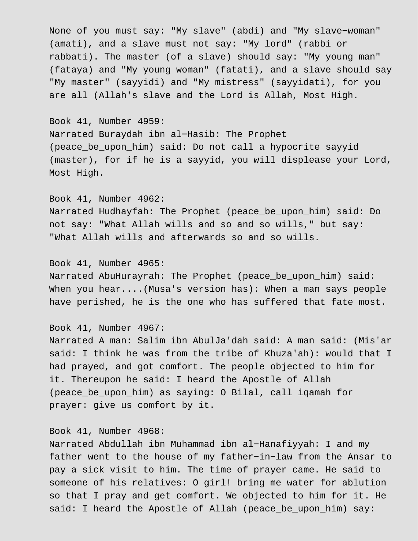None of you must say: "My slave" (abdi) and "My slave−woman" (amati), and a slave must not say: "My lord" (rabbi or rabbati). The master (of a slave) should say: "My young man" (fataya) and "My young woman" (fatati), and a slave should say "My master" (sayyidi) and "My mistress" (sayyidati), for you are all (Allah's slave and the Lord is Allah, Most High.

Book 41, Number 4959: Narrated Buraydah ibn al−Hasib: The Prophet (peace\_be\_upon\_him) said: Do not call a hypocrite sayyid (master), for if he is a sayyid, you will displease your Lord, Most High.

Book 41, Number 4962: Narrated Hudhayfah: The Prophet (peace be upon him) said: Do not say: "What Allah wills and so and so wills," but say: "What Allah wills and afterwards so and so wills.

Book 41, Number 4965: Narrated AbuHurayrah: The Prophet (peace\_be\_upon\_him) said: When you hear....(Musa's version has): When a man says people have perished, he is the one who has suffered that fate most.

Book 41, Number 4967:

Narrated A man: Salim ibn AbulJa'dah said: A man said: (Mis'ar said: I think he was from the tribe of Khuza'ah): would that I had prayed, and got comfort. The people objected to him for it. Thereupon he said: I heard the Apostle of Allah (peace\_be\_upon\_him) as saying: O Bilal, call iqamah for prayer: give us comfort by it.

Book 41, Number 4968:

Narrated Abdullah ibn Muhammad ibn al−Hanafiyyah: I and my father went to the house of my father−in−law from the Ansar to pay a sick visit to him. The time of prayer came. He said to someone of his relatives: O girl! bring me water for ablution so that I pray and get comfort. We objected to him for it. He said: I heard the Apostle of Allah (peace be upon him) say: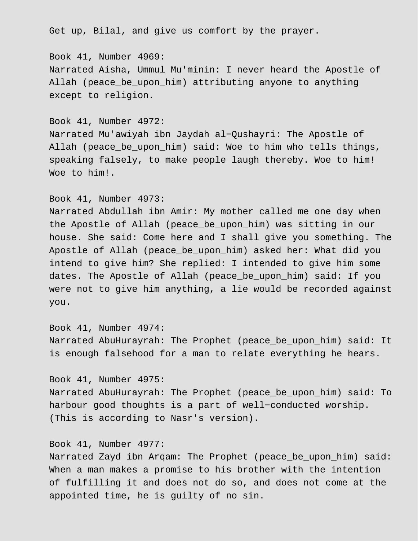Get up, Bilal, and give us comfort by the prayer.

Book 41, Number 4969: Narrated Aisha, Ummul Mu'minin: I never heard the Apostle of Allah (peace\_be\_upon\_him) attributing anyone to anything except to religion.

Book 41, Number 4972:

Narrated Mu'awiyah ibn Jaydah al−Qushayri: The Apostle of Allah (peace\_be\_upon\_him) said: Woe to him who tells things, speaking falsely, to make people laugh thereby. Woe to him! Woe to him!.

Book 41, Number 4973:

Narrated Abdullah ibn Amir: My mother called me one day when the Apostle of Allah (peace\_be\_upon\_him) was sitting in our house. She said: Come here and I shall give you something. The Apostle of Allah (peace\_be\_upon\_him) asked her: What did you intend to give him? She replied: I intended to give him some dates. The Apostle of Allah (peace\_be\_upon\_him) said: If you were not to give him anything, a lie would be recorded against you.

Book 41, Number 4974: Narrated AbuHurayrah: The Prophet (peace\_be\_upon\_him) said: It is enough falsehood for a man to relate everything he hears.

Book 41, Number 4975: Narrated AbuHurayrah: The Prophet (peace\_be\_upon\_him) said: To harbour good thoughts is a part of well−conducted worship. (This is according to Nasr's version).

Book 41, Number 4977:

Narrated Zayd ibn Arqam: The Prophet (peace\_be\_upon\_him) said: When a man makes a promise to his brother with the intention of fulfilling it and does not do so, and does not come at the appointed time, he is guilty of no sin.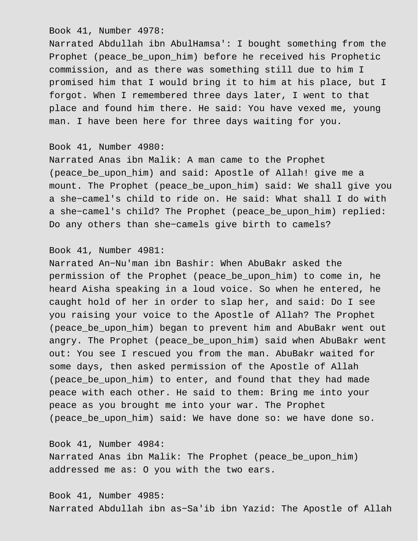#### Book 41, Number 4978:

Narrated Abdullah ibn AbulHamsa': I bought something from the Prophet (peace be upon him) before he received his Prophetic commission, and as there was something still due to him I promised him that I would bring it to him at his place, but I forgot. When I remembered three days later, I went to that place and found him there. He said: You have vexed me, young man. I have been here for three days waiting for you.

#### Book 41, Number 4980:

Narrated Anas ibn Malik: A man came to the Prophet (peace be upon him) and said: Apostle of Allah! give me a mount. The Prophet (peace\_be\_upon\_him) said: We shall give you a she−camel's child to ride on. He said: What shall I do with a she-camel's child? The Prophet (peace be upon him) replied: Do any others than she−camels give birth to camels?

## Book 41, Number 4981:

Narrated An−Nu'man ibn Bashir: When AbuBakr asked the permission of the Prophet (peace\_be\_upon\_him) to come in, he heard Aisha speaking in a loud voice. So when he entered, he caught hold of her in order to slap her, and said: Do I see you raising your voice to the Apostle of Allah? The Prophet (peace\_be\_upon\_him) began to prevent him and AbuBakr went out angry. The Prophet (peace\_be\_upon\_him) said when AbuBakr went out: You see I rescued you from the man. AbuBakr waited for some days, then asked permission of the Apostle of Allah (peace\_be\_upon\_him) to enter, and found that they had made peace with each other. He said to them: Bring me into your peace as you brought me into your war. The Prophet (peace\_be\_upon\_him) said: We have done so: we have done so.

# Book 41, Number 4984:

Narrated Anas ibn Malik: The Prophet (peace\_be\_upon\_him) addressed me as: O you with the two ears.

Book 41, Number 4985: Narrated Abdullah ibn as−Sa'ib ibn Yazid: The Apostle of Allah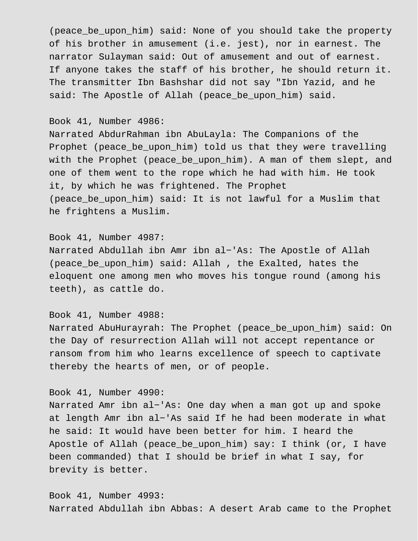(peace\_be\_upon\_him) said: None of you should take the property of his brother in amusement (i.e. jest), nor in earnest. The narrator Sulayman said: Out of amusement and out of earnest. If anyone takes the staff of his brother, he should return it. The transmitter Ibn Bashshar did not say "Ibn Yazid, and he said: The Apostle of Allah (peace\_be\_upon\_him) said.

#### Book 41, Number 4986:

Narrated AbdurRahman ibn AbuLayla: The Companions of the Prophet (peace\_be\_upon\_him) told us that they were travelling with the Prophet (peace\_be\_upon\_him). A man of them slept, and one of them went to the rope which he had with him. He took it, by which he was frightened. The Prophet (peace\_be\_upon\_him) said: It is not lawful for a Muslim that he frightens a Muslim.

#### Book 41, Number 4987:

Narrated Abdullah ibn Amr ibn al−'As: The Apostle of Allah (peace\_be\_upon\_him) said: Allah , the Exalted, hates the eloquent one among men who moves his tongue round (among his teeth), as cattle do.

#### Book 41, Number 4988:

Narrated AbuHurayrah: The Prophet (peace\_be\_upon\_him) said: On the Day of resurrection Allah will not accept repentance or ransom from him who learns excellence of speech to captivate thereby the hearts of men, or of people.

#### Book 41, Number 4990:

Narrated Amr ibn al−'As: One day when a man got up and spoke at length Amr ibn al−'As said If he had been moderate in what he said: It would have been better for him. I heard the Apostle of Allah (peace\_be\_upon\_him) say: I think (or, I have been commanded) that I should be brief in what I say, for brevity is better.

# Book 41, Number 4993:

Narrated Abdullah ibn Abbas: A desert Arab came to the Prophet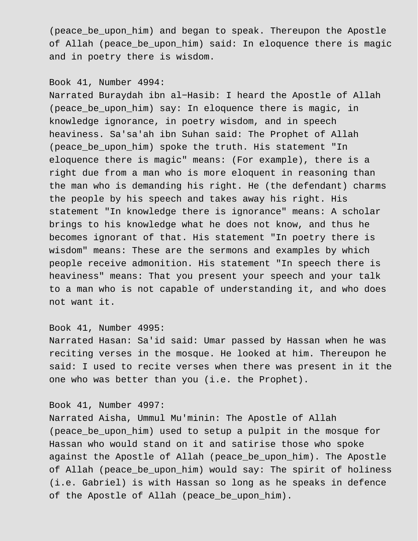(peace be upon him) and began to speak. Thereupon the Apostle of Allah (peace\_be\_upon\_him) said: In eloquence there is magic and in poetry there is wisdom.

# Book 41, Number 4994:

Narrated Buraydah ibn al−Hasib: I heard the Apostle of Allah (peace\_be\_upon\_him) say: In eloquence there is magic, in knowledge ignorance, in poetry wisdom, and in speech heaviness. Sa'sa'ah ibn Suhan said: The Prophet of Allah (peace be upon him) spoke the truth. His statement "In eloquence there is magic" means: (For example), there is a right due from a man who is more eloquent in reasoning than the man who is demanding his right. He (the defendant) charms the people by his speech and takes away his right. His statement "In knowledge there is ignorance" means: A scholar brings to his knowledge what he does not know, and thus he becomes ignorant of that. His statement "In poetry there is wisdom" means: These are the sermons and examples by which people receive admonition. His statement "In speech there is heaviness" means: That you present your speech and your talk to a man who is not capable of understanding it, and who does not want it.

### Book 41, Number 4995:

Narrated Hasan: Sa'id said: Umar passed by Hassan when he was reciting verses in the mosque. He looked at him. Thereupon he said: I used to recite verses when there was present in it the one who was better than you (i.e. the Prophet).

#### Book 41, Number 4997:

Narrated Aisha, Ummul Mu'minin: The Apostle of Allah (peace\_be\_upon\_him) used to setup a pulpit in the mosque for Hassan who would stand on it and satirise those who spoke against the Apostle of Allah (peace\_be\_upon\_him). The Apostle of Allah (peace be upon him) would say: The spirit of holiness (i.e. Gabriel) is with Hassan so long as he speaks in defence of the Apostle of Allah (peace\_be\_upon\_him).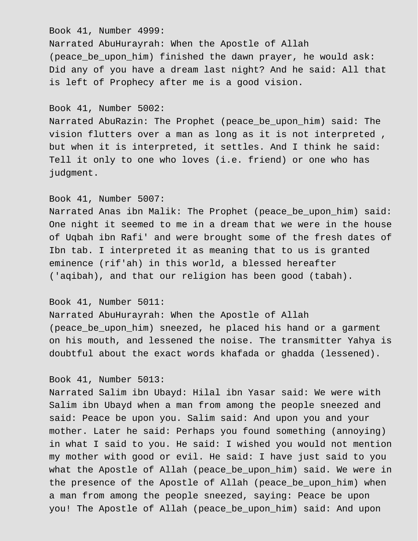#### Book 41, Number 4999:

Narrated AbuHurayrah: When the Apostle of Allah (peace be upon him) finished the dawn prayer, he would ask: Did any of you have a dream last night? And he said: All that is left of Prophecy after me is a good vision.

#### Book 41, Number 5002:

Narrated AbuRazin: The Prophet (peace\_be\_upon\_him) said: The vision flutters over a man as long as it is not interpreted , but when it is interpreted, it settles. And I think he said: Tell it only to one who loves (i.e. friend) or one who has judgment.

#### Book 41, Number 5007:

Narrated Anas ibn Malik: The Prophet (peace\_be\_upon\_him) said: One night it seemed to me in a dream that we were in the house of Uqbah ibn Rafi' and were brought some of the fresh dates of Ibn tab. I interpreted it as meaning that to us is granted eminence (rif'ah) in this world, a blessed hereafter ('aqibah), and that our religion has been good (tabah).

#### Book 41, Number 5011:

Narrated AbuHurayrah: When the Apostle of Allah (peace\_be\_upon\_him) sneezed, he placed his hand or a garment on his mouth, and lessened the noise. The transmitter Yahya is doubtful about the exact words khafada or ghadda (lessened).

### Book 41, Number 5013:

Narrated Salim ibn Ubayd: Hilal ibn Yasar said: We were with Salim ibn Ubayd when a man from among the people sneezed and said: Peace be upon you. Salim said: And upon you and your mother. Later he said: Perhaps you found something (annoying) in what I said to you. He said: I wished you would not mention my mother with good or evil. He said: I have just said to you what the Apostle of Allah (peace be upon him) said. We were in the presence of the Apostle of Allah (peace\_be\_upon\_him) when a man from among the people sneezed, saying: Peace be upon you! The Apostle of Allah (peace\_be\_upon\_him) said: And upon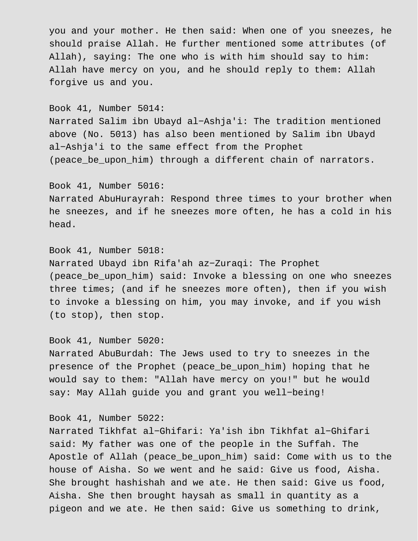you and your mother. He then said: When one of you sneezes, he should praise Allah. He further mentioned some attributes (of Allah), saying: The one who is with him should say to him: Allah have mercy on you, and he should reply to them: Allah forgive us and you.

Book 41, Number 5014: Narrated Salim ibn Ubayd al−Ashja'i: The tradition mentioned above (No. 5013) has also been mentioned by Salim ibn Ubayd al−Ashja'i to the same effect from the Prophet (peace\_be\_upon\_him) through a different chain of narrators.

Book 41, Number 5016: Narrated AbuHurayrah: Respond three times to your brother when he sneezes, and if he sneezes more often, he has a cold in his head.

Book 41, Number 5018: Narrated Ubayd ibn Rifa'ah az−Zuraqi: The Prophet (peace\_be\_upon\_him) said: Invoke a blessing on one who sneezes three times; (and if he sneezes more often), then if you wish to invoke a blessing on him, you may invoke, and if you wish (to stop), then stop.

Book 41, Number 5020: Narrated AbuBurdah: The Jews used to try to sneezes in the presence of the Prophet (peace\_be\_upon\_him) hoping that he would say to them: "Allah have mercy on you!" but he would say: May Allah guide you and grant you well−being!

Book 41, Number 5022:

Narrated Tikhfat al−Ghifari: Ya'ish ibn Tikhfat al−Ghifari said: My father was one of the people in the Suffah. The Apostle of Allah (peace\_be\_upon\_him) said: Come with us to the house of Aisha. So we went and he said: Give us food, Aisha. She brought hashishah and we ate. He then said: Give us food, Aisha. She then brought haysah as small in quantity as a pigeon and we ate. He then said: Give us something to drink,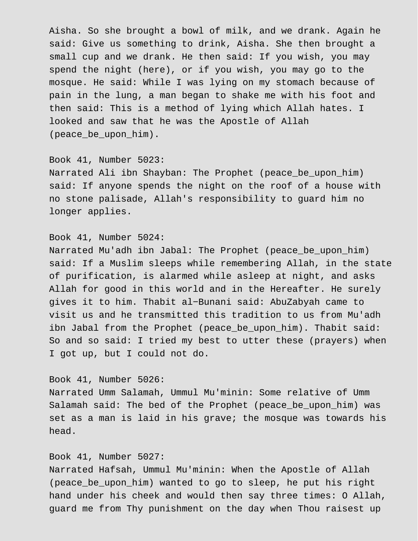Aisha. So she brought a bowl of milk, and we drank. Again he said: Give us something to drink, Aisha. She then brought a small cup and we drank. He then said: If you wish, you may spend the night (here), or if you wish, you may go to the mosque. He said: While I was lying on my stomach because of pain in the lung, a man began to shake me with his foot and then said: This is a method of lying which Allah hates. I looked and saw that he was the Apostle of Allah (peace\_be\_upon\_him).

#### Book 41, Number 5023:

Narrated Ali ibn Shayban: The Prophet (peace be upon him) said: If anyone spends the night on the roof of a house with no stone palisade, Allah's responsibility to guard him no longer applies.

# Book 41, Number 5024:

Narrated Mu'adh ibn Jabal: The Prophet (peace\_be\_upon\_him) said: If a Muslim sleeps while remembering Allah, in the state of purification, is alarmed while asleep at night, and asks Allah for good in this world and in the Hereafter. He surely gives it to him. Thabit al−Bunani said: AbuZabyah came to visit us and he transmitted this tradition to us from Mu'adh ibn Jabal from the Prophet (peace\_be\_upon\_him). Thabit said: So and so said: I tried my best to utter these (prayers) when I got up, but I could not do.

### Book 41, Number 5026:

Narrated Umm Salamah, Ummul Mu'minin: Some relative of Umm Salamah said: The bed of the Prophet (peace\_be\_upon\_him) was set as a man is laid in his grave; the mosque was towards his head.

### Book 41, Number 5027:

Narrated Hafsah, Ummul Mu'minin: When the Apostle of Allah (peace\_be\_upon\_him) wanted to go to sleep, he put his right hand under his cheek and would then say three times: O Allah, guard me from Thy punishment on the day when Thou raisest up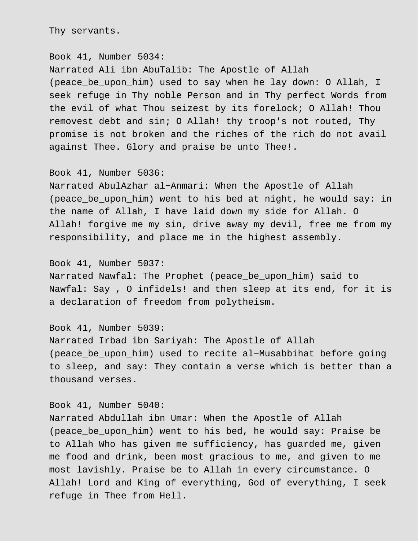Thy servants.

Book 41, Number 5034: Narrated Ali ibn AbuTalib: The Apostle of Allah (peace be upon him) used to say when he lay down: O Allah, I seek refuge in Thy noble Person and in Thy perfect Words from the evil of what Thou seizest by its forelock; O Allah! Thou removest debt and sin; O Allah! thy troop's not routed, Thy promise is not broken and the riches of the rich do not avail against Thee. Glory and praise be unto Thee!.

#### Book 41, Number 5036:

Narrated AbulAzhar al−Anmari: When the Apostle of Allah (peace\_be\_upon\_him) went to his bed at night, he would say: in the name of Allah, I have laid down my side for Allah. O Allah! forgive me my sin, drive away my devil, free me from my responsibility, and place me in the highest assembly.

#### Book 41, Number 5037:

Narrated Nawfal: The Prophet (peace\_be\_upon\_him) said to Nawfal: Say , O infidels! and then sleep at its end, for it is a declaration of freedom from polytheism.

# Book 41, Number 5039:

Narrated Irbad ibn Sariyah: The Apostle of Allah (peace\_be\_upon\_him) used to recite al−Musabbihat before going to sleep, and say: They contain a verse which is better than a thousand verses.

#### Book 41, Number 5040:

Narrated Abdullah ibn Umar: When the Apostle of Allah (peace\_be\_upon\_him) went to his bed, he would say: Praise be to Allah Who has given me sufficiency, has guarded me, given me food and drink, been most gracious to me, and given to me most lavishly. Praise be to Allah in every circumstance. O Allah! Lord and King of everything, God of everything, I seek refuge in Thee from Hell.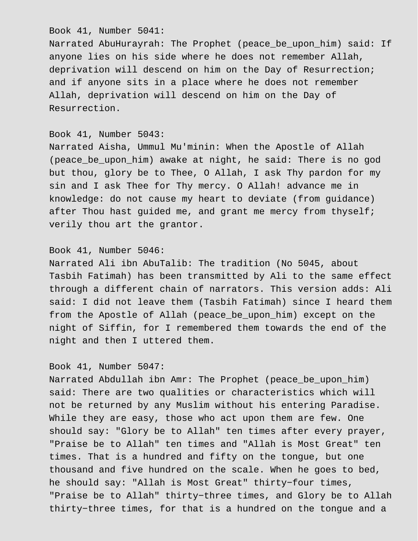#### Book 41, Number 5041:

Narrated AbuHurayrah: The Prophet (peace\_be\_upon\_him) said: If anyone lies on his side where he does not remember Allah, deprivation will descend on him on the Day of Resurrection; and if anyone sits in a place where he does not remember Allah, deprivation will descend on him on the Day of Resurrection.

### Book 41, Number 5043:

Narrated Aisha, Ummul Mu'minin: When the Apostle of Allah (peace\_be\_upon\_him) awake at night, he said: There is no god but thou, glory be to Thee, O Allah, I ask Thy pardon for my sin and I ask Thee for Thy mercy. O Allah! advance me in knowledge: do not cause my heart to deviate (from guidance) after Thou hast guided me, and grant me mercy from thyself; verily thou art the grantor.

# Book 41, Number 5046:

Narrated Ali ibn AbuTalib: The tradition (No 5045, about Tasbih Fatimah) has been transmitted by Ali to the same effect through a different chain of narrators. This version adds: Ali said: I did not leave them (Tasbih Fatimah) since I heard them from the Apostle of Allah (peace\_be\_upon\_him) except on the night of Siffin, for I remembered them towards the end of the night and then I uttered them.

## Book 41, Number 5047:

Narrated Abdullah ibn Amr: The Prophet (peace\_be\_upon\_him) said: There are two qualities or characteristics which will not be returned by any Muslim without his entering Paradise. While they are easy, those who act upon them are few. One should say: "Glory be to Allah" ten times after every prayer, "Praise be to Allah" ten times and "Allah is Most Great" ten times. That is a hundred and fifty on the tongue, but one thousand and five hundred on the scale. When he goes to bed, he should say: "Allah is Most Great" thirty−four times, "Praise be to Allah" thirty−three times, and Glory be to Allah thirty−three times, for that is a hundred on the tongue and a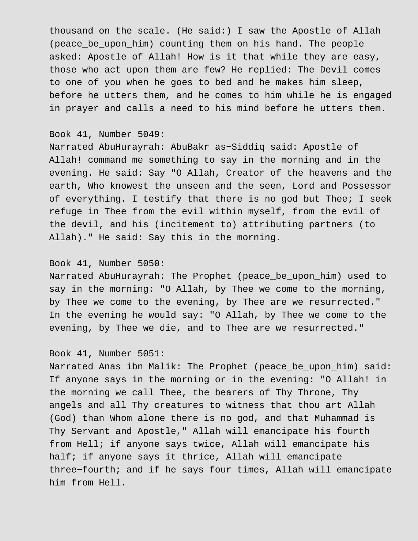thousand on the scale. (He said:) I saw the Apostle of Allah (peace\_be\_upon\_him) counting them on his hand. The people asked: Apostle of Allah! How is it that while they are easy, those who act upon them are few? He replied: The Devil comes to one of you when he goes to bed and he makes him sleep, before he utters them, and he comes to him while he is engaged in prayer and calls a need to his mind before he utters them.

### Book 41, Number 5049:

Narrated AbuHurayrah: AbuBakr as−Siddiq said: Apostle of Allah! command me something to say in the morning and in the evening. He said: Say "O Allah, Creator of the heavens and the earth, Who knowest the unseen and the seen, Lord and Possessor of everything. I testify that there is no god but Thee; I seek refuge in Thee from the evil within myself, from the evil of the devil, and his (incitement to) attributing partners (to Allah)." He said: Say this in the morning.

### Book 41, Number 5050:

Narrated AbuHurayrah: The Prophet (peace\_be\_upon\_him) used to say in the morning: "O Allah, by Thee we come to the morning, by Thee we come to the evening, by Thee are we resurrected." In the evening he would say: "O Allah, by Thee we come to the evening, by Thee we die, and to Thee are we resurrected."

### Book 41, Number 5051:

Narrated Anas ibn Malik: The Prophet (peace\_be\_upon\_him) said: If anyone says in the morning or in the evening: "O Allah! in the morning we call Thee, the bearers of Thy Throne, Thy angels and all Thy creatures to witness that thou art Allah (God) than Whom alone there is no god, and that Muhammad is Thy Servant and Apostle," Allah will emancipate his fourth from Hell; if anyone says twice, Allah will emancipate his half; if anyone says it thrice, Allah will emancipate three−fourth; and if he says four times, Allah will emancipate him from Hell.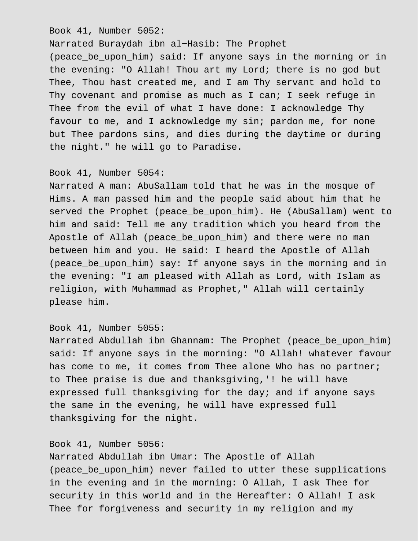# Book 41, Number 5052:

#### Narrated Buraydah ibn al−Hasib: The Prophet

(peace be upon him) said: If anyone says in the morning or in the evening: "O Allah! Thou art my Lord; there is no god but Thee, Thou hast created me, and I am Thy servant and hold to Thy covenant and promise as much as I can; I seek refuge in Thee from the evil of what I have done: I acknowledge Thy favour to me, and I acknowledge my sin; pardon me, for none but Thee pardons sins, and dies during the daytime or during the night." he will go to Paradise.

# Book 41, Number 5054:

Narrated A man: AbuSallam told that he was in the mosque of Hims. A man passed him and the people said about him that he served the Prophet (peace be upon him). He (AbuSallam) went to him and said: Tell me any tradition which you heard from the Apostle of Allah (peace\_be\_upon\_him) and there were no man between him and you. He said: I heard the Apostle of Allah (peace\_be\_upon\_him) say: If anyone says in the morning and in the evening: "I am pleased with Allah as Lord, with Islam as religion, with Muhammad as Prophet," Allah will certainly please him.

### Book 41, Number 5055:

Narrated Abdullah ibn Ghannam: The Prophet (peace\_be\_upon\_him) said: If anyone says in the morning: "O Allah! whatever favour has come to me, it comes from Thee alone Who has no partner; to Thee praise is due and thanksgiving,'! he will have expressed full thanksgiving for the day; and if anyone says the same in the evening, he will have expressed full thanksgiving for the night.

# Book 41, Number 5056:

Narrated Abdullah ibn Umar: The Apostle of Allah (peace be upon him) never failed to utter these supplications in the evening and in the morning: O Allah, I ask Thee for security in this world and in the Hereafter: O Allah! I ask Thee for forgiveness and security in my religion and my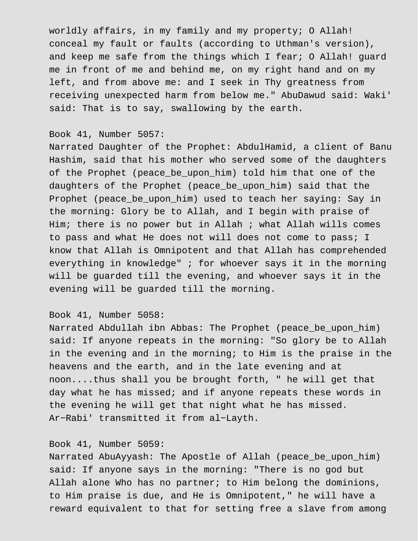worldly affairs, in my family and my property; O Allah! conceal my fault or faults (according to Uthman's version), and keep me safe from the things which I fear; O Allah! guard me in front of me and behind me, on my right hand and on my left, and from above me: and I seek in Thy greatness from receiving unexpected harm from below me." AbuDawud said: Waki' said: That is to say, swallowing by the earth.

## Book 41, Number 5057:

Narrated Daughter of the Prophet: AbdulHamid, a client of Banu Hashim, said that his mother who served some of the daughters of the Prophet (peace be upon him) told him that one of the daughters of the Prophet (peace\_be\_upon\_him) said that the Prophet (peace\_be\_upon\_him) used to teach her saying: Say in the morning: Glory be to Allah, and I begin with praise of Him; there is no power but in Allah ; what Allah wills comes to pass and what He does not will does not come to pass; I know that Allah is Omnipotent and that Allah has comprehended everything in knowledge" ; for whoever says it in the morning will be guarded till the evening, and whoever says it in the evening will be guarded till the morning.

### Book 41, Number 5058:

Narrated Abdullah ibn Abbas: The Prophet (peace\_be\_upon\_him) said: If anyone repeats in the morning: "So glory be to Allah in the evening and in the morning; to Him is the praise in the heavens and the earth, and in the late evening and at noon....thus shall you be brought forth, " he will get that day what he has missed; and if anyone repeats these words in the evening he will get that night what he has missed. Ar−Rabi' transmitted it from al−Layth.

## Book 41, Number 5059:

Narrated AbuAyyash: The Apostle of Allah (peace\_be\_upon\_him) said: If anyone says in the morning: "There is no god but Allah alone Who has no partner; to Him belong the dominions, to Him praise is due, and He is Omnipotent," he will have a reward equivalent to that for setting free a slave from among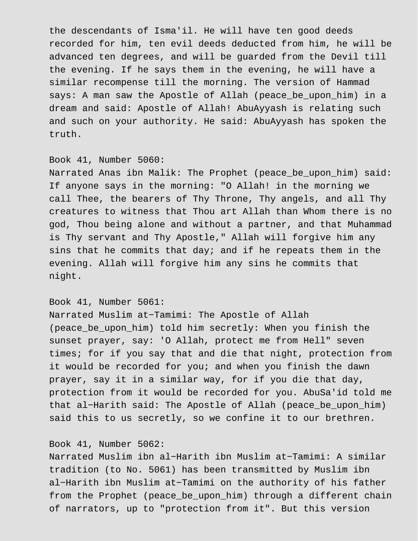the descendants of Isma'il. He will have ten good deeds recorded for him, ten evil deeds deducted from him, he will be advanced ten degrees, and will be guarded from the Devil till the evening. If he says them in the evening, he will have a similar recompense till the morning. The version of Hammad says: A man saw the Apostle of Allah (peace be upon him) in a dream and said: Apostle of Allah! AbuAyyash is relating such and such on your authority. He said: AbuAyyash has spoken the truth.

#### Book 41, Number 5060:

Narrated Anas ibn Malik: The Prophet (peace be upon him) said: If anyone says in the morning: "O Allah! in the morning we call Thee, the bearers of Thy Throne, Thy angels, and all Thy creatures to witness that Thou art Allah than Whom there is no god, Thou being alone and without a partner, and that Muhammad is Thy servant and Thy Apostle," Allah will forgive him any sins that he commits that day; and if he repeats them in the evening. Allah will forgive him any sins he commits that night.

### Book 41, Number 5061:

Narrated Muslim at−Tamimi: The Apostle of Allah (peace\_be\_upon\_him) told him secretly: When you finish the sunset prayer, say: 'O Allah, protect me from Hell" seven times; for if you say that and die that night, protection from it would be recorded for you; and when you finish the dawn prayer, say it in a similar way, for if you die that day, protection from it would be recorded for you. AbuSa'id told me that al−Harith said: The Apostle of Allah (peace\_be\_upon\_him) said this to us secretly, so we confine it to our brethren.

## Book 41, Number 5062:

Narrated Muslim ibn al−Harith ibn Muslim at−Tamimi: A similar tradition (to No. 5061) has been transmitted by Muslim ibn al−Harith ibn Muslim at−Tamimi on the authority of his father from the Prophet (peace\_be\_upon\_him) through a different chain of narrators, up to "protection from it". But this version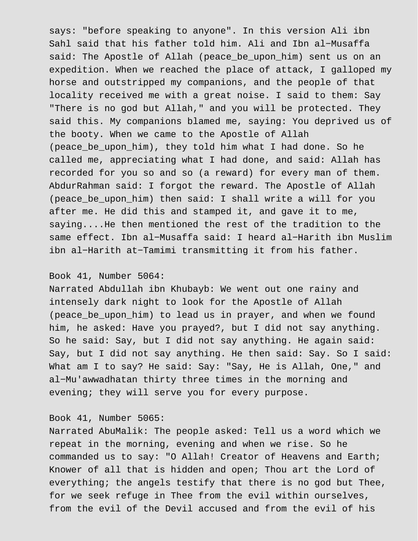says: "before speaking to anyone". In this version Ali ibn Sahl said that his father told him. Ali and Ibn al−Musaffa said: The Apostle of Allah (peace be upon him) sent us on an expedition. When we reached the place of attack, I galloped my horse and outstripped my companions, and the people of that locality received me with a great noise. I said to them: Say "There is no god but Allah," and you will be protected. They said this. My companions blamed me, saying: You deprived us of the booty. When we came to the Apostle of Allah (peace be upon him), they told him what I had done. So he called me, appreciating what I had done, and said: Allah has recorded for you so and so (a reward) for every man of them. AbdurRahman said: I forgot the reward. The Apostle of Allah (peace\_be\_upon\_him) then said: I shall write a will for you after me. He did this and stamped it, and gave it to me, saying....He then mentioned the rest of the tradition to the same effect. Ibn al−Musaffa said: I heard al−Harith ibn Muslim ibn al−Harith at−Tamimi transmitting it from his father.

#### Book 41, Number 5064:

Narrated Abdullah ibn Khubayb: We went out one rainy and intensely dark night to look for the Apostle of Allah (peace\_be\_upon\_him) to lead us in prayer, and when we found him, he asked: Have you prayed?, but I did not say anything. So he said: Say, but I did not say anything. He again said: Say, but I did not say anything. He then said: Say. So I said: What am I to say? He said: Say: "Say, He is Allah, One," and al−Mu'awwadhatan thirty three times in the morning and evening; they will serve you for every purpose.

## Book 41, Number 5065:

Narrated AbuMalik: The people asked: Tell us a word which we repeat in the morning, evening and when we rise. So he commanded us to say: "O Allah! Creator of Heavens and Earth; Knower of all that is hidden and open; Thou art the Lord of everything; the angels testify that there is no god but Thee, for we seek refuge in Thee from the evil within ourselves, from the evil of the Devil accused and from the evil of his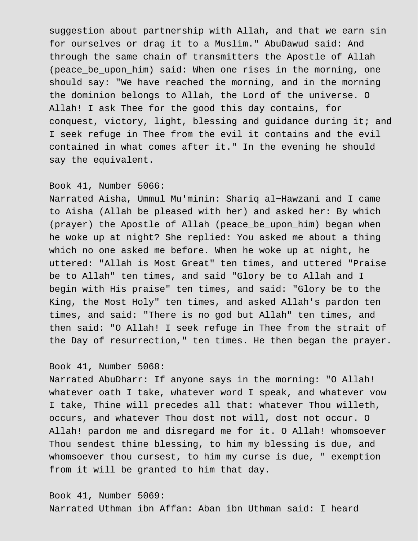suggestion about partnership with Allah, and that we earn sin for ourselves or drag it to a Muslim." AbuDawud said: And through the same chain of transmitters the Apostle of Allah (peace\_be\_upon\_him) said: When one rises in the morning, one should say: "We have reached the morning, and in the morning the dominion belongs to Allah, the Lord of the universe. O Allah! I ask Thee for the good this day contains, for conquest, victory, light, blessing and guidance during it; and I seek refuge in Thee from the evil it contains and the evil contained in what comes after it." In the evening he should say the equivalent.

#### Book 41, Number 5066:

Narrated Aisha, Ummul Mu'minin: Shariq al−Hawzani and I came to Aisha (Allah be pleased with her) and asked her: By which (prayer) the Apostle of Allah (peace\_be\_upon\_him) began when he woke up at night? She replied: You asked me about a thing which no one asked me before. When he woke up at night, he uttered: "Allah is Most Great" ten times, and uttered "Praise be to Allah" ten times, and said "Glory be to Allah and I begin with His praise" ten times, and said: "Glory be to the King, the Most Holy" ten times, and asked Allah's pardon ten times, and said: "There is no god but Allah" ten times, and then said: "O Allah! I seek refuge in Thee from the strait of the Day of resurrection," ten times. He then began the prayer.

#### Book 41, Number 5068:

Narrated AbuDharr: If anyone says in the morning: "O Allah! whatever oath I take, whatever word I speak, and whatever vow I take, Thine will precedes all that: whatever Thou willeth, occurs, and whatever Thou dost not will, dost not occur. O Allah! pardon me and disregard me for it. O Allah! whomsoever Thou sendest thine blessing, to him my blessing is due, and whomsoever thou cursest, to him my curse is due, " exemption from it will be granted to him that day.

# Book 41, Number 5069: Narrated Uthman ibn Affan: Aban ibn Uthman said: I heard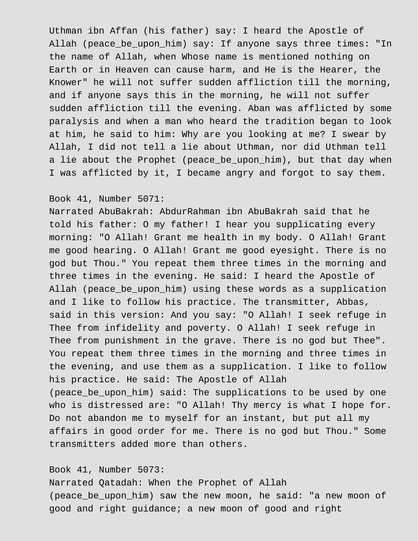Uthman ibn Affan (his father) say: I heard the Apostle of Allah (peace\_be\_upon\_him) say: If anyone says three times: "In the name of Allah, when Whose name is mentioned nothing on Earth or in Heaven can cause harm, and He is the Hearer, the Knower" he will not suffer sudden affliction till the morning, and if anyone says this in the morning, he will not suffer sudden affliction till the evening. Aban was afflicted by some paralysis and when a man who heard the tradition began to look at him, he said to him: Why are you looking at me? I swear by Allah, I did not tell a lie about Uthman, nor did Uthman tell a lie about the Prophet (peace\_be\_upon\_him), but that day when I was afflicted by it, I became angry and forgot to say them.

#### Book 41, Number 5071:

Narrated AbuBakrah: AbdurRahman ibn AbuBakrah said that he told his father: O my father! I hear you supplicating every morning: "O Allah! Grant me health in my body. O Allah! Grant me good hearing. O Allah! Grant me good eyesight. There is no god but Thou." You repeat them three times in the morning and three times in the evening. He said: I heard the Apostle of Allah (peace\_be\_upon\_him) using these words as a supplication and I like to follow his practice. The transmitter, Abbas, said in this version: And you say: "O Allah! I seek refuge in Thee from infidelity and poverty. O Allah! I seek refuge in Thee from punishment in the grave. There is no god but Thee". You repeat them three times in the morning and three times in the evening, and use them as a supplication. I like to follow his practice. He said: The Apostle of Allah (peace\_be\_upon\_him) said: The supplications to be used by one

who is distressed are: "O Allah! Thy mercy is what I hope for. Do not abandon me to myself for an instant, but put all my affairs in good order for me. There is no god but Thou." Some transmitters added more than others.

### Book 41, Number 5073:

Narrated Qatadah: When the Prophet of Allah (peace\_be\_upon\_him) saw the new moon, he said: "a new moon of good and right guidance; a new moon of good and right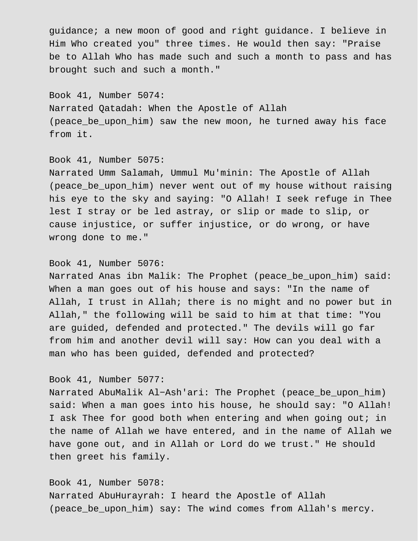guidance; a new moon of good and right guidance. I believe in Him Who created you" three times. He would then say: "Praise be to Allah Who has made such and such a month to pass and has brought such and such a month."

Book 41, Number 5074: Narrated Qatadah: When the Apostle of Allah (peace\_be\_upon\_him) saw the new moon, he turned away his face from it.

Book 41, Number 5075:

Narrated Umm Salamah, Ummul Mu'minin: The Apostle of Allah (peace\_be\_upon\_him) never went out of my house without raising his eye to the sky and saying: "O Allah! I seek refuge in Thee lest I stray or be led astray, or slip or made to slip, or cause injustice, or suffer injustice, or do wrong, or have wrong done to me."

### Book 41, Number 5076:

Narrated Anas ibn Malik: The Prophet (peace\_be\_upon\_him) said: When a man goes out of his house and says: "In the name of Allah, I trust in Allah; there is no might and no power but in Allah," the following will be said to him at that time: "You are guided, defended and protected." The devils will go far from him and another devil will say: How can you deal with a man who has been guided, defended and protected?

# Book 41, Number 5077:

Narrated AbuMalik Al−Ash'ari: The Prophet (peace\_be\_upon\_him) said: When a man goes into his house, he should say: "O Allah! I ask Thee for good both when entering and when going out; in the name of Allah we have entered, and in the name of Allah we have gone out, and in Allah or Lord do we trust." He should then greet his family.

### Book 41, Number 5078:

Narrated AbuHurayrah: I heard the Apostle of Allah (peace\_be\_upon\_him) say: The wind comes from Allah's mercy.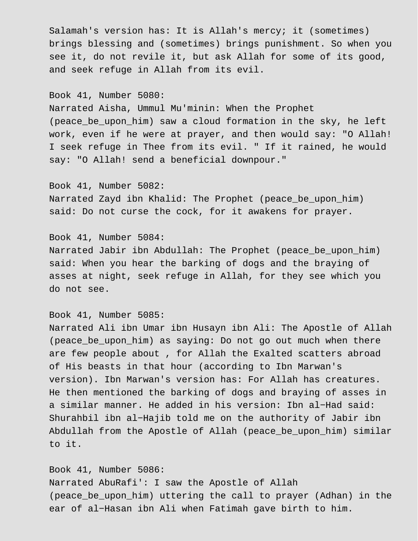Salamah's version has: It is Allah's mercy; it (sometimes) brings blessing and (sometimes) brings punishment. So when you see it, do not revile it, but ask Allah for some of its good, and seek refuge in Allah from its evil.

Book 41, Number 5080:

Narrated Aisha, Ummul Mu'minin: When the Prophet (peace\_be\_upon\_him) saw a cloud formation in the sky, he left work, even if he were at prayer, and then would say: "O Allah! I seek refuge in Thee from its evil. " If it rained, he would say: "O Allah! send a beneficial downpour."

Book 41, Number 5082: Narrated Zayd ibn Khalid: The Prophet (peace\_be\_upon\_him) said: Do not curse the cock, for it awakens for prayer.

Book 41, Number 5084:

Narrated Jabir ibn Abdullah: The Prophet (peace\_be\_upon\_him) said: When you hear the barking of dogs and the braying of asses at night, seek refuge in Allah, for they see which you do not see.

Book 41, Number 5085:

Narrated Ali ibn Umar ibn Husayn ibn Ali: The Apostle of Allah (peace\_be\_upon\_him) as saying: Do not go out much when there are few people about , for Allah the Exalted scatters abroad of His beasts in that hour (according to Ibn Marwan's version). Ibn Marwan's version has: For Allah has creatures. He then mentioned the barking of dogs and braying of asses in a similar manner. He added in his version: Ibn al−Had said: Shurahbil ibn al−Hajib told me on the authority of Jabir ibn Abdullah from the Apostle of Allah (peace\_be\_upon\_him) similar to it.

Book 41, Number 5086: Narrated AbuRafi': I saw the Apostle of Allah (peace\_be\_upon\_him) uttering the call to prayer (Adhan) in the ear of al−Hasan ibn Ali when Fatimah gave birth to him.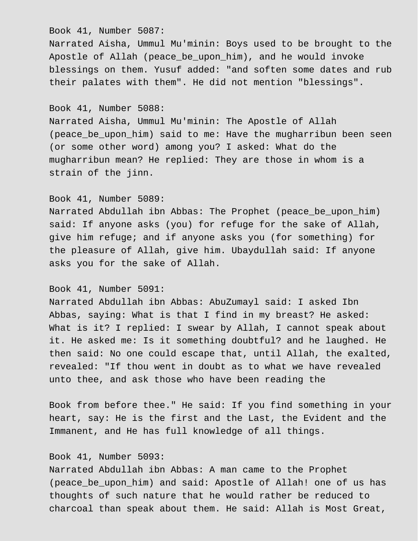#### Book 41, Number 5087:

Narrated Aisha, Ummul Mu'minin: Boys used to be brought to the Apostle of Allah (peace be upon him), and he would invoke blessings on them. Yusuf added: "and soften some dates and rub their palates with them". He did not mention "blessings".

#### Book 41, Number 5088:

Narrated Aisha, Ummul Mu'minin: The Apostle of Allah (peace\_be\_upon\_him) said to me: Have the mugharribun been seen (or some other word) among you? I asked: What do the mugharribun mean? He replied: They are those in whom is a strain of the jinn.

#### Book 41, Number 5089:

Narrated Abdullah ibn Abbas: The Prophet (peace be upon him) said: If anyone asks (you) for refuge for the sake of Allah, give him refuge; and if anyone asks you (for something) for the pleasure of Allah, give him. Ubaydullah said: If anyone asks you for the sake of Allah.

#### Book 41, Number 5091:

Narrated Abdullah ibn Abbas: AbuZumayl said: I asked Ibn Abbas, saying: What is that I find in my breast? He asked: What is it? I replied: I swear by Allah, I cannot speak about it. He asked me: Is it something doubtful? and he laughed. He then said: No one could escape that, until Allah, the exalted, revealed: "If thou went in doubt as to what we have revealed unto thee, and ask those who have been reading the

Book from before thee." He said: If you find something in your heart, say: He is the first and the Last, the Evident and the Immanent, and He has full knowledge of all things.

### Book 41, Number 5093:

Narrated Abdullah ibn Abbas: A man came to the Prophet (peace\_be\_upon\_him) and said: Apostle of Allah! one of us has thoughts of such nature that he would rather be reduced to charcoal than speak about them. He said: Allah is Most Great,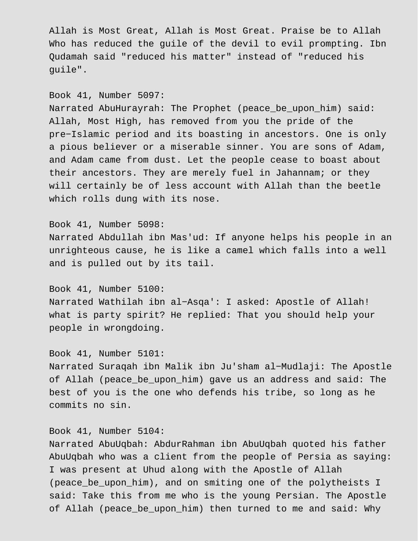Allah is Most Great, Allah is Most Great. Praise be to Allah Who has reduced the guile of the devil to evil prompting. Ibn Qudamah said "reduced his matter" instead of "reduced his guile".

Book 41, Number 5097:

Narrated AbuHurayrah: The Prophet (peace\_be\_upon\_him) said: Allah, Most High, has removed from you the pride of the pre−Islamic period and its boasting in ancestors. One is only a pious believer or a miserable sinner. You are sons of Adam, and Adam came from dust. Let the people cease to boast about their ancestors. They are merely fuel in Jahannam; or they will certainly be of less account with Allah than the beetle which rolls dung with its nose.

Book 41, Number 5098:

Narrated Abdullah ibn Mas'ud: If anyone helps his people in an unrighteous cause, he is like a camel which falls into a well and is pulled out by its tail.

Book 41, Number 5100: Narrated Wathilah ibn al−Asqa': I asked: Apostle of Allah! what is party spirit? He replied: That you should help your people in wrongdoing.

Book 41, Number 5101:

Narrated Suraqah ibn Malik ibn Ju'sham al−Mudlaji: The Apostle of Allah (peace\_be\_upon\_him) gave us an address and said: The best of you is the one who defends his tribe, so long as he commits no sin.

Book 41, Number 5104:

Narrated AbuUqbah: AbdurRahman ibn AbuUqbah quoted his father AbuUqbah who was a client from the people of Persia as saying: I was present at Uhud along with the Apostle of Allah (peace be upon him), and on smiting one of the polytheists I said: Take this from me who is the young Persian. The Apostle of Allah (peace\_be\_upon\_him) then turned to me and said: Why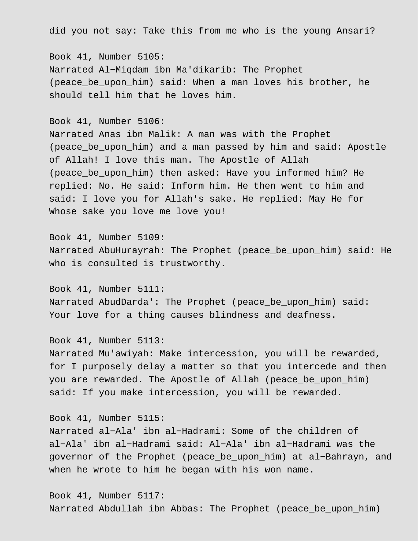did you not say: Take this from me who is the young Ansari?

Book 41, Number 5105: Narrated Al−Miqdam ibn Ma'dikarib: The Prophet (peace be upon him) said: When a man loves his brother, he should tell him that he loves him.

Book 41, Number 5106:

Narrated Anas ibn Malik: A man was with the Prophet (peace be upon him) and a man passed by him and said: Apostle of Allah! I love this man. The Apostle of Allah (peace\_be\_upon\_him) then asked: Have you informed him? He replied: No. He said: Inform him. He then went to him and said: I love you for Allah's sake. He replied: May He for Whose sake you love me love you!

Book 41, Number 5109: Narrated AbuHurayrah: The Prophet (peace\_be\_upon\_him) said: He who is consulted is trustworthy.

Book 41, Number 5111: Narrated AbudDarda': The Prophet (peace be upon him) said: Your love for a thing causes blindness and deafness.

Book 41, Number 5113: Narrated Mu'awiyah: Make intercession, you will be rewarded, for I purposely delay a matter so that you intercede and then you are rewarded. The Apostle of Allah (peace\_be\_upon\_him) said: If you make intercession, you will be rewarded.

Book 41, Number 5115:

Narrated al−Ala' ibn al−Hadrami: Some of the children of al−Ala' ibn al−Hadrami said: Al−Ala' ibn al−Hadrami was the governor of the Prophet (peace\_be\_upon\_him) at al−Bahrayn, and when he wrote to him he began with his won name.

Book 41, Number 5117: Narrated Abdullah ibn Abbas: The Prophet (peace\_be\_upon\_him)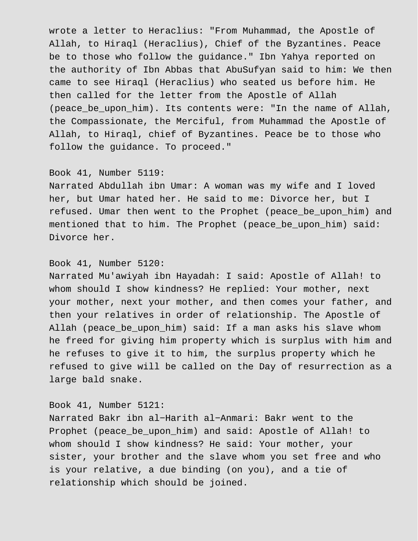wrote a letter to Heraclius: "From Muhammad, the Apostle of Allah, to Hiraql (Heraclius), Chief of the Byzantines. Peace be to those who follow the guidance." Ibn Yahya reported on the authority of Ibn Abbas that AbuSufyan said to him: We then came to see Hiraql (Heraclius) who seated us before him. He then called for the letter from the Apostle of Allah (peace\_be\_upon\_him). Its contents were: "In the name of Allah, the Compassionate, the Merciful, from Muhammad the Apostle of Allah, to Hiraql, chief of Byzantines. Peace be to those who follow the guidance. To proceed."

# Book 41, Number 5119:

Narrated Abdullah ibn Umar: A woman was my wife and I loved her, but Umar hated her. He said to me: Divorce her, but I refused. Umar then went to the Prophet (peace be upon him) and mentioned that to him. The Prophet (peace\_be\_upon\_him) said: Divorce her.

# Book 41, Number 5120:

Narrated Mu'awiyah ibn Hayadah: I said: Apostle of Allah! to whom should I show kindness? He replied: Your mother, next your mother, next your mother, and then comes your father, and then your relatives in order of relationship. The Apostle of Allah (peace\_be\_upon\_him) said: If a man asks his slave whom he freed for giving him property which is surplus with him and he refuses to give it to him, the surplus property which he refused to give will be called on the Day of resurrection as a large bald snake.

# Book 41, Number 5121:

Narrated Bakr ibn al−Harith al−Anmari: Bakr went to the Prophet (peace\_be\_upon\_him) and said: Apostle of Allah! to whom should I show kindness? He said: Your mother, your sister, your brother and the slave whom you set free and who is your relative, a due binding (on you), and a tie of relationship which should be joined.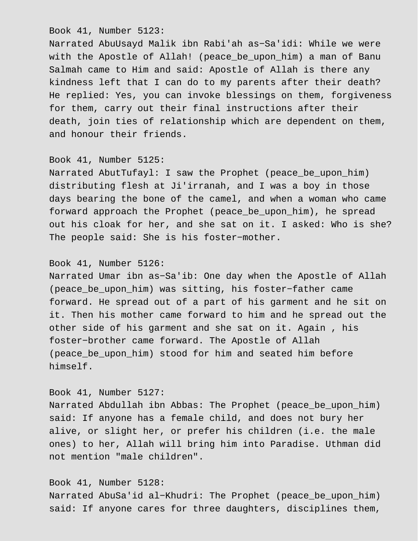#### Book 41, Number 5123:

Narrated AbuUsayd Malik ibn Rabi'ah as−Sa'idi: While we were with the Apostle of Allah! (peace be upon him) a man of Banu Salmah came to Him and said: Apostle of Allah is there any kindness left that I can do to my parents after their death? He replied: Yes, you can invoke blessings on them, forgiveness for them, carry out their final instructions after their death, join ties of relationship which are dependent on them, and honour their friends.

#### Book 41, Number 5125:

Narrated AbutTufayl: I saw the Prophet (peace be upon him) distributing flesh at Ji'irranah, and I was a boy in those days bearing the bone of the camel, and when a woman who came forward approach the Prophet (peace be upon him), he spread out his cloak for her, and she sat on it. I asked: Who is she? The people said: She is his foster−mother.

### Book 41, Number 5126:

Narrated Umar ibn as−Sa'ib: One day when the Apostle of Allah (peace\_be\_upon\_him) was sitting, his foster−father came forward. He spread out of a part of his garment and he sit on it. Then his mother came forward to him and he spread out the other side of his garment and she sat on it. Again , his foster−brother came forward. The Apostle of Allah (peace\_be\_upon\_him) stood for him and seated him before himself.

## Book 41, Number 5127:

Narrated Abdullah ibn Abbas: The Prophet (peace\_be\_upon\_him) said: If anyone has a female child, and does not bury her alive, or slight her, or prefer his children (i.e. the male ones) to her, Allah will bring him into Paradise. Uthman did not mention "male children".

# Book 41, Number 5128:

Narrated AbuSa'id al−Khudri: The Prophet (peace\_be\_upon\_him) said: If anyone cares for three daughters, disciplines them,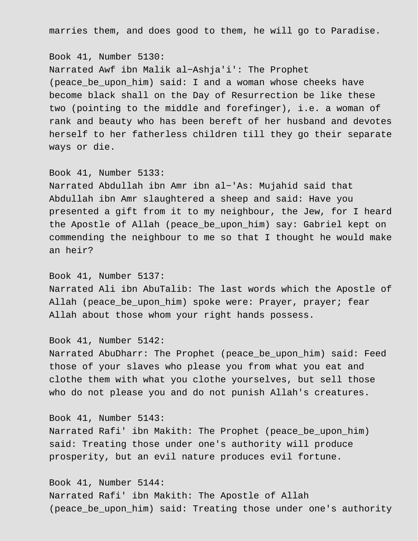marries them, and does good to them, he will go to Paradise.

Book 41, Number 5130: Narrated Awf ibn Malik al−Ashja'i': The Prophet (peace be upon him) said: I and a woman whose cheeks have become black shall on the Day of Resurrection be like these two (pointing to the middle and forefinger), i.e. a woman of rank and beauty who has been bereft of her husband and devotes herself to her fatherless children till they go their separate ways or die.

## Book 41, Number 5133:

Narrated Abdullah ibn Amr ibn al−'As: Mujahid said that Abdullah ibn Amr slaughtered a sheep and said: Have you presented a gift from it to my neighbour, the Jew, for I heard the Apostle of Allah (peace\_be\_upon\_him) say: Gabriel kept on commending the neighbour to me so that I thought he would make an heir?

Book 41, Number 5137: Narrated Ali ibn AbuTalib: The last words which the Apostle of Allah (peace\_be\_upon\_him) spoke were: Prayer, prayer; fear Allah about those whom your right hands possess.

Book 41, Number 5142:

Narrated AbuDharr: The Prophet (peace be upon him) said: Feed those of your slaves who please you from what you eat and clothe them with what you clothe yourselves, but sell those who do not please you and do not punish Allah's creatures.

# Book 41, Number 5143:

Narrated Rafi' ibn Makith: The Prophet (peace\_be\_upon\_him) said: Treating those under one's authority will produce prosperity, but an evil nature produces evil fortune.

Book 41, Number 5144: Narrated Rafi' ibn Makith: The Apostle of Allah (peace\_be\_upon\_him) said: Treating those under one's authority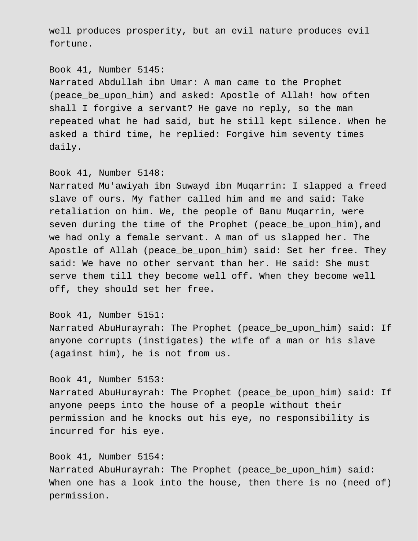well produces prosperity, but an evil nature produces evil fortune.

## Book 41, Number 5145:

Narrated Abdullah ibn Umar: A man came to the Prophet (peace\_be\_upon\_him) and asked: Apostle of Allah! how often shall I forgive a servant? He gave no reply, so the man repeated what he had said, but he still kept silence. When he asked a third time, he replied: Forgive him seventy times daily.

## Book 41, Number 5148:

Narrated Mu'awiyah ibn Suwayd ibn Muqarrin: I slapped a freed slave of ours. My father called him and me and said: Take retaliation on him. We, the people of Banu Muqarrin, were seven during the time of the Prophet (peace\_be\_upon\_him),and we had only a female servant. A man of us slapped her. The Apostle of Allah (peace\_be\_upon\_him) said: Set her free. They said: We have no other servant than her. He said: She must serve them till they become well off. When they become well off, they should set her free.

#### Book 41, Number 5151:

Narrated AbuHurayrah: The Prophet (peace\_be\_upon\_him) said: If anyone corrupts (instigates) the wife of a man or his slave (against him), he is not from us.

#### Book 41, Number 5153:

Narrated AbuHurayrah: The Prophet (peace\_be\_upon\_him) said: If anyone peeps into the house of a people without their permission and he knocks out his eye, no responsibility is incurred for his eye.

#### Book 41, Number 5154:

Narrated AbuHurayrah: The Prophet (peace be upon him) said: When one has a look into the house, then there is no (need of) permission.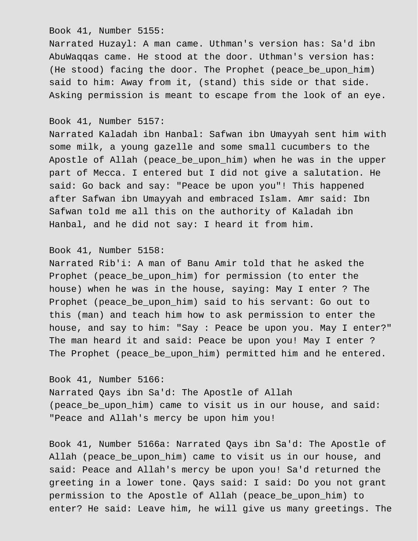#### Book 41, Number 5155:

Narrated Huzayl: A man came. Uthman's version has: Sa'd ibn AbuWaqqas came. He stood at the door. Uthman's version has: (He stood) facing the door. The Prophet (peace\_be\_upon\_him) said to him: Away from it, (stand) this side or that side. Asking permission is meant to escape from the look of an eye.

### Book 41, Number 5157:

Narrated Kaladah ibn Hanbal: Safwan ibn Umayyah sent him with some milk, a young gazelle and some small cucumbers to the Apostle of Allah (peace\_be\_upon\_him) when he was in the upper part of Mecca. I entered but I did not give a salutation. He said: Go back and say: "Peace be upon you"! This happened after Safwan ibn Umayyah and embraced Islam. Amr said: Ibn Safwan told me all this on the authority of Kaladah ibn Hanbal, and he did not say: I heard it from him.

# Book 41, Number 5158:

Narrated Rib'i: A man of Banu Amir told that he asked the Prophet (peace\_be\_upon\_him) for permission (to enter the house) when he was in the house, saying: May I enter ? The Prophet (peace\_be\_upon\_him) said to his servant: Go out to this (man) and teach him how to ask permission to enter the house, and say to him: "Say : Peace be upon you. May I enter?" The man heard it and said: Peace be upon you! May I enter ? The Prophet (peace\_be\_upon\_him) permitted him and he entered.

#### Book 41, Number 5166:

Narrated Qays ibn Sa'd: The Apostle of Allah (peace\_be\_upon\_him) came to visit us in our house, and said: "Peace and Allah's mercy be upon him you!

Book 41, Number 5166a: Narrated Qays ibn Sa'd: The Apostle of Allah (peace\_be\_upon\_him) came to visit us in our house, and said: Peace and Allah's mercy be upon you! Sa'd returned the greeting in a lower tone. Qays said: I said: Do you not grant permission to the Apostle of Allah (peace\_be\_upon\_him) to enter? He said: Leave him, he will give us many greetings. The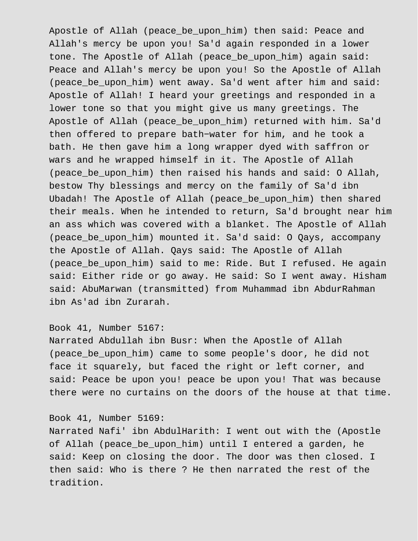Apostle of Allah (peace be upon him) then said: Peace and Allah's mercy be upon you! Sa'd again responded in a lower tone. The Apostle of Allah (peace\_be\_upon\_him) again said: Peace and Allah's mercy be upon you! So the Apostle of Allah (peace be upon him) went away. Sa'd went after him and said: Apostle of Allah! I heard your greetings and responded in a lower tone so that you might give us many greetings. The Apostle of Allah (peace\_be\_upon\_him) returned with him. Sa'd then offered to prepare bath−water for him, and he took a bath. He then gave him a long wrapper dyed with saffron or wars and he wrapped himself in it. The Apostle of Allah (peace be upon him) then raised his hands and said: O Allah, bestow Thy blessings and mercy on the family of Sa'd ibn Ubadah! The Apostle of Allah (peace\_be\_upon\_him) then shared their meals. When he intended to return, Sa'd brought near him an ass which was covered with a blanket. The Apostle of Allah (peace be upon him) mounted it. Sa'd said: O Qays, accompany the Apostle of Allah. Qays said: The Apostle of Allah (peace\_be\_upon\_him) said to me: Ride. But I refused. He again said: Either ride or go away. He said: So I went away. Hisham said: AbuMarwan (transmitted) from Muhammad ibn AbdurRahman ibn As'ad ibn Zurarah.

# Book 41, Number 5167:

Narrated Abdullah ibn Busr: When the Apostle of Allah (peace be upon him) came to some people's door, he did not face it squarely, but faced the right or left corner, and said: Peace be upon you! peace be upon you! That was because there were no curtains on the doors of the house at that time.

# Book 41, Number 5169:

Narrated Nafi' ibn AbdulHarith: I went out with the (Apostle of Allah (peace\_be\_upon\_him) until I entered a garden, he said: Keep on closing the door. The door was then closed. I then said: Who is there ? He then narrated the rest of the tradition.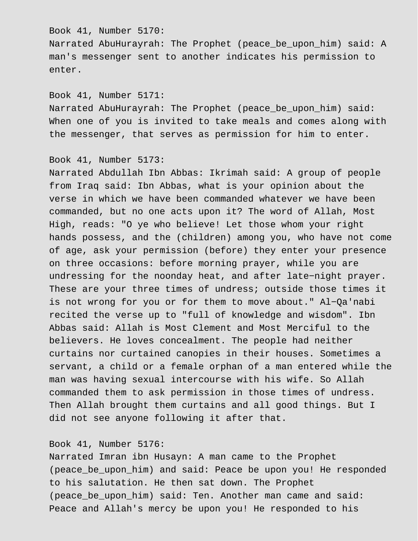#### Book 41, Number 5170:

Narrated AbuHurayrah: The Prophet (peace\_be\_upon\_him) said: A man's messenger sent to another indicates his permission to enter.

#### Book 41, Number 5171:

Narrated AbuHurayrah: The Prophet (peace\_be\_upon\_him) said: When one of you is invited to take meals and comes along with the messenger, that serves as permission for him to enter.

# Book 41, Number 5173:

Narrated Abdullah Ibn Abbas: Ikrimah said: A group of people from Iraq said: Ibn Abbas, what is your opinion about the verse in which we have been commanded whatever we have been commanded, but no one acts upon it? The word of Allah, Most High, reads: "O ye who believe! Let those whom your right hands possess, and the (children) among you, who have not come of age, ask your permission (before) they enter your presence on three occasions: before morning prayer, while you are undressing for the noonday heat, and after late−night prayer. These are your three times of undress; outside those times it is not wrong for you or for them to move about." Al−Qa'nabi recited the verse up to "full of knowledge and wisdom". Ibn Abbas said: Allah is Most Clement and Most Merciful to the believers. He loves concealment. The people had neither curtains nor curtained canopies in their houses. Sometimes a servant, a child or a female orphan of a man entered while the man was having sexual intercourse with his wife. So Allah commanded them to ask permission in those times of undress. Then Allah brought them curtains and all good things. But I did not see anyone following it after that.

# Book 41, Number 5176:

Narrated Imran ibn Husayn: A man came to the Prophet (peace be upon him) and said: Peace be upon you! He responded to his salutation. He then sat down. The Prophet (peace\_be\_upon\_him) said: Ten. Another man came and said: Peace and Allah's mercy be upon you! He responded to his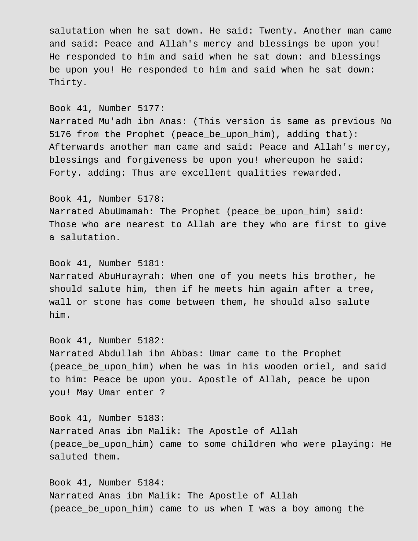salutation when he sat down. He said: Twenty. Another man came and said: Peace and Allah's mercy and blessings be upon you! He responded to him and said when he sat down: and blessings be upon you! He responded to him and said when he sat down: Thirty.

Book 41, Number 5177:

Narrated Mu'adh ibn Anas: (This version is same as previous No 5176 from the Prophet (peace be upon him), adding that): Afterwards another man came and said: Peace and Allah's mercy, blessings and forgiveness be upon you! whereupon he said: Forty. adding: Thus are excellent qualities rewarded.

Book 41, Number 5178: Narrated AbuUmamah: The Prophet (peace be upon him) said: Those who are nearest to Allah are they who are first to give a salutation.

Book 41, Number 5181: Narrated AbuHurayrah: When one of you meets his brother, he should salute him, then if he meets him again after a tree, wall or stone has come between them, he should also salute him.

Book 41, Number 5182: Narrated Abdullah ibn Abbas: Umar came to the Prophet (peace\_be\_upon\_him) when he was in his wooden oriel, and said to him: Peace be upon you. Apostle of Allah, peace be upon you! May Umar enter ?

Book 41, Number 5183: Narrated Anas ibn Malik: The Apostle of Allah (peace\_be\_upon\_him) came to some children who were playing: He saluted them.

Book 41, Number 5184: Narrated Anas ibn Malik: The Apostle of Allah (peace\_be\_upon\_him) came to us when I was a boy among the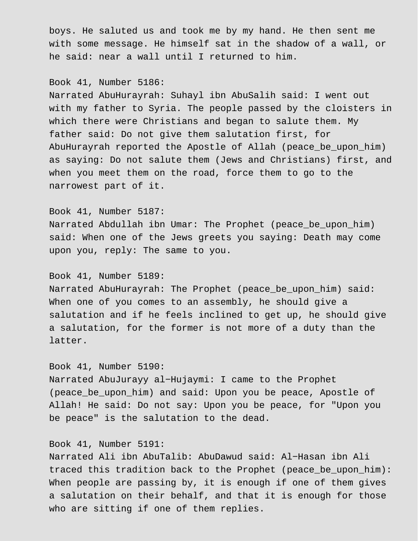boys. He saluted us and took me by my hand. He then sent me with some message. He himself sat in the shadow of a wall, or he said: near a wall until I returned to him.

# Book 41, Number 5186:

Narrated AbuHurayrah: Suhayl ibn AbuSalih said: I went out with my father to Syria. The people passed by the cloisters in which there were Christians and began to salute them. My father said: Do not give them salutation first, for AbuHurayrah reported the Apostle of Allah (peace\_be\_upon\_him) as saying: Do not salute them (Jews and Christians) first, and when you meet them on the road, force them to go to the narrowest part of it.

### Book 41, Number 5187:

Narrated Abdullah ibn Umar: The Prophet (peace\_be\_upon\_him) said: When one of the Jews greets you saying: Death may come upon you, reply: The same to you.

#### Book 41, Number 5189:

Narrated AbuHurayrah: The Prophet (peace be upon him) said: When one of you comes to an assembly, he should give a salutation and if he feels inclined to get up, he should give a salutation, for the former is not more of a duty than the latter.

#### Book 41, Number 5190:

Narrated AbuJurayy al−Hujaymi: I came to the Prophet (peace\_be\_upon\_him) and said: Upon you be peace, Apostle of Allah! He said: Do not say: Upon you be peace, for "Upon you be peace" is the salutation to the dead.

# Book 41, Number 5191:

Narrated Ali ibn AbuTalib: AbuDawud said: Al−Hasan ibn Ali traced this tradition back to the Prophet (peace\_be\_upon\_him): When people are passing by, it is enough if one of them gives a salutation on their behalf, and that it is enough for those who are sitting if one of them replies.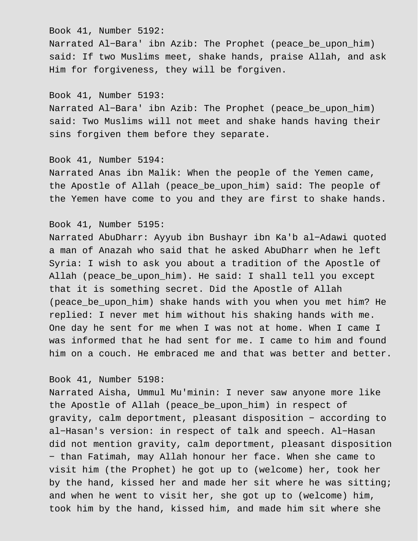#### Book 41, Number 5192:

Narrated Al−Bara' ibn Azib: The Prophet (peace\_be\_upon\_him) said: If two Muslims meet, shake hands, praise Allah, and ask Him for forgiveness, they will be forgiven.

# Book 41, Number 5193:

Narrated Al−Bara' ibn Azib: The Prophet (peace\_be\_upon\_him) said: Two Muslims will not meet and shake hands having their sins forgiven them before they separate.

#### Book 41, Number 5194:

Narrated Anas ibn Malik: When the people of the Yemen came, the Apostle of Allah (peace\_be\_upon\_him) said: The people of the Yemen have come to you and they are first to shake hands.

#### Book 41, Number 5195:

Narrated AbuDharr: Ayyub ibn Bushayr ibn Ka'b al−Adawi quoted a man of Anazah who said that he asked AbuDharr when he left Syria: I wish to ask you about a tradition of the Apostle of Allah (peace\_be\_upon\_him). He said: I shall tell you except that it is something secret. Did the Apostle of Allah (peace\_be\_upon\_him) shake hands with you when you met him? He replied: I never met him without his shaking hands with me. One day he sent for me when I was not at home. When I came I was informed that he had sent for me. I came to him and found him on a couch. He embraced me and that was better and better.

### Book 41, Number 5198:

Narrated Aisha, Ummul Mu'minin: I never saw anyone more like the Apostle of Allah (peace\_be\_upon\_him) in respect of gravity, calm deportment, pleasant disposition − according to al−Hasan's version: in respect of talk and speech. Al−Hasan did not mention gravity, calm deportment, pleasant disposition − than Fatimah, may Allah honour her face. When she came to visit him (the Prophet) he got up to (welcome) her, took her by the hand, kissed her and made her sit where he was sitting; and when he went to visit her, she got up to (welcome) him, took him by the hand, kissed him, and made him sit where she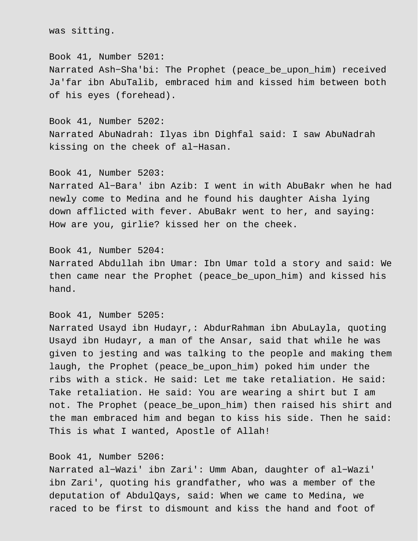was sitting.

Book 41, Number 5201: Narrated Ash−Sha'bi: The Prophet (peace\_be\_upon\_him) received Ja'far ibn AbuTalib, embraced him and kissed him between both of his eyes (forehead).

Book 41, Number 5202: Narrated AbuNadrah: Ilyas ibn Dighfal said: I saw AbuNadrah kissing on the cheek of al−Hasan.

Book 41, Number 5203: Narrated Al−Bara' ibn Azib: I went in with AbuBakr when he had newly come to Medina and he found his daughter Aisha lying down afflicted with fever. AbuBakr went to her, and saying: How are you, girlie? kissed her on the cheek.

Book 41, Number 5204: Narrated Abdullah ibn Umar: Ibn Umar told a story and said: We then came near the Prophet (peace\_be\_upon\_him) and kissed his hand.

Book 41, Number 5205:

Narrated Usayd ibn Hudayr,: AbdurRahman ibn AbuLayla, quoting Usayd ibn Hudayr, a man of the Ansar, said that while he was given to jesting and was talking to the people and making them laugh, the Prophet (peace\_be\_upon\_him) poked him under the ribs with a stick. He said: Let me take retaliation. He said: Take retaliation. He said: You are wearing a shirt but I am not. The Prophet (peace\_be\_upon\_him) then raised his shirt and the man embraced him and began to kiss his side. Then he said: This is what I wanted, Apostle of Allah!

Book 41, Number 5206:

Narrated al−Wazi' ibn Zari': Umm Aban, daughter of al−Wazi' ibn Zari', quoting his grandfather, who was a member of the deputation of AbdulQays, said: When we came to Medina, we raced to be first to dismount and kiss the hand and foot of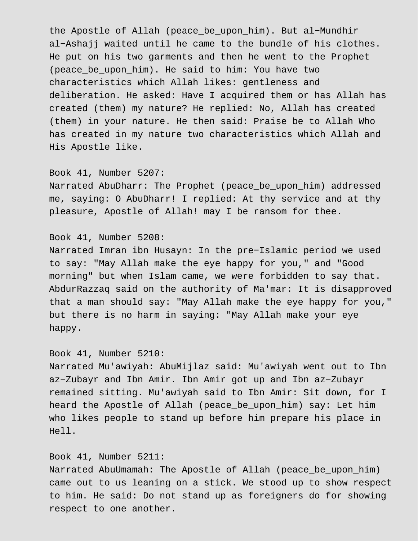the Apostle of Allah (peace\_be\_upon\_him). But al−Mundhir al−Ashajj waited until he came to the bundle of his clothes. He put on his two garments and then he went to the Prophet (peace\_be\_upon\_him). He said to him: You have two characteristics which Allah likes: gentleness and deliberation. He asked: Have I acquired them or has Allah has created (them) my nature? He replied: No, Allah has created (them) in your nature. He then said: Praise be to Allah Who has created in my nature two characteristics which Allah and His Apostle like.

#### Book 41, Number 5207:

Narrated AbuDharr: The Prophet (peace\_be\_upon\_him) addressed me, saying: O AbuDharr! I replied: At thy service and at thy pleasure, Apostle of Allah! may I be ransom for thee.

# Book 41, Number 5208:

Narrated Imran ibn Husayn: In the pre−Islamic period we used to say: "May Allah make the eye happy for you," and "Good morning" but when Islam came, we were forbidden to say that. AbdurRazzaq said on the authority of Ma'mar: It is disapproved that a man should say: "May Allah make the eye happy for you," but there is no harm in saying: "May Allah make your eye happy.

### Book 41, Number 5210:

Narrated Mu'awiyah: AbuMijlaz said: Mu'awiyah went out to Ibn az−Zubayr and Ibn Amir. Ibn Amir got up and Ibn az−Zubayr remained sitting. Mu'awiyah said to Ibn Amir: Sit down, for I heard the Apostle of Allah (peace\_be\_upon\_him) say: Let him who likes people to stand up before him prepare his place in Hell.

#### Book 41, Number 5211:

Narrated AbuUmamah: The Apostle of Allah (peace be upon him) came out to us leaning on a stick. We stood up to show respect to him. He said: Do not stand up as foreigners do for showing respect to one another.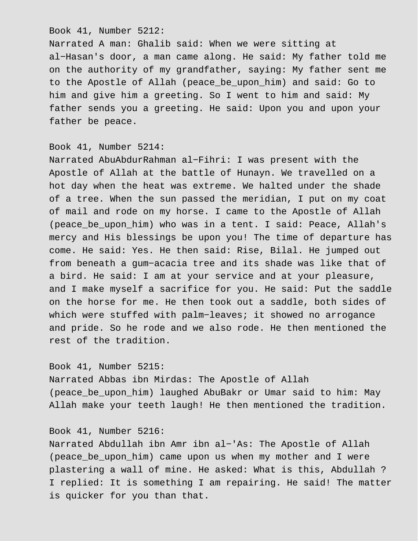### Book 41, Number 5212:

Narrated A man: Ghalib said: When we were sitting at al−Hasan's door, a man came along. He said: My father told me on the authority of my grandfather, saying: My father sent me to the Apostle of Allah (peace\_be\_upon\_him) and said: Go to him and give him a greeting. So I went to him and said: My father sends you a greeting. He said: Upon you and upon your father be peace.

# Book 41, Number 5214:

Narrated AbuAbdurRahman al−Fihri: I was present with the Apostle of Allah at the battle of Hunayn. We travelled on a hot day when the heat was extreme. We halted under the shade of a tree. When the sun passed the meridian, I put on my coat of mail and rode on my horse. I came to the Apostle of Allah (peace\_be\_upon\_him) who was in a tent. I said: Peace, Allah's mercy and His blessings be upon you! The time of departure has come. He said: Yes. He then said: Rise, Bilal. He jumped out from beneath a gum−acacia tree and its shade was like that of a bird. He said: I am at your service and at your pleasure, and I make myself a sacrifice for you. He said: Put the saddle on the horse for me. He then took out a saddle, both sides of which were stuffed with palm−leaves; it showed no arrogance and pride. So he rode and we also rode. He then mentioned the rest of the tradition.

#### Book 41, Number 5215:

Narrated Abbas ibn Mirdas: The Apostle of Allah (peace\_be\_upon\_him) laughed AbuBakr or Umar said to him: May Allah make your teeth laugh! He then mentioned the tradition.

### Book 41, Number 5216:

Narrated Abdullah ibn Amr ibn al−'As: The Apostle of Allah (peace\_be\_upon\_him) came upon us when my mother and I were plastering a wall of mine. He asked: What is this, Abdullah ? I replied: It is something I am repairing. He said! The matter is quicker for you than that.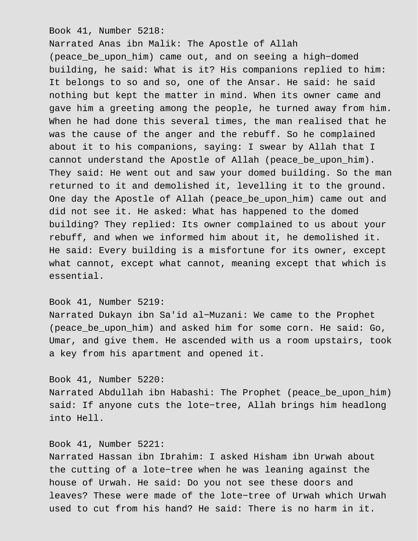#### Book 41, Number 5218:

Narrated Anas ibn Malik: The Apostle of Allah (peace\_be\_upon\_him) came out, and on seeing a high−domed building, he said: What is it? His companions replied to him: It belongs to so and so, one of the Ansar. He said: he said nothing but kept the matter in mind. When its owner came and gave him a greeting among the people, he turned away from him. When he had done this several times, the man realised that he was the cause of the anger and the rebuff. So he complained about it to his companions, saying: I swear by Allah that I cannot understand the Apostle of Allah (peace be upon him). They said: He went out and saw your domed building. So the man returned to it and demolished it, levelling it to the ground. One day the Apostle of Allah (peace\_be\_upon\_him) came out and did not see it. He asked: What has happened to the domed building? They replied: Its owner complained to us about your rebuff, and when we informed him about it, he demolished it. He said: Every building is a misfortune for its owner, except what cannot, except what cannot, meaning except that which is essential.

### Book 41, Number 5219:

Narrated Dukayn ibn Sa'id al−Muzani: We came to the Prophet (peace\_be\_upon\_him) and asked him for some corn. He said: Go, Umar, and give them. He ascended with us a room upstairs, took a key from his apartment and opened it.

### Book 41, Number 5220:

Narrated Abdullah ibn Habashi: The Prophet (peace\_be\_upon\_him) said: If anyone cuts the lote−tree, Allah brings him headlong into Hell.

# Book 41, Number 5221:

Narrated Hassan ibn Ibrahim: I asked Hisham ibn Urwah about the cutting of a lote−tree when he was leaning against the house of Urwah. He said: Do you not see these doors and leaves? These were made of the lote−tree of Urwah which Urwah used to cut from his hand? He said: There is no harm in it.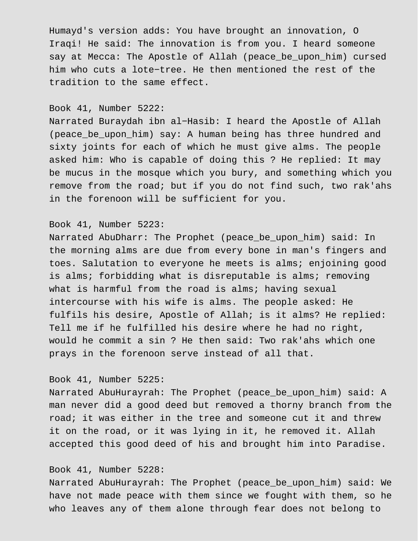Humayd's version adds: You have brought an innovation, O Iraqi! He said: The innovation is from you. I heard someone say at Mecca: The Apostle of Allah (peace be upon him) cursed him who cuts a lote−tree. He then mentioned the rest of the tradition to the same effect.

### Book 41, Number 5222:

Narrated Buraydah ibn al−Hasib: I heard the Apostle of Allah (peace\_be\_upon\_him) say: A human being has three hundred and sixty joints for each of which he must give alms. The people asked him: Who is capable of doing this ? He replied: It may be mucus in the mosque which you bury, and something which you remove from the road; but if you do not find such, two rak'ahs in the forenoon will be sufficient for you.

# Book 41, Number 5223:

Narrated AbuDharr: The Prophet (peace\_be\_upon\_him) said: In the morning alms are due from every bone in man's fingers and toes. Salutation to everyone he meets is alms; enjoining good is alms; forbidding what is disreputable is alms; removing what is harmful from the road is alms; having sexual intercourse with his wife is alms. The people asked: He fulfils his desire, Apostle of Allah; is it alms? He replied: Tell me if he fulfilled his desire where he had no right, would he commit a sin ? He then said: Two rak'ahs which one prays in the forenoon serve instead of all that.

## Book 41, Number 5225:

Narrated AbuHurayrah: The Prophet (peace\_be\_upon\_him) said: A man never did a good deed but removed a thorny branch from the road; it was either in the tree and someone cut it and threw it on the road, or it was lying in it, he removed it. Allah accepted this good deed of his and brought him into Paradise.

# Book 41, Number 5228:

Narrated AbuHurayrah: The Prophet (peace\_be\_upon\_him) said: We have not made peace with them since we fought with them, so he who leaves any of them alone through fear does not belong to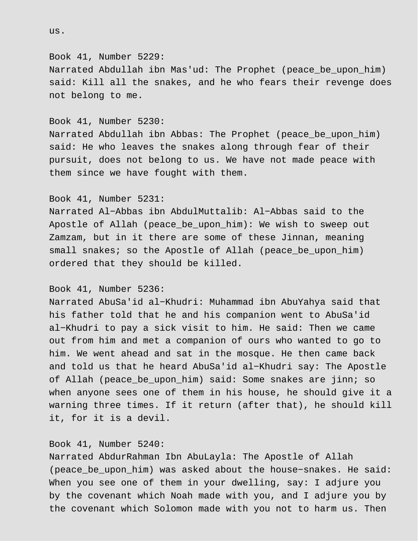Book 41, Number 5229:

Narrated Abdullah ibn Mas'ud: The Prophet (peace\_be\_upon\_him) said: Kill all the snakes, and he who fears their revenge does not belong to me.

#### Book 41, Number 5230:

Narrated Abdullah ibn Abbas: The Prophet (peace\_be\_upon\_him) said: He who leaves the snakes along through fear of their pursuit, does not belong to us. We have not made peace with them since we have fought with them.

### Book 41, Number 5231:

Narrated Al−Abbas ibn AbdulMuttalib: Al−Abbas said to the Apostle of Allah (peace\_be\_upon\_him): We wish to sweep out Zamzam, but in it there are some of these Jinnan, meaning small snakes; so the Apostle of Allah (peace be upon him) ordered that they should be killed.

# Book 41, Number 5236:

Narrated AbuSa'id al−Khudri: Muhammad ibn AbuYahya said that his father told that he and his companion went to AbuSa'id al−Khudri to pay a sick visit to him. He said: Then we came out from him and met a companion of ours who wanted to go to him. We went ahead and sat in the mosque. He then came back and told us that he heard AbuSa'id al−Khudri say: The Apostle of Allah (peace\_be\_upon\_him) said: Some snakes are jinn; so when anyone sees one of them in his house, he should give it a warning three times. If it return (after that), he should kill it, for it is a devil.

## Book 41, Number 5240:

Narrated AbdurRahman Ibn AbuLayla: The Apostle of Allah (peace\_be\_upon\_him) was asked about the house−snakes. He said: When you see one of them in your dwelling, say: I adjure you by the covenant which Noah made with you, and I adjure you by the covenant which Solomon made with you not to harm us. Then

us.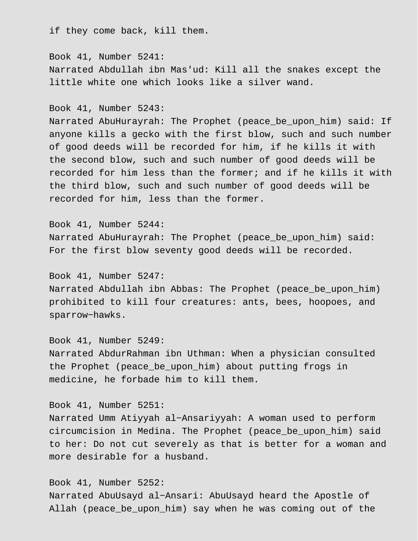if they come back, kill them.

Book 41, Number 5241: Narrated Abdullah ibn Mas'ud: Kill all the snakes except the little white one which looks like a silver wand.

Book 41, Number 5243:

Narrated AbuHurayrah: The Prophet (peace\_be\_upon\_him) said: If anyone kills a gecko with the first blow, such and such number of good deeds will be recorded for him, if he kills it with the second blow, such and such number of good deeds will be recorded for him less than the former; and if he kills it with the third blow, such and such number of good deeds will be recorded for him, less than the former.

Book 41, Number 5244: Narrated AbuHurayrah: The Prophet (peace\_be\_upon\_him) said: For the first blow seventy good deeds will be recorded.

Book 41, Number 5247: Narrated Abdullah ibn Abbas: The Prophet (peace be upon him) prohibited to kill four creatures: ants, bees, hoopoes, and sparrow−hawks.

Book 41, Number 5249: Narrated AbdurRahman ibn Uthman: When a physician consulted the Prophet (peace\_be\_upon\_him) about putting frogs in medicine, he forbade him to kill them.

Book 41, Number 5251: Narrated Umm Atiyyah al−Ansariyyah: A woman used to perform circumcision in Medina. The Prophet (peace\_be\_upon\_him) said to her: Do not cut severely as that is better for a woman and more desirable for a husband.

Book 41, Number 5252: Narrated AbuUsayd al−Ansari: AbuUsayd heard the Apostle of Allah (peace be upon him) say when he was coming out of the